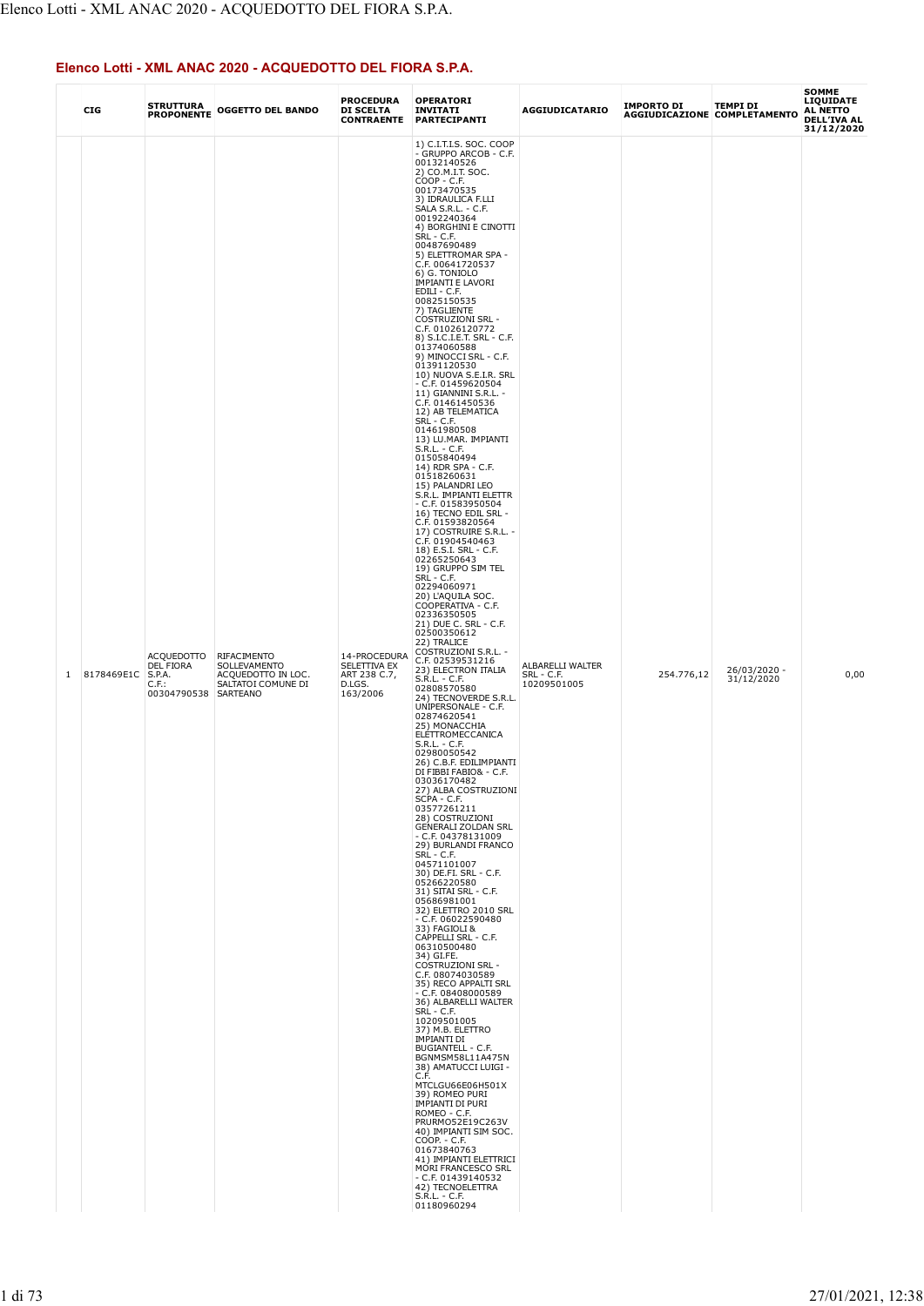|              | CIG        | <b>STRUTTURA</b><br><b>PROPONENTE</b>                                 | <b>OGGETTO DEL BANDO</b>                                                | <b>PROCEDURA</b><br><b>DI SCELTA</b><br><b>CONTRAENTE</b>          | <b>OPERATORI</b><br><b>INVITATI</b><br>PARTECIPANTI                                                                                                                                                                                                                                                                                                                                                                                                                                                                                                                                                                                                                                                                                                                                                                                                                                                                                                                                                                                                                                                                                                                                                                                                                                                                                                                                                                                                                                                                                                                                                                                                                                                                                                                                                                                                                                                                                                                                                                                                                                                                                                                                                                                                                                                                                                                                                                         | <b>AGGIUDICATARIO</b>                         | IMPORTO DI | <b>TEMPI DI</b><br>AGGIUDICAZIONE COMPLETAMENTO | <b>SOMME</b><br>LIQUIDATE<br>AL NETTO<br>DELL'IVA AL<br>31/12/2020 |
|--------------|------------|-----------------------------------------------------------------------|-------------------------------------------------------------------------|--------------------------------------------------------------------|-----------------------------------------------------------------------------------------------------------------------------------------------------------------------------------------------------------------------------------------------------------------------------------------------------------------------------------------------------------------------------------------------------------------------------------------------------------------------------------------------------------------------------------------------------------------------------------------------------------------------------------------------------------------------------------------------------------------------------------------------------------------------------------------------------------------------------------------------------------------------------------------------------------------------------------------------------------------------------------------------------------------------------------------------------------------------------------------------------------------------------------------------------------------------------------------------------------------------------------------------------------------------------------------------------------------------------------------------------------------------------------------------------------------------------------------------------------------------------------------------------------------------------------------------------------------------------------------------------------------------------------------------------------------------------------------------------------------------------------------------------------------------------------------------------------------------------------------------------------------------------------------------------------------------------------------------------------------------------------------------------------------------------------------------------------------------------------------------------------------------------------------------------------------------------------------------------------------------------------------------------------------------------------------------------------------------------------------------------------------------------------------------------------------------------|-----------------------------------------------|------------|-------------------------------------------------|--------------------------------------------------------------------|
| $\mathbf{1}$ | 8178469E1C | ACQUEDOTTO<br>DEL FIORA<br>S.P.A.<br>$C.F.$ :<br>00304790538 SARTEANO | RIFACIMENTO<br>SOLLEVAMENTO<br>ACQUEDOTTO IN LOC.<br>SALTATOI COMUNE DI | 14-PROCEDURA<br>SELETTIVA EX<br>ART 238 C.7,<br>D.LGS.<br>163/2006 | 1) C.I.T.I.S. SOC. COOP<br>- GRUPPO ARCOB - C.F.<br>00132140526<br>2) CO.M.I.T. SOC.<br>$COOP - C.F.$<br>00173470535<br>3) IDRAULICA F.LLI<br>SALA S.R.L. - C.F.<br>00192240364<br>4) BORGHINI E CINOTTI<br>SRL - C.F.<br>00487690489<br>5) ELETTROMAR SPA -<br>C.F. 00641720537<br>6) G. TONIOLO<br><b>IMPIANTI E LAVORI</b><br>EDILI - C.F.<br>00825150535<br>7) TAGLIENTE<br><b>COSTRUZIONI SRL -</b><br>C.F. 01026120772<br>8) S.I.C.I.E.T. SRL - C.F.<br>01374060588<br>9) MINOCCI SRL - C.F.<br>01391120530<br>10) NUOVA S.E.I.R. SRL<br>$-$ C.F. 01459620504<br>11) GIANNINI S.R.L. -<br>C.F. 01461450536<br>12) AB TELEMATICA<br>SRL - C.F.<br>01461980508<br>13) LU.MAR. IMPIANTI<br>S.R.L. - C.F.<br>01505840494<br>14) RDR SPA - C.F.<br>01518260631<br>15) PALANDRI LEO<br>S.R.L. IMPIANTI ELETTR<br>$-$ C.F. 01583950504<br>16) TECNO EDIL SRL -<br>C.F. 01593820564<br>17) COSTRUIRE S.R.L. -<br>C.F. 01904540463<br>18) E.S.I. SRL - C.F.<br>02265250643<br>19) GRUPPO SIM TEL<br>SRL - C.F.<br>02294060971<br>20) L'AQUILA SOC.<br>COOPERATIVA - C.F.<br>02336350505<br>21) DUE C. SRL - C.F.<br>02500350612<br>22) TRALICE<br>COSTRUZIONI S.R.L. -<br>C.F. 02539531216<br>23) ELECTRON ITALIA<br>$S.R.L. - C.F.$<br>02808570580<br>24) TECNOVERDE S.R.L.<br>UNIPERSONALE - C.F.<br>02874620541<br>25) MONACCHIA<br>ELETTROMECCANICA<br>$S.R.L. - C.F.$<br>02980050542<br>26) C.B.F. EDILIMPIANTI<br>DI FIBBI FABIO& - C.F.<br>03036170482<br>27) ALBA COSTRUZIONI<br>SCPA - C.F.<br>03577261211<br>28) COSTRUZIONI<br><b>GENERALI ZOLDAN SRL</b><br>$-$ C.F. 04378131009<br>29) BURLANDI FRANCO<br><b>SRL - C.F.</b><br>04571101007<br>30) DE.FI. SRL - C.F.<br>05266220580<br>31) SITAI SRL - C.F.<br>05686981001<br>32) ELETTRO 2010 SRL<br>$- C.F. 06022590480$<br>33) FAGIOLI &<br>CAPPELLI SRL - C.F.<br>06310500480<br>34) GI.FE.<br>COSTRUZIONI SRL -<br>C.F. 08074030589<br>35) RECO APPALTI SRL<br>$-$ C.F. 08408000589<br>36) ALBARELLI WALTER<br>SRL - C.F.<br>10209501005<br>37) M.B. ELETTRO<br><b>IMPIANTI DI</b><br><b>BUGIANTELL - C.F.</b><br>BGNMSM58L11A475N<br>38) AMATUCCI LUIGI -<br>C.F.<br>MTCLGU66E06H501X<br>39) ROMEO PURI<br><b>IMPIANTI DI PURI</b><br>ROMEO - C.F.<br>PRURMO52E19C263V<br>40) IMPIANTI SIM SOC.<br>COOP. - C.F.<br>01673840763<br>41) IMPIANTI ELETTRICI<br>MORI FRANCESCO SRL<br>$-$ C.F. 01439140532<br>42) TECNOELETTRA<br>$S.R.L. - C.F.$<br>01180960294 | ALBARELLI WALTER<br>SRL - C.F.<br>10209501005 | 254.776,12 | 26/03/2020 -<br>31/12/2020                      | 0,00                                                               |

## Elenco Lotti - XML ANAC 2020 - ACQUEDOTTO DEL FIORA S.P.A.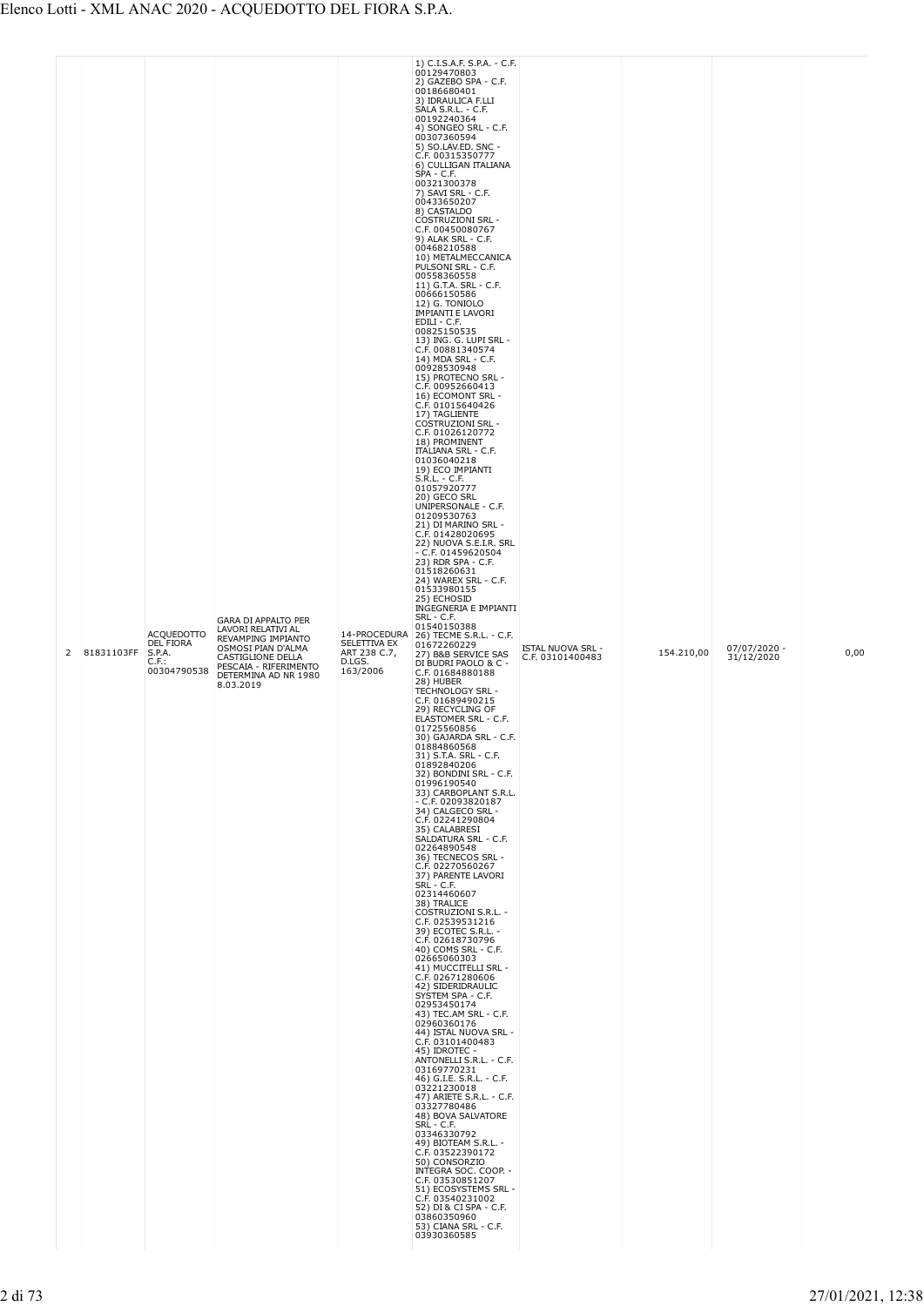|  | 2 | 81831103FF | <b>ACQUEDOTTO</b><br>DEL FIORA<br>S.P.A.<br>$C.F.$ :<br>00304790538 | <b>GARA DI APPALTO PER</b><br>LAVORI RELATIVI AL<br>REVAMPING IMPIANTO<br>OSMOSI PIAN D'ALMA<br>CASTIGLIONE DELLA<br>PESCAIA - RIFERIMENTO<br>DETERMINA AD NR 1980<br>8.03.2019 | SELETTIVA EX<br>ART 238 C.7,<br>D.LGS.<br>163/2006 | 2) GAZEBO SPA - C.F.<br>00186680401<br>3) IDRAULICA F.LLI<br>SALA S.R.L. - C.F.<br>00192240364<br>4) SONGEO SRL - C.F.<br>00307360594<br>5) SO.LAV.ED. SNC -<br>C.F. 00315350777<br>6) CULLIGAN ITALIANA<br>SPA - C.F.<br>00321300378<br>7) SAVI SRL - C.F.<br>00433650207<br>8) CASTALDO<br><b>COSTRUZIONI SRL -</b><br>C.F. 00450080767<br>9) ALAK SRL - C.F.<br>00468210588<br>10) METALMECCANICA<br>PULSONI SRL - C.F.<br>00558360558<br>11) G.T.A. SRL - C.F.<br>00666150586<br>12) G. TONIOLO<br><b>IMPIANTI E LAVORI</b><br>EDILI - C.F.<br>00825150535<br>13) ING. G. LUPI SRL -<br>C.F. 00881340574<br>14) MDA SRL - C.F.<br>00928530948<br>15) PROTECNO SRL -<br>C.F. 00952660413<br>16) ECOMONT SRL -<br>C.F. 01015640426<br>17) TAGLIENTE<br><b>COSTRUZIONI SRL -</b><br>C.F. 01026120772<br>18) PROMINENT<br><b>ITALIANA SRL - C.F.</b><br>01036040218<br>19) ECO IMPIANTI<br>$S.R.L. - C.F.$<br>01057920777<br>20) GECO SRL<br>UNIPERSONALE - C.F.<br>01209530763<br>21) DI MARINO SRL -<br>C.F. 01428020695<br>22) NUOVA S.E.I.R. SRL<br>$-$ C.F. 01459620504<br>23) RDR SPA - C.F.<br>01518260631<br>24) WAREX SRL - C.F.<br>01533980155<br>25) ECHOSID<br>INGEGNERIA E IMPIANTI<br>SRL - C.F.<br>01540150388<br>14-PROCEDURA 26) TECME S.R.L. - C.F.<br>01672260229<br>27) B&B SERVICE SAS<br>DI BUDRI PAOLO & C -<br>C.F. 01684880188<br>28) HUBER<br>TECHNOLOGY SRL -<br>C.F. 01689490215<br>29) RECYCLING OF<br>ELASTOMER SRL - C.F.<br>01725560856<br>30) GAJARDA SRL - C.F.<br>01884860568<br>31) S.T.A. SRL - C.F.<br>01892840206<br>32) BONDINI SRL - C.F.<br>01996190540<br>33) CARBOPLANT S.R.L.<br>$-$ C.F. 02093820187<br>34) CALGECO SRL -<br>C.F. 02241290804<br>35) CALABRESI<br>SALDATURA SRL - C.F.<br>02264890548<br>36) TECNECOS SRL -<br>C.F. 02270560267<br>37) PARENTE LAVORI<br>SRL - C.F.<br>02314460607<br>38) TRALICE<br>COSTRUZIONI S.R.L. -<br>C.F. 02539531216<br>39) ECOTEC S.R.L. -<br>C.F. 02618730796<br>40) COMS SRL - C.F.<br>02665060303<br>41) MUCCITELLI SRL -<br>C.F. 02671280606<br>42) SIDERIDRAULIC<br>SYSTEM SPA - C.F.<br>02953450174<br>43) TEC AM SRL - C.F.<br>02960360176<br>44) ISTAL NUOVA SRL -<br>C.F. 03101400483<br>45) IDROTEC -<br>ANTONELLI S.R.L. - C.F.<br>03169770231<br>46) G.I.E. S.R.L. - C.F.<br>03221230018<br>47) ARIETE S.R.L. - C.F.<br>03327780486<br>48) BOVA SALVATORE<br>SRL - C.F.<br>03346330792<br>49) BIOTEAM S.R.L. -<br>C.F. 03522390172<br>50) CONSORZIO<br>INTEGRA SOC. COOP. -<br>C.F. 03530851207<br>51) ECOSYSTEMS SRL - | ISTAL NUOVA SRL -<br>C.F. 03101400483 | 154.210,00 | 07/07/2020 -<br>31/12/2020 | 0,00 |
|--|---|------------|---------------------------------------------------------------------|---------------------------------------------------------------------------------------------------------------------------------------------------------------------------------|----------------------------------------------------|-----------------------------------------------------------------------------------------------------------------------------------------------------------------------------------------------------------------------------------------------------------------------------------------------------------------------------------------------------------------------------------------------------------------------------------------------------------------------------------------------------------------------------------------------------------------------------------------------------------------------------------------------------------------------------------------------------------------------------------------------------------------------------------------------------------------------------------------------------------------------------------------------------------------------------------------------------------------------------------------------------------------------------------------------------------------------------------------------------------------------------------------------------------------------------------------------------------------------------------------------------------------------------------------------------------------------------------------------------------------------------------------------------------------------------------------------------------------------------------------------------------------------------------------------------------------------------------------------------------------------------------------------------------------------------------------------------------------------------------------------------------------------------------------------------------------------------------------------------------------------------------------------------------------------------------------------------------------------------------------------------------------------------------------------------------------------------------------------------------------------------------------------------------------------------------------------------------------------------------------------------------------------------------------------------------------------------------------------------------------------------------------------------------------------------------------------------------------------------------------------------------------------------|---------------------------------------|------------|----------------------------|------|
|--|---|------------|---------------------------------------------------------------------|---------------------------------------------------------------------------------------------------------------------------------------------------------------------------------|----------------------------------------------------|-----------------------------------------------------------------------------------------------------------------------------------------------------------------------------------------------------------------------------------------------------------------------------------------------------------------------------------------------------------------------------------------------------------------------------------------------------------------------------------------------------------------------------------------------------------------------------------------------------------------------------------------------------------------------------------------------------------------------------------------------------------------------------------------------------------------------------------------------------------------------------------------------------------------------------------------------------------------------------------------------------------------------------------------------------------------------------------------------------------------------------------------------------------------------------------------------------------------------------------------------------------------------------------------------------------------------------------------------------------------------------------------------------------------------------------------------------------------------------------------------------------------------------------------------------------------------------------------------------------------------------------------------------------------------------------------------------------------------------------------------------------------------------------------------------------------------------------------------------------------------------------------------------------------------------------------------------------------------------------------------------------------------------------------------------------------------------------------------------------------------------------------------------------------------------------------------------------------------------------------------------------------------------------------------------------------------------------------------------------------------------------------------------------------------------------------------------------------------------------------------------------------------------|---------------------------------------|------------|----------------------------|------|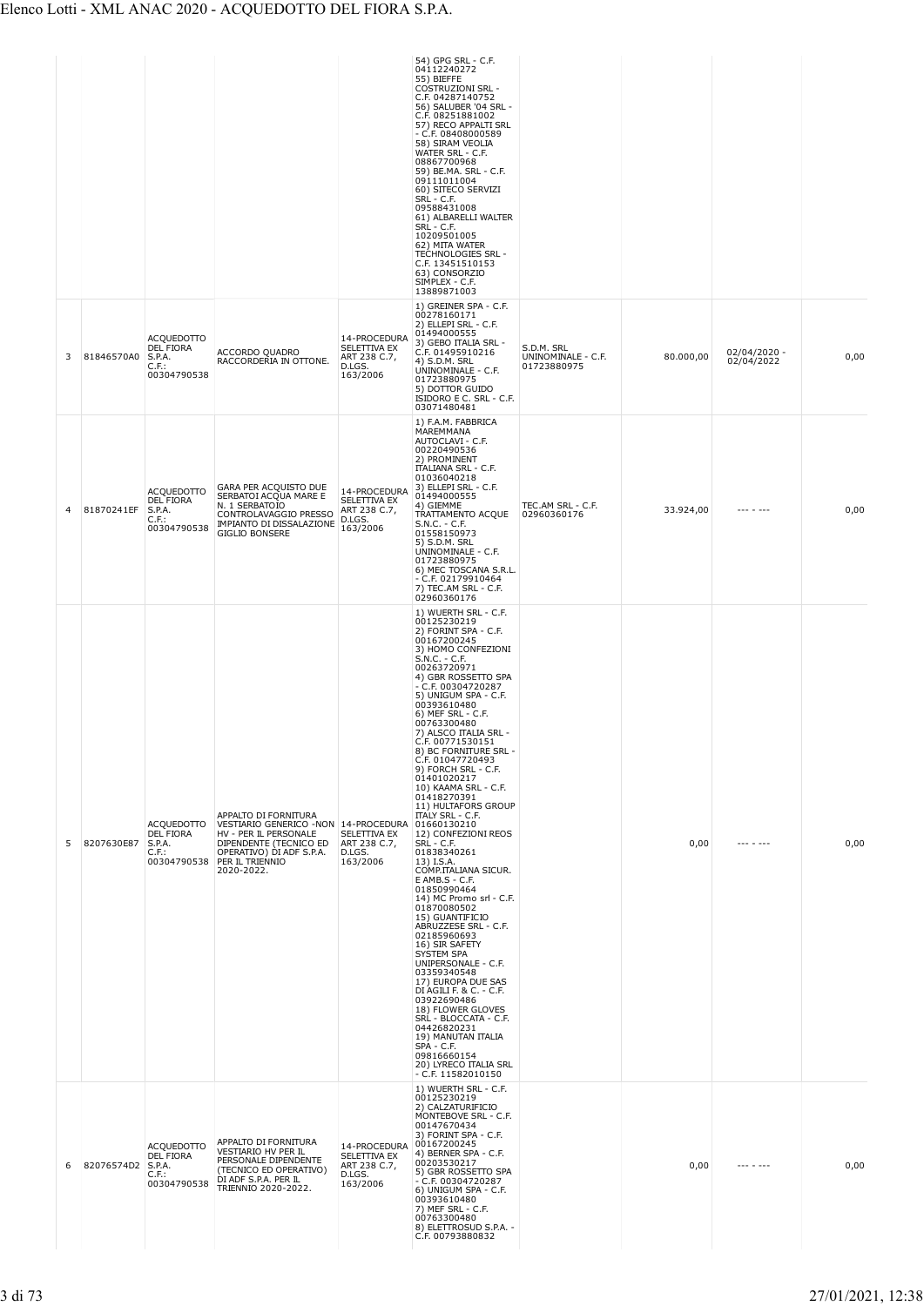| 3 | 81846570A0        | <b>ACQUEDOTTO</b><br>DEL FIORA<br>S.P.A.<br>$C.F.$ :<br>00304790538        | ACCORDO QUADRO<br>RACCORDERIA IN OTTONE.                                                                                                                                                 | 14-PROCEDURA<br>SELETTIVA EX<br>ART 238 C.7,<br>D.LGS.<br>163/2006 | 54) GPG SRL - C.F.<br>04112240272<br>55) BIEFFE<br><b>COSTRUZIONI SRL -</b><br>C.F. 04287140752<br>56) SALUBER '04 SRL -<br>C.F. 08251881002<br>57) RECO APPALTI SRL<br>$-$ C.F. 08408000589<br>58) SIRAM VEOLIA<br>WATER SRL - C.F.<br>08867700968<br>59) BE.MA. SRL - C.F.<br>09111011004<br>60) SITECO SERVIZI<br>SRL - C.F.<br>09588431008<br>61) ALBARELLI WALTER<br>SRL - C.F.<br>10209501005<br>62) MITA WATER<br>TECHNOLOGIES SRL -<br>C.F. 13451510153<br>63) CONSORZIO<br>SIMPLEX - C.F.<br>13889871003<br>1) GREINER SPA - C.F.<br>00278160171<br>2) ELLEPI SRL - C.F.<br>01494000555<br>3) GEBO ITALIA SRL -<br>C.F. 01495910216<br>4) S.D.M. SRL<br>UNINOMINALE - C.F.                                                                                                                                                                                                                                                                                                                                | S.D.M. SRL<br>UNINOMINALE - C.F.<br>01723880975 | 80.000,00 | $02/04/2020 -$<br>02/04/2022 | 0,00 |
|---|-------------------|----------------------------------------------------------------------------|------------------------------------------------------------------------------------------------------------------------------------------------------------------------------------------|--------------------------------------------------------------------|--------------------------------------------------------------------------------------------------------------------------------------------------------------------------------------------------------------------------------------------------------------------------------------------------------------------------------------------------------------------------------------------------------------------------------------------------------------------------------------------------------------------------------------------------------------------------------------------------------------------------------------------------------------------------------------------------------------------------------------------------------------------------------------------------------------------------------------------------------------------------------------------------------------------------------------------------------------------------------------------------------------------|-------------------------------------------------|-----------|------------------------------|------|
| 4 | 81870241EF        | <b>ACQUEDOTTO</b><br><b>DEL FIORA</b><br>S.P.A.<br>$C.F.$ :<br>00304790538 | GARA PER ACQUISTO DUE<br>SERBATOI ACQUA MARE E<br>N. 1 SERBATOIO<br>CONTROLAVAGGIO PRESSO<br>IMPIANTO DI DISSALAZIONE<br><b>GIGLIO BONSERE</b>                                           | 14-PROCEDURA<br>SELETTIVA EX<br>ART 238 C.7,<br>D.LGS.<br>163/2006 | 01723880975<br>5) DOTTOR GUIDO<br>ISIDORO E C. SRL - C.F.<br>03071480481<br>1) F.A.M. FABBRICA<br>MAREMMANA<br>AUTOCLAVI - C.F.<br>00220490536<br>2) PROMINENT<br><b>ITALIANA SRL - C.F.</b><br>01036040218<br>3) ELLEPI SRL - C.F.<br>01494000555<br>4) GIEMME<br>TRATTAMENTO ACQUE<br>$S.N.C. - C.F.$<br>01558150973<br>5) S.D.M. SRL<br>UNINOMINALE - C.F.<br>01723880975<br>6) MEC TOSCANA S.R.L.<br>- C.F. 02179910464<br>7) TEC.AM SRL - C.F.                                                                                                                                                                                                                                                                                                                                                                                                                                                                                                                                                                | TEC.AM SRL - C.F.<br>02960360176                | 33.924,00 | $- - - - - - -$              | 0,00 |
| 5 | 8207630E87        | <b>ACQUEDOTTO</b><br>DEL FIORA<br>S.P.A.<br>C.F.:<br>00304790538           | APPALTO DI FORNITURA<br>VESTIARIO GENERICO -NON 14-PROCEDURA 01660130210<br>HV - PER IL PERSONALE<br>DIPENDENTE (TECNICO ED<br>OPERATIVO) DI ADF S.P.A.<br>PER IL TRIENNIO<br>2020-2022. | SELETTIVA EX<br>ART 238 C.7,<br>D.LGS.<br>163/2006                 | 02960360176<br>1) WUERTH SRL - C.F.<br>00125230219<br>2) FORINT SPA - C.F.<br>00167200245<br>3) HOMO CONFEZIONI<br>$S.N.C. - C.F.$<br>00263720971<br>4) GBR ROSSETTO SPA<br>$-$ C.F. 00304720287<br>5) UNIGUM SPA - C.F.<br>00393610480<br>6) MEF SRL - C.F.<br>00763300480<br>7) ALSCO ITALIA SRL -<br>C.F. 00771530151<br>8) BC FORNITURE SRL -<br>C.F. 01047720493<br>9) FORCH SRL - C.F.<br>01401020217<br>10) KAAMA SRL - C.F.<br>01418270391<br>11) HULTAFORS GROUP<br><b>ITALY SRL - C.F.</b><br>12) CONFEZIONI REOS<br>SRL - C.F.<br>01838340261<br>13) I.S.A.<br>COMP.ITALIANA SICUR.<br>E AMB.S - C.F.<br>01850990464<br>14) MC Promo srl - C.F.<br>01870080502<br>15) GUANTIFICIO<br>ABRUZZESE SRL - C.F.<br>02185960693<br>16) SIR SAFETY<br>SYSTEM SPA<br>UNIPERSONALE - C.F.<br>03359340548<br>17) EUROPA DUE SAS<br>DI AGILI F. & C. - C.F.<br>03922690486<br>18) FLOWER GLOVES<br>SRL - BLOCCATA - C.F.<br>04426820231<br>19) MANUTAN ITALIA<br>SPA - C.F.<br>09816660154<br>20) LYRECO ITALIA SRL |                                                 | 0,00      | $- - - - - - -$              | 0,00 |
| 6 | 82076574D2 S.P.A. | <b>ACQUEDOTTO</b><br>DEL FIORA<br>$C.F.$ :<br>00304790538                  | APPALTO DI FORNITURA<br>VESTIARIO HV PER IL<br>PERSONALE DIPENDENTE<br>(TECNICO ED OPERATIVO)<br>DI ADF S.P.A. PER IL<br>TRIENNIO 2020-2022.                                             | 14-PROCEDURA<br>SELETTIVA EX<br>ART 238 C.7,<br>D.LGS.<br>163/2006 | $- C.F. 11582010150$<br>1) WUERTH SRL - C.F.<br>00125230219<br>2) CALZATURIFICIO<br>MONTEBOVE SRL - C.F.<br>00147670434<br>3) FORINT SPA - C.F.<br>00167200245<br>4) BERNER SPA - C.F.<br>00203530217<br>5) GBR ROSSETTO SPA<br>$-$ C.F. 00304720287<br>6) UNIGUM SPA - C.F.<br>00393610480<br>7) MEF SRL - C.F.<br>00763300480<br>8) ELETTROSUD S.P.A. -<br>C.F. 00793880832                                                                                                                                                                                                                                                                                                                                                                                                                                                                                                                                                                                                                                      |                                                 | 0,00      | $- - - - - - -$              | 0,00 |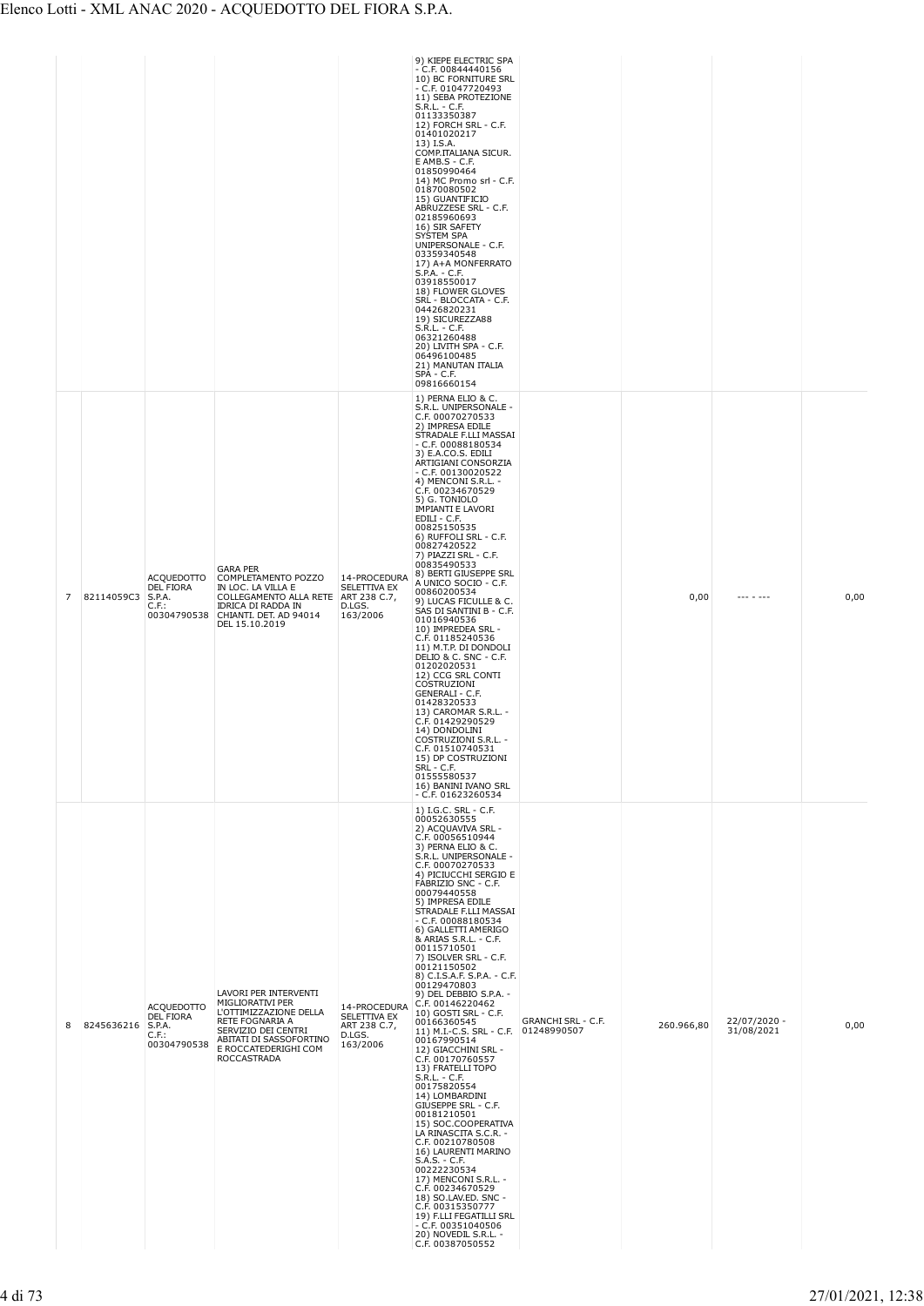|   |                   |                                                                     |                                                                                                                                                                                 |                                                                           | 9) KIEPE ELECTRIC SPA<br>$-$ C.F. 00844440156<br>10) BC FORNITURE SRL<br>$- C.F. 01047720493$<br>11) SEBA PROTEZIONE<br>S.R.L. - C.F.<br>01133350387<br>12) FORCH SRL - C.F.<br>01401020217<br>13) I.S.A.<br>COMP.ITALIANA SICUR.<br>E AMB.S - C.F.<br>01850990464<br>14) MC Promo srl - C.F.<br>01870080502<br>15) GUANTIFICIO<br>ABRUZZESE SRL - C.F.<br>02185960693<br>16) SIR SAFETY<br>SYSTEM SPA<br>UNIPERSONALE - C.F.<br>03359340548<br>17) A+A MONFERRATO<br>$S.P.A. - C.F.$<br>03918550017<br>18) FLOWER GLOVES<br>SRL - BLOCCATA - C.F.<br>04426820231<br>19) SICUREZZA88<br>S.R.L. - C.F.<br>06321260488<br>20) LIVITH SPA - C.F.<br>06496100485<br>21) MANUTAN ITALIA<br>SPA - C.F.<br>09816660154                                                                                                                                                                                                                                                                                                                                         |                                   |            |                            |      |
|---|-------------------|---------------------------------------------------------------------|---------------------------------------------------------------------------------------------------------------------------------------------------------------------------------|---------------------------------------------------------------------------|---------------------------------------------------------------------------------------------------------------------------------------------------------------------------------------------------------------------------------------------------------------------------------------------------------------------------------------------------------------------------------------------------------------------------------------------------------------------------------------------------------------------------------------------------------------------------------------------------------------------------------------------------------------------------------------------------------------------------------------------------------------------------------------------------------------------------------------------------------------------------------------------------------------------------------------------------------------------------------------------------------------------------------------------------------|-----------------------------------|------------|----------------------------|------|
| 7 | 82114059C3 S.P.A. | ACQUEDOTTO<br><b>DEL FIORA</b><br>$C.F.$ :<br>00304790538           | <b>GARA PER</b><br>COMPLETAMENTO POZZO<br>IN LOC. LA VILLA E<br>COLLEGAMENTO ALLA RETE<br>IDRICA DI RADDA IN<br>CHIANTI. DET. AD 94014<br>DEL 15.10.2019                        | 14-PROCEDURA<br><b>SELETTIVA EX</b><br>ART 238 C.7,<br>D.LGS.<br>163/2006 | 1) PERNA ELIO & C.<br>S.R.L. UNIPERSONALE -<br>C.F. 00070270533<br>2) IMPRESA EDILE<br>STRADALE F.LLI MASSAI<br>$- C.F. 00088180534$<br>3) E.A.CO.S. EDILI<br>ARTIGIANI CONSORZIA<br>$-$ C.F. 00130020522<br>4) MENCONI S.R.L. -<br>C.F. 00234670529<br>5) G. TONIOLO<br><b>IMPIANTI E LAVORI</b><br>EDILI - C.F.<br>00825150535<br>6) RUFFOLI SRL - C.F.<br>00827420522<br>7) PIAZZI SRL - C.F.<br>00835490533<br>8) BERTI GIUSEPPE SRL<br>A UNICO SOCIO - C.F.<br>00860200534<br>9) LUCAS FICULLE & C.<br>SAS DI SANTINI B - C.F.<br>01016940536<br>10) IMPREDEA SRL -<br>C.F. 01185240536<br>11) M.T.P. DI DONDOLI<br>DELIO & C. SNC - C.F.<br>01202020531<br>12) CCG SRL CONTI<br>COSTRUZIONI<br>GENERALI - C.F.<br>01428320533<br>13) CAROMAR S.R.L. -<br>C.F. 01429290529<br>14) DONDOLINI<br>COSTRUZIONI S.R.L. -<br>C.F. 01510740531<br>15) DP COSTRUZIONI<br>SRL - C.F.<br>01555580537<br>16) BANINI IVANO SRL<br>$-$ C.F. 01623260534                                                                                                         |                                   | 0,00       | --- - ---                  | 0,00 |
| 8 | 8245636216        | <b>ACQUEDOTTO</b><br>DEL FIORA<br>S.P.A.<br>$C.F.$ :<br>00304790538 | LAVORI PER INTERVENTI<br>MIGLIORATIVI PER<br>L'OTTIMIZZAZIONE DELLA<br>RETE FOGNARIA A<br>SERVIZIO DEI CENTRI<br>ABITATI DI SASSOFORTINO<br>E ROCCATEDERIGHI COM<br>ROCCASTRADA | 14-PROCEDURA<br>SELETTIVA EX<br>ART 238 C.7,<br>D.LGS.<br>163/2006        | 1) I.G.C. SRL - C.F.<br>00052630555<br>2) ACQUAVIVA SRL -<br>C.F. 00056510944<br>3) PERNA ELIO & C.<br>S.R.L. UNIPERSONALE -<br>C.F. 00070270533<br>4) PICIUCCHI SERGIO E<br>FABRIZIO SNC - C.F.<br>00079440558<br>5) IMPRESA EDILE<br>STRADALE F.LLI MASSAI<br>$-$ C.F. 00088180534<br>6) GALLETTI AMERIGO<br>& ARIAS S.R.L. - C.F.<br>00115710501<br>7) ISOLVER SRL - C.F.<br>00121150502<br>8) C.I.S.A.F. S.P.A. - C.F.<br>00129470803<br>9) DEL DEBBIO S.P.A. -<br>C.F. 00146220462<br>10) GOSTI SRL - C.F.<br>00166360545<br>11) M.I.-C.S. SRL - C.F.<br>00167990514<br>12) GIACCHINI SRL -<br>C.F. 00170760557<br>13) FRATELLI TOPO<br>$S.R.L. - C.F.$<br>00175820554<br>14) LOMBARDINI<br>GIUSEPPE SRL - C.F.<br>00181210501<br>15) SOC.COOPERATIVA<br>LA RINASCITA S.C.R. -<br>C.F. 00210780508<br>16) LAURENTI MARINO<br>$S.A.S. - C.F.$<br>00222230534<br>17) MENCONI S.R.L. -<br>C.F. 00234670529<br>18) SO.LAV.ED. SNC -<br>C.F. 00315350777<br>19) F.LLI FEGATILLI SRL<br>$-$ C.F. 00351040506<br>20) NOVEDIL S.R.L. -<br>C.F. 00387050552 | GRANCHI SRL - C.F.<br>01248990507 | 260.966,80 | 22/07/2020 -<br>31/08/2021 | 0,00 |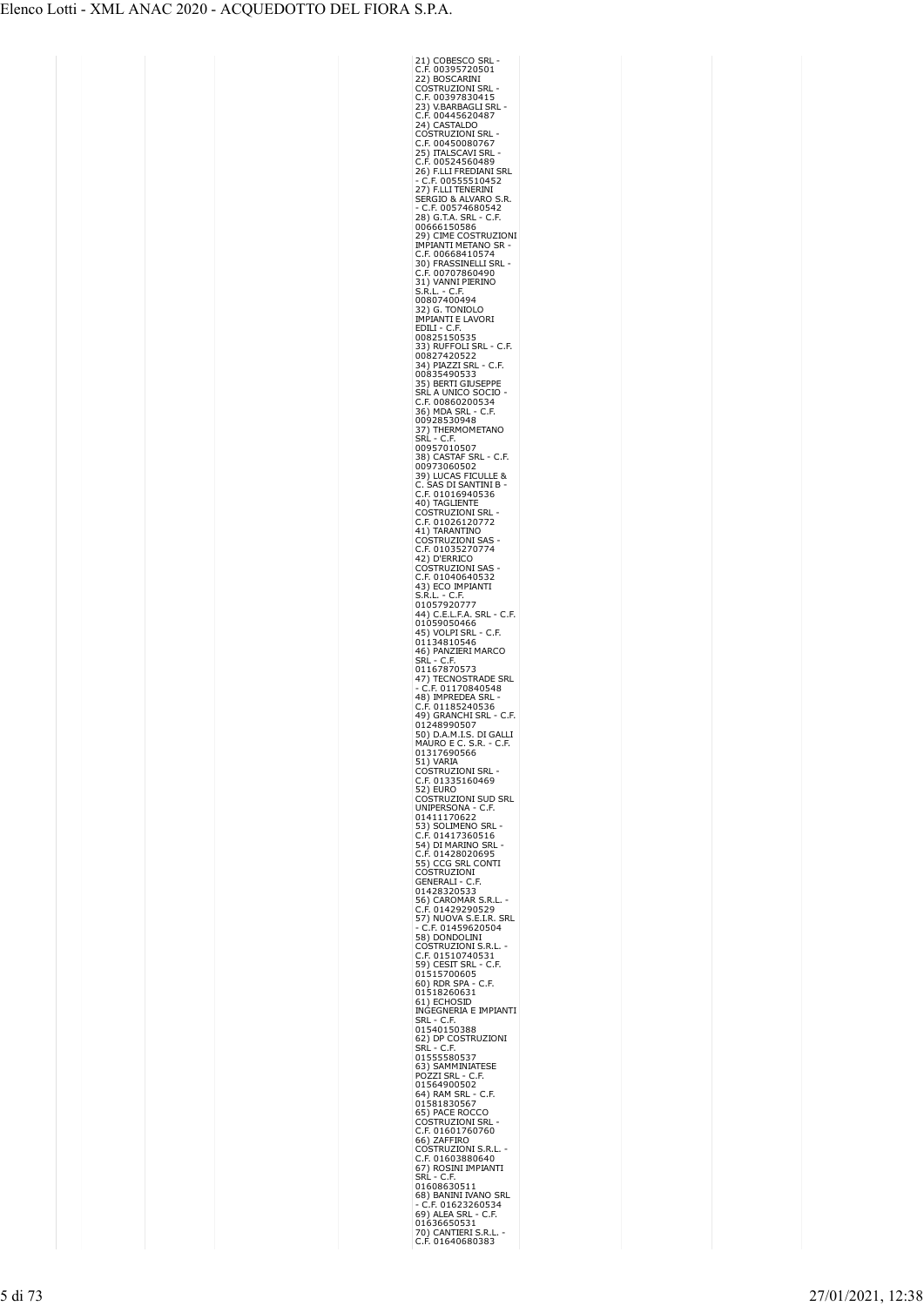| 21) COBESO<br>C.F. 003957<br>COBESCO SRL<br>00395720501                                                                                                                                                                                                        |
|----------------------------------------------------------------------------------------------------------------------------------------------------------------------------------------------------------------------------------------------------------------|
| 22) BOSCARINI                                                                                                                                                                                                                                                  |
| COSTRUZIONI SRL<br>C.F. 00397830415<br>C                                                                                                                                                                                                                       |
| <b>23) V.BARBAGLI SRL<br/>23) V.BARBAGLI SRL</b><br>C.F. 00445620487<br>24) CASTALDO                                                                                                                                                                           |
|                                                                                                                                                                                                                                                                |
| COSTRUZIONI SRL                                                                                                                                                                                                                                                |
| CO3<br>C.F. 00450080767<br>25) ITALSCAVI SRL<br>C.F. 00524560489<br>1111 FREDIANI                                                                                                                                                                              |
|                                                                                                                                                                                                                                                                |
| CH) FLLI FREDIANI SRL<br>- C.F. 00555510452<br>27) F.LLI TENERINI                                                                                                                                                                                              |
| .R.                                                                                                                                                                                                                                                            |
| 277.120<br>SERGIO & ALVARO S<br>- C.F. 00574680542<br>28) G.T.A. SRL - C.F.<br>00666150586                                                                                                                                                                     |
|                                                                                                                                                                                                                                                                |
| 29) CIME COSTRUZIONI<br>IMPIANTI METANO SR -                                                                                                                                                                                                                   |
| C.F. 00668410574                                                                                                                                                                                                                                               |
| 30) FRASSINELLI SRL<br>C.F. 00707860490<br>31) VANNI PIERINO                                                                                                                                                                                                   |
|                                                                                                                                                                                                                                                                |
| S.R.L. - C.F.<br>00807400494                                                                                                                                                                                                                                   |
| 32) G. TONIOLO<br>IMPIANTI E LAVORI                                                                                                                                                                                                                            |
| EDILI - C.F                                                                                                                                                                                                                                                    |
| 00825150535<br>33) RUFFOLI SRL - C<br>.F.                                                                                                                                                                                                                      |
| 00827420522                                                                                                                                                                                                                                                    |
| 34) PIAZZI SRI<br>00835490533<br>٠C<br>F.                                                                                                                                                                                                                      |
| 35) BERTI GIUSEPPE<br>SRL A UNICO SOO<br>I                                                                                                                                                                                                                     |
| C.F. 00860200534                                                                                                                                                                                                                                               |
| 36) MDA SRL<br>J.<br>C.F.<br>00928530948                                                                                                                                                                                                                       |
|                                                                                                                                                                                                                                                                |
| <b>37) THERMOMETANO<br/>SRL - C.F.<br/>00957010507<br/>38) CASTAF SRL - C I</b>                                                                                                                                                                                |
| 38) CASTAF SRL - C.F.<br>00973060502                                                                                                                                                                                                                           |
| ULLE <sub>8</sub><br>39) LUCAS FICULLE<br>C. SAS DI SANTINI B                                                                                                                                                                                                  |
| C.                                                                                                                                                                                                                                                             |
|                                                                                                                                                                                                                                                                |
| C. 5A DI SANTINI<br>C.F. 01016940536<br>40) TAGLIENTE<br>COSTRUZIONI SRL<br>C.F. 01026120772<br>41) TARANTINI CAS                                                                                                                                              |
|                                                                                                                                                                                                                                                                |
|                                                                                                                                                                                                                                                                |
| THE MINITIONI SAS<br>C.F. 01035270774<br>42) D'ERRICO<br>COSTRUZIONI SAS<br>č                                                                                                                                                                                  |
| --<br>.F. 0104064632<br>3) ECO IMPIANTI<br>.R.L. - C.F.<br>(                                                                                                                                                                                                   |
| 4.                                                                                                                                                                                                                                                             |
| S.R.L. - C.F.<br>01057920777<br>44) C.E.L.F.A. SRL - C.F.                                                                                                                                                                                                      |
|                                                                                                                                                                                                                                                                |
| 44) C.E.L.F.A. SKL - C<br>01059050466<br>45) VOLPI SRL - C.F.<br>01134810546<br>46) PANZIERI MARCO<br>SRL - C.F.                                                                                                                                               |
|                                                                                                                                                                                                                                                                |
|                                                                                                                                                                                                                                                                |
|                                                                                                                                                                                                                                                                |
| ۲۰۰۰ تا ۲۰۰۰<br>01167870573<br>47) TECNOSTRADE SRL<br>- C.F. 01170840546                                                                                                                                                                                       |
| 48) IMPREDEA SRL                                                                                                                                                                                                                                               |
| C.F.                                                                                                                                                                                                                                                           |
| C.F. 01185240536<br>49) GRANCHI SRL<br>01248990507<br>I<br>L                                                                                                                                                                                                   |
| 13, 313<br>01248990507<br>50) D.A.M.I.S. DI GAL<br>56, B.A. H.B. Bridge<br>MAURO E C. S.R. - C.F.<br>01317690566                                                                                                                                               |
| 01317690<br>51) VARIA                                                                                                                                                                                                                                          |
| CA, VARIA<br>COSTRUZIONI SRL<br>C.F. 01335166<br>.F. 01335160469                                                                                                                                                                                               |
| 52) EURO                                                                                                                                                                                                                                                       |
| COSTRUZIONI SUD SRL<br>UNIPERSONA -<br>C.F.                                                                                                                                                                                                                    |
|                                                                                                                                                                                                                                                                |
| 01411170622<br>53) SOLIMENO SRL<br>C.F. 01417360516                                                                                                                                                                                                            |
| 54) DI MARINO SRI<br>C.F. 01428020695                                                                                                                                                                                                                          |
| 55) CCG SRL CONTI<br>COSTRUZIONI                                                                                                                                                                                                                               |
| GENERALI - C.F.                                                                                                                                                                                                                                                |
| 01428320533                                                                                                                                                                                                                                                    |
|                                                                                                                                                                                                                                                                |
|                                                                                                                                                                                                                                                                |
| 58) DONDOLINI<br>COSTRUZIONI S.R.L.                                                                                                                                                                                                                            |
| F. 01510740531.<br>C                                                                                                                                                                                                                                           |
| 59) CESIT SRL - C.F.<br>01515700605                                                                                                                                                                                                                            |
| C.F.                                                                                                                                                                                                                                                           |
| IMPIANTI                                                                                                                                                                                                                                                       |
| INGEGNERIA E                                                                                                                                                                                                                                                   |
|                                                                                                                                                                                                                                                                |
|                                                                                                                                                                                                                                                                |
|                                                                                                                                                                                                                                                                |
| <b>MOLONEKIA E IMPIAN<br/>SRL - C.F.<br/>01540150388<br/>62) DP COSTRUZIONI<br/>SRL - C.F.<br/>01555580537<br/>63) SAMMINIATESE<br/>POZZL SPL - C.F.</b><br>POZZI SRL - C.F.                                                                                   |
|                                                                                                                                                                                                                                                                |
|                                                                                                                                                                                                                                                                |
|                                                                                                                                                                                                                                                                |
|                                                                                                                                                                                                                                                                |
|                                                                                                                                                                                                                                                                |
| POZZI SRL - C.F.<br>01564900502<br>64) RAM SRL - C.F.<br>01581830567<br>65) PACE ROCCO<br>65) PACE ROCCO<br>C.F. 016017600<br>66) ZAFFIRO<br>06, ZAFFIRO<br>06, ZAFFIRO<br>C.F. 01603880640<br>67) ROSINIZIONI S.R.L<br>C.F. 01603880640<br>67) ROSINI MPIANTI |
| SRL - C.F.<br>01608630511                                                                                                                                                                                                                                      |
|                                                                                                                                                                                                                                                                |
| 68) BANINI IVANO SRL<br>- C.F. 01623260534<br>69) ALEA SRL - C.F.<br>$\dot{c}$<br>01636650531<br>70) CANTIERI S.R.L.<br>C.F. 01640680383                                                                                                                       |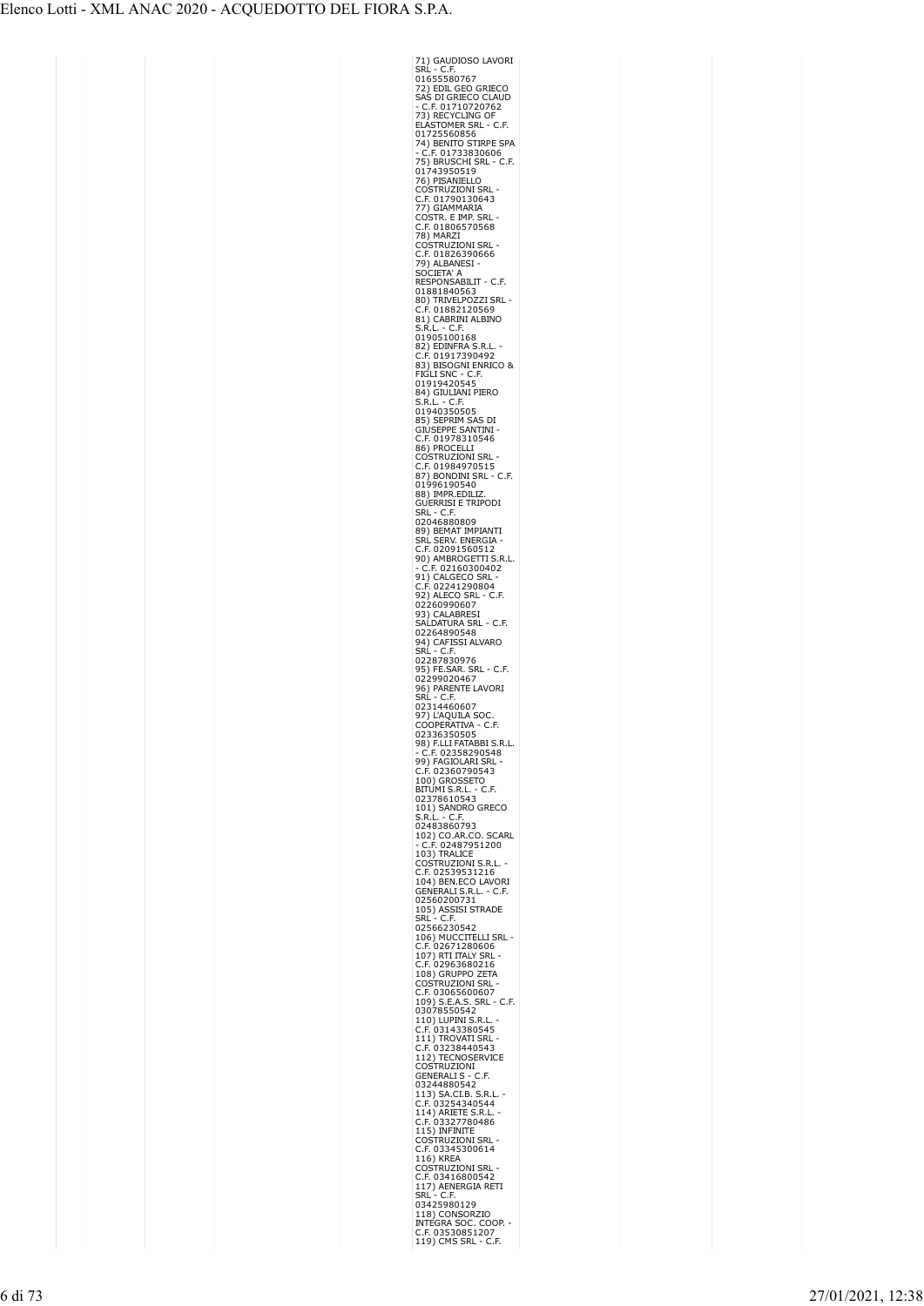| 71) GAUDIOSO LAVORI<br>SRL - C.F.                                                                                                                                                                                                                                                          |  |
|--------------------------------------------------------------------------------------------------------------------------------------------------------------------------------------------------------------------------------------------------------------------------------------------|--|
| 01655580767                                                                                                                                                                                                                                                                                |  |
|                                                                                                                                                                                                                                                                                            |  |
| 72) EDIL GEO GRIECO<br>SAS DI GRIECO CLAUD                                                                                                                                                                                                                                                 |  |
| C.F. 01710720762<br>73) RECYCLING OF                                                                                                                                                                                                                                                       |  |
| ELASTOMER SRL<br>$-C.F.$                                                                                                                                                                                                                                                                   |  |
| 01725560856<br>01725560856<br>74) BENITO STIRPE SPA                                                                                                                                                                                                                                        |  |
|                                                                                                                                                                                                                                                                                            |  |
| - C.F. 01733830606<br>75) BRUSCHI SRL - C.F.                                                                                                                                                                                                                                               |  |
| 01743950519                                                                                                                                                                                                                                                                                |  |
| 76) PISANIELLO<br>:Ostruzioni Srl<br>C                                                                                                                                                                                                                                                     |  |
| .F. 01790130643<br>C                                                                                                                                                                                                                                                                       |  |
| 77) GIAMMARIA                                                                                                                                                                                                                                                                              |  |
| ostr. e imp. Sri<br>C                                                                                                                                                                                                                                                                      |  |
| C.F. 01806570568<br>78) MARZI                                                                                                                                                                                                                                                              |  |
| COSTRUZIONI SRL                                                                                                                                                                                                                                                                            |  |
| C.F. 01826390666                                                                                                                                                                                                                                                                           |  |
| 79) ALBANESI<br>SOCIETA' A                                                                                                                                                                                                                                                                 |  |
| RESPONSABILIT - C.F.                                                                                                                                                                                                                                                                       |  |
| 01881840563                                                                                                                                                                                                                                                                                |  |
| 80) TRIVELPOZZI SRL<br>C.F. 01882120569                                                                                                                                                                                                                                                    |  |
| 81) CABRINI ALBINO                                                                                                                                                                                                                                                                         |  |
| S.R.L. - C.F.<br>01905100168                                                                                                                                                                                                                                                               |  |
| 82) EDINFRA S.R.L                                                                                                                                                                                                                                                                          |  |
| C.F. 01917390492                                                                                                                                                                                                                                                                           |  |
| 83) BISOGNI ENRICO &<br>FIGLI SNC - C.F.                                                                                                                                                                                                                                                   |  |
| 01919420545                                                                                                                                                                                                                                                                                |  |
| 84) GIULIANI PIERO                                                                                                                                                                                                                                                                         |  |
| S.R.L. - C.F.<br>01940350505                                                                                                                                                                                                                                                               |  |
| 85) SEPRIM SAS DI                                                                                                                                                                                                                                                                          |  |
| GIÚSEPPE SANTINI<br>C.F. 01978310546                                                                                                                                                                                                                                                       |  |
|                                                                                                                                                                                                                                                                                            |  |
| 86) PROCELLI<br><b>COSTRUZIONI SRL</b>                                                                                                                                                                                                                                                     |  |
| C.F. 01984970515<br>87) BONDINI SRL - C.F.<br>01996190540                                                                                                                                                                                                                                  |  |
|                                                                                                                                                                                                                                                                                            |  |
|                                                                                                                                                                                                                                                                                            |  |
| 88) IMPR.EDILIZ.<br>GUERRISI E TRIPODI                                                                                                                                                                                                                                                     |  |
| SRL<br>C.F<br>02046880809                                                                                                                                                                                                                                                                  |  |
| 89) BEMAT<br>IMPIANTI                                                                                                                                                                                                                                                                      |  |
|                                                                                                                                                                                                                                                                                            |  |
| SRL SERV. ENERGIA<br>C.F. 02091560512<br>90) AMBROGETTI S.R.L.                                                                                                                                                                                                                             |  |
|                                                                                                                                                                                                                                                                                            |  |
| C.F. 02160300402<br>91) CALGECO SRL -                                                                                                                                                                                                                                                      |  |
| --, CALOLOU SKL<br>C.F. 02241290804<br>92) ALECO SRL - C<br>C.F                                                                                                                                                                                                                            |  |
| 260990607<br>02.                                                                                                                                                                                                                                                                           |  |
| 3) CALABRESI                                                                                                                                                                                                                                                                               |  |
| SALDATURA SRL - C.F.<br>02264890548                                                                                                                                                                                                                                                        |  |
| ) CAFISSI ALVARO<br>L - C F<br>94                                                                                                                                                                                                                                                          |  |
| SRĹ<br>C.F                                                                                                                                                                                                                                                                                 |  |
| 02287830976                                                                                                                                                                                                                                                                                |  |
| 95) FE.SAR. SRL - C.F.<br>02299020467                                                                                                                                                                                                                                                      |  |
| 96) PARENTE LAVORI                                                                                                                                                                                                                                                                         |  |
| SRL<br>C.F                                                                                                                                                                                                                                                                                 |  |
| 02314460607<br>97) L'AQUILA SOC                                                                                                                                                                                                                                                            |  |
| COOPERATIVA - C.F.                                                                                                                                                                                                                                                                         |  |
| 02336350505<br>R <sub>1</sub>                                                                                                                                                                                                                                                              |  |
| 98) F.LLI FATABBI S.F<br>- C.F. 02358290548                                                                                                                                                                                                                                                |  |
| 99) FAGIOLARI SRL<br>C.F. 02360790543                                                                                                                                                                                                                                                      |  |
| 100) GROSSETO                                                                                                                                                                                                                                                                              |  |
| BITÚMI S.R.L. - C.F.                                                                                                                                                                                                                                                                       |  |
| 02378610543<br>101) SANDRO GRECO                                                                                                                                                                                                                                                           |  |
| $- C.F.$<br>S.R.L                                                                                                                                                                                                                                                                          |  |
| 02483860793                                                                                                                                                                                                                                                                                |  |
| 102) CO.AR.CO. SCARL<br>- C.F. 02487951200<br>103) TRALICE                                                                                                                                                                                                                                 |  |
|                                                                                                                                                                                                                                                                                            |  |
|                                                                                                                                                                                                                                                                                            |  |
|                                                                                                                                                                                                                                                                                            |  |
| COSTRUZIONI S.R.L.<br>C.F. 02539531216                                                                                                                                                                                                                                                     |  |
| 104) BEN.ECO LAVORI                                                                                                                                                                                                                                                                        |  |
| GENERALI S.R.L. - C.F.<br>02560200731                                                                                                                                                                                                                                                      |  |
|                                                                                                                                                                                                                                                                                            |  |
| 105) ASSISI STRADE<br>SRL - C.F.<br>SRL - C.F.<br>02566230542                                                                                                                                                                                                                              |  |
| 106) MUCCITELLI SRL                                                                                                                                                                                                                                                                        |  |
| C.F. 02671280606                                                                                                                                                                                                                                                                           |  |
| 107) RTI ITALY SRL<br>C.F. 02963680216                                                                                                                                                                                                                                                     |  |
| 108) GRUPPO ZETA                                                                                                                                                                                                                                                                           |  |
| COSTRUZIONI SRL<br>.F. 03065600607<br>C                                                                                                                                                                                                                                                    |  |
|                                                                                                                                                                                                                                                                                            |  |
| 109) S.E.A.S. SRL - C.F.<br>03078550542                                                                                                                                                                                                                                                    |  |
| 110) LUPINI S.R.L<br>Ć                                                                                                                                                                                                                                                                     |  |
| C.F. 03143380545<br>111) TROVATI SRL                                                                                                                                                                                                                                                       |  |
|                                                                                                                                                                                                                                                                                            |  |
|                                                                                                                                                                                                                                                                                            |  |
| C.F. 03238440543<br>112) TECNOSERVICE<br>COSTRUZIONI<br>GENERALI S - C.F.                                                                                                                                                                                                                  |  |
| 03244880542                                                                                                                                                                                                                                                                                |  |
|                                                                                                                                                                                                                                                                                            |  |
|                                                                                                                                                                                                                                                                                            |  |
|                                                                                                                                                                                                                                                                                            |  |
|                                                                                                                                                                                                                                                                                            |  |
|                                                                                                                                                                                                                                                                                            |  |
|                                                                                                                                                                                                                                                                                            |  |
|                                                                                                                                                                                                                                                                                            |  |
|                                                                                                                                                                                                                                                                                            |  |
|                                                                                                                                                                                                                                                                                            |  |
| 03244880542<br>113) SACIB. S.R.L.<br>113) SACIB. S.R.L.<br>114) ARIETE S.R.L.<br>C.F. 03254340544<br>C.F. 03327780486<br>C.F. 03345300614<br>C.F. 03345300614<br>116) KREA<br>COSTRUZIONI SRL<br>C.F. 03416800542<br>117) AENERGIA RETI<br>SRL - C.F.<br>5RL - C.F.<br>1<br>118) CONSORZIO |  |
| INTEGRA SOC. COOP.<br>.F. 03530851207<br>C<br>119) CMS SRL - C<br>۵.F                                                                                                                                                                                                                      |  |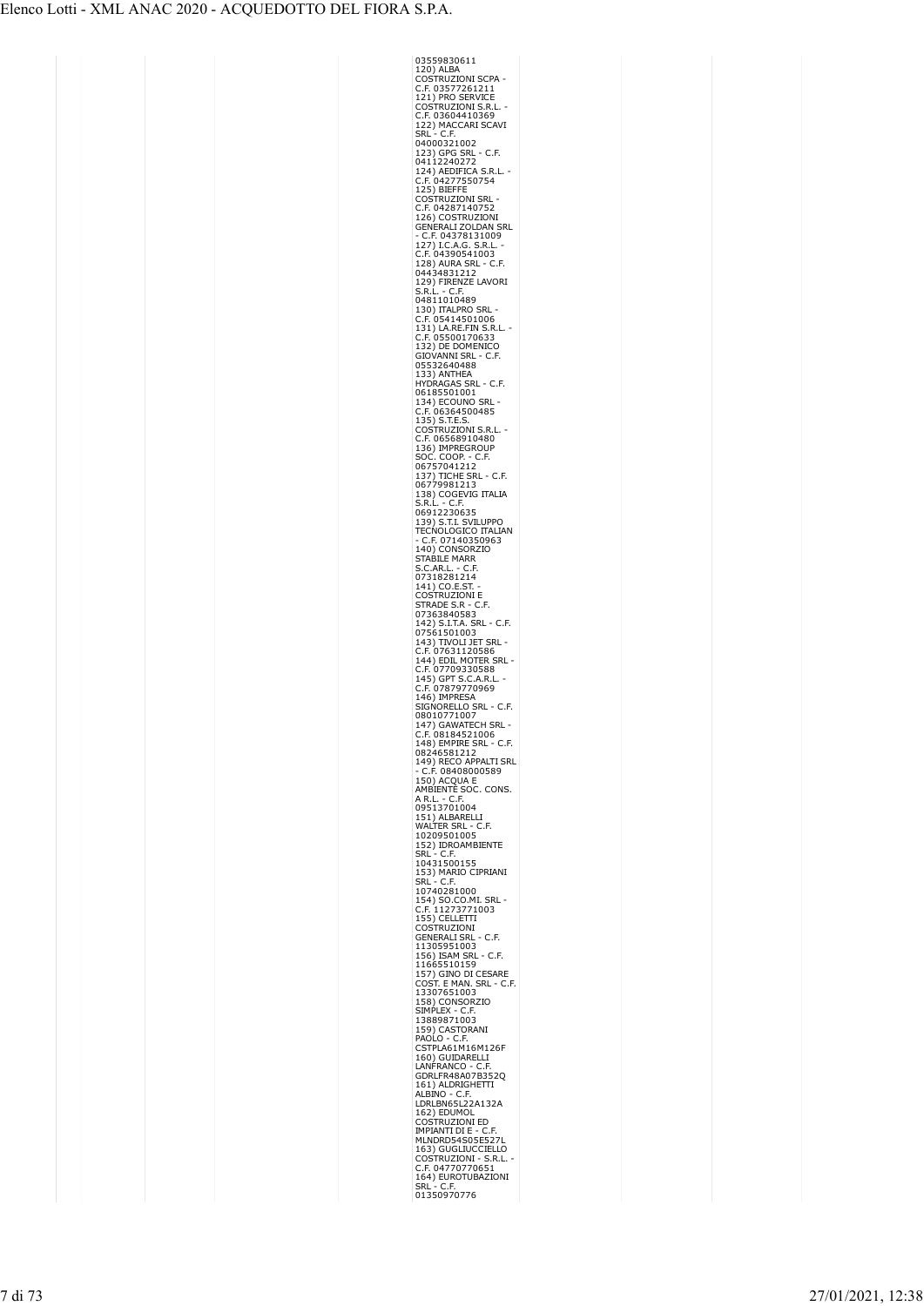| 03559830611<br>120) ALBA                                                                                                                                                     |
|------------------------------------------------------------------------------------------------------------------------------------------------------------------------------|
|                                                                                                                                                                              |
| COSTRUZIONI SCPA                                                                                                                                                             |
| $\epsilon$<br>C.F. 03577261211<br>121) PRO SERVICE                                                                                                                           |
|                                                                                                                                                                              |
| COSTRUZIONI S.R.I<br>C.F. 03604410369                                                                                                                                        |
|                                                                                                                                                                              |
| C.I. USSO<br>122) MACCARI SCAVI<br>SRL - C.F.                                                                                                                                |
| SRL<br>04000321002                                                                                                                                                           |
|                                                                                                                                                                              |
| 123) GPG SRL - C.F.<br>04112240272<br>124) AEDIFICA S.R.L.                                                                                                                   |
|                                                                                                                                                                              |
| C.F. 04277550754                                                                                                                                                             |
| 125) BIEFFE                                                                                                                                                                  |
| COSTRUZIONI SRL<br>C.F. 04287140752                                                                                                                                          |
|                                                                                                                                                                              |
|                                                                                                                                                                              |
| 126) COSTRUZIONI<br>GENERALI ZOLDAN SRL                                                                                                                                      |
| C.F. 04378131009                                                                                                                                                             |
| 127) I.C.A.G. S.R.L<br>C.F. 04390541003                                                                                                                                      |
| C                                                                                                                                                                            |
| ٠F,                                                                                                                                                                          |
| 128) AURA SRL - C<br>04434831212                                                                                                                                             |
| 129) FIRENZE LAVORI                                                                                                                                                          |
| S.R.L<br>- C.F.                                                                                                                                                              |
| 04811010489                                                                                                                                                                  |
| 130) ITALPRO SRL                                                                                                                                                             |
| C                                                                                                                                                                            |
| C                                                                                                                                                                            |
| 150)<br>C.F. 05414501006<br>131) LA.RE.FIN S.R.L<br>C.F. 05500170633<br>272) JOE DOMENICO                                                                                    |
| <b>GIOVANNI SRL</b><br>- C.F.                                                                                                                                                |
|                                                                                                                                                                              |
| 05532640488<br>133) ANTHEA                                                                                                                                                   |
| HYDRAGAS SRL - C.F.                                                                                                                                                          |
|                                                                                                                                                                              |
| 06185501001<br>134) ECOUNO<br><b>SRI</b>                                                                                                                                     |
|                                                                                                                                                                              |
|                                                                                                                                                                              |
| C.F. 06364500485<br>135) S.T.E.S.<br>COSTRUZIONI S.R.L<br>C.F. 06568910498                                                                                                   |
|                                                                                                                                                                              |
| C.F. USD68910480<br>136) IMPREGROUP<br>SOC. COOP. - C.F.<br>06757041212<br>137) TICHE SRL - C.F.<br>06779981213<br>5.R.L. - C.F.<br>S.R.L. - C.F.                            |
|                                                                                                                                                                              |
|                                                                                                                                                                              |
|                                                                                                                                                                              |
|                                                                                                                                                                              |
|                                                                                                                                                                              |
| S.R.L. - C.F.<br>06912230635<br>-----                                                                                                                                        |
| 139) S.T.I. SVILUPPO<br>TECNOLOGICO ITALIAN                                                                                                                                  |
|                                                                                                                                                                              |
| C.F. 07140350963                                                                                                                                                             |
| 140) CONSORZIO                                                                                                                                                               |
| STABILE MARR<br>S.C.AR.L. - C.F                                                                                                                                              |
| .F                                                                                                                                                                           |
| 3. C.AN. L.<br>07318281214<br>141) CO.E.ST.                                                                                                                                  |
| C                                                                                                                                                                            |
| COSTRUZIONI E<br>STRADE S.R - C.<br>۵F,                                                                                                                                      |
|                                                                                                                                                                              |
| . - C.F.                                                                                                                                                                     |
|                                                                                                                                                                              |
|                                                                                                                                                                              |
|                                                                                                                                                                              |
|                                                                                                                                                                              |
| STRADE S.K - C.F.<br>07363840583<br>142) S.I.T.A. SRL - C.I<br>07561501003<br>143) TIVOLI JET SRL<br>C.F. 07631120586<br>144) EDIL MOTER SRL<br>C                            |
|                                                                                                                                                                              |
| C.F. 07709330588<br>145) GPT S.C.A.R.I<br>C.F. 07879770969<br>C                                                                                                              |
| 146) IMPRESA                                                                                                                                                                 |
|                                                                                                                                                                              |
| SIGŃORELLO SRL - C.F.<br>08010771007                                                                                                                                         |
|                                                                                                                                                                              |
| 147) GAWATECH SRL<br>C.F. 08184521006                                                                                                                                        |
| 148) EMPIRE SRL -<br>C.F                                                                                                                                                     |
| 08246581212                                                                                                                                                                  |
| 149) RECO APPALTI SRL                                                                                                                                                        |
| C.F. 08408000589                                                                                                                                                             |
| 150) ACQUA E<br>AMBIENTÉ SOC. CONS.                                                                                                                                          |
| A R.L. - C.F.                                                                                                                                                                |
|                                                                                                                                                                              |
| 09513701004<br>$151)$ ALBARELLI                                                                                                                                              |
| WALTER SRL - C.F.                                                                                                                                                            |
| 10209501005                                                                                                                                                                  |
| 152) IDROAMBIENTE                                                                                                                                                            |
| $-$ C.F.<br>Srl                                                                                                                                                              |
| 10431500155                                                                                                                                                                  |
| 153) MARIO CIPRIANI<br>SRL<br>C.F                                                                                                                                            |
| 10740281000                                                                                                                                                                  |
|                                                                                                                                                                              |
| 154) SO.CO.MI. SRL<br>C.F. 11273771003                                                                                                                                       |
|                                                                                                                                                                              |
|                                                                                                                                                                              |
| C.F. 11273771003<br>155) CELLETTI<br>COSTRUZIONI<br>GENERALI SRL - C.F.<br>CENERALI SRL - C.F.                                                                               |
|                                                                                                                                                                              |
|                                                                                                                                                                              |
| C.F.                                                                                                                                                                         |
|                                                                                                                                                                              |
|                                                                                                                                                                              |
| <b>GENERALL SRL - C.F.<br/>11305951003</b><br>156) ISAM SRL - C.F.<br>11665510159<br>11665510159<br>COST. E MAN. SRL - C.<br>13307651003<br>158) CONSORZIO<br>STMPLEY - C.F. |
| 158) CONSORZIO<br>SIMPLEX - C.F.<br>13889871003                                                                                                                              |
| 59) CASTORANI<br>1                                                                                                                                                           |
| PAOLO - C                                                                                                                                                                    |
| AOLO - C.F.<br>:STPLA61M16M126F<br>(                                                                                                                                         |
|                                                                                                                                                                              |
|                                                                                                                                                                              |
| 160) GUIDARELLI<br>LANFRANCO - C.F.<br>GDRLFR48A07B352Q<br>161) ALDRIGHETTI                                                                                                  |
|                                                                                                                                                                              |
| ALBÍNO - C.F.<br>LDRLBN65L22A132A                                                                                                                                            |
| 162) EDUMOL                                                                                                                                                                  |
| COSTRUZIONI ED                                                                                                                                                               |
|                                                                                                                                                                              |
|                                                                                                                                                                              |
| <b>IMPIANTI DI E - C.F.<br/>IMPIANTI DI E - C.F.<br/>MLNDRD54S05E527L<br/>163) GUGLIUCCIELLO<br/>COSTRUZIONI - S.R.L.</b>                                                    |
| .F. 04770770651<br>ć                                                                                                                                                         |
| 164) EUROTUBAZIONI<br>- C.F.<br>SRL                                                                                                                                          |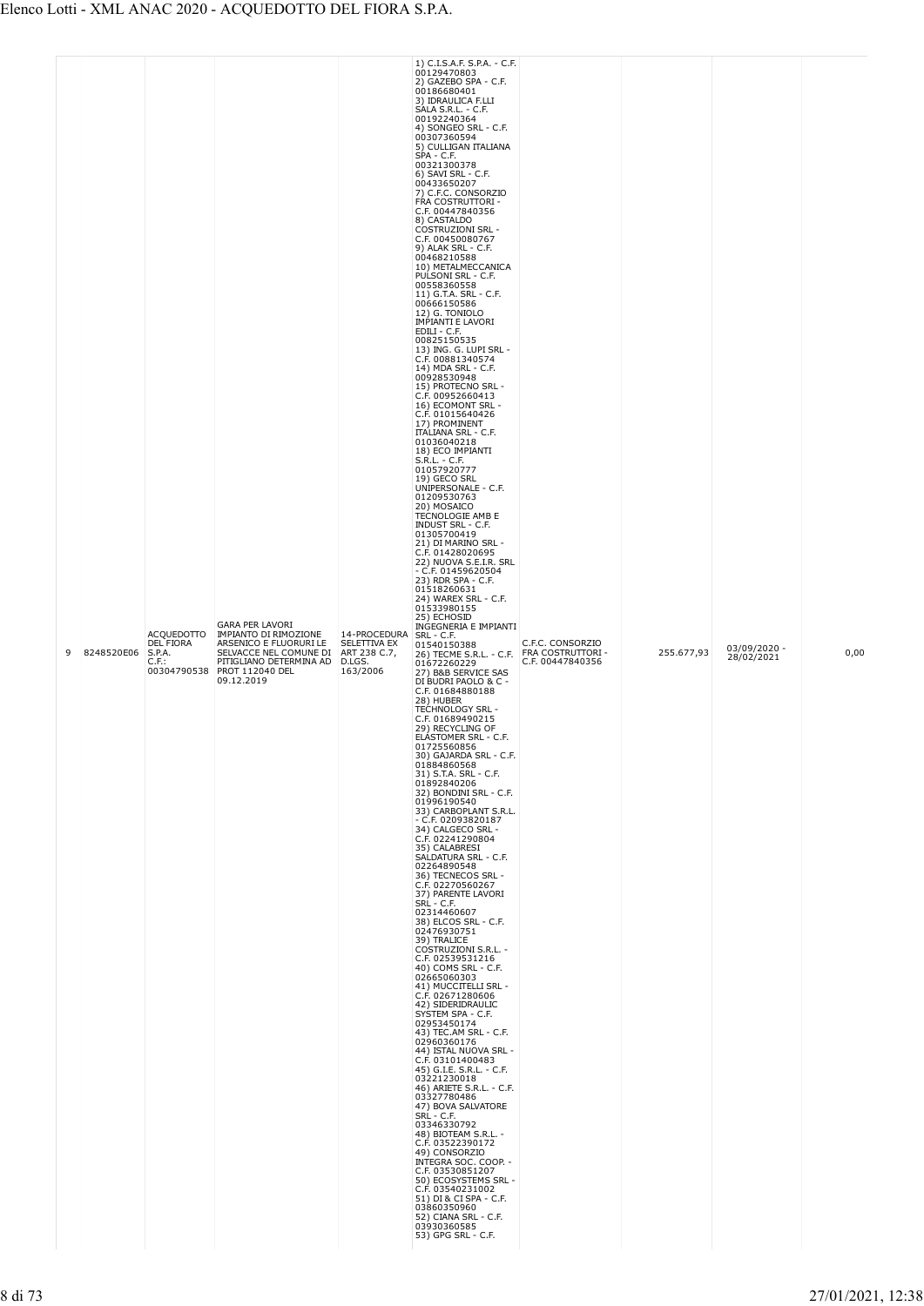|  | 9 | 8248520E06 | <b>ACQUEDOTTO</b><br>DEL FIORA<br>S.P.A.<br>$C.F.$ : | <b>GARA PER LAVORI</b><br>IMPIANTO DI RIMOZIONE<br>ARSENICO E FLUORURI LE<br>SELVACCE NEL COMUNE DI<br>PITIGLIANO DETERMINA AD<br>00304790538 PROT 112040 DEL<br>09.12.2019 | 14-PROCEDURA<br>SELETTIVA EX<br>ART 238 C.7,<br>D.LGS.<br>163/2006 | 00129470803<br>2) GAZEBO SPA - C.F.<br>00186680401<br>3) IDRAULICA F.LLI<br>SALA S.R.L. - C.F.<br>00192240364<br>4) SONGEO SRL - C.F.<br>00307360594<br>5) CULLIGAN ITALIANA<br>SPA - C.F.<br>00321300378<br>6) SAVI SRL - C.F.<br>00433650207<br>7) C.F.C. CONSORZIO<br>FRA COSTRUTTORI -<br>C.F. 00447840356<br>8) CASTALDO<br><b>COSTRUZIONI SRL -</b><br>C.F. 00450080767<br>9) ALAK SRL - C.F.<br>00468210588<br>10) METALMECCANICA<br>PULSONI SRL - C.F.<br>00558360558<br>11) G.T.A. SRL - C.F.<br>00666150586<br>12) G. TONIOLO<br><b>IMPIANTI E LAVORI</b><br>EDILI - C.F.<br>00825150535<br>13) ING. G. LUPI SRL -<br>C.F. 00881340574<br>14) MDA SRL - C.F.<br>00928530948<br>15) PROTECNO SRL -<br>C.F. 00952660413<br>16) ECOMONT SRL -<br>C.F. 01015640426<br>17) PROMINENT<br><b>ITALIANA SRL - C.F.</b><br>01036040218<br>18) ECO IMPIANTI<br>$S.R.L. - C.F.$<br>01057920777<br>19) GECO SRL<br>UNIPERSONALE - C.F.<br>01209530763<br>20) MOSAICO<br>TECNOLOGIE AMB E<br><b>INDUST SRL - C.F.</b><br>01305700419<br>21) DI MARINO SRL -<br>C.F. 01428020695<br>22) NUOVA S.E.I.R. SRL<br>$-$ C.F. 01459620504<br>23) RDR SPA - C.F.<br>01518260631<br>24) WAREX SRL - C.F.<br>01533980155<br>25) ECHOSID<br>INGEGNERIA E IMPIANTI<br>SRL - C.F.<br>01540150388<br>26) TECME S.R.L. - C.F. FRA COSTRUTTORI -<br>01672260229<br>27) B&B SERVICE SAS<br>DI BUDRI PAOLO & C -<br>C.F. 01684880188<br>28) HUBER<br>TECHNOLOGY SRL -<br>C.F. 01689490215<br>29) RECYCLING OF<br>ELASTOMER SRL - C.F.<br>01725560856<br>30) GAJARDA SRL - C.F.<br>01884860568<br>31) S.T.A. SRL - C.F.<br>01892840206<br>32) BONDINI SRL - C.F.<br>01996190540<br>33) CARBOPLANT S.R.L.<br>$-$ C.F. 02093820187<br>34) CALGECO SRL -<br>C.F. 02241290804<br>35) CALABRESI<br>SALDATURA SRL - C.F.<br>02264890548<br>36) TECNECOS SRL -<br>C.F. 02270560267<br>37) PARENTE LAVORI<br>SRL - C.F.<br>02314460607<br>38) ELCOS SRL - C.F.<br>02476930751<br>39) TRALICE<br>COSTRUZIONI S.R.L. -<br>C.F. 02539531216<br>40) COMS SRL - C.F.<br>02665060303<br>41) MUCCITELLI SRL -<br>C.F. 02671280606<br>42) SIDERIDRAULIC<br>SYSTEM SPA - C.F.<br>02953450174<br>43) TEC AM SRL - C.F.<br>02960360176<br>44) ISTAL NUOVA SRL -<br>C.F. 03101400483<br>45) G.I.E. S.R.L. - C.F.<br>03221230018<br>46) ARIETE S.R.L. - C.F.<br>03327780486<br>47) BOVA SALVATORE<br>SRL - C.F.<br>03346330792<br>48) BIOTEAM S.R.L. -<br>C.F. 03522390172<br>49) CONSORZIO<br>INTEGRA SOC. COOP. -<br>C.F. 03530851207<br>50) ECOSYSTEMS SRL -<br>C.F. 03540231002<br>51) DI & CI SPA - C.F.<br>03860350960<br>52) CIANA SRL - C.F.<br>03930360585<br>53) GPG SRL - C.F. | C.F.C. CONSORZIO<br>C.F. 00447840356 | 255.677,93 | 03/09/2020 -<br>28/02/2021 | 0,00 |
|--|---|------------|------------------------------------------------------|-----------------------------------------------------------------------------------------------------------------------------------------------------------------------------|--------------------------------------------------------------------|----------------------------------------------------------------------------------------------------------------------------------------------------------------------------------------------------------------------------------------------------------------------------------------------------------------------------------------------------------------------------------------------------------------------------------------------------------------------------------------------------------------------------------------------------------------------------------------------------------------------------------------------------------------------------------------------------------------------------------------------------------------------------------------------------------------------------------------------------------------------------------------------------------------------------------------------------------------------------------------------------------------------------------------------------------------------------------------------------------------------------------------------------------------------------------------------------------------------------------------------------------------------------------------------------------------------------------------------------------------------------------------------------------------------------------------------------------------------------------------------------------------------------------------------------------------------------------------------------------------------------------------------------------------------------------------------------------------------------------------------------------------------------------------------------------------------------------------------------------------------------------------------------------------------------------------------------------------------------------------------------------------------------------------------------------------------------------------------------------------------------------------------------------------------------------------------------------------------------------------------------------------------------------------------------------------------------------------------------------------------------------------------------------------------------------------------------------------------------------------------------------------------------------------------------------------------------------------------------------------------------------------------|--------------------------------------|------------|----------------------------|------|
|--|---|------------|------------------------------------------------------|-----------------------------------------------------------------------------------------------------------------------------------------------------------------------------|--------------------------------------------------------------------|----------------------------------------------------------------------------------------------------------------------------------------------------------------------------------------------------------------------------------------------------------------------------------------------------------------------------------------------------------------------------------------------------------------------------------------------------------------------------------------------------------------------------------------------------------------------------------------------------------------------------------------------------------------------------------------------------------------------------------------------------------------------------------------------------------------------------------------------------------------------------------------------------------------------------------------------------------------------------------------------------------------------------------------------------------------------------------------------------------------------------------------------------------------------------------------------------------------------------------------------------------------------------------------------------------------------------------------------------------------------------------------------------------------------------------------------------------------------------------------------------------------------------------------------------------------------------------------------------------------------------------------------------------------------------------------------------------------------------------------------------------------------------------------------------------------------------------------------------------------------------------------------------------------------------------------------------------------------------------------------------------------------------------------------------------------------------------------------------------------------------------------------------------------------------------------------------------------------------------------------------------------------------------------------------------------------------------------------------------------------------------------------------------------------------------------------------------------------------------------------------------------------------------------------------------------------------------------------------------------------------------------------|--------------------------------------|------------|----------------------------|------|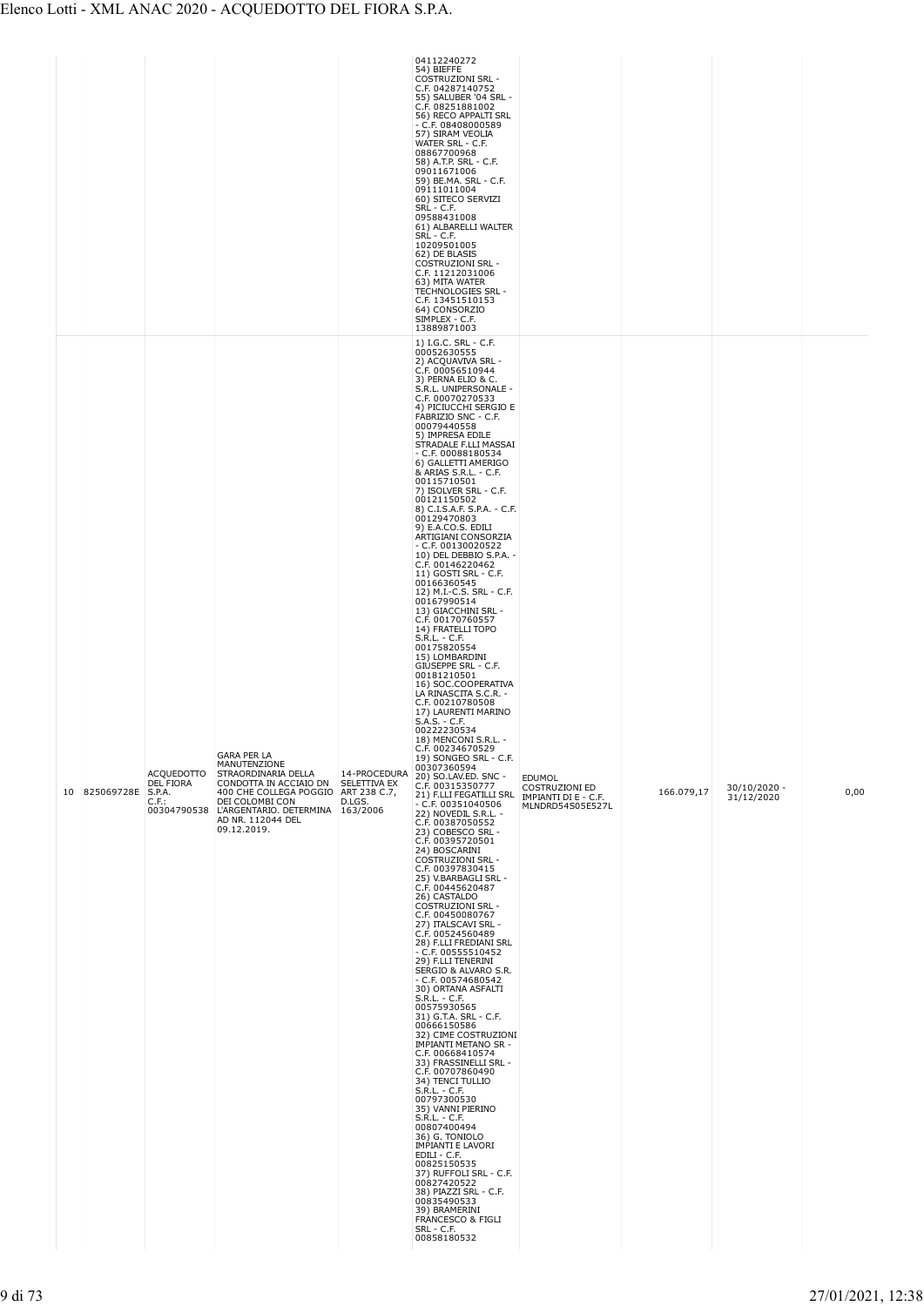|  |               |                                                                     |                                                                                                                                                                                                                |                                        | 04112240272<br>54) BIEFFE<br><b>COSTRUZIONI SRL -</b><br>C.F. 04287140752<br>55) SALUBER '04 SRL -<br>C.F. 08251881002<br>56) RECO APPALTI SRL<br>$-$ C.F. 08408000589<br>57) SIRAM VEOLIA<br>WATER SRL - C.F.<br>08867700968<br>58) A.T.P. SRL - C.F.<br>09011671006<br>59) BE.MA. SRL - C.F.<br>09111011004<br>60) SITECO SERVIZI<br>SRL - C.F.<br>09588431008<br>61) ALBARELLI WALTER<br>SRL - C.F.<br>10209501005<br>62) DE BLASIS<br><b>COSTRUZIONI SRL -</b><br>C.F. 11212031006<br>63) MITA WATER<br>TECHNOLOGIES SRL -<br>C.F. 13451510153<br>64) CONSORZIO<br>SIMPLEX - C.F.<br>13889871003                                                                                                                                                                                                                                                                                                                                                                                                                                                                                                                                                                                                                                                                                                                                                                                                                                                                                                                                                                                                                                                                                                                                                                                                                                                                                                                                                                                                                                                                                                                                             |                                                            |            |                              |      |
|--|---------------|---------------------------------------------------------------------|----------------------------------------------------------------------------------------------------------------------------------------------------------------------------------------------------------------|----------------------------------------|--------------------------------------------------------------------------------------------------------------------------------------------------------------------------------------------------------------------------------------------------------------------------------------------------------------------------------------------------------------------------------------------------------------------------------------------------------------------------------------------------------------------------------------------------------------------------------------------------------------------------------------------------------------------------------------------------------------------------------------------------------------------------------------------------------------------------------------------------------------------------------------------------------------------------------------------------------------------------------------------------------------------------------------------------------------------------------------------------------------------------------------------------------------------------------------------------------------------------------------------------------------------------------------------------------------------------------------------------------------------------------------------------------------------------------------------------------------------------------------------------------------------------------------------------------------------------------------------------------------------------------------------------------------------------------------------------------------------------------------------------------------------------------------------------------------------------------------------------------------------------------------------------------------------------------------------------------------------------------------------------------------------------------------------------------------------------------------------------------------------------------------------------|------------------------------------------------------------|------------|------------------------------|------|
|  | 10 825069728E | <b>ACOUEDOTTO</b><br>DEL FIORA<br>S.P.A.<br>$C.F.$ :<br>00304790538 | GARA PER LA<br>MANUTENZIONE<br>STRAORDINARIA DELLA<br>CONDOTTA IN ACCIAIO DN<br>400 CHE COLLEGA POGGIO ART 238 C.7,<br>DEI COLOMBI CON<br>L'ARGENTARIO. DETERMINA 163/2006<br>AD NR. 112044 DEL<br>09.12.2019. | 14-PROCEDURA<br>SELETTIVA EX<br>D.LGS. | 1) I.G.C. SRL - C.F.<br>00052630555<br>2) ACQUAVIVA SRL -<br>C.F. 00056510944<br>3) PERNA ELIO & C.<br>S.R.L. UNIPERSONALE -<br>C.F. 00070270533<br>4) PICIUCCHI SERGIO E<br>FABRIZIO SNC - C.F.<br>00079440558<br>5) IMPRESA EDILE<br>STRADALE F.LLI MASSAI<br>$-$ C.F. 00088180534<br>6) GALLETTI AMERIGO<br>& ARIAS S.R.L. - C.F.<br>00115710501<br>7) ISOLVER SRL - C.F.<br>00121150502<br>8) C.I.S.A.F. S.P.A. - C.F.<br>00129470803<br>9) E.A.CO.S. EDILI<br>ARTIGIANI CONSORZIA<br>$-$ C.F. 00130020522<br>10) DEL DEBBIO S.P.A. -<br>C.F. 00146220462<br>11) GOSTI SRL - C.F.<br>00166360545<br>12) M.I.-C.S. SRL - C.F.<br>00167990514<br>13) GIACCHINI SRL -<br>C.F. 00170760557<br>14) FRATELLI TOPO<br>S.R.L. - C.F.<br>00175820554<br>15) LOMBARDINI<br>GIUSEPPE SRL - C.F.<br>00181210501<br>16) SOC.COOPERATIVA<br>LA RINASCITA S.C.R. -<br>C.F. 00210780508<br>17) LAURENTI MARINO<br>$S.A.S. - C.F.$<br>00222230534<br>18) MENCONI S.R.L. -<br>C.F. 00234670529<br>19) SONGEO SRL - C.F.<br>00307360594<br>20) SO.LAV.ED. SNC -<br>C.F. 00315350777<br>21) F.LLI FEGATILLI SRL MPIANTI DI E - C.F.<br>- C.F. 00351040506<br>22) NOVEDIL S.R.L. -<br>C.F. 00387050552<br>23) COBESCO SRL -<br>C.F. 00395720501<br>24) BOSCARINI<br><b>COSTRUZIONI SRL -</b><br>C.F. 00397830415<br>25) V.BARBAGLI SRL -<br>C.F. 00445620487<br>26) CASTALDO<br><b>COSTRUZIONI SRL -</b><br>C.F. 00450080767<br>27) ITALSCAVI SRL -<br>C.F. 00524560489<br>28) F.LLI FREDIANI SRL<br>$-$ C.F. 00555510452<br>29) F.LLI TENERINI<br>SERGIO & ALVARO S.R.<br>$-$ C.F. 00574680542<br>30) ORTANA ASFALTI<br>S.R.L. - C.F.<br>00575930565<br>31) G.T.A. SRL - C.F.<br>00666150586<br>32) CIME COSTRUZIONI<br><b>IMPIANTI METANO SR -</b><br>C.F. 00668410574<br>33) FRASSINELLI SRL -<br>C.F. 00707860490<br>34) TENCI TULLIO<br>$S.R.L. - C.F.$<br>00797300530<br>35) VANNI PIERINO<br>S.R.L. - C.F.<br>00807400494<br>36) G. TONIOLO<br><b>IMPIANTI E LAVORI</b><br>EDILI - C.F.<br>00825150535<br>37) RUFFOLI SRL - C.F.<br>00827420522<br>38) PIAZZI SRL - C.F.<br>00835490533<br>39) BRAMERINI<br>FRANCESCO & FIGLI<br>SRL - C.F.<br>00858180532 | <b>EDUMOL</b><br><b>COSTRUZIONI ED</b><br>MLNDRD54S05E527L | 166.079,17 | $30/10/2020 -$<br>31/12/2020 | 0,00 |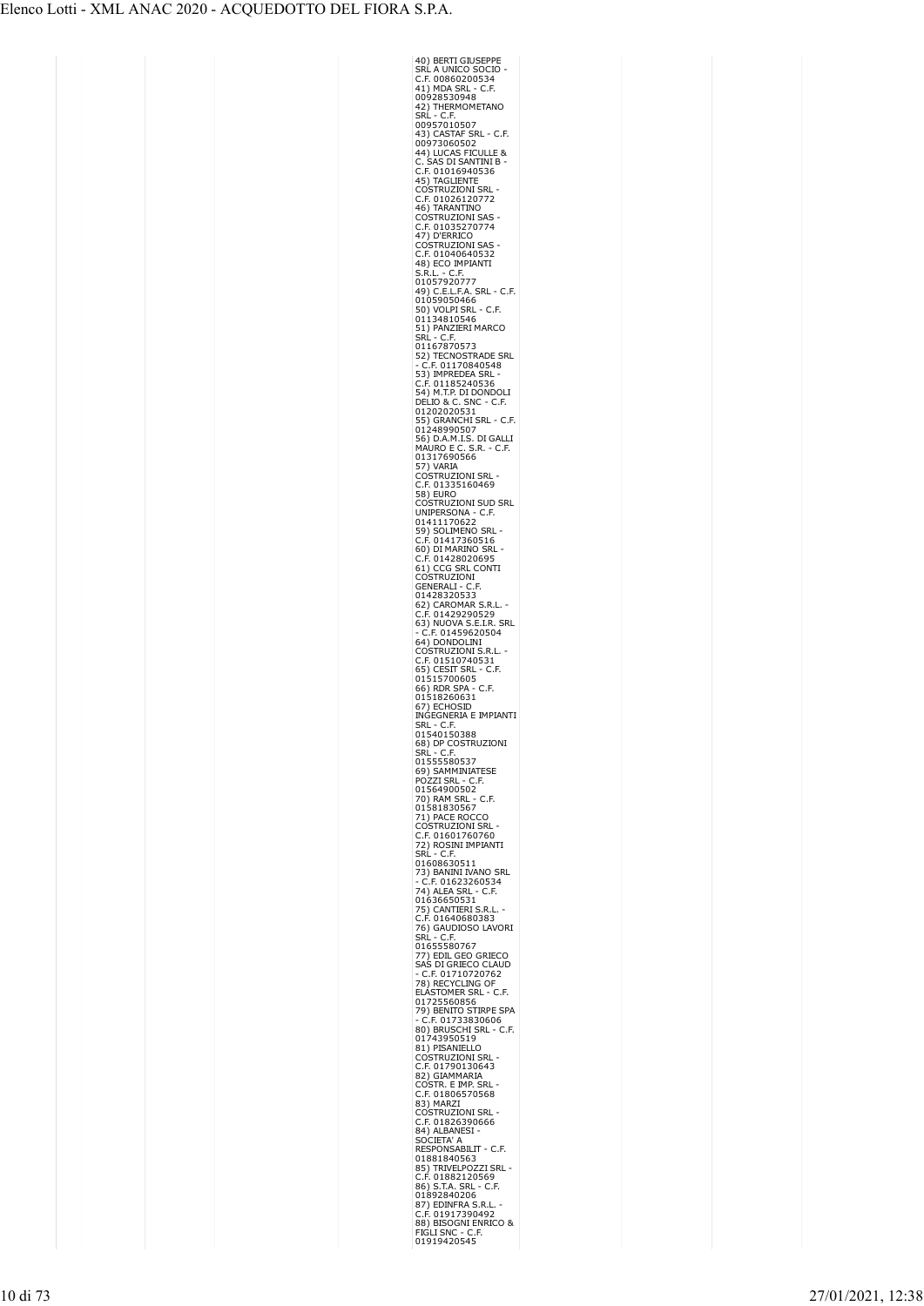| 40) BERTI GIUSEPPE                                                                                                                                                     |
|------------------------------------------------------------------------------------------------------------------------------------------------------------------------|
| SRĹ A UNICO SOCIO<br>C.F. 00860200534                                                                                                                                  |
| C.F.                                                                                                                                                                   |
| 41) MDA SRL -<br>00928530948                                                                                                                                           |
| 42) THERMOMETANO<br>SRL - C.F.                                                                                                                                         |
| 00957010507                                                                                                                                                            |
| 43) CASTAF SRL - C.F.                                                                                                                                                  |
|                                                                                                                                                                        |
| <sub>לא</sub> CASTAF SKL - C.F<br>10973060502<br>44) LUCAS FICULLE &<br>C. SAS DI SANTINI B -<br>C.F. 01015040506                                                      |
| C.F. 01016940536<br>45) TAGLIENTE                                                                                                                                      |
| <b>COSTRUZIONI SRL</b>                                                                                                                                                 |
| C.F. 01026120772<br>46) TARANTINO                                                                                                                                      |
|                                                                                                                                                                        |
| COSTRUZIONI SAS<br>C.F. 01035270774                                                                                                                                    |
| 47) D'ERRICO                                                                                                                                                           |
| <b>COSTRUZIONI SAS</b><br>.F. 01040640532<br>C                                                                                                                         |
| 48) ECO IMPIANTI                                                                                                                                                       |
| $-C.F.$<br>S.R.L                                                                                                                                                       |
| 3.N.L.<br>01057920777<br>49) C.E.L.F.A. SRL - C.F.<br>01059050466                                                                                                      |
|                                                                                                                                                                        |
| 50) VOLPI SRL<br>01134810546<br>51) BANZIERI I<br>· C.F.                                                                                                               |
| 51) PANZIERI MARCO                                                                                                                                                     |
|                                                                                                                                                                        |
|                                                                                                                                                                        |
|                                                                                                                                                                        |
|                                                                                                                                                                        |
| 51) PARCALINA<br>SRL - C.F.<br>01167870573<br>52) TECNOSTRADE SRL<br>- C.F. 01170840548<br>53) IMPREDEA SRL<br>C.F. 01185240536<br>54) M.T.P. DI DONDOLI               |
| ---- - --1-1-0-2-4-0-3-5<br>54) M.T.P. DI DONDOLI<br>DELIO & C. SNC - C.F.<br>01202020531<br>01248990507<br>01248990507<br>MAURO E C. S.R. - C.F.<br>01317690566       |
| · C.F.                                                                                                                                                                 |
|                                                                                                                                                                        |
|                                                                                                                                                                        |
| 01                                                                                                                                                                     |
| "AONO E C. 3.N.<br>)1317690566<br>57) VARIA<br>COSTRUZIONI SRL<br>C.F. 01335160469                                                                                     |
| Ο                                                                                                                                                                      |
| C.F. 01335160469<br>58) EURO<br>COSTRUZIONI SUD SRL<br>(                                                                                                               |
| C                                                                                                                                                                      |
| UNIPERSONA -<br>$\mathsf{C}$<br>C.F.<br><b>COMPLANDINA - C.F.<br/>01411170622<br/>59) SOLIMENO SRL<br/>C.F. 01417360516<br/>60) DI MARINO SRL<br/>C.F. 01428020695</b> |
|                                                                                                                                                                        |
|                                                                                                                                                                        |
| C.F. 01428020695<br>61) CCG SRL CONTI                                                                                                                                  |
| OSTRUZIONI<br>C                                                                                                                                                        |
| GENERALI - C.F.<br>01428320533                                                                                                                                         |
|                                                                                                                                                                        |
| -1-10320533<br>62) CAROMAR S.R.L<br>C.F. 01429290529<br>63) NUOVA S.E.I.R.<br>- C.F. 0145962050                                                                        |
| SRL<br>.F. 01459620504                                                                                                                                                 |
| 64) DONDOLINI<br>COSTRUZIONI S.R.L.                                                                                                                                    |
| COSTNOLLOND<br>C.F. 01510740531<br>65) CESIT SRL - C.                                                                                                                  |
| C.F.                                                                                                                                                                   |
|                                                                                                                                                                        |
|                                                                                                                                                                        |
| C.F.                                                                                                                                                                   |
| 0.1. 01310740<br>65) CESIT SRL<br>01515700605<br>66) RDR SPA -<br>01518260631<br>67) ECHOSID                                                                           |
| INĜEGNERIA E IMPIANTI                                                                                                                                                  |
| SRL - C.F.<br>01540150388                                                                                                                                              |
| 68) DP COSTRUZIONI<br>$-C.F$<br>SRL                                                                                                                                    |
| 01555580537                                                                                                                                                            |
| 69) SAMMINIATESE                                                                                                                                                       |
| POZZI SRL - C.F.<br>01564900502                                                                                                                                        |
| 70) RAM SRL -<br>C.F.                                                                                                                                                  |
| 01581830567                                                                                                                                                            |
| 71) PACE ROCCO<br>COSTRUZIONI SRL<br>Ć                                                                                                                                 |
| F. 01601760760<br>C                                                                                                                                                    |
| 72) ROSINI IMPIANTI<br>SRL - C.F.<br>. - C.F.                                                                                                                          |
|                                                                                                                                                                        |
| 01608630511<br>73) BANINI IVANO SRL                                                                                                                                    |
| - C.F. 01623260534<br>74) ALEA SRL - C.F.<br>8163665<br>01636650531                                                                                                    |
|                                                                                                                                                                        |
| 75) CANTIERI S.R <mark>.L</mark><br>C.F. 01640680383                                                                                                                   |
|                                                                                                                                                                        |
|                                                                                                                                                                        |
| ے پہندی ہے<br>T6) GAUDIOSO LAVORI<br>SRL - C.F.<br>01655580767<br>77) EDII GEO                                                                                         |
|                                                                                                                                                                        |
| 01633360707<br>T7) EDIL GEO GRIECO<br>SAS DI GRIECO CLAUD<br>- C.F. 01710720762<br>T8) RECYCLING OF                                                                    |
|                                                                                                                                                                        |
|                                                                                                                                                                        |
|                                                                                                                                                                        |
|                                                                                                                                                                        |
| 76) RECYCLING OF<br>ELASTOMER SRL - C.F.<br>01725560856<br>79) BENITO STIRPE SPA<br>- C.F. 01733830606<br>01743950519<br>01743950519<br>610 RISANIELLO<br>COSTOMER     |
| 81) PISANIELLO<br>COSTRUZIONI SRL<br>C.F. 01790130643<br>82) GIAMMARIA                                                                                                 |
| COSTR. E IMP. SRL<br>ć<br>.F. 01806570568                                                                                                                              |
| 83) MARZI                                                                                                                                                              |
| <b>COSTRUZIONI SRL</b><br>ć                                                                                                                                            |
| .F. 01826390666                                                                                                                                                        |
| 84) ALBANESI<br>SOCIETA' A<br>RESPONSABILIT - C.F.                                                                                                                     |
| 01881840563                                                                                                                                                            |
| TRIVELPOZZI SRL                                                                                                                                                        |
| 85)<br>C.F.<br>01882120569<br>86) S.T.A. SRL - C.F.                                                                                                                    |
| 01892840206                                                                                                                                                            |
| 87) EDINFRA S.R.L<br>C.F. 01917390492                                                                                                                                  |
| 88) BISOGNI ENRICO &<br>FIGLI SNC - C.F.<br>01919420545                                                                                                                |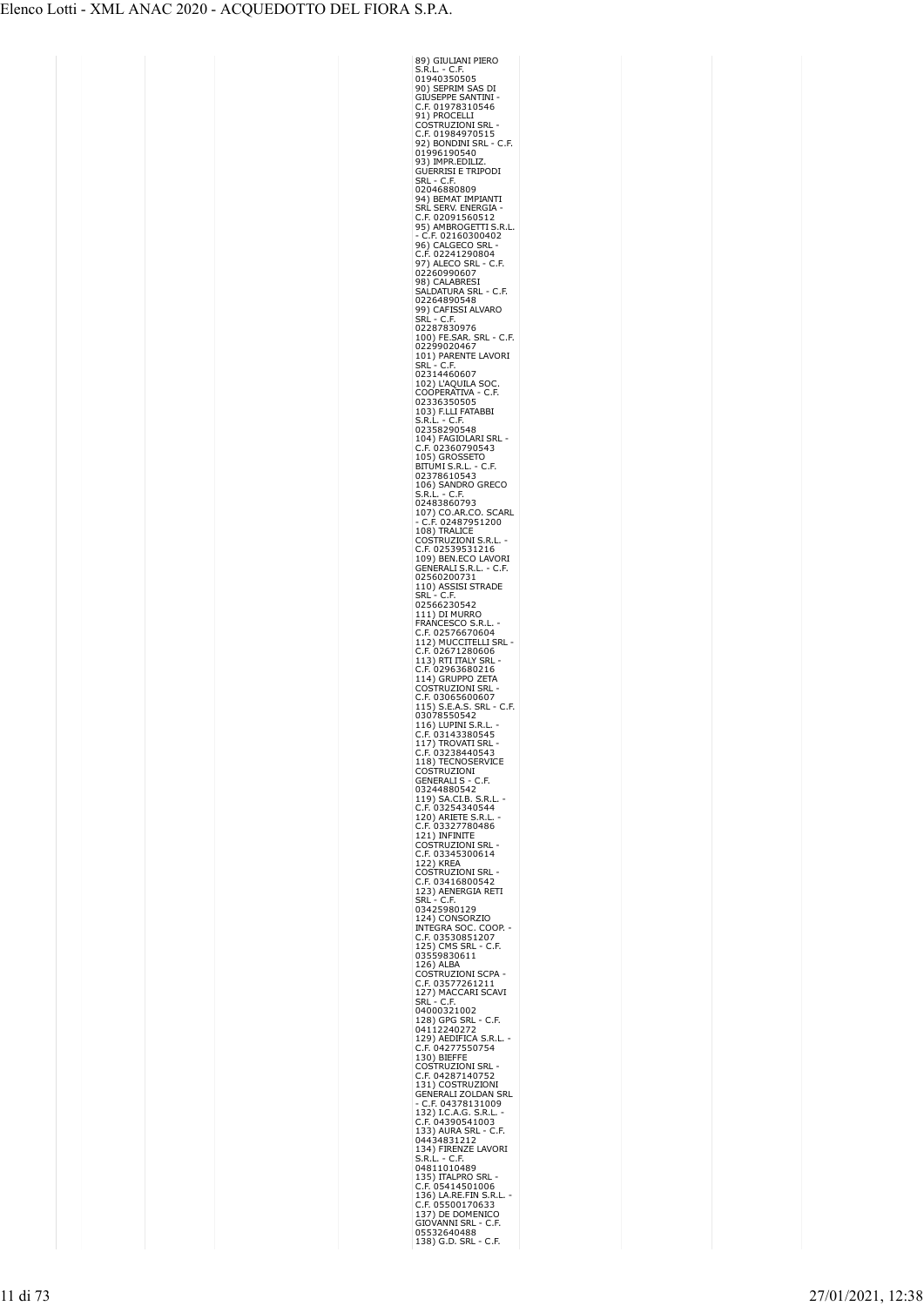| 89) GIULIANI PIERO                                                                                                                                     |
|--------------------------------------------------------------------------------------------------------------------------------------------------------|
| - C.F.<br>S.R.L<br>J.<br>3.K.L. - C.I.<br>01940350505                                                                                                  |
| 90) SEPRIM SAS DI                                                                                                                                      |
| GIÚSEPPE SANTINI                                                                                                                                       |
| .F. 01978310546<br>C<br>91) PROCELLI                                                                                                                   |
| <b>COSTRUZIONI SRL</b><br>.F. 01984970515<br>Ċ                                                                                                         |
| 92) BONDINI SRL<br>C.F.                                                                                                                                |
| 01996190540                                                                                                                                            |
| 93) IMPR.EDILIZ.<br>GUERRISI E TRIPODI                                                                                                                 |
| SRL<br>C.F.<br>ł,<br>02046880809                                                                                                                       |
| 94) BEMAT IMPIANTI                                                                                                                                     |
|                                                                                                                                                        |
| SRL SERV. ENERGIA<br>C.F. 02091560512<br>95) AMBROGETTI S<br>- C.E. 0216030040<br>S.R.L.                                                               |
|                                                                                                                                                        |
| 93) AMBROGUTT 3.1<br>- C.F. 02160300402<br>- C.F. 02241290804<br>C.F. 02241290804<br>02260990607<br>02260990607<br>- SALDATURA SRL - C.<br>02264900548 |
| C.F.                                                                                                                                                   |
| - C.F                                                                                                                                                  |
| 02264890548                                                                                                                                            |
| , CAFISSI ALVARO<br>SRL - C.F.<br>02287830976<br>100) FE.SAR. SRL - C.F.<br>02299020467<br>101) PARENTE LAVORI<br>SRL - C.F.<br>07314.                 |
|                                                                                                                                                        |
|                                                                                                                                                        |
|                                                                                                                                                        |
| 02314460607                                                                                                                                            |
| 102) L'AQUILA SOC<br>COOPERATIVA - C.F                                                                                                                 |
| - C.F<br>02336350505                                                                                                                                   |
| 0233033030<br>103) F.LLI FATABBI<br>S.R.L. - C.F.                                                                                                      |
| S.R.L<br>02358290548                                                                                                                                   |
| 104) FAGIOLARI SRI<br>02360790543<br>.F.<br>C                                                                                                          |
| 105) GROSSETO                                                                                                                                          |
| 105) GROSSET -<br>BITUMI S.R.L. - C.F.<br>02378610543<br>106) SANDRO GRECO<br>S.R.L. - C.F.<br>- C.F.                                                  |
|                                                                                                                                                        |
| S.R.L. - C.F.<br>02483860793                                                                                                                           |
|                                                                                                                                                        |
|                                                                                                                                                        |
| COSTRUZIONI S.R.L.<br>C                                                                                                                                |
| <b>CONTROLLATEL CONTRACT:</b><br>109) BEN.ECO LAVORI<br>GENERALI S.R.L. - C.F.<br>02560200731                                                          |
|                                                                                                                                                        |
|                                                                                                                                                        |
| 110) ASSISI STRADE<br>SRL - C.F.<br>02566230542                                                                                                        |
| 111) DI MURRO                                                                                                                                          |
| FRANCESCO S.R.L                                                                                                                                        |
|                                                                                                                                                        |
| F. 02576670604<br>C                                                                                                                                    |
| C                                                                                                                                                      |
| 112) MUCCITELLI SRL<br>C.F. 02671280606<br>113) RTI ITALY SRL -<br>113) RTI ITALY SRL -                                                                |
|                                                                                                                                                        |
| C.F. 02963680216<br>114) GRUPPO ZETA<br>COSTRUZIONI SRL<br>.F. 03065600607<br>c                                                                        |
|                                                                                                                                                        |
| 115) S.E.A.S. SRL - C.F.<br>03078550542<br>116) LUPINI S.R.I                                                                                           |
|                                                                                                                                                        |
|                                                                                                                                                        |
|                                                                                                                                                        |
| - 1.7, 1.01 and 3.05.45<br>117) TROVATI SRL<br>- C.F. 03238440543<br>118) TECNOSERVICE<br>COSTRUZIONI<br>-                                             |
|                                                                                                                                                        |
| COSTROZIONI<br>03244880542<br>119) SA.CI.B. S.R.L.<br>C.F. 03254340544<br>C.F. 03254340544                                                             |
|                                                                                                                                                        |
| لیمبی<br>120) ARIETE S.R.L.<br>C.F. 03327780486<br>121) INFINITE                                                                                       |
| <b>CONTRACT TO SEP 1888</b><br>COSTRUZIONI SRL<br>C.F. 03345300614                                                                                     |
|                                                                                                                                                        |
| č<br>(                                                                                                                                                 |
| С.1. 000100<br>122) KREA<br>COSTRUZIONI SRL -<br>C.F. 03416800542<br>123) AENERGIA RETI<br>col - C F                                                   |
|                                                                                                                                                        |
| OOP.                                                                                                                                                   |
| $\cdot$ C.F.                                                                                                                                           |
| 125) AENERGIA RE<br>SRL - C.F.<br>03425980129<br>124) CONSORZIO<br>INTEGRA SOC. CO<br>C.F. 03530851207<br>12510830611<br>03550830611<br>03559830611    |
| 126) ALBA<br>г                                                                                                                                         |
| :OSTRUZIONI SCPA<br>:.F. 03577261211<br>ć                                                                                                              |
| COLLOUS AND ACCEPT SCAVE<br>127) MACCARI SCAVI<br>SRL - C.F.                                                                                           |
| 04000321002<br>- C.F.                                                                                                                                  |
|                                                                                                                                                        |
| S.R.L                                                                                                                                                  |
|                                                                                                                                                        |
| 01000210021<br>128) GPG SRL - C.<br>04112240272<br>129) AEDIFICA S.R<br>C.F. 04277550754<br>C.S. 04287140752<br>C.F. 04287140752                       |
| C.F. 04287140752<br>131) COSTRUZIONI<br>GENERALI ZOLDAN SRI                                                                                            |
| C.F. 04378131009                                                                                                                                       |
| 132) I.C.A.G. S.R.L.<br>C.F. 04390541003                                                                                                               |
|                                                                                                                                                        |
| LAVORI                                                                                                                                                 |
| U.1. 043363<br>133) AURA SRL - C.F.<br>04434831212<br>134) FIRENZE LAVOR<br>S.R.L. - C.F.                                                              |
| 04811010489<br>135) TTALPRO SRL                                                                                                                        |
|                                                                                                                                                        |
| C.F. 05414501006<br>136) LA.RE.FIN S.R.L<br>c                                                                                                          |
| C.F. 05500170633<br>137) DE DOMENIC<br>C<br><b>GIOVANNI SRL</b><br>.F<br>$\mathsf{C}$<br>05532640488                                                   |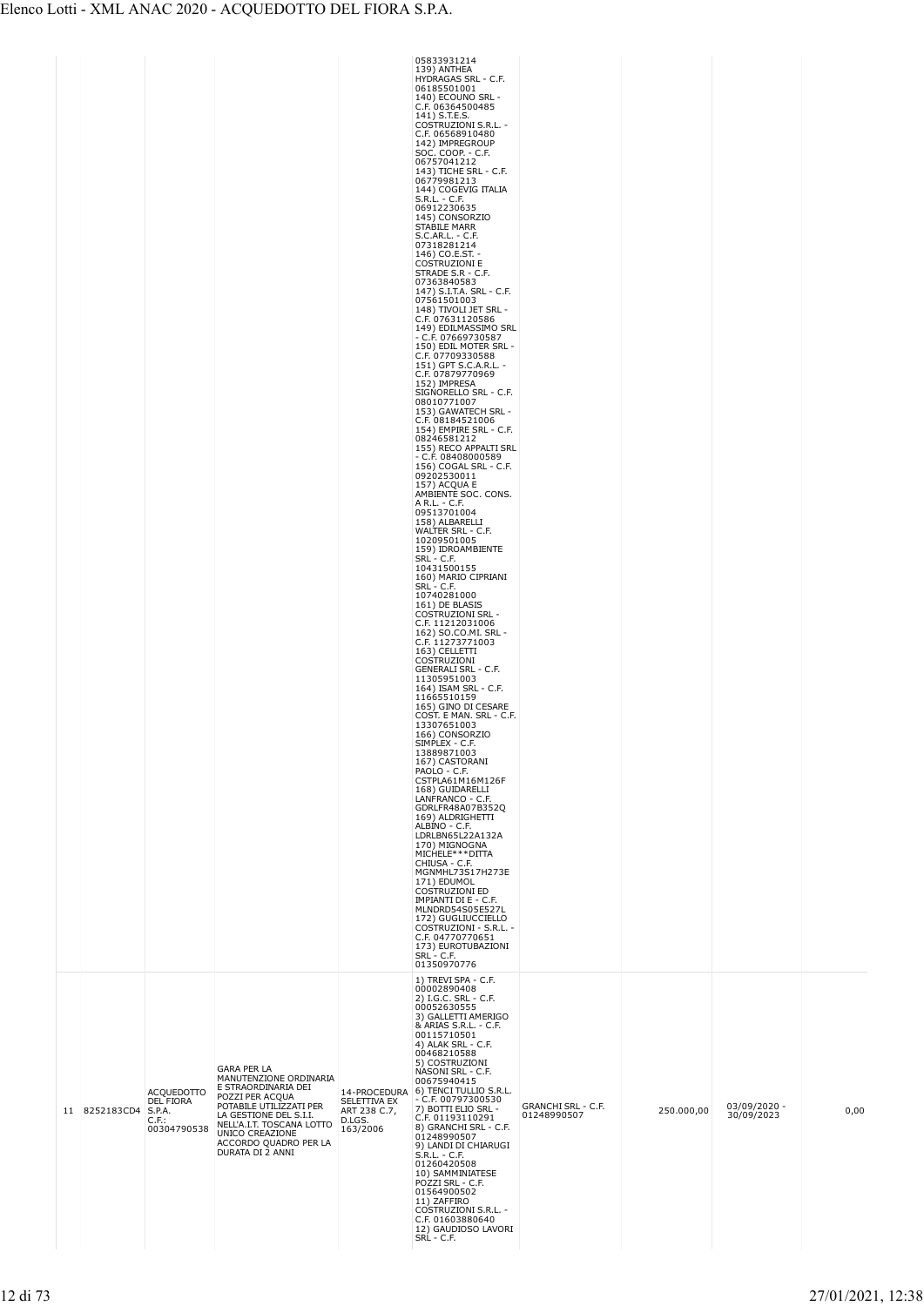|    |                   |                                                           |                                                                                                                                                                                                                                          |                                                    | 05833931214<br>139) ANTHEA<br>HYDRAGAS SRL - C.F.<br>06185501001<br>140) ECOUNO SRL -<br>C.F. 06364500485<br>141) S.T.E.S.<br>COSTRUZIONI S.R.L. -<br>C.F. 06568910480<br>142) IMPREGROUP<br>SOC. COOP. - C.F.<br>06757041212<br>143) TICHE SRL - C.F.<br>06779981213<br>144) COGEVIG ITALIA<br>S.R.L. - C.F.<br>06912230635<br>145) CONSORZIO<br>STABILE MARR<br>S.C.AR.L. - C.F.<br>07318281214<br>146) CO.E.ST. -<br><b>COSTRUZIONI E</b><br>STRADE S.R - C.F.<br>07363840583<br>147) S.I.T.A. SRL - C.F.<br>07561501003<br>148) TIVOLI JET SRL -<br>C.F. 07631120586<br>149) EDILMASSIMO SRL<br>- C.F. 07669730587<br>150) EDIL MOTER SRL -<br>C.F. 07709330588<br>151) GPT S.C.A.R.L. -<br>C.F. 07879770969<br>152) IMPRESA<br>SIGNORELLO SRL - C.F.<br>08010771007<br>153) GAWATECH SRL -<br>C.F. 08184521006<br>154) EMPIRE SRL - C.F.<br>08246581212<br>155) RECO APPALTI SRL<br>$- C.F. 08408000589$<br>156) COGAL SRL - C.F.<br>09202530011<br>157) ACQUA E<br>AMBIENTE SOC. CONS.<br>A R.L. - C.F.<br>09513701004<br>158) ALBARELLI<br>WALTER SRL - C.F.<br>10209501005<br>159) IDROAMBIENTE<br>SRL - C.F.<br>10431500155<br>160) MARIO CIPRIANI<br>SRL - C.F.<br>10740281000<br>161) DE BLASIS<br><b>COSTRUZIONI SRL -</b><br>C.F. 11212031006<br>162) SO.CO.MI. SRL -<br>C.F. 11273771003<br>163) CELLETTI<br>COSTRUZIONI<br><b>GENERALI SRL - C.F.</b><br>11305951003<br>164) ISAM SRL - C.F.<br>11665510159<br>165) GINO DI CESARE<br>COST. E MAN. SRL - C.F.<br>13307651003<br>166) CONSORZIO<br>SIMPLEX - C.F.<br>13889871003<br>167) CASTORANI<br>PAOLO - C.F.<br>CSTPLA61M16M126F<br>168) GUIDARELLI<br>LANFRANCO - C.F.<br>GDRLFR48A07B352Q<br>169) ALDRIGHETTI<br>ALBINO - C.F.<br>LDRLBN65L22A132A<br>170) MIGNOGNA<br>MICHELE***DITTA<br>CHIUSA - C.F.<br>MGNMHL73S17H273E<br>171) EDUMOL<br><b>COSTRUZIONI ED</b><br>IMPIANTI DI E - C.F.<br>MLNDRD54S05E527L<br>172) GUGLIUCCIELLO<br>COSTRUZIONI - S.R.L. -<br>C.F. 04770770651<br>173) EUROTUBAZIONI<br><b>SRL - C.F.</b><br>01350970776 |                                          |            |                            |      |
|----|-------------------|-----------------------------------------------------------|------------------------------------------------------------------------------------------------------------------------------------------------------------------------------------------------------------------------------------------|----------------------------------------------------|---------------------------------------------------------------------------------------------------------------------------------------------------------------------------------------------------------------------------------------------------------------------------------------------------------------------------------------------------------------------------------------------------------------------------------------------------------------------------------------------------------------------------------------------------------------------------------------------------------------------------------------------------------------------------------------------------------------------------------------------------------------------------------------------------------------------------------------------------------------------------------------------------------------------------------------------------------------------------------------------------------------------------------------------------------------------------------------------------------------------------------------------------------------------------------------------------------------------------------------------------------------------------------------------------------------------------------------------------------------------------------------------------------------------------------------------------------------------------------------------------------------------------------------------------------------------------------------------------------------------------------------------------------------------------------------------------------------------------------------------------------------------------------------------------------------------------------------------------------------------------------------------------------------------------------------------------------------------------------------------------------------------|------------------------------------------|------------|----------------------------|------|
| 11 | 8252183CD4 S.P.A. | <b>ACQUEDOTTO</b><br>DEL FIORA<br>$C.F.$ :<br>00304790538 | <b>GARA PER LA</b><br>MANUTENZIONE ORDINARIA<br>E STRAORDINARIA DEI<br>POZZI PER ACQUA<br>POTABILE UTILIZZATI PER<br>LA GESTIONE DEL S.I.I.<br>NELL'A.I.T. TOSCANA LOTTO<br>UNICO CREAZIONE<br>ACCORDO QUADRO PER LA<br>DURATA DI 2 ANNI | SELETTIVA EX<br>ART 238 C.7,<br>D.LGS.<br>163/2006 | 1) TREVI SPA - C.F.<br>00002890408<br>2) I.G.C. SRL - C.F.<br>00052630555<br>3) GALLETTI AMERIGO<br>& ARIAS S.R.L. - C.F.<br>00115710501<br>4) ALAK SRL - C.F.<br>00468210588<br>5) COSTRUZIONI<br>NASONI SRL - C.F.<br>00675940415<br>14-PROCEDURA 6) TENCI TULLIO S.R.L.<br>$-$ C.F. 00797300530<br>7) BOTTI ELIO SRL -<br>C.F. 01193110291<br>8) GRANCHI SRL - C.F.<br>01248990507<br>9) LANDI DI CHIARUGI<br>$S.R.L. - C.F.$<br>01260420508<br>10) SAMMINIATESE<br>POZZI SRL - C.F.<br>01564900502<br>11) ZAFFIRO<br>COSTRUZIONI S.R.L. -<br>C.F. 01603880640<br>12) GAUDIOSO LAVORI<br>SRL - C.F.                                                                                                                                                                                                                                                                                                                                                                                                                                                                                                                                                                                                                                                                                                                                                                                                                                                                                                                                                                                                                                                                                                                                                                                                                                                                                                                                                                                                              | <b>GRANCHI SRL - C.F.</b><br>01248990507 | 250.000,00 | 03/09/2020 -<br>30/09/2023 | 0,00 |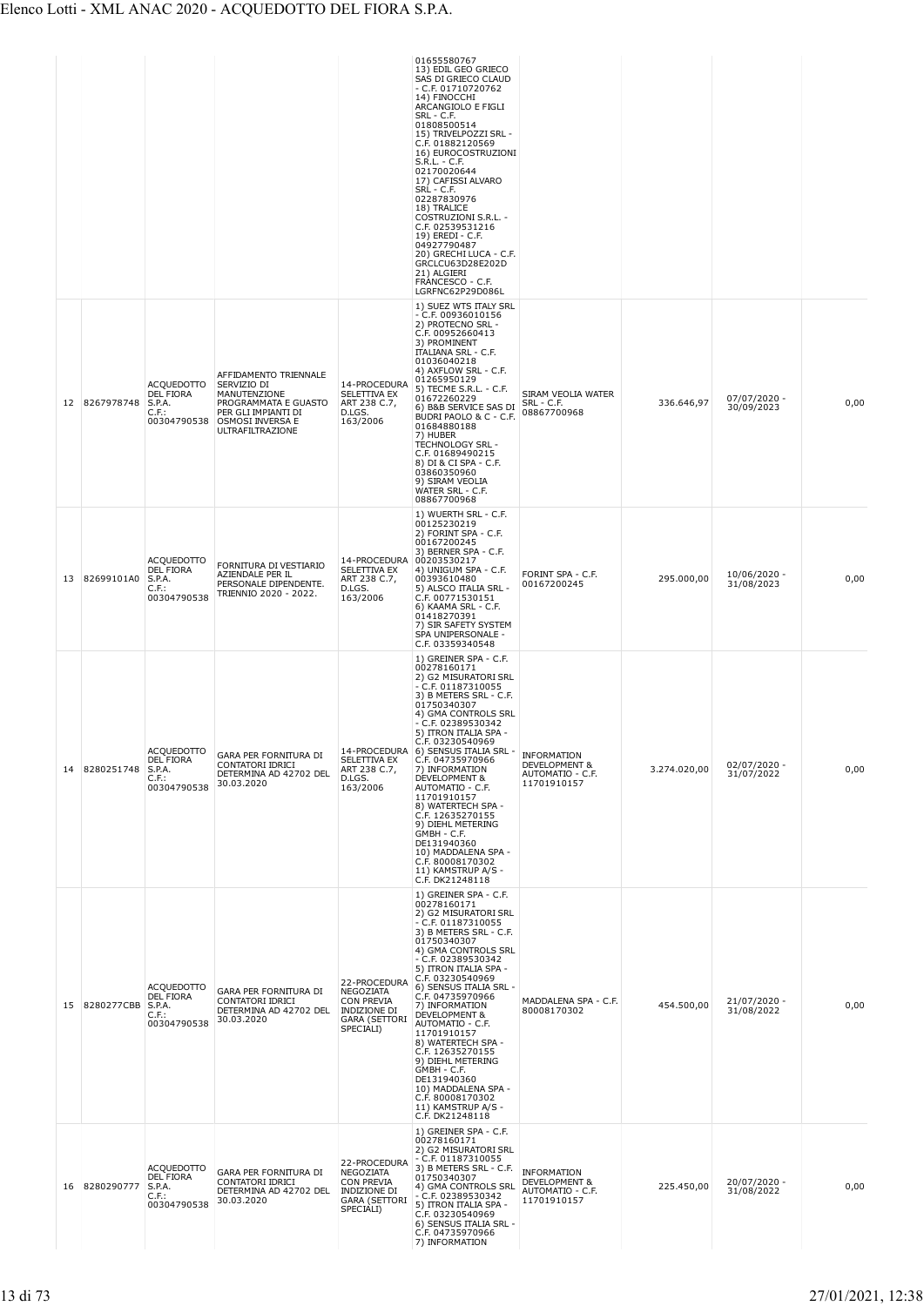|    |                      |                                                                            |                                                                                                                                             |                                                                                                            | 01655580767<br>13) EDIL GEO GRIECO<br>SAS DI GRIECO CLAUD<br>$-$ C.F. 01710720762<br>14) FINOCCHI<br>ARCANGIOLO E FIGLI<br><b>SRL - C.F.</b><br>01808500514<br>15) TRIVELPOZZI SRL -<br>C.F. 01882120569<br>16) EUROCOSTRUZIONI<br>$S.R.L. - C.F.$<br>02170020644<br>17) CAFISSI ALVARO<br>SRL - C.F.<br>02287830976<br>18) TRALICE<br>COSTRUZIONI S.R.L. -<br>C.F. 02539531216<br>19) EREDI - C.F.<br>04927790487<br>20) GRECHI LUCA - C.F.<br>GRCLCU63D28E202D<br>21) ALGIERI<br>FRANCESCO - C.F.<br>LGRFNC62P29D086L                   |                                                                        |              |                            |      |
|----|----------------------|----------------------------------------------------------------------------|---------------------------------------------------------------------------------------------------------------------------------------------|------------------------------------------------------------------------------------------------------------|-------------------------------------------------------------------------------------------------------------------------------------------------------------------------------------------------------------------------------------------------------------------------------------------------------------------------------------------------------------------------------------------------------------------------------------------------------------------------------------------------------------------------------------------|------------------------------------------------------------------------|--------------|----------------------------|------|
|    | 12 8267978748        | <b>ACQUEDOTTO</b><br>DEL FIORA<br>S.P.A.<br>C.F.<br>00304790538            | AFFIDAMENTO TRIENNALE<br>SERVIZIO DI<br>MANUTENZIONE<br>PROGRAMMATA E GUASTO<br>PER GLI IMPIANTI DI<br>OSMOSI INVERSA E<br>ULTRAFILTRAZIONE | 14-PROCEDURA<br>SELETTIVA EX<br>ART 238 C.7,<br>D.LGS.<br>163/2006                                         | 1) SUEZ WTS ITALY SRL<br>- C.F. 00936010156<br>2) PROTECNO SRL -<br>C.F. 00952660413<br>3) PROMINENT<br><b>ITALIANA SRL - C.F.</b><br>01036040218<br>4) AXFLOW SRL - C.F.<br>01265950129<br>5) TECME S.R.L. - C.F.<br>01672260229<br>6) B&B SERVICE SAS DI<br>BUDRI PAOLO & C - C.F.<br>01684880188<br>7) HUBER<br>TECHNOLOGY SRL -<br>C.F. 01689490215<br>8) DI & CI SPA - C.F.<br>03860350960<br>9) SIRAM VEOLIA<br>WATER SRL - C.F.<br>08867700968                                                                                     | SIRAM VEOLIA WATER<br>SRL - C.F.<br>08867700968                        | 336.646,97   | 07/07/2020 -<br>30/09/2023 | 0,00 |
| 13 | 82699101A0           | <b>ACQUEDOTTO</b><br><b>DEL FIORA</b><br>S.P.A.<br>$C.F.$ :<br>00304790538 | FORNITURA DI VESTIARIO<br>AZIENDALE PER IL<br>PERSONALE DIPENDENTE.<br>TRIENNIO 2020 - 2022.                                                | 14-PROCEDURA 00203530217<br>SELETTIVA EX<br>ART 238 C.7,<br>D.LGS.<br>163/2006                             | 1) WUERTH SRL - C.F.<br>00125230219<br>2) FORINT SPA - C.F.<br>00167200245<br>3) BERNER SPA - C.F.<br>4) UNIGUM SPA - C.F.<br>00393610480<br>5) ALSCO ITALIA SRL -<br>C.F. 00771530151<br>6) KAAMA SRL - C.F.<br>01418270391<br>7) SIR SAFETY SYSTEM<br>SPA UNIPERSONALE -<br>C.F. 03359340548                                                                                                                                                                                                                                            | FORINT SPA - C.F.<br>00167200245                                       | 295.000,00   | 10/06/2020 -<br>31/08/2023 | 0,00 |
| 14 | 8280251748           | <b>ACQUEDOTTO</b><br>DEL FIORA<br>S.P.A.<br>$C.F.$ :<br>00304790538        | GARA PER FORNITURA DI<br>CONTATORI IDRICI<br>DETERMINA AD 42702 DEL<br>30.03.2020                                                           | SELETTIVA EX<br>ART 238 C.7,<br>D.LGS.<br>163/2006                                                         | 1) GREINER SPA - C.F.<br>00278160171<br>2) G2 MISURATORI SRL<br>$- C.F. 01187310055$<br>3) B METERS SRL - C.F.<br>01750340307<br>4) GMA CONTROLS SRL<br>- C.F. 02389530342<br>5) ITRON ITALIA SPA -<br>C.F. 03230540969<br>14-PROCEDURA 6) SENSUS ITALIA SRL -<br>C.F. 04735970966<br>7) INFORMATION<br>DEVELOPMENT &<br>AUTOMATIO - C.F.<br>11701910157<br>8) WATERTECH SPA -<br>C.F. 12635270155<br>9) DIEHL METERING<br>GMBH - C.F.<br>DE131940360<br>10) MADDALENA SPA -<br>C.F. 80008170302<br>11) KAMSTRUP A/S -<br>C.F. DK21248118 | <b>INFORMATION</b><br>DEVELOPMENT &<br>AUTOMATIO - C.F.<br>11701910157 | 3.274.020,00 | 02/07/2020 -<br>31/07/2022 | 0,00 |
|    | 15 8280277CBB S.P.A. | <b>ACQUEDOTTO</b><br><b>DEL FIORA</b><br>$C.F.$ :<br>00304790538           | GARA PER FORNITURA DI<br>CONTATORI IDRICI<br>DETERMINA AD 42702 DEL<br>30.03.2020                                                           | 22-PROCEDURA<br>NEGOZIATA<br><b>CON PREVIA</b><br>INDIZIONE DI<br><b>GARA (SETTORI</b><br>SPECIALI)        | 1) GREINER SPA - C.F.<br>00278160171<br>2) G2 MISURATORI SRL<br>- C.F. 01187310055<br>3) B METERS SRL - C.F.<br>01750340307<br>4) GMA CONTROLS SRL<br>- C.F. 02389530342<br>5) ITRON ITALIA SPA -<br>C.F. 03230540969<br>6) SENSUS ITALIA SRL -<br>C.F. 04735970966<br>7) INFORMATION<br>DEVELOPMENT &<br>AUTOMATIO - C.F.<br>11701910157<br>8) WATERTECH SPA -<br>C.F. 12635270155<br>9) DIEHL METERING<br>GMBH - C.F.<br>DE131940360<br>10) MADDALENA SPA -<br>C.F. 80008170302<br>11) KAMSTRUP A/S -                                   | MADDALENA SPA - C.F.<br>80008170302                                    | 454.500,00   | 21/07/2020 -<br>31/08/2022 | 0,00 |
|    | 16 8280290777        | <b>ACQUEDOTTO</b><br><b>DEL FIORA</b><br>S.P.A.<br>C.F.<br>00304790538     | GARA PER FORNITURA DI<br>CONTATORI IDRICI<br>DETERMINA AD 42702 DEL<br>30.03.2020                                                           | 22-PROCEDURA<br>NEGOZIATA<br><b>CON PREVIA</b><br><b>INDIZIONE DI</b><br><b>GARA (SETTORI</b><br>SPECIALI) | C.F. DK21248118<br>1) GREINER SPA - C.F.<br>00278160171<br>2) G2 MISURATORI SRL<br>- C.F. 01187310055<br>3) B METERS SRL - C.F.<br>01750340307<br>4) GMA CONTROLS SRL<br>- C.F. 02389530342<br>5) ITRON ITALIA SPA -<br>C.F. 03230540969<br>6) SENSUS ITALIA SRL -<br>C.F. 04735970966<br>7) INFORMATION                                                                                                                                                                                                                                  | INFORMATION<br>DEVELOPMENT &<br>AUTOMATIO - C.F.<br>11701910157        | 225.450,00   | 20/07/2020 -<br>31/08/2022 | 0,00 |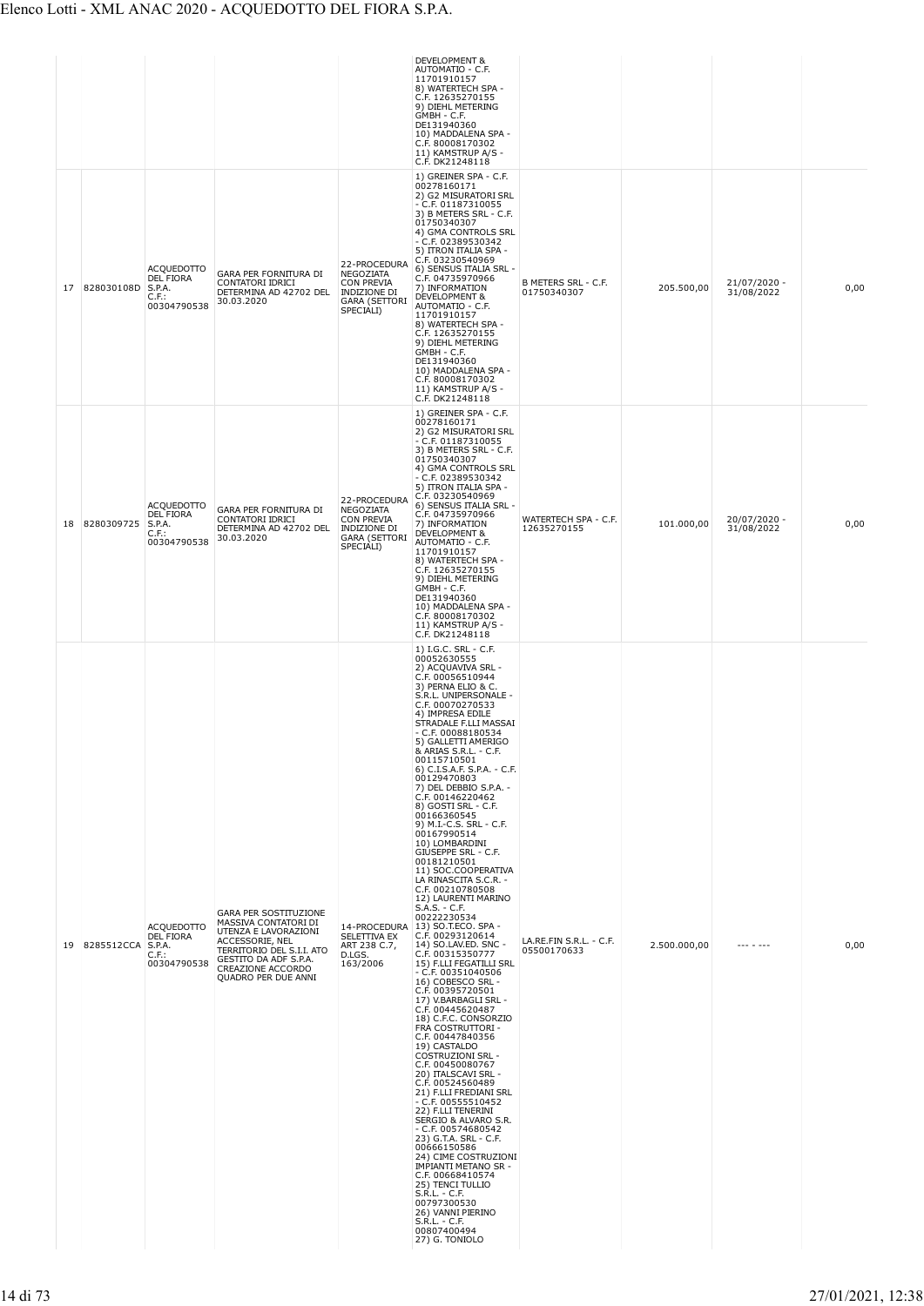|    |                      |                                                                            |                                                                                                                                                                                                   |                                                                                                            | DEVELOPMENT &<br>AUTOMATIO - C.F.<br>11701910157<br>8) WATERTECH SPA -<br>C.F. 12635270155<br>9) DIEHL METERING<br>GMBH - C.F.<br>DE131940360<br>10) MADDALENA SPA -<br>C.F. 80008170302<br>11) KAMSTRUP A/S -<br>C.F. DK21248118                                                                                                                                                                                                                                                                                                                                                                                                                                                                                                                                                                                                                                                                                                                                                                                                                                                                                                                                                                                                                                                                                                                                                                                                                   |                                        |              |                            |      |
|----|----------------------|----------------------------------------------------------------------------|---------------------------------------------------------------------------------------------------------------------------------------------------------------------------------------------------|------------------------------------------------------------------------------------------------------------|-----------------------------------------------------------------------------------------------------------------------------------------------------------------------------------------------------------------------------------------------------------------------------------------------------------------------------------------------------------------------------------------------------------------------------------------------------------------------------------------------------------------------------------------------------------------------------------------------------------------------------------------------------------------------------------------------------------------------------------------------------------------------------------------------------------------------------------------------------------------------------------------------------------------------------------------------------------------------------------------------------------------------------------------------------------------------------------------------------------------------------------------------------------------------------------------------------------------------------------------------------------------------------------------------------------------------------------------------------------------------------------------------------------------------------------------------------|----------------------------------------|--------------|----------------------------|------|
| 17 | 828030108D           | <b>ACQUEDOTTO</b><br>DEL FIORA<br>S.P.A.<br>$C.F.$ :<br>00304790538        | GARA PER FORNITURA DI<br>CONTATORI IDRICI<br>DETERMINA AD 42702 DEL<br>30.03.2020                                                                                                                 | 22-PROCEDURA<br>NEGOZIATA<br><b>CON PREVIA</b><br><b>INDIZIONE DI</b><br><b>GARA (SETTORI</b><br>SPECIALI) | 1) GREINER SPA - C.F.<br>00278160171<br>2) G2 MISURATORI SRL<br>$- C.F. 01187310055$<br>3) B METERS SRL - C.F.<br>01750340307<br>4) GMA CONTROLS SRL<br>- C.F. 02389530342<br>5) ITRON ITALIA SPA -<br>C.F. 03230540969<br>6) SENSUS ITALIA SRL -<br>C.F. 04735970966<br>7) INFORMATION<br>DEVELOPMENT &<br>AUTOMATIO - C.F.<br>11701910157<br>8) WATERTECH SPA -<br>C.F. 12635270155<br>9) DIEHL METERING<br>GMBH - C.F.<br>DE131940360<br>10) MADDALENA SPA -<br>C.F. 80008170302<br>11) KAMSTRUP A/S -<br>C.F. DK21248118                                                                                                                                                                                                                                                                                                                                                                                                                                                                                                                                                                                                                                                                                                                                                                                                                                                                                                                        | B METERS SRL - C.F.<br>01750340307     | 205.500,00   | 21/07/2020 -<br>31/08/2022 | 0,00 |
| 18 | 8280309725           | <b>ACQUEDOTTO</b><br><b>DEL FIORA</b><br>S.P.A.<br>$C.F.$ :<br>00304790538 | GARA PER FORNITURA DI<br>CONTATORI IDRICI<br>DETERMINA AD 42702 DEL<br>30.03.2020                                                                                                                 | 22-PROCEDURA<br>NEGOZIATA<br><b>CON PREVIA</b><br>INDIZIONE DI<br>GARA (SETTORI<br>SPECIALI)               | 1) GREINER SPA - C.F.<br>00278160171<br>2) G2 MISURATORI SRL<br>$-$ C.F. 01187310055<br>3) B METERS SRL - C.F.<br>01750340307<br>4) GMA CONTROLS SRL<br>$-$ C.F. 02389530342<br>5) ITRON ITALIA SPA -<br>C.F. 03230540969<br>6) SENSUS ITALIA SRL -<br>C.F. 04735970966<br>7) INFORMATION<br>DEVELOPMENT &<br>AUTOMATIO - C.F.<br>11701910157<br>8) WATERTECH SPA -<br>C.F. 12635270155<br>9) DIEHL METERING<br>GMBH - C.F.<br>DE131940360<br>10) MADDALENA SPA -<br>C.F. 80008170302<br>11) KAMSTRUP A/S -<br>C.F. DK21248118                                                                                                                                                                                                                                                                                                                                                                                                                                                                                                                                                                                                                                                                                                                                                                                                                                                                                                                      | WATERTECH SPA - C.F.<br>12635270155    | 101.000,00   | 20/07/2020 -<br>31/08/2022 | 0,00 |
|    | 19 8285512CCA S.P.A. | <b>ACQUEDOTTO</b><br>DEL FIORA<br>$C.F.$ :<br>00304790538                  | <b>GARA PER SOSTITUZIONE</b><br>MASSIVA CONTATORI DI<br>UTENZA E LAVORAZIONI<br>ACCESSORIE, NEL<br>TERRITORIO DEL S.I.I. ATO<br>GESTITO DA ADF S.P.A.<br>CREAZIONE ACCORDO<br>QUADRO PER DUE ANNI | SELETTIVA EX<br>ART 238 C.7,<br>D.LGS.<br>163/2006                                                         | 1) I.G.C. SRL - C.F.<br>00052630555<br>2) ACQUAVIVA SRL -<br>C.F. 00056510944<br>3) PERNA ELIO & C.<br>S.R.L. UNIPERSONALE -<br>C.F. 00070270533<br>4) IMPRESA EDILE<br>STRADALE F.LLI MASSAI<br>$-$ C.F. 00088180534<br>5) GALLETTI AMERIGO<br>& ARIAS S.R.L. - C.F.<br>00115710501<br>6) C.I.S.A.F. S.P.A. - C.F.<br>00129470803<br>7) DEL DEBBIO S.P.A. -<br>C.F. 00146220462<br>8) GOSTI SRL - C.F.<br>00166360545<br>9) M.I.-C.S. SRL - C.F.<br>00167990514<br>10) LOMBARDINI<br>GIUSEPPE SRL - C.F.<br>00181210501<br>11) SOC.COOPERATIVA<br>LA RINASCITA S.C.R. -<br>C.F. 00210780508<br>12) LAURENTI MARINO<br>$S.A.S. - C.F.$<br>00222230534<br>14-PROCEDURA 13) SO.T.ECO. SPA -<br>C.F. 00293120614<br>14) SO.LAV.ED. SNC -<br>C.F. 00315350777<br>15) F.LLI FEGATILLI SRL<br>$- C.F. 00351040506$<br>16) COBESCO SRL -<br>C.F. 00395720501<br>17) V.BARBAGLI SRL -<br>C.F. 00445620487<br>18) C.F.C. CONSORZIO<br>FRA COSTRUTTORI -<br>C.F. 00447840356<br>19) CASTALDO<br><b>COSTRUZIONI SRL -</b><br>C.F. 00450080767<br>20) ITALSCAVI SRL -<br>C.F. 00524560489<br>21) F.LLI FREDIANI SRL<br>$-$ C.F. 00555510452<br>22) F.LLI TENERINI<br>SERGIO & ALVARO S.R.<br>$-$ C.F. 00574680542<br>23) G.T.A. SRL - C.F.<br>00666150586<br>24) CIME COSTRUZIONI<br><b>IMPIANTI METANO SR -</b><br>C.F. 00668410574<br>25) TENCI TULLIO<br>S.R.L. - C.F.<br>00797300530<br>26) VANNI PIERINO<br>S.R.L. - C.F.<br>00807400494<br>27) G. TONIOLO | LA.RE.FIN S.R.L. - C.F.<br>05500170633 | 2.500.000,00 | $- - - - - - -$            | 0,00 |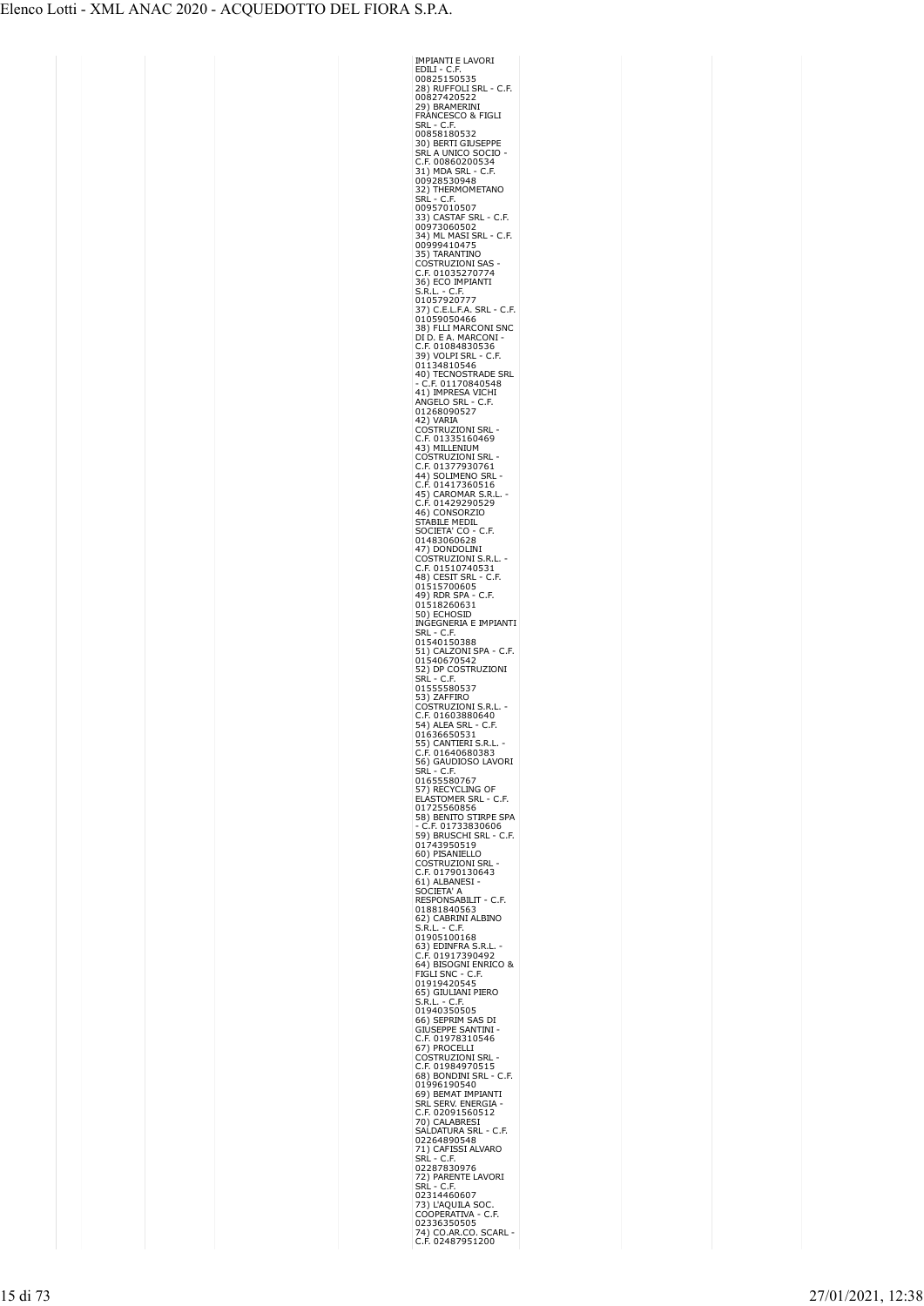| IMPIANTI E LAVORI<br>EDILI - C.F.                                                                                                                                                              |
|------------------------------------------------------------------------------------------------------------------------------------------------------------------------------------------------|
| 00825150535                                                                                                                                                                                    |
| 28) RUFFOLI SRL - C.F.                                                                                                                                                                         |
| 00827420522                                                                                                                                                                                    |
| 29) BRAMERINI                                                                                                                                                                                  |
| FRÁNCESCO & FIGLI<br>SRL - C.F.                                                                                                                                                                |
| 00858180532                                                                                                                                                                                    |
| 30) BERTI GIUSEPPE                                                                                                                                                                             |
| SRL A UNICO SOCIO<br>C.F. 00860200534                                                                                                                                                          |
|                                                                                                                                                                                                |
| 31) MDA SRL<br>$\sim$<br>C.F.                                                                                                                                                                  |
| 00928530948<br>32)<br>THERMOMETANO                                                                                                                                                             |
| SRL<br>$-$ C.F.                                                                                                                                                                                |
| 00957010507                                                                                                                                                                                    |
|                                                                                                                                                                                                |
|                                                                                                                                                                                                |
| 34) ML MASI SRL - C.F.<br>00999410475                                                                                                                                                          |
| 35) TARANTINO                                                                                                                                                                                  |
| <b>COSTRUZIONI SAS</b>                                                                                                                                                                         |
| .F. 01035270774<br>C                                                                                                                                                                           |
| 36) ECO IMPIANTI<br>S.R.L. - C.F.<br>01057920777                                                                                                                                               |
|                                                                                                                                                                                                |
|                                                                                                                                                                                                |
|                                                                                                                                                                                                |
| 37) C.E.L.F.A. SRL - C.F.<br>01059050466<br>38) FLLI MARCONI SNC                                                                                                                               |
| DI D. E A. MARCONI                                                                                                                                                                             |
|                                                                                                                                                                                                |
|                                                                                                                                                                                                |
|                                                                                                                                                                                                |
|                                                                                                                                                                                                |
|                                                                                                                                                                                                |
| DI D. E A. MARCONT<br>C.F. 01084830536<br>39) VOLPI SRL - C.F.<br>01134810546<br>40) TECNOSTRADE SRL<br>- C.F. 01170840548<br>41) IMPRESA VICHI<br>ANGELO SRL - C.F.<br>01269006527            |
| 01268090527                                                                                                                                                                                    |
| 42) VARIA                                                                                                                                                                                      |
| -2)<br>COSTRUZIONI SRL<br>C.F. 01335160469<br>43) MILLENIUM                                                                                                                                    |
|                                                                                                                                                                                                |
| (                                                                                                                                                                                              |
| (                                                                                                                                                                                              |
| e.i.: 01377350701<br>44) SOLIMENO SRL<br>C.F. 01417360516<br>45) CAROMAR S.R.<br>C.F. 01429290529                                                                                              |
| .L                                                                                                                                                                                             |
|                                                                                                                                                                                                |
| $46)$ (<br>CONSORZIO                                                                                                                                                                           |
| STABILE MEDIL<br>SOCIETA' CO - C.F.                                                                                                                                                            |
| 01483060628                                                                                                                                                                                    |
| 47) DONDOLINI                                                                                                                                                                                  |
| J,                                                                                                                                                                                             |
| COSTRUZIONI S.R.<br>C.F. 01510740531<br>48) CESIT SRL - C.                                                                                                                                     |
| .F.<br>01515700605                                                                                                                                                                             |
| C<br>.F.                                                                                                                                                                                       |
| 49) RDR SPA -<br>01518260631                                                                                                                                                                   |
| 50) ECHOSID                                                                                                                                                                                    |
| INGEGNERIA E IMPIANTI                                                                                                                                                                          |
| SRL<br>ł,<br>C.F                                                                                                                                                                               |
|                                                                                                                                                                                                |
| 01540150388<br>51) CALZONI SPA - C.F.<br>01540670542                                                                                                                                           |
| 52) DP COSTRUZIONI                                                                                                                                                                             |
|                                                                                                                                                                                                |
| $- C.F$<br>Srl                                                                                                                                                                                 |
|                                                                                                                                                                                                |
| 01555580537<br>53) ZAFFIRO                                                                                                                                                                     |
| C<br>C                                                                                                                                                                                         |
| COSTRUZIONI S.R.I<br>C.F. 01603880640<br>54) ALEA SRL - C.F.                                                                                                                                   |
| 01636650531                                                                                                                                                                                    |
|                                                                                                                                                                                                |
| 55) CANTIERI S.R <mark>.L</mark><br>C.F. 01640680383<br>C                                                                                                                                      |
| 56) GAUDIOSO LAVORI<br>SRL - C.F.                                                                                                                                                              |
|                                                                                                                                                                                                |
|                                                                                                                                                                                                |
| 01655580767<br>57) RECYCLING OF<br>ELASTOMER SRL - C.F.                                                                                                                                        |
| 01725560856                                                                                                                                                                                    |
| 58) BENITO STIRPE SPA<br>C.F. 01733830606                                                                                                                                                      |
|                                                                                                                                                                                                |
|                                                                                                                                                                                                |
| 59) BRUSCHI SRL - C.F.<br>01743950519<br>0021379505519<br>60) PISANIELLO                                                                                                                       |
|                                                                                                                                                                                                |
| COSTRUZIONI SRL<br>C.F. 01790130643                                                                                                                                                            |
| 61) ALBANESI<br>SOCIETA' A                                                                                                                                                                     |
| RESPONSABILIT - C.F.                                                                                                                                                                           |
| 01881840563                                                                                                                                                                                    |
| 62) CABRINI ALBINO                                                                                                                                                                             |
| S.R.L. - C.F.<br>01905100168                                                                                                                                                                   |
|                                                                                                                                                                                                |
|                                                                                                                                                                                                |
|                                                                                                                                                                                                |
|                                                                                                                                                                                                |
|                                                                                                                                                                                                |
|                                                                                                                                                                                                |
| 0199010088<br>63) EDINFRA S.R.L. -<br>C.F. 01917390492<br>64) BISOGNI ENRICO &<br>FIGLI SNC - C.F.<br>01919420545<br>65) GIULIANI PIERO<br>65) GIULIANI PIERO<br>01940350505<br>66) SEPRIN SAS |
| 66) SEPRIM SAS DI<br>GIÚSEPPE SANTINI<br>ι                                                                                                                                                     |
|                                                                                                                                                                                                |
| C.F. 01978310546<br>67) PROCELLI                                                                                                                                                               |
|                                                                                                                                                                                                |
|                                                                                                                                                                                                |
| ozy Hooclean<br>COSTRUZIONI SRL -<br>C.F. 01984970515<br>68) BONDINI SRL - C.F.<br>01996190540                                                                                                 |
| 69) BEMAT IMPIANTI                                                                                                                                                                             |
|                                                                                                                                                                                                |
| SRĹ SERV. ENERGIA<br>C.F. 02091560512                                                                                                                                                          |
| 70) CALABRESI                                                                                                                                                                                  |
| SALDATURA SRL<br>- C.F.<br>02264890548                                                                                                                                                         |
|                                                                                                                                                                                                |
| 71) CAFISSI ALVARO<br>SRL - C.F.                                                                                                                                                               |
| 02287830976                                                                                                                                                                                    |
| 72) PARENTE LAVORI<br>SRL<br>$- C.F.$                                                                                                                                                          |
| 02314460607                                                                                                                                                                                    |
| 73) L'AQUILA SOC                                                                                                                                                                               |
| JC.<br>C.F.<br><b>COOPERATIVA</b>                                                                                                                                                              |
| 02336350505<br>74) CO.AR.CO. SCARL -<br>C.F. 02487951200                                                                                                                                       |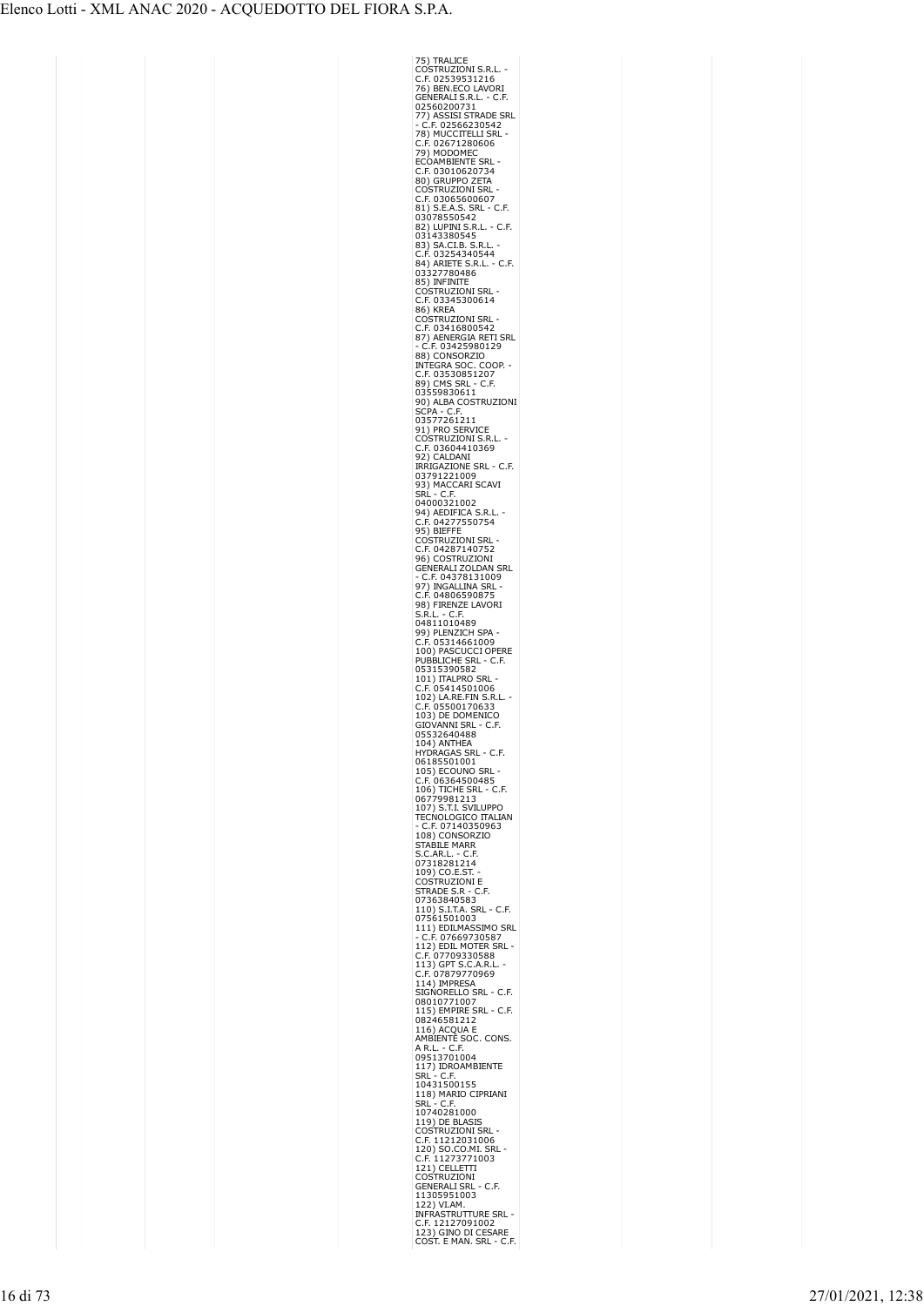| 75) TRALICE<br>COSTRUZIONI S.R.L.                                                                                                               |  |
|-------------------------------------------------------------------------------------------------------------------------------------------------|--|
|                                                                                                                                                 |  |
|                                                                                                                                                 |  |
|                                                                                                                                                 |  |
|                                                                                                                                                 |  |
| <b>COSTROZIONI S.R.L. -<br/>C.F. 02539531216<br/>76) BEN.ECO LAVORI<br/>GENERALI S.R.L. - C.F.<br/>02560200731</b>                              |  |
|                                                                                                                                                 |  |
|                                                                                                                                                 |  |
| 77) ASSISI STRADE SRL<br>- C.F. 02566230542<br>- C.F. 02566230542<br>C.F. 02671280606<br>C.F. 02671280606<br>FCOAMBIENTE SRL<br>ECOAMBIENTE SRL |  |
|                                                                                                                                                 |  |
|                                                                                                                                                 |  |
|                                                                                                                                                 |  |
| C.F. 03010620734<br>80) GRUPPO ZETA                                                                                                             |  |
| <b>OSTRUZIONI SRL</b><br>$\frac{1}{2}$                                                                                                          |  |
| .F. 03065600607                                                                                                                                 |  |
|                                                                                                                                                 |  |
|                                                                                                                                                 |  |
| e.i. 95.8.8.5.8.8.1<br>81) S.E.A.S. SRL - C.F.<br>82) LUPINI S.R.L. - C.F.<br>03143380545                                                       |  |
|                                                                                                                                                 |  |
| 83) SA.CI.B. S.R.L                                                                                                                              |  |
| C.F. 03254340544<br>84) ARIETE S.R.L. - C.F.                                                                                                    |  |
|                                                                                                                                                 |  |
| 03327780486                                                                                                                                     |  |
| 85) INFINITE<br>COSTRUZIONI SRL                                                                                                                 |  |
|                                                                                                                                                 |  |
| C.F. 03345300614                                                                                                                                |  |
| <b>86) KREA</b>                                                                                                                                 |  |
| Ostruzioni Srl<br>C<br>$\epsilon$                                                                                                               |  |
| .F. 03416800542                                                                                                                                 |  |
|                                                                                                                                                 |  |
|                                                                                                                                                 |  |
| <b>87) AENERGIA RETI SRL<br/> 87) AENERGIA RETI SRL<br/> - C.F. 03425980129<br/> INTEGRA SOC. COOP.<br/> C.F. 03530851207</b>                   |  |
|                                                                                                                                                 |  |
| 89) CMS SRL - C.F.                                                                                                                              |  |
| 03559830611                                                                                                                                     |  |
| 90) ALBA COSTRUZIONI                                                                                                                            |  |
| SCPA - C.F.                                                                                                                                     |  |
| 03577261211                                                                                                                                     |  |
| 91) PRO SERVICE                                                                                                                                 |  |
| :OSTRUZIONI S.R.I<br>C                                                                                                                          |  |
| F. 03604410369.<br>C                                                                                                                            |  |
| 92) CALDANI                                                                                                                                     |  |
| IRRIGAZIONE SRL - C.F.                                                                                                                          |  |
| 03791221009                                                                                                                                     |  |
| 93) MACCARI SCAVI                                                                                                                               |  |
| SRL - C.F.<br>04000321002                                                                                                                       |  |
| 94) AEDIFICA S.R.L.                                                                                                                             |  |
| .F. 04277550754<br>C                                                                                                                            |  |
| 95) BIEFFE                                                                                                                                      |  |
| COSTRUZIONI SRL                                                                                                                                 |  |
| .F. 04287140752<br>C                                                                                                                            |  |
|                                                                                                                                                 |  |
| 96) COSTRUZIONI<br>GENERALI ZOLDAN SRL                                                                                                          |  |
| C.F. 04378131009                                                                                                                                |  |
| 97) INGALLINA SRL<br>C.F. 04806590875                                                                                                           |  |
|                                                                                                                                                 |  |
| 98) FIRENZE LAVORI                                                                                                                              |  |
| S.R.L<br>∙ C.F.<br>S.R.L. - C.F.<br>04811010489                                                                                                 |  |
|                                                                                                                                                 |  |
| 99) PLENZICH SPA                                                                                                                                |  |
| C.F. 05314661009<br>100) PASCUCCI OPERE<br>2002 PASCUCCI OPERE<br>C                                                                             |  |
| PUBBLICHE SRL                                                                                                                                   |  |
| C.F.                                                                                                                                            |  |
| 05315390582<br>101) ITALPRO SRL                                                                                                                 |  |
| 05414501006<br>.F.<br>C                                                                                                                         |  |
| C.1. 00-1.<br>102) LA.RE.FIN S.R.L.<br>C.F. 05500170633<br>103) DE DOMENICO                                                                     |  |
|                                                                                                                                                 |  |
|                                                                                                                                                 |  |
| GIOVANNI SRL<br>- C.F.                                                                                                                          |  |
| 05532640488                                                                                                                                     |  |
| L.<br>$\overline{1}$<br>\NTI<br>١E                                                                                                              |  |
| HYDRAGAS SRL - C.F.                                                                                                                             |  |
| 06185501001                                                                                                                                     |  |
|                                                                                                                                                 |  |
|                                                                                                                                                 |  |
| 105) ECOUNO SRL<br>C.F. 06364500485<br>106) TICHE SRL - (<br>$5.5$<br>$106$ )<br>$0677$<br>$10-1$<br>C.F.                                       |  |
| 79981213                                                                                                                                        |  |
|                                                                                                                                                 |  |
| 107) S.T.I. SVILUPPO                                                                                                                            |  |
| TECNOLOGICO ITALIAN                                                                                                                             |  |
| $\overline{C}$<br>F. 07140350963                                                                                                                |  |
| 108) CONSORZIO                                                                                                                                  |  |
|                                                                                                                                                 |  |
| STABILE MARR<br>STABILE MARR<br>S.C.AR.L. - C.F<br>٠F,                                                                                          |  |
|                                                                                                                                                 |  |
| 07318281214<br>109) CO.E.ST.<br>C                                                                                                               |  |
| OSTRUZIONI E                                                                                                                                    |  |
| STRADE S.R - C.F.                                                                                                                               |  |
| 07363840583<br>110) S.I.T.A. SRL - C.F.                                                                                                         |  |
|                                                                                                                                                 |  |
| 07561501003                                                                                                                                     |  |
|                                                                                                                                                 |  |
| 111) EDILMASSIMO SRI<br>- C.F. 07669730587<br>112) EDIL MOTER SRL -                                                                             |  |
|                                                                                                                                                 |  |
| C.F. 07709330588<br>113) GPT S.C.A.R.L                                                                                                          |  |
| C.F. 07879770969                                                                                                                                |  |
| 114) IMPRESA                                                                                                                                    |  |
| SIGNORELLO SRL - C.F.                                                                                                                           |  |
| 08010771007                                                                                                                                     |  |
| 115) EMPIRE SRL - C.F.                                                                                                                          |  |
| 08246581212<br>116) ACQUA E                                                                                                                     |  |
| AMBIENTE SOC. CONS.                                                                                                                             |  |
|                                                                                                                                                 |  |
| A R.L. - C.F.<br>09513701004                                                                                                                    |  |
|                                                                                                                                                 |  |
| 117) IDROAMBIENTE<br>SRL - C.F.<br>SRL                                                                                                          |  |
| 10431500155                                                                                                                                     |  |
|                                                                                                                                                 |  |
| 118) MARIO CIPRIANI<br>SRL - C.F.<br>SRL                                                                                                        |  |
| 10740281000                                                                                                                                     |  |
| 119) DE BLASIS                                                                                                                                  |  |
| <b>COSTRUZIONI SRL</b>                                                                                                                          |  |
|                                                                                                                                                 |  |
|                                                                                                                                                 |  |
|                                                                                                                                                 |  |
| C.F. 11212031006<br>120) SO.CO.MI. SRL<br>C.F. 11273771003<br>121) CELLETTI<br>COSTRUZIONI                                                      |  |
| GENERALI SRL - C.F.                                                                                                                             |  |
|                                                                                                                                                 |  |
| 11305951003                                                                                                                                     |  |
|                                                                                                                                                 |  |
| 122) VI.AM.<br>INFRASTRUTTURE SRL                                                                                                               |  |
| C.F. 12127091002<br>123) GINO DI CESARE<br>COST. E MAN. SRL -<br>- C.F.                                                                         |  |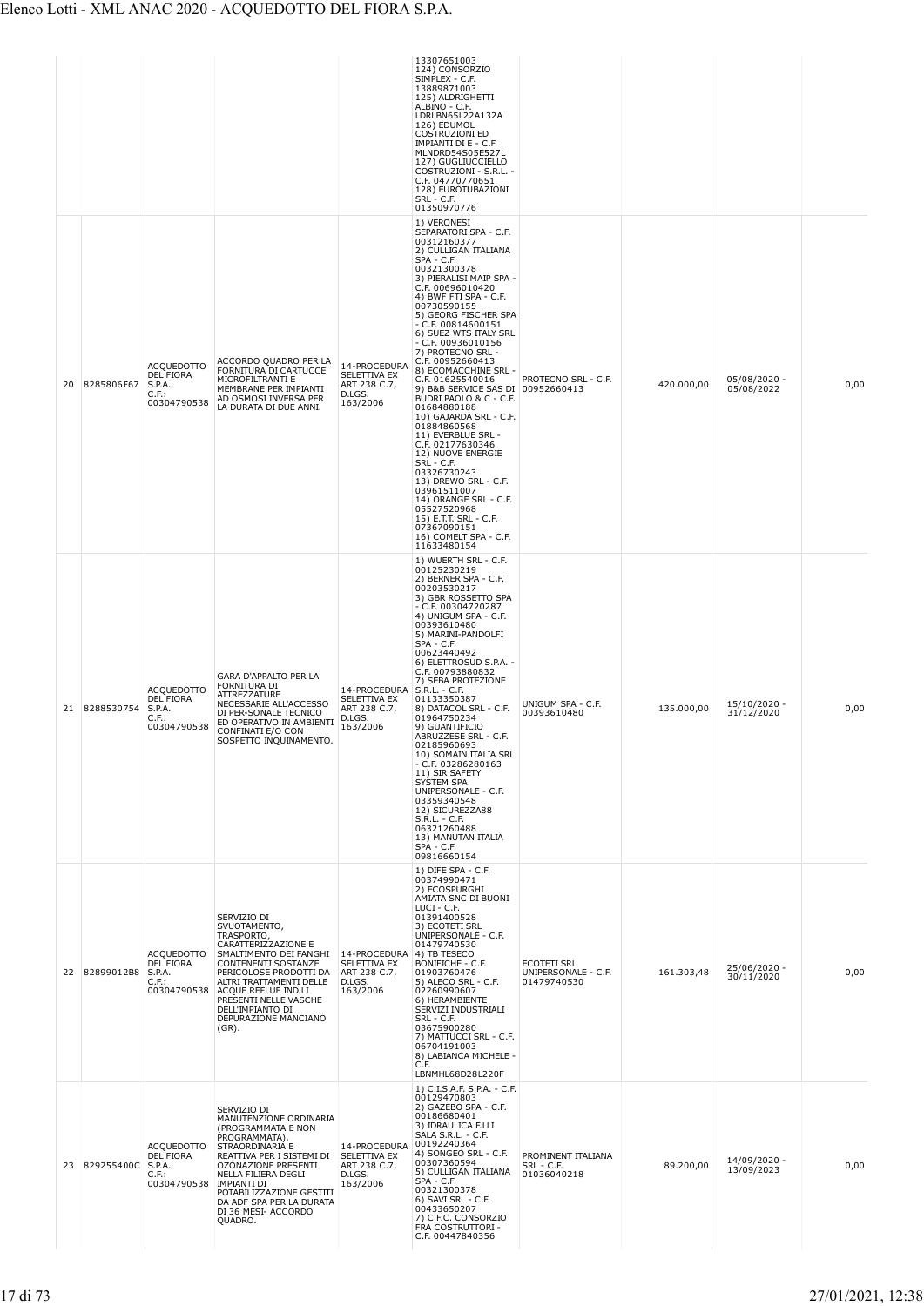| 20 | 8285806F67           | <b>ACQUEDOTTO</b><br><b>DEL FIORA</b><br>S.P.A.<br>C.F.:<br>00304790538 | ACCORDO QUADRO PER LA<br>FORNITURA DI CARTUCCE<br>MICROFILTRANTI E<br>MEMBRANE PER IMPIANTI<br>AD OSMOSI INVERSA PER<br>LA DURATA DI DUE ANNI.                                                                                                                                                                  | 14-PROCEDURA<br>SELETTIVA EX<br>ART 238 C.7,<br>D.LGS.<br>163/2006               | 13307651003<br>124) CONSORZIO<br>SIMPLEX - C.F.<br>13889871003<br>125) ALDRIGHETTI<br>ALBINO - C.F.<br>LDRLBN65L22A132A<br>126) EDUMOL<br><b>COSTRUZIONI ED</b><br>IMPIANTI DI E - C.F.<br>MLNDRD54S05E527L<br>127) GUGLIUCCIELLO<br>COSTRUZIONI - S.R.L. -<br>C.F. 04770770651<br>128) EUROTUBAZIONI<br>SRL - C.F.<br>01350970776<br>1) VERONESI<br>SEPARATORI SPA - C.F.<br>00312160377<br>2) CULLIGAN ITALIANA<br>$SPA - C.F.$<br>00321300378<br>3) PIERALISI MAIP SPA -<br>C.F. 00696010420<br>4) BWF FTI SPA - C.F.<br>00730590155<br>5) GEORG FISCHER SPA<br>- C.F. 00814600151<br>6) SUEZ WTS ITALY SRL<br>$-$ C.F. 00936010156<br>7) PROTECNO SRL -<br>C.F. 00952660413<br>8) ECOMACCHINE SRL -<br>C.F. 01625540016<br>9) B&B SERVICE SAS DI 00952660413<br>BUDRI PAOLO & C - C.F.<br>01684880188<br>10) GAJARDA SRL - C.F.<br>01884860568<br>11) EVERBLUE SRL -<br>C.F. 02177630346<br>12) NUOVE ENERGIE<br>SRL - C.F.<br>03326730243<br>13) DREWO SRL - C.F.<br>03961511007<br>14) ORANGE SRL - C.F.<br>05527520968<br>15) E.T.T. SRL - C.F.<br>07367090151<br>16) COMELT SPA - C.F.<br>11633480154 | PROTECNO SRL - C.F.                                      | 420.000,00 | 05/08/2020 -<br>05/08/2022 | 0,00 |
|----|----------------------|-------------------------------------------------------------------------|-----------------------------------------------------------------------------------------------------------------------------------------------------------------------------------------------------------------------------------------------------------------------------------------------------------------|----------------------------------------------------------------------------------|---------------------------------------------------------------------------------------------------------------------------------------------------------------------------------------------------------------------------------------------------------------------------------------------------------------------------------------------------------------------------------------------------------------------------------------------------------------------------------------------------------------------------------------------------------------------------------------------------------------------------------------------------------------------------------------------------------------------------------------------------------------------------------------------------------------------------------------------------------------------------------------------------------------------------------------------------------------------------------------------------------------------------------------------------------------------------------------------------------------|----------------------------------------------------------|------------|----------------------------|------|
| 21 | 8288530754           | <b>ACQUEDOTTO</b><br><b>DEL FIORA</b><br>S.P.A.<br>C.F.:<br>00304790538 | GARA D'APPALTO PER LA<br>FORNITURA DI<br>ATTREZZATURE<br>NECESSARIE ALL'ACCESSO<br>DI PER-SONALE TECNICO<br>ED OPERATIVO IN AMBIENTI<br>CONFINATI E/O CON<br>SOSPETTO INQUINAMENTO.                                                                                                                             | 14-PROCEDURA S.R.L. - C.F.<br>SELETTIVA EX<br>ART 238 C.7,<br>D.LGS.<br>163/2006 | 1) WUERTH SRL - C.F.<br>00125230219<br>2) BERNER SPA - C.F.<br>00203530217<br>3) GBR ROSSETTO SPA<br>- C.F. 00304720287<br>4) UNIGUM SPA - C.F.<br>00393610480<br>5) MARINI-PANDOLFI<br>SPA - C.F.<br>00623440492<br>6) ELETTROSUD S.P.A. -<br>C.F. 00793880832<br>7) SEBA PROTEZIONE<br>01133350387<br>8) DATACOL SRL - C.F.<br>01964750234<br>9) GUANTIFICIO<br>ABRUZZESE SRL - C.F.<br>02185960693<br>10) SOMAIN ITALIA SRL<br>- C.F. 03286280163<br>11) SIR SAFETY<br>SYSTEM SPA<br>UNIPERSONALE - C.F.<br>03359340548<br>12) SICUREZZA88<br>$S.R.L. - C.F.$<br>06321260488<br>13) MANUTAN ITALIA<br>SPA - C.F.<br>09816660154                                                                                                                                                                                                                                                                                                                                                                                                                                                                            | UNIGUM SPA - C.F.<br>00393610480                         | 135.000,00 | 15/10/2020 -<br>31/12/2020 | 0,00 |
|    | 22 82899012B8 S.P.A. | ACQUEDOTTO<br><b>DEL FIORA</b><br>C.F.:<br>00304790538                  | SERVIZIO DI<br>SVUOTAMENTO,<br>TRASPORTO,<br>CARATTERIZZAZIONE E<br>SMALTIMENTO DEI FANGHI 14-PROCEDURA 4) TB TESECO<br><b>CONTENENTI SOSTANZE</b><br>PERICOLOSE PRODOTTI DA<br>ALTRI TRATTAMENTI DELLE<br>ACQUE REFLUE IND.LI<br>PRESENTI NELLE VASCHE<br>DELL'IMPIANTO DI<br>DEPURAZIONE MANCIANO<br>$(GR)$ . | SELETTIVA EX<br>ART 238 C.7,<br>D.LGS.<br>163/2006                               | 1) DIFE SPA - C.F.<br>00374990471<br>2) ECOSPURGHI<br>AMIATA SNC DI BUONI<br>LUCI - C.F.<br>01391400528<br>3) ECOTETI SRL<br>UNIPERSONALE - C.F.<br>01479740530<br>BONIFICHE - C.F.<br>01903760476<br>5) ALECO SRL - C.F.<br>02260990607<br>6) HERAMBIENTE<br>SERVIZI INDUSTRIALI<br>SRL - C.F.<br>03675900280<br>7) MATTUCCI SRL - C.F.<br>06704191003<br>8) LABIANCA MICHELE -<br>C.F.<br>LBNMHL68D28L220F                                                                                                                                                                                                                                                                                                                                                                                                                                                                                                                                                                                                                                                                                                  | <b>ECOTETI SRL</b><br>UNIPERSONALE - C.F.<br>01479740530 | 161.303,48 | 25/06/2020 -<br>30/11/2020 | 0,00 |
| 23 | 829255400C           | ACQUEDOTTO<br>DEL FIORA<br>S.P.A.<br>C.F.:<br>00304790538               | SERVIZIO DI<br>MANUTENZIONE ORDINARIA<br>(PROGRAMMATA E NON<br>PROGRAMMATA),<br>STRAORDINARIA E<br>REATTIVA PER I SISTEMI DI<br>OZONAZIONE PRESENTI<br>NELLA FILIERA DEGLI<br><b>IMPIANTI DI</b><br>POTABILIZZAZIONE GESTITI<br>DA ADF SPA PER LA DURATA<br>DI 36 MESI- ACCORDO<br>QUADRO.                      | 14-PROCEDURA<br>SELETTIVA EX<br>ART 238 C.7,<br>D.LGS.<br>163/2006               | 1) C.I.S.A.F. S.P.A. - C.F.<br>00129470803<br>2) GAZEBO SPA - C.F.<br>00186680401<br>3) IDRAULICA F.LLI<br>SALA S.R.L. - C.F.<br>00192240364<br>4) SONGEO SRL - C.F.<br>00307360594<br>5) CULLIGAN ITALIANA<br>SPA - C.F.<br>00321300378<br>6) SAVI SRL - C.F.<br>00433650207<br>7) C.F.C. CONSORZIO<br>FRA COSTRUTTORI -<br>C.F. 00447840356                                                                                                                                                                                                                                                                                                                                                                                                                                                                                                                                                                                                                                                                                                                                                                 | PROMINENT ITALIANA<br>SRL - C.F.<br>01036040218          | 89.200,00  | 14/09/2020 -<br>13/09/2023 | 0,00 |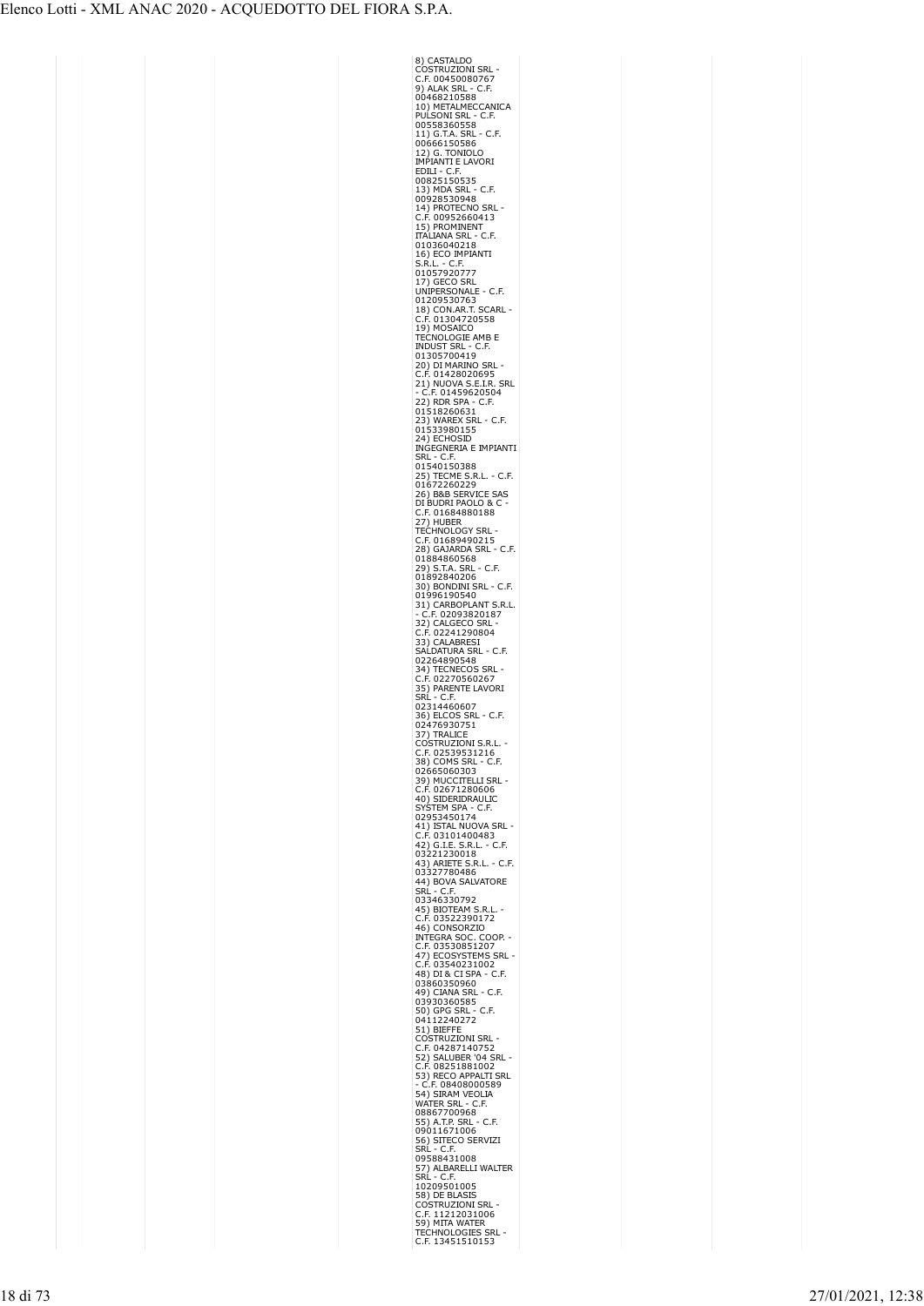| 8) CASTALDO<br>COSTRUZIONI SRL                                                                                                                                                                                                                                        |  |
|-----------------------------------------------------------------------------------------------------------------------------------------------------------------------------------------------------------------------------------------------------------------------|--|
| C.F. 00450080767                                                                                                                                                                                                                                                      |  |
| ĹF.<br>C                                                                                                                                                                                                                                                              |  |
| 9) ALAK SRL -<br>00468210588                                                                                                                                                                                                                                          |  |
| 10) METALMECCANICA<br>PULSONI SRL - C.F.                                                                                                                                                                                                                              |  |
| C.F.<br>00558360558                                                                                                                                                                                                                                                   |  |
| $- C.F.$                                                                                                                                                                                                                                                              |  |
| 11) G.T.A. SRL<br>00666150586                                                                                                                                                                                                                                         |  |
| 12) G. TONIOLO<br>IMPIANTI E LAVORI                                                                                                                                                                                                                                   |  |
|                                                                                                                                                                                                                                                                       |  |
| EDILI - C.F.<br>00825150535                                                                                                                                                                                                                                           |  |
| 13) MDA SRL<br>C<br>.F.                                                                                                                                                                                                                                               |  |
| 00928530948                                                                                                                                                                                                                                                           |  |
| 14) PROTECNO SRL                                                                                                                                                                                                                                                      |  |
| .F. 00952660413<br>C                                                                                                                                                                                                                                                  |  |
| 15) PROMINENT                                                                                                                                                                                                                                                         |  |
| <b>ITALIANA SRL -</b><br>C.F.<br>01036040218                                                                                                                                                                                                                          |  |
|                                                                                                                                                                                                                                                                       |  |
| 16) ECO IMPIANTI<br>S.R.L. - C.F.<br>S.R.L                                                                                                                                                                                                                            |  |
| 01057920777                                                                                                                                                                                                                                                           |  |
| 17) GECO SRL<br>UNIPERSONALE                                                                                                                                                                                                                                          |  |
| · C.F.                                                                                                                                                                                                                                                                |  |
| 01209530763                                                                                                                                                                                                                                                           |  |
|                                                                                                                                                                                                                                                                       |  |
|                                                                                                                                                                                                                                                                       |  |
|                                                                                                                                                                                                                                                                       |  |
|                                                                                                                                                                                                                                                                       |  |
|                                                                                                                                                                                                                                                                       |  |
|                                                                                                                                                                                                                                                                       |  |
|                                                                                                                                                                                                                                                                       |  |
|                                                                                                                                                                                                                                                                       |  |
|                                                                                                                                                                                                                                                                       |  |
|                                                                                                                                                                                                                                                                       |  |
|                                                                                                                                                                                                                                                                       |  |
|                                                                                                                                                                                                                                                                       |  |
| INDUST SRL - C.F.<br>01305700419<br>20) DI MARINO SRL -<br>C.F. 01428020695<br>21) NUOVA S.E.I.R. SRL<br>- C.F. 01459620504<br>01518260631<br>01518260631<br>015133980155<br>24) ECHOSID<br>24) ECHOSID<br>2453980155<br>NCGONERIA E IMPIANTI<br>NCGONERIA E IMPIANTI |  |
|                                                                                                                                                                                                                                                                       |  |
|                                                                                                                                                                                                                                                                       |  |
|                                                                                                                                                                                                                                                                       |  |
|                                                                                                                                                                                                                                                                       |  |
| 26) B&B SERVICE SAS<br>DI BUDRI PAOLO & C -                                                                                                                                                                                                                           |  |
| $\mathsf{C}$                                                                                                                                                                                                                                                          |  |
|                                                                                                                                                                                                                                                                       |  |
| ደ', /<br>TECHNOLOGY SKL -<br>C.F. 01689490215<br>28) GAJARDA SRL - C.F.<br>^^^^^^^^^^                                                                                                                                                                                 |  |
| C                                                                                                                                                                                                                                                                     |  |
|                                                                                                                                                                                                                                                                       |  |
| ۰C<br>۵F.                                                                                                                                                                                                                                                             |  |
| 207020860568<br>29) S.T.A. SRL<br>01892840206                                                                                                                                                                                                                         |  |
|                                                                                                                                                                                                                                                                       |  |
|                                                                                                                                                                                                                                                                       |  |
|                                                                                                                                                                                                                                                                       |  |
| 01692640200<br>30) BONDINI SRL - C.F.<br>01996190540<br>31) CARBOPLANT S.R.L.<br>- C.F. 02093820187<br>32) CALGECO SRL -<br>C.F. 02241290804<br>33) CALGERESI<br>530 NATURA SRL - C F                                                                                 |  |
|                                                                                                                                                                                                                                                                       |  |
|                                                                                                                                                                                                                                                                       |  |
| SALDATURA SRL<br>$- C.F.$                                                                                                                                                                                                                                             |  |
|                                                                                                                                                                                                                                                                       |  |
| 02264890548                                                                                                                                                                                                                                                           |  |
| <b>TECNECOS SRL</b>                                                                                                                                                                                                                                                   |  |
| 34) TECNECOS SKI<br>C.F. 02270560267                                                                                                                                                                                                                                  |  |
| 35) PARENTE LAVORI                                                                                                                                                                                                                                                    |  |
| SRĹ - C.F                                                                                                                                                                                                                                                             |  |
| 02314460607<br>36) ELCOS SRL - C.F.                                                                                                                                                                                                                                   |  |
|                                                                                                                                                                                                                                                                       |  |
|                                                                                                                                                                                                                                                                       |  |
| <b>COSTRUZIONI</b><br>S.R.L                                                                                                                                                                                                                                           |  |
| F. 02539531216.<br>C<br>38) C<br>C.F.                                                                                                                                                                                                                                 |  |
| OMS SRL<br>02665060303                                                                                                                                                                                                                                                |  |
|                                                                                                                                                                                                                                                                       |  |
| 39) MUCCITELLI SRL<br>C.F. 02671280606<br>C                                                                                                                                                                                                                           |  |
| 40) SIDERIDRAULIO                                                                                                                                                                                                                                                     |  |
|                                                                                                                                                                                                                                                                       |  |
| SYSTEM SPA - C.F.<br>02953450174                                                                                                                                                                                                                                      |  |
| 41) ISTAL NUOVA SRL<br>C.F. 03101400483                                                                                                                                                                                                                               |  |
|                                                                                                                                                                                                                                                                       |  |
| 42) G.I.E. S.R.L. - C.F.<br>03221230018                                                                                                                                                                                                                               |  |
|                                                                                                                                                                                                                                                                       |  |
|                                                                                                                                                                                                                                                                       |  |
|                                                                                                                                                                                                                                                                       |  |
| ---, 50  5.<br>SRL - C.F.<br>03346330792                                                                                                                                                                                                                              |  |
|                                                                                                                                                                                                                                                                       |  |
|                                                                                                                                                                                                                                                                       |  |
| COOP.                                                                                                                                                                                                                                                                 |  |
|                                                                                                                                                                                                                                                                       |  |
| SRL                                                                                                                                                                                                                                                                   |  |
|                                                                                                                                                                                                                                                                       |  |
| C.F.                                                                                                                                                                                                                                                                  |  |
|                                                                                                                                                                                                                                                                       |  |
|                                                                                                                                                                                                                                                                       |  |
| 03346330792<br>45) BOTEAM S.R.L. -<br>C.F. 03522390172<br>46) CONSORZIO<br>INTEGRA SOC. COOP<br>47) ECONSTEMS SR<br>47) D.R.COSYSTEMS SR<br>48) DI& CI SPA - C.F.<br>49) CIANA SRL - C.F.<br>49) CIANA SRL - C.F.<br>503303560585<br>500 - 03930360585                |  |
|                                                                                                                                                                                                                                                                       |  |
| 50) GPG SRL - C.F.<br>04112240272<br>51) BIEFFE                                                                                                                                                                                                                       |  |
|                                                                                                                                                                                                                                                                       |  |
|                                                                                                                                                                                                                                                                       |  |
|                                                                                                                                                                                                                                                                       |  |
|                                                                                                                                                                                                                                                                       |  |
|                                                                                                                                                                                                                                                                       |  |
|                                                                                                                                                                                                                                                                       |  |
| 51) BileFre<br>COSTRUZIONI SRL<br>C.F. 04287140752<br>S.C.F. 04287140752<br>C.F. 08251881002<br>C.F. 08251881002<br>- C.F. 08408000589<br>WATER SRL<br>- 54) SIRAM VEOLIA<br>WATER SRL<br>- C.F. 08408000589<br>WATER SRL<br>- C.F.<br>08867700968                    |  |
| C.F.                                                                                                                                                                                                                                                                  |  |
| 08867700968<br>55) A.T.P. SRL<br>09011671006                                                                                                                                                                                                                          |  |
|                                                                                                                                                                                                                                                                       |  |
|                                                                                                                                                                                                                                                                       |  |
| 56) SITECO SERVIZI<br>SRL - C.F.<br>09588431008                                                                                                                                                                                                                       |  |
| 09500-151000<br>57) ALBARELLI WALTER<br>SRL - C.F.                                                                                                                                                                                                                    |  |
|                                                                                                                                                                                                                                                                       |  |
| 58) DE BLASIS                                                                                                                                                                                                                                                         |  |
|                                                                                                                                                                                                                                                                       |  |
| <b>COSTRUZIONI SRL<br/>C.F. 11212031006<br/>59) MITA WATER<br/>TECHNOLOGIES SRL</b>                                                                                                                                                                                   |  |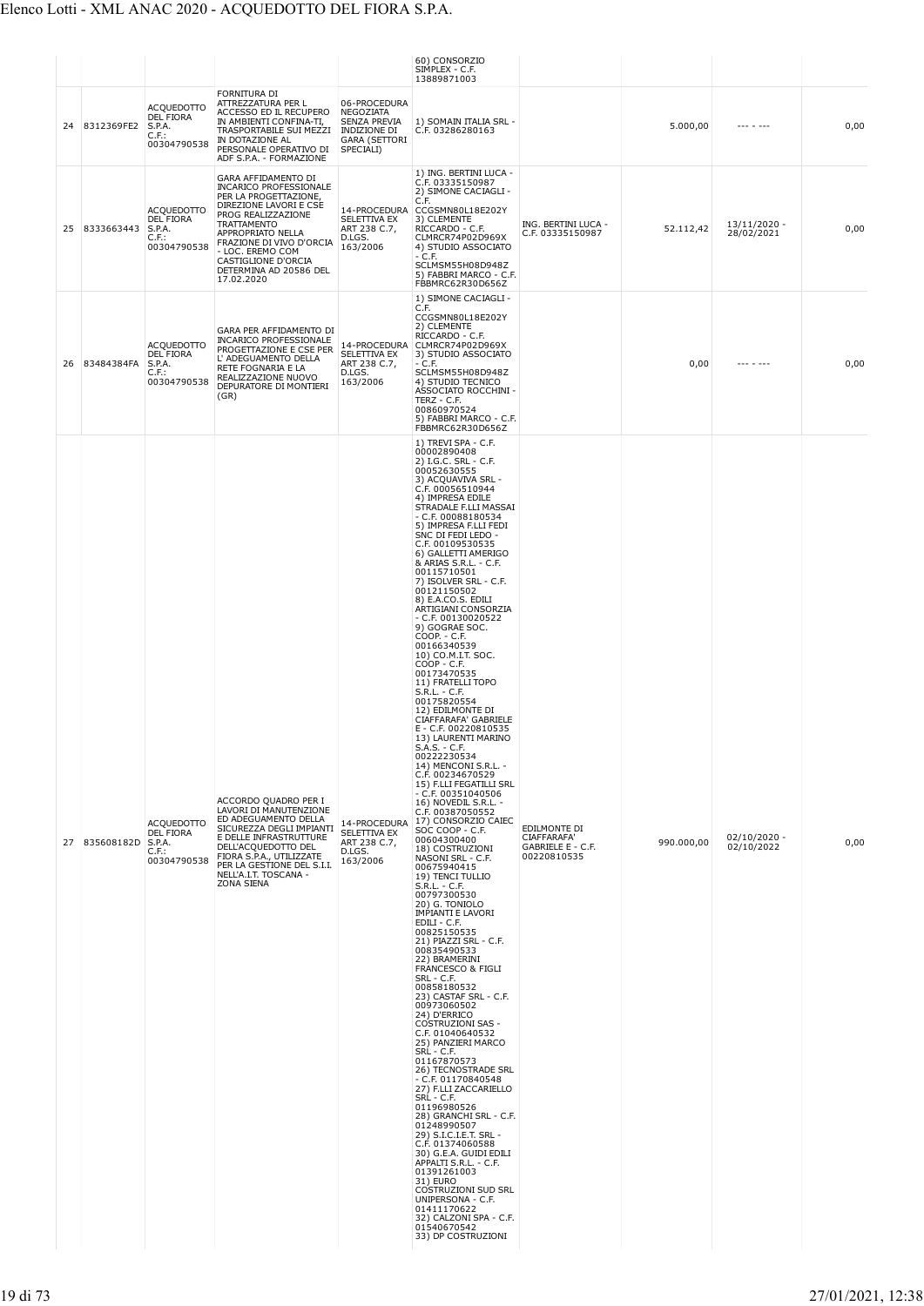|    |               |                                                                         |                                                                                                                                                                                                                                                                                  |                                                                                                | 60) CONSORZIO<br>SIMPLEX - C.F.<br>13889871003                                                                                                                                                                                                                                                                                                                                                                                                                                                                                                                                                                                                                                                                                                                                                                                                                                                                                                                                                                                                                                                                                                                                                                                                                                                                                                                                                                                                                                                                                                                                                                                                                                                                                                                                                                  |                                                                 |            |                              |      |
|----|---------------|-------------------------------------------------------------------------|----------------------------------------------------------------------------------------------------------------------------------------------------------------------------------------------------------------------------------------------------------------------------------|------------------------------------------------------------------------------------------------|-----------------------------------------------------------------------------------------------------------------------------------------------------------------------------------------------------------------------------------------------------------------------------------------------------------------------------------------------------------------------------------------------------------------------------------------------------------------------------------------------------------------------------------------------------------------------------------------------------------------------------------------------------------------------------------------------------------------------------------------------------------------------------------------------------------------------------------------------------------------------------------------------------------------------------------------------------------------------------------------------------------------------------------------------------------------------------------------------------------------------------------------------------------------------------------------------------------------------------------------------------------------------------------------------------------------------------------------------------------------------------------------------------------------------------------------------------------------------------------------------------------------------------------------------------------------------------------------------------------------------------------------------------------------------------------------------------------------------------------------------------------------------------------------------------------------|-----------------------------------------------------------------|------------|------------------------------|------|
|    | 24 8312369FE2 | <b>ACQUEDOTTO</b><br><b>DEL FIORA</b><br>S.P.A.<br>C.F.<br>00304790538  | FORNITURA DI<br>ATTREZZATURA PER L<br>ACCESSO ED IL RECUPERO<br>IN AMBIENTI CONFINA-TI,<br>TRASPORTABILE SUI MEZZI<br>IN DOTAZIONE AL<br>PERSONALE OPERATIVO DI<br>ADF S.P.A. - FORMAZIONE                                                                                       | 06-PROCEDURA<br>NEGOZIATA<br>SENZA PREVIA<br>INDIZIONE DI<br><b>GARA (SETTORI</b><br>SPECIALI) | 1) SOMAIN ITALIA SRL -<br>C.F. 03286280163                                                                                                                                                                                                                                                                                                                                                                                                                                                                                                                                                                                                                                                                                                                                                                                                                                                                                                                                                                                                                                                                                                                                                                                                                                                                                                                                                                                                                                                                                                                                                                                                                                                                                                                                                                      |                                                                 | 5.000,00   | $- - - - - - -$              | 0,00 |
| 25 | 8333663443    | <b>ACOUEDOTTO</b><br>DEL FIORA<br>S.P.A.<br>C.F.:<br>00304790538        | GARA AFFIDAMENTO DI<br><b>INCARICO PROFESSIONALE</b><br>PER LA PROGETTAZIONE,<br>DIREZIONE LAVORI E CSE<br>PROG REALIZZAZIONE<br>TRATTAMENTO<br>APPROPRIATO NELLA<br>FRAZIONE DI VIVO D'ORCIA<br>- LOC. EREMO COM<br>CASTIGLIONE D'ORCIA<br>DETERMINA AD 20586 DEL<br>17.02.2020 | SELETTIVA EX<br>ART 238 C.7,<br>D.LGS.<br>163/2006                                             | 1) ING. BERTINI LUCA -<br>C.F. 03335150987<br>2) SIMONE CACIAGLI -<br>C.F.<br>14-PROCEDURA CCGSMN80L18E202Y<br>3) CLEMENTE<br>RICCARDO - C.F.<br>CLMRCR74P02D969X<br>4) STUDIO ASSOCIATO<br>- C.F.<br>SCLMSM55H08D948Z<br>5) FABBRI MARCO - C.F.<br>FBBMRC62R30D656Z                                                                                                                                                                                                                                                                                                                                                                                                                                                                                                                                                                                                                                                                                                                                                                                                                                                                                                                                                                                                                                                                                                                                                                                                                                                                                                                                                                                                                                                                                                                                            | ING. BERTINI LUCA -<br>C.F. 03335150987                         | 52.112,42  | $13/11/2020 -$<br>28/02/2021 | 0,00 |
|    | 26 83484384FA | <b>ACQUEDOTTO</b><br><b>DEL FIORA</b><br>S.P.A.<br>C.F.:<br>00304790538 | GARA PER AFFIDAMENTO DI<br><b>INCARICO PROFESSIONALE</b><br>PROGETTAZIONE E CSE PER<br>L' ADEGUAMENTO DELLA<br>RETE FOGNARIA E LA<br>REALIZZAZIONE NUOVO<br>DEPURATORE DI MONTIERI<br>(GR)                                                                                       | SELETTIVA EX<br>ART 238 C.7,<br>D.LGS.<br>163/2006                                             | 1) SIMONE CACIAGLI -<br>C.F.<br>CCGSMN80L18E202Y<br>2) CLEMENTE<br>RICCARDO - C.F.<br>14-PROCEDURA CLMRCR74P02D969X<br>3) STUDIO ASSOCIATO<br>- C.F.<br>SCLMSM55H08D948Z<br>4) STUDIO TECNICO<br>ASSOCIATO ROCCHINI -<br>TERZ - C.F.<br>00860970524<br>5) FABBRI MARCO - C.F.<br>FBBMRC62R30D656Z                                                                                                                                                                                                                                                                                                                                                                                                                                                                                                                                                                                                                                                                                                                                                                                                                                                                                                                                                                                                                                                                                                                                                                                                                                                                                                                                                                                                                                                                                                               |                                                                 | 0,00       | --- - ---                    | 0,00 |
|    | 27 835608182D | ACQUEDOTTO<br><b>DEL FIORA</b><br>S.P.A.<br>$C.F.$ :<br>00304790538     | ACCORDO QUADRO PER I<br>LAVORI DI MANUTENZIONE<br>ED ADEGUAMENTO DELLA<br>SICUREZZA DEGLI IMPIANTI<br>E DELLE INFRASTRUTTURE<br>DELL'ACQUEDOTTO DEL<br>FIORA S.P.A., UTILIZZATE<br>PER LA GESTIONE DEL S.I.I.<br>NELL'A.I.T. TOSCANA -<br><b>ZONA SIENA</b>                      | 14-PROCEDURA<br>SELETTIVA EX<br>ART 238 C.7,<br>D.LGS.<br>163/2006                             | 1) TREVI SPA - C.F.<br>00002890408<br>2) I.G.C. SRL - C.F.<br>00052630555<br>3) ACQUAVIVA SRL -<br>C.F. 00056510944<br>4) IMPRESA EDILE<br>STRADALE F.LLI MASSAI<br>$-$ C.F. 00088180534<br>5) IMPRESA F.LLI FEDI<br>SNC DI FEDI LEDO -<br>C.F. 00109530535<br>6) GALLETTI AMERIGO<br>& ARIAS S.R.L. - C.F.<br>00115710501<br>7) ISOLVER SRL - C.F.<br>00121150502<br>8) E.A.CO.S. EDILI<br>ARTIGIANI CONSORZIA<br>$- C.F. 00130020522$<br>9) GOGRAE SOC.<br>COOP. - C.F.<br>00166340539<br>10) CO.M.I.T. SOC.<br>COOP - C.F.<br>00173470535<br>11) FRATELLI TOPO<br>$S.R.L. - C.F.$<br>00175820554<br>12) EDILMONTE DI<br>CIAFFARAFA' GABRIELE<br>E - C.F. 00220810535<br>13) LAURENTI MARINO<br>S.A.S. - C.F.<br>00222230534<br>14) MENCONI S.R.L. -<br>C.F. 00234670529<br>15) F.LLI FEGATILLI SRL<br>$-$ C.F. 00351040506<br>16) NOVEDIL S.R.L. -<br>C.F. 00387050552<br>17) CONSORZIO CAIEC<br>SOC COOP - C.F.<br>00604300400<br>18) COSTRUZIONI<br>NASONI SRL - C.F.<br>00675940415<br>19) TENCI TULLIO<br>S.R.L. - C.F.<br>00797300530<br>20) G. TONIOLO<br><b>IMPIANTI E LAVORI</b><br>EDILI - C.F.<br>00825150535<br>21) PIAZZI SRL - C.F.<br>00835490533<br>22) BRAMERINI<br><b>FRANCESCO &amp; FIGLI</b><br>SRL - C.F.<br>00858180532<br>23) CASTAF SRL - C.F.<br>00973060502<br>24) D'ERRICO<br><b>COSTRUZIONI SAS -</b><br>C.F. 01040640532<br>25) PANZIERI MARCO<br>SRL - C.F.<br>01167870573<br>26) TECNOSTRADE SRL<br>$-$ C.F. 01170840548<br>27) F.LLI ZACCARIELLO<br>SRL - C.F.<br>01196980526<br>28) GRANCHI SRL - C.F.<br>01248990507<br>29) S.I.C.I.E.T. SRL -<br>C.F. 01374060588<br>30) G.E.A. GUIDI EDILI<br>APPALTI S.R.L. - C.F.<br>01391261003<br>31) EURO<br>COSTRUZIONI SUD SRL<br>UNIPERSONA - C.F.<br>01411170622<br>32) CALZONI SPA - C.F.<br>01540670542<br>33) DP COSTRUZIONI | EDILMONTE DI<br>CIAFFARAFA'<br>GABRIELE E - C.F.<br>00220810535 | 990.000,00 | $02/10/2020 -$<br>02/10/2022 | 0,00 |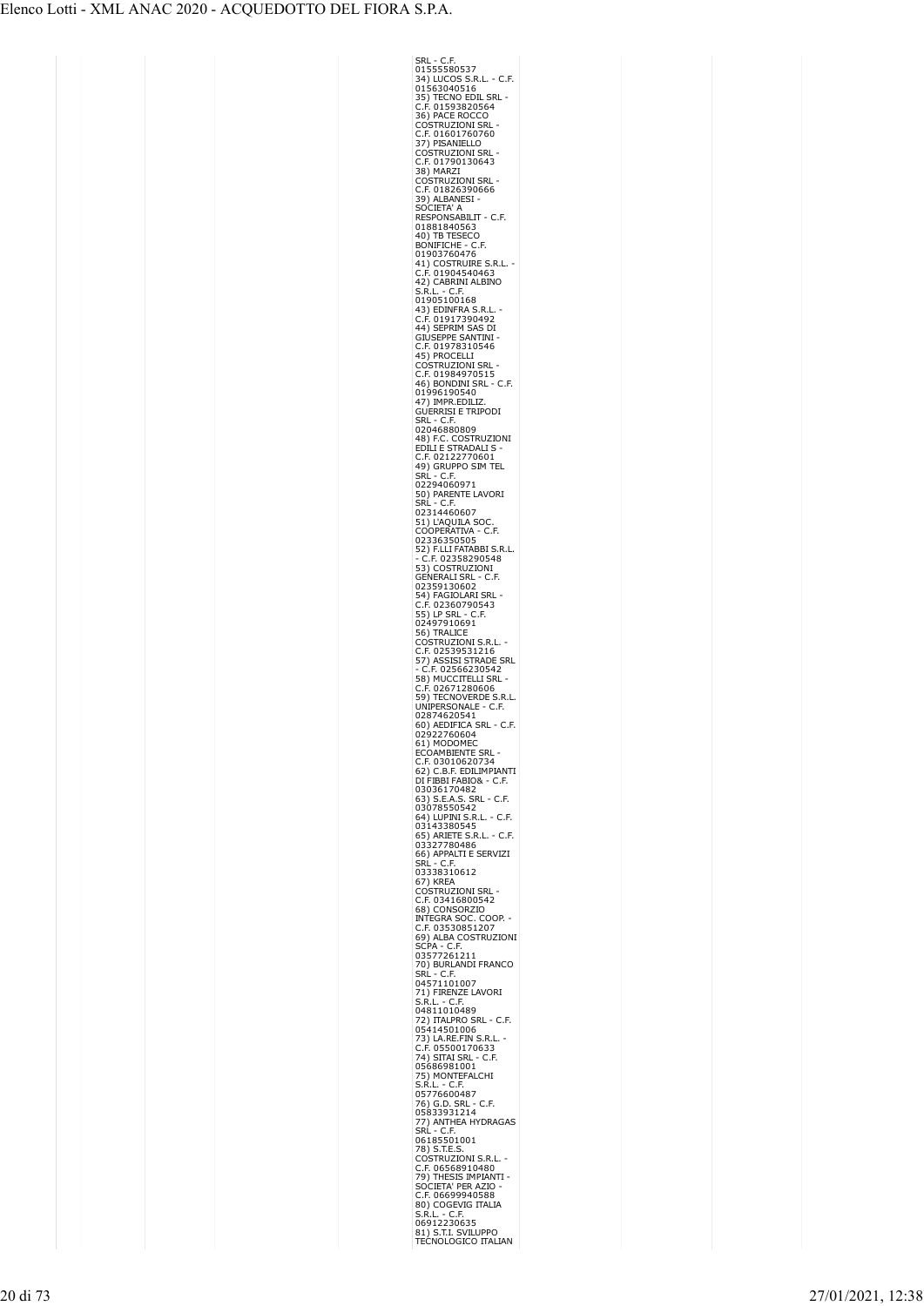| Srl<br>- (<br>D<br>.F.<br>01555580537                                                                                                                                                        |  |
|----------------------------------------------------------------------------------------------------------------------------------------------------------------------------------------------|--|
| 34) LUCOS S.R.L. - C.F.                                                                                                                                                                      |  |
| 34) 20000 3882.<br>01563040516<br>35) TECNO EDIL SRL<br>C.F. 01593820564<br>36) PACE ROCCO                                                                                                   |  |
|                                                                                                                                                                                              |  |
|                                                                                                                                                                                              |  |
| COSTRUZIONI SRL<br>COSTRUZIONI SRL                                                                                                                                                           |  |
| 37) PISANIELLO                                                                                                                                                                               |  |
| COSTRUZIONI SRL<br>C.F. 01790130643                                                                                                                                                          |  |
| 38) MARZI                                                                                                                                                                                    |  |
| COSTRUZIONI SRL<br>C.F. 01826390666                                                                                                                                                          |  |
|                                                                                                                                                                                              |  |
| 39) ALBANESI<br>SOCIETA' A                                                                                                                                                                   |  |
| RESPONSABILIT - C.F.<br>01881840563                                                                                                                                                          |  |
| 40) TB TESECO                                                                                                                                                                                |  |
| BONIFICHE - C.F.<br>01903760476                                                                                                                                                              |  |
| 41) COSTRUIRE S.R.L.<br>C.F. 01904540463                                                                                                                                                     |  |
|                                                                                                                                                                                              |  |
| 42) CABRINI ALBINO<br>S.R.L.<br>$\overline{\phantom{a}}$<br>C.F.                                                                                                                             |  |
| 01905100168                                                                                                                                                                                  |  |
| 43) EDINFRA S.R.L<br>C.F. 01917390492                                                                                                                                                        |  |
| 44) SEPRIM SAS DI                                                                                                                                                                            |  |
| <b>GIUSEPPE SANTINI</b>                                                                                                                                                                      |  |
| C.F. 01978310546<br>45) PROCELLI                                                                                                                                                             |  |
| Costruzioni Srl<br>C<br>.F. 01984970515<br>C                                                                                                                                                 |  |
| 46) BONDINI SRL<br>- C.F.                                                                                                                                                                    |  |
| 01996190540<br>47) IMPR.EDILIZ.                                                                                                                                                              |  |
| <b>GUERRISI E TRIPODI</b>                                                                                                                                                                    |  |
| SRL - C.F.                                                                                                                                                                                   |  |
| 02046880809                                                                                                                                                                                  |  |
| 48) F.C. COSTRUZIONI<br>EDILI E STRADALI S                                                                                                                                                   |  |
| F. 02122770601.<br>ι<br>49) GRUPPO SIM<br>TEL                                                                                                                                                |  |
| SRL<br>- C.F                                                                                                                                                                                 |  |
| 02294060971<br>50) PARENTE LAVORI                                                                                                                                                            |  |
| SRL<br>$\cdot$ C.F                                                                                                                                                                           |  |
| 02314460607                                                                                                                                                                                  |  |
|                                                                                                                                                                                              |  |
|                                                                                                                                                                                              |  |
|                                                                                                                                                                                              |  |
| 02314400007<br>51) L'AQUILA SOC.<br>COOPERATIVA - С.F.<br>52336350505<br>52) F.LLI FATABBI S.R.L.<br>- С.F. 02358290548<br>- С.F. 02358290548<br>СЕМЕРАН Т SRI - С.F.<br><b>GENERALI SRI</b> |  |
| C.F.<br>02359130602<br>54) FAGIOLARI SRI                                                                                                                                                     |  |
| ŕ,                                                                                                                                                                                           |  |
| C.F. 02360790543<br>55) LP SRL - C.F.                                                                                                                                                        |  |
| 02497910691<br>56) TRALICE                                                                                                                                                                   |  |
|                                                                                                                                                                                              |  |
|                                                                                                                                                                                              |  |
|                                                                                                                                                                                              |  |
|                                                                                                                                                                                              |  |
| یں FrallCE<br>COSTRUZIONI S.R.L. -<br>C.F. 02539531216<br>57) ASSISI STRADE SRL<br>- C.F. 02566230543<br>∴F. 02566230542                                                                     |  |
| 58) MUCCITELLI SRL<br>г                                                                                                                                                                      |  |
| 59) 1.02671280606<br>C.F. 02671280606<br>59) TECNOVERDE S.R.L.<br>C.F.<br>ι                                                                                                                  |  |
| JNIPERSONALE                                                                                                                                                                                 |  |
| 02874620541<br>60) AEDIFICA SRL - C.F.<br>02922760604                                                                                                                                        |  |
| 61) MODOMEC                                                                                                                                                                                  |  |
| OAMBIENTE<br>SRI<br>c                                                                                                                                                                        |  |
| .F. 03010620734<br>B.F. EDILIMPIANTI<br>62) C                                                                                                                                                |  |
| DI FIBBI FABIO& - C.F.                                                                                                                                                                       |  |
| 03036170482<br>63) S.E.A.S. SRL<br>C.F.                                                                                                                                                      |  |
| 03078550542<br>C.F.                                                                                                                                                                          |  |
| 64) LUPINI S.R.L.<br>03143380545                                                                                                                                                             |  |
| · C.F.                                                                                                                                                                                       |  |
| 66) APPALTI E SERVIZI                                                                                                                                                                        |  |
|                                                                                                                                                                                              |  |
| SRĹ - C.F.<br>03338310612<br>67) KREA                                                                                                                                                        |  |
| OSTRUZIONI SRL<br>C<br>C                                                                                                                                                                     |  |
| .F. 03416800542<br>68) CONSORZIO                                                                                                                                                             |  |
| OOP.                                                                                                                                                                                         |  |
| INTEGRA SOC. CO(<br>C.F. 03530851207<br>69) ALBA COSTRUZIONI                                                                                                                                 |  |
|                                                                                                                                                                                              |  |
| SCPA - C.F.<br>03577261211<br>70) BURLANDI FRANCO                                                                                                                                            |  |
| SRL - C.F                                                                                                                                                                                    |  |
| 04571101007                                                                                                                                                                                  |  |
| 71) FIRENZE LAVORI<br>S.R.L. - C.F.                                                                                                                                                          |  |
| S.K.L. - C.F.<br>04811010489                                                                                                                                                                 |  |
|                                                                                                                                                                                              |  |
|                                                                                                                                                                                              |  |
|                                                                                                                                                                                              |  |
| 72) ITALPRO SRL - C.F.<br>72) ITALPRO SRL - C.F.<br>73) LA.RE.FIN S.R.L.<br>C.F. 05500170633<br>74) SITAI SRL - C.F.<br>05686981001<br>05686981001<br>05686981001                            |  |
| 75) MONTEFALCHI<br>S.R.L. - C.F.                                                                                                                                                             |  |
|                                                                                                                                                                                              |  |
|                                                                                                                                                                                              |  |
|                                                                                                                                                                                              |  |
|                                                                                                                                                                                              |  |
|                                                                                                                                                                                              |  |
| S.R.L. - C.F.<br>05776600487<br>76) G.D. SRL - C.F.<br>05833931214<br>77) ANTHEA HYDRAGAS<br>SRL - C.F.<br>05760201001<br>78) S.T.E.S.<br>C.F. MSE8810480<br>C.F. MSE8810480                 |  |
|                                                                                                                                                                                              |  |
| COSTRUZION<br>C.F. 06568910480<br>79) THESIS IMPIANTI<br>79) THESIS IMPIANTI<br>soc                                                                                                          |  |
|                                                                                                                                                                                              |  |
| C.F. 06699940588<br>80) COGEVIG ITALIA<br>S.R.L. - C.F.<br>06912230635<br>81) S.T.I. SVILUPPO                                                                                                |  |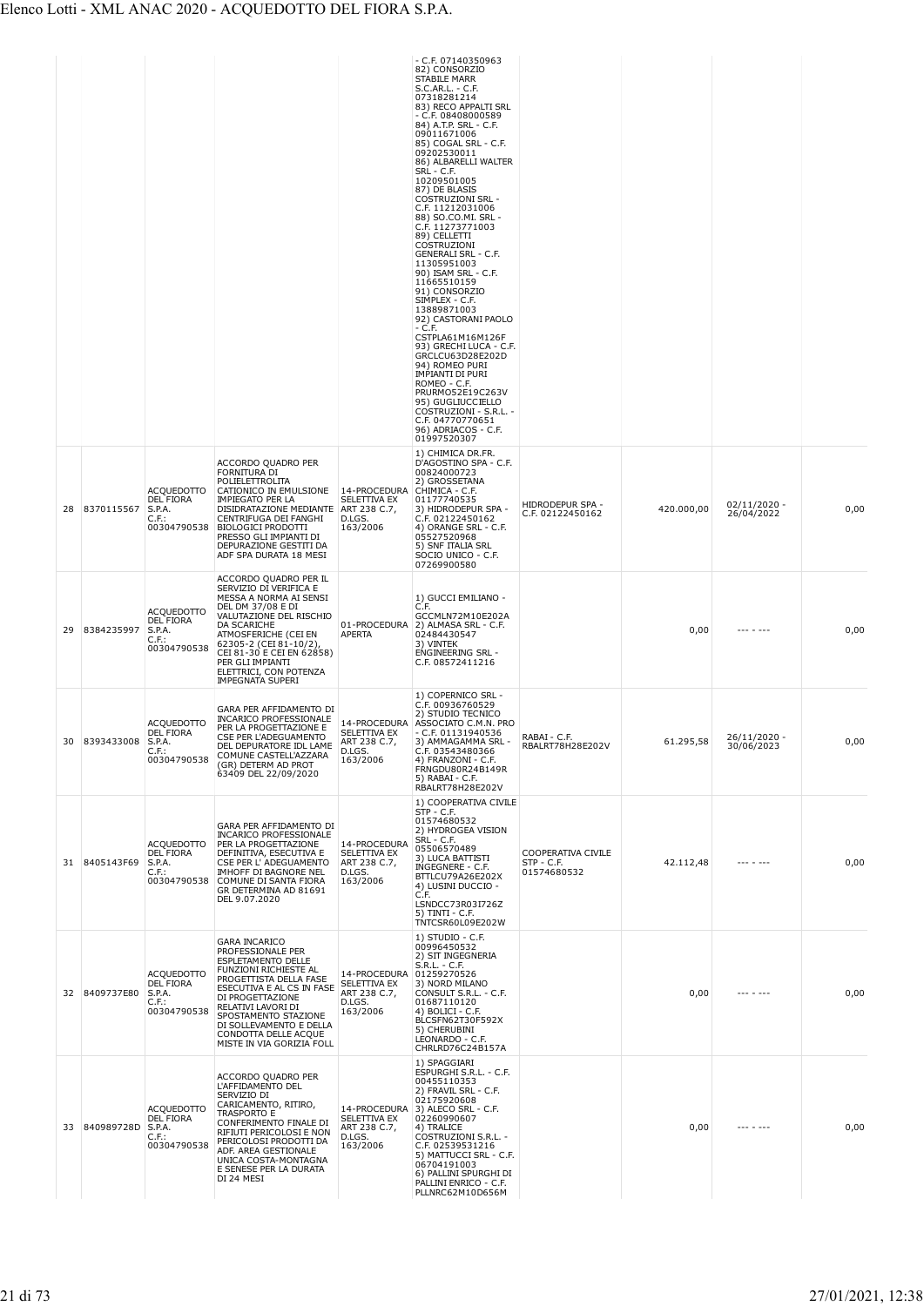|    |                      |                                                                            |                                                                                                                                                                                                                                                                                                          |                                                                                | - C.F. 07140350963<br>82) CONSORZIO<br><b>STABILE MARR</b><br>S.C.AR.L. - C.F.<br>07318281214<br>83) RECO APPALTI SRL<br>- C.F. 08408000589<br>84) A.T.P. SRL - C.F.<br>09011671006<br>85) COGAL SRL - C.F.<br>09202530011<br>86) ALBARELLI WALTER<br>SRL - C.F.<br>10209501005<br>87) DE BLASIS<br><b>COSTRUZIONI SRL -</b><br>C.F. 11212031006<br>88) SO.CO.MI. SRL -<br>C.F. 11273771003<br>89) CELLETTI<br>COSTRUZIONI<br><b>GENERALI SRL - C.F.</b><br>11305951003<br>90) ISAM SRL - C.F.<br>11665510159<br>91) CONSORZIO<br>SIMPLEX - C.F.<br>13889871003<br>92) CASTORANI PAOLO<br>- C.F.<br>CSTPLA61M16M126F<br>93) GRECHI LUCA - C.F.<br>GRCLCU63D28E202D<br>94) ROMEO PURI<br>IMPIANTI DI PURI<br>ROMEO - C.F.<br>PRURMO52E19C263V<br>95) GUGLIUCCIELLO<br>COSTRUZIONI - S.R.L. -<br>C.F. 04770770651<br>96) ADRIACOS - C.F.<br>01997520307<br>1) CHIMICA DR.FR. |                                                 |            |                              |      |
|----|----------------------|----------------------------------------------------------------------------|----------------------------------------------------------------------------------------------------------------------------------------------------------------------------------------------------------------------------------------------------------------------------------------------------------|--------------------------------------------------------------------------------|----------------------------------------------------------------------------------------------------------------------------------------------------------------------------------------------------------------------------------------------------------------------------------------------------------------------------------------------------------------------------------------------------------------------------------------------------------------------------------------------------------------------------------------------------------------------------------------------------------------------------------------------------------------------------------------------------------------------------------------------------------------------------------------------------------------------------------------------------------------------------|-------------------------------------------------|------------|------------------------------|------|
| 28 | 8370115567           | <b>ACQUEDOTTO</b><br><b>DEL FIORA</b><br>S.P.A.<br>C.F.:<br>00304790538    | ACCORDO QUADRO PER<br>FORNITURA DI<br>POLIELETTROLITA<br>CATIONICO IN EMULSIONE<br>IMPIEGATO PER LA<br>DISIDRATAZIONE MEDIANTE<br>CENTRIFUGA DEI FANGHI<br><b>BIOLOGICI PRODOTTI</b><br>PRESSO GLI IMPIANTI DI<br>DEPURAZIONE GESTITI DA<br>ADF SPA DURATA 18 MESI                                       | 14-PROCEDURA<br>SELETTIVA EX<br>ART 238 C.7,<br>D.LGS.<br>163/2006             | D'AGOSTINO SPA - C.F.<br>00824000723<br>2) GROSSETANA<br>CHIMICA - C.F.<br>01177740535<br>3) HIDRODEPUR SPA -<br>C.F. 02122450162<br>4) ORANGE SRL - C.F.<br>05527520968<br>5) SNF ITALIA SRL<br>SOCIO UNICO - C.F.<br>07269900580                                                                                                                                                                                                                                                                                                                                                                                                                                                                                                                                                                                                                                         | HIDRODEPUR SPA -<br>C.F. 02122450162            | 420.000,00 | $02/11/2020 -$<br>26/04/2022 | 0,00 |
| 29 | 8384235997           | <b>ACQUEDOTTO</b><br>DEL FIORA<br>S.P.A.<br>C.F.:<br>00304790538           | ACCORDO QUADRO PER IL<br>SERVIZIO DI VERIFICA E<br>MESSA A NORMA AI SENSI<br>DEL DM 37/08 E DI<br>VALUTAZIONE DEL RISCHIO<br>DA SCARICHE<br>ATMOSFERICHE (CEI EN<br>62305-2 (CEI 81-10/2),<br>CEI 81-30 E CEI EN 62858)<br>PER GLI IMPIANTI<br>ELETTRICI, CON POTENZA<br><b>IMPEGNATA SUPERI</b>         | 01-PROCEDURA<br><b>APERTA</b>                                                  | 1) GUCCI EMILIANO -<br>C.F.<br>GCCMLN72M10E202A<br>2) ALMASA SRL - C.F.<br>02484430547<br>3) VINTEK<br>ENGINEERING SRL -<br>C.F. 08572411216                                                                                                                                                                                                                                                                                                                                                                                                                                                                                                                                                                                                                                                                                                                               |                                                 | 0,00       |                              | 0,00 |
|    | 30 8393433008 S.P.A. | <b>ACQUEDOTTO</b><br><b>DEL FIORA</b><br>. <del>. .</del> .<br>00304790538 | GARA PER AFFIDAMENTO DI<br><b>INCARICO PROFESSIONALE</b><br>PER LA PROGETTAZIONE E<br>CSE PER L'ADEGUAMENTO<br>DEL DEPURATORE IDL LAME<br>COMUNE CASTELL'AZZARA<br>(GR) DETERM AD PROT<br>63409 DEL 22/09/2020                                                                                           | SELETTIVA EX<br>ART 238 C.7,<br>D.LGS.<br>163/2006                             | 1) COPERNICO SRL -<br>C.F. 00936760529<br>2) STUDIO TECNICO<br>14-PROCEDURA ASSOCIATO C.M.N. PRO<br>- C.F. 01131940536<br>3) AMMAGAMMA SRL<br>C.F. 03543480366<br>4) FRANZONI - C.F.<br>FRNGDU80R24B149R<br>5) RABAI - C.F.<br>RBALRT78H28E202V                                                                                                                                                                                                                                                                                                                                                                                                                                                                                                                                                                                                                            | RABAI - C.F.<br>RBALRT78H28E202V                | 61.295.58  | $26/11/2020$ -<br>30/06/2023 | 0,00 |
|    | 31 8405143F69        | <b>ACQUEDOTTO</b><br><b>DEL FIORA</b><br>S.P.A.<br>C.F.:<br>00304790538    | GARA PER AFFIDAMENTO DI<br>INCARICO PROFESSIONALE<br>PER LA PROGETTAZIONE<br>DEFINITIVA, ESECUTIVA E<br>CSE PER L' ADEGUAMENTO<br>IMHOFF DI BAGNORE NEL<br>COMUNE DI SANTA FIORA<br>GR DETERMINA AD 81691<br>DEL 9.07.2020                                                                               | 14-PROCEDURA<br>SELETTIVA EX<br>ART 238 C.7,<br>D.LGS.<br>163/2006             | 1) COOPERATIVA CIVILE<br>STP - C.F.<br>01574680532<br>2) HYDROGEA VISION<br><b>SRL - C.F.</b><br>05506570489<br>3) LUCA BATTISTI<br>INGEGNERE - C.F.<br>BTTLCU79A26E202X<br>4) LUSINI DUCCIO -<br>C.F.<br>LSNDCC73R03I726Z<br>5) TINTI - C.F.<br>TNTCSR60L09E202W                                                                                                                                                                                                                                                                                                                                                                                                                                                                                                                                                                                                          | COOPERATIVA CIVILE<br>STP - C.F.<br>01574680532 | 42.112,48  |                              | 0,00 |
|    | 32 8409737E80        | <b>ACQUEDOTTO</b><br><b>DEL FIORA</b><br>S.P.A.<br>C.F.:<br>00304790538    | <b>GARA INCARICO</b><br>PROFESSIONALE PER<br><b>ESPLETAMENTO DELLE</b><br>FUNZIONI RICHIESTE AL<br>PROGETTISTA DELLA FASE<br>ESECUTIVA E AL CS IN FASE<br>DI PROGETTAZIONE<br>RELATIVI LAVORI DI<br>SPOSTAMENTO STAZIONE<br>DI SOLLEVAMENTO E DELLA<br>CONDOTTA DELLE ACQUE<br>MISTE IN VIA GORIZIA FOLL | 14-PROCEDURA 01259270526<br>SELETTIVA EX<br>ART 238 C.7,<br>D.LGS.<br>163/2006 | 1) STUDIO - C.F.<br>00996450532<br>2) SIT INGEGNERIA<br>S.R.L. - C.F.<br>3) NORD MILANO<br>CONSULT S.R.L. - C.F.<br>01687110120<br>4) BOLICI - C.F.<br>BLCSFN62T30F592X<br>5) CHERUBINI<br>LEONARDO - C.F.<br>CHRLRD76C24B157A                                                                                                                                                                                                                                                                                                                                                                                                                                                                                                                                                                                                                                             |                                                 | 0,00       |                              | 0,00 |
| 33 | 840989728D           | <b>ACQUEDOTTO</b><br>DEL FIORA<br>S.P.A.<br>$C.F.$ :<br>00304790538        | ACCORDO QUADRO PER<br>L'AFFIDAMENTO DEL<br>SERVIZIO DI<br>CARICAMENTO, RITIRO,<br>TRASPORTO E<br>CONFERIMENTO FINALE DI<br>RIFIUTI PERICOLOSI E NON<br>PERICOLOSI PRODOTTI DA<br>ADF. AREA GESTIONALE<br>UNICA COSTA-MONTAGNA<br>E SENESE PER LA DURATA<br>DI 24 MESI                                    | SELETTIVA EX<br>ART 238 C.7,<br>D.LGS.<br>163/2006                             | 1) SPAGGIARI<br>ESPURGHI S.R.L. - C.F.<br>00455110353<br>2) FRAVIL SRL - C.F.<br>02175920608<br>14-PROCEDURA 3) ALECO SRL - C.F.<br>02260990607<br>4) TRALICE<br>COSTRUZIONI S.R.L. -<br>C.F. 02539531216<br>5) MATTUCCI SRL - C.F.<br>06704191003<br>6) PALLINI SPURGHI DI<br>PALLINI ENRICO - C.F.<br>PLLNRC62M10D656M                                                                                                                                                                                                                                                                                                                                                                                                                                                                                                                                                   |                                                 | 0,00       |                              | 0,00 |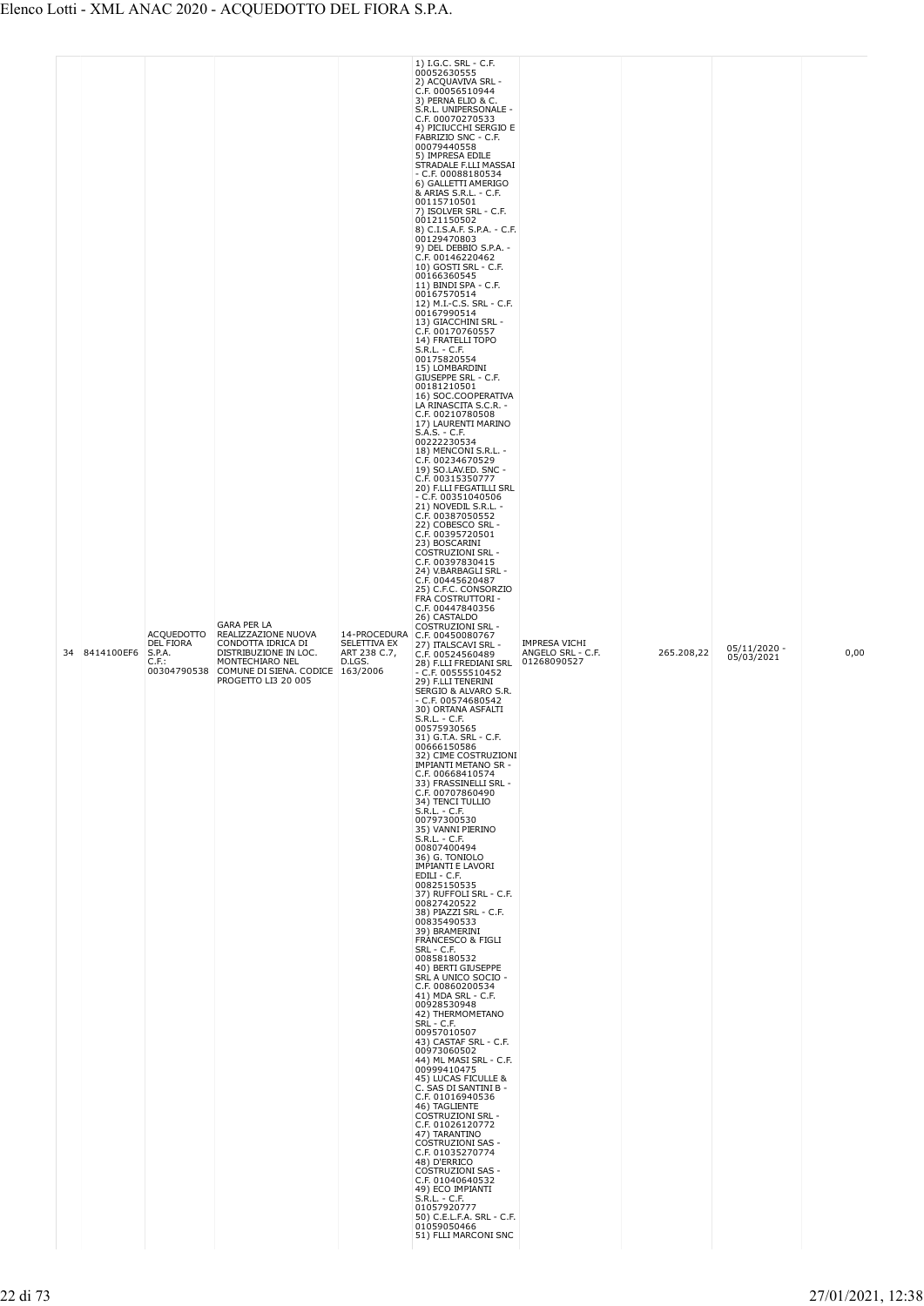|  | 34 | 8414100EF6 | <b>ACQUEDOTTO</b><br>DEL FIORA<br>S.P.A.<br>$C.F.$ :<br>00304790538 | <b>GARA PER LA</b><br>REALIZZAZIONE NUOVA<br>CONDOTTA IDRICA DI<br>DISTRIBUZIONE IN LOC.<br>MONTECHIARO NEL<br>COMUNE DI SIENA. CODICE 163/2006<br>PROGETTO LI3 20 005 | SELETTIVA EX<br>ART 238 C.7,<br>D.LGS. | 00052630555<br>2) ACQUAVIVA SRL -<br>C.F. 00056510944<br>3) PERNA ELIO & C.<br>S.R.L. UNIPERSONALE -<br>C.F. 00070270533<br>4) PICIUCCHI SERGIO E<br>FABRIZIO SNC - C.F.<br>00079440558<br>5) IMPRESA EDILE<br>STRADALE F.LLI MASSAI<br>- C.F. 00088180534<br>6) GALLETTI AMERIGO<br>& ARIAS S.R.L. - C.F.<br>00115710501<br>7) ISOLVER SRL - C.F.<br>00121150502<br>8) C.I.S.A.F. S.P.A. - C.F.<br>00129470803<br>9) DEL DEBBIO S.P.A. -<br>C.F. 00146220462<br>10) GOSTI SRL - C.F.<br>00166360545<br>11) BINDI SPA - C.F.<br>00167570514<br>12) M.I.-C.S. SRL - C.F.<br>00167990514<br>13) GIACCHINI SRL -<br>C.F. 00170760557<br>14) FRATELLI TOPO<br>S.R.L. - C.F.<br>00175820554<br>15) LOMBARDINI<br>GIUSEPPE SRL - C.F.<br>00181210501<br>16) SOC.COOPERATIVA<br>LA RINASCITA S.C.R. -<br>C.F. 00210780508<br>17) LAURENTI MARINO<br>S.A.S. - C.F.<br>00222230534<br>18) MENCONI S.R.L. -<br>C.F. 00234670529<br>19) SO.LAV.ED. SNC -<br>C.F. 00315350777<br>20) F.LLI FEGATILLI SRL<br>- C.F. 00351040506<br>21) NOVEDIL S.R.L. -<br>C.F. 00387050552<br>22) COBESCO SRL -<br>C.F. 00395720501<br>23) BOSCARINI<br><b>COSTRUZIONI SRL -</b><br>C.F. 00397830415<br>24) V.BARBAGLI SRL -<br>C.F. 00445620487<br>25) C.F.C. CONSORZIO<br>FRA COSTRUTTORI -<br>C.F. 00447840356<br>26) CASTALDO<br><b>COSTRUZIONI SRL -</b><br>14-PROCEDURA C.F. 00450080767<br>27) ITALSCAVI SRL -<br>C.F. 00524560489<br>28) F.LLI FREDIANI SRL<br>$- C.F. 00555510452$<br>29) F.LLI TENERINI<br>SERGIO & ALVARO S.R.<br>$-$ C.F. 00574680542<br>30) ORTANA ASFALTI<br>$S.R.L. - C.F.$<br>00575930565<br>31) G.T.A. SRL - C.F.<br>00666150586<br>32) CIME COSTRUZIONI<br>IMPIANTI METANO SR -<br>C.F. 00668410574<br>33) FRASSINELLI SRL -<br>C.F. 00707860490<br>34) TENCI TULLIO<br>$S.R.L. - C.F.$<br>00797300530<br>35) VANNI PIERINO<br>$S.R.L. - C.F.$<br>00807400494<br>36) G. TONIOLO<br><b>IMPIANTI E LAVORI</b><br>EDILI - C.F.<br>00825150535<br>37) RUFFOLI SRL - C.F.<br>00827420522<br>38) PIAZZI SRL - C.F.<br>00835490533<br>39) BRAMERINI<br>FRANCESCO & FIGLI<br><b>SRL - C.F.</b><br>00858180532<br>40) BERTI GIUSEPPE<br>SRL A UNICO SOCIO -<br>C.F. 00860200534<br>41) MDA SRL - C.F.<br>00928530948<br>42) THERMOMETANO<br>SRL - C.F.<br>00957010507<br>43) CASTAF SRL - C.F.<br>00973060502<br>44) ML MASI SRL - C.F.<br>00999410475<br>45) LUCAS FICULLE &<br>C. SAS DI SANTINI B -<br>C.F. 01016940536<br>46) TAGLIENTE<br><b>COSTRUZIONI SRL -</b><br>C.F. 01026120772<br>47) TARANTINO<br><b>COSTRUZIONI SAS -</b><br>C.F. 01035270774<br>48) D'ERRICO<br>COSTRUZIONI SAS -<br>C.F. 01040640532<br>49) ECO IMPIANTI<br>S.R.L. - C.F.<br>01057920777<br>50) C.E.L.F.A. SRL - C.F.<br>01059050466<br>51) FLLI MARCONI SNC | <b>IMPRESA VICHI</b><br>ANGELO SRL - C.F.<br>01268090527 | 265.208,22 | $05/11/2020 -$<br>05/03/2021 | 0,00 |
|--|----|------------|---------------------------------------------------------------------|------------------------------------------------------------------------------------------------------------------------------------------------------------------------|----------------------------------------|--------------------------------------------------------------------------------------------------------------------------------------------------------------------------------------------------------------------------------------------------------------------------------------------------------------------------------------------------------------------------------------------------------------------------------------------------------------------------------------------------------------------------------------------------------------------------------------------------------------------------------------------------------------------------------------------------------------------------------------------------------------------------------------------------------------------------------------------------------------------------------------------------------------------------------------------------------------------------------------------------------------------------------------------------------------------------------------------------------------------------------------------------------------------------------------------------------------------------------------------------------------------------------------------------------------------------------------------------------------------------------------------------------------------------------------------------------------------------------------------------------------------------------------------------------------------------------------------------------------------------------------------------------------------------------------------------------------------------------------------------------------------------------------------------------------------------------------------------------------------------------------------------------------------------------------------------------------------------------------------------------------------------------------------------------------------------------------------------------------------------------------------------------------------------------------------------------------------------------------------------------------------------------------------------------------------------------------------------------------------------------------------------------------------------------------------------------------------------------------------------------------------------------------------------------------------------------------------------------------------------------------------------------------------------------------------------------------------------------------------|----------------------------------------------------------|------------|------------------------------|------|
|--|----|------------|---------------------------------------------------------------------|------------------------------------------------------------------------------------------------------------------------------------------------------------------------|----------------------------------------|--------------------------------------------------------------------------------------------------------------------------------------------------------------------------------------------------------------------------------------------------------------------------------------------------------------------------------------------------------------------------------------------------------------------------------------------------------------------------------------------------------------------------------------------------------------------------------------------------------------------------------------------------------------------------------------------------------------------------------------------------------------------------------------------------------------------------------------------------------------------------------------------------------------------------------------------------------------------------------------------------------------------------------------------------------------------------------------------------------------------------------------------------------------------------------------------------------------------------------------------------------------------------------------------------------------------------------------------------------------------------------------------------------------------------------------------------------------------------------------------------------------------------------------------------------------------------------------------------------------------------------------------------------------------------------------------------------------------------------------------------------------------------------------------------------------------------------------------------------------------------------------------------------------------------------------------------------------------------------------------------------------------------------------------------------------------------------------------------------------------------------------------------------------------------------------------------------------------------------------------------------------------------------------------------------------------------------------------------------------------------------------------------------------------------------------------------------------------------------------------------------------------------------------------------------------------------------------------------------------------------------------------------------------------------------------------------------------------------------------------|----------------------------------------------------------|------------|------------------------------|------|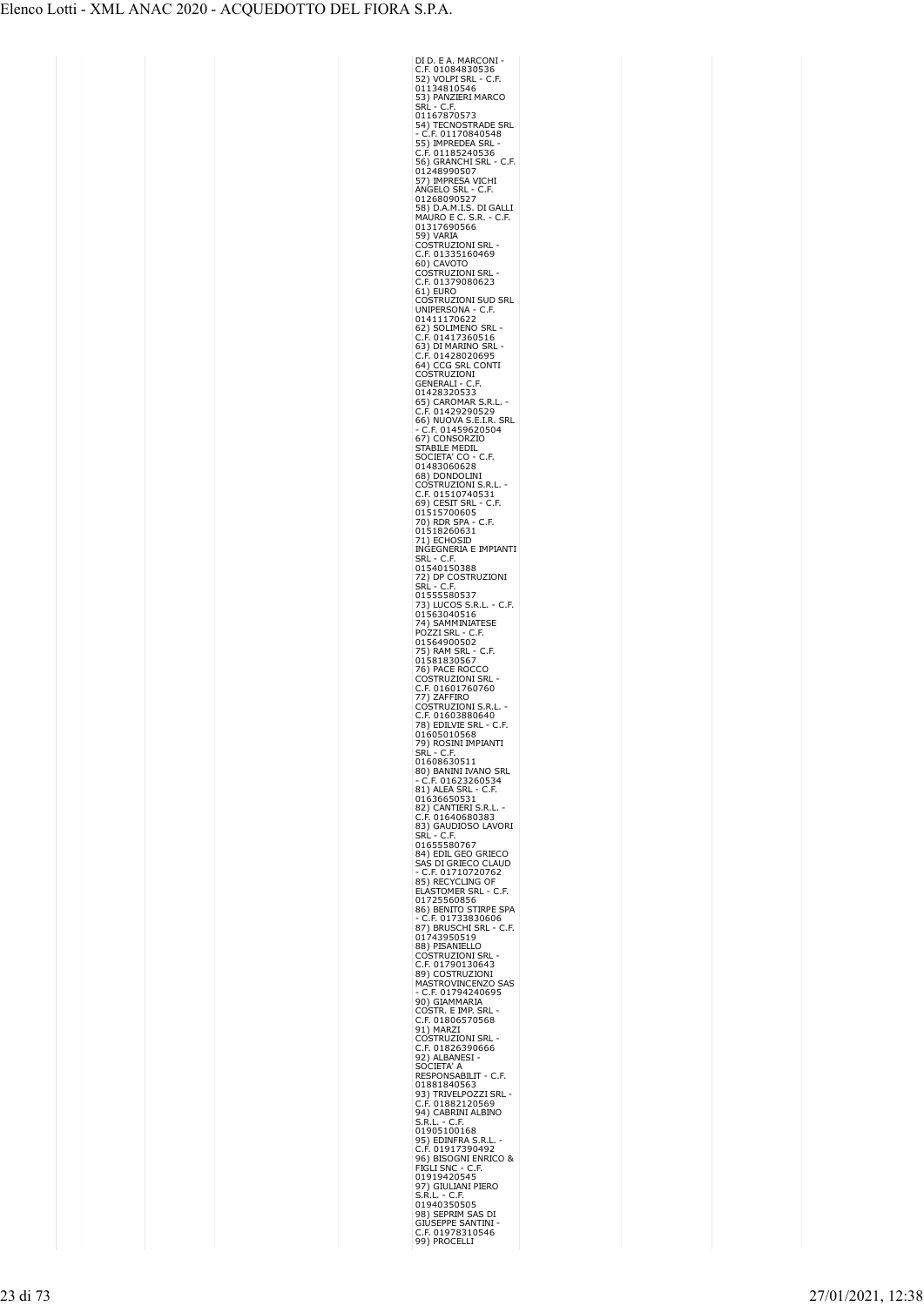| DI D. E A. MARCONI<br>C.F. 01084830536                                                                                        |
|-------------------------------------------------------------------------------------------------------------------------------|
|                                                                                                                               |
| 52) VOLPI SRL - C.F.                                                                                                          |
|                                                                                                                               |
|                                                                                                                               |
| SRL - C.F.                                                                                                                    |
| 01167870573<br>54) TECNOSTRADE SRL                                                                                            |
| C.F. 01170840548                                                                                                              |
|                                                                                                                               |
| 55) IMPREDEA SRL<br>C.F. 01185240536<br>ESS OBANGHI SRL                                                                       |
| 56) GRANCHI SRL<br>C.F.                                                                                                       |
| 01248990507<br>57) IMPRESA VICHI                                                                                              |
|                                                                                                                               |
| 27 , and NGELO SRL - C.F.<br>01268090527<br>58) D.A.M.I.S. DI GALLI<br>MAURO E C. S.R. - C.F.<br>01317690566                  |
|                                                                                                                               |
|                                                                                                                               |
|                                                                                                                               |
|                                                                                                                               |
| 59) VARIA                                                                                                                     |
| <b>COSTRUZIONI SRL</b>                                                                                                        |
| .F. 01335160469<br>г<br><b>AVOTO</b><br>60) C                                                                                 |
| <b>COSTRUZIONI SRL</b>                                                                                                        |
|                                                                                                                               |
| C.F. 01379080623<br>61) EURO<br>COSTRUZIONI SUD SRL                                                                           |
|                                                                                                                               |
| UNIPERSONA -<br>C.F.                                                                                                          |
| 01411170622<br>62) SOLIMENO SRL<br>C.F. 01417360516                                                                           |
|                                                                                                                               |
|                                                                                                                               |
|                                                                                                                               |
| <b>63) DI MARINO SRI<br/>63) DI MARINO SRI<br/>C.F. 01428020695<br/>64) CCG SRL CONT<br/>COSTRUZIONI<br/>GI ARRANI - C.F.</b> |
| CONTI                                                                                                                         |
|                                                                                                                               |
| GENERALI - C.F.<br>01428320533<br>65) CAROMAR :<br>C.F. 011335                                                                |
| S.R.L.                                                                                                                        |
|                                                                                                                               |
| C.F. 01429290529<br>66) NUOVA S.E.I.R. SRL                                                                                    |
| <b>66) NOOVA 3.E.M.N.</b><br>- C.F. 01459620504<br>67) CONSORZIO<br>STABILE MEDIL                                             |
|                                                                                                                               |
|                                                                                                                               |
| $20 - C.F.$<br>IETA' C<br>S<br>х                                                                                              |
| 01483060628<br>68) DONDOLINI                                                                                                  |
|                                                                                                                               |
|                                                                                                                               |
|                                                                                                                               |
| <b>66) DONDOLIN:</b><br>COSTRUZIONI S.R.L<br>C.F. 01510740531<br>69) CESIT SRL - C.F<br>01515700605<br>.F,                    |
|                                                                                                                               |
|                                                                                                                               |
|                                                                                                                               |
| <sup>013</sup><br>70) RDR SPA - C.F.<br>01518260631<br>71) ECHOSID<br>INGEGNERIA E IMPIANTI<br>NGEGNERIA E IMPIANTI           |
| $-$ C<br>SRL<br>SRL - C.F.<br>01540150388                                                                                     |
|                                                                                                                               |
| 7                                                                                                                             |
| Srl                                                                                                                           |
| 01555580537<br>73) LUCOS S.R.L. - C.F.<br>01563040516                                                                         |
|                                                                                                                               |
| 74) SAMMINIATESE                                                                                                              |
| POZZI SRL - C.F.                                                                                                              |
|                                                                                                                               |
|                                                                                                                               |
| C.F.                                                                                                                          |
|                                                                                                                               |
| 01564900502<br>75) RAM SRL -<br>01581830567<br>76) PACE ROCCO                                                                 |
| Costruzioni Srl<br>C                                                                                                          |
|                                                                                                                               |
| C.F. 01601760760<br>77) ZAFFIRO                                                                                               |
|                                                                                                                               |
|                                                                                                                               |
| COSTRUZIONI S.R.I<br>C.F. 01603880640<br>78) EDILVIE SRL - C<br>٠F.                                                           |
| 01605010568                                                                                                                   |
|                                                                                                                               |
| 79) ROSINI IMPIANTI<br>SRL - C.F.<br>01608630511                                                                              |
| 80) BANINI IVANO SRL                                                                                                          |
|                                                                                                                               |
| - C.F. 01623260534<br>81) ALEA SRL - C.F.                                                                                     |
| Ĵ.<br>01636650531                                                                                                             |
|                                                                                                                               |
| 82) CANTIERI S.R.L.<br>C.F. 01640680383                                                                                       |
| 83) GAUDIOSO LAVORI                                                                                                           |
| SRL - C.F.<br>01655580767                                                                                                     |
| 84) EDIL GEO GRIECO                                                                                                           |
|                                                                                                                               |
|                                                                                                                               |
|                                                                                                                               |
| - SAS DI GRIECO CLAUD<br>- C.F. 01710720762<br>85) RECYCLING OF<br>ELASTOMER SRL - C.F.                                       |
| 01725560856                                                                                                                   |
|                                                                                                                               |
|                                                                                                                               |
|                                                                                                                               |
| 88) PISANIELLO                                                                                                                |
|                                                                                                                               |
|                                                                                                                               |
| COSTRUZIONI SRL<br>C.F. 01790130643                                                                                           |
| <b>SAS</b>                                                                                                                    |
|                                                                                                                               |
| C.1. 017 30130043<br>89) COSTRUZIONI<br>MASTROVINCENZO S<br>- C.F. 01794240695<br>90) GIAMMARIA                               |
| ostr. e imp. Srl<br>(<br>$\tilde{c}$                                                                                          |
|                                                                                                                               |
| C.F. 01806570568<br>P.F. 01806570568<br>P.C.C.T.<br>(                                                                         |
| C                                                                                                                             |
|                                                                                                                               |
| 92) ALBANESI<br>SOCIETA' A                                                                                                    |
| RESPONSABILIT - C.F.                                                                                                          |
| 01881840563                                                                                                                   |
|                                                                                                                               |
| 93) TRIVELPOZZI SRL<br>C.F. 01882120569<br>0.1) O1BBNJ N.FT                                                                   |
| 94) CABRINI ALBINO<br>S.R.L. - C.F.                                                                                           |
| 01905100168                                                                                                                   |
|                                                                                                                               |
| 95) EDINFRA S.R.L.<br>C.F. 01917390492<br>c.f.                                                                                |
|                                                                                                                               |
|                                                                                                                               |
| 96) BISOGNI ENRICO &<br>FIGLI SNC - C.F.<br>01919420545                                                                       |
| 97) GIULIANI PIERO                                                                                                            |
| S.R.L. - C.F.<br>01940350505                                                                                                  |
| 98) SEPRIM SAS DI                                                                                                             |
| GIÚSEPPE SANTINI<br>C.F. 01978310546                                                                                          |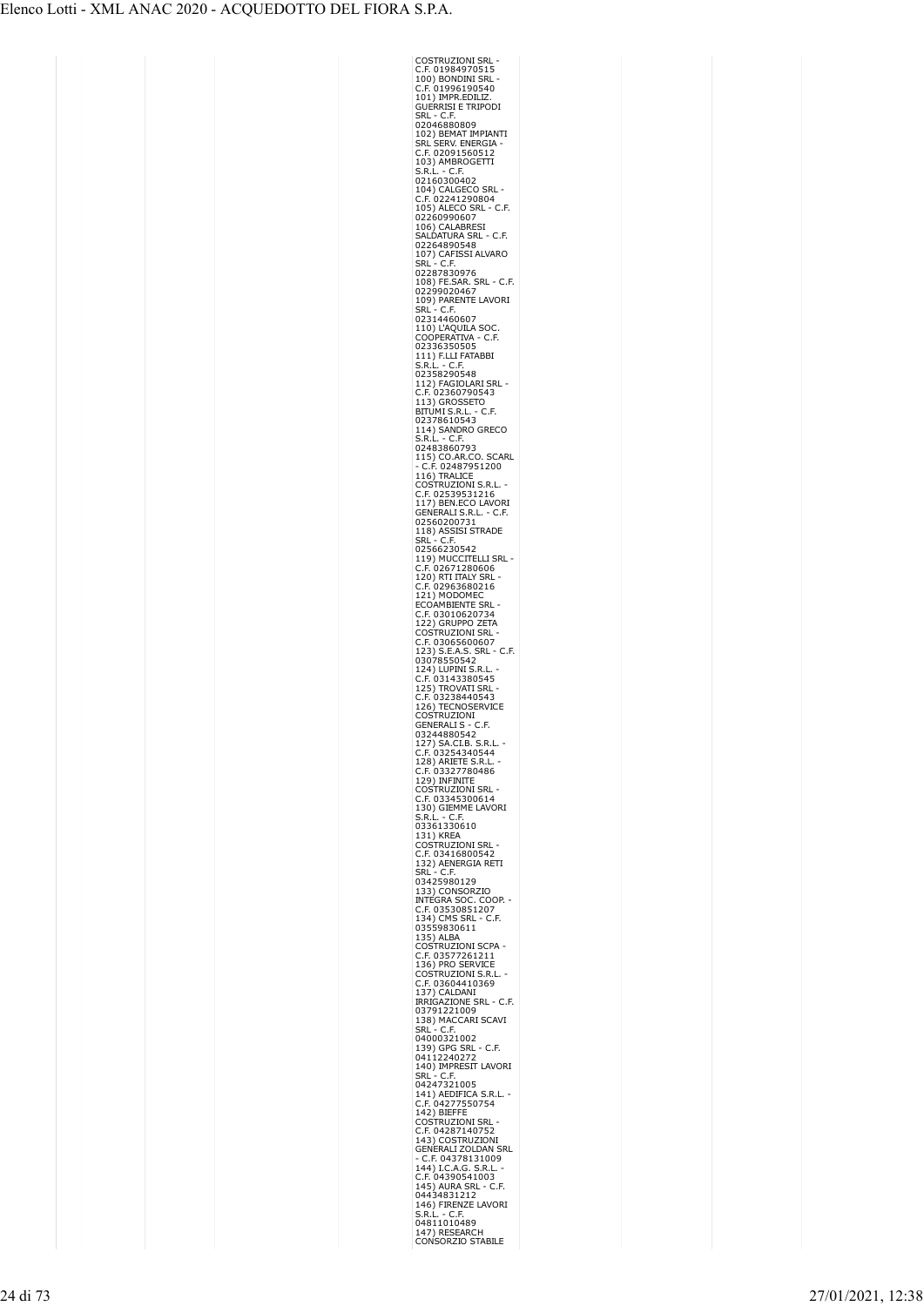| COSTRUZIONI SRL<br>C.F. 01984970515<br>100) BONDINI SRL                                                                                                                                                                                                               |
|-----------------------------------------------------------------------------------------------------------------------------------------------------------------------------------------------------------------------------------------------------------------------|
|                                                                                                                                                                                                                                                                       |
| C.F. 01996190540<br>101) IMPR.EDILIZ.<br>GUERRISI E TRIPODI                                                                                                                                                                                                           |
|                                                                                                                                                                                                                                                                       |
| SRL - C.F.                                                                                                                                                                                                                                                            |
| J2046880809<br>102) BEMAT IMPIANTI<br>SRL SERV. ENERGIA -<br>C.F. 02091560512<br>103) AMBROGETTI<br>S.R.L. - C.F.<br>02160365                                                                                                                                         |
|                                                                                                                                                                                                                                                                       |
|                                                                                                                                                                                                                                                                       |
| 103) APPINGOR<br>S.R.L. - C.F.<br>02160300402<br>104) CALGECO SRL<br>105) ALECO SRL - 1<br>105) ALECO SRL - 1<br>2260990607<br>106) CALABRESI<br>SALDATURA SRL - 0<br>234.0201300548                                                                                  |
|                                                                                                                                                                                                                                                                       |
| ∙ C.F.                                                                                                                                                                                                                                                                |
|                                                                                                                                                                                                                                                                       |
| - C.F.                                                                                                                                                                                                                                                                |
| 02264890548                                                                                                                                                                                                                                                           |
| 107) CAFISSI ALVARO<br>SRL - C.F.                                                                                                                                                                                                                                     |
| 02287830976                                                                                                                                                                                                                                                           |
| 108) FE.SAR. SRL - C.F.<br>02299020467                                                                                                                                                                                                                                |
| 109) PARENTE LAVORI                                                                                                                                                                                                                                                   |
| SRL - C.F.<br>02314460607                                                                                                                                                                                                                                             |
| 110) L'AQUILA SOC<br>COOPERATIVA - C.I                                                                                                                                                                                                                                |
| C.F                                                                                                                                                                                                                                                                   |
| 02336350505<br>111) F.LLI FATABBI<br>S.R.L. - C.F.<br>02358290543                                                                                                                                                                                                     |
|                                                                                                                                                                                                                                                                       |
| 112) FAGIOLARI SRL<br>C.F. 02360790543                                                                                                                                                                                                                                |
| C<br>113) GROSSETO                                                                                                                                                                                                                                                    |
| BITUMI S.R.L. -<br>C.F.                                                                                                                                                                                                                                               |
| 02378610543<br>114) SANDRO GRECO<br>S.R.L. - C.F.                                                                                                                                                                                                                     |
| S.R.L. - C.F.<br>02483860793                                                                                                                                                                                                                                          |
|                                                                                                                                                                                                                                                                       |
|                                                                                                                                                                                                                                                                       |
| 02483860793<br>115) CO.AR.CO. SCARL<br>- C.F. 02487951200<br>105 TRALICE<br>COSTRUZIONI S.R.L.<br>- C.F. 02539531216<br>- C.F. 02539531216<br>118) ASSISI STRADE<br>02560200731<br>118) ASSISI STRADE<br>SRL - C.F.<br>118) ASSISI STRADE<br>SRL - C.F.               |
|                                                                                                                                                                                                                                                                       |
|                                                                                                                                                                                                                                                                       |
|                                                                                                                                                                                                                                                                       |
|                                                                                                                                                                                                                                                                       |
|                                                                                                                                                                                                                                                                       |
|                                                                                                                                                                                                                                                                       |
| 1107 ASSIS<br>SRL - C.F.<br>02566230542<br>119) MUCCITELLI SRL<br>C.F. 02671280606<br>120) RTI ITALY SRL -<br>C.F. 02963680216<br>C                                                                                                                                   |
|                                                                                                                                                                                                                                                                       |
| OAMBIENTE SRI<br>EC                                                                                                                                                                                                                                                   |
|                                                                                                                                                                                                                                                                       |
| C.F. 03010620734<br>122) GRUPPO ZETA<br>COSTRUZIONI SRL<br>C.F. 03065500555                                                                                                                                                                                           |
|                                                                                                                                                                                                                                                                       |
| $-C.F.$                                                                                                                                                                                                                                                               |
| C.F. 03065600607<br>123) S.E.A.S. SRL<br>03078550542                                                                                                                                                                                                                  |
| 03143380545<br>C                                                                                                                                                                                                                                                      |
| - 5420542<br>124) LUPINI S.R.L<br>C.F. 031433905<br><b>2.1. 05145500545</b><br>125) TROVATI SRL                                                                                                                                                                       |
|                                                                                                                                                                                                                                                                       |
|                                                                                                                                                                                                                                                                       |
| <b>EXAMPLE CONTRACT SINCE CONTROLLER</b><br>126) TECNOSERVICE<br>COSTRUZIONI<br>GENERALI S - C.F.<br>03244880542                                                                                                                                                      |
|                                                                                                                                                                                                                                                                       |
|                                                                                                                                                                                                                                                                       |
| upz44880542<br>127) SA.CI.B. S.R.L. -<br>C.F. 03254340544<br>128) ARIETE S.R.L. -<br>C.E. 03337366 : - -<br>E.F. 03327780486<br>C                                                                                                                                     |
| 129) INFINITE                                                                                                                                                                                                                                                         |
| COSTRUZIONI SRL<br>COSTRUZIONI SRL                                                                                                                                                                                                                                    |
| 130) GIEMME LAVORI                                                                                                                                                                                                                                                    |
| S.R.L. - C.F.<br>03361330610                                                                                                                                                                                                                                          |
|                                                                                                                                                                                                                                                                       |
|                                                                                                                                                                                                                                                                       |
| USSOLSSOLS<br>131) KREA<br>COSTRUZIONI SRL<br>C.F. 03416800542<br>132) AENERGIA RETI<br>SRL - C.F.                                                                                                                                                                    |
| 03425980129<br>33) CONSORZIO<br>1                                                                                                                                                                                                                                     |
|                                                                                                                                                                                                                                                                       |
|                                                                                                                                                                                                                                                                       |
|                                                                                                                                                                                                                                                                       |
| 2337 CONSURATIO<br>The GRA SOC. COOP.<br>C.F. 03530851207<br>134) CMS SRL - C.F.<br>03559830611<br>10650811710NL COSTRUITION                                                                                                                                          |
| COSTRUZIONI SCPA<br>C.F. 03577261211<br>136) PRO SERVICE                                                                                                                                                                                                              |
| COSTRUZIONI S.R.L                                                                                                                                                                                                                                                     |
| .F. 03604410369<br>c                                                                                                                                                                                                                                                  |
|                                                                                                                                                                                                                                                                       |
| C.F. 03604410369<br>137) CALDANI<br>IRRIGAZIONE SRL - C.F.<br>03791221009<br>138) MACCARI SCAVI                                                                                                                                                                       |
| SRL -                                                                                                                                                                                                                                                                 |
| SRL - C.F.<br>04000321002                                                                                                                                                                                                                                             |
|                                                                                                                                                                                                                                                                       |
|                                                                                                                                                                                                                                                                       |
|                                                                                                                                                                                                                                                                       |
| 04000221002<br>199 GPG SRL - C.F.<br>04112240272<br>140) IMPRESIT LAVORI<br>SRL - C.F.<br>04247321005<br>141) AEDIFICA S.R.L. -<br>C F 04277550754                                                                                                                    |
|                                                                                                                                                                                                                                                                       |
|                                                                                                                                                                                                                                                                       |
|                                                                                                                                                                                                                                                                       |
|                                                                                                                                                                                                                                                                       |
|                                                                                                                                                                                                                                                                       |
|                                                                                                                                                                                                                                                                       |
| 141) AEDIFICA S.R.L.<br>C.F. 04277550754<br>142) BIEFFE<br>C.F. 04287140752<br>C.F. 04287140752<br>C.F. 04287140752<br>G.R. 04378131009<br>- C.F. 04378131009<br>C.F. 04378131009<br>C.F. 04378131009<br>C.F. 0439054100<br>C.F. 0439054100<br>04348331212<br>0443483 |
| 04434031212<br>146) FIRENZE LAVORI<br>S.R.L. - C.F.<br>04811010489<br>147) RESEARCH                                                                                                                                                                                   |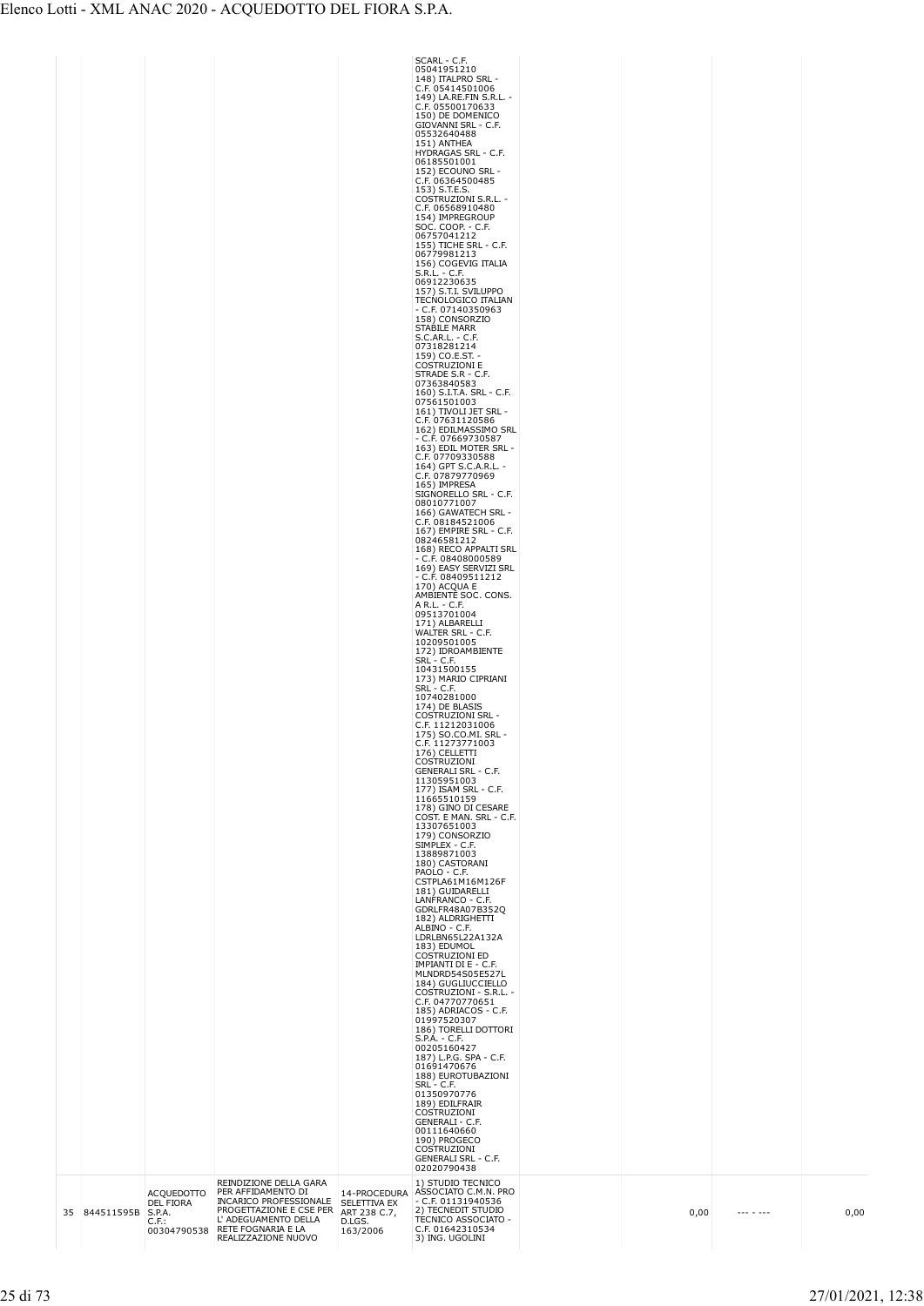|  |               |                                                      |                                                                                                                                                                                    |                                                    | SCARL - C.F.<br>05041951210<br>148) ITALPRO SRL -<br>C.F. 05414501006<br>149) LA.RE.FIN S.R.L. -<br>C.F. 05500170633<br>150) DE DOMENICO<br>GIOVANNI SRL - C.F.<br>05532640488<br>151) ANTHEA<br>HYDRAGAS SRL - C.F.<br>06185501001<br>152) ECOUNO SRL -<br>C.F. 06364500485<br>153) S.T.E.S.<br>COSTRUZIONI S.R.L. -<br>C.F. 06568910480<br>154) IMPREGROUP<br>SOC. COOP. - C.F.<br>06757041212<br>155) TICHE SRL - C.F.<br>06779981213<br>156) COGEVIG ITALIA<br>S.R.L. - C.F.<br>06912230635<br>157) S.T.I. SVILUPPO<br><b>TECNOLOGICO ITALIAN</b><br>$- C.F. 07140350963$<br>158) CONSORZIO<br>STABILE MARR<br>S.C.AR.L. - C.F.<br>07318281214<br>159) CO.E.ST. -<br><b>COSTRUZIONI E</b><br>STRADE S.R - C.F.<br>07363840583<br>160) S.I.T.A. SRL - C.F.<br>07561501003<br>161) TIVOLI JET SRL -<br>C.F. 07631120586<br>162) EDILMASSIMO SRL<br>- C.F. 07669730587<br>163) EDIL MOTER SRL -<br>C.F. 07709330588<br>164) GPT S.C.A.R.L. -<br>C.F. 07879770969<br>165) IMPRESA<br>SIGNORELLO SRL - C.F.<br>08010771007<br>166) GAWATECH SRL -<br>C.F. 08184521006<br>167) EMPIRE SRL - C.F.<br>08246581212<br>168) RECO APPALTI SRL<br>$-$ C.F. 08408000589<br>169) EASY SERVIZI SRL<br>$- C.F. 08409511212$<br>170) ACQUA E<br>AMBIENTE SOC. CONS.<br>A R.L. - C.F.<br>09513701004<br>171) ALBARELLI<br>WALTER SRL - C.F.<br>10209501005<br>172) IDROAMBIENTE<br>SRL - C.F.<br>10431500155<br>173) MARIO CIPRIANI<br>SRL - C.F.<br>10740281000<br>174) DE BLASIS<br>COSTRUZIONI SRL -<br>C.F. 11212031006<br>175) SO.CO.MI. SRL -<br>C.F. 11273771003<br>$1/6$ ) CELLETII<br>COSTRUZIONI<br><b>GENERALI SRL - C.F.</b><br>11305951003<br>177) ISAM SRL - C.F.<br>11665510159<br>178) GINO DI CESARE<br>COST. E MAN. SRL - C.F.<br>13307651003<br>179) CONSORZIO<br>SIMPLEX - C.F.<br>13889871003<br>180) CASTORANI<br>PAOLO - C.F.<br>CSTPLA61M16M126F<br>181) GUIDARELLI<br>LANFRANCO - C.F.<br>GDRLFR48A07B352Q<br>182) ALDRIGHETTI<br>ALBINO - C.F.<br>LDRLBN65L22A132A<br>183) EDUMOL<br><b>COSTRUZIONI ED</b><br>IMPIANTI DI E - C.F.<br>MLNDRD54S05E527L<br>184) GUGLIUCCIELLO<br>COSTRUZIONI - S.R.L. -<br>C.F. 04770770651<br>185) ADRIACOS - C.F.<br>01997520307<br>186) TORELLI DOTTORI<br>S.P.A. - C.F.<br>00205160427<br>187) L.P.G. SPA - C.F.<br>01691470676<br>188) EUROTUBAZIONI<br>SRL - C.F.<br>01350970776<br>189) EDILFRAIR<br>COSTRUZIONI<br>GENERALI - C.F.<br>00111640660<br>190) PROGECO<br>COSTRUZIONI<br><b>GENERALI SRL - C.F.</b><br>02020790438 |      |          |
|--|---------------|------------------------------------------------------|------------------------------------------------------------------------------------------------------------------------------------------------------------------------------------|----------------------------------------------------|----------------------------------------------------------------------------------------------------------------------------------------------------------------------------------------------------------------------------------------------------------------------------------------------------------------------------------------------------------------------------------------------------------------------------------------------------------------------------------------------------------------------------------------------------------------------------------------------------------------------------------------------------------------------------------------------------------------------------------------------------------------------------------------------------------------------------------------------------------------------------------------------------------------------------------------------------------------------------------------------------------------------------------------------------------------------------------------------------------------------------------------------------------------------------------------------------------------------------------------------------------------------------------------------------------------------------------------------------------------------------------------------------------------------------------------------------------------------------------------------------------------------------------------------------------------------------------------------------------------------------------------------------------------------------------------------------------------------------------------------------------------------------------------------------------------------------------------------------------------------------------------------------------------------------------------------------------------------------------------------------------------------------------------------------------------------------------------------------------------------------------------------------------------------------------------------------------------------------------------------------------------------------------------------------------------------------------------------------------------------------------------------------------------------------------------------------------------------------------|------|----------|
|  | 35 844511595B | <b>ACQUEDOTTO</b><br>DEL FIORA<br>S.P.A.<br>$C.F.$ : | REINDIZIONE DELLA GARA<br>PER AFFIDAMENTO DI<br>INCARICO PROFESSIONALE<br>PROGETTAZIONE E CSE PER<br>L' ADEGUAMENTO DELLA<br>00304790538 RETE FOGNARIA E LA<br>REALIZZAZIONE NUOVO | SELETTIVA EX<br>ART 238 C.7,<br>D.LGS.<br>163/2006 | 1) STUDIO TECNICO<br>14-PROCEDURA ASSOCIATO C.M.N. PRO<br>$-$ C.F. 01131940536<br>2) TECNEDIT STUDIO<br>TECNICO ASSOCIATO -<br>C.F. 01642310534<br>3) ING. UGOLINI                                                                                                                                                                                                                                                                                                                                                                                                                                                                                                                                                                                                                                                                                                                                                                                                                                                                                                                                                                                                                                                                                                                                                                                                                                                                                                                                                                                                                                                                                                                                                                                                                                                                                                                                                                                                                                                                                                                                                                                                                                                                                                                                                                                                                                                                                                               | 0,00 | <br>0,00 |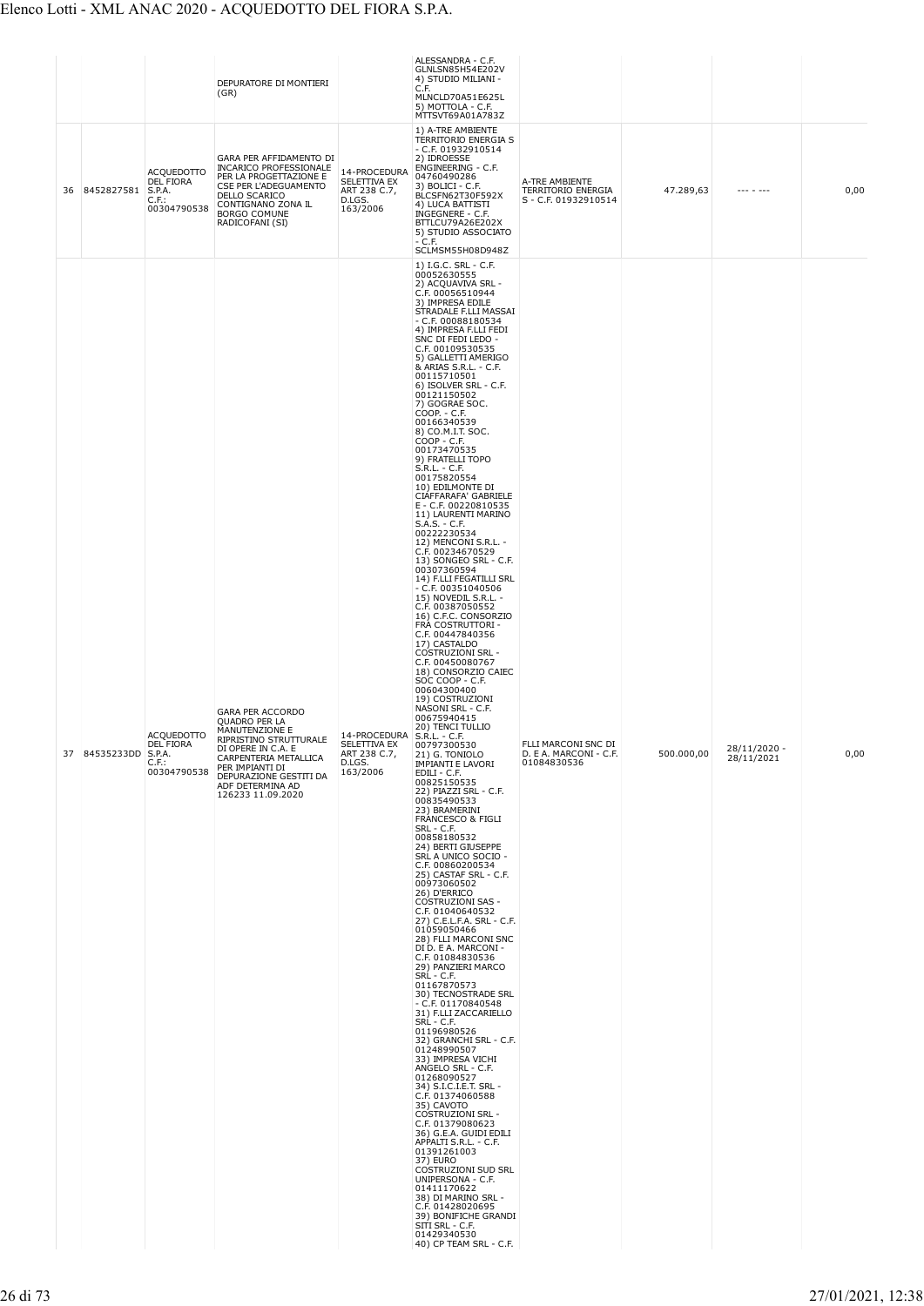|    |                   |                                                                  | DEPURATORE DI MONTIERI<br>(GR)                                                                                                                                                                                            |                                                                                  | ALESSANDRA - C.F.<br>GLNLSN85H54E202V<br>4) STUDIO MILIANI -<br>C.F.<br>MLNCLD70A51E625L<br>5) MOTTOLA - C.F.                                                                                                                                                                                                                                                                                                                                                                                                                                                                                                                                                                                                                                                                                                                                                                                                                                                                                                                                                                                                                                                                                                                                                                                                                                                                                                                                                                                                                                                                                                                                                                                                                                                                                                                                                                                                                                                                                                                                                                                                                                                                                                                        |                                                                     |            |                              |      |
|----|-------------------|------------------------------------------------------------------|---------------------------------------------------------------------------------------------------------------------------------------------------------------------------------------------------------------------------|----------------------------------------------------------------------------------|--------------------------------------------------------------------------------------------------------------------------------------------------------------------------------------------------------------------------------------------------------------------------------------------------------------------------------------------------------------------------------------------------------------------------------------------------------------------------------------------------------------------------------------------------------------------------------------------------------------------------------------------------------------------------------------------------------------------------------------------------------------------------------------------------------------------------------------------------------------------------------------------------------------------------------------------------------------------------------------------------------------------------------------------------------------------------------------------------------------------------------------------------------------------------------------------------------------------------------------------------------------------------------------------------------------------------------------------------------------------------------------------------------------------------------------------------------------------------------------------------------------------------------------------------------------------------------------------------------------------------------------------------------------------------------------------------------------------------------------------------------------------------------------------------------------------------------------------------------------------------------------------------------------------------------------------------------------------------------------------------------------------------------------------------------------------------------------------------------------------------------------------------------------------------------------------------------------------------------------|---------------------------------------------------------------------|------------|------------------------------|------|
| 36 | 8452827581 S.P.A. | <b>ACQUEDOTTO</b><br>DEL FIORA<br>$C.F.$ :<br>00304790538        | GARA PER AFFIDAMENTO DI<br>INCARICO PROFESSIONALE<br>PER LA PROGETTAZIONE E<br>CSE PER L'ADEGUAMENTO<br><b>DELLO SCARICO</b><br>CONTIGNANO ZONA IL<br><b>BORGO COMUNE</b><br>RADICOFANI (SI)                              | 14-PROCEDURA<br>SELETTIVA EX<br>ART 238 C.7,<br>D.LGS.<br>163/2006               | MTTSVT69A01A783Z<br>1) A-TRE AMBIENTE<br>TERRITORIO ENERGIA S<br>$-$ C.F. 01932910514<br>2) IDROESSE<br>ENGINEERING - C.F.<br>04760490286<br>3) BOLICI - C.F.<br>BLCSFN62T30F592X<br>4) LUCA BATTISTI<br>INGEGNERE - C.F.<br>BTTLCU79A26E202X<br>5) STUDIO ASSOCIATO<br>$- C.F.$                                                                                                                                                                                                                                                                                                                                                                                                                                                                                                                                                                                                                                                                                                                                                                                                                                                                                                                                                                                                                                                                                                                                                                                                                                                                                                                                                                                                                                                                                                                                                                                                                                                                                                                                                                                                                                                                                                                                                     | A-TRE AMBIENTE<br><b>TERRITORIO ENERGIA</b><br>S - C.F. 01932910514 | 47.289,63  |                              | 0,00 |
| 37 | 84535233DD S.P.A. | <b>ACQUEDOTTO</b><br><b>DEL FIORA</b><br>$C.F.$ :<br>00304790538 | GARA PER ACCORDO<br><b>QUADRO PER LA</b><br>MANUTENZIONE E<br>RIPRISTINO STRUTTURALE<br>DI OPERE IN C.A. E<br>CARPENTERIA METALLICA<br>PER IMPIANTI DI<br>DEPURAZIONE GESTITI DA<br>ADF DETERMINA AD<br>126233 11.09.2020 | 14-PROCEDURA S.R.L. - C.F.<br>SELETTIVA EX<br>ART 238 C.7,<br>D.LGS.<br>163/2006 | SCLMSM55H08D948Z<br>1) I.G.C. SRL - C.F.<br>00052630555<br>2) ACQUAVIVA SRL -<br>C.F. 00056510944<br>3) IMPRESA EDILE<br>STRADALE F.LLI MASSAI<br>$-$ C.F. 00088180534<br>4) IMPRESA F.LLI FEDI<br>SNC DI FEDI LEDO -<br>C.F. 00109530535<br>5) GALLETTI AMERIGO<br>& ARIAS S.R.L. - C.F.<br>00115710501<br>6) ISOLVER SRL - C.F.<br>00121150502<br>7) GOGRAE SOC.<br>COOP. - C.F.<br>00166340539<br>8) CO.M.I.T. SOC.<br>COOP - C.F.<br>00173470535<br>9) FRATELLI TOPO<br>S.R.L. - C.F.<br>00175820554<br>10) EDILMONTE DI<br>CIAFFARAFA' GABRIELE<br>E - C.F. 00220810535<br>11) LAURENTI MARINO<br>$S.A.S. - C.F.$<br>00222230534<br>12) MENCONI S.R.L. -<br>C.F. 00234670529<br>13) SONGEO SRL - C.F.<br>00307360594<br>14) F.LLI FEGATILLI SRL<br>$-$ C.F. 00351040506<br>15) NOVEDIL S.R.L. -<br>C.F. 00387050552<br>16) C.F.C. CONSORZIO<br>FRA COSTRUTTORI -<br>C.F. 00447840356<br>17) CASTALDO<br><b>COSTRUZIONI SRL -</b><br>C.F. 00450080767<br>18) CONSORZIO CAIEC<br>SOC COOP - C.F.<br>00604300400<br>19) COSTRUZIONI<br>NASONI SRL - C.F.<br>00675940415<br>20) TENCI TULLIO<br>00797300530<br>21) G. TONIOLO<br><b>IMPIANTI E LAVORI</b><br>EDILI - C.F.<br>00825150535<br>22) PIAZZI SRL - C.F.<br>00835490533<br>23) BRAMERINI<br>FRANCESCO & FIGLI<br>SRL - C.F.<br>00858180532<br>24) BERTI GIUSEPPE<br>SRL A UNICO SOCIO -<br>C.F. 00860200534<br>25) CASTAF SRL - C.F.<br>00973060502<br>26) D'ERRICO<br>COSTRUZIONI SAS -<br>C.F. 01040640532<br>27) C.E.L.F.A. SRL - C.F.<br>01059050466<br>28) FLLI MARCONI SNC<br>DI D. E A. MARCONI -<br>C.F. 01084830536<br>29) PANZIERI MARCO<br>SRL - C.F.<br>01167870573<br>30) TECNOSTRADE SRL<br>$-$ C.F. 01170840548<br>31) F.LLI ZACCARIELLO<br>SRL - C.F.<br>01196980526<br>32) GRANCHI SRL - C.F.<br>01248990507<br>33) IMPRESA VICHI<br>ANGELO SRL - C.F.<br>01268090527<br>34) S.I.C.I.E.T. SRL -<br>C.F. 01374060588<br>35) CAVOTO<br><b>COSTRUZIONI SRL -</b><br>C.F. 01379080623<br>36) G.E.A. GUIDI EDILI<br>APPALTI S.R.L. - C.F.<br>01391261003<br>37) EURO<br>COSTRUZIONI SUD SRL<br>UNIPERSONA - C.F.<br>01411170622<br>38) DI MARINO SRL -<br>C.F. 01428020695<br>39) BONIFICHE GRANDI<br>SITI SRL - C.F.<br>01429340530<br>40) CP TEAM SRL - C.F. | FLLI MARCONI SNC DI<br>D. E A. MARCONI - C.F.<br>01084830536        | 500.000,00 | $28/11/2020 -$<br>28/11/2021 | 0,00 |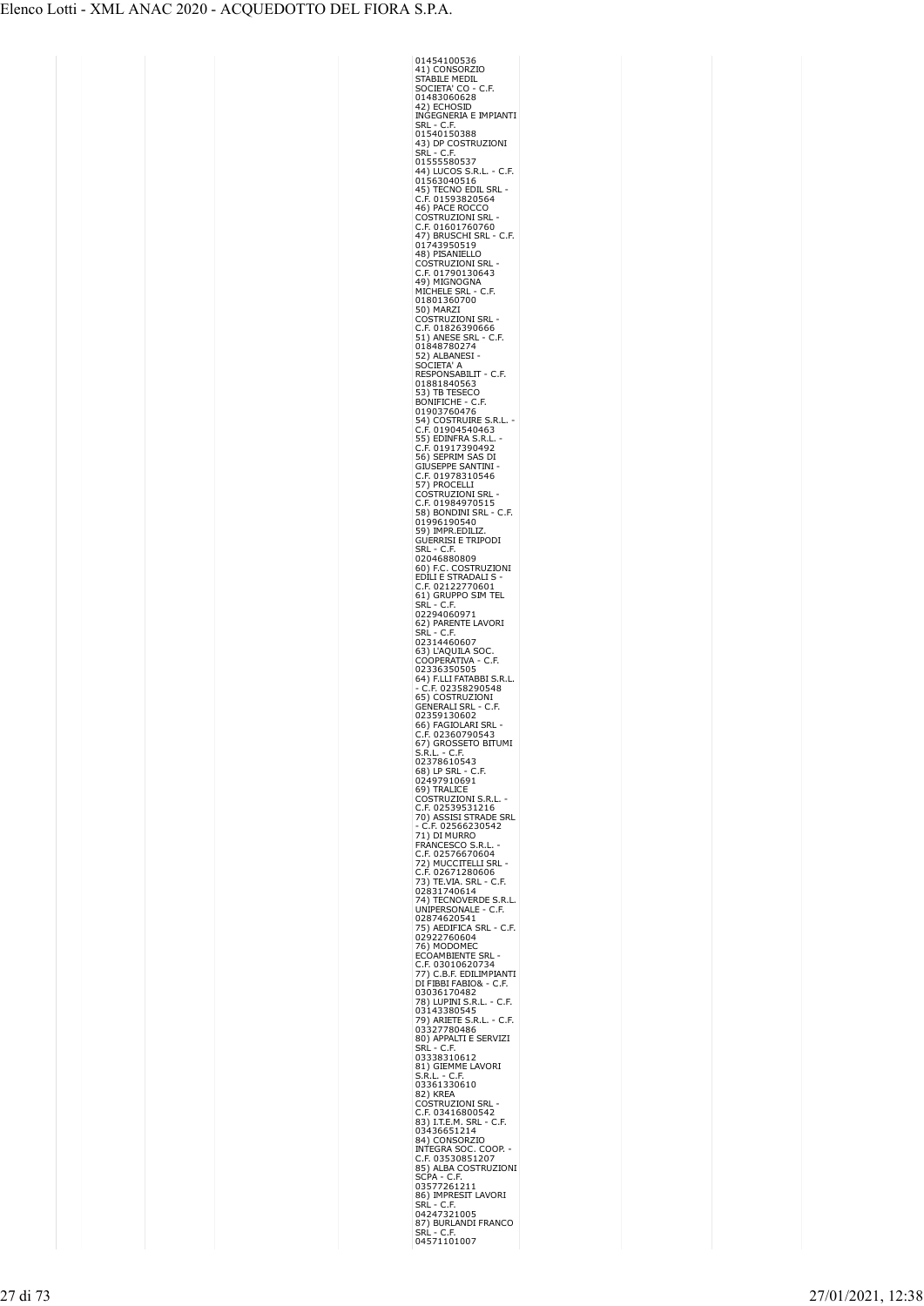| 01454100536                                                                                                                                                                                |
|--------------------------------------------------------------------------------------------------------------------------------------------------------------------------------------------|
| 41) CONSORZIO<br><b>STABILE MEDIL</b>                                                                                                                                                      |
| SOCIETA' CO - C.F.                                                                                                                                                                         |
| 01483060628                                                                                                                                                                                |
| 42) ECHOSID<br>INGEGNERIA E IMPIANTI                                                                                                                                                       |
| SRL - C.F.                                                                                                                                                                                 |
| 01540150388<br>43) DP COSTRUZIONI                                                                                                                                                          |
| SRĹ - C.F                                                                                                                                                                                  |
| 01555580537                                                                                                                                                                                |
| 44) LUCOS S.R.L. - C.F.                                                                                                                                                                    |
| 01563040516<br>SRL                                                                                                                                                                         |
| 45) TECNO EDIL SF<br>C.F. 01593820564                                                                                                                                                      |
| 46) PACE ROCCO                                                                                                                                                                             |
| Ostruzioni Srl<br>.F. 01601760760<br>C                                                                                                                                                     |
|                                                                                                                                                                                            |
| 47) BRUSCHI SRL - C.F.<br>01743950519                                                                                                                                                      |
| 48) PISANIELLO<br><b>COSTRUZIONI SRL</b>                                                                                                                                                   |
| .F. 01790130643<br>C                                                                                                                                                                       |
| 49) MIGNOGNA<br>MICHELE SRL - C.F.                                                                                                                                                         |
| 01801360700                                                                                                                                                                                |
| 50) MARZI                                                                                                                                                                                  |
| COSTRUZIONI SRL                                                                                                                                                                            |
| .F. 01826390666<br>C<br>51) ANESE SRL - C.F.                                                                                                                                               |
| 01848780274                                                                                                                                                                                |
| 52) ALBANESI ·<br>SOCIETA' A                                                                                                                                                               |
| RESPONSABILIT<br>· C.F.                                                                                                                                                                    |
| 01881840563                                                                                                                                                                                |
| 53) TB<br><b>TESECO</b>                                                                                                                                                                    |
| BONIFICHE<br>· C.F.                                                                                                                                                                        |
|                                                                                                                                                                                            |
| <b>CONTRETTLE - C.F.<br/>54) COSTRUIRE S.R.L.<br/>54) COSTRUIRE S.R.L.<br/>55) EDINFRA S.R.L.<br/>55) EDINFRA S.R.L.<br/>65) SEPRIM SAS DI<br/>GILISEDDE SANTINI<br/>GILISEDDE SANTINI</b> |
|                                                                                                                                                                                            |
|                                                                                                                                                                                            |
| GIUSEPPE SANTINI                                                                                                                                                                           |
| .F. 01978310546<br>7) PROCELLI                                                                                                                                                             |
| <b>JZIONI SRL</b><br>OSTRL                                                                                                                                                                 |
| .F. 01984970515                                                                                                                                                                            |
| 58) BONDINI SRL<br>. C.F.<br>01996190540                                                                                                                                                   |
| 59) IMPR.EDILIZ                                                                                                                                                                            |
| <b>GUERRISI E TRIPODI</b>                                                                                                                                                                  |
| SRL - C.F.<br>02046880809                                                                                                                                                                  |
|                                                                                                                                                                                            |
| 60) F.C. COSTRUZIONI<br>EDILI E STRADALI S -                                                                                                                                               |
| .F. 02122770601<br>C<br>TEL                                                                                                                                                                |
| 61) GRUPPO SIM<br>SRL - C.F.                                                                                                                                                               |
| 02294060971                                                                                                                                                                                |
| 62) PARENTE LAVORI<br>SRL - C.F.                                                                                                                                                           |
| 02314460607                                                                                                                                                                                |
| 63) L'AQUILA SOC.                                                                                                                                                                          |
| COOPERATIVA<br>- C.F.<br>02336350505                                                                                                                                                       |
| 64) F.LLI FATABBI S.R.L.                                                                                                                                                                   |
| C.F. 02358290548                                                                                                                                                                           |
| 65) COSTRUZIONI<br><b>GENERALI SRL</b><br>- C.F.                                                                                                                                           |
| 02359130602                                                                                                                                                                                |
| 66) FAGIOLARI SRL -                                                                                                                                                                        |
| C.F. 02360790543                                                                                                                                                                           |
| 67) GROSSETO BITUMI<br>S.R.L. - C.F.                                                                                                                                                       |
| 02378610543                                                                                                                                                                                |
| 68) LP SRL - C.F.                                                                                                                                                                          |
| 02497910691<br>69) TRALICE                                                                                                                                                                 |
| COSTRUZIONI S.R.L.                                                                                                                                                                         |
| .F. 02539531216<br>C<br>70) ASSISI STRADE SRL                                                                                                                                              |
| C.F. 02566230542                                                                                                                                                                           |
| 71) DI MURRO                                                                                                                                                                               |
| FRANCESCO S.R.L<br>C.F. 02576670604                                                                                                                                                        |
|                                                                                                                                                                                            |
| 72) MUCCITELLI SRL<br>C.F. 02671280606<br>73) TE.VIA. SRL - C.I<br>C.                                                                                                                      |
| .F.                                                                                                                                                                                        |
| 02831740614<br>74) TECNOVERDE S.R.L.                                                                                                                                                       |
| UNIPERSONALE - C.F.                                                                                                                                                                        |
| 02874620541                                                                                                                                                                                |
| 75) AEDIFICA SRL - C.F.<br>02922760604                                                                                                                                                     |
| 76) MODOMEC                                                                                                                                                                                |
| ECOAMBIENTE SRL<br>בת בנו בר<br>C.F. 03010620734<br>C.B.F. EDM. MAD                                                                                                                        |
| 77) C.B.F. EDILIMPIANTI<br>DI FIBBI FABIO& - C.F.                                                                                                                                          |
|                                                                                                                                                                                            |
| 03036170482<br>78) LUPINI S.R.L. - C.F.<br>03143380545                                                                                                                                     |
|                                                                                                                                                                                            |
| 79) ARIETE S.R.L. - C.F.<br>03327780486                                                                                                                                                    |
| 80) APPALTI E SERVIZI                                                                                                                                                                      |
| SRĹ - C.F.<br>03338310612                                                                                                                                                                  |
| 81) GIEMME LAVORI                                                                                                                                                                          |
| S.R.L. - C.F.                                                                                                                                                                              |
| 03361330610                                                                                                                                                                                |
| 82) KREA<br><b>COSTRUZIONI SRL</b>                                                                                                                                                         |
| .F. 03416800542<br>C                                                                                                                                                                       |
| 83) I.T.E.M. SRL - C.F.                                                                                                                                                                    |
| 03436651214<br>84) CONSORZIO                                                                                                                                                               |
| <b>INTEGRA SOC. COOP.</b><br>C.F. 03530851207                                                                                                                                              |
|                                                                                                                                                                                            |
| 85) ALBA COSTRUZIONI<br>SCPA - C.F.                                                                                                                                                        |
| 03577261211                                                                                                                                                                                |
| 86) IMPRESIT LAVORI                                                                                                                                                                        |
| SRL - C.F.<br>04247321005                                                                                                                                                                  |
| 87) BURLANDI FRANCO                                                                                                                                                                        |
| $- C.F.$<br>SRL                                                                                                                                                                            |
| 04571101007                                                                                                                                                                                |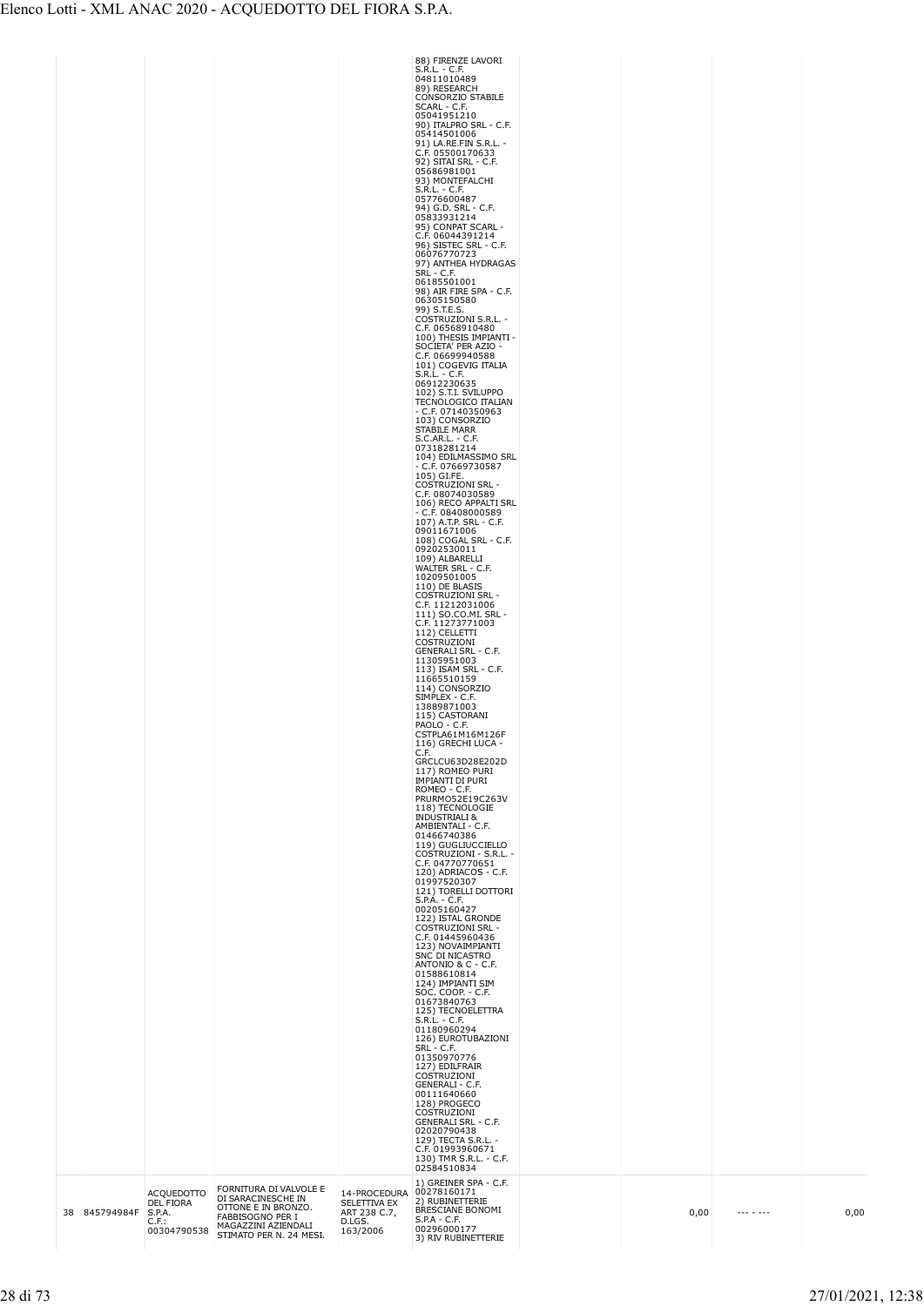|  | 38 845794984F | <b>ACQUEDOTTO</b><br>DEL FIORA<br>S.P.A.<br>$C.F.$ :<br>00304790538 | FORNITURA DI VALVOLE E<br>DI SARACINESCHE IN<br>OTTONE E IN BRONZO.<br>FABBISOGNO PER I<br>MAGAZZINI AZIENDALI<br>STIMATO PER N. 24 MESI. | 14-PROCEDURA<br>SELETTIVA EX<br>ART 238 C.7,<br>D.LGS.<br>163/2006 | <b>INDUSTRIALI &amp;</b><br>AMBIENTALI - C.F.<br>01466740386<br>119) GUGLIUCCIELLO<br>COSTRUZIONI - S.R.L. -<br>C.F. 04770770651<br>120) ADRIACOS - C.F.<br>01997520307<br>121) TORELLI DOTTORI<br>$S.P.A. - C.F.$<br>00205160427<br>122) ISTAL GRONDE<br><b>COSTRUZIONI SRL -</b><br>C.F. 01445960436<br>123) NOVAIMPIANTI<br>SNC DI NICASTRO<br>ANTONIO & C - C.F.<br>01588610814<br>124) IMPIANTI SIM<br>SOC. COOP. - C.F.<br>01673840763<br>125) TECNOELETTRA<br>S.R.L. - C.F.<br>01180960294<br>126) EUROTUBAZIONI<br>SRL - C.F.<br>01350970776<br>127) EDILFRAIR<br>COSTRUZIONI<br>GENERALI - C.F.<br>00111640660<br>128) PROGECO<br>COSTRUZIONI<br><b>GENERALI SRL - C.F.</b><br>02020790438<br>129) TECTA S.R.L. -<br>C.F. 01993960671<br>130) TMR S.R.L. - C.F.<br>02584510834<br>1) GREINER SPA - C.F.<br>00278160171<br>2) RUBINETTERIE<br>BRESCIANE BONOMI<br>$S.P.A - C.F.$<br>00296000177<br>3) RIV RUBINETTERIE                                                                                                                                                                                                                                                                                                                                                                                                                                                                                                                                                                                                                                                  | 0,00 | --- - --- | 0,00 |
|--|---------------|---------------------------------------------------------------------|-------------------------------------------------------------------------------------------------------------------------------------------|--------------------------------------------------------------------|---------------------------------------------------------------------------------------------------------------------------------------------------------------------------------------------------------------------------------------------------------------------------------------------------------------------------------------------------------------------------------------------------------------------------------------------------------------------------------------------------------------------------------------------------------------------------------------------------------------------------------------------------------------------------------------------------------------------------------------------------------------------------------------------------------------------------------------------------------------------------------------------------------------------------------------------------------------------------------------------------------------------------------------------------------------------------------------------------------------------------------------------------------------------------------------------------------------------------------------------------------------------------------------------------------------------------------------------------------------------------------------------------------------------------------------------------------------------------------------------------------------------------------------------------------------------------------|------|-----------|------|
|  |               |                                                                     |                                                                                                                                           |                                                                    | 05041951210<br>90) ITALPRO SRL - C.F.<br>05414501006<br>91) LA.RE.FIN S.R.L. -<br>C.F. 05500170633<br>92) SITAI SRL - C.F.<br>05686981001<br>93) MONTEFALCHI<br>S.R.L. - C.F.<br>05776600487<br>94) G.D. SRL - C.F.<br>05833931214<br>95) CONPAT SCARL -<br>C.F. 06044391214<br>96) SISTEC SRL - C.F.<br>06076770723<br>97) ANTHEA HYDRAGAS<br>SRL - C.F.<br>06185501001<br>98) AIR FIRE SPA - C.F.<br>06305150580<br>99) S.T.E.S.<br>COSTRUZIONI S.R.L. -<br>C.F. 06568910480<br>100) THESIS IMPIANTI -<br>SOCIETA' PER AZIO -<br>C.F. 06699940588<br>101) COGEVIG ITALIA<br>$S.R.L. - C.F.$<br>06912230635<br>102) S.T.I. SVILUPPO<br><b>TECNOLOGICO ITALIAN</b><br>$- C.F. 07140350963$<br>103) CONSORZIO<br><b>STABILE MARR</b><br>S.C.AR.L. - C.F.<br>07318281214<br>104) EDILMASSIMO SRL<br>$-$ C.F. 07669730587<br>105) GI.FE.<br><b>COSTRUZIONI SRL -</b><br>C.F. 08074030589<br>106) RECO APPALTI SRL<br>$- C.F. 08408000589$<br>107) A.T.P. SRL - C.F.<br>09011671006<br>108) COGAL SRL - C.F.<br>09202530011<br>109) ALBARELLI<br>WALTER SRL - C.F.<br>10209501005<br>110) DE BLASIS<br><b>COSTRUZIONI SRL -</b><br>C.F. 11212031006<br>111) SO.CO.MI. SRL -<br>C.F. 11273771003<br>112) CELLETTI<br>COSTRUZIONI<br><b>GENERALI SRL - C.F.</b><br>11305951003<br>113) ISAM SRL - C.F.<br>11665510159<br>114) CONSORZIO<br>SIMPLEX - C.F.<br>13889871003<br>115) CASTORANI<br>PAOLO - C.F.<br>CSTPLA61M16M126F<br>116) GRECHI LUCA -<br>C.F.<br>GRCLCU63D28E202D<br>117) ROMEO PURI<br><b>IMPIANTI DI PURI</b><br>ROMEO - C.F.<br>PRURMO52E19C263V<br>118) TECNOLOGIE |      |           |      |
|  |               |                                                                     |                                                                                                                                           |                                                                    | 88) FIRENZE LAVORI<br>$S.R.L. - C.F.$<br>04811010489<br>89) RESEARCH<br>CONSORZIO STABILE<br>SCARL - C.F.                                                                                                                                                                                                                                                                                                                                                                                                                                                                                                                                                                                                                                                                                                                                                                                                                                                                                                                                                                                                                                                                                                                                                                                                                                                                                                                                                                                                                                                                       |      |           |      |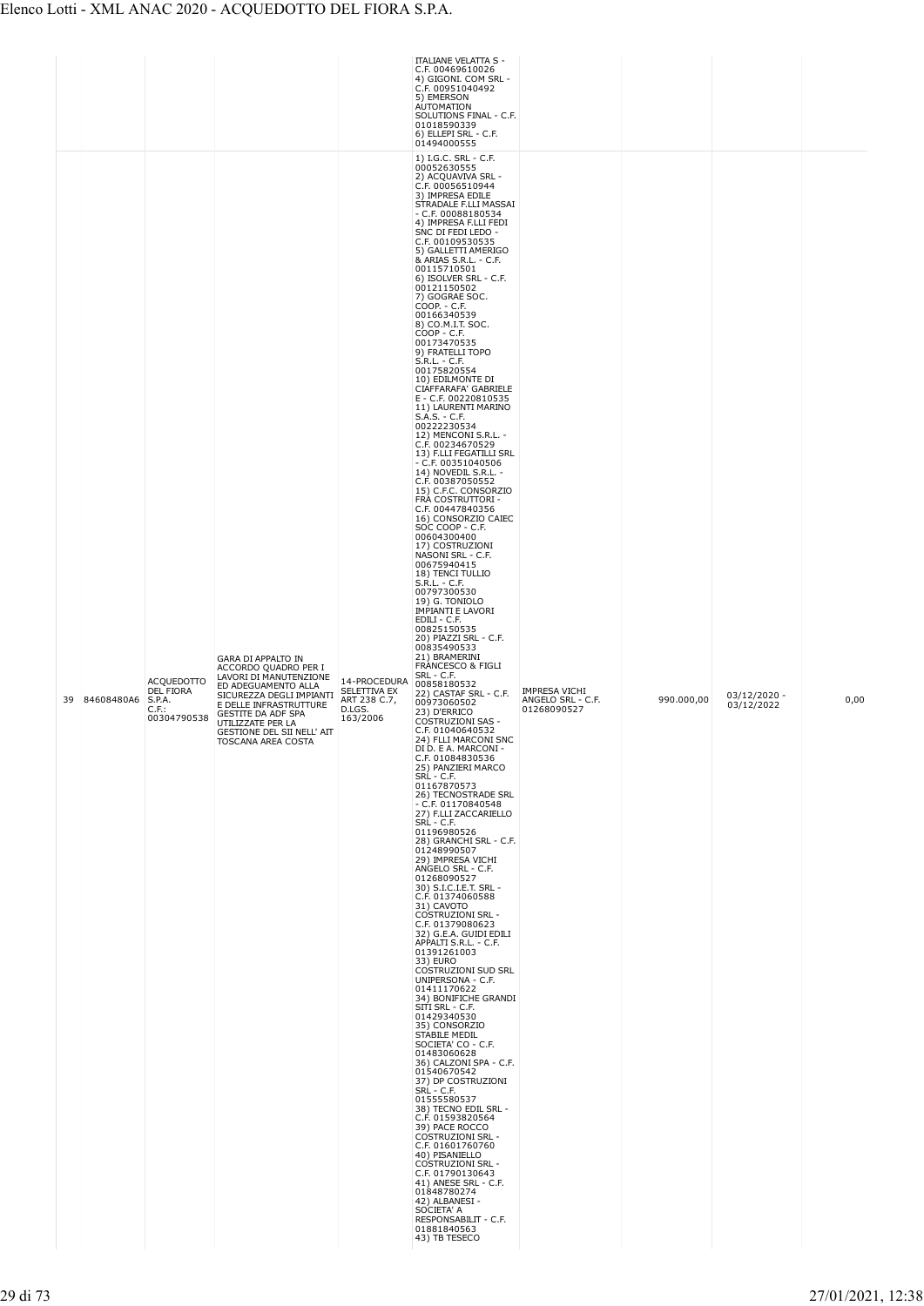|    |            |                                                                            |                                                                                                                                                                                                                                                  |                                                                    | <b>ITALIANE VELATTA S -</b><br>C.F. 00469610026<br>4) GIGONI. COM SRL -<br>C.F. 00951040492<br>5) EMERSON<br><b>AUTOMATION</b><br>SOLUTIONS FINAL - C.F.<br>01018590339<br>6) ELLEPI SRL - C.F.<br>01494000555<br>1) I.G.C. SRL - C.F.<br>00052630555                                                                                                                                                                                                                                                                                                                                                                                                                                                                                                                                                                                                                                                                                                                                                                                                                                                                                                                                                                                                                                                                                                                                                                                                                                                                                                                                                                                                                                                                                                                                                                                                                                                                                                                                                                                                                                                                                                                                                                                                                                                                                                                                          |                                                          |            |                              |      |
|----|------------|----------------------------------------------------------------------------|--------------------------------------------------------------------------------------------------------------------------------------------------------------------------------------------------------------------------------------------------|--------------------------------------------------------------------|------------------------------------------------------------------------------------------------------------------------------------------------------------------------------------------------------------------------------------------------------------------------------------------------------------------------------------------------------------------------------------------------------------------------------------------------------------------------------------------------------------------------------------------------------------------------------------------------------------------------------------------------------------------------------------------------------------------------------------------------------------------------------------------------------------------------------------------------------------------------------------------------------------------------------------------------------------------------------------------------------------------------------------------------------------------------------------------------------------------------------------------------------------------------------------------------------------------------------------------------------------------------------------------------------------------------------------------------------------------------------------------------------------------------------------------------------------------------------------------------------------------------------------------------------------------------------------------------------------------------------------------------------------------------------------------------------------------------------------------------------------------------------------------------------------------------------------------------------------------------------------------------------------------------------------------------------------------------------------------------------------------------------------------------------------------------------------------------------------------------------------------------------------------------------------------------------------------------------------------------------------------------------------------------------------------------------------------------------------------------------------------------|----------------------------------------------------------|------------|------------------------------|------|
| 39 | 84608480A6 | <b>ACQUEDOTTO</b><br><b>DEL FIORA</b><br>S.P.A.<br>$C.F.$ :<br>00304790538 | GARA DI APPALTO IN<br>ACCORDO QUADRO PER I<br>LAVORI DI MANUTENZIONE<br>ED ADEGUAMENTO ALLA<br>SICUREZZA DEGLI IMPIANTI<br>E DELLE INFRASTRUTTURE<br>GESTITE DA ADF SPA<br>UTILIZZATE PER LA<br>GESTIONE DEL SII NELL' AIT<br>TOSCANA AREA COSTA | 14-PROCEDURA<br>SELETTIVA EX<br>ART 238 C.7,<br>D.LGS.<br>163/2006 | 2) ACQUAVIVA SRL -<br>C.F. 00056510944<br>3) IMPRESA EDILE<br>STRADALE F.LLI MASSAI<br>$-$ C.F. 00088180534<br>4) IMPRESA F.LLI FEDI<br>SNC DI FEDI LEDO -<br>C.F. 00109530535<br>5) GALLETTI AMERIGO<br>& ARIAS S.R.L. - C.F.<br>00115710501<br>6) ISOLVER SRL - C.F.<br>00121150502<br>7) GOGRAE SOC.<br>COOP. - C.F.<br>00166340539<br>8) CO.M.I.T. SOC.<br>COOP - C.F.<br>00173470535<br>9) FRATELLI TOPO<br>S.R.L. - C.F.<br>00175820554<br>10) EDILMONTE DI<br>CIAFFARAFA' GABRIELE<br>E - C.F. 00220810535<br>11) LAURENTI MARINO<br>S.A.S. - C.F.<br>00222230534<br>12) MENCONI S.R.L. -<br>C.F. 00234670529<br>13) F.LLI FEGATILLI SRL<br>$-$ C.F. 00351040506<br>14) NOVEDIL S.R.L. -<br>C.F. 00387050552<br>15) C.F.C. CONSORZIO<br>FRA COSTRUTTORI -<br>C.F. 00447840356<br>16) CONSORZIO CAIEC<br>SOC COOP - C.F.<br>00604300400<br>17) COSTRUZIONI<br>NASONI SRL - C.F.<br>00675940415<br>18) TENCI TULLIO<br>S.R.L. - C.F.<br>00797300530<br>19) G. TONIOLO<br><b>IMPIANTI E LAVORI</b><br>EDILI - C.F.<br>00825150535<br>20) PIAZZI SRL - C.F.<br>00835490533<br>21) BRAMERINI<br>FRANCESCO & FIGLI<br>SRL - C.F.<br>00858180532<br>22) CASTAF SRL - C.F.<br>00973060502<br>23) D'ERRICO<br><b>COSTRUZIONI SAS -</b><br>C.F. 01040640532<br>24) FLLI MARCONI SNC<br>DI D. E A. MARCONI -<br>C.F. 01084830536<br>25) PANZIERI MARCO<br>SRL - C.F.<br>01167870573<br>26) TECNOSTRADE SRL<br>$-$ C.F. 01170840548<br>27) F.LLI ZACCARIELLO<br>SRL - C.F.<br>01196980526<br>28) GRANCHI SRL - C.F.<br>01248990507<br>29) IMPRESA VICHI<br>ANGELO SRL - C.F.<br>01268090527<br>30) S.I.C.I.E.T. SRL -<br>C.F. 01374060588<br>31) CAVOTO<br><b>COSTRUZIONI SRL -</b><br>C.F. 01379080623<br>32) G.E.A. GUIDI EDILI<br>APPALTI S.R.L. - C.F.<br>01391261003<br>33) EURO<br>COSTRUZIONI SUD SRL<br>UNIPERSONA - C.F.<br>01411170622<br>34) BONIFICHE GRANDI<br>SITI SRL - C.F.<br>01429340530<br>35) CONSORZIO<br><b>STABILE MEDIL</b><br>SOCIETA' CO - C.F.<br>01483060628<br>36) CALZONI SPA - C.F.<br>01540670542<br>37) DP COSTRUZIONI<br>SRL - C.F.<br>01555580537<br>38) TECNO EDIL SRL -<br>C.F. 01593820564<br>39) PACE ROCCO<br><b>COSTRUZIONI SRL -</b><br>C.F. 01601760760<br>40) PISANIELLO<br><b>COSTRUZIONI SRL -</b><br>C.F. 01790130643<br>41) ANESE SRL - C.F.<br>01848780274<br>42) ALBANESI -<br>SOCIETA' A<br>RESPONSABILIT - C.F.<br>01881840563<br>43) TB TESECO | <b>IMPRESA VICHI</b><br>ANGELO SRL - C.F.<br>01268090527 | 990.000,00 | $03/12/2020 -$<br>03/12/2022 | 0,00 |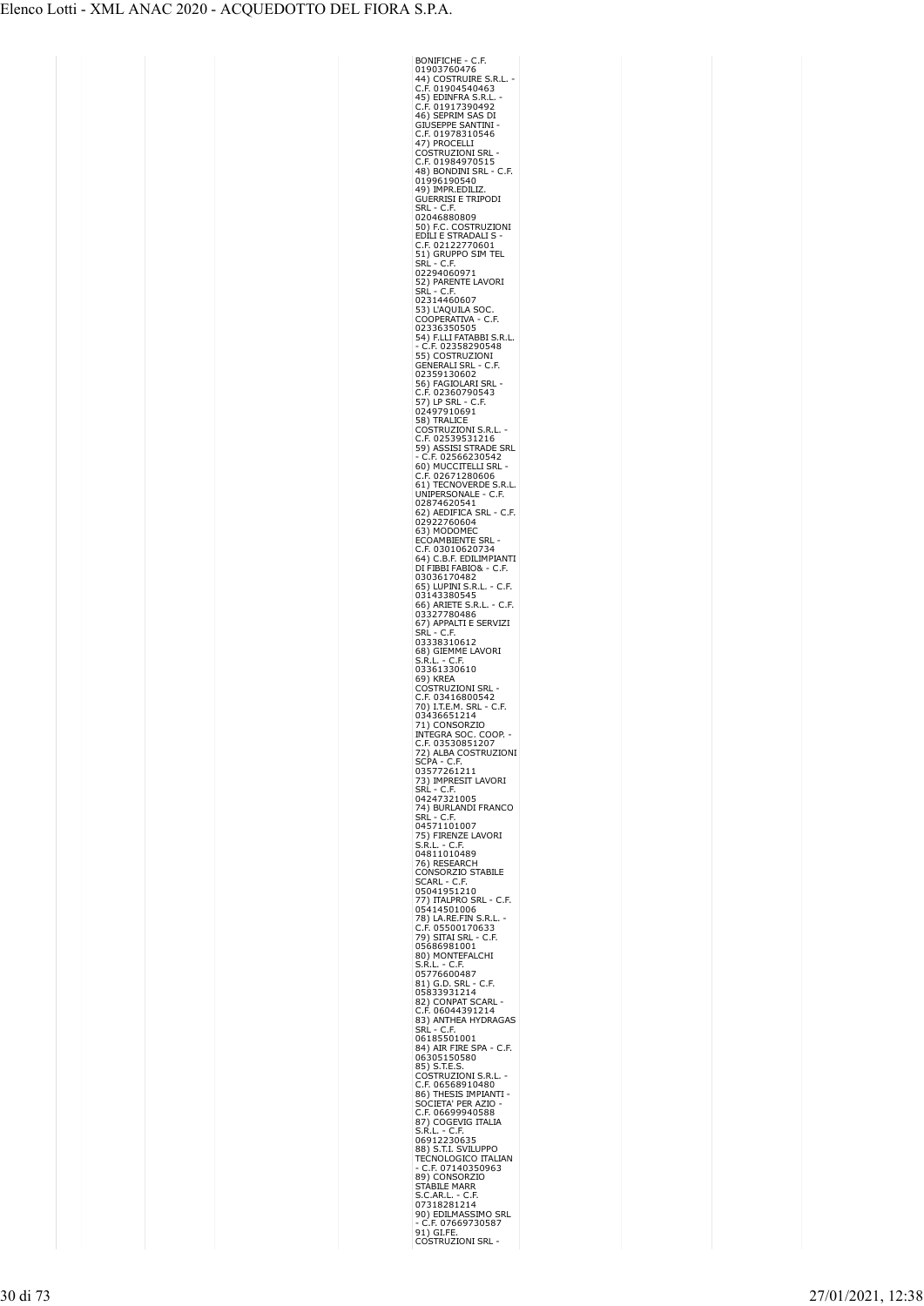| BONIFICHE - C<br>01903760476<br>.F,                                                                                                                                                  |  |
|--------------------------------------------------------------------------------------------------------------------------------------------------------------------------------------|--|
|                                                                                                                                                                                      |  |
|                                                                                                                                                                                      |  |
| 44) COSTRUIRE S.R.L.<br>C.F. 01904540463<br>45) EDINFRA S.R.L. -                                                                                                                     |  |
|                                                                                                                                                                                      |  |
| C.F. 01917390492<br>46) SEPRIM SAS DI                                                                                                                                                |  |
| <b>GIUSEPPE SANTINI</b>                                                                                                                                                              |  |
|                                                                                                                                                                                      |  |
| C.F. 01978310546<br>47) PROCELLI                                                                                                                                                     |  |
| COSTRUZIONI SRL<br>C.F. 01984970515<br>48) BONDINI SRL - C.F.                                                                                                                        |  |
|                                                                                                                                                                                      |  |
|                                                                                                                                                                                      |  |
| 01996190540                                                                                                                                                                          |  |
| 49) IMPR.EDILIZ.                                                                                                                                                                     |  |
| <b>GUERRISI E TRIPODI</b>                                                                                                                                                            |  |
| SRL - C.F.                                                                                                                                                                           |  |
| 02046880809                                                                                                                                                                          |  |
| 50) F.C. COSTRUZIONI                                                                                                                                                                 |  |
| EDILI E STRADALI S                                                                                                                                                                   |  |
| C.F. 02122770601<br>51) GRUPPO SIM TEL                                                                                                                                               |  |
| SRĹ - C.F.                                                                                                                                                                           |  |
| 02294060971                                                                                                                                                                          |  |
| 52) PARENTE LAVORI                                                                                                                                                                   |  |
| SRĹ - C.F.                                                                                                                                                                           |  |
| 02314460607                                                                                                                                                                          |  |
| 53) L'AQUILA SOC                                                                                                                                                                     |  |
| COOPERATIVA<br>C.F.                                                                                                                                                                  |  |
| 02336350505                                                                                                                                                                          |  |
| 54) F.LLI FATABBI S.R.L.                                                                                                                                                             |  |
|                                                                                                                                                                                      |  |
| - C.F. 02358290548<br>55) COSTRUZIONI                                                                                                                                                |  |
| <b>GENERALI SRL</b><br>C.F.                                                                                                                                                          |  |
| 02359130602                                                                                                                                                                          |  |
| 56) FAGIOLARI SRL                                                                                                                                                                    |  |
| F. 02360790543.<br>C<br>57) LP SRL - C                                                                                                                                               |  |
| ٠F.<br>02497910691                                                                                                                                                                   |  |
| 58) TRALICE                                                                                                                                                                          |  |
|                                                                                                                                                                                      |  |
| COSTRUZIONI S.R.L.<br>C.F. 02539531216<br>====================                                                                                                                       |  |
| 59) ASSISI STRADE SRL                                                                                                                                                                |  |
|                                                                                                                                                                                      |  |
| - C.F. 02566230542<br>60) MUCCITELLI SRL -<br>C.F. 02671280606<br>61) TECNOVERDE S.R.L.                                                                                              |  |
|                                                                                                                                                                                      |  |
|                                                                                                                                                                                      |  |
| UNIPERSONALE - C.F.                                                                                                                                                                  |  |
| 02874620541                                                                                                                                                                          |  |
| 62) AEDIFICA SRL - C.F.<br>02922760604<br>63) MODOUFS                                                                                                                                |  |
|                                                                                                                                                                                      |  |
| 63) MODOMEC<br>ECOAMBIENTE SRL                                                                                                                                                       |  |
|                                                                                                                                                                                      |  |
| C.F. 03010620734<br>64) C.B.F. EDILIMPIANTI                                                                                                                                          |  |
| 64) C.B.F. EDILIMI<br>DI FIBBI FABIO& -<br>C.F.                                                                                                                                      |  |
|                                                                                                                                                                                      |  |
| · C.F.                                                                                                                                                                               |  |
|                                                                                                                                                                                      |  |
| <i>ы</i> гыры гавцов - С.F.<br>03036170482<br>65) LUPINI S.R.L. - С.F<br>03143380545<br>66) APIETE S.R.L. - С.F<br>03327780486<br>67) APPALTI E SERVIZI<br>SRI - С F<br>· C.F.       |  |
|                                                                                                                                                                                      |  |
|                                                                                                                                                                                      |  |
| SRĹ<br>SRĹ - C.F.<br>03338310612                                                                                                                                                     |  |
|                                                                                                                                                                                      |  |
| 68) GIEMME LAVORI                                                                                                                                                                    |  |
|                                                                                                                                                                                      |  |
| S.R.L. - C<br>۰ŀ                                                                                                                                                                     |  |
| 03361330610                                                                                                                                                                          |  |
| 69) KREA                                                                                                                                                                             |  |
| Costruzioni Srl<br>C                                                                                                                                                                 |  |
|                                                                                                                                                                                      |  |
| C.F. 03416800542<br>70) I.T.E.M. SRL - 0<br>C.F.                                                                                                                                     |  |
| 70) I.T.E.M. SRL<br>03436651214                                                                                                                                                      |  |
| 71) CONSORZIO                                                                                                                                                                        |  |
|                                                                                                                                                                                      |  |
| INTEGRA SOC. COOP.<br>C.F. 03530851207                                                                                                                                               |  |
|                                                                                                                                                                                      |  |
| 72) ALBA COSTRUZIONI<br>SCPA - C.F.<br>03577261211                                                                                                                                   |  |
|                                                                                                                                                                                      |  |
| 0997720000-0997<br>73) IMPRESIT LAVORI<br>SRL - C.F.                                                                                                                                 |  |
| 04247321005                                                                                                                                                                          |  |
| 74) BURLANDI FRANCO                                                                                                                                                                  |  |
| $- C.F.$<br>SRL                                                                                                                                                                      |  |
| 04571101007                                                                                                                                                                          |  |
| 75) FIRENZE LAVORI                                                                                                                                                                   |  |
| $S.R.L. - C.F$                                                                                                                                                                       |  |
| 04811010489                                                                                                                                                                          |  |
| 76) RESEARCH<br>ONSORZIO STABILE<br>C                                                                                                                                                |  |
| SCARL - C.F.                                                                                                                                                                         |  |
| 05041951210                                                                                                                                                                          |  |
| 77) ITALPRO SRL - C.F.                                                                                                                                                               |  |
| 05414501006                                                                                                                                                                          |  |
|                                                                                                                                                                                      |  |
| C                                                                                                                                                                                    |  |
| 78) LA.RE.FIN S.R.L<br>C.F. 05500170633<br>79) SITAI SRL - С.F.                                                                                                                      |  |
| 05686981001                                                                                                                                                                          |  |
| 80) MONTEFALCHI                                                                                                                                                                      |  |
| S.R.L. - C.F.                                                                                                                                                                        |  |
|                                                                                                                                                                                      |  |
| 05776600487<br>81) G.D. SRL -<br>C.F.                                                                                                                                                |  |
|                                                                                                                                                                                      |  |
|                                                                                                                                                                                      |  |
| 12, 0.0. JNL - U.F.<br>05833931214<br>82) CONPAT SCARL<br>C.F. 06044391214<br>83) ANTHEA HYDR                                                                                        |  |
| 83) ANTHEA HYDRAGAS<br>SRL - C.F.                                                                                                                                                    |  |
| 06185501001                                                                                                                                                                          |  |
|                                                                                                                                                                                      |  |
|                                                                                                                                                                                      |  |
|                                                                                                                                                                                      |  |
| 00103011001<br>84) AIR FIRE SPA - C.F.<br>06305150580<br>85) S.T.E.S.<br>C.F. 06568210415.R.L. -                                                                                     |  |
|                                                                                                                                                                                      |  |
|                                                                                                                                                                                      |  |
| C.F. 06568910480<br>86) THESIS IMPIANTI<br>SOCIETA' PER AZIO -<br>C E 06699940588                                                                                                    |  |
|                                                                                                                                                                                      |  |
|                                                                                                                                                                                      |  |
|                                                                                                                                                                                      |  |
|                                                                                                                                                                                      |  |
|                                                                                                                                                                                      |  |
|                                                                                                                                                                                      |  |
| SUCLETA <sup>, PER</sup> AZIO<br>C.F. 06699940588<br>87) COGEVIG ITALIA<br>S.R.L. - C.F.<br>06912230635<br>TECNOLOGICO ITALIAN<br>- C.F. 07140350963<br>89) CONSORZIO<br>STARIF MAPP |  |
|                                                                                                                                                                                      |  |
|                                                                                                                                                                                      |  |
| STABILE MARR<br>S.C.AR.L. - C.F.<br>07318281214<br>90) EDILMASSIMO SRL                                                                                                               |  |
| $\cdot$ ć<br>F. 07669730587                                                                                                                                                          |  |
| 91) GI.FE.<br>COSTRUZIONI SRL<br>c                                                                                                                                                   |  |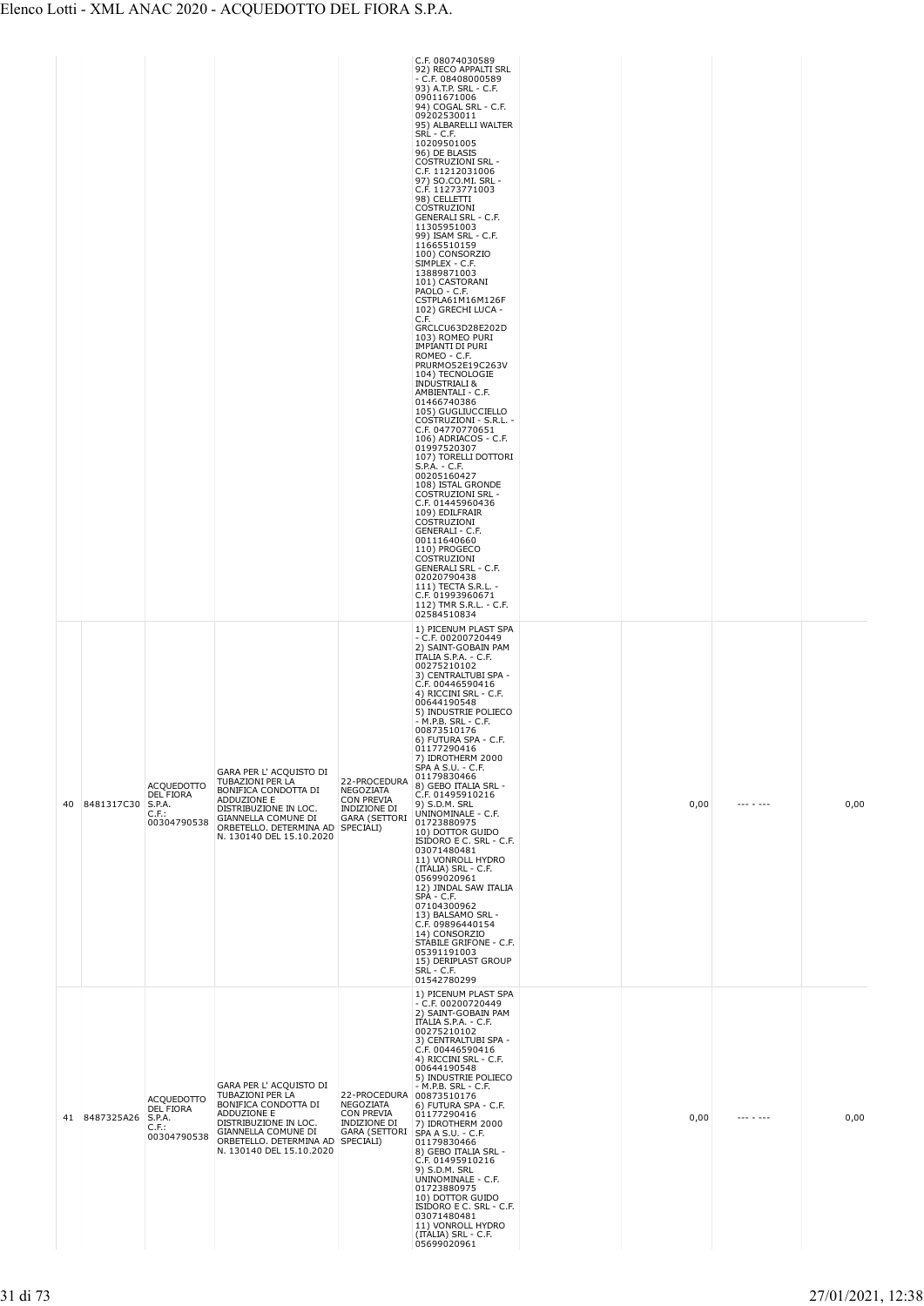|  |                      |                                                                  |                                                                                                                                                                                           |                                                                                                            | C.F. 08074030589<br>92) RECO APPALTI SRL<br>$- C.F. 08408000589$<br>93) A.T.P. SRL - C.F.<br>09011671006<br>94) COGAL SRL - C.F.<br>09202530011<br>95) ALBARELLI WALTER<br>SRL - C.F.<br>10209501005<br>96) DE BLASIS<br><b>COSTRUZIONI SRL -</b><br>C.F. 11212031006<br>97) SO.CO.MI. SRL -<br>C.F. 11273771003<br>98) CELLETTI<br>COSTRUZIONI<br><b>GENERALI SRL - C.F.</b><br>11305951003<br>99) ISAM SRL - C.F.<br>11665510159<br>100) CONSORZIO<br>SIMPLEX - C.F.<br>13889871003<br>101) CASTORANI<br>PAOLO - C.F.<br>CSTPLA61M16M126F<br>102) GRECHI LUCA -<br>C.F.<br>GRCLCU63D28E202D<br>103) ROMEO PURI<br>IMPIANTI DI PURI<br>ROMEO - C.F.<br>PRURMO52E19C263V<br>104) TECNOLOGIE<br><b>INDUSTRIALI &amp;</b><br>AMBIENTALI - C.F.<br>01466740386<br>105) GUGLIUCCIELLO<br>COSTRUZIONI - S.R.L. -<br>C.F. 04770770651<br>106) ADRIACOS - C.F.<br>01997520307<br>107) TORELLI DOTTORI<br>$S.P.A. - C.F.$<br>00205160427<br>108) ISTAL GRONDE<br><b>COSTRUZIONI SRL -</b><br>C.F. 01445960436<br>109) EDILFRAIR<br>COSTRUZIONI<br>GENERALI - C.F.<br>00111640660<br>110) PROGECO<br>COSTRUZIONI<br><b>GENERALI SRL - C.F.</b><br>02020790438<br>111) TECTA S.R.L. -<br>C.F. 01993960671<br>112) TMR S.R.L. - C.F.<br>02584510834 |      |           |      |
|--|----------------------|------------------------------------------------------------------|-------------------------------------------------------------------------------------------------------------------------------------------------------------------------------------------|------------------------------------------------------------------------------------------------------------|------------------------------------------------------------------------------------------------------------------------------------------------------------------------------------------------------------------------------------------------------------------------------------------------------------------------------------------------------------------------------------------------------------------------------------------------------------------------------------------------------------------------------------------------------------------------------------------------------------------------------------------------------------------------------------------------------------------------------------------------------------------------------------------------------------------------------------------------------------------------------------------------------------------------------------------------------------------------------------------------------------------------------------------------------------------------------------------------------------------------------------------------------------------------------------------------------------------------------------------|------|-----------|------|
|  | 40 8481317C30 S.P.A. | <b>ACQUEDOTTO</b><br>DEL FIORA<br>$C.F.$ :<br>00304790538        | GARA PER L' ACQUISTO DI<br>TUBAZIONI PER LA<br>BONIFICA CONDOTTA DI<br>ADDUZIONE E<br>DISTRIBUZIONE IN LOC.<br>GIANNELLA COMUNE DI<br>ORBETELLO, DETERMINA AD<br>N. 130140 DEL 15.10.2020 | 22-PROCEDURA<br><b>NEGOZIATA</b><br><b>CON PREVIA</b><br>INDIZIONE DI<br><b>GARA (SETTORI</b><br>SPECIALI) | 1) PICENUM PLAST SPA<br>$-$ C.F. 00200720449<br>2) SAINT-GOBAIN PAM<br>ITALIA S.P.A. - C.F.<br>00275210102<br>3) CENTRALTUBI SPA -<br>C.F. 00446590416<br>4) RICCINI SRL - C.F.<br>00644190548<br>5) INDUSTRIE POLIECO<br>- M.P.B. SRL - C.F.<br>00873510176<br>6) FUTURA SPA - C.F.<br>01177290416<br>7) IDROTHERM 2000<br>SPA A S.U. - C.F.<br>01179830466<br>8) GEBO ITALIA SRL -<br>C.F. 01495910216<br>9) S.D.M. SRL<br>UNINOMINALE - C.F.<br>01723880975<br>10) DOTTOR GUIDO<br>ISIDORO E C. SRL - C.F.<br>03071480481<br>11) VONROLL HYDRO<br>(ITALIA) SRL - C.F.<br>05699020961<br>12) JINDAL SAW ITALIA<br>SPA - C.F.<br>07104300962<br>13) BALSAMO SRL -<br>C.F. 09896440154<br>14) CONSORZIO<br>STABILE GRIFONE - C.F.<br>05391191003<br>15) DERIPLAST GROUP<br>SRL - C.F.<br>01542780299                                                                                                                                                                                                                                                                                                                                                                                                                                     | 0,00 | --- - --- | 0,00 |
|  | 41 8487325A26 S.P.A. | <b>ACQUEDOTTO</b><br><b>DEL FIORA</b><br>$C.F.$ :<br>00304790538 | GARA PER L' ACQUISTO DI<br>TUBAZIONI PER LA<br>BONIFICA CONDOTTA DI<br>ADDUZIONE E<br>DISTRIBUZIONE IN LOC.<br>GIANNELLA COMUNE DI<br>ORBETELLO. DETERMINA AD<br>N. 130140 DEL 15.10.2020 | 22-PROCEDURA 00873510176<br>NEGOZIATA<br><b>CON PREVIA</b><br>INDIZIONE DI<br>GARA (SETTORI<br>SPECIALI)   | 1) PICENUM PLAST SPA<br>$-$ C.F. 00200720449<br>2) SAINT-GOBAIN PAM<br>ITALIA S.P.A. - C.F.<br>00275210102<br>3) CENTRALTUBI SPA -<br>C.F. 00446590416<br>4) RICCINI SRL - C.F.<br>00644190548<br>5) INDUSTRIE POLIECO<br>- M.P.B. SRL - C.F.<br>6) FUTURA SPA - C.F.<br>01177290416<br>7) IDROTHERM 2000<br>SPA A S.U. - C.F.<br>01179830466<br>8) GEBO ITALIA SRL -<br>C.F. 01495910216<br>9) S.D.M. SRL<br>UNINOMINALE - C.F.<br>01723880975<br>10) DOTTOR GUIDO<br>ISIDORO E C. SRL - C.F.<br>03071480481<br>11) VONROLL HYDRO<br>(ITALIA) SRL - C.F.<br>05699020961                                                                                                                                                                                                                                                                                                                                                                                                                                                                                                                                                                                                                                                                 | 0,00 | --- - --- | 0,00 |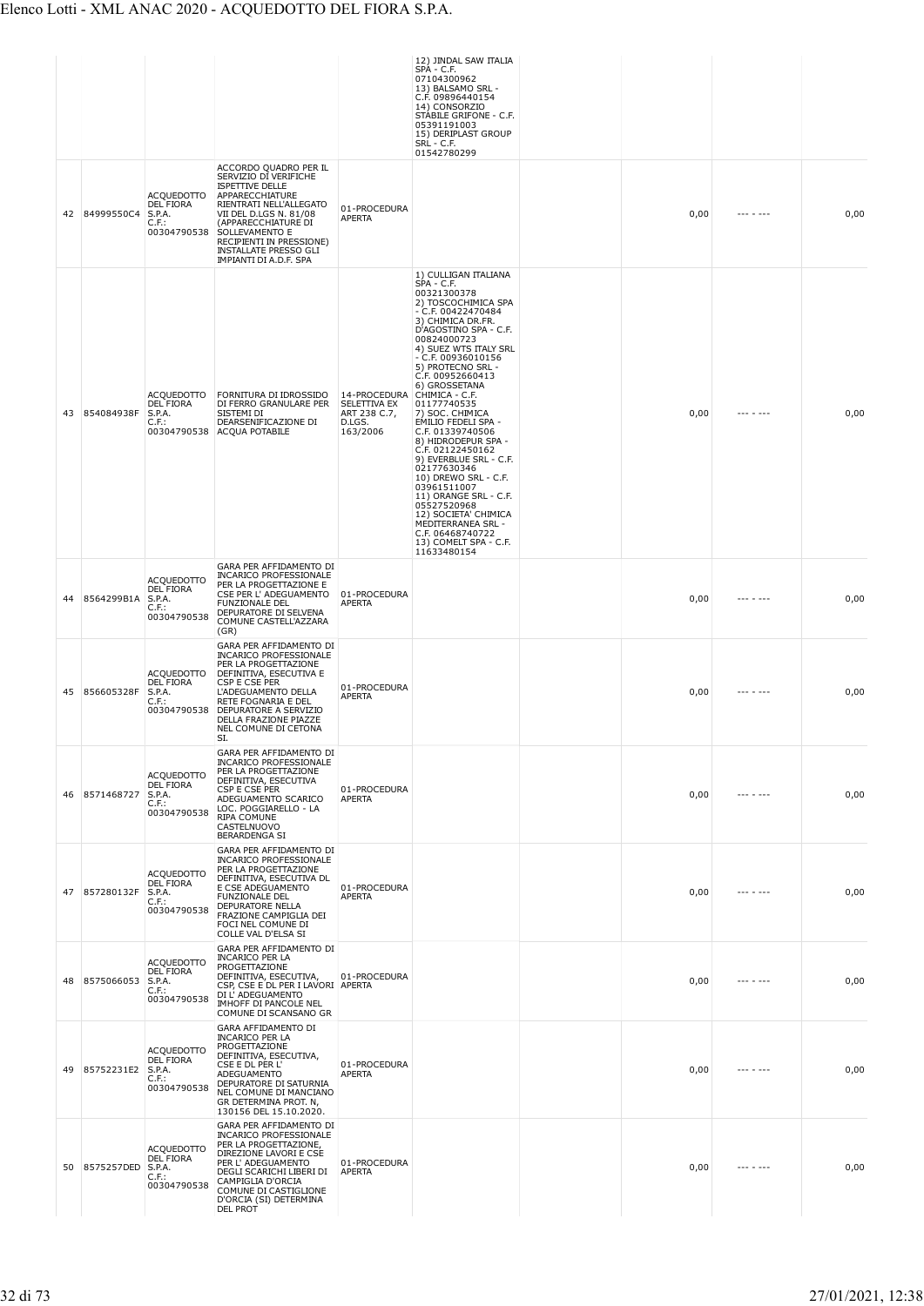|    |               |                                                                     |                                                                                                                                                                                                                                                                                 |                                                                                   | 12) JINDAL SAW ITALIA<br>SPA - C.F.<br>07104300962<br>13) BALSAMO SRL -<br>C.F. 09896440154<br>14) CONSORZIO<br>STABILE GRIFONE - C.F.<br>05391191003<br>15) DERIPLAST GROUP<br>SRL - C.F.<br>01542780299                                                                                                                                                                                                                                                                                                                                                                                                                        |      |           |      |
|----|---------------|---------------------------------------------------------------------|---------------------------------------------------------------------------------------------------------------------------------------------------------------------------------------------------------------------------------------------------------------------------------|-----------------------------------------------------------------------------------|----------------------------------------------------------------------------------------------------------------------------------------------------------------------------------------------------------------------------------------------------------------------------------------------------------------------------------------------------------------------------------------------------------------------------------------------------------------------------------------------------------------------------------------------------------------------------------------------------------------------------------|------|-----------|------|
|    | 42 84999550C4 | <b>ACQUEDOTTO</b><br>DEL FIORA<br>S.P.A.<br>$C.F.$ :<br>00304790538 | ACCORDO QUADRO PER IL<br>SERVIZIO DI VERIFICHE<br><b>ISPETTIVE DELLE</b><br>APPARECCHIATURE<br>RIENTRATI NELL'ALLEGATO<br>VII DEL D.LGS N. 81/08<br>(APPARECCHIATURE DI<br>SOLLEVAMENTO E<br>RECIPIENTI IN PRESSIONE)<br><b>INSTALLATE PRESSO GLI</b><br>IMPIANTI DI A.D.F. SPA | 01-PROCEDURA<br><b>APERTA</b>                                                     |                                                                                                                                                                                                                                                                                                                                                                                                                                                                                                                                                                                                                                  | 0,00 | --- - --- | 0,00 |
| 43 | 854084938F    | <b>ACQUEDOTTO</b><br><b>DEL FIORA</b><br>S.P.A.<br>$C.F.$ :         | FORNITURA DI IDROSSIDO<br>DI FERRO GRANULARE PER<br>SISTEMI DI<br>DEARSENIFICAZIONE DI<br>00304790538 ACQUA POTABILE                                                                                                                                                            | 14-PROCEDURA CHIMICA - C.F.<br>SELETTIVA EX<br>ART 238 C.7,<br>D.LGS.<br>163/2006 | 1) CULLIGAN ITALIANA<br>SPA - C.F.<br>00321300378<br>2) TOSCOCHIMICA SPA<br>- C.F. 00422470484<br>3) CHIMICA DR.FR.<br>D'AGOSTINO SPA - C.F.<br>00824000723<br>4) SUEZ WTS ITALY SRL<br>$- C.F. 00936010156$<br>5) PROTECNO SRL -<br>C.F. 00952660413<br>6) GROSSETANA<br>01177740535<br>7) SOC. CHIMICA<br>EMILIO FEDELI SPA -<br>C.F. 01339740506<br>8) HIDRODEPUR SPA -<br>C.F. 02122450162<br>9) EVERBLUE SRL - C.F.<br>02177630346<br>10) DREWO SRL - C.F.<br>03961511007<br>11) ORANGE SRL - C.F.<br>05527520968<br>12) SOCIETA' CHIMICA<br>MEDITERRANEA SRL -<br>C.F. 06468740722<br>13) COMELT SPA - C.F.<br>11633480154 | 0,00 | $  -$     | 0,00 |
| 44 | 8564299B1A    | <b>ACQUEDOTTO</b><br>DEL FIORA<br>S.P.A.<br>$C.F.$ :<br>00304790538 | GARA PER AFFIDAMENTO DI<br>INCARICO PROFESSIONALE<br>PER LA PROGETTAZIONE E<br>CSE PER L' ADEGUAMENTO<br><b>FUNZIONALE DEL</b><br>DEPURATORE DI SELVENA<br>COMUNE CASTELL'AZZARA<br>(GR)                                                                                        | 01-PROCEDURA<br>APERTA                                                            |                                                                                                                                                                                                                                                                                                                                                                                                                                                                                                                                                                                                                                  | 0,00 |           | 0,00 |
| 45 | 856605328F    | <b>ACQUEDOTTO</b><br>DEL FIORA<br>S.P.A.<br>$C.F.$ :<br>00304790538 | GARA PER AFFIDAMENTO DI<br>INCARICO PROFESSIONALE<br>PER LA PROGETTAZIONE<br>DEFINITIVA, ESECUTIVA E<br>CSP E CSE PER<br>L'ADEGUAMENTO DELLA<br>RETE FOGNARIA E DEL<br>DEPURATORE A SERVIZIO<br>DELLA FRAZIONE PIAZZE<br>NEL COMUNE DI CETONA<br>SI.                            | 01-PROCEDURA<br><b>APERTA</b>                                                     |                                                                                                                                                                                                                                                                                                                                                                                                                                                                                                                                                                                                                                  | 0,00 |           | 0,00 |
| 46 | 8571468727    | <b>ACQUEDOTTO</b><br>DEL FIORA<br>S.P.A.<br>$C.F.$ :<br>00304790538 | GARA PER AFFIDAMENTO DI<br><b>INCARICO PROFESSIONALE</b><br>PER LA PROGETTAZIONE<br>DEFINITIVA, ESECUTIVA<br>CSP E CSE PER<br>ADEGUAMENTO SCARICO<br>LOC. POGGIARELLO - LA<br>RIPA COMUNE<br>CASTELNUOVO<br><b>BERARDENGA SI</b>                                                | 01-PROCEDURA<br>APERTA                                                            |                                                                                                                                                                                                                                                                                                                                                                                                                                                                                                                                                                                                                                  | 0,00 | - ---     | 0,00 |
| 47 | 857280132F    | <b>ACOUEDOTTO</b><br>DEL FIORA<br>S.P.A.<br>$C.F.$ :<br>00304790538 | GARA PER AFFIDAMENTO DI<br>INCARICO PROFESSIONALE<br>PER LA PROGETTAZIONE<br>DEFINITIVA, ESECUTIVA DL<br>E CSE ADEGUAMENTO<br><b>FUNZIONALE DEL</b><br>DEPURATORE NELLA<br>FRAZIONE CAMPIGLIA DEI<br>FOCI NEL COMUNE DI<br>COLLE VAL D'ELSA SI                                  | 01-PROCEDURA<br>APERTA                                                            |                                                                                                                                                                                                                                                                                                                                                                                                                                                                                                                                                                                                                                  | 0,00 |           | 0,00 |
| 48 | 8575066053    | <b>ACQUEDOTTO</b><br>DEL FIORA<br>S.P.A.<br>$C.F.$ :<br>00304790538 | GARA PER AFFIDAMENTO DI<br><b>INCARICO PER LA</b><br>PROGETTAZIONE<br>DEFINITIVA, ESECUTIVA,<br>CSP, CSE E DL PER I LAVORI APERTA<br>DI L' ADEGUAMENTO<br>IMHOFF DI PANCOLE NEL<br>COMUNE DI SCANSANO GR                                                                        | 01-PROCEDURA                                                                      |                                                                                                                                                                                                                                                                                                                                                                                                                                                                                                                                                                                                                                  | 0,00 | .         | 0,00 |
| 49 | 85752231E2    | <b>ACQUEDOTTO</b><br>DEL FIORA<br>S.P.A.<br>$C.F.$ :<br>00304790538 | GARA AFFIDAMENTO DI<br><b>INCARICO PER LA</b><br>PROGETTAZIONE<br>DEFINITIVA, ESECUTIVA,<br>CSE E DL PER L'<br>ADEGUAMENTO<br>DEPURATORE DI SATURNIA<br>NEL COMUNE DI MANCIANO<br>GR DETERMINA PROT. N,<br>130156 DEL 15.10.2020.                                               | 01-PROCEDURA<br>APERTA                                                            |                                                                                                                                                                                                                                                                                                                                                                                                                                                                                                                                                                                                                                  | 0,00 |           | 0,00 |
| 50 | 8575257DED    | <b>ACQUEDOTTO</b><br>DEL FIORA<br>S.P.A.<br>$C.F.$ :<br>00304790538 | GARA PER AFFIDAMENTO DI<br><b>INCARICO PROFESSIONALE</b><br>PER LA PROGETTAZIONE,<br>DIREZIONE LAVORI E CSE<br>PER L' ADEGUAMENTO<br>DEGLI SCARICHI LIBERI DI<br>CAMPIGLIA D'ORCIA<br>COMUNE DI CASTIGLIONE<br>D'ORCIA (SI) DETERMINA<br><b>DEL PROT</b>                        | 01-PROCEDURA<br>APERTA                                                            |                                                                                                                                                                                                                                                                                                                                                                                                                                                                                                                                                                                                                                  | 0,00 |           | 0,00 |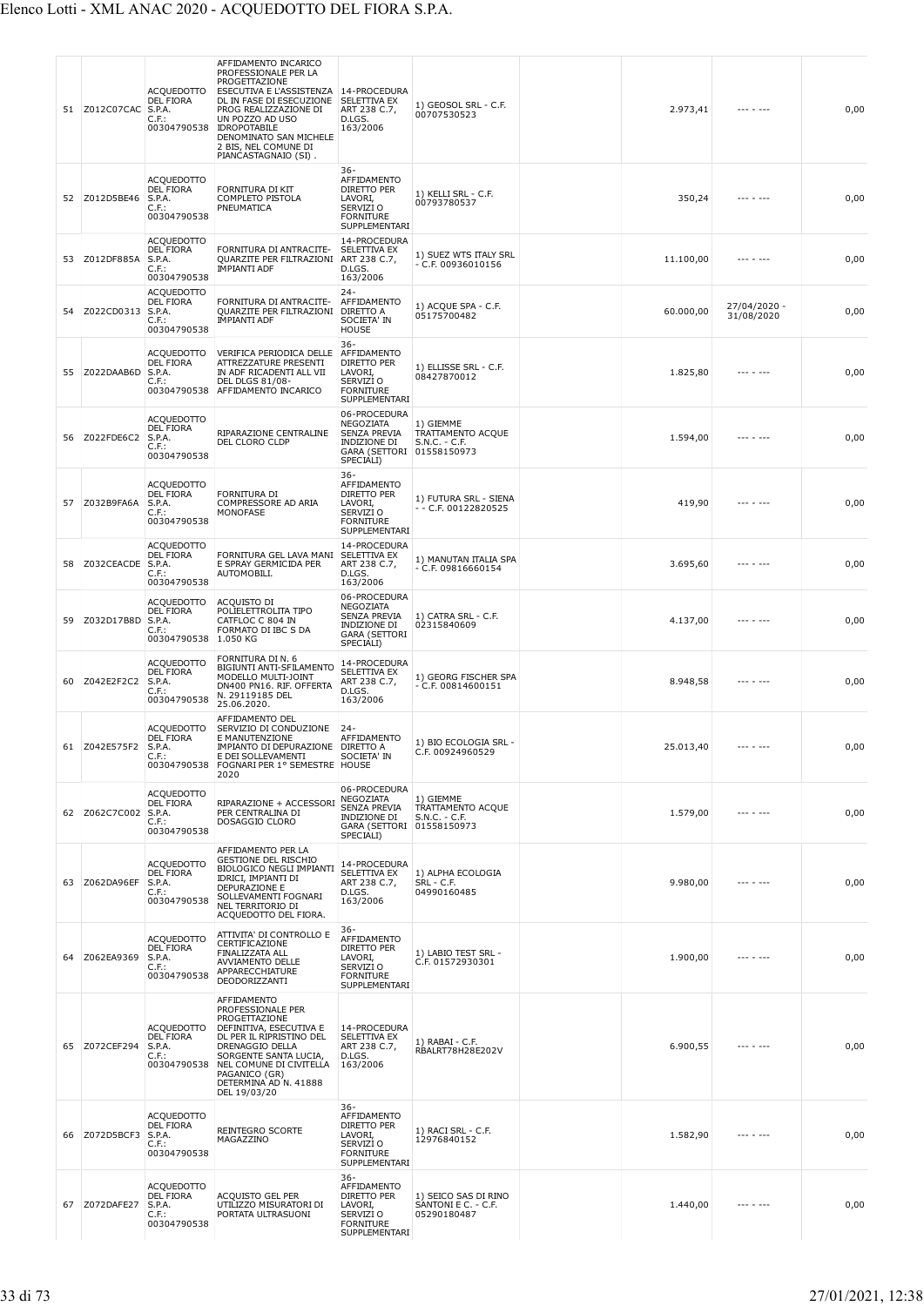| 51 | Z012C07CAC    | ACQUEDOTTO<br><b>DEL FIORA</b><br>S.P.A.<br>$C.F.$ :<br>00304790538        | AFFIDAMENTO INCARICO<br>PROFESSIONALE PER LA<br>PROGETTAZIONE<br>ESECUTIVA E L'ASSISTENZA<br>DL IN FASE DI ESECUZIONE<br>PROG REALIZZAZIONE DI<br>UN POZZO AD USO<br><b>IDROPOTABILE</b><br>DENOMINATO SAN MICHELE<br>2 BIS, NEL COMUNE DI | 14-PROCEDURA<br>SELETTIVA EX<br>ART 238 C.7,<br>D.LGS.<br>163/2006                                           | 1) GEOSOL SRL - C.F.<br>00707530523                        | 2.973,41  |                            | 0,00 |
|----|---------------|----------------------------------------------------------------------------|--------------------------------------------------------------------------------------------------------------------------------------------------------------------------------------------------------------------------------------------|--------------------------------------------------------------------------------------------------------------|------------------------------------------------------------|-----------|----------------------------|------|
| 52 | Z012D5BE46    | ACQUEDOTTO<br><b>DEL FIORA</b><br>S.P.A.<br>$C.F.$ :<br>00304790538        | PIANCASTAGNAIO (SI).<br>FORNITURA DI KIT<br>COMPLETO PISTOLA<br>PNEUMATICA                                                                                                                                                                 | 36-<br>AFFIDAMENTO<br>DIRETTO PER<br>LAVORI,<br>SERVIZI O<br><b>FORNITURE</b><br>SUPPLEMENTARI               | 1) KELLI SRL - C.F.<br>00793780537                         | 350,24    |                            | 0,00 |
| 53 | Z012DF885A    | <b>ACQUEDOTTO</b><br><b>DEL FIORA</b><br>S.P.A.<br>C.F.<br>00304790538     | FORNITURA DI ANTRACITE-<br>QUARZITE PER FILTRAZIONI<br>IMPIANTI ADF                                                                                                                                                                        | 14-PROCEDURA<br>SELETTIVA EX<br>ART 238 C.7,<br>D.LGS.<br>163/2006                                           | 1) SUEZ WTS ITALY SRL<br>- C.F. 00936010156                | 11.100,00 |                            | 0,00 |
| 54 | Z022CD0313    | ACQUEDOTTO<br>DEL FIORA<br>S.P.A.<br>$C.F.$ :<br>00304790538               | FORNITURA DI ANTRACITE-<br>QUARZITE PER FILTRAZIONI<br>IMPIANTI ADF                                                                                                                                                                        | $24 -$<br>AFFIDAMENTO<br>DIRETTO A<br>SOCIETA' IN<br><b>HOUSE</b>                                            | 1) ACQUE SPA - C.F.<br>05175700482                         | 60.000,00 | 27/04/2020 -<br>31/08/2020 | 0,00 |
| 55 | Z022DAAB6D    | <b>ACQUEDOTTO</b><br>DEL FIORA<br>S.P.A.<br>$C.F.$ :<br>00304790538        | VERIFICA PERIODICA DELLE<br>ATTREZZATURE PRESENTI<br>IN ADF RICADENTI ALL VII<br><b>DEL DLGS 81/08-</b><br>AFFIDAMENTO INCARICO                                                                                                            | $36 -$<br>AFFIDAMENTO<br>DIRETTO PER<br>LAVORI,<br>SERVIZI <sub>O</sub><br><b>FORNITURE</b><br>SUPPLEMENTARI | 1) ELLISSE SRL - C.F.<br>08427870012                       | 1.825,80  |                            | 0,00 |
| 56 | Z022FDE6C2    | ACQUEDOTTO<br><b>DEL FIORA</b><br>S.P.A.<br>$C.F.$ :<br>00304790538        | RIPARAZIONE CENTRALINE<br>DEL CLORO CLDP                                                                                                                                                                                                   | 06-PROCEDURA<br>NEGOZIATA<br><b>SENZA PREVIA</b><br>INDIZIONE DI<br>GARA (SETTORI 01558150973<br>SPECIALI)   | 1) GIEMME<br>TRATTAMENTO ACQUE<br>$S.N.C. - C.F.$          | 1.594,00  | --- - ---                  | 0,00 |
| 57 | Z032B9FA6A    | <b>ACQUEDOTTO</b><br>DEL FIORA<br>S.P.A.<br>C.F.<br>00304790538            | FORNITURA DI<br>COMPRESSORE AD ARIA<br>MONOFASE                                                                                                                                                                                            | $36 -$<br>AFFIDAMENTO<br>DIRETTO PER<br>LAVORI,<br>SERVIZI O<br><b>FORNITURE</b><br>SUPPLEMENTARI            | 1) FUTURA SRL - SIENA<br>- - C.F. 00122820525              | 419,90    |                            | 0,00 |
| 58 | Z032CEACDE    | <b>ACQUEDOTTO</b><br><b>DEL FIORA</b><br>S.P.A.<br>$C.F.$ :<br>00304790538 | FORNITURA GEL LAVA MANI<br>E SPRAY GERMICIDA PER<br>AUTOMOBILI.                                                                                                                                                                            | 14-PROCEDURA<br>SELETTIVA EX<br>ART 238 C.7,<br>D.LGS.<br>163/2006                                           | 1) MANUTAN ITALIA SPA<br>- C.F. 09816660154                | 3.695,60  | $- - - - - - -$            | 0,00 |
| 59 | Z032D17B8D    | <b>ACQUEDOTTO</b><br><b>DEL FIORA</b><br>S.P.A.<br>$C.F.$ :<br>00304790538 | ACQUISTO DI<br>POLIELETTROLITA TIPO<br>CATFLOC C 804 IN<br>FORMATO DI IBC S DA<br>1.050 KG                                                                                                                                                 | 06-PROCEDURA<br>NEGOZIATA<br><b>SENZA PREVIA</b><br>INDIZIONE DI<br><b>GARA (SETTORI</b><br>SPECIALI)        | 1) CATRA SRL - C.F.<br>02315840609                         | 4.137,00  |                            | 0,00 |
| 60 | Z042E2F2C2    | <b>ACQUEDOTTO</b><br><b>DEL FIORA</b><br>S.P.A.<br>$C.F.$ :<br>00304790538 | FORNITURA DI N. 6<br>BIGIUNTI ANTI-SFILAMENTO<br>MODELLO MULTI-JOINT<br>DN400 PN16. RIF. OFFERTA<br>N. 29119185 DEL<br>25.06.2020.                                                                                                         | 14-PROCEDURA<br>SELETTIVA EX<br>ART 238 C.7,<br>D.LGS.<br>163/2006                                           | 1) GEORG FISCHER SPA<br>$-$ C.F. 00814600151               | 8.948,58  |                            | 0,00 |
|    | 61 Z042E575F2 | <b>ACQUEDOTTO</b><br><b>DEL FIORA</b><br>S.P.A<br>$C.F.$ :<br>00304790538  | AFFIDAMENTO DEL<br>SERVIZIO DI CONDUZIONE<br>E MANUTENZIONE<br>ΙΜΡΙΔΝΤΩ DI DEPLIRAZIONE<br>E DEI SOLLEVAMENTI<br>FOGNARI PER 1° SEMESTRE HOUSE<br>2020                                                                                     | $24 -$<br>AFFIDAMENTO<br>DIRETTO A<br>SOCIETA' IN                                                            | 1) BIO ECOLOGIA SRL -<br>C.F. 00924960529                  | 25.013,40 |                            | 0,00 |
| 62 | Z062C7C002    | <b>ACQUEDOTTO</b><br>DEL FIORA<br>S.P.A.<br>$C.F.$ :<br>00304790538        | RIPARAZIONE + ACCESSORI<br>PER CENTRALINA DI<br>DOSAGGIO CLORO                                                                                                                                                                             | 06-PROCEDURA<br>NEGOZIATA<br>SENZA PREVIA<br>INDIZIONE DI<br>GARA (SETTORI 01558150973<br>SPECIALI)          | 1) GIEMME<br>TRATTAMENTO ACQUE<br>S.N.C. - C.F.            | 1.579,00  | --- - ---                  | 0,00 |
| 63 | Z062DA96EF    | <b>ACQUEDOTTO</b><br><b>DEL FIORA</b><br>S.P.A.<br>$C.F.$ :<br>00304790538 | AFFIDAMENTO PER LA<br><b>GESTIONE DEL RISCHIO</b><br>BIOLOGICO NEGLI IMPIANTI<br>IDRICI, IMPIANTI DI<br>DEPURAZIONE E<br>SOLLEVAMENTI FOGNARI<br>NEL TERRITORIO DI<br>ACQUEDOTTO DEL FIORA.                                                | 14-PROCEDURA<br>SELETTIVA EX<br>ART 238 C.7,<br>D.LGS.<br>163/2006                                           | 1) ALPHA ECOLOGIA<br>SRL - C.F.<br>04990160485             | 9.980,00  |                            | 0,00 |
| 64 | Z062EA9369    | <b>ACQUEDOTTO</b><br><b>DEL FIORA</b><br>S.P.A.<br>$C.F.$ :<br>00304790538 | ATTIVITA' DI CONTROLLO E<br>CERTIFICAZIONE<br>FINALIZZATA ALL<br>AVVIAMENTO DELLE<br>APPARECCHIATURE<br>DEODORIZZANTI                                                                                                                      | $36 -$<br>AFFIDAMENTO<br>DIRETTO PER<br>LAVORI,<br>SERVIZI O<br><b>FORNITURE</b><br>SUPPLEMENTARI            | 1) LABIO TEST SRL -<br>C.F. 01572930301                    | 1.900,00  |                            | 0,00 |
| 65 | Z072CEF294    | <b>ACQUEDOTTO</b><br><b>DEL FIORA</b><br>S.P.A.<br>$C.F.$ :<br>00304790538 | AFFIDAMENTO<br>PROFESSIONALE PER<br>PROGETTAZIONE<br>DEFINITIVA, ESECUTIVA E<br>DL PER IL RIPRISTINO DEL<br>DRENAGGIO DELLA<br>SORGENTE SANTA LUCIA,<br>NEL COMUNE DI CIVITELLA<br>PAGANICO (GR)<br>DETERMINA AD N. 41888<br>DEL 19/03/20  | 14-PROCEDURA<br>SELETTIVA EX<br>ART 238 C.7,<br>D.LGS.<br>163/2006                                           | 1) RABAI - C.F.<br>RBALRT78H28E202V                        | 6.900,55  |                            | 0,00 |
| 66 | Z072D5BCF3    | <b>ACQUEDOTTO</b><br><b>DEL FIORA</b><br>S.P.A.<br>$C.F.$ :<br>00304790538 | REINTEGRO SCORTE<br>MAGAZZINO                                                                                                                                                                                                              | $36 -$<br>AFFIDAMENTO<br>DIRETTO PER<br>LAVORI,<br>SERVIZI O<br><b>FORNITURE</b><br>SUPPLEMENTARI            | 1) RACI SRL - C.F.<br>12976840152                          | 1.582,90  |                            | 0,00 |
| 67 | Z072DAFE27    | <b>ACQUEDOTTO</b><br><b>DEL FIORA</b><br>S.P.A.<br>$C.F.$ :<br>00304790538 | ACQUISTO GEL PER<br>UTILIZZO MISURATORI DI<br>PORTATA ULTRASUONI                                                                                                                                                                           | 36-<br>AFFIDAMENTO<br>DIRETTO PER<br>LAVORI,<br>SERVIZI O<br><b>FORNITURE</b><br>SUPPLEMENTARI               | 1) SEICO SAS DI RINO<br>SANTONI E C. - C.F.<br>05290180487 | 1.440,00  |                            | 0,00 |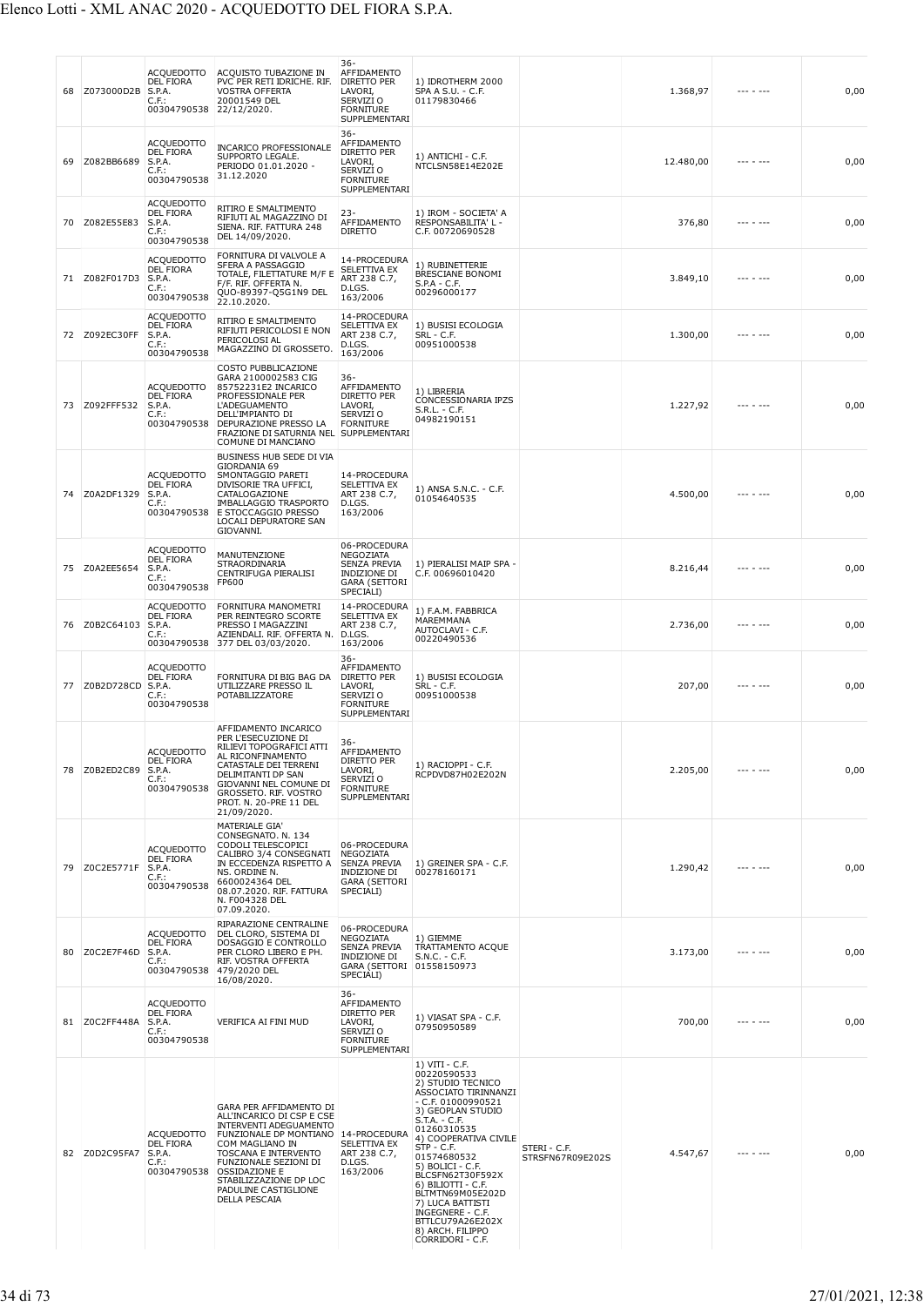| 68 | Z073000D2B    | <b>ACQUEDOTTO</b><br><b>DEL FIORA</b><br>S.P.A.<br>C.F.:<br>00304790538    | ACQUISTO TUBAZIONE IN<br>PVC PER RETI IDRICHE. RIF.<br>VOSTRA OFFERTA<br>20001549 DEL<br>22/12/2020.                                                                                                                                                                                        | 36-<br>AFFIDAMENTO<br>DIRETTO PER<br>LAVORI,<br>SERVIZI O<br><b>FORNITURE</b><br>SUPPLEMENTARI                    | 1) IDROTHERM 2000<br>SPA A S.U. - C.F.<br>01179830466                                                                                                                                                                                                                                                                                                                                                   |                                  | 1.368,97  | --- - ---       | 0,00 |
|----|---------------|----------------------------------------------------------------------------|---------------------------------------------------------------------------------------------------------------------------------------------------------------------------------------------------------------------------------------------------------------------------------------------|-------------------------------------------------------------------------------------------------------------------|---------------------------------------------------------------------------------------------------------------------------------------------------------------------------------------------------------------------------------------------------------------------------------------------------------------------------------------------------------------------------------------------------------|----------------------------------|-----------|-----------------|------|
| 69 | Z082BB6689    | <b>ACQUEDOTTO</b><br>DEL FIORA<br>S.P.A.<br>$C.F.$ :<br>00304790538        | <b>INCARICO PROFESSIONALE</b><br>SUPPORTO LEGALE.<br>PERIODO 01.01.2020 -<br>31.12.2020                                                                                                                                                                                                     | $36 -$<br>AFFIDAMENTO<br>DIRETTO PER<br>LAVORI,<br>SERVIZI O<br><b>FORNITURE</b><br>SUPPLEMENTARI                 | 1) ANTICHI - C.F.<br>NTCLSN58E14E202E                                                                                                                                                                                                                                                                                                                                                                   |                                  | 12.480,00 | --- - ---       | 0,00 |
| 70 | Z082E55E83    | <b>ACQUEDOTTO</b><br><b>DEL FIORA</b><br>S.P.A.<br>C.F.<br>00304790538     | RITIRO E SMALTIMENTO<br>RIFIUTI AL MAGAZZINO DI<br>SIENA. RIF. FATTURA 248<br>DEL 14/09/2020.                                                                                                                                                                                               | $23 -$<br>AFFIDAMENTO<br><b>DIRETTO</b>                                                                           | 1) IROM - SOCIETA' A<br>RESPONSABILITA' L -<br>C.F. 00720690528                                                                                                                                                                                                                                                                                                                                         |                                  | 376,80    | --- - ---       | 0,00 |
| 71 | Z082F017D3    | <b>ACQUEDOTTO</b><br><b>DEL FIORA</b><br>S.P.A.<br>$C.F.$ :<br>00304790538 | FORNITURA DI VALVOLE A<br>SFERA A PASSAGGIO<br>TOTALE, FILETTATURE M/F E<br>F/F. RIF. OFFERTA N.<br>QUO-89397-Q5G1N9 DEL<br>22.10.2020.                                                                                                                                                     | 14-PROCEDURA<br>SELETTIVA EX<br>ART 238 C.7,<br>D.LGS.<br>163/2006                                                | 1) RUBINETTERIE<br>BRESCIANE BONOMI<br>$S.P.A - C.F.$<br>00296000177                                                                                                                                                                                                                                                                                                                                    |                                  | 3.849,10  | $- - - - - - -$ | 0,00 |
| 72 | Z092EC30FF    | <b>ACQUEDOTTO</b><br><b>DEL FIORA</b><br>S.P.A.<br>$C.F.$ :<br>00304790538 | RITIRO E SMALTIMENTO<br>RIFIUTI PERICOLOSI E NON<br>PERICOLOSI AL<br>MAGAZZINO DI GROSSETO                                                                                                                                                                                                  | 14-PROCEDURA<br>SELETTIVA EX<br>ART 238 C.7,<br>D.LGS.<br>163/2006                                                | 1) BUSISI ECOLOGIA<br>SRL - C.F.<br>00951000538                                                                                                                                                                                                                                                                                                                                                         |                                  | 1.300,00  |                 | 0,00 |
| 73 | Z092FFF532    | <b>ACQUEDOTTO</b><br><b>DEL FIORA</b><br>S.P.A.<br>C.F.:<br>00304790538    | COSTO PUBBLICAZIONE<br>GARA 2100002583 CIG<br>85752231E2 INCARICO<br>PROFESSIONALE PER<br><b>L'ADEGUAMENTO</b><br>DELL'IMPIANTO DI<br>DEPURAZIONE PRESSO LA<br>FRAZIONE DI SATURNIA NEL SUPPLEMENTARI<br>COMUNE DI MANCIANO                                                                 | $36 -$<br>AFFIDAMENTO<br>DIRETTO PER<br>LAVORI,<br>SERVIZI O<br><b>FORNITURE</b>                                  | 1) LIBRERIA<br>CONCESSIONARIA IPZS<br>$S.R.L. - C.F.$<br>04982190151                                                                                                                                                                                                                                                                                                                                    |                                  | 1.227,92  |                 | 0,00 |
| 74 | Z0A2DF1329    | ACQUEDOTTO<br><b>DEL FIORA</b><br>S.P.A.<br>C.F.:<br>00304790538           | BUSINESS HUB SEDE DI VIA<br>GIORDANIA 69<br>SMONTAGGIO PARETI<br>DIVISORIE TRA UFFICI,<br>CATALOGAZIONE<br>IMBALLAGGIO TRASPORTO<br>E STOCCAGGIO PRESSO<br>LOCALI DEPURATORE SAN<br>GIOVANNI.                                                                                               | 14-PROCEDURA<br>SELETTIVA EX<br>ART 238 C.7,<br>D.LGS.<br>163/2006                                                | 1) ANSA S.N.C. - C.F.<br>01054640535                                                                                                                                                                                                                                                                                                                                                                    |                                  | 4.500,00  |                 | 0,00 |
| 75 | Z0A2EE5654    | <b>ACQUEDOTTO</b><br><b>DEL FIORA</b><br>S.P.A.<br>$C.F.$ :<br>00304790538 | MANUTENZIONE<br>STRAORDINARIA<br>CENTRIFUGA PIERALISI<br>FP600                                                                                                                                                                                                                              | 06-PROCEDURA<br>NEGOZIATA<br>SENZA PREVIA<br><b>INDIZIONE DI</b><br><b>GARA (SETTORI</b><br>SPECIALI)             | 1) PIERALISI MAIP SPA -<br>C.F. 00696010420                                                                                                                                                                                                                                                                                                                                                             |                                  | 8.216,44  |                 | 0,00 |
| 76 | Z0B2C64103    | <b>ACQUEDOTTO</b><br>DEL FIORA<br>S.P.A.<br>C.F.                           | FORNITURA MANOMETRI<br>PER REINTEGRO SCORTE<br>PRESSO I MAGAZZINI<br>AZIENDALI. RIF. OFFERTA N.<br>00304790538 377 DEL 03/03/2020.                                                                                                                                                          | 14-PROCEDURA<br>SELETTIVA EX<br>ART 238 C.7,<br>D.LGS.<br>163/2006                                                | 1) F.A.M. FABBRICA<br>MAREMMANA<br>AUTOCLAVI - C.F.<br>00220490536                                                                                                                                                                                                                                                                                                                                      |                                  | 2.736,00  | $- - - - - - -$ | 0,00 |
| 77 | Z0B2D728CD    | <b>ACQUEDOTTO</b><br><b>DEL FIORA</b><br>S.P.A.<br>$C.F.$ :<br>00304790538 | FORNITURA DI BIG BAG DA<br>UTILIZZARE PRESSO IL<br>POTABILIZZATORE                                                                                                                                                                                                                          | $36 -$<br>AFFIDAMENTO<br>DIRETTO PER<br>LAVORI,<br>SERVIZI O<br><b>FORNITURE</b><br>SUPPLEMENTARI                 | 1) BUSISI ECOLOGIA<br>SRL - C.F.<br>00951000538                                                                                                                                                                                                                                                                                                                                                         |                                  | 207,00    |                 | 0,00 |
| 78 | Z0B2ED2C89    | ACQUEDOTTO<br>DEL FIORA<br>S.P.A.<br>$C.F.$ :<br>00304790538               | AFFIDAMENTO INCARICO<br>PER L'ESECUZIONE DI<br>RILIEVI TOPOGRAFICI ATTI<br>AL RICONFINAMENTO<br>CATASTALE DEI TERRENI<br>DELIMITANTI DP SAN<br>GIOVANNI NEL COMUNE DI<br>GROSSETO, RIF, VOSTRO<br>PROT. N. 20-PRE 11 DEL<br>21/09/2020.                                                     | $36 -$<br>AFFIDAMENTO<br>DIRETTO PER<br>LAVORI,<br>SERVIZI O<br><b>FORNITURE</b><br>SUPPLEMENTARI                 | 1) RACIOPPI - C.F.<br>RCPDVD87H02E202N                                                                                                                                                                                                                                                                                                                                                                  |                                  | 2.205,00  |                 | 0,00 |
| 79 | Z0C2E5771F    | <b>ACQUEDOTTO</b><br><b>DEL FIORA</b><br>S.P.A.<br>$C.F.$ :<br>00304790538 | MATERIALE GIA'<br>CONSEGNATO. N. 134<br>CODOLI TELESCOPICI<br>CALIBRO 3/4 CONSEGNATI<br>IN ECCEDENZA RISPETTO A<br>NS. ORDINE N.<br>6600024364 DEL<br>08.07.2020. RIF. FATTURA<br>N. F004328 DEL<br>07.09.2020.                                                                             | 06-PROCEDURA<br><b>NEGOZIATA</b><br><b>SENZA PREVIA</b><br>INDIZIONE DI<br><b>GARA (SETTORI</b><br>SPECIALI)      | 1) GREINER SPA - C.F.<br>00278160171                                                                                                                                                                                                                                                                                                                                                                    |                                  | 1.290,42  |                 | 0,00 |
| 80 | Z0C2E7F46D    | <b>ACQUEDOTTO</b><br><b>DEL FIORA</b><br>S.P.A.<br>$C.F.$ :                | RIPARAZIONE CENTRALINE<br>DEL CLORO, SISTEMA DI<br>DOSAGGIO E CONTROLLO<br>PER CLORO LIBERO E PH.<br>RIF. VOSTRA OFFERTA<br>00304790538 479/2020 DEL<br>16/08/2020.                                                                                                                         | 06-PROCEDURA<br><b>NEGOZIATA</b><br><b>SENZA PREVIA</b><br>INDIZIONE DI<br>GARA (SETTORI 01558150973<br>SPECIALI) | 1) GIEMME<br>TRATTAMENTO ACQUE<br>$S.N.C. - C.F.$                                                                                                                                                                                                                                                                                                                                                       |                                  | 3.173,00  |                 | 0,00 |
|    | 81 Z0C2FF448A | <b>ACQUEDOTTO</b><br><b>DEL FIORA</b><br>S.P.A.<br>$C.F.$ :<br>00304790538 | VERIFICA AI FINI MUD                                                                                                                                                                                                                                                                        | 36-<br>AFFIDAMENTO<br>DIRETTO PER<br>LAVORI,<br>SERVIZI O<br><b>FORNITURE</b><br>SUPPLEMENTARI                    | 1) VIASAT SPA - C.F.<br>07950950589                                                                                                                                                                                                                                                                                                                                                                     |                                  | 700,00    |                 | 0,00 |
|    | 82 Z0D2C95FA7 | <b>ACQUEDOTTO</b><br><b>DEL FIORA</b><br>S.P.A.<br>$C.F.$ :<br>00304790538 | GARA PER AFFIDAMENTO DI<br>ALL'INCARICO DI CSP E CSE<br><b>INTERVENTI ADEGUAMENTO</b><br>FUNZIONALE DP MONTIANO 14-PROCEDURA<br>COM MAGLIANO IN<br>TOSCANA E INTERVENTO<br>FUNZIONALE SEZIONI DI<br><b>OSSIDAZIONE E</b><br>STABILIZZAZIONE DP LOC<br>PADULINE CASTIGLIONE<br>DELLA PESCAIA | SELETTIVA EX<br>ART 238 C.7,<br>D.LGS.<br>163/2006                                                                | 1) VITI - C.F.<br>00220590533<br>2) STUDIO TECNICO<br>ASSOCIATO TIRINNANZI<br>$-$ C.F. 01000990521<br>3) GEOPLAN STUDIO<br>$S.T.A. - C.F.$<br>01260310535<br>4) COOPERATIVA CIVILE<br>$STP - C.F.$<br>01574680532<br>5) BOLICI - C.F.<br>BLCSFN62T30F592X<br>6) BILIOTTI - C.F.<br>BLTMTN69M05E202D<br>7) LUCA BATTISTI<br>INGEGNERE - C.F.<br>BTTLCU79A26E202X<br>8) ARCH. FILIPPO<br>CORRIDORI - C.F. | STERI - C.F.<br>STRSFN67R09E202S | 4.547,67  |                 | 0,00 |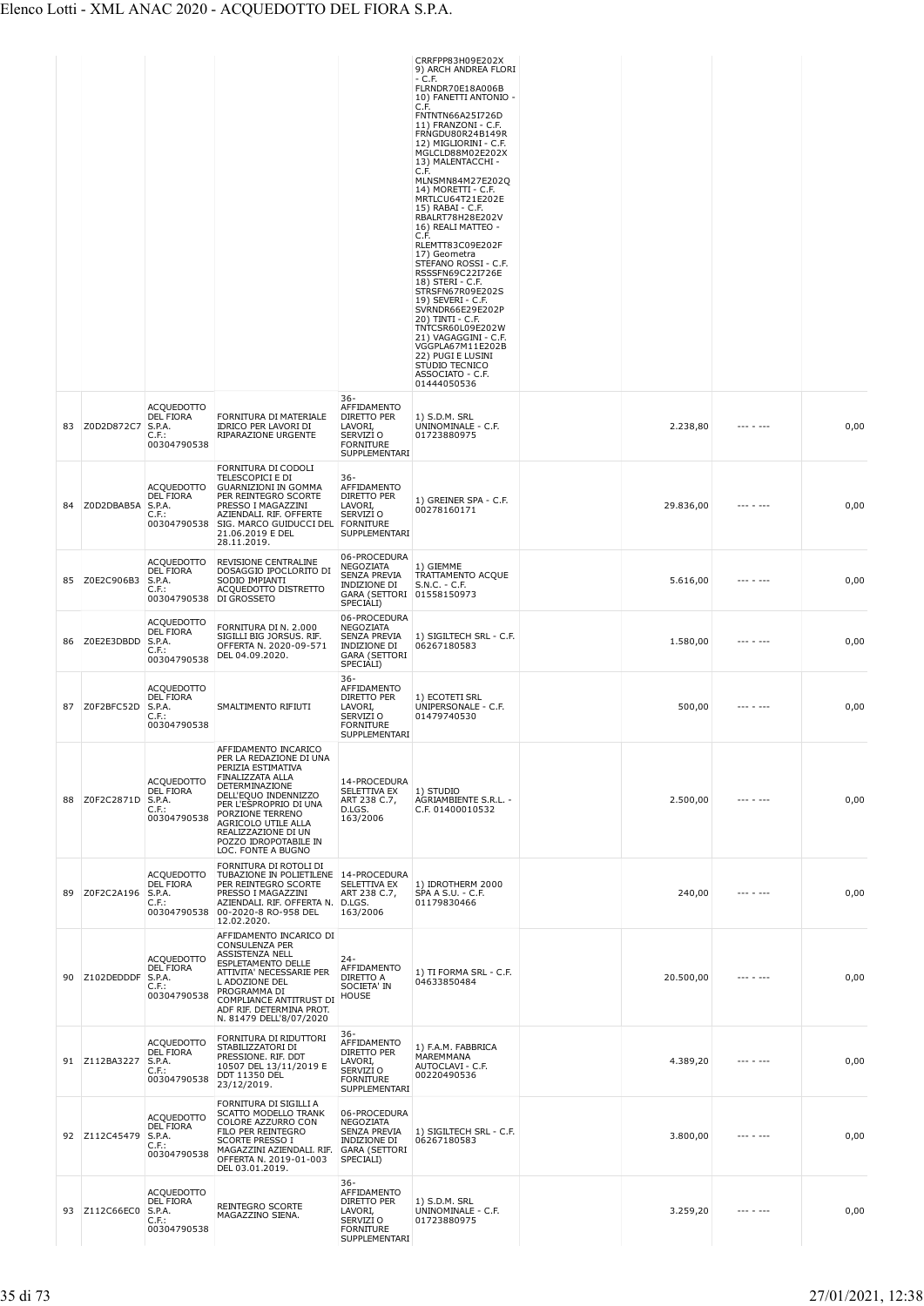|    |               |                                                                                 |                                                                                                                                                                                                                                                                                |                                                                                                                   | CRRFPP83H09E202X<br>9) ARCH ANDREA FLORI                                                                                                                                                                                                                                                                                            |           |                 |      |
|----|---------------|---------------------------------------------------------------------------------|--------------------------------------------------------------------------------------------------------------------------------------------------------------------------------------------------------------------------------------------------------------------------------|-------------------------------------------------------------------------------------------------------------------|-------------------------------------------------------------------------------------------------------------------------------------------------------------------------------------------------------------------------------------------------------------------------------------------------------------------------------------|-----------|-----------------|------|
|    |               |                                                                                 |                                                                                                                                                                                                                                                                                |                                                                                                                   | - C.F.<br>FLRNDR70E18A006B<br>10) FANETTI ANTONIO -<br>C.F.<br>FNTNTN66A25I726D<br>11) FRANZONI - C.F.<br>FRNGDU80R24B149R<br>12) MIGLIORINI - C.F.<br>MGLCLD88M02E202X                                                                                                                                                             |           |                 |      |
|    |               |                                                                                 |                                                                                                                                                                                                                                                                                |                                                                                                                   | 13) MALENTACCHI -<br>C.F.<br>MLNSMN84M27E202Q<br>14) MORETTI - C.F.<br>MRTLCU64T21E202E<br>15) RABAI - C.F.<br>RBALRT78H28E202V<br>16) REALI MATTEO -                                                                                                                                                                               |           |                 |      |
|    |               |                                                                                 |                                                                                                                                                                                                                                                                                |                                                                                                                   | C.F.<br>RLEMTT83C09E202F<br>17) Geometra<br>STEFANO ROSSI - C.F.<br>RSSSFN69C22I726E<br>18) STERI - C.F.<br>STRSFN67R09E202S<br>19) SEVERI - C.F.<br>SVRNDR66E29E202P<br>20) TINTI - C.F.<br>TNTCSR60L09E202W<br>21) VAGAGGINI - C.F.<br>VGGPLA67M11E202B<br>22) PUGI E LUSINI<br>STUDIO TECNICO<br>ASSOCIATO - C.F.<br>01444050536 |           |                 |      |
| 83 | Z0D2D872C7    | <b>ACQUEDOTTO</b><br>DEL FIORA<br>S.P.A.<br>$C.F.$ :<br>00304790538             | FORNITURA DI MATERIALE<br>IDRICO PER LAVORI DI<br>RIPARAZIONE URGENTE                                                                                                                                                                                                          | 36-<br>AFFIDAMENTO<br>DIRETTO PER<br>LAVORI,<br>SERVIZI O<br><b>FORNITURE</b><br>SUPPLEMENTARI                    | 1) S.D.M. SRL<br>UNINOMINALE - C.F.<br>01723880975                                                                                                                                                                                                                                                                                  | 2.238,80  | --- - ---       | 0,00 |
| 84 | Z0D2DBAB5A    | <b>ACQUEDOTTO</b><br>DEL FIORA<br>S.P.A.<br>C.F.<br>00304790538                 | FORNITURA DI CODOLI<br>TELESCOPICI E DI<br><b>GUARNIZIONI IN GOMMA</b><br>PER REINTEGRO SCORTE<br>PRESSO I MAGAZZINI<br>AZIENDALI. RIF. OFFERTE<br>SIG. MARCO GUIDUCCI DEL<br>21.06.2019 E DEL<br>28.11.2019.                                                                  | 36-<br>AFFIDAMENTO<br>DIRETTO PER<br>LAVORI,<br>SERVIZI O<br><b>FORNITURE</b><br>SUPPLEMENTARI                    | 1) GREINER SPA - C.F.<br>00278160171                                                                                                                                                                                                                                                                                                | 29.836,00 | --- - ---       | 0,00 |
| 85 | Z0E2C906B3    | <b>ACQUEDOTTO</b><br>DEL FIORA<br>S.P.A.<br>$C.F.$ :<br>00304790538 DI GROSSETO | REVISIONE CENTRALINE<br>DOSAGGIO IPOCLORITO DI<br>SODIO IMPIANTI<br>ACQUEDOTTO DISTRETTO                                                                                                                                                                                       | 06-PROCEDURA<br>NEGOZIATA<br><b>SENZA PREVIA</b><br><b>INDIZIONE DI</b><br>GARA (SETTORI 01558150973<br>SPECIALI) | 1) GIEMME<br>TRATTAMENTO ACQUE<br>$S.N.C. - C.F.$                                                                                                                                                                                                                                                                                   | 5.616,00  |                 | 0,00 |
| 86 | Z0E2E3DBDD    | <b>ACQUEDOTTO</b><br><b>DEL FIORA</b><br>S.P.A.<br>$C.F.$ :<br>00304790538      | FORNITURA DI N. 2.000<br>SIGILLI BIG JORSUS. RIF.<br>OFFERTA N. 2020-09-571<br>DEL 04.09.2020.                                                                                                                                                                                 | 06-PROCEDURA<br>NEGOZIATA<br>SENZA PREVIA<br>INDIZIONE DI<br><b>GARA (SETTORI</b><br>SPECIALI)                    | 1) SIGILTECH SRL - C.F.<br>06267180583                                                                                                                                                                                                                                                                                              | 1.580,00  |                 | 0,00 |
| 87 | Z0F2BFC52D    | <b>ACOUEDOTTO</b><br><b>DEL FIORA</b><br>S.P.A.<br>$C.F.$ :<br>00304790538      | SMALTIMENTO RIFIUTI                                                                                                                                                                                                                                                            | $36-$<br>AFFIDAMENTO<br>DIRETTO PER<br>LAVORI,<br>SERVIZI O<br><b>FORNITURE</b><br>SUPPLEMENTARI                  | 1) ECOTETI SRL<br>UNIPERSONALE - C.F.<br>01479740530                                                                                                                                                                                                                                                                                | 500,00    |                 | 0,00 |
| 88 | Z0F2C2871D    | <b>ACQUEDOTTO</b><br><b>DEL FIORA</b><br>S.P.A.<br>$C.F.$ :<br>00304790538      | AFFIDAMENTO INCARICO<br>PER LA REDAZIONE DI UNA<br>PERIZIA ESTIMATIVA<br>FINALIZZATA ALLA<br>DETERMINAZIONE<br>DELL'EQUO INDENNIZZO<br>PER L'ESPROPRIO DI UNA<br>PORZIONE TERRENO<br>AGRICOLO UTILE ALLA<br>REALIZZAZIONE DI UN<br>POZZO IDROPOTABILE IN<br>LOC. FONTE A BUGNO | 14-PROCEDURA<br>SELETTIVA EX<br>ART 238 C.7,<br>D.LGS.<br>163/2006                                                | 1) STUDIO<br>AGRIAMBIENTE S.R.L. -<br>C.F. 01400010532                                                                                                                                                                                                                                                                              | 2.500,00  | $- - - - - - -$ | 0,00 |
| 89 | Z0F2C2A196    | ACQUEDOTTO<br><b>DEL FIORA</b><br>S.P.A.<br>$C.F.$ :<br>00304790538             | FORNITURA DI ROTOLI DI<br>TUBAZIONE IN POLIETILENE   14-PROCEDURA<br>PER REINTEGRO SCORTE<br>PRESSO I MAGAZZINI<br>AZIENDALI. RIF. OFFERTA N. D.LGS.<br>00-2020-8 RO-958 DEL<br>12.02.2020.                                                                                    | SELETTIVA EX<br>ART 238 C.7,<br>163/2006                                                                          | 1) IDROTHERM 2000<br>SPA A S.U. - C.F.<br>01179830466                                                                                                                                                                                                                                                                               | 240,00    | --- - ---       | 0,00 |
| 90 | Z102DEDDDF    | <b>ACQUEDOTTO</b><br>DEL FIORA<br>S.P.A.<br>$C.F.$ :<br>00304790538             | AFFIDAMENTO INCARICO DI<br><b>CONSULENZA PER</b><br>ASSISTENZA NELL<br>ESPLETAMENTO DELLE<br>ATTIVITA' NECESSARIE PER<br>L ADOZIONE DEL<br>PROGRAMMA DI<br>COMPLIANCE ANTITRUST DI<br>ADF RIF. DETERMINA PROT.<br>N. 81479 DELL'8/07/2020                                      | 24-<br>AFFIDAMENTO<br>DIRETTO A<br>SOCIETA' IN<br>HOUSE                                                           | 1) TI FORMA SRL - C.F.<br>04633850484                                                                                                                                                                                                                                                                                               | 20.500,00 | $- - - - - - -$ | 0,00 |
|    | 91 Z112BA3227 | <b>ACQUEDOTTO</b><br><b>DEL FIORA</b><br>S.P.A.<br>$C.F.$ :<br>00304790538      | FORNITURA DI RIDUTTORI<br>STABILIZZATORI DI<br>PRESSIONE. RIF. DDT<br>10507 DEL 13/11/2019 E<br>DDT 11350 DEL<br>23/12/2019.                                                                                                                                                   | 36-<br>AFFIDAMENTO<br>DIRETTO PER<br>LAVORI,<br>SERVIZI O<br>FORNITURE<br>SUPPLEMENTARI                           | 1) F.A.M. FABBRICA<br>MAREMMANA<br>AUTOCLAVI - C.F.<br>00220490536                                                                                                                                                                                                                                                                  | 4.389,20  | --- - ---       | 0,00 |
|    | 92 Z112C45479 | <b>ACQUEDOTTO</b><br><b>DEL FIORA</b><br>S.P.A.<br>C.F.:<br>00304790538         | FORNITURA DI SIGILLI A<br>SCATTO MODELLO TRANK<br>COLORE AZZURRO CON<br>FILO PER REINTEGRO<br><b>SCORTE PRESSO I</b><br>MAGAZZINI AZIENDALI. RIF.<br>OFFERTA N. 2019-01-003<br>DEL 03.01.2019.                                                                                 | 06-PROCEDURA<br>NEGOZIATA<br>SENZA PREVIA<br>INDIZIONE DI<br><b>GARA (SETTORI</b><br>SPECIALI)                    | 1) SIGILTECH SRL - C.F.<br>06267180583                                                                                                                                                                                                                                                                                              | 3.800,00  | --- - ---       | 0,00 |
|    | 93 Z112C66EC0 | <b>ACQUEDOTTO</b><br>DEL FIORA<br>S.P.A.<br>C.F.<br>00304790538                 | REINTEGRO SCORTE<br>MAGAZZINO SIENA.                                                                                                                                                                                                                                           | 36-<br>AFFIDAMENTO<br>DIRETTO PER<br>LAVORI,<br>SERVIZI O<br><b>FORNITURE</b><br>SUPPLEMENTARI                    | 1) S.D.M. SRL<br>UNINOMINALE - C.F.<br>01723880975                                                                                                                                                                                                                                                                                  | 3.259,20  | --- - ---       | 0,00 |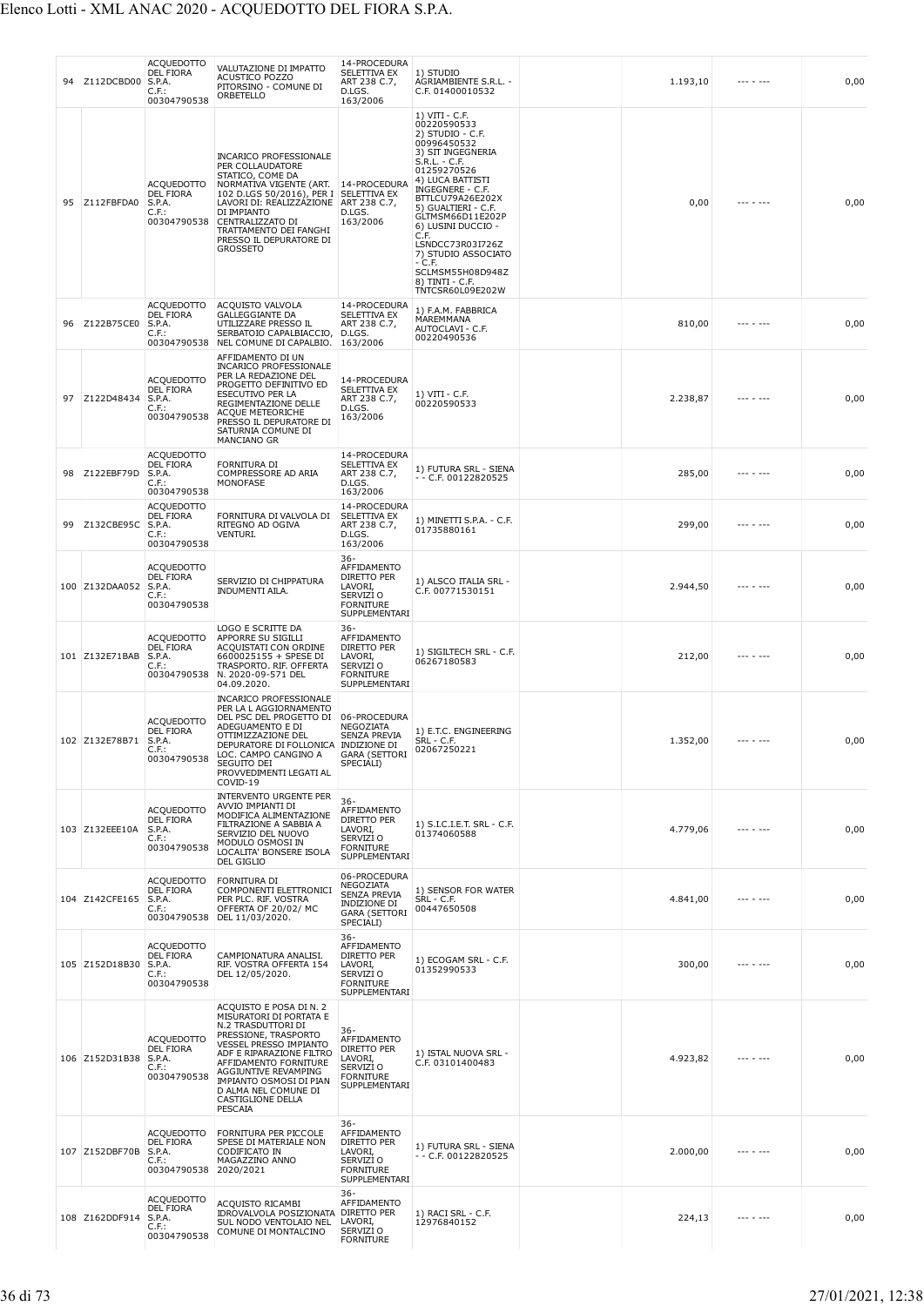| 94 | Z112DCBD00            | <b>ACQUEDOTTO</b><br><b>DEL FIORA</b><br>S.P.A.<br>C.F.<br>00304790538  | VALUTAZIONE DI IMPATTO<br><b>ACUSTICO POZZO</b><br>PITORSINO - COMUNE DI<br>ORBETELLO                                                                                                                                                                                                                    | 14-PROCEDURA<br>SELETTIVA EX<br>ART 238 C.7,<br>D.LGS.<br>163/2006                                    | 1) STUDIO<br>AGRIAMBIENTE S.R.L. -<br>C.F. 01400010532                                                                                                                                                                                                                                                                                                                     | 1.193,10 | $- - - - - - -$ | 0,00 |
|----|-----------------------|-------------------------------------------------------------------------|----------------------------------------------------------------------------------------------------------------------------------------------------------------------------------------------------------------------------------------------------------------------------------------------------------|-------------------------------------------------------------------------------------------------------|----------------------------------------------------------------------------------------------------------------------------------------------------------------------------------------------------------------------------------------------------------------------------------------------------------------------------------------------------------------------------|----------|-----------------|------|
| 95 | Z112FBFDA0            | <b>ACQUEDOTTO</b><br><b>DEL FIORA</b><br>S.P.A.<br>C.F.:<br>00304790538 | INCARICO PROFESSIONALE<br>PER COLLAUDATORE<br>STATICO, COME DA<br>NORMATIVA VIGENTE (ART. 14-PROCEDURA<br>102 D.LGS 50/2016), PER I SELETTIVA EX<br>LAVORI DI: REALIZZAZIONE ART 238 C.7,<br>DI IMPIANTO<br>CENTRALIZZATO DI<br>TRATTAMENTO DEI FANGHI<br>PRESSO IL DEPURATORE DI<br><b>GROSSETO</b>     | D.LGS.<br>163/2006                                                                                    | 1) VITI - C.F.<br>00220590533<br>2) STUDIO - C.F.<br>00996450532<br>3) SIT INGEGNERIA<br>S.R.L. - C.F.<br>01259270526<br>4) LUCA BATTISTI<br>INGEGNERE - C.F.<br>BTTLCU79A26E202X<br>5) GUALTIERI - C.F.<br>GLTMSM66D11E202P<br>6) LUSINI DUCCIO -<br>C.F.<br>LSNDCC73R03I726Z<br>7) STUDIO ASSOCIATO<br>- C.F.<br>SCLMSM55H08D948Z<br>8) TINTI - C.F.<br>TNTCSR60L09E202W | 0,00     | --- - ---       | 0,00 |
| 96 | Z122B75CE0            | <b>ACQUEDOTTO</b><br><b>DEL FIORA</b><br>S.P.A.<br>C.F.:<br>00304790538 | ACQUISTO VALVOLA<br>GALLEGGIANTE DA<br>UTILIZZARE PRESSO IL<br>SERBATOIO CAPALBIACCIO,<br>NEL COMUNE DI CAPALBIO.                                                                                                                                                                                        | 14-PROCEDURA<br>SELETTIVA EX<br>ART 238 C.7,<br>D.LGS.<br>163/2006                                    | 1) F.A.M. FABBRICA<br>MAREMMANA<br>AUTOCLAVI - C.F.<br>00220490536                                                                                                                                                                                                                                                                                                         | 810,00   | --- - ---       | 0,00 |
| 97 | Z122D48434            | <b>ACQUEDOTTO</b><br><b>DEL FIORA</b><br>S.P.A.<br>C.F.:<br>00304790538 | AFFIDAMENTO DI UN<br><b>INCARICO PROFESSIONALE</b><br>PER LA REDAZIONE DEL<br>PROGETTO DEFINITIVO ED<br>ESECUTIVO PER LA<br>REGIMENTAZIONE DELLE<br><b>ACQUE METEORICHE</b><br>PRESSO IL DEPURATORE DI<br>SATURNIA COMUNE DI<br>MANCIANO GR                                                              | 14-PROCEDURA<br>SELETTIVA EX<br>ART 238 C.7,<br>D.LGS.<br>163/2006                                    | 1) VITI - C.F.<br>00220590533                                                                                                                                                                                                                                                                                                                                              | 2.238,87 |                 | 0,00 |
| 98 | Z122EBF79D            | <b>ACQUEDOTTO</b><br>DEL FIORA<br>S.P.A.<br>$C.F.$ :<br>00304790538     | FORNITURA DI<br>COMPRESSORE AD ARIA<br>MONOFASE                                                                                                                                                                                                                                                          | 14-PROCEDURA<br>SELETTIVA EX<br>ART 238 C.7,<br>D.LGS.<br>163/2006                                    | 1) FUTURA SRL - SIENA<br>$-$ - C.F. 00122820525                                                                                                                                                                                                                                                                                                                            | 285,00   |                 | 0,00 |
| 99 | Z132CBE95C            | <b>ACQUEDOTTO</b><br>DEL FIORA<br>S.P.A.<br>$C.F.$ :<br>00304790538     | FORNITURA DI VALVOLA DI<br>RITEGNO AD OGIVA<br>VENTURI.                                                                                                                                                                                                                                                  | 14-PROCEDURA<br>SELETTIVA EX<br>ART 238 C.7,<br>D.LGS.<br>163/2006                                    | 1) MINETTI S.P.A. - C.F.<br>01735880161                                                                                                                                                                                                                                                                                                                                    | 299,00   |                 | 0,00 |
|    | 100 Z132DAA052        | <b>ACQUEDOTTO</b><br>DEL FIORA<br>S.P.A.<br>C.F.:<br>00304790538        | SERVIZIO DI CHIPPATURA<br>INDUMENTI AILA.                                                                                                                                                                                                                                                                | $36 -$<br>AFFIDAMENTO<br>DIRETTO PER<br>LAVORI,<br>SERVIZI O<br><b>FORNITURE</b><br>SUPPLEMENTARI     | 1) ALSCO ITALIA SRL -<br>C.F. 00771530151                                                                                                                                                                                                                                                                                                                                  | 2.944,50 |                 | 0,00 |
|    | 101 Z132E71BAB        | ACQUEDOTTO<br>DEL FIORA<br>S.P.A.<br>C.F.:<br>00304790538               | LOGO E SCRITTE DA<br>APPORRE SU SIGILLI<br>ACQUISTATI CON ORDINE<br>6600025155 + SPESE DI<br>TRASPORTO. RIF. OFFERTA<br>N. 2020-09-571 DEL<br>04.09.2020.                                                                                                                                                | $36 -$<br>AFFIDAMENTO<br>DIRETTO PER<br>LAVORI,<br>SERVIZI O<br><b>FORNITURE</b><br>SUPPLEMENTARI     | 1) SIGILTECH SRL - C.F.<br>06267180583                                                                                                                                                                                                                                                                                                                                     | 212,00   |                 | 0,00 |
|    | 102 Z132E78B71 S.P.A. | <b>ACQUEDOTTO</b><br>DEL FIORA<br>00304790538                           | <b>INCARICO PROFESSIONALE</b><br>PER LA L AGGIORNAMENTO<br>DEL PSC DEL PROGETTO DI<br>ADEGUAMENTO E DI<br>OTTIMIZZAZIONE DEL<br>DEPURATORE DI FOLLONICA INDIZIONE DI<br>LOC. CAMPO CANGINO A<br>SEGUITO DEI<br>PROVVEDIMENTI LEGATI AL<br>COVID-19                                                       | 06-PROCEDURA<br>NEGOZIATA<br><b>SENZA PREVIA</b><br><b>GARA (SETTORI</b><br>SPECIALI)                 | 1) E.T.C. ENGINEERING<br>SRL - C.F.<br>02067250221                                                                                                                                                                                                                                                                                                                         | 1.352,00 |                 | 0,00 |
|    | 103 Z132EEE10A        | <b>ACQUEDOTTO</b><br>DEL FIORA<br>S.P.A.<br>C.F.<br>00304790538         | INTERVENTO URGENTE PER<br>AVVIO IMPIANTI DI<br>MODIFICA ALIMENTAZIONE<br>FILTRAZIONE A SABBIA A<br>SERVIZIO DEL NUOVO<br>MODULO OSMOSI IN<br>LOCALITA' BONSERE ISOLA<br>DEL GIGLIO                                                                                                                       | $36 -$<br>AFFIDAMENTO<br>DIRETTO PER<br>LAVORI,<br>SERVIZI O<br><b>FORNITURE</b><br>SUPPLEMENTARI     | 1) S.I.C.I.E.T. SRL - C.F.<br>01374060588                                                                                                                                                                                                                                                                                                                                  | 4.779,06 |                 | 0,00 |
|    | 104 Z142CFE165        | <b>ACQUEDOTTO</b><br>DEL FIORA<br>S.P.A.<br>C.F.:<br>00304790538        | FORNITURA DI<br>COMPONENTI ELETTRONICI<br>PER PLC. RIF. VOSTRA<br>OFFERTA OF 20/02/ MC<br>DEL 11/03/2020.                                                                                                                                                                                                | 06-PROCEDURA<br>NEGOZIATA<br><b>SENZA PREVIA</b><br>INDIZIONE DI<br><b>GARA (SETTORI</b><br>SPECIALI) | 1) SENSOR FOR WATER<br>$SRL - C.F.$<br>00447650508                                                                                                                                                                                                                                                                                                                         | 4.841,00 |                 | 0,00 |
|    | 105 Z152D18B30        | <b>ACQUEDOTTO</b><br>DEL FIORA<br>S.P.A.<br>C.F.:<br>00304790538        | CAMPIONATURA ANALISI.<br>RIF. VOSTRA OFFERTA 154<br>DEL 12/05/2020.                                                                                                                                                                                                                                      | $36 -$<br>AFFIDAMENTO<br>DIRETTO PER<br>LAVORI,<br>SERVIZI O<br><b>FORNITURE</b><br>SUPPLEMENTARI     | 1) ECOGAM SRL - C.F.<br>01352990533                                                                                                                                                                                                                                                                                                                                        | 300,00   |                 | 0,00 |
|    | 106 Z152D31B38        | <b>ACQUEDOTTO</b><br><b>DEL FIORA</b><br>S.P.A.<br>C.F.:<br>00304790538 | ACQUISTO E POSA DI N. 2<br>MISURATORI DI PORTATA E<br>N.2 TRASDUTTORI DI<br>PRESSIONE, TRASPORTO<br><b>VESSEL PRESSO IMPIANTO</b><br>ADF E RIPARAZIONE FILTRO<br>AFFIDAMENTO FORNITURE<br>AGGIUNTIVE REVAMPING<br>IMPIANTO OSMOSI DI PIAN<br>D ALMA NEL COMUNE DI<br>CASTIGLIONE DELLA<br><b>PESCAIA</b> | $36 -$<br>AFFIDAMENTO<br>DIRETTO PER<br>LAVORI,<br>SERVIZI O<br><b>FORNITURE</b><br>SUPPLEMENTARI     | 1) ISTAL NUOVA SRL -<br>C.F. 03101400483                                                                                                                                                                                                                                                                                                                                   | 4.923,82 |                 | 0,00 |
|    | 107 Z152DBF70B        | <b>ACQUEDOTTO</b><br><b>DEL FIORA</b><br>S.P.A.<br>C.F.:<br>00304790538 | FORNITURA PER PICCOLE<br>SPESE DI MATERIALE NON<br>CODIFICATO IN<br>MAGAZZINO ANNO<br>2020/2021                                                                                                                                                                                                          | $36 -$<br>AFFIDAMENTO<br>DIRETTO PER<br>LAVORI,<br>SERVIZI O<br><b>FORNITURE</b><br>SUPPLEMENTARI     | 1) FUTURA SRL - SIENA<br>$-$ - C.F. 00122820525                                                                                                                                                                                                                                                                                                                            | 2.000,00 |                 | 0,00 |
|    | 108 Z162DDF914        | <b>ACQUEDOTTO</b><br>DEL FIORA<br>S.P.A.<br>$C.F.$ :<br>00304790538     | ACQUISTO RICAMBI<br>IDROVALVOLA POSIZIONATA<br>SUL NODO VENTOLAIO NEL<br>COMUNE DI MONTALCINO                                                                                                                                                                                                            | $36 -$<br>AFFIDAMENTO<br>DIRETTO PER<br>LAVORI,<br>SERVIZI O<br><b>FORNITURE</b>                      | 1) RACI SRL - C.F.<br>12976840152                                                                                                                                                                                                                                                                                                                                          | 224,13   | --- - ---       | 0,00 |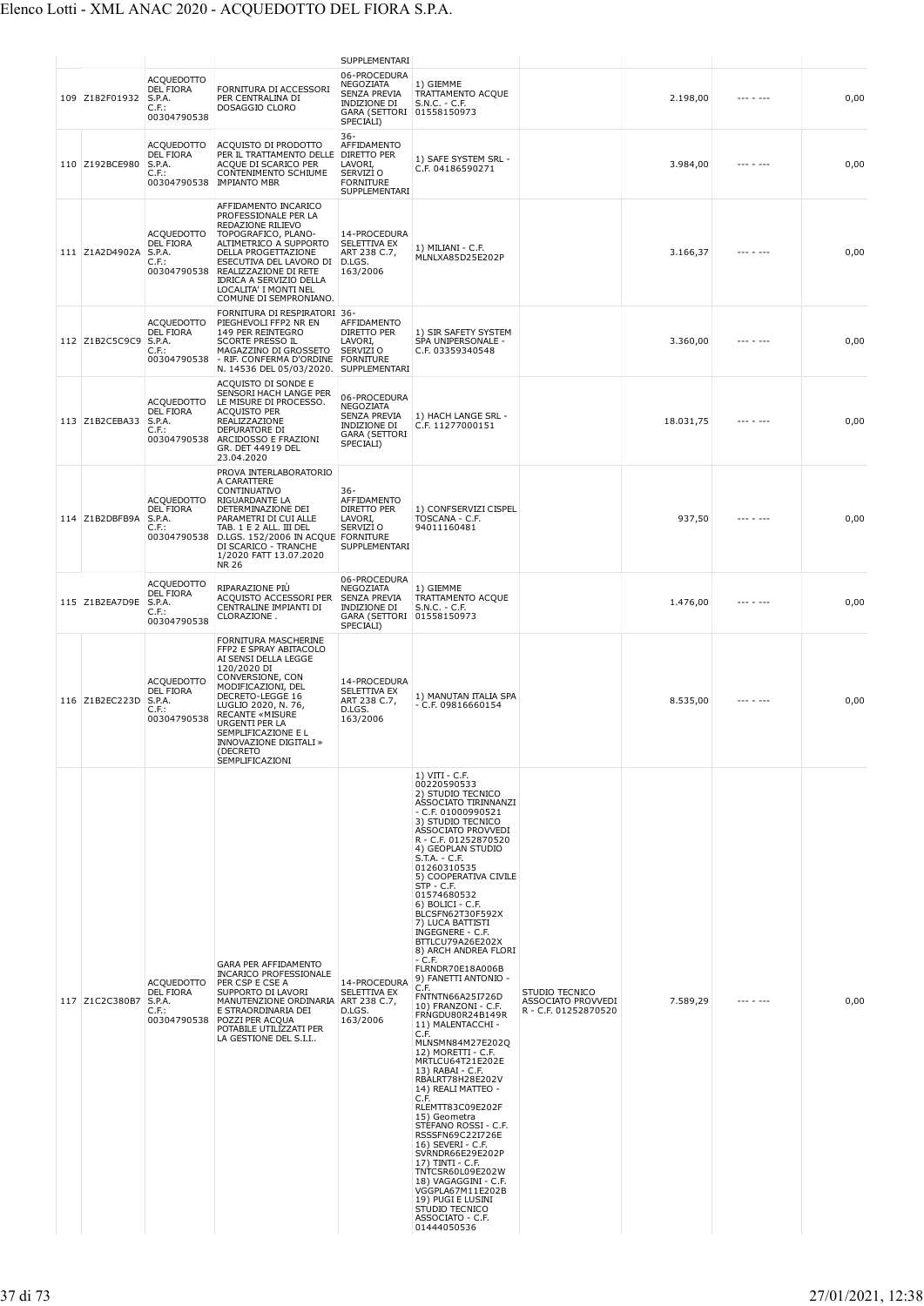|                |                                                                         |                                                                                                                                                                                                                                                                                                       | SUPPLEMENTARI                                                                                                |                                                                                                                                                                                                                                                                                                                                                                                                                                                                                                                                                                                                                                                                                                                                                                                                                                                                                                                                                                                                         |                                                              |           |           |      |
|----------------|-------------------------------------------------------------------------|-------------------------------------------------------------------------------------------------------------------------------------------------------------------------------------------------------------------------------------------------------------------------------------------------------|--------------------------------------------------------------------------------------------------------------|---------------------------------------------------------------------------------------------------------------------------------------------------------------------------------------------------------------------------------------------------------------------------------------------------------------------------------------------------------------------------------------------------------------------------------------------------------------------------------------------------------------------------------------------------------------------------------------------------------------------------------------------------------------------------------------------------------------------------------------------------------------------------------------------------------------------------------------------------------------------------------------------------------------------------------------------------------------------------------------------------------|--------------------------------------------------------------|-----------|-----------|------|
| 109 Z182F01932 | <b>ACQUEDOTTO</b><br><b>DEL FIORA</b><br>S.P.A.<br>C.F.:<br>00304790538 | FORNITURA DI ACCESSORI<br>PER CENTRALINA DI<br>DOSAGGIO CLORO                                                                                                                                                                                                                                         | 06-PROCEDURA<br>NEGOZIATA<br>SENZA PREVIA<br>INDIZIONE DI<br>GARA (SETTORI 01558150973<br>SPECIALI)          | 1) GIEMME<br>TRATTAMENTO ACQUE<br>$S.N.C. - C.F.$                                                                                                                                                                                                                                                                                                                                                                                                                                                                                                                                                                                                                                                                                                                                                                                                                                                                                                                                                       |                                                              | 2.198,00  |           | 0,00 |
| 110 Z192BCE980 | <b>ACQUEDOTTO</b><br>DEL FIORA<br>S.P.A.<br>C.F.:<br>00304790538        | ACQUISTO DI PRODOTTO<br>PER IL TRATTAMENTO DELLE<br>ACQUE DI SCARICO PER<br>CONTENIMENTO SCHIUME<br><b>IMPIANTO MBR</b>                                                                                                                                                                               | $36 -$<br>AFFIDAMENTO<br>DIRETTO PER<br>LAVORI,<br>SERVIZI O<br><b>FORNITURE</b><br>SUPPLEMENTARI            | 1) SAFE SYSTEM SRL -<br>C.F. 04186590271                                                                                                                                                                                                                                                                                                                                                                                                                                                                                                                                                                                                                                                                                                                                                                                                                                                                                                                                                                |                                                              | 3.984,00  |           | 0,00 |
| 111 Z1A2D4902A | ACQUEDOTTO<br>DEL FIORA<br>S.P.A.<br>C.F.:<br>00304790538               | AFFIDAMENTO INCARICO<br>PROFESSIONALE PER LA<br>REDAZIONE RILIEVO<br>TOPOGRAFICO, PLANO-<br>ALTIMETRICO A SUPPORTO<br>DELLA PROGETTAZIONE<br>ESECUTIVA DEL LAVORO DI<br>REALIZZAZIONE DI RETE<br>IDRICA A SERVIZIO DELLA<br>LOCALITA' I MONTI NEL<br>COMUNE DI SEMPRONIANO.                           | 14-PROCEDURA<br><b>SELETTIVA EX</b><br>ART 238 C.7,<br>D.LGS.<br>163/2006                                    | 1) MILIANI - C.F.<br>MLNLXA85D25E202P                                                                                                                                                                                                                                                                                                                                                                                                                                                                                                                                                                                                                                                                                                                                                                                                                                                                                                                                                                   |                                                              | 3.166,37  |           | 0,00 |
| 112 Z1B2C5C9C9 | <b>ACQUEDOTTO</b><br><b>DEL FIORA</b><br>S.P.A.<br>C.F.:<br>00304790538 | FORNITURA DI RESPIRATORI 36-<br>PIEGHEVOLI FFP2 NR EN<br>149 PER REINTEGRO<br><b>SCORTE PRESSO IL</b><br>MAGAZZINO DI GROSSETO<br>- RIF. CONFERMA D'ORDINE<br>N. 14536 DEL 05/03/2020.                                                                                                                | AFFIDAMENTO<br><b>DIRETTO PER</b><br>LAVORI,<br>SERVIZI O<br><b>FORNITURE</b><br>SUPPLEMENTARI               | 1) SIR SAFETY SYSTEM<br>SPA UNIPERSONALE -<br>C.F. 03359340548                                                                                                                                                                                                                                                                                                                                                                                                                                                                                                                                                                                                                                                                                                                                                                                                                                                                                                                                          |                                                              | 3.360,00  |           | 0,00 |
| 113 Z1B2CEBA33 | ACQUEDOTTO<br>DEL FIORA<br>S.P.A.<br>C.F.:<br>00304790538               | ACQUISTO DI SONDE E<br>SENSORI HACH LANGE PER<br>LE MISURE DI PROCESSO.<br><b>ACQUISTO PER</b><br>REALIZZAZIONE<br>DEPURATORE DI<br>ARCIDOSSO E FRAZIONI<br>GR. DET 44919 DEL<br>23.04.2020                                                                                                           | 06-PROCEDURA<br>NEGOZIATA<br><b>SENZA PREVIA</b><br><b>INDIZIONE DI</b><br><b>GARA (SETTORI</b><br>SPECIALI) | 1) HACH LANGE SRL -<br>C.F. 11277000151                                                                                                                                                                                                                                                                                                                                                                                                                                                                                                                                                                                                                                                                                                                                                                                                                                                                                                                                                                 |                                                              | 18.031,75 |           | 0,00 |
| 114 Z1B2DBFB9A | <b>ACQUEDOTTO</b><br>DEL FIORA<br>S.P.A.<br>$C.F.$ :<br>00304790538     | PROVA INTERLABORATORIO<br>A CARATTERE<br>CONTINUATIVO<br>RIGUARDANTE LA<br>DETERMINAZIONE DEI<br>PARAMETRI DI CUI ALLE<br>TAB. 1 E 2 ALL. III DEL<br>D.LGS. 152/2006 IN ACQUE FORNITURE<br>DI SCARICO - TRANCHE<br>1/2020 FATT 13.07.2020<br><b>NR 26</b>                                             | 36-<br>AFFIDAMENTO<br>DIRETTO PER<br>LAVORI,<br>SERVIZI O<br>SUPPLEMENTARI                                   | 1) CONFSERVIZI CISPEL<br>TOSCANA - C.F.<br>94011160481                                                                                                                                                                                                                                                                                                                                                                                                                                                                                                                                                                                                                                                                                                                                                                                                                                                                                                                                                  |                                                              | 937,50    |           | 0,00 |
| 115 Z1B2EA7D9E | <b>ACQUEDOTTO</b><br><b>DEL FIORA</b><br>S.P.A.<br>C.F.:<br>00304790538 | RIPARAZIONE PIÙ<br>ACQUISTO ACCESSORI PER<br>CENTRALINE IMPIANTI DI<br>CLORAZIONE.                                                                                                                                                                                                                    | 06-PROCEDURA<br>NEGOZIATA<br><b>SENZA PREVIA</b><br>INDIZIONE DI<br>GARA (SETTORI 01558150973<br>SPECIALI)   | 1) GIEMME<br>TRATTAMENTO ACQUE<br>$S.N.C. - C.F.$                                                                                                                                                                                                                                                                                                                                                                                                                                                                                                                                                                                                                                                                                                                                                                                                                                                                                                                                                       |                                                              | 1.476,00  | --- - --- | 0,00 |
| 116 Z1B2EC223D | ACQUEDOTTO<br><b>DEL FIORA</b><br>S.P.A.<br>C.F.<br>00304790538         | FORNITURA MASCHERINE<br>FFP2 E SPRAY ABITACOLO<br>AI SENSI DELLA LEGGE<br>120/2020 DI<br>CONVERSIONE, CON<br>MODIFICAZIONI, DEL<br>DECRETO-LEGGE 16<br>LUGLIO 2020, N. 76,<br><b>RECANTE «MISURE</b><br>URGENTI PER LA<br>SEMPLIFICAZIONE E L<br>INNOVAZIONE DIGITALI »<br>DECRETO<br>SEMPLIFICAZIONI | 14-PROCEDURA<br>SELETTIVA EX<br>ART 238 C.7,<br>D.LGS.<br>163/2006                                           | 1) MANUTAN ITALIA SPA<br>$-$ C.F. 09816660154                                                                                                                                                                                                                                                                                                                                                                                                                                                                                                                                                                                                                                                                                                                                                                                                                                                                                                                                                           |                                                              | 8.535,00  |           | 0,00 |
| 117 Z1C2C380B7 | <b>ACQUEDOTTO</b><br><b>DEL FIORA</b><br>S.P.A.<br>C.F.:<br>00304790538 | GARA PER AFFIDAMENTO<br><b>INCARICO PROFESSIONALE</b><br>PER CSP E CSE A<br>SUPPORTO DI LAVORI<br>MANUTENZIONE ORDINARIA ART 238 C.7,<br>E STRAORDINARIA DEI<br>POZZI PER ACQUA<br>POTABILE UTILIZZATI PER<br>LA GESTIONE DEL S.I.I                                                                   | 14-PROCEDURA<br>SELETTIVA EX<br>D.LGS.<br>163/2006                                                           | $1) VIII - C.F.$<br>00220590533<br>2) STUDIO TECNICO<br>ASSOCIATO TIRINNANZI<br>$-$ C.F. 01000990521<br>3) STUDIO TECNICO<br>ASSOCIATO PROVVEDI<br>R - C.F. 01252870520<br>4) GEOPLAN STUDIO<br>S.T.A. - C.F.<br>01260310535<br>5) COOPERATIVA CIVILE<br>$STP - C.F.$<br>01574680532<br>6) BOLICI - C.F.<br>BLCSFN62T30F592X<br>7) LUCA BATTISTI<br>INGEGNERE - C.F.<br>BTTLCU79A26E202X<br>8) ARCH ANDREA FLORI<br>$-$ C.F.<br>FLRNDR70E18A006B<br>9) FANETTI ANTONIO -<br>C.F.<br>FNTNTN66A25I726D<br>10) FRANZONI - C.F.<br>FRNGDU80R24B149R<br>11) MALENTACCHI -<br>C.F.<br>MLNSMN84M27E202Q<br>12) MORETTI - C.F.<br>MRTLCU64T21E202E<br>13) RABAI - C.F.<br>RBALRT78H28E202V<br>14) REALI MATTEO -<br>C.F.<br>RLEMTT83C09E202F<br>15) Geometra<br>STEFANO ROSSI - C.F.<br>RSSSFN69C22I726E<br>16) SEVERI - C.F.<br>SVRNDR66E29E202P<br>17) TINTI - C.F.<br>TNTCSR60L09E202W<br>18) VAGAGGINI - C.F.<br>VGGPLA67M11E202B<br>19) PUGI E LUSINI<br>STUDIO TECNICO<br>ASSOCIATO - C.F.<br>01444050536 | STUDIO TECNICO<br>ASSOCIATO PROVVEDI<br>R - C.F. 01252870520 | 7.589,29  |           | 0,00 |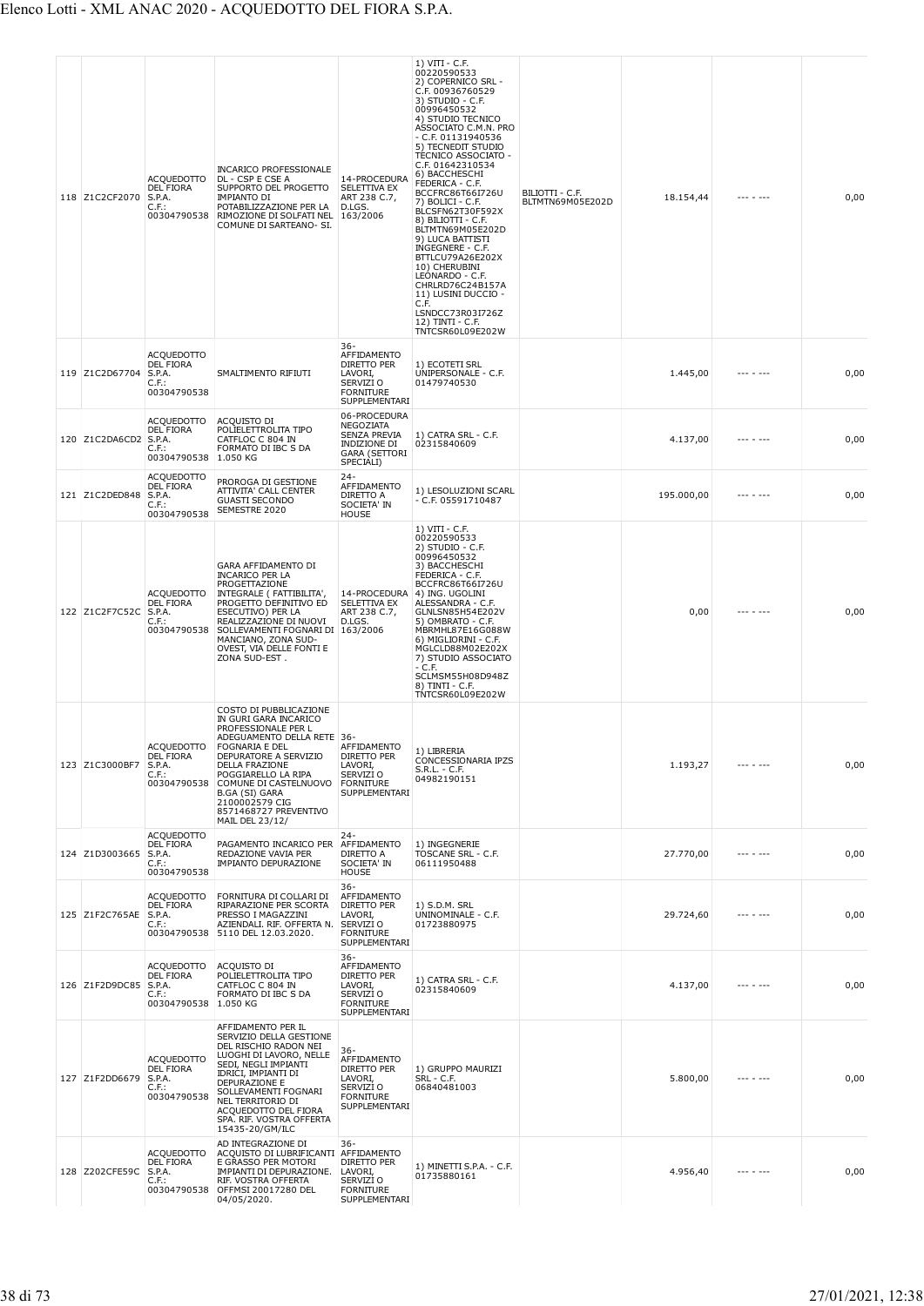| 118 Z1C2CF2070 | <b>ACQUEDOTTO</b><br><b>DEL FIORA</b><br>S.P.A.<br>C.F.:<br>00304790538    | <b>INCARICO PROFESSIONALE</b><br>DL - CSP E CSE A<br>SUPPORTO DEL PROGETTO<br>IMPIANTO DI<br>POTABILIZZAZIONE PER LA<br>RIMOZIONE DI SOLFATI NEL<br>COMUNE DI SARTEANO- SI.                                                                                                                       | 14-PROCEDURA<br>SELETTIVA EX<br>ART 238 C.7,<br>D.LGS.<br>163/2006                                    | 1) VITI - C.F.<br>00220590533<br>2) COPERNICO SRL -<br>C.F. 00936760529<br>3) STUDIO - C.F.<br>00996450532<br>4) STUDIO TECNICO<br>ASSOCIATO C.M.N. PRO<br>- C.F. 01131940536<br>5) TECNEDIT STUDIO<br>TECNICO ASSOCIATO -<br>C.F. 01642310534<br>6) BACCHESCHI<br>FEDERICA - C.F.<br>BCCFRC86T66I726U<br>7) BOLICI - C.F.<br>BLCSFN62T30F592X<br>8) BILIOTTI - C.F.<br>BLTMTN69M05E202D<br>9) LUCA BATTISTI<br>INGEGNERE - C.F.<br>BTTLCU79A26E202X<br>10) CHERUBINI<br>LEONARDO - C.F.<br>CHRLRD76C24B157A<br>11) LUSINI DUCCIO -<br>C.F.<br>LSNDCC73R03I726Z<br>12) TINTI - C.F.<br>TNTCSR60L09E202W | BILIOTTI - C.F.<br>BLTMTN69M05E202D | 18.154,44  | --- - ---       | 0,00 |
|----------------|----------------------------------------------------------------------------|---------------------------------------------------------------------------------------------------------------------------------------------------------------------------------------------------------------------------------------------------------------------------------------------------|-------------------------------------------------------------------------------------------------------|---------------------------------------------------------------------------------------------------------------------------------------------------------------------------------------------------------------------------------------------------------------------------------------------------------------------------------------------------------------------------------------------------------------------------------------------------------------------------------------------------------------------------------------------------------------------------------------------------------|-------------------------------------|------------|-----------------|------|
| 119 Z1C2D67704 | <b>ACQUEDOTTO</b><br><b>DEL FIORA</b><br>S.P.A.<br>$C.F.$ :<br>00304790538 | SMALTIMENTO RIFIUTI                                                                                                                                                                                                                                                                               | 36-<br>AFFIDAMENTO<br>DIRETTO PER<br>LAVORI,<br>SERVIZI O<br><b>FORNITURE</b><br><b>SUPPLEMENTARI</b> | 1) ECOTETI SRL<br>UNIPERSONALE - C.F.<br>01479740530                                                                                                                                                                                                                                                                                                                                                                                                                                                                                                                                                    |                                     | 1.445,00   |                 | 0,00 |
| 120 Z1C2DA6CD2 | <b>ACQUEDOTTO</b><br><b>DEL FIORA</b><br>S.P.A.<br>$C.F.$ :<br>00304790538 | ACQUISTO DI<br>POLIELETTROLITA TIPO<br>CATFLOC C 804 IN<br>FORMATO DI IBC S DA<br>1.050 KG                                                                                                                                                                                                        | 06-PROCEDURA<br>NEGOZIATA<br>SENZA PREVIA<br>INDIZIONE DI<br><b>GARA (SETTORI</b><br>SPECIALI)        | 1) CATRA SRL - C.F.<br>02315840609                                                                                                                                                                                                                                                                                                                                                                                                                                                                                                                                                                      |                                     | 4.137,00   |                 | 0,00 |
| 121 Z1C2DED848 | <b>ACQUEDOTTO</b><br>DEL FIORA<br>S.P.A.<br>$C.F.$ :<br>00304790538        | PROROGA DI GESTIONE<br>ATTIVITA' CALL CENTER<br><b>GUASTI SECONDO</b><br>SEMESTRE 2020                                                                                                                                                                                                            | $24 -$<br>AFFIDAMENTO<br>DIRETTO A<br>SOCIETA' IN<br><b>HOUSE</b>                                     | 1) LESOLUZIONI SCARL<br>$-$ C.F. 05591710487                                                                                                                                                                                                                                                                                                                                                                                                                                                                                                                                                            |                                     | 195.000,00 | --- - ---       | 0,00 |
| 122 Z1C2F7C52C | <b>ACQUEDOTTO</b><br>DEL FIORA<br>S.P.A.<br>$C.F.$ :<br>00304790538        | GARA AFFIDAMENTO DI<br><b>INCARICO PER LA</b><br>PROGETTAZIONE<br>INTEGRALE ( FATTIBILITA',<br>PROGETTO DEFINITIVO ED<br>ESECUTIVO) PER LA<br>REALIZZAZIONE DI NUOVI<br>SOLLEVAMENTI FOGNARI DI 163/2006<br>MANCIANO, ZONA SUD-<br>OVEST, VIA DELLE FONTI E<br>ZONA SUD-EST.                      | SELETTIVA EX<br>ART 238 C.7,<br>D.LGS.                                                                | $1)$ VITI - C.F.<br>00220590533<br>2) STUDIO - C.F.<br>00996450532<br>3) BACCHESCHI<br>FEDERICA - C.F.<br>BCCFRC86T66I726U<br>14-PROCEDURA 4) ING. UGOLINI<br>ALESSANDRA - C.F.<br>GLNLSN85H54E202V<br>5) OMBRATO - C.F.<br>MBRMHL87E16G088W<br>6) MIGLIORINI - C.F.<br>MGLCLD88M02E202X<br>7) STUDIO ASSOCIATO<br>- C.F.<br>SCLMSM55H08D948Z<br>8) TINTI - C.F.<br>TNTCSR60L09E202W                                                                                                                                                                                                                    |                                     | 0,00       | --- - ---       | 0,00 |
| 123 Z1C3000BF7 | <b>ACQUEDOTTO</b><br>DEL FIORA<br>S.P.A.<br>$C.F.$ :<br>00304790538        | COSTO DI PUBBLICAZIONE<br>IN GURI GARA INCARICO<br>PROFESSIONALE PER L<br>ADEGUAMENTO DELLA RETE 36-<br>FOGNARIA E DEL<br>DEPURATORE A SERVIZIO<br>DELLA FRAZIONE<br>POGGIARELLO LA RIPA<br>COMUNE DI CASTELNUOVO<br>B.GA (SI) GARA<br>2100002579 CIG<br>8571468727 PREVENTIVO<br>MAIL DEL 23/12/ | AFFIDAMENTO<br>DIRETTO PER<br>LAVORI,<br>SERVIZI O<br><b>FORNITURE</b><br>SUPPLEMENTARI               | 1) LIBRERIA<br>CONCESSIONARIA IPZS<br>S.R.L. - C.F.<br>04982190151                                                                                                                                                                                                                                                                                                                                                                                                                                                                                                                                      |                                     | 1.193,27   |                 | 0,00 |
| 124 Z1D3003665 | ACQUEDOTTO<br><b>DEL FIORA</b><br>S.P.A.<br>C.F.<br>00304790538            | PAGAMENTO INCARICO PER<br>REDAZIONE VAVIA PER<br>IMPIANTO DEPURAZIONE                                                                                                                                                                                                                             | $24 -$<br>AFFIDAMENTO<br>DIRETTO A<br>SOCIETA' IN<br><b>HOUSE</b>                                     | 1) INGEGNERIE<br>TOSCANE SRL - C.F.<br>06111950488                                                                                                                                                                                                                                                                                                                                                                                                                                                                                                                                                      |                                     | 27.770,00  | $- - - - - - -$ | 0,00 |
| 125 Z1F2C765AE | <b>ACQUEDOTTO</b><br>DEL FIORA<br>S.P.A.<br>$C.F.$ :<br>00304790538        | FORNITURA DI COLLARI DI<br>RIPARAZIONE PER SCORTA<br>PRESSO I MAGAZZINI<br>AZIENDALI. RIF. OFFERTA N.<br>5110 DEL 12.03.2020.                                                                                                                                                                     | 36-<br>AFFIDAMENTO<br>DIRETTO PER<br>LAVORI,<br>SERVIZI O<br><b>FORNITURE</b><br>SUPPLEMENTARI        | 1) S.D.M. SRL<br>UNINOMINALE - C.F.<br>01723880975                                                                                                                                                                                                                                                                                                                                                                                                                                                                                                                                                      |                                     | 29.724,60  |                 | 0,00 |
| 126 Z1F2D9DC85 | <b>ACQUEDOTTO</b><br>DEL FIORA<br>S.P.A.<br>$C.F.$ :<br>00304790538        | ACQUISTO DI<br>POLIELETTROLITA TIPO<br>CATFLOC C 804 IN<br>FORMATO DI IBC S DA<br>1.050 KG                                                                                                                                                                                                        | 36-<br>AFFIDAMENTO<br>DIRETTO PER<br>LAVORI,<br>SERVIZI O<br><b>FORNITURE</b><br>SUPPLEMENTARI        | 1) CATRA SRL - C.F.<br>02315840609                                                                                                                                                                                                                                                                                                                                                                                                                                                                                                                                                                      |                                     | 4.137,00   |                 | 0,00 |
| 127 Z1F2DD6679 | <b>ACQUEDOTTO</b><br>DEL FIORA<br>S.P.A.<br>$C.F.$ :<br>00304790538        | AFFIDAMENTO PER IL<br>SERVIZIO DELLA GESTIONE<br>DEL RISCHIO RADON NEI<br>LUOGHI DI LAVORO, NELLE<br>SEDI, NEGLI IMPIANTI<br>IDRICI, IMPIANTI DI<br>DEPURAZIONE E<br>SOLLEVAMENTI FOGNARI<br>NEL TERRITORIO DI<br>ACQUEDOTTO DEL FIORA<br>SPA. RIF. VOSTRA OFFERTA<br>15435-20/GM/ILC             | 36-<br>AFFIDAMENTO<br>DIRETTO PER<br>LAVORI,<br>SERVIZI O<br><b>FORNITURE</b><br>SUPPLEMENTARI        | 1) GRUPPO MAURIZI<br>SRL - C.F.<br>06840481003                                                                                                                                                                                                                                                                                                                                                                                                                                                                                                                                                          |                                     | 5.800,00   |                 | 0,00 |
| 128 Z202CFE59C | <b>ACQUEDOTTO</b><br>DEL FIORA<br>S.P.A.<br>$C.F.$ :<br>00304790538        | AD INTEGRAZIONE DI<br>ACQUISTO DI LUBRIFICANTI AFFIDAMENTO<br>E GRASSO PER MOTORI<br>IMPIANTI DI DEPURAZIONE.<br>RIF. VOSTRA OFFERTA<br>OFFMSI 20017280 DEL<br>04/05/2020.                                                                                                                        | 36-<br>DIRETTO PER<br>LAVORI,<br>SERVIZI O<br><b>FORNITURE</b><br>SUPPLEMENTARI                       | 1) MINETTI S.P.A. - C.F.<br>01735880161                                                                                                                                                                                                                                                                                                                                                                                                                                                                                                                                                                 |                                     | 4.956,40   |                 | 0,00 |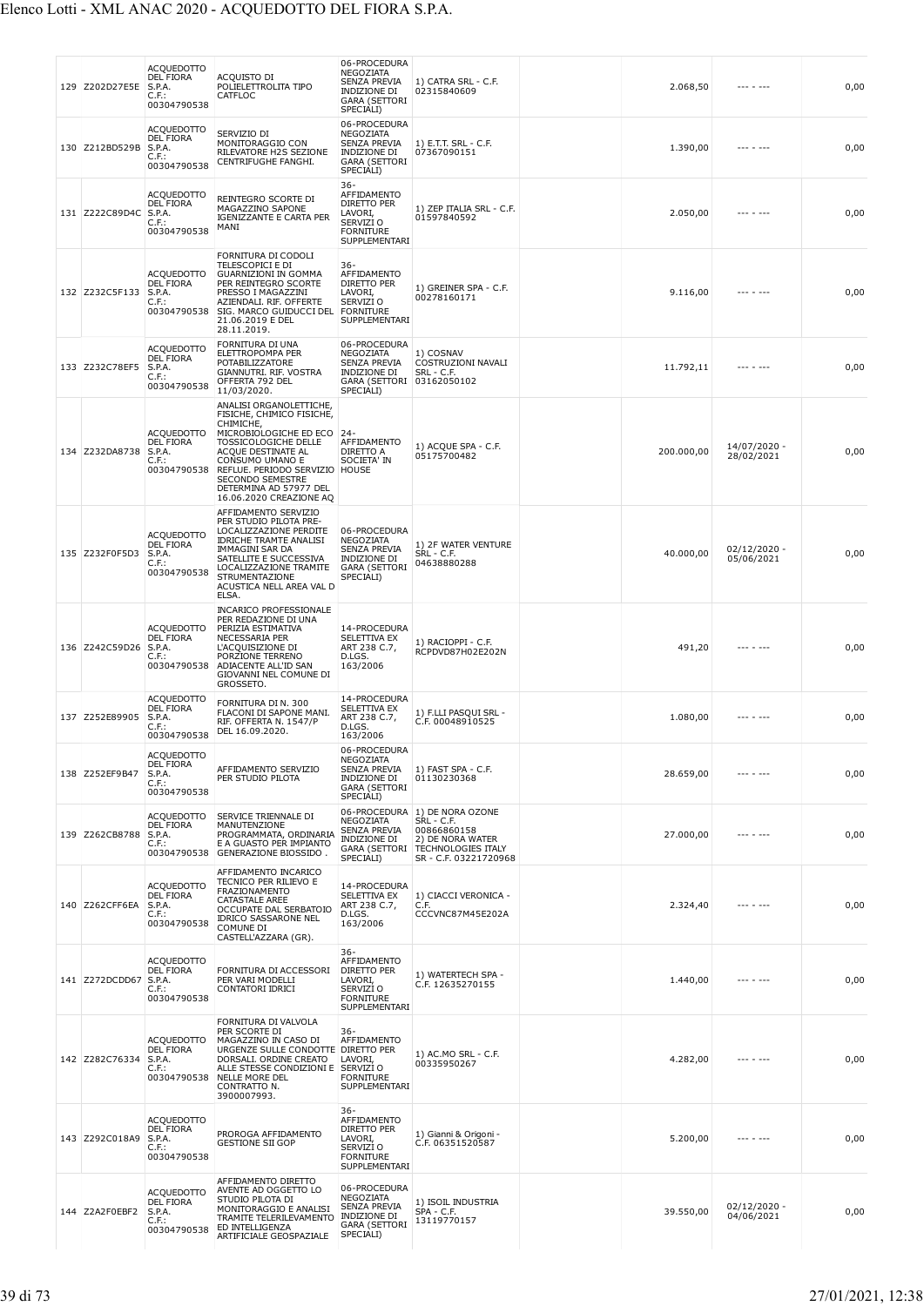| 129 Z202D27E5E        | ACQUEDOTTO<br>DEL FIORA<br>S.P.A.<br>C.F.:<br>00304790538               | ACQUISTO DI<br>POLIELETTROLITA TIPO<br>CATFLOC                                                                                                                                                                                                                    | 06-PROCEDURA<br>NEGOZIATA<br>SENZA PREVIA<br>INDIZIONE DI<br><b>GARA (SETTORI</b><br>SPECIALI)        | 1) CATRA SRL - C.F.<br>02315840609                                                                                                                 | 2.068,50   | --- - ---                    | 0,00 |
|-----------------------|-------------------------------------------------------------------------|-------------------------------------------------------------------------------------------------------------------------------------------------------------------------------------------------------------------------------------------------------------------|-------------------------------------------------------------------------------------------------------|----------------------------------------------------------------------------------------------------------------------------------------------------|------------|------------------------------|------|
| 130 Z212BD529B        | ACQUEDOTTO<br>DEL FIORA<br>S.P.A.<br>C.F.:<br>00304790538               | SERVIZIO DI<br>MONITORAGGIO CON<br>RILEVATORE H2S SEZIONE<br>CENTRIFUGHE FANGHI.                                                                                                                                                                                  | 06-PROCEDURA<br>NEGOZIATA<br><b>SENZA PREVIA</b><br>INDIZIONE DI<br><b>GARA (SETTORI</b><br>SPECIALI) | 1) E.T.T. SRL - C.F.<br>07367090151                                                                                                                | 1.390,00   |                              | 0,00 |
| 131 Z222C89D4C S.P.A. | <b>ACQUEDOTTO</b><br><b>DEL FIORA</b><br>C.F.:<br>00304790538           | REINTEGRO SCORTE DI<br>MAGAZZINO SAPONE<br>IGENIZZANTE E CARTA PER<br>MANI                                                                                                                                                                                        | $36 -$<br>AFFIDAMENTO<br>DIRETTO PER<br>LAVORI,<br>SERVIZI O<br><b>FORNITURE</b><br>SUPPLEMENTARI     | 1) ZEP ITALIA SRL - C.F.<br>01597840592                                                                                                            | 2.050,00   | --- - ---                    | 0,00 |
| 132 Z232C5F133        | ACQUEDOTTO<br><b>DEL FIORA</b><br>S.P.A.<br>C.F.:<br>00304790538        | FORNITURA DI CODOLI<br>TELESCOPICI E DI<br><b>GUARNIZIONI IN GOMMA</b><br>PER REINTEGRO SCORTE<br>PRESSO I MAGAZZINI<br>AZIENDALI. RIF. OFFERTE<br>SIG. MARCO GUIDUCCI DEL<br>21.06.2019 E DEL<br>28.11.2019.                                                     | 36-<br>AFFIDAMENTO<br>DIRETTO PER<br>LAVORI,<br>SERVIZI O<br><b>FORNITURE</b><br>SUPPLEMENTARI        | 1) GREINER SPA - C.F.<br>00278160171                                                                                                               | 9.116,00   |                              | 0,00 |
| 133 Z232C78EF5        | <b>ACQUEDOTTO</b><br>DEL FIORA<br>S.P.A.<br>C.F.:<br>00304790538        | FORNITURA DI UNA<br>ELETTROPOMPA PER<br>POTABILIZZATORE<br>GIANNUTRI. RIF. VOSTRA<br>OFFERTA 792 DEL<br>11/03/2020.                                                                                                                                               | 06-PROCEDURA<br>NEGOZIATA<br>SENZA PREVIA<br>INDIZIONE DI<br>GARA (SETTORI 03162050102<br>SPECIALI)   | 1) COSNAV<br>COSTRUZIONI NAVALI<br>SRL - C.F.                                                                                                      | 11.792,11  | --- - ---                    | 0,00 |
| 134 Z232DA8738        | <b>ACQUEDOTTO</b><br><b>DEL FIORA</b><br>S.P.A.<br>C.F.:<br>00304790538 | ANALISI ORGANOLETTICHE,<br>FISICHE, CHIMICO FISICHE,<br>CHIMICHE,<br>MICROBIOLOGICHE ED ECO<br>TOSSICOLOGICHE DELLE<br>ACQUE DESTINATE AL<br>CONSUMO UMANO E<br>REFLUE. PERIODO SERVIZIO<br>SECONDO SEMESTRE<br>DETERMINA AD 57977 DEL<br>16.06.2020 CREAZIONE AQ | $24-$<br>AFFIDAMENTO<br>DIRETTO A<br>SOCIETA' IN<br>HOUSE                                             | 1) ACQUE SPA - C.F.<br>05175700482                                                                                                                 | 200.000,00 | 14/07/2020 -<br>28/02/2021   | 0,00 |
| 135 Z232F0F5D3        | <b>ACQUEDOTTO</b><br><b>DEL FIORA</b><br>S.P.A.<br>C.F.:<br>00304790538 | AFFIDAMENTO SERVIZIO<br>PER STUDIO PILOTA PRE-<br>LOCALIZZAZIONE PERDITE<br><b>IDRICHE TRAMTE ANALISI</b><br>IMMAGINI SAR DA<br>SATELLITE E SUCCESSIVA<br>LOCALIZZAZIONE TRAMITE<br>STRUMENTAZIONE<br>ACUSTICA NELL AREA VAL D<br>ELSA.                           | 06-PROCEDURA<br>NEGOZIATA<br>SENZA PREVIA<br>INDIZIONE DI<br><b>GARA (SETTORI</b><br>SPECIALI)        | 1) 2F WATER VENTURE<br>SRL - C.F.<br>04638880288                                                                                                   | 40.000,00  | $02/12/2020 -$<br>05/06/2021 | 0,00 |
| 136 Z242C59D26        | ACQUEDOTTO<br>DEL FIORA<br>S.P.A.<br>C.F.:<br>00304790538               | <b>INCARICO PROFESSIONALE</b><br>PER REDAZIONE DI UNA<br>PERIZIA ESTIMATIVA<br>NECESSARIA PER<br>L'ACQUISIZIONE DI<br>PORZIONE TERRENO<br>ADIACENTE ALL'ID SAN<br>GIOVANNI NEL COMUNE DI<br>GROSSETO.                                                             | 14-PROCEDURA<br>SELETTIVA EX<br>ART 238 C.7,<br>D.LGS.<br>163/2006                                    | 1) RACIOPPI - C.F.<br>RCPDVD87H02E202N                                                                                                             | 491,20     |                              | 0,00 |
| 137 Z252E89905        | ACQUEDOTTO<br><b>DEL FIORA</b><br>S.P.A.<br>C.F.:<br>00304790538        | FORNITURA DI N. 300<br>FLACONI DI SAPONE MANI.<br>RIF. OFFERTA N. 1547/P<br>DEL 16.09.2020.                                                                                                                                                                       | 14-PROCEDURA<br>SELETTIVA EX<br>ART 238 C.7,<br>D.LGS.<br>163/2006                                    | 1) F.LLI PASQUI SRL -<br>C.F. 00048910525                                                                                                          | 1.080,00   |                              | 0,00 |
| 138 Z252EF9B47        | ACQUEDOTTO<br>DEL FIORA<br>S.P.A.<br>C.F.:<br>00304790538               | AFFIDAMENTO SERVIZIO<br>PER STUDIO PILOTA                                                                                                                                                                                                                         | 06-PROCEDURA<br>NEGOZIATA<br>SENZA PREVIA<br>INDIZIONE DI<br><b>GARA (SETTORI</b><br>SPECIALI)        | 1) FAST SPA - C.F.<br>01130230368                                                                                                                  | 28.659,00  | --- - ---                    | 0,00 |
| 139 Z262CB8788        | ACQUEDOTTO<br><b>DEL FIORA</b><br>S.P.A.<br>C.F.:<br>00304790538        | SERVICE TRIENNALE DI<br>MANUTENZIONE<br>PROGRAMMATA, ORDINARIA<br>E A GUASTO PER IMPIANTO<br><b>GENERAZIONE BIOSSIDO.</b>                                                                                                                                         | NEGOZIATA<br><b>SENZA PREVIA</b><br>INDIZIONE DI<br>SPECIALI)                                         | 06-PROCEDURA 1) DE NORA OZONE<br><b>SRL - C.F.</b><br>00866860158<br>2) DE NORA WATER<br>GARA (SETTORI TECHNOLOGIES ITALY<br>SR - C.F. 03221720968 | 27.000,00  | --- - ---                    | 0,00 |
| 140 Z262CFF6EA        | ACQUEDOTTO<br>DEL FIORA<br>S.P.A.<br>$C.F.$ :<br>00304790538            | AFFIDAMENTO INCARICO<br>TECNICO PER RILIEVO E<br>FRAZIONAMENTO<br>CATASTALE AREE<br>OCCUPATE DAL SERBATOIO<br><b>IDRICO SASSARONE NEL</b><br>COMUNE DI<br>CASTELL'AZZARA (GR).                                                                                    | 14-PROCEDURA<br>SELETTIVA EX<br>ART 238 C.7,<br>D.LGS.<br>163/2006                                    | 1) CIACCI VERONICA -<br>C.F.<br>CCCVNC87M45E202A                                                                                                   | 2.324,40   |                              | 0,00 |
| 141 Z272DCDD67        | ACQUEDOTTO<br>DEL FIORA<br>S.P.A.<br>$C.F.$ :<br>00304790538            | FORNITURA DI ACCESSORI<br>PER VARI MODELLI<br>CONTATORI IDRICI                                                                                                                                                                                                    | $36 -$<br>AFFIDAMENTO<br>DIRETTO PER<br>LAVORI,<br>SERVIZI O<br><b>FORNITURE</b><br>SUPPLEMENTARI     | 1) WATERTECH SPA -<br>C.F. 12635270155                                                                                                             | 1.440,00   |                              | 0,00 |
| 142 Z282C76334        | ACQUEDOTTO<br><b>DEL FIORA</b><br>S.P.A.<br>C.F.:<br>00304790538        | FORNITURA DI VALVOLA<br>PER SCORTE DI<br>MAGAZZINO IN CASO DI<br>URGENZE SULLE CONDOTTE DIRETTO PER<br>DORSALI. ORDINE CREATO<br>ALLE STESSE CONDIZIONI E<br>NELLE MORE DEL<br>CONTRATTO N.<br>3900007993.                                                        | $36 -$<br>AFFIDAMENTO<br>LAVORI,<br>SERVIZI O<br><b>FORNITURE</b><br>SUPPLEMENTARI                    | 1) AC MO SRL - C F.<br>00335950267                                                                                                                 | 4.282,00   | --- - ---                    | 0,00 |
| 143 Z292C018A9        | <b>ACQUEDOTTO</b><br><b>DEL FIORA</b><br>S.P.A.<br>C.F.:<br>00304790538 | PROROGA AFFIDAMENTO<br><b>GESTIONE SII GOP</b>                                                                                                                                                                                                                    | $36-$<br>AFFIDAMENTO<br>DIRETTO PER<br>LAVORI,<br>SERVIZI O<br><b>FORNITURE</b><br>SUPPLEMENTARI      | 1) Gianni & Origoni -<br>C.F. 06351520587                                                                                                          | 5.200,00   |                              | 0,00 |
| 144 Z2A2F0EBF2        | ACQUEDOTTO<br>DEL FIORA<br>S.P.A.<br>C.F.<br>00304790538                | AFFIDAMENTO DIRETTO<br>AVENTE AD OGGETTO LO<br>STUDIO PILOTA DI<br>MONITORAGGIO E ANALISI<br>TRAMITE TELERILEVAMENTO<br>ED INTELLIGENZA<br>ARTIFICIALE GEOSPAZIALE                                                                                                | 06-PROCEDURA<br>NEGOZIATA<br>SENZA PREVIA<br>INDIZIONE DI<br><b>GARA (SETTORI</b><br>SPECIALI)        | 1) ISOIL INDUSTRIA<br>$SPA - C.F.$<br>13119770157                                                                                                  | 39.550,00  | $02/12/2020 -$<br>04/06/2021 | 0,00 |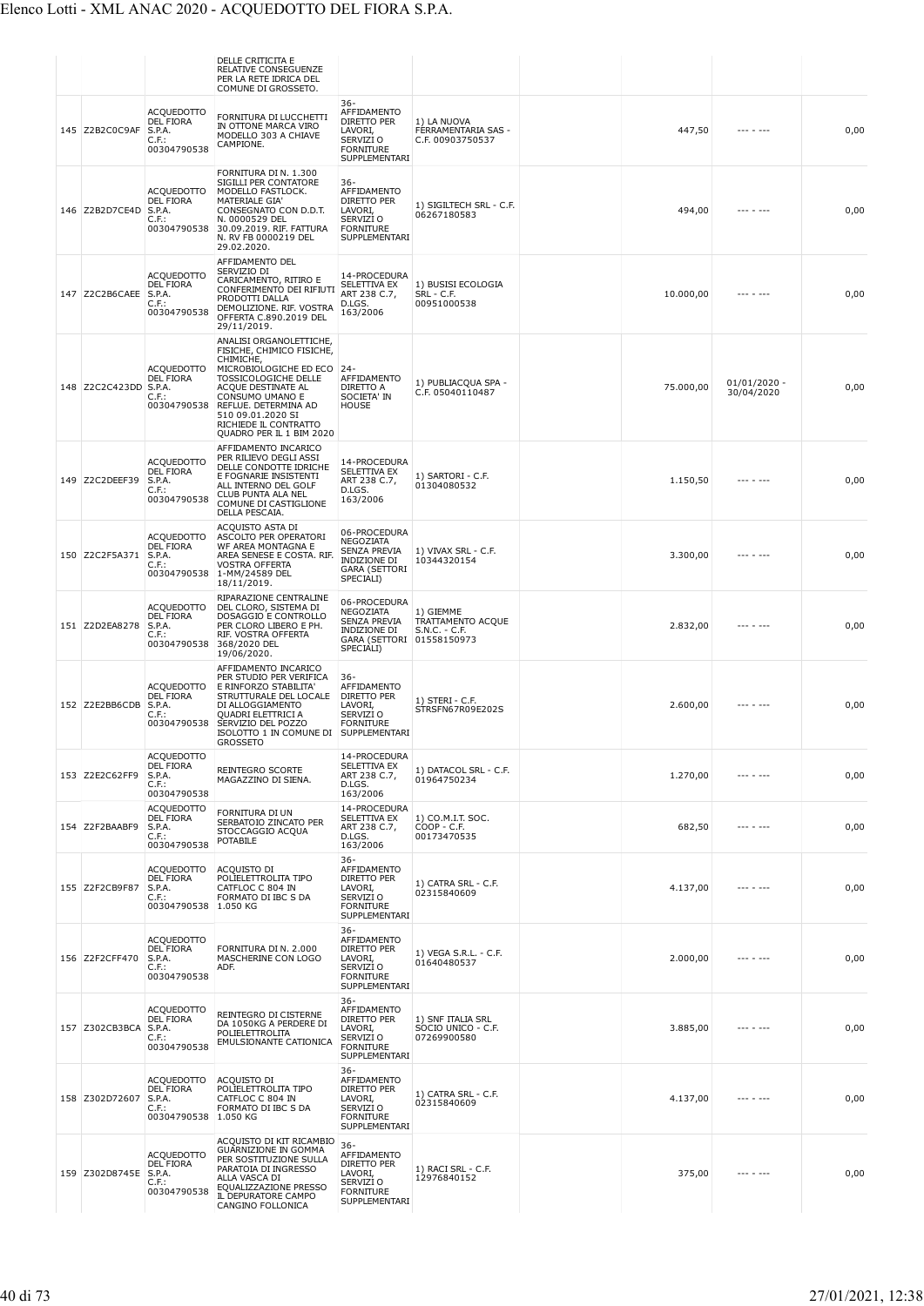|                |                                                                            | DELLE CRITICITA E<br>RELATIVE CONSEGUENZE<br>PER LA RETE IDRICA DEL<br>COMUNE DI GROSSETO.                                                                                                                                                                           |                                                                                                                   |                                                        |           |                              |      |
|----------------|----------------------------------------------------------------------------|----------------------------------------------------------------------------------------------------------------------------------------------------------------------------------------------------------------------------------------------------------------------|-------------------------------------------------------------------------------------------------------------------|--------------------------------------------------------|-----------|------------------------------|------|
| 145 Z2B2C0C9AF | <b>ACQUEDOTTO</b><br><b>DEL FIORA</b><br>S.P.A.<br>$C.F.$ :<br>00304790538 | FORNITURA DI LUCCHETTI<br>IN OTTONE MARCA VIRO<br>MODELLO 303 A CHIAVE<br>CAMPIONE.                                                                                                                                                                                  | $36 -$<br>AFFIDAMENTO<br>DIRETTO PER<br>LAVORI,<br>SERVIZI O<br><b>FORNITURE</b><br>SUPPLEMENTARI                 | 1) LA NUOVA<br>FERRAMENTARIA SAS -<br>C.F. 00903750537 | 447,50    |                              | 0,00 |
| 146 Z2B2D7CE4D | <b>ACQUEDOTTO</b><br><b>DEL FIORA</b><br>S.P.A.<br>C.F.:<br>00304790538    | FORNITURA DI N. 1.300<br>SIGILLI PER CONTATORE<br>MODELLO FASTLOCK.<br>MATERIALE GIA'<br>CONSEGNATO CON D.D.T.<br>N. 0000529 DEL<br>30.09.2019. RIF. FATTURA<br>N. RV FB 0000219 DEL<br>29.02.2020.                                                                  | $36 -$<br>AFFIDAMENTO<br>DIRETTO PER<br>LAVORI,<br>SERVIZI O<br><b>FORNITURE</b><br>SUPPLEMENTARI                 | 1) SIGILTECH SRL - C.F.<br>06267180583                 | 494,00    |                              | 0,00 |
| 147 Z2C2B6CAEE | <b>ACQUEDOTTO</b><br><b>DEL FIORA</b><br>S.P.A.<br>C.F.:<br>00304790538    | AFFIDAMENTO DEL<br>SERVIZIO DI<br>CARICAMENTO, RITIRO E<br>CONFERIMENTO DEI RIFIUTI<br>PRODOTTI DALLA<br>DEMOLIZIONE. RIF. VOSTRA<br>OFFERTA C.890.2019 DEL<br>29/11/2019.                                                                                           | 14-PROCEDURA<br>SELETTIVA EX<br>ART 238 C.7,<br>D.LGS.<br>163/2006                                                | 1) BUSISI ECOLOGIA<br>SRL - C.F.<br>00951000538        | 10.000,00 |                              | 0,00 |
| 148 Z2C2C423DD | <b>ACQUEDOTTO</b><br><b>DEL FIORA</b><br>S.P.A.<br>C.F.:<br>00304790538    | ANALISI ORGANOLETTICHE,<br>FISICHE, CHIMICO FISICHE,<br>CHIMICHE,<br>MICROBIOLOGICHE ED ECO   24-<br>TOSSICOLOGICHE DELLE<br>ACQUE DESTINATE AL<br>CONSUMO UMANO E<br>REFLUE. DETERMINA AD<br>510 09.01.2020 SI<br>RICHIEDE IL CONTRATTO<br>QUADRO PER IL 1 BIM 2020 | AFFIDAMENTO<br>DIRETTO A<br>SOCIETA' IN<br><b>HOUSE</b>                                                           | 1) PUBLIACOUA SPA -<br>C.F. 05040110487                | 75.000,00 | $01/01/2020 -$<br>30/04/2020 | 0,00 |
| 149 Z2C2DEEF39 | <b>ACQUEDOTTO</b><br>DEL FIORA<br>S.P.A.<br>C.F.:<br>00304790538           | AFFIDAMENTO INCARICO<br>PER RILIEVO DEGLI ASSI<br>DELLE CONDOTTE IDRICHE<br>E FOGNARIE INSISTENTI<br>ALL INTERNO DEL GOLF<br>CLUB PUNTA ALA NEL<br>COMUNE DI CASTIGLIONE<br>DELLA PESCAIA.                                                                           | 14-PROCEDURA<br><b>SELETTIVA EX</b><br>ART 238 C.7,<br>D.LGS.<br>163/2006                                         | 1) SARTORI - C.F.<br>01304080532                       | 1.150,50  |                              | 0,00 |
| 150 Z2C2F5A371 | <b>ACQUEDOTTO</b><br><b>DEL FIORA</b><br>S.P.A.<br>$C.F.$ :<br>00304790538 | ACQUISTO ASTA DI<br>ASCOLTO PER OPERATORI<br>WF AREA MONTAGNA E<br>AREA SENESE E COSTA. RIF.<br><b>VOSTRA OFFERTA</b><br>1-MM/24589 DEL<br>18/11/2019.                                                                                                               | 06-PROCEDURA<br>NEGOZIATA<br>SENZA PREVIA<br><b>INDIZIONE DI</b><br><b>GARA (SETTORI</b><br>SPECIALI)             | 1) VIVAX SRL - C.F.<br>10344320154                     | 3.300,00  | --- - ---                    | 0,00 |
| 151 Z2D2EA8278 | <b>ACQUEDOTTO</b><br><b>DEL FIORA</b><br>S.P.A.<br>C.F.<br>00304790538     | RIPARAZIONE CENTRALINE<br>DEL CLORO, SISTEMA DI<br>DOSAGGIO E CONTROLLO<br>PER CLORO LIBERO E PH.<br>RIF. VOSTRA OFFERTA<br>368/2020 DEL<br>19/06/2020.                                                                                                              | 06-PROCEDURA<br>NEGOZIATA<br><b>SENZA PREVIA</b><br><b>INDIZIONE DI</b><br>GARA (SETTORI 01558150973<br>SPECIALI) | 1) GIEMME<br>TRATTAMENTO ACQUE<br>$S.N.C. - C.F.$      | 2.832,00  |                              | 0,00 |
| 152 Z2E2BB6CDB | <b>ACQUEDOTTO</b><br>DEL FIORA<br>S.P.A.<br>C.F.:<br>00304790538           | AFFIDAMENTO INCARICO<br>PER STUDIO PER VERIFICA<br>E RINFORZO STABILITA'<br>STRUTTURALE DEL LOCALE<br>DI ALLOGGIAMENTO<br>QUADRI ELETTRICI A<br>SERVIZIO DEL POZZO<br>ISOLOTTO 1 IN COMUNE DI SUPPLEMENTARI<br><b>GROSSETO</b>                                       | 36-<br>AFFIDAMENTO<br>DIRETTO PER<br>LAVORI,<br>SERVIZI O<br><b>FORNITURE</b>                                     | 1) STERI - C.F.<br>STRSFN67R09E202S                    | 2.600,00  | $- - - - - - - -$            | 0,00 |
| 153 Z2E2C62FF9 | <b>ACQUEDOTTO</b><br>DEL FIORA<br>S.P.A.<br>$C.F.$ :<br>00304790538        | REINTEGRO SCORTE<br>MAGAZZINO DI SIENA.                                                                                                                                                                                                                              | 14-PROCEDURA<br><b>SELETTIVA EX</b><br>ART 238 C.7,<br>D.LGS.<br>163/2006                                         | 1) DATACOL SRL - C.F.<br>01964750234                   | 1.270,00  | --- - ---                    | 0,00 |
| 154 Z2F2BAABF9 | <b>ACQUEDOTTO</b><br><b>DEL FIORA</b><br>S.P.A.<br>$C.F.$ :<br>00304790538 | FORNITURA DI UN<br>SERBATOIO ZINCATO PER<br>STOCCAGGIO ACQUA<br><b>POTABILE</b>                                                                                                                                                                                      | 14-PROCEDURA<br>SELETTIVA EX<br>ART 238 C.7,<br>D.LGS.<br>163/2006                                                | 1) CO.M.I.T. SOC.<br>$COP - C.F.$<br>00173470535       | 682,50    |                              | 0,00 |
| 155 Z2F2CB9F87 | <b>ACQUEDOTTO</b><br><b>DEL FIORA</b><br>S.P.A.<br>C.F.:<br>00304790538    | ACQUISTO DI<br>POLIELETTROLITA TIPO<br>CATFLOC C 804 IN<br>FORMATO DI IBC S DA<br>1.050 KG                                                                                                                                                                           | 36-<br>AFFIDAMENTO<br><b>DIRETTO PER</b><br>LAVORI,<br>SERVIZI O<br><b>FORNITURE</b><br>SUPPLEMENTARI             | 1) CATRA SRL - C.F.<br>02315840609                     | 4.137,00  |                              | 0,00 |
| 156 Z2F2CFF470 | <b>ACQUEDOTTO</b><br>DEL FIORA<br>S.P.A.<br>$C.F.$ :<br>00304790538        | FORNITURA DI N. 2.000<br>MASCHERINE CON LOGO<br>ADF.                                                                                                                                                                                                                 | $36 -$<br>AFFIDAMENTO<br>DIRETTO PER<br>LAVORI,<br>SERVIZI O<br><b>FORNITURE</b><br>SUPPLEMENTARI                 | 1) VEGA S.R.L. - C.F.<br>01640480537                   | 2.000,00  | --- - ---                    | 0,00 |
| 157 Z302CB3BCA | <b>ACQUEDOTTO</b><br><b>DEL FIORA</b><br>S.P.A.<br>$C.F.$ :<br>00304790538 | REINTEGRO DI CISTERNE<br>DA 1050KG A PERDERE DI<br>POLIELETTROLITA<br>EMULSIONANTE CATIONICA                                                                                                                                                                         | $36 -$<br>AFFIDAMENTO<br>DIRETTO PER<br>LAVORI,<br>SERVIZI O<br><b>FORNITURE</b><br>SUPPLEMENTARI                 | 1) SNF ITALIA SRL<br>SOCIO UNICO - C.F.<br>07269900580 | 3.885,00  |                              | 0,00 |
| 158 Z302D72607 | <b>ACQUEDOTTO</b><br><b>DEL FIORA</b><br>S.P.A.<br>$C.F.$ :<br>00304790538 | <b>ACQUISTO DI</b><br>POLIELETTROLITA TIPO<br>CATFLOC C 804 IN<br>FORMATO DI IBC S DA<br>1.050 KG                                                                                                                                                                    | $36 -$<br>AFFIDAMENTO<br>DIRETTO PER<br>LAVORI,<br>SERVIZI O<br><b>FORNITURE</b><br>SUPPLEMENTARI                 | 1) CATRA SRL - C.F.<br>02315840609                     | 4.137,00  |                              | 0,00 |
| 159 Z302D8745E | <b>ACQUEDOTTO</b><br><b>DEL FIORA</b><br>S.P.A.<br>$C.F.$ :<br>00304790538 | ACQUISTO DI KIT RICAMBIO<br><b>GUARNIZIONE IN GOMMA</b><br>PER SOSTITUZIONE SULLA<br>PARATOIA DI INGRESSO<br>ALLA VASCA DI<br>EQUALIZZAZIONE PRESSO<br>IL DEPURATORE CAMPO<br>CANGINO FOLLONICA                                                                      | $36 -$<br>AFFIDAMENTO<br>DIRETTO PER<br>LAVORI,<br>SERVIZI O<br><b>FORNITURE</b><br>SUPPLEMENTARI                 | 1) RACI SRL - C.F.<br>12976840152                      | 375,00    |                              | 0,00 |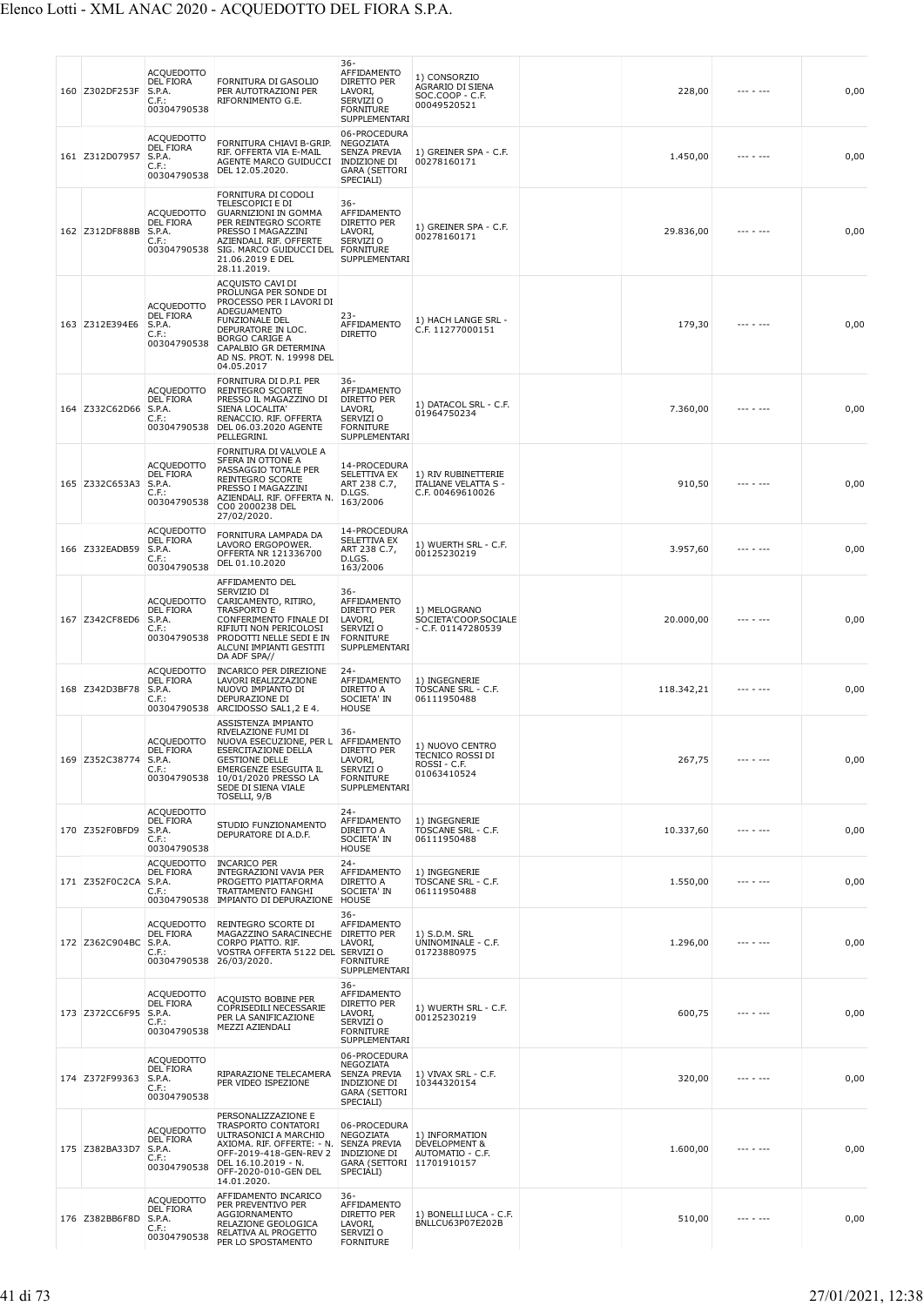| 160 Z302DF253F        | <b>ACQUEDOTTO</b><br><b>DEL FIORA</b><br>S.P.A.<br>$C.F.$ :<br>00304790538 | FORNITURA DI GASOLIO<br>PER AUTOTRAZIONI PER<br>RIFORNIMENTO G.E.                                                                                                                                                                | $36 -$<br>AFFIDAMENTO<br>DIRETTO PER<br>LAVORI,<br>SERVIZI O<br><b>FORNITURE</b><br>SUPPLEMENTARI     | 1) CONSORZIO<br>AGRARIO DI SIENA<br>SOC.COOP - C.F.<br>00049520521     | 228,00     | $- - - - - - -$ | 0,00 |
|-----------------------|----------------------------------------------------------------------------|----------------------------------------------------------------------------------------------------------------------------------------------------------------------------------------------------------------------------------|-------------------------------------------------------------------------------------------------------|------------------------------------------------------------------------|------------|-----------------|------|
| 161 Z312D07957        | <b>ACQUEDOTTO</b><br>DEL FIORA<br>S.P.A.<br>$C.F.$ :<br>00304790538        | FORNITURA CHIAVI B-GRIP.<br>RIF. OFFERTA VIA E-MAIL<br>AGENTE MARCO GUIDUCCI<br>DEL 12.05.2020.                                                                                                                                  | 06-PROCEDURA<br>NEGOZIATA<br><b>SENZA PREVIA</b><br>INDIZIONE DI<br><b>GARA (SETTORI</b><br>SPECIALI) | 1) GREINER SPA - C.F.<br>00278160171                                   | 1.450,00   |                 | 0,00 |
| 162 Z312DF888B        | <b>ACQUEDOTTO</b><br>DEL FIORA<br>S.P.A.<br>$C.F.$ :<br>00304790538        | FORNITURA DI CODOLI<br>TELESCOPICI E DI<br><b>GUARNIZIONI IN GOMMA</b><br>PER REINTEGRO SCORTE<br>PRESSO I MAGAZZINI<br>AZIENDALI. RIF. OFFERTE<br>SIG. MARCO GUIDUCCI DEL<br>21.06.2019 E DEL<br>28.11.2019.                    | 36-<br>AFFIDAMENTO<br>DIRETTO PER<br>LAVORI,<br>SERVIZI O<br><b>FORNITURE</b><br><b>SUPPLEMENTARI</b> | 1) GREINER SPA - C.F.<br>00278160171                                   | 29.836,00  |                 | 0,00 |
| 163 Z312E394E6        | <b>ACQUEDOTTO</b><br>DEL FIORA<br>S.P.A.<br>$C.F.$ :<br>00304790538        | ACQUISTO CAVI DI<br>PROLUNGA PER SONDE DI<br>PROCESSO PER I LAVORI DI<br>ADEGUAMENTO<br><b>FUNZIONALE DEL</b><br>DEPURATORE IN LOC.<br><b>BORGO CARIGE A</b><br>CAPALBIO GR DETERMINA<br>AD NS. PROT. N. 19998 DEL<br>04.05.2017 | $23 -$<br>AFFIDAMENTO<br><b>DIRETTO</b>                                                               | 1) HACH LANGE SRL -<br>C.F. 11277000151                                | 179,30     |                 | 0,00 |
| 164 Z332C62D66        | <b>ACQUEDOTTO</b><br>DEL FIORA<br>S.P.A.<br>$C.F.$ :<br>00304790538        | FORNITURA DI D.P.I. PER<br><b>REINTEGRO SCORTE</b><br>PRESSO IL MAGAZZINO DI<br>SIENA LOCALITA'<br>RENACCIO. RIF. OFFERTA<br>DEL 06.03.2020 AGENTE<br>PELLEGRINI.                                                                | 36-<br>AFFIDAMENTO<br>DIRETTO PER<br>LAVORI,<br>SERVIZI O<br><b>FORNITURE</b><br>SUPPLEMENTARI        | 1) DATACOL SRL - C.F.<br>01964750234                                   | 7.360,00   |                 | 0,00 |
| 165 Z332C653A3        | <b>ACQUEDOTTO</b><br><b>DEL FIORA</b><br>S.P.A.<br>C.F.:<br>00304790538    | FORNITURA DI VALVOLE A<br>SFERA IN OTTONE A<br>PASSAGGIO TOTALE PER<br><b>REINTEGRO SCORTE</b><br>PRESSO I MAGAZZINI<br>AZIENDALI. RIF. OFFERTA N.<br>CO0 2000238 DEL<br>27/02/2020.                                             | 14-PROCEDURA<br>SELETTIVA EX<br>ART 238 C.7,<br>D.LGS.<br>163/2006                                    | 1) RIV RUBINETTERIE<br><b>ITALIANE VELATTA S -</b><br>C.F. 00469610026 | 910,50     |                 | 0,00 |
| 166 Z332EADB59        | <b>ACQUEDOTTO</b><br><b>DEL FIORA</b><br>S.P.A.<br>$C.F.$ :<br>00304790538 | FORNITURA LAMPADA DA<br>LAVORO ERGOPOWER.<br>OFFERTA NR 121336700<br>DEL 01.10.2020                                                                                                                                              | 14-PROCEDURA<br>SELETTIVA EX<br>ART 238 C.7,<br>D.LGS.<br>163/2006                                    | 1) WUERTH SRL - C.F.<br>00125230219                                    | 3.957,60   | --- - ---       | 0,00 |
| 167 Z342CF8ED6        | <b>ACQUEDOTTO</b><br><b>DEL FIORA</b><br>S.P.A.<br>C.F.:<br>00304790538    | AFFIDAMENTO DEL<br>SERVIZIO DI<br>CARICAMENTO, RITIRO,<br>TRASPORTO E<br>CONFERIMENTO FINALE DI<br>RIFIUTI NON PERICOLOSI<br>PRODOTTI NELLE SEDI E IN<br>ALCUNI IMPIANTI GESTITI<br>DA ADF SPA//                                 | 36-<br>AFFIDAMENTO<br>DIRETTO PER<br>LAVORI,<br>SERVIZI O<br><b>FORNITURE</b><br>SUPPLEMENTARI        | 1) MELOGRANO<br>SOCIETA'COOP.SOCIALE<br>- C.F. 01147280539             | 20.000,00  |                 | 0,00 |
| 168 Z342D3BF78        | <b>ACQUEDOTTO</b><br>DEL FIORA<br>S.P.A.<br>C.F.:                          | <b>INCARICO PER DIREZIONE</b><br>LAVORI REALIZZAZIONE<br>NUOVO IMPIANTO DI<br>DEPURAZIONE DI<br>00304790538 ARCIDOSSO SAL1,2 E 4.                                                                                                | $24-$<br>AFFIDAMENTO<br>DIRETTO A<br>SOCIETA' IN<br><b>HOUSE</b>                                      | 1) INGEGNERIE<br>TOSCANE SRL - C.F.<br>06111950488                     | 118.342,21 |                 | 0,00 |
| 169 Z352C38774        | <b>ACQUEDOTTO</b><br><b>DEL FIURA</b><br>S.P.A.<br>C.F.:<br>00304790538    | ASSISTENZA IMPIANTO<br>RIVELAZIONE FUMI DI<br>NUOVA ESECUZIONE, PER L<br>ESERCITAZIONE DELLA<br><b>GESTIONE DELLE</b><br>EMERGENZE ESEGUITA IL<br>10/01/2020 PRESSO LA<br>SEDE DI SIENA VIALE<br>TOSELLI, 9/B                    | 36-<br>AFFIDAMENTO<br>DIRETTO PER<br>LAVORI,<br>SERVIZI O<br><b>FORNITURE</b><br>SUPPLEMENTARI        | 1) NUOVO CENTRO<br>TECNICO ROSSI DI<br>ROSSI - C.F.<br>01063410524     | 267,75     |                 | 0,00 |
| 170 Z352F0BFD9        | ACQUEDOTTO<br>DEL FIORA<br>S.P.A.<br>$C.F.$ :<br>00304790538               | STUDIO FUNZIONAMENTO<br>DEPURATORE DI A.D.F.                                                                                                                                                                                     | $24 -$<br>AFFIDAMENTO<br>DIRETTO A<br>SOCIETA' IN<br><b>HOUSE</b>                                     | 1) INGEGNERIE<br>TOSCANE SRL - C.F.<br>06111950488                     | 10.337,60  | --- - ---       | 0,00 |
| 171 Z352F0C2CA        | ACQUEDOTTO<br><b>DEL FIORA</b><br>S.P.A.<br>$C.F.$ :                       | <b>INCARICO PER</b><br>INTEGRAZIONI VAVIA PER<br>PROGETTO PIATTAFORMA<br>TRATTAMENTO FANGHI<br>00304790538 IMPIANTO DI DEPURAZIONE                                                                                               | $24 -$<br>AFFIDAMENTO<br>DIRETTO A<br>SOCIETA' IN<br>HOUSE                                            | 1) INGEGNERIE<br>TOSCANE SRL - C.F.<br>06111950488                     | 1.550,00   | --- - ---       | 0,00 |
| 172 Z362C904BC S.P.A. | <b>ACQUEDOTTO</b><br>DEL FIORA<br>$C.F.$ :<br>00304790538 26/03/2020.      | REINTEGRO SCORTE DI<br>MAGAZZINO SARACINECHE DIRETTO PER<br>CORPO PIATTO. RIF.<br>VOSTRA OFFERTA 5122 DEL                                                                                                                        | $36 -$<br>AFFIDAMENTO<br>LAVORI,<br>SERVIZI O<br><b>FORNITURE</b><br>SUPPLEMENTARI                    | 1) S.D.M. SRL<br>UNINOMINALE - C.F.<br>01723880975                     | 1.296,00   | --- - ---       | 0,00 |
| 173 Z372CC6F95        | <b>ACQUEDOTTO</b><br><b>DEL FIORA</b><br>S.P.A.<br>$C.F.$ :<br>00304790538 | ACQUISTO BOBINE PER<br>COPRISEDILI NECESSARIE<br>PER LA SANIFICAZIONE<br>MEZZI AZIENDALI                                                                                                                                         | 36-<br>AFFIDAMENTO<br>DIRETTO PER<br>LAVORI,<br>SERVIZI O<br><b>FORNITURE</b><br>SUPPLEMENTARI        | 1) WUERTH SRL - C.F.<br>00125230219                                    | 600,75     | --- - ---       | 0,00 |
| 174 Z372F99363        | <b>ACQUEDOTTO</b><br><b>DEL FIORA</b><br>S.P.A.<br>$C.F.$ :<br>00304790538 | RIPARAZIONE TELECAMERA<br>PER VIDEO ISPEZIONE                                                                                                                                                                                    | 06-PROCEDURA<br>NEGOZIATA<br><b>SENZA PREVIA</b><br>INDIZIONE DI<br><b>GARA (SETTORI</b><br>SPECIALI) | 1) VIVAX SRL - C.F.<br>10344320154                                     | 320,00     |                 | 0,00 |
| 175 Z382BA33D7        | <b>ACOUEDOTTO</b><br>DEL FIORA<br>S.P.A.<br>$C.F.$ :<br>00304790538        | PERSONALIZZAZIONE E<br>TRASPORTO CONTATORI<br>ULTRASONICI A MARCHIO<br>AXIOMA. RIF. OFFERTE: - N.<br>OFF-2019-418-GEN-REV 2<br>DEL 16.10.2019 - N.<br>OFF-2020-010-GEN DEL<br>14.01.2020.                                        | 06-PROCEDURA<br>NEGOZIATA<br>SENZA PREVIA<br>INDIZIONE DI<br>GARA (SETTORI 11701910157<br>SPECIALI)   | 1) INFORMATION<br><b>DEVELOPMENT &amp;</b><br>AUTOMATIO - C.F.         | 1.600,00   |                 | 0,00 |
| 176 Z382BB6F8D        | <b>ACQUEDOTTO</b><br><b>DEL FIORA</b><br>S.P.A.<br>$C.F.$ :<br>00304790538 | AFFIDAMENTO INCARICO<br>PER PREVENTIVO PER<br>AGGIORNAMENTO<br>RELAZIONE GEOLOGICA<br>RELATIVA AL PROGETTO<br>PER LO SPOSTAMENTO                                                                                                 | $36 -$<br>AFFIDAMENTO<br>DIRETTO PER<br>LAVORI,<br>SERVIZI O<br><b>FORNITURE</b>                      | 1) BONELLI LUCA - C.F.<br>BNLLCU63P07E202B                             | 510,00     |                 | 0,00 |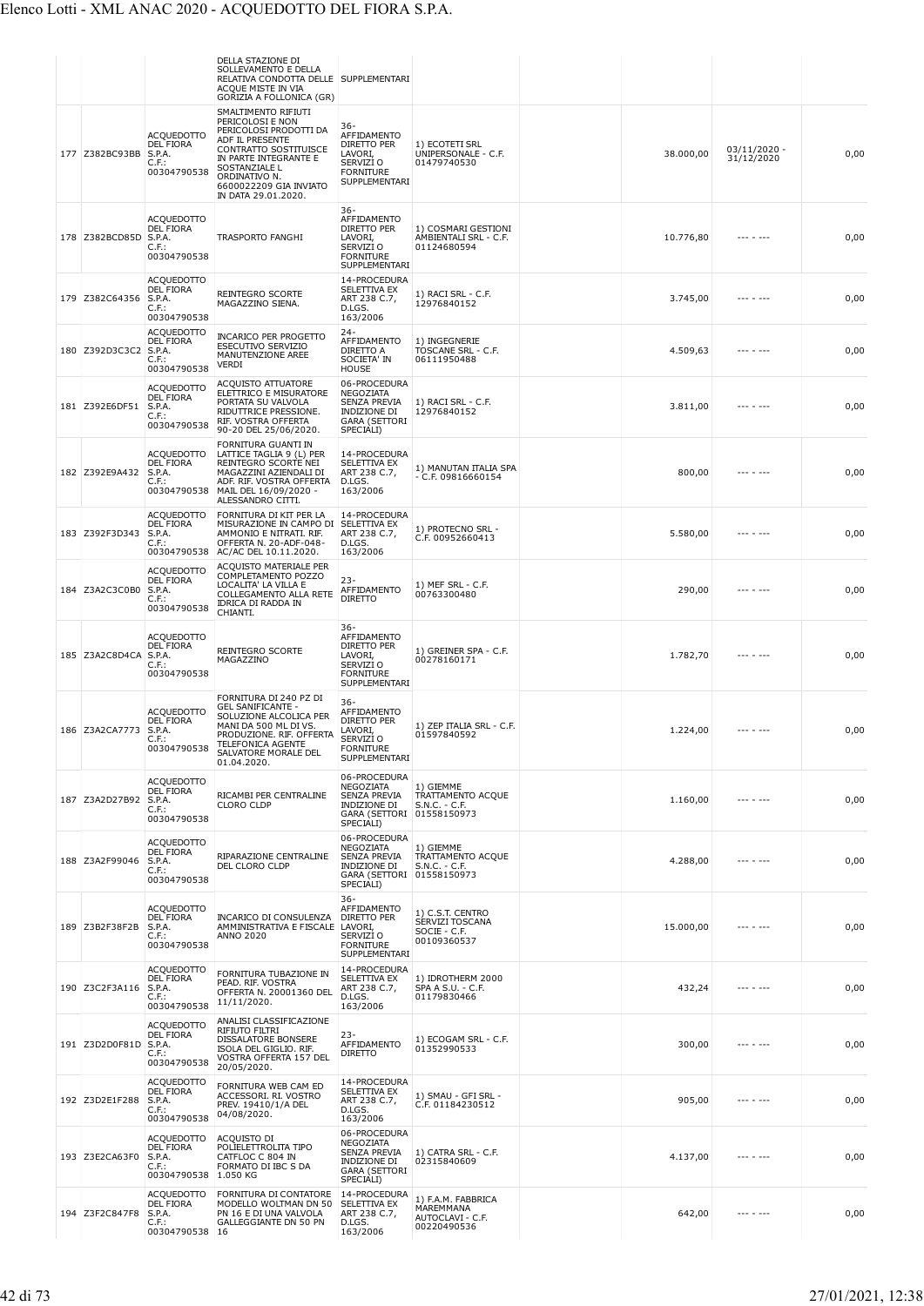|     |                |                                                                         | DELLA STAZIONE DI<br>SOLLEVAMENTO E DELLA<br>RELATIVA CONDOTTA DELLE   SUPPLEMENTARI<br>ACQUE MISTE IN VIA<br>GORIZIA A FOLLONICA (GR)                                                                                    |                                                                                                                          |                                                                    |           |                            |      |
|-----|----------------|-------------------------------------------------------------------------|---------------------------------------------------------------------------------------------------------------------------------------------------------------------------------------------------------------------------|--------------------------------------------------------------------------------------------------------------------------|--------------------------------------------------------------------|-----------|----------------------------|------|
|     | 177 Z382BC93BB | <b>ACQUEDOTTO</b><br>DEL FIORA<br>S.P.A.<br>C.F.:<br>00304790538        | SMALTIMENTO RIFIUTI<br>PERICOLOSI E NON<br>PERICOLOSI PRODOTTI DA<br>ADF IL PRESENTE<br>CONTRATTO SOSTITUISCE<br>IN PARTE INTEGRANTE E<br>SOSTANZIALE L<br>ORDINATIVO N.<br>6600022209 GIA INVIATO<br>IN DATA 29.01.2020. | $36 -$<br>AFFIDAMENTO<br><b>DIRETTO PER</b><br>LAVORI,<br>SERVIZI O<br><b>FORNITURE</b><br>SUPPLEMENTARI                 | 1) ECOTETI SRL<br>UNIPERSONALE - C.F.<br>01479740530               | 38.000,00 | 03/11/2020 -<br>31/12/2020 | 0,00 |
|     | 178 Z382BCD85D | <b>ACQUEDOTTO</b><br>DEL FIORA<br>S.P.A.<br>C.F.:<br>00304790538        | <b>TRASPORTO FANGHI</b>                                                                                                                                                                                                   | $36 -$<br>AFFIDAMENTO<br>DIRETTO PER<br>LAVORI,<br>SERVIZI O<br><b>FORNITURE</b><br>SUPPLEMENTARI                        | 1) COSMARI GESTIONI<br>AMBIENTALI SRL - C.F.<br>01124680594        | 10.776,80 | --- - ---                  | 0,00 |
|     | 179 Z382C64356 | ACQUEDOTTO<br>DEL FIORA<br>S.P.A.<br>C.F.<br>00304790538                | <b>REINTEGRO SCORTE</b><br>MAGAZZINO SIENA.                                                                                                                                                                               | 14-PROCEDURA<br>SELETTIVA EX<br>ART 238 C.7,<br>D.LGS.<br>163/2006                                                       | 1) RACI SRL - C.F.<br>12976840152                                  | 3.745,00  |                            | 0,00 |
| 180 | Z392D3C3C2     | <b>ACQUEDOTTO</b><br>DEL FIORA<br>S.P.A.<br>C.F.:<br>00304790538        | <b>INCARICO PER PROGETTO</b><br>ESECUTIVO SERVIZIO<br>MANUTENZIONE AREE<br>VERDI                                                                                                                                          | $24 -$<br>AFFIDAMENTO<br>DIRETTO A<br>SOCIETA' IN<br><b>HOUSE</b>                                                        | 1) INGEGNERIE<br>TOSCANE SRL - C.F.<br>06111950488                 | 4.509,63  |                            | 0,00 |
|     | 181 Z392E6DF51 | <b>ACQUEDOTTO</b><br>DEL FIORA<br>S.P.A.<br>C.F.:<br>00304790538        | <b>ACQUISTO ATTUATORE</b><br>ELETTRICO E MISURATORE<br>PORTATA SU VALVOLA<br>RIDUTTRICE PRESSIONE.<br>RIF. VOSTRA OFFERTA<br>90-20 DEL 25/06/2020.                                                                        | 06-PROCEDURA<br>NEGOZIATA<br><b>SENZA PREVIA</b><br>INDIZIONE DI<br><b>GARA (SETTORI</b><br>SPECIALI)                    | 1) RACI SRL - C.F.<br>12976840152                                  | 3.811,00  |                            | 0,00 |
|     | 182 Z392E9A432 | <b>ACQUEDOTTO</b><br><b>DEL FIORA</b><br>S.P.A.<br>C.F.:<br>00304790538 | FORNITURA GUANTI IN<br>LATTICE TAGLIA 9 (L) PER<br>REINTEGRO SCORTE NEI<br>MAGAZZINI AZIENDALI DI<br>ADF. RIF. VOSTRA OFFERTA<br>MAIL DEL 16/09/2020 -<br>ALESSANDRO CITTI.                                               | 14-PROCEDURA<br><b>SELETTIVA EX</b><br>ART 238 C.7,<br>D.LGS.<br>163/2006                                                | 1) MANUTAN ITALIA SPA<br>$-$ C.F. 09816660154                      | 800,00    |                            | 0,00 |
|     | 183 Z392F3D343 | ACQUEDOTTO<br>DEL FIORA<br>S.P.A.<br>C.F.                               | FORNITURA DI KIT PER LA<br>MISURAZIONE IN CAMPO DI<br>AMMONIO E NITRATI. RIF.<br>OFFERTA N. 20-ADF-048-<br>00304790538 AC/AC DEL 10.11.2020.                                                                              | 14-PROCEDURA<br>SELETTIVA EX<br>ART 238 C.7,<br>D.LGS.<br>163/2006                                                       | 1) PROTECNO SRL -<br>C.F. 00952660413                              | 5.580,00  | --- - ---                  | 0,00 |
|     | 184 Z3A2C3C0B0 | <b>ACQUEDOTTO</b><br>DEL FIORA<br>S.P.A.<br>$C.F.$ :<br>00304790538     | ACQUISTO MATERIALE PER<br>COMPLETAMENTO POZZO<br>LOCALITA' LA VILLA E<br>COLLEGAMENTO ALLA RETE<br>IDRICA DI RADDA IN<br>CHIANTI.                                                                                         | $23 -$<br>AFFIDAMENTO<br><b>DIRETTO</b>                                                                                  | 1) MEF SRL - C.F.<br>00763300480                                   | 290,00    |                            | 0,00 |
|     | 185 Z3A2C8D4CA | ACQUEDOTTO<br>DEL FIORA<br>S.P.A.<br>C.F.:<br>00304790538               | REINTEGRO SCORTE<br>MAGAZZINO                                                                                                                                                                                             | $36 -$<br>AFFIDAMENTO<br>DIRETTO PER<br>LAVORI,<br>SERVIZI O<br><b>FORNITURE</b><br>SUPPLEMENTARI                        | 1) GREINER SPA - C.F.<br>00278160171                               | 1.782,70  |                            | 0,00 |
|     | 186 Z3A2CA7773 | <b>ACOUEDOTTO</b><br>DEL FIORA<br>S.P.A.<br>C.F.:<br>00304790538        | FORNITURA DI 240 PZ DI<br><b>GEL SANIFICANTE -</b><br>SOLUZIONE ALCOLICA PER<br>MANI DA 500 ML DI VS.<br>PRODUZIONE. RIF. OFFERTA<br><b>TELEFONICA AGENTE</b><br>SALVATORE MORALE DEL<br>01.04.2020.                      | $36 -$<br>AFFIDAMENTO<br>DIRETTO PER<br>LAVORI,<br>SERVIZI O<br><b>FORNITURE</b><br>SUPPLEMENTARI                        | 1) ZEP ITALIA SRL - C.F.<br>01597840592                            | 1.224,00  |                            | 0,00 |
|     | 187 Z3A2D27B92 | <b>ACQUEDOTTO</b><br>DEL FIORA<br>S.P.A.<br>$C.F.$ :<br>00304790538     | RICAMBI PER CENTRALINE<br><b>CLORO CLDP</b>                                                                                                                                                                               | 06-PROCEDURA<br><b>NEGOZIATA</b><br><b>SENZA PREVIA</b><br><b>INDIZIONE DI</b><br>GARA (SETTORI 01558150973<br>SPECIALI) | 1) GIEMME<br>TRATTAMENTO ACQUE<br>$S.N.C. - C.F.$                  | 1.160,00  |                            | 0,00 |
|     | 188 Z3A2F99046 | <b>ACQUEDOTTO</b><br>DEL FIORA<br>S.P.A.<br>$C.F.$ :<br>00304790538     | RIPARAZIONE CENTRALINE<br>DEL CLORO CLDP                                                                                                                                                                                  | 06-PROCEDURA<br>NEGOZIATA<br>SENZA PREVIA<br>INDIZIONE DI<br>GARA (SETTORI 01558150973<br>SPECIALI)                      | 1) GIEMME<br>TRATTAMENTO ACQUE<br>S.N.C. - C.F.                    | 4.288,00  |                            | 0,00 |
|     | 189 Z3B2F38F2B | ACQUEDOTTO<br><b>DEL FIORA</b><br>S.P.A.<br>C.F.<br>00304790538         | INCARICO DI CONSULENZA<br>AMMINISTRATIVA E FISCALE<br><b>ANNO 2020</b>                                                                                                                                                    | $36 -$<br>AFFIDAMENTO<br>DIRETTO PER<br>LAVORI,<br>SERVIZI O<br><b>FORNITURE</b><br>SUPPLEMENTARI                        | 1) C.S.T. CENTRO<br>SERVIZI TOSCANA<br>SOCIE - C.F.<br>00109360537 | 15.000,00 |                            | 0,00 |
|     | 190 Z3C2F3A116 | ACQUEDOTTO<br>DEL FIORA<br>S.P.A.<br>$C.F.$ :<br>00304790538            | FORNITURA TUBAZIONE IN<br>PEAD. RIF. VOSTRA<br>OFFERTA N. 20001360 DEL<br>11/11/2020.                                                                                                                                     | 14-PROCEDURA<br>SELETTIVA EX<br>ART 238 C.7,<br>D.LGS.<br>163/2006                                                       | 1) IDROTHERM 2000<br>SPA A S.U. - C.F.<br>01179830466              | 432,24    | --- - ---                  | 0,00 |
|     | 191 Z3D2D0F81D | ACQUEDOTTO<br>DEL FIORA<br>S.P.A.<br>C.F.:<br>00304790538               | ANALISI CLASSIFICAZIONE<br>RIFIUTO FILTRI<br>DISSALATORE BONSERE<br>ISOLA DEL GIGLIO. RIF.<br>VOSTRA OFFERTA 157 DEL<br>20/05/2020.                                                                                       | $23-$<br>AFFIDAMENTO<br><b>DIRETTO</b>                                                                                   | 1) ECOGAM SRL - C.F.<br>01352990533                                | 300,00    |                            | 0,00 |
|     | 192 Z3D2E1F288 | <b>ACQUEDOTTO</b><br>DEL FIORA<br>S.P.A.<br>$C.F.$ :<br>00304790538     | FORNITURA WEB CAM ED<br>ACCESSORI. RI. VOSTRO<br>PREV. 19410/1/A DEL<br>04/08/2020.                                                                                                                                       | 14-PROCEDURA<br>SELETTIVA EX<br>ART 238 C.7,<br>D.LGS.<br>163/2006                                                       | 1) SMAU - GFI SRL -<br>C.F. 01184230512                            | 905,00    | --- - ---                  | 0,00 |
|     | 193 Z3E2CA63F0 | ACQUEDOTTO<br>DEL FIORA<br>S.P.A.<br>$C.F.$ :<br>00304790538 1.050 KG   | ACQUISTO DI<br>POLIELETTROLITA TIPO<br>CATFLOC C 804 IN<br>FORMATO DI IBC S DA                                                                                                                                            | 06-PROCEDURA<br>NEGOZIATA<br>SENZA PREVIA<br>INDIZIONE DI<br><b>GARA (SETTORI</b><br>SPECIALI)                           | 1) CATRA SRL - C.F.<br>02315840609                                 | 4.137,00  | . <b>.</b>                 | 0,00 |
|     | 194 Z3F2C847F8 | <b>ACQUEDOTTO</b><br>DEL FIORA<br>S.P.A.<br>$C.F.$ :<br>00304790538 16  | FORNITURA DI CONTATORE<br>MODELLO WOLTMAN DN 50<br>PN 16 E DI UNA VALVOLA<br><b>GALLEGGIANTE DN 50 PN</b>                                                                                                                 | 14-PROCEDURA<br>SELETTIVA EX<br>ART 238 C.7,<br>D.LGS.<br>163/2006                                                       | 1) F.A.M. FABBRICA<br>MAREMMANA<br>AUTOCLAVI - C.F.<br>00220490536 | 642,00    |                            | 0,00 |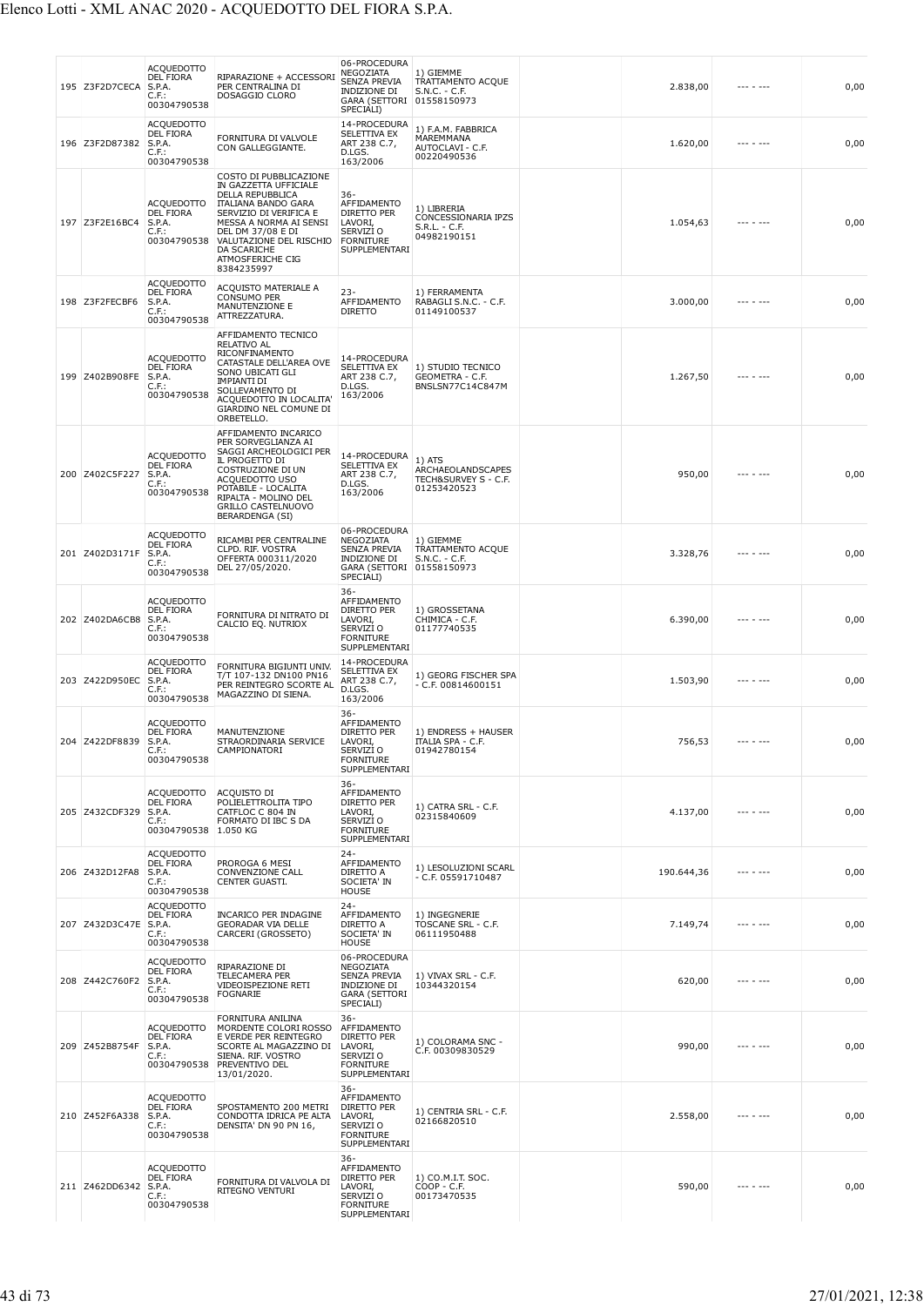| 195 Z3F2D7CECA | ACQUEDOTTO<br><b>DEL FIORA</b><br>S.P.A.<br>C.F.:<br>00304790538           | RIPARAZIONE + ACCESSORI<br>PER CENTRALINA DI<br>DOSAGGIO CLORO                                                                                                                                                                                                | 06-PROCEDURA<br>NEGOZIATA<br>SENZA PREVIA<br>INDIZIONE DI<br>GARA (SETTORI 01558150973<br>SPECIALI)   | 1) GIEMME<br>TRATTAMENTO ACQUE<br>$S.N.C. - C.F.$                    | 2.838,00   |                   | 0,00 |
|----------------|----------------------------------------------------------------------------|---------------------------------------------------------------------------------------------------------------------------------------------------------------------------------------------------------------------------------------------------------------|-------------------------------------------------------------------------------------------------------|----------------------------------------------------------------------|------------|-------------------|------|
| 196 Z3F2D87382 | <b>ACQUEDOTTO</b><br><b>DEL FIORA</b><br>S.P.A.<br>C.F.:<br>00304790538    | FORNITURA DI VALVOLE<br>CON GALLEGGIANTE.                                                                                                                                                                                                                     | 14-PROCEDURA<br>SELETTIVA EX<br>ART 238 C.7,<br>D.LGS.<br>163/2006                                    | 1) F.A.M. FABBRICA<br>MAREMMANA<br>AUTOCLAVI - C.F.<br>00220490536   | 1.620,00   | --- - ---         | 0,00 |
| 197 Z3F2E16BC4 | <b>ACQUEDOTTO</b><br><b>DEL FIORA</b><br>S.P.A.<br>C.F.:<br>00304790538    | COSTO DI PUBBLICAZIONE<br>IN GAZZETTA UFFICIALE<br>DELLA REPUBBLICA<br><b>ITALIANA BANDO GARA</b><br>SERVIZIO DI VERIFICA E<br>MESSA A NORMA AI SENSI<br>DEL DM 37/08 E DI<br>VALUTAZIONE DEL RISCHIO<br><b>DA SCARICHE</b><br>ATMOSFERICHE CIG<br>8384235997 | 36-<br>AFFIDAMENTO<br><b>DIRETTO PER</b><br>LAVORI,<br>SERVIZI O<br><b>FORNITURE</b><br>SUPPLEMENTARI | 1) LIBRERIA<br>CONCESSIONARIA IPZS<br>$S.R.L. - C.F.$<br>04982190151 | 1.054,63   |                   | 0,00 |
| 198 Z3F2FECBF6 | ACQUEDOTTO<br><b>DEL FIORA</b><br>S.P.A.<br>C.F.:<br>00304790538           | ACQUISTO MATERIALE A<br><b>CONSUMO PER</b><br>MANUTENZIONE E<br>ATTREZZATURA.                                                                                                                                                                                 | $23 -$<br>AFFIDAMENTO<br><b>DIRETTO</b>                                                               | 1) FERRAMENTA<br>RABAGLI S.N.C. - C.F.<br>01149100537                | 3.000,00   |                   | 0,00 |
| 199 Z402B908FE | ACQUEDOTTO<br>DEL FIORA<br>S.P.A.<br>C.F.:<br>00304790538                  | AFFIDAMENTO TECNICO<br><b>RELATIVO AL</b><br>RICONFINAMENTO<br>CATASTALE DELL'AREA OVE<br>SONO UBICATI GLI<br><b>IMPIANTI DI</b><br>SOLLEVAMENTO DI<br>ACQUEDOTTO IN LOCALITA'<br>GIARDINO NEL COMUNE DI<br>ORBETELLO.                                        | 14-PROCEDURA<br>SELETTIVA EX<br>ART 238 C.7,<br>D.LGS.<br>163/2006                                    | 1) STUDIO TECNICO<br>GEOMETRA - C.F.<br>BNSLSN77C14C847M             | 1.267,50   |                   | 0,00 |
| 200 Z402C5F227 | ACQUEDOTTO<br><b>DEL FIORA</b><br>S.P.A.<br>C.F.:<br>00304790538           | AFFIDAMENTO INCARICO<br>PER SORVEGLIANZA AI<br>SAGGI ARCHEOLOGICI PER<br>IL PROGETTO DI<br>COSTRUZIONE DI UN<br>ACQUEDOTTO USO<br>POTABILE - LOCALITA<br>RIPALTA - MOLINO DEL<br><b>GRILLO CASTELNUOVO</b><br><b>BERARDENGA (SI)</b>                          | 14-PROCEDURA<br>SELETTIVA EX<br>ART 238 C.7,<br>D.LGS.<br>163/2006                                    | 1) ATS<br>ARCHAEOLANDSCAPES<br>TECH&SURVEY S - C.F.<br>01253420523   | 950,00     |                   | 0,00 |
| 201 Z402D3171F | ACQUEDOTTO<br><b>DEL FIORA</b><br>S.P.A.<br>C.F.:<br>00304790538           | RICAMBI PER CENTRALINE<br>CLPD. RIF. VOSTRA<br>OFFERTA 000311/2020<br>DEL 27/05/2020.                                                                                                                                                                         | 06-PROCEDURA<br>NEGOZIATA<br>SENZA PREVIA<br>INDIZIONE DI<br>GARA (SETTORI 01558150973<br>SPECIALI)   | 1) GIEMME<br>TRATTAMENTO ACQUE<br>S.N.C. - C.F.                      | 3.328,76   |                   | 0,00 |
| 202 Z402DA6CB8 | ACQUEDOTTO<br>DEL FIORA<br>S.P.A.<br>C.F.:<br>00304790538                  | FORNITURA DI NITRATO DI<br>CALCIO EQ. NUTRIOX                                                                                                                                                                                                                 | 36-<br>AFFIDAMENTO<br>DIRETTO PER<br>LAVORI,<br>SERVIZI O<br><b>FORNITURE</b><br>SUPPLEMENTARI        | 1) GROSSETANA<br>CHIMICA - C.F.<br>01177740535                       | 6.390,00   |                   | 0,00 |
| 203 Z422D950EC | <b>ACQUEDOTTO</b><br>DEL FIORA<br>S.P.A.<br>C.F.:<br>00304790538           | FORNITURA BIGIUNTI UNIV.<br>T/T 107-132 DN100 PN16<br>PER REINTEGRO SCORTE AL<br>MAGAZZINO DI SIENA.                                                                                                                                                          | 14-PROCEDURA<br>SELETTIVA EX<br>ART 238 C.7,<br>D.LGS.<br>163/2006                                    | 1) GEORG FISCHER SPA<br>$-$ C.F. 00814600151                         | 1.503,90   |                   | 0,00 |
| 204 Z422DF8839 | ACQUEDOTTO<br>DEL FIORA<br>S.P.A.<br>C.F. :<br>00304790538                 | MANUTENZIONE<br>STRAORDINARIA SERVICE<br>CAMPIONATORI                                                                                                                                                                                                         | 36-<br>AFFIDAMENTO<br>DIRETTO PER<br>LAVORI,<br>SERVIZI O<br><b>FORNITURE</b><br>SUPPLEMENTARI        | 1) ENDRESS + HAUSER<br><b>ITALIA SPA - C.F.</b><br>01942/80154       | 756,53     | $- - - - - - - -$ | 0,00 |
| 205 Z432CDF329 | <b>ACQUEDOTTO</b><br>DEL FIORA<br>S.P.A.<br>C.F.<br>00304790538 1.050 KG   | ACQUISTO DI<br>POLIELETTROLITA TIPO<br>CATFLOC C 804 IN<br>FORMATO DI IBC S DA                                                                                                                                                                                | $36-$<br>AFFIDAMENTO<br>DIRETTO PER<br>LAVORI,<br>SERVIZI O<br><b>FORNITURE</b><br>SUPPLEMENTARI      | 1) CATRA SRL - C.F.<br>02315840609                                   | 4.137,00   |                   | 0,00 |
| 206 Z432D12FA8 | <b>ACQUEDOTTO</b><br><b>DEL FIORA</b><br>S.P.A.<br>$C.F.$ :<br>00304790538 | PROROGA 6 MESI<br>CONVENZIONE CALL<br>CENTER GUASTI.                                                                                                                                                                                                          | $24 -$<br>AFFIDAMENTO<br>DIRETTO A<br>SOCIETA' IN<br><b>HOUSE</b>                                     | 1) LESOLUZIONI SCARL<br>- C.F. 05591710487                           | 190.644,36 | $- - - - - - - -$ | 0,00 |
| 207 Z432D3C47E | <b>ACQUEDOTTO</b><br>DEL FIORA<br>S.P.A.<br>C.F.:<br>00304790538           | <b>INCARICO PER INDAGINE</b><br><b>GEORADAR VIA DELLE</b><br>CARCERI (GROSSETO)                                                                                                                                                                               | $24 -$<br>AFFIDAMENTO<br>DIRETTO A<br>SOCIETA' IN<br><b>HOUSE</b>                                     | 1) INGEGNERIE<br>TOSCANE SRL - C.F.<br>06111950488                   | 7.149,74   | .                 | 0,00 |
| 208 Z442C760F2 | <b>ACQUEDOTTO</b><br><b>DEL FIORA</b><br>S.P.A.<br>C.F.:<br>00304790538    | RIPARAZIONE DI<br>TELECAMERA PER<br>VIDEOISPEZIONE RETI<br><b>FOGNARIE</b>                                                                                                                                                                                    | 06-PROCEDURA<br>NEGOZIATA<br>SENZA PREVIA<br>INDIZIONE DI<br><b>GARA (SETTORI</b><br>SPECIALI)        | 1) VIVAX SRL - C.F.<br>10344320154                                   | 620,00     | .                 | 0,00 |
| 209 Z452B8754F | <b>ACQUEDOTTO</b><br><b>DEL FIORA</b><br>S.P.A.<br>$C.F.$ :<br>00304790538 | FORNITURA ANILINA<br>MORDENTE COLORI ROSSO<br>E VERDE PER REINTEGRO<br>SCORTE AL MAGAZZINO DI<br>SIENA. RIF. VOSTRO<br>PREVENTIVO DEL<br>13/01/2020.                                                                                                          | $36 -$<br>AFFIDAMENTO<br>DIRETTO PER<br>LAVORI,<br>SERVIZI O<br><b>FORNITURE</b><br>SUPPLEMENTARI     | 1) COLORAMA SNC -<br>C.F. 00309830529                                | 990,00     | --- - ---         | 0,00 |
| 210 Z452F6A338 | <b>ACQUEDOTTO</b><br><b>DEL FIORA</b><br>S.P.A.<br>$C.F.$ :<br>00304790538 | SPOSTAMENTO 200 METRI<br>CONDOTTA IDRICA PE ALTA<br>DENSITA' DN 90 PN 16,                                                                                                                                                                                     | $36 -$<br>AFFIDAMENTO<br>DIRETTO PER<br>LAVORI,<br>SERVIZI O<br><b>FORNITURE</b><br>SUPPLEMENTARI     | 1) CENTRIA SRL - C.F.<br>02166820510                                 | 2.558,00   | --- - ---         | 0,00 |
| 211 Z462DD6342 | <b>ACQUEDOTTO</b><br><b>DEL FIORA</b><br>S.P.A.<br>C.F.:<br>00304790538    | FORNITURA DI VALVOLA DI<br>RITEGNO VENTURI                                                                                                                                                                                                                    | $36 -$<br>AFFIDAMENTO<br>DIRETTO PER<br>LAVORI,<br>SERVIZI O<br><b>FORNITURE</b><br>SUPPLEMENTARI     | 1) CO.M.I.T. SOC.<br>$COP - C.F.$<br>00173470535                     | 590,00     |                   | 0,00 |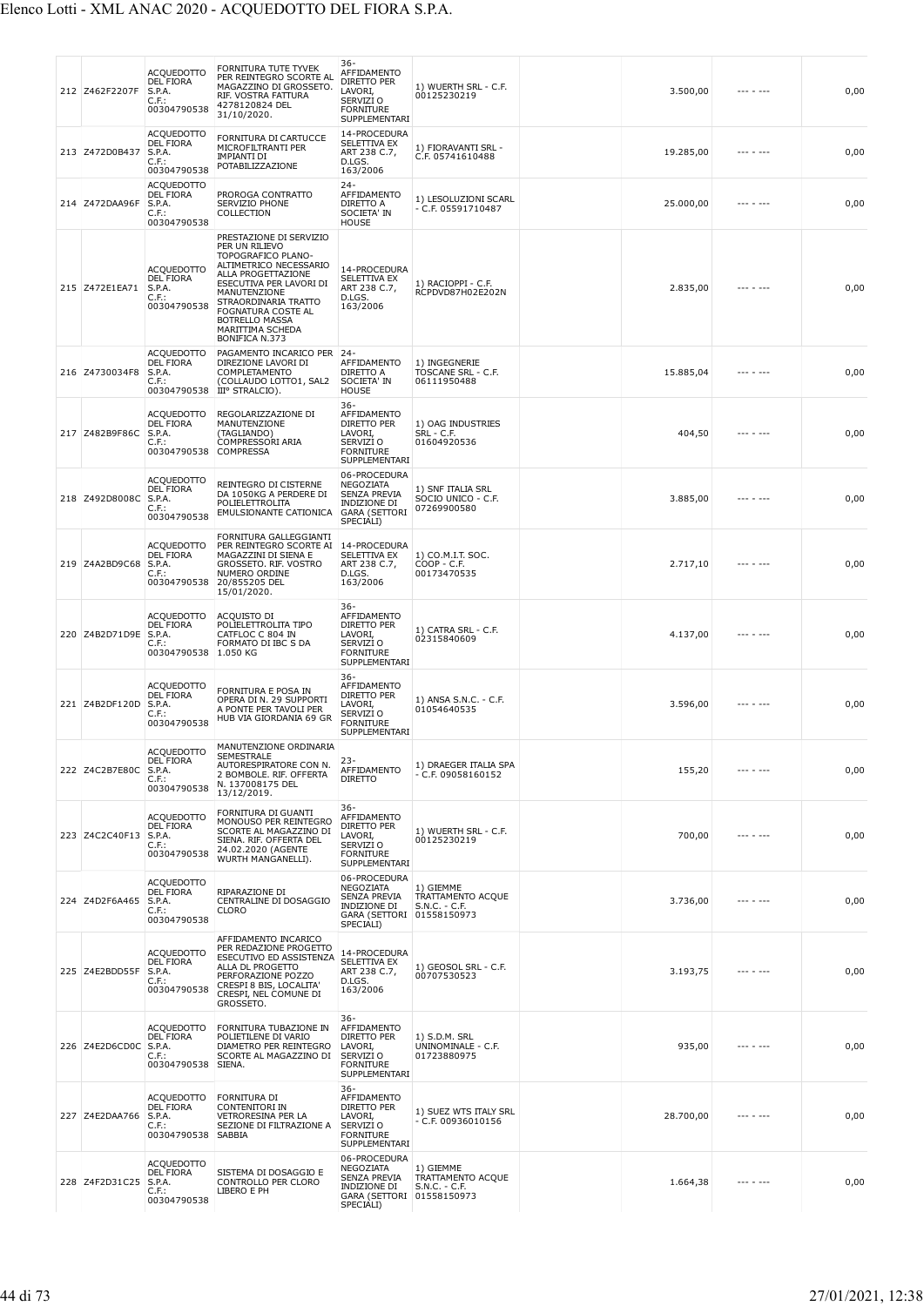| 212 Z462F2207F        | <b>ACQUEDOTTO</b><br>DEL FIORA<br>S.P.A.<br>C.F.:<br>00304790538           | FORNITURA TUTE TYVEK<br>PER REINTEGRO SCORTE AL<br>MAGAZZINO DI GROSSETO.<br>RIF. VOSTRA FATTURA<br>4278120824 DEL<br>31/10/2020.                                                                                                                                       | 36-<br>AFFIDAMENTO<br>DIRETTO PER<br>LAVORI,<br>SERVIZI <sub>O</sub><br><b>FORNITURE</b><br>SUPPLEMENTARI | 1) WUERTH SRL - C.F.<br>00125230219                    | 3.500,00  |                   | 0,00 |
|-----------------------|----------------------------------------------------------------------------|-------------------------------------------------------------------------------------------------------------------------------------------------------------------------------------------------------------------------------------------------------------------------|-----------------------------------------------------------------------------------------------------------|--------------------------------------------------------|-----------|-------------------|------|
| 213 Z472D0B437        | <b>ACQUEDOTTO</b><br><b>DEL FIORA</b><br>S.P.A.<br>C.F.<br>00304790538     | FORNITURA DI CARTUCCE<br>MICROFILTRANTI PER<br><b>IMPIANTI DI</b><br>POTABILIZZAZIONE                                                                                                                                                                                   | 14-PROCEDURA<br>SELETTIVA EX<br>ART 238 C.7,<br>D.LGS.<br>163/2006                                        | 1) FIORAVANTI SRL -<br>C.F. 05741610488                | 19.285,00 |                   | 0,00 |
| 214 Z472DAA96F        | <b>ACQUEDOTTO</b><br><b>DEL FIORA</b><br>S.P.A.<br>$C.F.$ :<br>00304790538 | PROROGA CONTRATTO<br>SERVIZIO PHONE<br>COLLECTION                                                                                                                                                                                                                       | $24 -$<br>AFFIDAMENTO<br>DIRETTO A<br>SOCIETA' IN<br><b>HOUSE</b>                                         | 1) LESOLUZIONI SCARL<br>- C.F. 05591710487             | 25.000,00 | --- - ---         | 0,00 |
| 215 Z472E1EA71        | <b>ACQUEDOTTO</b><br><b>DEL FIORA</b><br>S.P.A.<br>$C.F.$ :<br>00304790538 | PRESTAZIONE DI SERVIZIO<br>PER UN RILIEVO<br>TOPOGRAFICO PLANO-<br>ALTIMETRICO NECESSARIO<br>ALLA PROGETTAZIONE<br>ESECUTIVA PER LAVORI DI<br>MANUTENZIONE<br>STRAORDINARIA TRATTO<br>FOGNATURA COSTE AL<br><b>BOTRELLO MASSA</b><br>MARITTIMA SCHEDA<br>BONIFICA N.373 | 14-PROCEDURA<br>SELETTIVA EX<br>ART 238 C.7,<br>D.LGS.<br>163/2006                                        | 1) RACIOPPI - C.F.<br>RCPDVD87H02E202N                 | 2.835,00  | --- - ---         | 0,00 |
| 216 Z4730034F8        | <b>ACQUEDOTTO</b><br><b>DEL FIORA</b><br>S.P.A.<br>$C.F.$ :<br>00304790538 | PAGAMENTO INCARICO PER<br>DIREZIONE LAVORI DI<br>COMPLETAMENTO<br>(COLLAUDO LOTTO1, SAL2<br>III° STRALCIO).                                                                                                                                                             | $24-$<br>AFFIDAMENTO<br>DIRETTO A<br>SOCIETA' IN<br>HOUSE                                                 | 1) INGEGNERIE<br>TOSCANE SRL - C.F.<br>06111950488     | 15.885,04 | --- - ---         | 0,00 |
| 217 Z482B9F86C        | <b>ACQUEDOTTO</b><br><b>DEL FIORA</b><br>S.P.A.<br>C.F.:<br>00304790538    | REGOLARIZZAZIONE DI<br>MANUTENZIONE<br>(TAGLIANDO)<br>COMPRESSORI ARIA<br><b>COMPRESSA</b>                                                                                                                                                                              | 36-<br>AFFIDAMENTO<br>DIRETTO PER<br>LAVORI,<br>SERVIZI <sub>O</sub><br><b>FORNITURE</b><br>SUPPLEMENTARI | 1) OAG INDUSTRIES<br><b>SRL - C.F.</b><br>01604920536  | 404,50    |                   | 0,00 |
| 218 Z492D8008C        | <b>ACQUEDOTTO</b><br><b>DEL FIORA</b><br>S.P.A.<br>C.F.:<br>00304790538    | REINTEGRO DI CISTERNE<br>DA 1050KG A PERDERE DI<br>POLIELETTROLITA<br>EMULSIONANTE CATIONICA                                                                                                                                                                            | 06-PROCEDURA<br>NEGOZIATA<br>SENZA PREVIA<br>INDIZIONE DI<br><b>GARA (SETTORI</b><br>SPECIALI)            | 1) SNF ITALIA SRL<br>SOCIO UNICO - C.F.<br>07269900580 | 3.885,00  |                   | 0,00 |
| 219 Z4A2BD9C68        | <b>ACQUEDOTTO</b><br><b>DEL FIORA</b><br>S.P.A.<br>C.F.<br>00304790538     | FORNITURA GALLEGGIANTI<br>PER REINTEGRO SCORTE AI<br>MAGAZZINI DI SIENA E<br>GROSSETO. RIF. VOSTRO<br>NUMERO ORDINE<br>20/855205 DEL<br>15/01/2020.                                                                                                                     | 14-PROCEDURA<br>SELETTIVA EX<br>ART 238 C.7,<br>D.LGS.<br>163/2006                                        | 1) CO.M.I.T. SOC.<br>COOP - C.F.<br>00173470535        | 2.717,10  |                   | 0,00 |
| 220 Z4B2D71D9E S.P.A. | ACQUEDOTTO<br><b>DEL FIORA</b><br>$C.F.$ :<br>00304790538                  | ACQUISTO DI<br>POLIELETTROLITA TIPO<br>CATFLOC C 804 IN<br>FORMATO DI IBC S DA<br>1.050 KG                                                                                                                                                                              | $36 -$<br>AFFIDAMENTO<br>DIRETTO PER<br>LAVORI,<br>SERVIZI O<br><b>FORNITURE</b><br>SUPPLEMENTARI         | 1) CATRA SRL - C.F.<br>02315840609                     | 4.137,00  |                   | 0,00 |
| 221 Z4B2DF120D        | <b>ACQUEDOTTO</b><br><b>DEL FIORA</b><br>S.P.A.<br>C.F.<br>00304790538     | FORNITURA E POSA IN<br>OPERA DI N. 29 SUPPORTI<br>A PONTE PER TAVOLI PER<br>HUB VIA GIORDANIA 69 GR                                                                                                                                                                     | 36-<br>AFFIDAMENTO<br>DIRETTO PER<br>LAVORI,<br>SERVIZI O<br>FORNITURE<br>SUPPLEMENTARI                   | 1) ANSA S.N.C. - C.F.<br>01054640535                   | 3.596,00  | $- - - - - - - -$ | 0,00 |
| 222 Z4C2B7E80C        | ACQUEDOTTO<br><b>DEL FIORA</b><br>S.P.A.<br>C.F.<br>00304790538            | MANUTENZIONE ORDINARIA<br>SEMESTRALE<br>AUTORESPIRATORE CON N.<br>2 BOMBOLE. RIF. OFFERTA<br>N. 137008175 DEL<br>13/12/2019.                                                                                                                                            | 23-<br><b>AFFIDAMENTO</b><br><b>DIRETTO</b>                                                               | 1) DRAEGER ITALIA SPA<br>$-$ C.F. 09058160152          | 155,20    | $- - - - - - -$   | 0,00 |
| 223 Z4C2C40F13        | <b>ACQUEDOTTO</b><br><b>DEL FIORA</b><br>S.P.A.<br>$C.F.$ :<br>00304790538 | FORNITURA DI GUANTI<br>MONOUSO PER REINTEGRO<br>SCORTE AL MAGAZZINO DI<br>SIENA. RIF. OFFERTA DEL<br>24.02.2020 (AGENTE<br>WURTH MANGANELLI).                                                                                                                           | $36 -$<br>AFFIDAMENTO<br>DIRETTO PER<br>LAVORI,<br>SERVIZI O<br><b>FORNITURE</b><br>SUPPLEMENTARI         | 1) WUERTH SRL - C.F.<br>00125230219                    | 700,00    | --- - ---         | 0,00 |
| 224 Z4D2F6A465        | <b>ACQUEDOTTO</b><br><b>DEL FIORA</b><br>S.P.A.<br>$C.F.$ :<br>00304790538 | RIPARAZIONE DI<br>CENTRALINE DI DOSAGGIO<br><b>CLORO</b>                                                                                                                                                                                                                | 06-PROCEDURA<br>NEGOZIATA<br>SENZA PREVIA<br>INDIZIONE DI<br>GARA (SETTORI 01558150973<br>SPECIALI)       | 1) GIEMME<br>TRATTAMENTO ACQUE<br>$S.N.C. - C.F.$      | 3.736,00  | --- - ---         | 0,00 |
| 225 Z4E2BDD55F        | <b>ACQUEDOTTO</b><br><b>DEL FIORA</b><br>S.P.A.<br>$C.F.$ :<br>00304790538 | AFFIDAMENTO INCARICO<br>PER REDAZIONE PROGETTO<br>ESECUTIVO ED ASSISTENZA<br>ALLA DL PROGETTO<br>PERFORAZIONE POZZO<br>CRESPI 8 BIS, LOCALITA'<br>CRESPI, NEL COMUNE DI<br>GROSSETO.                                                                                    | 14-PROCEDURA<br>SELETTIVA EX<br>ART 238 C.7,<br>D.LGS.<br>163/2006                                        | 1) GEOSOL SRL - C.F.<br>00707530523                    | 3.193,75  | --- - ---         | 0,00 |
| 226 Z4E2D6CD0C S.P.A. | <b>ACQUEDOTTO</b><br><b>DEL FIORA</b><br>$C.F.$ :<br>00304790538           | FORNITURA TUBAZIONE IN<br>POLIETILENE DI VARIO<br>DIAMETRO PER REINTEGRO<br>SCORTE AL MAGAZZINO DI<br>SIENA.                                                                                                                                                            | 36-<br>AFFIDAMENTO<br>DIRETTO PER<br>LAVORI,<br>SERVIZI O<br>FORNITURE<br>SUPPLEMENTARI                   | 1) S.D.M. SRL<br>UNINOMINALE - C.F.<br>01723880975     | 935,00    | --- - ---         | 0,00 |
| 227 Z4E2DAA766        | ACQUEDOTTO<br><b>DEL FIORA</b><br>S.P.A.<br>$C.F.$ :<br>00304790538        | FORNITURA DI<br><b>CONTENITORI IN</b><br>VETRORESINA PER LA<br>SEZIONE DI FILTRAZIONE A<br><b>SABBIA</b>                                                                                                                                                                | $36 -$<br>AFFIDAMENTO<br>DIRETTO PER<br>LAVORI,<br>SERVIZI O<br><b>FORNITURE</b><br>SUPPLEMENTARI         | 1) SUEZ WTS ITALY SRL<br>- C.F. 00936010156            | 28.700,00 | --- - ---         | 0,00 |
| 228 Z4F2D31C25        | <b>ACQUEDOTTO</b><br><b>DEL FIORA</b><br>S.P.A.<br>C.F.<br>00304790538     | SISTEMA DI DOSAGGIO E<br>CONTROLLO PER CLORO<br>LIBERO E PH                                                                                                                                                                                                             | 06-PROCEDURA<br>NEGOZIATA<br>SENZA PREVIA<br>INDIZIONE DI<br>GARA (SETTORI 01558150973<br>SPECIALI)       | 1) GIEMME<br>TRATTAMENTO ACQUE<br>S.N.C. - C.F.        | 1.664,38  |                   | 0,00 |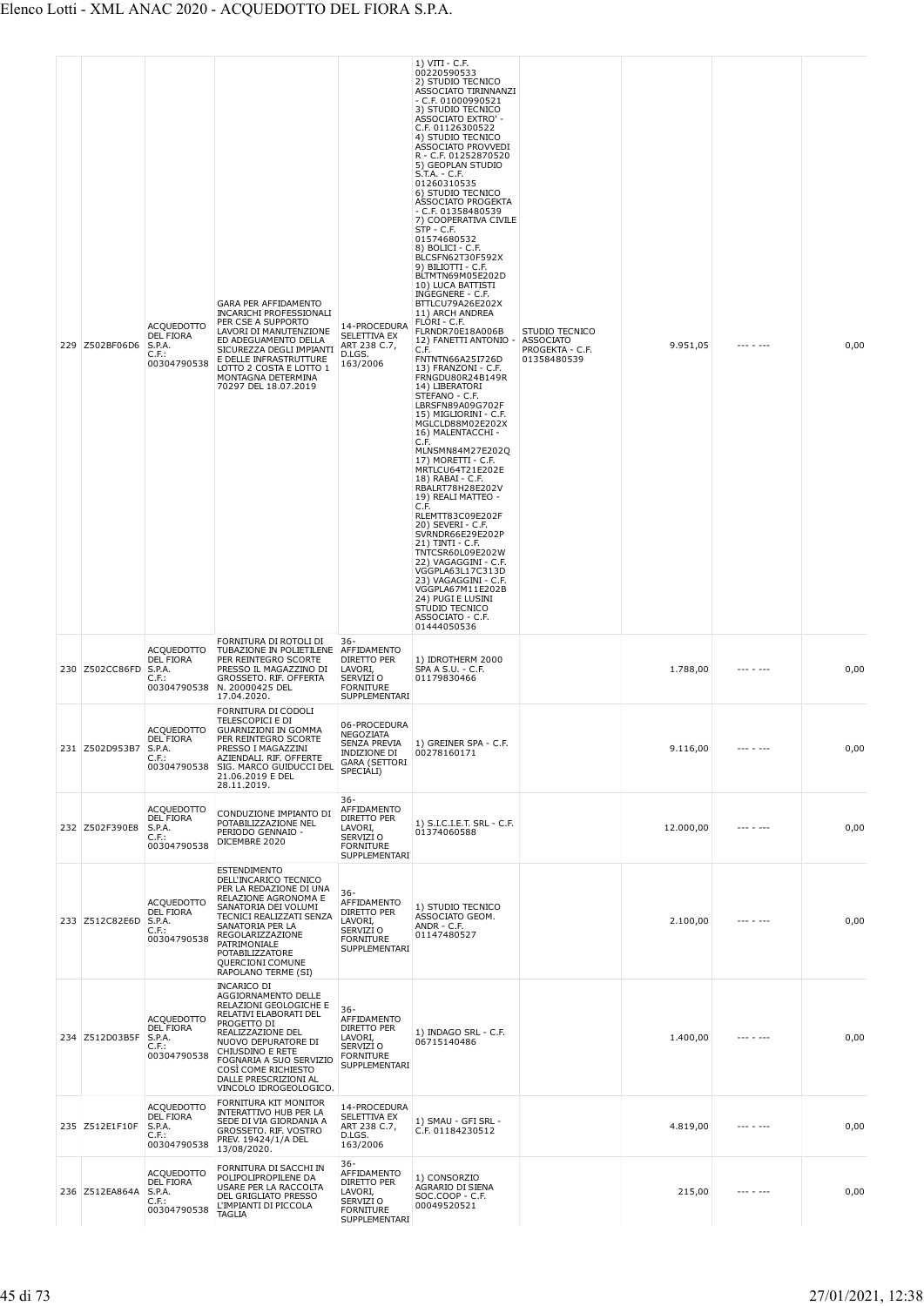|  | 229 Z502BF06D6 | <b>ACQUEDOTTO</b><br><b>DEL FIORA</b><br>S.P.A.<br>C.F.:<br>00304790538 | GARA PER AFFIDAMENTO<br><b>INCARICHI PROFESSIONALI</b><br>PER CSE A SUPPORTO<br>LAVORI DI MANUTENZIONE<br>ED ADEGUAMENTO DELLA<br>SICUREZZA DEGLI IMPIANTI<br>E DELLE INFRASTRUTTURE<br>LOTTO 2 COSTA E LOTTO 1<br>MONTAGNA DETERMINA<br>70297 DEL 18.07.2019              | 14-PROCEDURA<br>SELETTIVA EX<br>ART 238 C.7,<br>D.LGS.<br>163/2006                                | 1) VITI - C.F.<br>00220590533<br>2) STUDIO TECNICO<br>ASSOCIATO TIRINNANZI<br>$-$ C.F. 01000990521<br>3) STUDIO TECNICO<br>ASSOCIATO EXTRO' -<br>C.F. 01126300522<br>4) STUDIO TECNICO<br>ASSOCIATO PROVVEDI<br>R - C.F. 01252870520<br>5) GEOPLAN STUDIO<br>S.T.A. - C.F.<br>01260310535<br>6) STUDIO TECNICO<br>ASSOCIATO PROGEKTA<br>$-$ C.F. 01358480539<br>7) COOPERATIVA CIVILE<br>$STP - C.F.$<br>01574680532<br>$8)$ BOLICI - C.F.<br>BLCSFN62T30F592X<br>9) BILIOTTI - C.F.<br>BLTMTN69M05E202D<br>10) LUCA BATTISTI<br>INGEGNERE - C.F.<br>BTTLCU79A26E202X<br>11) ARCH ANDREA<br>FLORI - C.F.<br>FLRNDR70E18A006B<br>12) FANETTI ANTONIO -<br>C.F.<br>FNTNTN66A25I726D<br>13) FRANZONI - C.F.<br>FRNGDU80R24B149R<br>14) LIBERATORI<br>STEFANO - C.F.<br>LBRSFN89A09G702F<br>15) MIGLIORINI - C.F.<br>MGLCLD88M02E202X<br>16) MALENTACCHI -<br>C.F.<br>MLNSMN84M27E202Q<br>17) MORETTI - C.F.<br>MRTLCU64T21E202E<br>18) RABAI - C.F.<br>RBALRT78H28E202V<br>19) REALI MATTEO -<br>C.F.<br>RLEMTT83C09E202F<br>20) SEVERI - C.F.<br>SVRNDR66E29E202P<br>21) TINTI - C.F.<br>TNTCSR60L09E202W<br>22) VAGAGGINI - C.F.<br>VGGPLA63L17C313D<br>23) VAGAGGINI - C.F.<br>VGGPLA67M11E202B<br>24) PUGI E LUSINI<br>STUDIO TECNICO<br>ASSOCIATO - C.F.<br>01444050536 | STUDIO TECNICO<br>ASSOCIATO<br>PROGEKTA - C.F.<br>01358480539 | 9.951,05  |                   | 0,00 |
|--|----------------|-------------------------------------------------------------------------|----------------------------------------------------------------------------------------------------------------------------------------------------------------------------------------------------------------------------------------------------------------------------|---------------------------------------------------------------------------------------------------|---------------------------------------------------------------------------------------------------------------------------------------------------------------------------------------------------------------------------------------------------------------------------------------------------------------------------------------------------------------------------------------------------------------------------------------------------------------------------------------------------------------------------------------------------------------------------------------------------------------------------------------------------------------------------------------------------------------------------------------------------------------------------------------------------------------------------------------------------------------------------------------------------------------------------------------------------------------------------------------------------------------------------------------------------------------------------------------------------------------------------------------------------------------------------------------------------------------------------------------------------------------------------|---------------------------------------------------------------|-----------|-------------------|------|
|  | 230 Z502CC86FD | <b>ACQUEDOTTO</b><br>DEL FIORA<br>S.P.A.<br>C.F.:                       | FORNITURA DI ROTOLI DI<br>TUBAZIONE IN POLIETILENE<br>PER REINTEGRO SCORTE<br>PRESSO IL MAGAZZINO DI<br>GROSSETO, RIF. OFFERTA<br>00304790538 N. 20000425 DEL<br>17.04.2020.                                                                                               | $36 -$<br>AFFIDAMENTO<br>DIRETTO PER<br>LAVORI.<br>SERVIZI O<br><b>FORNITURE</b><br>SUPPLEMENTARI | 1) IDROTHERM 2000<br>SPA A S.U. - C.F.<br>01179830466                                                                                                                                                                                                                                                                                                                                                                                                                                                                                                                                                                                                                                                                                                                                                                                                                                                                                                                                                                                                                                                                                                                                                                                                                     |                                                               | 1.788,00  |                   | 0,00 |
|  | 231 Z502D953B7 | <b>ACQUEDOTTO</b><br><b>DEL FIORA</b><br>S.P.A.<br>C.F.:<br>00304790538 | FORNITURA DI CODOLI<br>TELESCOPICI E DI<br><b>GUARNIZIONI IN GOMMA</b><br>PER REINTEGRO SCORTE<br>PRESSO I MAGAZZINI<br>AZIENDALI. RIF. OFFERTE<br>SIG. MARCO GUIDUCCI DEL<br>21.06.2019 E DEL<br>28.11.2019.                                                              | 06-PROCEDURA<br>NEGOZIATA<br>SENZA PREVIA<br>INDIZIONE DI<br><b>GARA (SETTORI</b><br>SPECIALI)    | 1) GREINER SPA - C.F.<br>00278160171                                                                                                                                                                                                                                                                                                                                                                                                                                                                                                                                                                                                                                                                                                                                                                                                                                                                                                                                                                                                                                                                                                                                                                                                                                      |                                                               | 9.116,00  | $- - - - - - - -$ | 0,00 |
|  | 232 Z502F390E8 | ACQUEDOTTO<br>DEL FIORA<br>S.P.A.<br>$C.F.$ :<br>00304790538            | CONDUZIONE IMPIANTO DI<br>POTABILIZZAZIONE NEL<br>PERIODO GENNAIO -<br>DICEMBRE 2020                                                                                                                                                                                       | $36 -$<br>AFFIDAMENTO<br>DIRETTO PER<br>LAVORI,<br>SERVIZI O<br><b>FORNITURE</b><br>SUPPLEMENTARI | 1) S.I.C.I.E.T. SRL - C.F.<br>01374060588                                                                                                                                                                                                                                                                                                                                                                                                                                                                                                                                                                                                                                                                                                                                                                                                                                                                                                                                                                                                                                                                                                                                                                                                                                 |                                                               | 12.000,00 |                   | 0,00 |
|  | 233 Z512C82E6D | <b>ACQUEDOTTO</b><br>DEL FIORA<br>S.P.A.<br>$C.F.$ :<br>00304790538     | <b>ESTENDIMENTO</b><br>DELL'INCARICO TECNICO<br>PER LA REDAZIONE DI UNA<br>RELAZIONE AGRONOMA E<br>SANATORIA DEI VOLUMI<br>TECNICI REALIZZATI SENZA<br>SANATORIA PER LA<br>REGOLARIZZAZIONE<br>PATRIMONIALE<br>POTABILIZZATORE<br>QUERCIONI COMUNE<br>RAPOLANO TERME (SI)  | $36 -$<br>AFFIDAMENTO<br>DIRETTO PER<br>LAVORI,<br>SERVIZI O<br><b>FORNITURE</b><br>SUPPLEMENTARI | 1) STUDIO TECNICO<br>ASSOCIATO GEOM.<br>ANDR - C.F.<br>01147480527                                                                                                                                                                                                                                                                                                                                                                                                                                                                                                                                                                                                                                                                                                                                                                                                                                                                                                                                                                                                                                                                                                                                                                                                        |                                                               | 2.100,00  | --- - ---         | 0,00 |
|  | 234 Z512D03B5F | ACQUEDOTTO<br>DEL FIORA<br>S.P.A.<br>C.F.<br>00304790538                | INCARICO DI<br>AGGIORNAMENTO DELLE<br>RELAZIONI GEOLOGICHE E<br>RELATIVI ELABORATI DEL<br>PROGETTO DI<br>REALIZZAZIONE DEL<br>NUOVO DEPURATORE DI<br>CHIUSDINO E RETE<br>FOGNARIA A SUO SERVIZIO<br>COSI COME RICHIESTO<br>DALLE PRESCRIZIONI AL<br>VINCOLO IDROGEOLOGICO. | $36 -$<br>AFFIDAMENTO<br>DIRETTO PER<br>LAVORI,<br>SERVIZI O<br><b>FORNITURE</b><br>SUPPLEMENTARI | 1) INDAGO SRL - C.F.<br>06715140486                                                                                                                                                                                                                                                                                                                                                                                                                                                                                                                                                                                                                                                                                                                                                                                                                                                                                                                                                                                                                                                                                                                                                                                                                                       |                                                               | 1.400,00  | --- - ---         | 0,00 |
|  | 235 Z512E1F10F | <b>ACQUEDOTTO</b><br>DEL FIORA<br>S.P.A.<br>$C.F.$ :<br>00304790538     | FORNITURA KIT MONITOR<br>INTERATTIVO HUB PER LA<br>SEDE DI VIA GIORDANIA A<br>GROSSETO. RIF. VOSTRO<br>PREV. 19424/1/A DEL<br>13/08/2020.                                                                                                                                  | 14-PROCEDURA<br>SELETTIVA EX<br>ART 238 C.7,<br>D.LGS.<br>163/2006                                | 1) SMAU - GFI SRL -<br>C.F. 01184230512                                                                                                                                                                                                                                                                                                                                                                                                                                                                                                                                                                                                                                                                                                                                                                                                                                                                                                                                                                                                                                                                                                                                                                                                                                   |                                                               | 4.819,00  | --- - ---         | 0,00 |
|  | 236 Z512EA864A | <b>ACQUEDOTTO</b><br>DEL FIORA<br>S.P.A.<br>$C.F.$ :<br>00304790538     | FORNITURA DI SACCHI IN<br>POLIPOLIPROPILENE DA<br>USARE PER LA RACCOLTA<br>DEL GRIGLIATO PRESSO<br>L'IMPIANTI DI PICCOLA<br><b>TAGLIA</b>                                                                                                                                  | $36 -$<br>AFFIDAMENTO<br>DIRETTO PER<br>LAVORI,<br>SERVIZI O<br><b>FORNITURE</b><br>SUPPLEMENTARI | 1) CONSORZIO<br>AGRARIO DI SIENA<br>SOC.COOP - C.F.<br>00049520521                                                                                                                                                                                                                                                                                                                                                                                                                                                                                                                                                                                                                                                                                                                                                                                                                                                                                                                                                                                                                                                                                                                                                                                                        |                                                               | 215,00    | --- - ---         | 0,00 |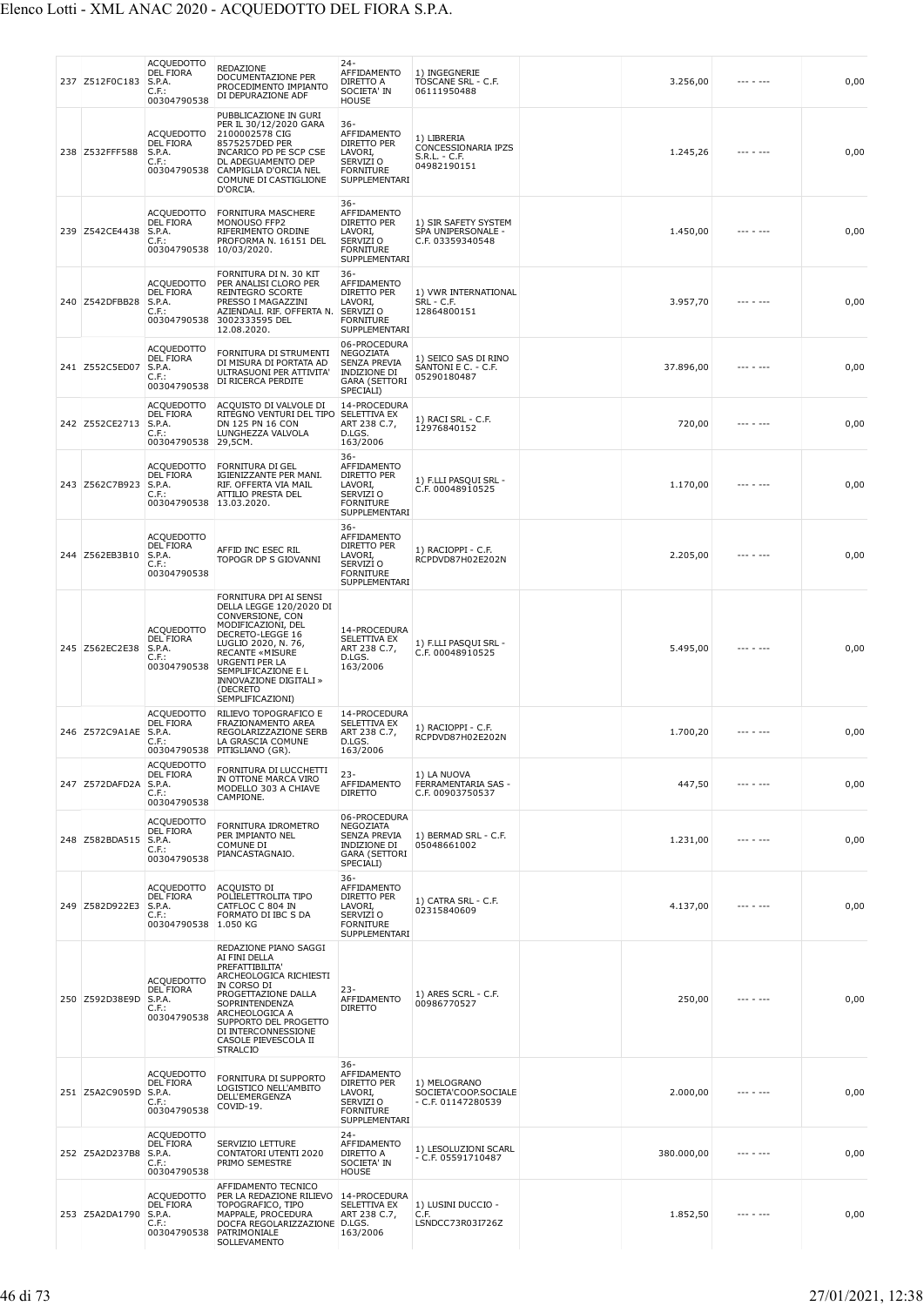| 237 Z512F0C183        | <b>ACQUEDOTTO</b><br><b>DEL FIORA</b><br>S.P.A.<br>$C.F.$ :<br>00304790538             | REDAZIONE<br>DOCUMENTAZIONE PER<br>PROCEDIMENTO IMPIANTO<br>DI DEPURAZIONE ADF                                                                                                                                                                                      | $24 -$<br>AFFIDAMENTO<br>DIRETTO A<br>SOCIETA' IN<br><b>HOUSE</b>                                        | 1) INGEGNERIE<br>TOSCANE SRL - C.F.<br>06111950488                   | 3.256,00   | --- - ---         | 0,00 |
|-----------------------|----------------------------------------------------------------------------------------|---------------------------------------------------------------------------------------------------------------------------------------------------------------------------------------------------------------------------------------------------------------------|----------------------------------------------------------------------------------------------------------|----------------------------------------------------------------------|------------|-------------------|------|
| 238 Z532FFF588        | <b>ACOUEDOTTO</b><br><b>DEL FIORA</b><br>S.P.A.<br>$C.F.$ :<br>00304790538             | PUBBLICAZIONE IN GURI<br>PER IL 30/12/2020 GARA<br>2100002578 CIG<br>8575257DED PER<br><b>INCARICO PD PE SCP CSE</b><br>DL ADEGUAMENTO DEP<br>CAMPIGLIA D'ORCIA NEL<br>COMUNE DI CASTIGLIONE<br>D'ORCIA.                                                            | 36-<br>AFFIDAMENTO<br><b>DIRETTO PER</b><br>LAVORI.<br>SERVIZI O<br><b>FORNITURE</b><br>SUPPLEMENTARI    | 1) LIBRERIA<br>CONCESSIONARIA IPZS<br>$S.R.L. - C.F.$<br>04982190151 | 1.245,26   |                   | 0,00 |
| 239 Z542CE4438        | <b>ACQUEDOTTO</b><br><b>DEL FIORA</b><br>S.P.A.<br>C.F.:<br>00304790538 10/03/2020.    | <b>FORNITURA MASCHERE</b><br>MONOUSO FFP2<br>RIFERIMENTO ORDINE<br>PROFORMA N. 16151 DEL                                                                                                                                                                            | $36 -$<br>AFFIDAMENTO<br><b>DIRETTO PER</b><br>LAVORI,<br>SERVIZI O<br><b>FORNITURE</b><br>SUPPLEMENTARI | 1) SIR SAFETY SYSTEM<br>SPA UNIPERSONALE -<br>C.F. 03359340548       | 1.450,00   |                   | 0,00 |
| 240 Z542DFBB28        | ACQUEDOTTO<br><b>DEL FIORA</b><br>S.P.A.<br>C.F.:<br>00304790538                       | FORNITURA DI N. 30 KIT<br>PER ANALISI CLORO PER<br>REINTEGRO SCORTE<br>PRESSO I MAGAZZINI<br>AZIENDALI. RIF. OFFERTA N.<br>3002333595 DEL<br>12.08.2020.                                                                                                            | 36-<br>AFFIDAMENTO<br>DIRETTO PER<br>LAVORI,<br>SERVIZI O<br><b>FORNITURE</b><br>SUPPLEMENTARI           | 1) VWR INTERNATIONAL<br>SRL - C.F.<br>12864800151                    | 3.957,70   |                   | 0,00 |
| 241 Z552C5ED07        | <b>ACQUEDOTTO</b><br><b>DEL FIORA</b><br>S.P.A.<br>$C.F.$ :<br>00304790538             | FORNITURA DI STRUMENTI<br>DI MISURA DI PORTATA AD<br>ULTRASUONI PER ATTIVITA'<br>DI RICERCA PERDITE                                                                                                                                                                 | 06-PROCEDURA<br>NEGOZIATA<br><b>SENZA PREVIA</b><br><b>INDIZIONE DI</b><br>GARA (SETTORI<br>SPECIALI)    | 1) SEICO SAS DI RINO<br>SANTONI E C. - C.F.<br>05290180487           | 37.896,00  |                   | 0,00 |
| 242 Z552CE2713        | <b>ACOUEDOTTO</b><br><b>DEL FIORA</b><br>S.P.A.<br>C.F.:<br>00304790538                | ACQUISTO DI VALVOLE DI<br>RITEGNO VENTURI DEL TIPO<br>DN 125 PN 16 CON<br>LUNGHEZZA VALVOLA<br>29,5CM.                                                                                                                                                              | 14-PROCEDURA<br>SELETTIVA EX<br>ART 238 C.7,<br>D.LGS.<br>163/2006                                       | 1) RACI SRL - C.F.<br>12976840152                                    | 720,00     |                   | 0,00 |
| 243 Z562C7B923        | <b>ACQUEDOTTO</b><br><b>DEL FIORA</b><br>S.P.A.<br>$C.F.$ :<br>00304790538 13.03.2020. | <b>FORNITURA DI GEL</b><br>IGIENIZZANTE PER MANI.<br>RIF. OFFERTA VIA MAIL<br>ATTILIO PRESTA DEL                                                                                                                                                                    | $36-$<br>AFFIDAMENTO<br>DIRETTO PER<br>LAVORI,<br>SERVIZI O<br><b>FORNITURE</b><br>SUPPLEMENTARI         | 1) F.LLI PASQUI SRL -<br>C.F. 00048910525                            | 1.170,00   |                   | 0,00 |
| 244 Z562EB3B10        | <b>ACQUEDOTTO</b><br><b>DEL FIORA</b><br>S.P.A.<br>C.F.:<br>00304790538                | AFFID INC ESEC RIL<br>TOPOGR DP S GIOVANNI                                                                                                                                                                                                                          | $36-$<br>AFFIDAMENTO<br>DIRETTO PER<br>LAVORI,<br>SERVIZI O<br><b>FORNITURE</b><br>SUPPLEMENTARI         | 1) RACIOPPI - C.F.<br>RCPDVD87H02E202N                               | 2.205,00   |                   | 0,00 |
| 245 Z562EC2E38        | <b>ACQUEDOTTO</b><br><b>DEL FIORA</b><br>S.P.A.<br>C.F.:<br>00304790538                | FORNITURA DPI AI SENSI<br>DELLA LEGGE 120/2020 DI<br>CONVERSIONE, CON<br>MODIFICAZIONI, DEL<br>DECRETO-LEGGE 16<br>LUGLIO 2020, N. 76,<br><b>RECANTE «MISURE</b><br>URGENTI PER LA<br>SEMPLIFICAZIONE E L<br>INNOVAZIONE DIGITALI »<br>(DECRETO<br>SEMPLIFICAZIONI) | 14-PROCEDURA<br>SELETTIVA EX<br>ART 238 C.7,<br>D.LGS.<br>163/2006                                       | 1) F.LLI PASQUI SRL -<br>C.F. 00048910525                            | 5.495,00   |                   | 0,00 |
| 246 Z572C9A1AE S.P.A. | <b>ACQUEDOTTO</b><br><b>DEL FIORA</b><br>C.F.:                                         | RILIEVO TOPOGRAFICO E<br>FRAZIONAMENTO AREA<br>REGOLARIZZAZIONE SERB<br>LA GRASCIA COMUNE<br>00304790538 PITIGLIANO (GR).                                                                                                                                           | 14-PROCEDURA<br>SELETTIVA EX<br>ART 238 C.7,<br>D.LGS.<br>163/2006                                       | 1) RACIOPPI - C.F.<br>RCPDVD87H02E202N                               | 1.700,20   | $- - - - - - - -$ | 0,00 |
| 247 Z572DAFD2A        | ACQUEDOTTO<br>DEL FIORA<br>S.P.A.<br>$C.F.$ :<br>00304790538                           | FORNITURA DI LUCCHETTI<br>IN OTTONE MARCA VIRO<br>MODELLO 303 A CHIAVE<br>CAMPIONE.                                                                                                                                                                                 | $23 -$<br>AFFIDAMENTO<br><b>DIRETTO</b>                                                                  | 1) LA NUOVA<br>FERRAMENTARIA SAS -<br>C.F. 00903750537               | 447,50     | --- - ---         | 0,00 |
| 248 Z582BDA515        | <b>ACQUEDOTTO</b><br>DEL FIORA<br>S.P.A.<br>$C.F.$ :<br>00304790538                    | FORNITURA IDROMETRO<br>PER IMPIANTO NEL<br>COMUNE DI<br>PIANCASTAGNAIO.                                                                                                                                                                                             | 06-PROCEDURA<br>NEGOZIATA<br>SENZA PREVIA<br>INDIZIONE DI<br><b>GARA (SETTORI</b><br>SPECIALI)           | 1) BERMAD SRL - C.F.<br>05048661002                                  | 1.231,00   | .                 | 0,00 |
| 249 Z582D922E3        | <b>ACQUEDOTTO</b><br>DEL FIORA<br>S.P.A.<br>$C.F.$ :<br>00304790538                    | <b>ACQUISTO DI</b><br>POLIELETTROLITA TIPO<br>CATFLOC C 804 IN<br>FORMATO DI IBC S DA<br>1.050 KG                                                                                                                                                                   | $36 -$<br>AFFIDAMENTO<br>DIRETTO PER<br>LAVORI,<br>SERVIZI O<br><b>FORNITURE</b><br>SUPPLEMENTARI        | 1) CATRA SRL - C.F.<br>02315840609                                   | 4.137,00   |                   | 0,00 |
| 250 Z592D38E9D        | <b>ACQUEDOTTO</b><br><b>DEL FIORA</b><br>S.P.A.<br>C.F.:<br>00304790538                | REDAZIONE PIANO SAGGI<br>AI FINI DELLA<br>PREFATTIBILITA'<br>ARCHEOLOGICA RICHIESTI<br>IN CORSO DI<br>PROGETTAZIONE DALLA<br>SOPRINTENDENZA<br>ARCHEOLOGICA A<br>SUPPORTO DEL PROGETTO<br>DI INTERCONNESSIONE<br>CASOLE PIEVESCOLA II<br><b>STRALCIO</b>            | $23-$<br>AFFIDAMENTO<br><b>DIRETTO</b>                                                                   | 1) ARES SCRL - C.F.<br>00986770527                                   | 250,00     |                   | 0,00 |
| 251 Z5A2C9059D        | <b>ACQUEDOTTO</b><br><b>DEL FIORA</b><br>S.P.A.<br>C.F.:<br>00304790538                | FORNITURA DI SUPPORTO<br>LOGISTICO NELL'AMBITO<br>DELL'EMERGENZA<br>COVID-19.                                                                                                                                                                                       | $36 -$<br>AFFIDAMENTO<br>DIRETTO PER<br>LAVORI,<br>SERVIZI O<br><b>FORNITURE</b><br>SUPPLEMENTARI        | 1) MELOGRANO<br>SOCIETA'COOP.SOCIALE<br>$-$ C.F. 01147280539         | 2.000,00   |                   | 0,00 |
| 252 Z5A2D237B8        | <b>ACQUEDOTTO</b><br><b>DEL FIORA</b><br>S.P.A.<br>C.F.:<br>00304790538                | SERVIZIO LETTURE<br><b>CONTATORI UTENTI 2020</b><br>PRIMO SEMESTRE                                                                                                                                                                                                  | $24 -$<br>AFFIDAMENTO<br>DIRETTO A<br>SOCIETA' IN<br>HOUSE                                               | 1) LESOLUZIONI SCARL<br>- C.F. 05591710487                           | 380.000,00 | --- - ---         | 0,00 |
| 253 Z5A2DA1790        | <b>ACQUEDOTTO</b><br><b>DEL FIORA</b><br>S.P.A.<br>C.F.:<br>00304790538                | AFFIDAMENTO TECNICO<br>PER LA REDAZIONE RILIEVO<br>TOPOGRAFICO, TIPO<br>MAPPALE, PROCEDURA<br>DOCFA REGOLARIZZAZIONE<br>PATRIMONIALE<br>SOLLEVAMENTO                                                                                                                | 14-PROCEDURA<br>SELETTIVA EX<br>ART 238 C.7,<br>D.LGS.<br>163/2006                                       | 1) LUSINI DUCCIO -<br>C.F.<br>LSNDCC73R03I726Z                       | 1.852,50   |                   | 0,00 |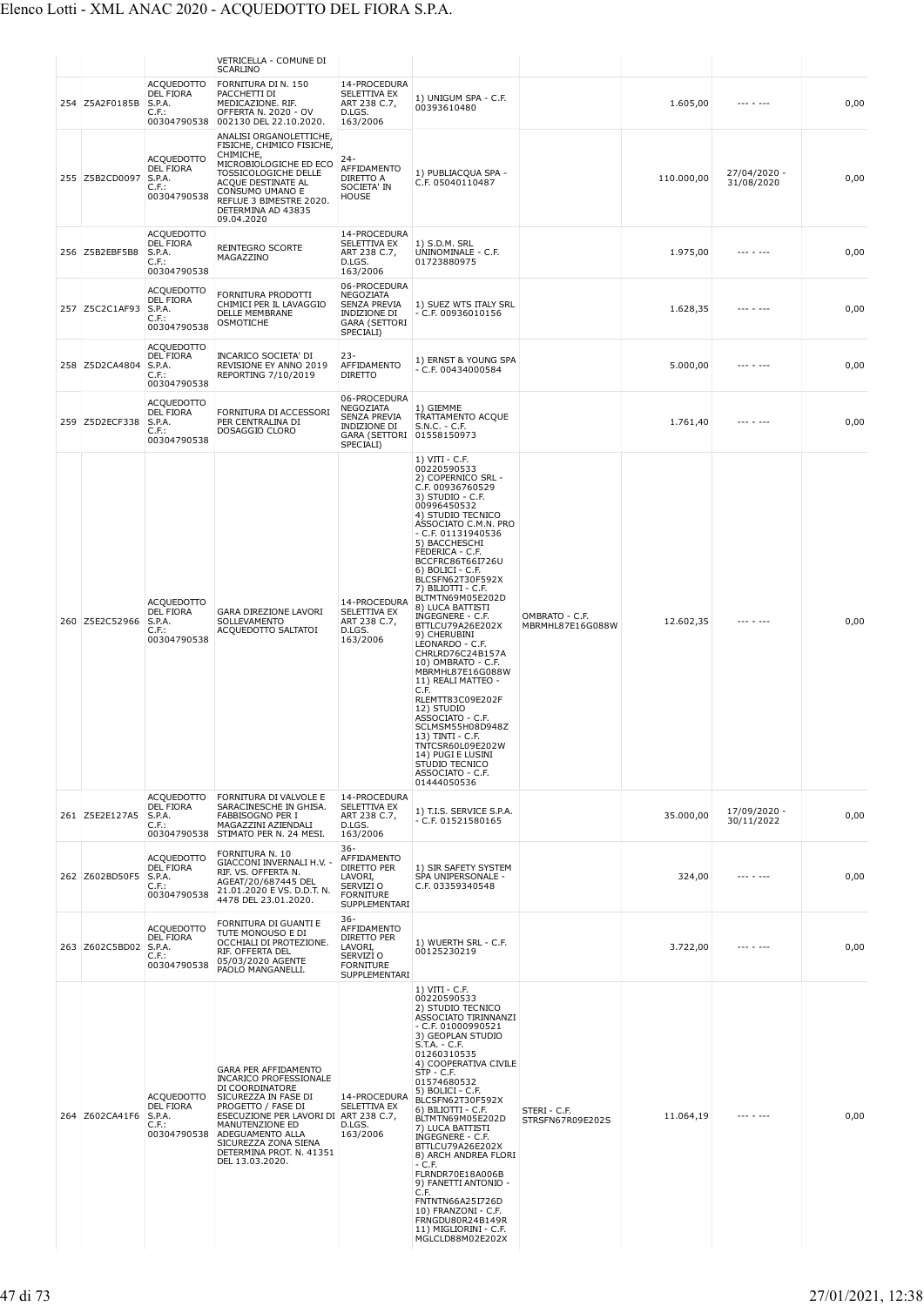|                |                                                                            | VETRICELLA - COMUNE DI<br><b>SCARLINO</b>                                                                                                                                                                                                                                     |                                                                                                                  |                                                                                                                                                                                                                                                                                                                                                                                                                                                                                                                                                                                                                                                                                                                  |                                    |            |                            |      |
|----------------|----------------------------------------------------------------------------|-------------------------------------------------------------------------------------------------------------------------------------------------------------------------------------------------------------------------------------------------------------------------------|------------------------------------------------------------------------------------------------------------------|------------------------------------------------------------------------------------------------------------------------------------------------------------------------------------------------------------------------------------------------------------------------------------------------------------------------------------------------------------------------------------------------------------------------------------------------------------------------------------------------------------------------------------------------------------------------------------------------------------------------------------------------------------------------------------------------------------------|------------------------------------|------------|----------------------------|------|
| 254 Z5A2F0185B | <b>ACQUEDOTTO</b><br>DEL FIORA<br>S.P.A.<br>C.F.:                          | FORNITURA DI N. 150<br>PACCHETTI DI<br>MEDICAZIONE. RIF.<br>OFFERTA N. 2020 - OV<br>00304790538 002130 DEL 22.10.2020.                                                                                                                                                        | 14-PROCEDURA<br>SELETTIVA EX<br>ART 238 C.7,<br>D.LGS.<br>163/2006                                               | 1) UNIGUM SPA - C.F.<br>00393610480                                                                                                                                                                                                                                                                                                                                                                                                                                                                                                                                                                                                                                                                              |                                    | 1.605,00   | --- - ---                  | 0,00 |
| 255 Z5B2CD0097 | <b>ACOUEDOTTO</b><br>DEL FIORA<br>S.P.A.<br>$C.F.$ :<br>00304790538        | ANALISI ORGANOLETTICHE,<br>FISICHE, CHIMICO FISICHE,<br>CHIMICHE,<br>MICROBIOLOGICHE ED ECO<br>TOSSICOLOGICHE DELLE<br>ACQUE DESTINATE AL<br>CONSUMO UMANO E<br>REFLUE 3 BIMESTRE 2020.<br>DETERMINA AD 43835<br>09.04.2020                                                   | 24-<br>AFFIDAMENTO<br>DIRETTO A<br>SOCIETA' IN<br><b>HOUSE</b>                                                   | 1) PUBLIACQUA SPA -<br>C.F. 05040110487                                                                                                                                                                                                                                                                                                                                                                                                                                                                                                                                                                                                                                                                          |                                    | 110.000,00 | 27/04/2020 -<br>31/08/2020 | 0,00 |
| 256 Z5B2EBF5B8 | <b>ACQUEDOTTO</b><br><b>DEL FIORA</b><br>S.P.A.<br>C.F.:<br>00304790538    | REINTEGRO SCORTE<br>MAGAZZINO                                                                                                                                                                                                                                                 | 14-PROCEDURA<br>SELETTIVA EX<br>ART 238 C.7,<br>D.LGS.<br>163/2006                                               | 1) S.D.M. SRL<br>UNINOMINALE - C.F.<br>01723880975                                                                                                                                                                                                                                                                                                                                                                                                                                                                                                                                                                                                                                                               |                                    | 1.975,00   | --- - ---                  | 0,00 |
| 257 Z5C2C1AF93 | <b>ACQUEDOTTO</b><br>DEL FIORA<br>S.P.A.<br>$C.F.$ :<br>00304790538        | FORNITURA PRODOTTI<br>CHIMICI PER IL LAVAGGIO<br>DELLE MEMBRANE<br>OSMOTICHE                                                                                                                                                                                                  | 06-PROCEDURA<br>NEGOZIATA<br><b>SENZA PREVIA</b><br>INDIZIONE DI<br><b>GARA (SETTORI</b><br>SPECIALI)            | 1) SUEZ WTS ITALY SRL<br>$-$ C.F. 00936010156                                                                                                                                                                                                                                                                                                                                                                                                                                                                                                                                                                                                                                                                    |                                    | 1.628,35   | --- - ---                  | 0,00 |
| 258 Z5D2CA4804 | <b>ACQUEDOTTO</b><br><b>DEL FIORA</b><br>S.P.A.<br>$C.F.$ :<br>00304790538 | INCARICO SOCIETA' DI<br>REVISIONE EY ANNO 2019<br>REPORTING 7/10/2019                                                                                                                                                                                                         | 23-<br>AFFIDAMENTO<br><b>DIRETTO</b>                                                                             | 1) ERNST & YOUNG SPA<br>- C.F. 00434000584                                                                                                                                                                                                                                                                                                                                                                                                                                                                                                                                                                                                                                                                       |                                    | 5.000,00   | --- - ---                  | 0,00 |
| 259 Z5D2ECF338 | ACQUEDOTTO<br>DEL FIORA<br>S.P.A.<br>C.F.:<br>00304790538                  | <b>FORNITURA DI ACCESSORI</b><br>PER CENTRALINA DI<br>DOSAGGIO CLORO                                                                                                                                                                                                          | 06-PROCEDURA<br>NEGOZIATA<br><b>SENZA PREVIA</b><br>INDIZIONE DI<br>GARA (SETTORI 01558150973<br>SPECIALI)       | 1) GIEMME<br>TRATTAMENTO ACQUE<br>$S.N.C. - C.F.$                                                                                                                                                                                                                                                                                                                                                                                                                                                                                                                                                                                                                                                                |                                    | 1.761,40   |                            | 0,00 |
| 260 Z5E2C52966 | <b>ACQUEDOTTO</b><br>DEL FIORA<br>S.P.A.<br>C.F.:<br>00304790538           | GARA DIREZIONE LAVORI<br>SOLLEVAMENTO<br>ACQUEDOTTO SALTATOI                                                                                                                                                                                                                  | 14-PROCEDURA<br>SELETTIVA EX<br>ART 238 C.7,<br>D.LGS.<br>163/2006                                               | 1) VITI - C.F.<br>00220590533<br>2) COPERNICO SRL -<br>C.F. 00936760529<br>3) STUDIO - C.F.<br>00996450532<br>4) STUDIO TECNICO<br>ASSOCIATO C.M.N. PRO<br>$-$ C.F. 01131940536<br>5) BACCHESCHI<br>FEDERICA - C.F.<br>BCCFRC86T66I726U<br>6) BOLICI - C.F.<br>BLCSFN62T30F592X<br>7) BILIOTTI - C.F.<br>BLTMTN69M05E202D<br>8) LUCA BATTISTI<br>INGEGNERE - C.F.<br>BTTLCU79A26E202X<br>9) CHERUBINI<br>LEONARDO - C.F.<br>CHRLRD76C24B157A<br>10) OMBRATO - C.F.<br>MBRMHL87E16G088W<br>11) REALI MATTEO -<br>C.F.<br>RLEMTT83C09E202F<br>12) STUDIO<br>ASSOCIATO - C.F.<br>SCLMSM55H08D948Z<br>13) TINTI - C.F.<br>TNTCSR60L09E202W<br>14) PUGI E LUSINI<br>STUDIO TECNICO<br>ASSOCIATO - C.F.<br>01444050536 | OMBRATO - C.F.<br>MBRMHL87E16G088W | 12.602,35  |                            | 0,00 |
| 261 Z5E2E127A5 | <b>ACQUEDOTTO</b><br><b>DEL FIORA</b><br>S.P.A.<br>$C.F.$ :<br>00304790538 | FORNITURA DI VALVOLE E<br>SARACINESCHE IN GHISA.<br>FABBISOGNO PER I<br>MAGAZZINI AZIENDALI<br>STIMATO PER N. 24 MESI.                                                                                                                                                        | 14-PROCEDURA<br>SELETTIVA EX<br>ART 238 C.7,<br>D.LGS.<br>163/2006                                               | 1) T.I.S. SERVICE S.P.A.<br>$-$ C.F. 01521580165                                                                                                                                                                                                                                                                                                                                                                                                                                                                                                                                                                                                                                                                 |                                    | 35.000,00  | 17/09/2020 -<br>30/11/2022 | 0,00 |
| 262 Z602BD50F5 | ACQUEDOTTO<br>DEL FIORA<br>S.P.A.<br>$C.F.$ :<br>00304790538               | FORNITURA N. 10<br>GIACCONI INVERNALI H.V. -<br>RIF. VS. OFFERTA N.<br>AGEAT/20/687445 DEL<br>21.01.2020 EVS. D.D.T. N.<br>4478 DEL 23.01.2020.                                                                                                                               | 36-<br>AFFIDAMENTO<br><b>DIRETTO PER</b><br>LAVORI,<br>SERVIZI <sub>O</sub><br><b>FORNITURE</b><br>SUPPLEMENTARI | 1) SIR SAFETY SYSTEM<br>SPA UNIPERSONALE -<br>C.F. 03359340548                                                                                                                                                                                                                                                                                                                                                                                                                                                                                                                                                                                                                                                   |                                    | 324,00     | --- - ---                  | 0,00 |
| 263 Z602C5BD02 | <b>ACQUEDOTTO</b><br>DEL FIORA<br>S.P.A.<br>$C.F.$ :<br>00304790538        | FORNITURA DI GUANTI E<br>TUTE MONOUSO E DI<br>OCCHIALI DI PROTEZIONE.<br>RIF. OFFERTA DEL<br>05/03/2020 AGENTE<br>PAOLO MANGANELLI.                                                                                                                                           | 36-<br>AFFIDAMENTO<br>DIRETTO PER<br>LAVORI,<br>SERVIZI O<br><b>FORNITURE</b><br>SUPPLEMENTARI                   | 1) WUERTH SRL - C.F.<br>00125230219                                                                                                                                                                                                                                                                                                                                                                                                                                                                                                                                                                                                                                                                              |                                    | 3.722,00   |                            | 0,00 |
| 264 Z602CA41F6 | <b>ACQUEDOTTO</b><br><b>DEL FIORA</b><br>S.P.A.<br>C.F.:<br>00304790538    | GARA PER AFFIDAMENTO<br><b>INCARICO PROFESSIONALE</b><br>DI COORDINATORE<br>SICUREZZA IN FASE DI<br>PROGETTO / FASE DI<br>ESECUZIONE PER LAVORI DI ART 238 C.7,<br>MANUTENZIONE ED<br>ADEGUAMENTO ALLA<br>SICUREZZA ZONA SIENA<br>DETERMINA PROT. N. 41351<br>DEL 13.03.2020. | 14-PROCEDURA<br>SELETTIVA EX<br>D.LGS.<br>163/2006                                                               | $1) VIII - C.F.$<br>00220590533<br>2) STUDIO TECNICO<br>ASSOCIATO TIRINNANZI<br>$-$ C.F. 01000990521<br>3) GEOPLAN STUDIO<br>$S.T.A. - C.F.$<br>01260310535<br>4) COOPERATIVA CIVILE<br>$STP - C.F.$<br>01574680532<br>5) BOLICI - C.F.<br>BLCSFN62T30F592X<br>6) BILIOTTI - C.F.<br>BLTMTN69M05E202D<br>7) LUCA BATTISTI<br>INGEGNERE - C.F.<br>BTTLCU79A26E202X<br>8) ARCH ANDREA FLORI<br>- C.F.<br>FLRNDR70E18A006B<br>9) FANETTI ANTONIO -<br>C.F.<br>FNTNTN66A25I726D<br>10) FRANZONI - C.F.<br>FRNGDU80R24B149R<br>11) MIGLIORINI - C.F.<br>MGLCLD88M02E202X                                                                                                                                              | STERI - C.F.<br>STRSFN67R09E202S   | 11.064,19  |                            | 0,00 |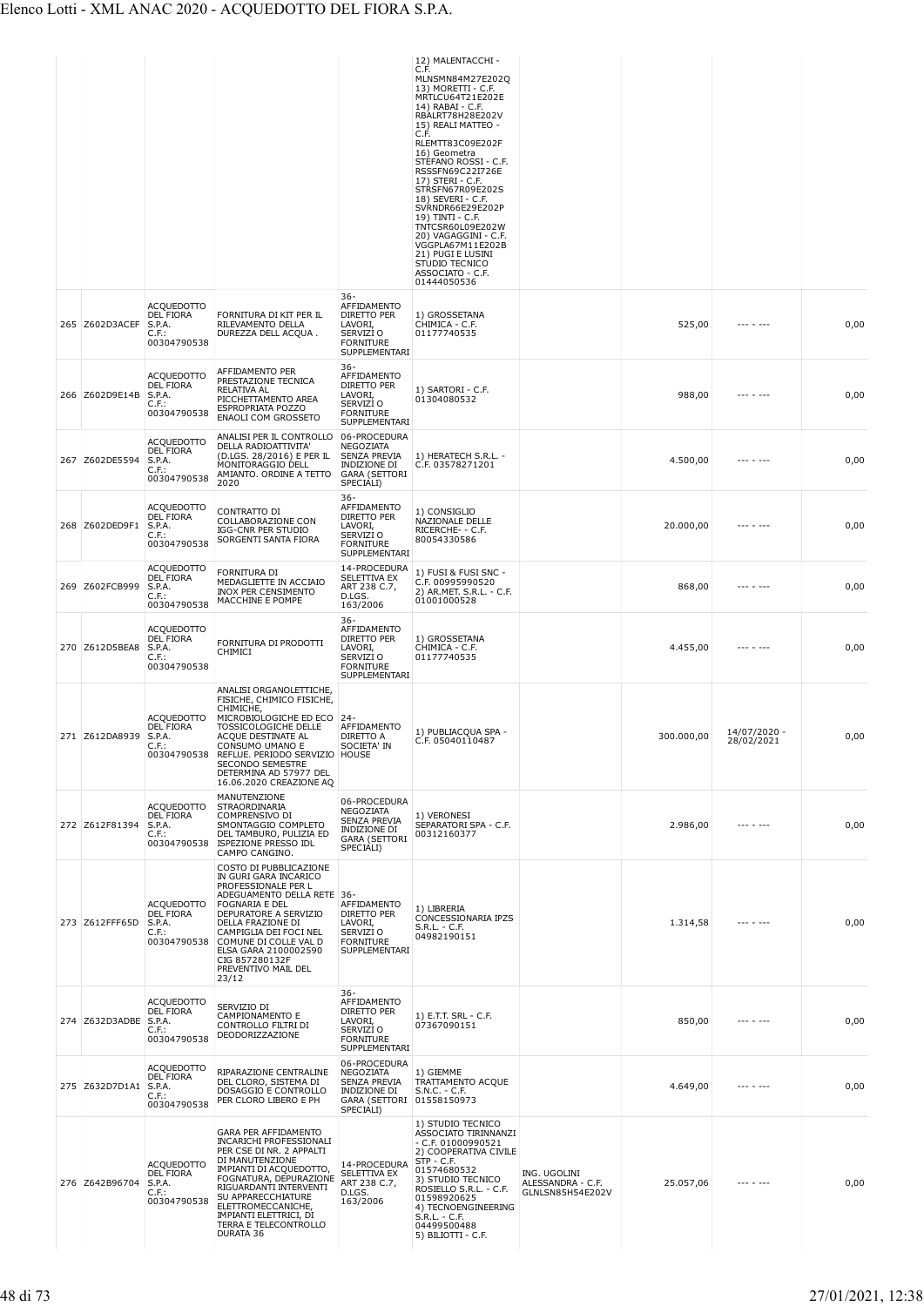|     |                       |                                                                            |                                                                                                                                                                                                                                                                                                                      |                                                                                                     | 12) MALENTACCHI -<br>C.F.<br>MLNSMN84M27E202Q<br>13) MORETTI - C.F.<br>MRTLCU64T21E202E<br>14) RABAI - C.F.<br>RBALRT78H28E202V<br>15) REALI MATTEO -<br>C.F.<br>RLEMTT83C09E202F<br>16) Geometra<br>STEFANO ROSSI - C.F.<br>RSSSFN69C22I726E<br>17) STERI - C.F.<br>STRSFN67R09E202S<br>18) SEVERI - C.F.<br>SVRNDR66E29E202P<br>19) TINTI - C.F.<br>TNTCSR60L09E202W<br>20) VAGAGGINI - C.F.<br>VGGPLA67M11E202B<br>21) PUGI E LUSINI<br>STUDIO TECNICO<br>ASSOCIATO - C.F. |                                                       |            |                            |      |
|-----|-----------------------|----------------------------------------------------------------------------|----------------------------------------------------------------------------------------------------------------------------------------------------------------------------------------------------------------------------------------------------------------------------------------------------------------------|-----------------------------------------------------------------------------------------------------|-------------------------------------------------------------------------------------------------------------------------------------------------------------------------------------------------------------------------------------------------------------------------------------------------------------------------------------------------------------------------------------------------------------------------------------------------------------------------------|-------------------------------------------------------|------------|----------------------------|------|
|     | 265 Z602D3ACEF        | <b>ACQUEDOTTO</b><br><b>DEL FIORA</b><br>S.P.A.<br>C.F.:<br>00304790538    | FORNITURA DI KIT PER IL<br>RILEVAMENTO DELLA<br>DUREZZA DELL ACQUA.                                                                                                                                                                                                                                                  | 36-<br>AFFIDAMENTO<br>DIRETTO PER<br>LAVORI,<br>SERVIZI O<br><b>FORNITURE</b><br>SUPPLEMENTARI      | 01444050536<br>1) GROSSETANA<br>CHIMICA - C.F.<br>01177740535                                                                                                                                                                                                                                                                                                                                                                                                                 |                                                       | 525,00     |                            | 0,00 |
|     | 266 Z602D9E14B        | <b>ACQUEDOTTO</b><br>DEL FIORA<br>S.P.A.<br>$C.F.$ :<br>00304790538        | AFFIDAMENTO PER<br>PRESTAZIONE TECNICA<br>RELATIVA AL<br>PICCHETTAMENTO AREA<br><b>ESPROPRIATA POZZO</b><br>ENAOLI COM GROSSETO                                                                                                                                                                                      | $36 -$<br>AFFIDAMENTO<br>DIRETTO PER<br>LAVORI,<br>SERVIZI O<br><b>FORNITURE</b><br>SUPPLEMENTARI   | 1) SARTORI - C.F.<br>01304080532                                                                                                                                                                                                                                                                                                                                                                                                                                              |                                                       | 988,00     | --- - ---                  | 0,00 |
|     | 267 Z602DE5594        | <b>ACQUEDOTTO</b><br><b>DEL FIORA</b><br>S.P.A.<br>$C.F.$ :<br>00304790538 | ANALISI PER IL CONTROLLO<br>DELLA RADIOATTIVITA'<br>(D.LGS. 28/2016) E PER IL<br>MONITORAGGIO DELL<br>AMIANTO. ORDINE A TETTO<br>2020                                                                                                                                                                                | 06-PROCEDURA<br>NEGOZIATA<br>SENZA PREVIA<br>INDIZIONE DI<br><b>GARA (SETTORI</b><br>SPECIALI)      | 1) HERATECH S.R.L. -<br>C.F. 03578271201                                                                                                                                                                                                                                                                                                                                                                                                                                      |                                                       | 4.500,00   |                            | 0,00 |
|     | 268 Z602DED9F1        | <b>ACQUEDOTTO</b><br><b>DEL FIORA</b><br>S.P.A.<br>$C.F.$ :<br>00304790538 | CONTRATTO DI<br>COLLABORAZIONE CON<br>IGG-CNR PER STUDIO<br>SORGENTI SANTA FIORA                                                                                                                                                                                                                                     | $36 -$<br>AFFIDAMENTO<br>DIRETTO PER<br>LAVORI,<br>SERVIZI O<br><b>FORNITURE</b><br>SUPPLEMENTARI   | 1) CONSIGLIO<br>NAZIONALE DELLE<br>RICERCHE- - C.F.<br>80054330586                                                                                                                                                                                                                                                                                                                                                                                                            |                                                       | 20.000,00  |                            | 0,00 |
| 269 | Z602FCB999            | <b>ACQUEDOTTO</b><br><b>DEL FIORA</b><br>S.P.A.<br>C.F.:<br>00304790538    | FORNITURA DI<br>MEDAGLIETTE IN ACCIAIO<br><b>INOX PER CENSIMENTO</b><br>MACCHINE E POMPE                                                                                                                                                                                                                             | 14-PROCEDURA<br>SELETTIVA EX<br>ART 238 C.7,<br>D.LGS.<br>163/2006                                  | 1) FUSI & FUSI SNC -<br>C.F. 00995990520<br>2) AR.MET. S.R.L. - C.F.<br>01001000528                                                                                                                                                                                                                                                                                                                                                                                           |                                                       | 868,00     |                            | 0,00 |
|     | 270 Z612D5BEA8        | ACQUEDOTTO<br><b>DEL FIORA</b><br>S.P.A.<br>C.F.:<br>00304790538           | FORNITURA DI PRODOTTI<br>CHIMICI                                                                                                                                                                                                                                                                                     | $36 -$<br>AFFIDAMENTO<br>DIRETTO PER<br>LAVORI,<br>SERVIZI O<br><b>FORNITURE</b><br>SUPPLEMENTARI   | 1) GROSSETANA<br>CHIMICA - C.F.<br>01177740535                                                                                                                                                                                                                                                                                                                                                                                                                                |                                                       | 4.455,00   |                            | 0,00 |
|     | 271 Z612DA8939        | <b>ACQUEDOTTO</b><br>DEL FIORA<br>S.P.A.<br>C.F.:                          | ANALISI ORGANOLETTICHE,<br>FISICHE, CHIMICO FISICHE,<br>CHIMICHE,<br>MICROBIOLOGICHE ED ECO<br>TOSSICOLOGICHE DELLE<br>ACQUE DESTINATE AL<br>CONSUMO UMANO E<br>00304790538 REFLUE. PERIODO SERVIZIO HOUSE<br>SECONDO SEMESTRE<br>DETERMINA AD 57977 DEL<br>16.06.2020 CREAZIONE AQ                                  | -24<br>AFFIDAMENTO<br><b>DIRETTO A</b><br>SOCIETA' IN                                               | 1) PUBLIACQUA SPA -<br>C.F. 05040110487                                                                                                                                                                                                                                                                                                                                                                                                                                       |                                                       | 300.000,00 | 14/07/2020 -<br>28/02/2021 | 0,00 |
|     | 272 Z612F81394        | ACQUEDOTTO<br>DEL FIORA<br>S.P.A.<br>$C.F.$ :                              | MANUTENZIONE<br>STRAORDINARIA<br>COMPRENSIVO DI<br>SMONTAGGIO COMPLETO<br>DEL TAMBURO, PULIZIA ED<br>00304790538 ISPEZIONE PRESSO IDL<br>CAMPO CANGINO.                                                                                                                                                              | 06-PROCEDURA<br>NEGOZIATA<br>SENZA PREVIA<br>INDIZIONE DI<br><b>GARA (SETTORI</b><br>SPECIALI)      | 1) VERONESI<br>SEPARATORI SPA - C.F.<br>00312160377                                                                                                                                                                                                                                                                                                                                                                                                                           |                                                       | 2.986,00   |                            | 0,00 |
|     | 273 Z612FFF65D        | ACQUEDOTTO<br><b>DEL FIORA</b><br>S.P.A.<br>$C.F.$ :                       | COSTO DI PUBBLICAZIONE<br>IN GURI GARA INCARICO<br>PROFESSIONALE PER L<br>ADEGUAMENTO DELLA RETE 36-<br><b>FOGNARIA E DEL</b><br>DEPURATORE A SERVIZIO<br>DELLA FRAZIONE DI<br>CAMPIGLIA DEI FOCI NEL<br>00304790538 COMUNE DI COLLE VAL D<br>ELSA GARA 2100002590<br>CIG 857280132F<br>PREVENTIVO MAIL DEL<br>23/12 | AFFIDAMENTO<br>DIRETTO PER<br>LAVORI,<br>SERVIZI O<br><b>FORNITURE</b><br>SUPPLEMENTARI             | 1) LIBRERIA<br>CONCESSIONARIA IPZS<br>$S.R.L. - C.F.$<br>04982190151                                                                                                                                                                                                                                                                                                                                                                                                          |                                                       | 1.314,58   | --- - ---                  | 0,00 |
|     | 274 Z632D3ADBE S.P.A. | <b>ACQUEDOTTO</b><br>DEL FIORA<br>$C.F.$ :<br>00304790538                  | SERVIZIO DI<br>CAMPIONAMENTO E<br>CONTROLLO FILTRI DI<br>DEODORIZZAZIONE                                                                                                                                                                                                                                             | $36 -$<br>AFFIDAMENTO<br>DIRETTO PER<br>LAVORI,<br>SERVIZI O<br><b>FORNITURE</b><br>SUPPLEMENTARI   | 1) E.T.T. SRL - C.F.<br>07367090151                                                                                                                                                                                                                                                                                                                                                                                                                                           |                                                       | 850,00     |                            | 0,00 |
|     | 275 Z632D7D1A1 S.P.A. | <b>ACQUEDOTTO</b><br>DEL FIORA<br>$C.F.$ :<br>00304790538                  | RIPARAZIONE CENTRALINE<br>DEL CLORO, SISTEMA DI<br>DOSAGGIO E CONTROLLO<br>PER CLORO LIBERO E PH                                                                                                                                                                                                                     | 06-PROCEDURA<br>NEGOZIATA<br>SENZA PREVIA<br>INDIZIONE DI<br>GARA (SETTORI 01558150973<br>SPECIALI) | 1) GIEMME<br>TRATTAMENTO ACQUE<br>$S.N.C. - C.F.$                                                                                                                                                                                                                                                                                                                                                                                                                             |                                                       | 4.649,00   | -- - ---                   | 0,00 |
|     | 276 Z642B96704        | <b>ACQUEDOTTO</b><br>DEL FIORA<br>S.P.A.<br>C.F.:<br>00304790538           | GARA PER AFFIDAMENTO<br><b>INCARICHI PROFESSIONALI</b><br>PER CSE DI NR. 2 APPALTI<br>DI MANUTENZIONE<br>IMPIANTI DI ACQUEDOTTO,<br>FOGNATURA, DEPURAZIONE<br>RIGUARDANTI INTERVENTI<br>SU APPARECCHIATURE<br>ELETTROMECCANICHE,<br>IMPIANTI ELETTRICI, DI<br>TERRA E TELECONTROLLO<br>DURATA 36                     | 14-PROCEDURA<br>SELETTIVA EX<br>ART 238 C.7,<br>D.LGS.<br>163/2006                                  | 1) STUDIO TECNICO<br>ASSOCIATO TIRINNANZI<br>$-$ C.F. 01000990521<br>2) COOPERATIVA CIVILE<br>STP - C.F.<br>01574680532<br>3) STUDIO TECNICO<br>ROSIELLO S.R.L. - C.F.<br>01598920625<br>4) TECNOENGINEERING<br>$S.R.L. - C.F.$<br>04499500488<br>5) BILIOTTI - C.F.                                                                                                                                                                                                          | ING. UGOLINI<br>ALESSANDRA - C.F.<br>GLNLSN85H54E202V | 25.057,06  | --- - ---                  | 0,00 |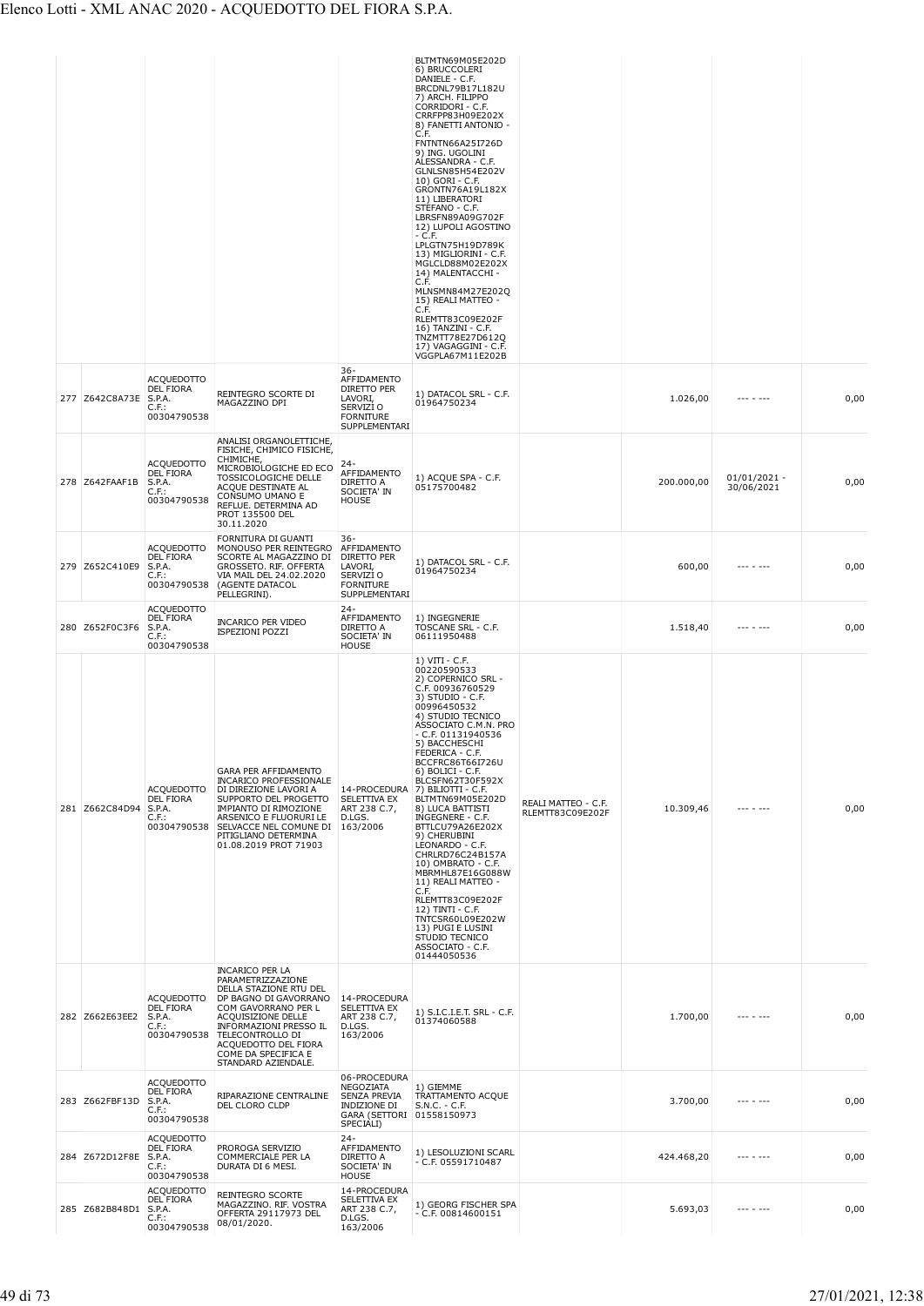|                |                                                                     |                                                                                                                                                                                                                                                                 |                                                                                                                   | BLTMTN69M05E202D<br>6) BRUCCOLERI<br>DANIELE - C.F.<br>BRCDNL79B17L182U<br>7) ARCH. FILIPPO<br>CORRIDORI - C.F.<br>CRRFPP83H09E202X<br>8) FANETTI ANTONIO -<br>C.F.<br>FNTNTN66A25I726D<br>9) ING. UGOLINI<br>ALESSANDRA - C.F.<br>GLNLSN85H54E202V<br>10) GORI - C.F.<br>GRONTN76A19L182X<br>11) LIBERATORI<br>STEFANO - C.F.<br>LBRSFN89A09G702F<br>12) LUPOLI AGOSTINO<br>- C.F.<br>LPLGTN75H19D789K<br>13) MIGLIORINI - C.F.<br>MGLCLD88M02E202X<br>14) MALENTACCHI -<br>C.F.<br>MLNSMN84M27E202Q<br>15) REALI MATTEO -<br>C.F.<br>RLEMTT83C09E202F<br>16) TANZINI - C.F.<br>TNZMTT78E27D612Q<br>17) VAGAGGINI - C.F.<br>VGGPLA67M11E202B                             |                                         |            |                              |      |
|----------------|---------------------------------------------------------------------|-----------------------------------------------------------------------------------------------------------------------------------------------------------------------------------------------------------------------------------------------------------------|-------------------------------------------------------------------------------------------------------------------|---------------------------------------------------------------------------------------------------------------------------------------------------------------------------------------------------------------------------------------------------------------------------------------------------------------------------------------------------------------------------------------------------------------------------------------------------------------------------------------------------------------------------------------------------------------------------------------------------------------------------------------------------------------------------|-----------------------------------------|------------|------------------------------|------|
| 277 Z642C8A73E | <b>ACQUEDOTTO</b><br>DEL FIORA<br>S.P.A.<br>$C.F.$ :<br>00304790538 | REINTEGRO SCORTE DI<br>MAGAZZINO DPI                                                                                                                                                                                                                            | $36 -$<br>AFFIDAMENTO<br>DIRETTO PER<br>LAVORI,<br>SERVIZI O<br><b>FORNITURE</b><br><b>SUPPLEMENTARI</b>          | 1) DATACOL SRL - C.F.<br>01964750234                                                                                                                                                                                                                                                                                                                                                                                                                                                                                                                                                                                                                                      |                                         | 1.026,00   | $- - - - - - -$              | 0,00 |
| 278 Z642FAAF1B | <b>ACQUEDOTTO</b><br>DEL FIORA<br>S.P.A.<br>$C.F.$ :<br>00304790538 | ANALISI ORGANOLETTICHE,<br>FISICHE, CHIMICO FISICHE,<br>CHIMICHE,<br>MICROBIOLOGICHE ED ECO<br>TOSSICOLOGICHE DELLE<br>ACQUE DESTINATE AL<br>CONSUMO UMANO E<br>REFLUE. DETERMINA AD<br>PROT 135500 DEL<br>30.11.2020                                           | $24 -$<br>AFFIDAMENTO<br>DIRETTO A<br>SOCIETA' IN<br><b>HOUSE</b>                                                 | 1) ACQUE SPA - C.F.<br>05175700482                                                                                                                                                                                                                                                                                                                                                                                                                                                                                                                                                                                                                                        |                                         | 200.000,00 | $01/01/2021 -$<br>30/06/2021 | 0,00 |
| 279 Z652C410E9 | <b>ACQUEDOTTO</b><br>DEL FIORA<br>S.P.A.<br>$C.F.$ :<br>00304790538 | FORNITURA DI GUANTI<br>MONOUSO PER REINTEGRO<br>SCORTE AL MAGAZZINO DI<br>GROSSETO. RIF. OFFERTA<br>VIA MAIL DEL 24.02.2020<br>(AGENTE DATACOL<br>PELLEGRINI).                                                                                                  | $36 -$<br>AFFIDAMENTO<br>DIRETTO PER<br>LAVORI,<br>SERVIZI O<br><b>FORNITURE</b><br>SUPPLEMENTARI                 | 1) DATACOL SRL - C.F.<br>01964750234                                                                                                                                                                                                                                                                                                                                                                                                                                                                                                                                                                                                                                      |                                         | 600,00     | $- - - - - - -$              | 0,00 |
| 280 Z652F0C3F6 | <b>ACQUEDOTTO</b><br>DEL FIORA<br>S.P.A.<br>$C.F.$ :<br>00304790538 | <b>INCARICO PER VIDEO</b><br><b>ISPEZIONI POZZI</b>                                                                                                                                                                                                             | $24 -$<br>AFFIDAMENTO<br>DIRETTO A<br>SOCIETA' IN<br><b>HOUSE</b>                                                 | 1) INGEGNERIE<br>TOSCANE SRL - C.F.<br>06111950488                                                                                                                                                                                                                                                                                                                                                                                                                                                                                                                                                                                                                        |                                         | 1.518,40   | $- - - - - - -$              | 0,00 |
| 281 Z662C84D94 | ACQUEDOTTO<br>DEL FIORA<br>S.P.A.<br>$C.F.$ :<br>00304790538        | GARA PER AFFIDAMENTO<br><b>INCARICO PROFESSIONALE</b><br>DI DIREZIONE LAVORI A<br>SUPPORTO DEL PROGETTO<br>IMPIANTO DI RIMOZIONE<br>ARSENICO E FLUORURI LE<br>SELVACCE NEL COMUNE DI<br>PITIGLIANO DETERMINA<br>01.08.2019 PROT 71903<br><b>INCARICO PER LA</b> | SELETTIVA EX<br>ART 238 C.7,<br>D.LGS.<br>163/2006                                                                | $1) VIII - C.F.$<br>00220590533<br>2) COPERNICO SRL -<br>C.F. 00936760529<br>$3)$ STUDIO - C.F.<br>00996450532<br>4) STUDIO TECNICO<br>ASSOCIATO C.M.N. PRO<br>- C.F. 01131940536<br>5) BACCHESCHI<br>FEDERICA - C.F.<br>BCCFRC86T66I726U<br>6) BOLICI - C.F.<br>BLCSFN62T30F592X<br>14-PROCEDURA 7) BILIOTTI - C.F.<br>BLTMTN69M05E202D<br>8) LUCA BATTISTI<br>INGEGNERE - C.F.<br>BTTLCU79A26E202X<br>9) CHERUBINI<br>LEONARDO - C.F.<br>CHRLRD76C24B157A<br>10) OMBRATO - C.F.<br>MBRMHL87E16G088W<br>11) REALI MATTEO -<br>C.F.<br>RLEMTT83C09E202F<br>12) TINTI - C.F.<br>TNTCSR60L09E202W<br>13) PUGI E LUSINI<br>STUDIO TECNICO<br>ASSOCIATO - C.F.<br>01444050536 | REALI MATTEO - C.F.<br>RLEMTT83C09E202F | 10.309,46  |                              | 0,00 |
| 282 Z662E63EE2 | <b>ACQUEDOTTO</b><br>DEL FIORA<br>S.P.A.<br>$C.F.$ :<br>00304790538 | PARAMETRIZZAZIONE<br>DELLA STAZIONE RTU DEL<br>DP BAGNO DI GAVORRANO<br>COM GAVORRANO PER L<br>ACQUISIZIONE DELLE<br>INFORMAZIONI PRESSO IL<br>TELECONTROLLO DI<br>ACQUEDOTTO DEL FIORA<br>COME DA SPECIFICA E<br>STANDARD AZIENDALE.                           | 14-PROCEDURA<br>SELETTIVA EX<br>ART 238 C.7,<br>D.LGS.<br>163/2006                                                | 1) S.I.C.I.E.T. SRL - C.F.<br>01374060588                                                                                                                                                                                                                                                                                                                                                                                                                                                                                                                                                                                                                                 |                                         | 1.700,00   |                              | 0,00 |
| 283 Z662FBF13D | <b>ACQUEDOTTO</b><br>DEL FIORA<br>S.P.A.<br>$C.F.$ :<br>00304790538 | RIPARAZIONE CENTRALINE<br>DEL CLORO CLDP                                                                                                                                                                                                                        | 06-PROCEDURA<br>NEGOZIATA<br><b>SENZA PREVIA</b><br><b>INDIZIONE DI</b><br>GARA (SETTORI 01558150973<br>SPECIALI) | 1) GIEMME<br>TRATTAMENTO ACQUE<br>S.N.C. - C.F.                                                                                                                                                                                                                                                                                                                                                                                                                                                                                                                                                                                                                           |                                         | 3.700,00   |                              | 0,00 |
| 284 Z672D12F8E | <b>ACQUEDOTTO</b><br>DEL FIORA<br>S.P.A.<br>$C.F.$ :<br>00304790538 | PROROGA SERVIZIO<br>COMMERCIALE PER LA<br>DURATA DI 6 MESI.                                                                                                                                                                                                     | $24 -$<br>AFFIDAMENTO<br>DIRETTO A<br>SOCIETA' IN<br><b>HOUSE</b>                                                 | 1) LESOLUZIONI SCARL<br>- C.F. 05591710487                                                                                                                                                                                                                                                                                                                                                                                                                                                                                                                                                                                                                                |                                         | 424.468,20 | $- - - - - - -$              | 0,00 |
| 285 Z682B848D1 | <b>ACQUEDOTTO</b><br>DEL FIORA<br>S.P.A.<br>$C.F.$ :<br>00304790538 | REINTEGRO SCORTE<br>MAGAZZINO. RIF. VOSTRA<br>OFFERTA 29117973 DEL<br>08/01/2020.                                                                                                                                                                               | 14-PROCEDURA<br>SELETTIVA EX<br>ART 238 C.7,<br>D.LGS.<br>163/2006                                                | 1) GEORG FISCHER SPA<br>- C.F. 00814600151                                                                                                                                                                                                                                                                                                                                                                                                                                                                                                                                                                                                                                |                                         | 5.693,03   |                              | 0,00 |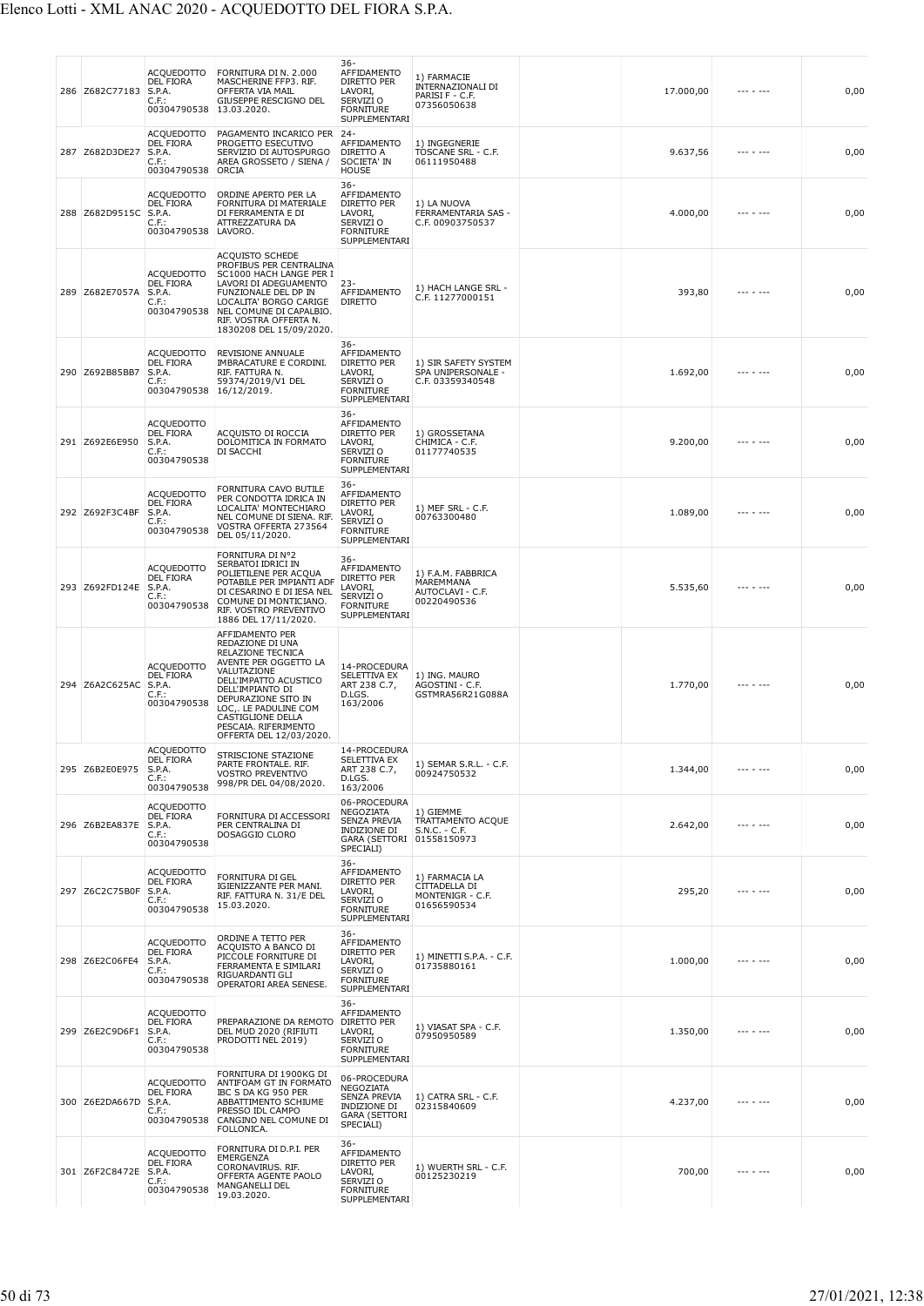|     | 286 Z682C77183        | ACQUEDOTTO<br><b>DEL FIORA</b><br>S.P.A.<br>C.F.:<br>00304790538           | FORNITURA DI N. 2.000<br>MASCHERINE FFP3. RIF.<br>OFFERTA VIA MAIL<br>GIUSEPPE RESCIGNO DEL<br>13.03.2020.                                                                                                                                                            | 36-<br>AFFIDAMENTO<br><b>DIRETTO PER</b><br>LAVORI,<br>SERVIZI O<br><b>FORNITURE</b><br>SUPPLEMENTARI      | 1) FARMACIE<br>INTERNAZIONALI DI<br>PARISI F - C.F.<br>07356050638 | 17.000,00 |                   | 0,00 |
|-----|-----------------------|----------------------------------------------------------------------------|-----------------------------------------------------------------------------------------------------------------------------------------------------------------------------------------------------------------------------------------------------------------------|------------------------------------------------------------------------------------------------------------|--------------------------------------------------------------------|-----------|-------------------|------|
| 287 | Z682D3DE27            | <b>ACQUEDOTTO</b><br><b>DEL FIORA</b><br>S.P.A.<br>C.F.:<br>00304790538    | PAGAMENTO INCARICO PER 24-<br>PROGETTO ESECUTIVO<br>SERVIZIO DI AUTOSPURGO<br>AREA GROSSETO / SIENA /<br>ORCIA                                                                                                                                                        | AFFIDAMENTO<br>DIRETTO A<br>SOCIETA' IN<br><b>HOUSE</b>                                                    | 1) INGEGNERIE<br>TOSCANE SRL - C.F.<br>06111950488                 | 9.637,56  |                   | 0,00 |
|     | 288 Z682D9515C S.P.A. | ACQUEDOTTO<br><b>DEL FIORA</b><br>$C.F.$ :<br>00304790538 LAVORO.          | ORDINE APERTO PER LA<br>FORNITURA DI MATERIALE<br>DI FERRAMENTA E DI<br>ATTREZZATURA DA                                                                                                                                                                               | 36-<br>AFFIDAMENTO<br>DIRETTO PER<br>LAVORI,<br>SERVIZI O<br><b>FORNITURE</b><br>SUPPLEMENTARI             | 1) LA NUOVA<br>FERRAMENTARIA SAS -<br>C.F. 00903750537             | 4.000,00  |                   | 0,00 |
|     | 289 Z682E7057A        | <b>ACQUEDOTTO</b><br><b>DEL FIORA</b><br>S.P.A.<br>C.F.:<br>00304790538    | ACQUISTO SCHEDE<br>PROFIBUS PER CENTRALINA<br>SC1000 HACH LANGE PER I<br>LAVORI DI ADEGUAMENTO<br>FUNZIONALE DEL DP IN<br>LOCALITA' BORGO CARIGE<br>NEL COMUNE DI CAPALBIO.<br>RIF. VOSTRA OFFERTA N.<br>1830208 DEL 15/09/2020.                                      | $23 -$<br>AFFIDAMENTO<br><b>DIRETTO</b>                                                                    | 1) HACH LANGE SRL -<br>C.F. 11277000151                            | 393,80    |                   | 0,00 |
|     | 290 Z692B85BB7        | ACQUEDOTTO<br><b>DEL FIORA</b><br>S.P.A.<br>C.F.<br>00304790538            | REVISIONE ANNUALE<br>IMBRACATURE E CORDINI.<br>RIF. FATTURA N.<br>59374/2019/V1 DEL<br>16/12/2019.                                                                                                                                                                    | 36-<br>AFFIDAMENTO<br>DIRETTO PER<br>LAVORI,<br>SERVIZI O<br><b>FORNITURE</b><br>SUPPLEMENTARI             | 1) SIR SAFETY SYSTEM<br>SPA UNIPERSONALE -<br>C.F. 03359340548     | 1.692,00  |                   | 0,00 |
|     | 291 Z692E6E950        | <b>ACQUEDOTTO</b><br><b>DEL FIORA</b><br>S.P.A.<br>C.F.:<br>00304790538    | ACQUISTO DI ROCCIA<br>DOLOMITICA IN FORMATO<br>DI SACCHI                                                                                                                                                                                                              | $36 -$<br>AFFIDAMENTO<br>DIRETTO PER<br>LAVORI,<br>SERVIZI O<br><b>FORNITURE</b><br>SUPPLEMENTARI          | 1) GROSSETANA<br>CHIMICA - C.F.<br>01177740535                     | 9.200,00  |                   | 0,00 |
|     | 292 Z692F3C4BF        | <b>ACQUEDOTTO</b><br><b>DEL FIORA</b><br>S.P.A.<br>$C.F.$ :<br>00304790538 | FORNITURA CAVO BUTILE<br>PER CONDOTTA IDRICA IN<br>LOCALITA' MONTECHIARO<br>NEL COMUNE DI SIENA. RIF.<br>VOSTRA OFFERTA 273564<br>DEL 05/11/2020.                                                                                                                     | $36 -$<br>AFFIDAMENTO<br>DIRETTO PER<br>LAVORI,<br>SERVIZI O<br><b>FORNITURE</b><br>SUPPLEMENTARI          | 1) MEF SRL - C.F.<br>00763300480                                   | 1.089,00  |                   | 0,00 |
|     | 293 Z692FD124E        | ACQUEDOTTO<br><b>DEL FIORA</b><br>S.P.A.<br>$C.F.$ :<br>00304790538        | FORNITURA DI Nº2<br>SERBATOI IDRICI IN<br>POLIETILENE PER ACQUA<br>POTABILE PER IMPIANTI ADF<br>DI CESARINO E DI IESA NEL<br>COMUNE DI MONTICIANO.<br>RIF. VOSTRO PREVENTIVO<br>1886 DEL 17/11/2020.                                                                  | $36 -$<br>AFFIDAMENTO<br>DIRETTO PER<br>LAVORI,<br>SERVIZI O<br><b>FORNITURE</b><br>SUPPLEMENTARI          | 1) F.A.M. FABBRICA<br>MAREMMANA<br>AUTOCLAVI - C.F.<br>00220490536 | 5.535,60  |                   | 0,00 |
|     | 294 Z6A2C625AC        | <b>ACQUEDOTTO</b><br><b>DEL FIORA</b><br>S.P.A.<br>C.F.:<br>00304790538    | AFFIDAMENTO PER<br>REDAZIONE DI UNA<br>RELAZIONE TECNICA<br>AVENTE PER OGGETTO LA<br>VALUTAZIONE<br>DELL'IMPATTO ACUSTICO<br>DELL'IMPIANTO DI<br>DEPURAZIONE SITO IN<br>LOC,. LE PADULINE COM<br>CASTIGLIONE DELLA<br>PESCAIA. RIFERIMENTO<br>OFFERTA DEL 12/03/2020. | 14-PROCEDURA<br>SELETTIVA EX<br>ART 238 C.7,<br>D.LGS.<br>163/2006                                         | 1) ING. MAURO<br>AGOSTINI - C.F.<br>GSTMRA56R21G088A               | 1.770,00  |                   | 0,00 |
|     | 295 Z6B2E0E975        | <b>ACQUEDOTTO</b><br><b>DEL FIORA</b><br>S.P.A.<br>$C.F.$ :<br>00304790538 | STRISCIONE STAZIONE<br>PARTE FRONTALE. RIF.<br>VOSTRO PREVENTIVO<br>998/PR DEL 04/08/2020.                                                                                                                                                                            | 14-PROCEDURA<br>SELETTIVA EX<br>ART 238 C.7,<br>D.LGS.<br>163/2006                                         | 1) SEMAR S.R.L. - C.F.<br>00924750532                              | 1.344,00  | --- - ---         | 0,00 |
|     | 296 Z6B2EA837E        | <b>ACQUEDOTTO</b><br><b>DEL FIORA</b><br>S.P.A.<br>C.F.:<br>00304790538    | FORNITURA DI ACCESSORI<br>PER CENTRALINA DI<br>DOSAGGIO CLORO                                                                                                                                                                                                         | 06-PROCEDURA<br>NEGOZIATA<br>SENZA PREVIA<br><b>INDIZIONE DI</b><br>GARA (SETTORI 01558150973<br>SPECIALI) | 1) GIEMME<br>TRATTAMENTO ACQUE<br>S.N.C. - C.F.                    | 2.642,00  | $- - - - - - - -$ | 0,00 |
|     | 297 Z6C2C75B0F        | <b>ACQUEDOTTO</b><br><b>DEL FIORA</b><br>S.P.A.<br>$C.F.$ :<br>00304790538 | <b>FORNITURA DI GEL</b><br>IGIENIZZANTE PER MANI.<br>RIF. FATTURA N. 31/E DEL<br>15.03.2020.                                                                                                                                                                          | 36-<br>AFFIDAMENTO<br>DIRETTO PER<br>LAVORI,<br>SERVIZI O<br><b>FORNITURE</b><br>SUPPLEMENTARI             | 1) FARMACIA LA<br>CITTADELLA DI<br>MONTENIGR - C.F.<br>01656590534 | 295,20    | --- - ---         | 0,00 |
|     | 298 Z6E2C06FE4        | <b>ACQUEDOTTO</b><br>DEL FIORA<br>S.P.A.<br>$C.F.$ :<br>00304790538        | ORDINE A TETTO PER<br>ACQUISTO A BANCO DI<br>PICCOLE FORNITURE DI<br>FERRAMENTA E SIMILARI<br>RIGUARDANTI GLI<br>OPERATORI AREA SENESE.                                                                                                                               | $36 -$<br>AFFIDAMENTO<br>DIRETTO PER<br>LAVORI,<br>SERVIZI O<br><b>FORNITURE</b><br>SUPPLEMENTARI          | 1) MINETTI S.P.A. - C.F.<br>01735880161                            | 1.000,00  | .                 | 0,00 |
|     | 299 Z6E2C9D6F1        | <b>ACQUEDOTTO</b><br><b>DEL FIORA</b><br>S.P.A.<br>$C.F.$ :<br>00304790538 | PREPARAZIONE DA REMOTO<br>DEL MUD 2020 (RIFIUTI<br>PRODOTTI NEL 2019)                                                                                                                                                                                                 | $36 -$<br>AFFIDAMENTO<br>DIRETTO PER<br>LAVORI,<br>SERVIZI O<br><b>FORNITURE</b><br>SUPPLEMENTARI          | 1) VIASAT SPA - C.F.<br>07950950589                                | 1.350,00  | --- - ---         | 0,00 |
|     | 300 Z6E2DA667D        | <b>ACQUEDOTTO</b><br><b>DEL FIORA</b><br>S.P.A.<br>C.F.:<br>00304790538    | FORNITURA DI 1900KG DI<br>ANTIFOAM GT IN FORMATO<br>IBC S DA KG 950 PER<br>ABBATTIMENTO SCHIUME<br>PRESSO IDL CAMPO<br>CANGINO NEL COMUNE DI<br>FOLLONICA.                                                                                                            | 06-PROCEDURA<br>NEGOZIATA<br>SENZA PREVIA<br>INDIZIONE DI<br><b>GARA (SETTORI</b><br>SPECIALI)             | 1) CATRA SRL - C.F.<br>02315840609                                 | 4.237,00  | --- - ---         | 0,00 |
|     | 301 Z6F2C8472E        | <b>ACQUEDOTTO</b><br>DEL FIORA<br>S.P.A.<br>C.F.:<br>00304790538           | FORNITURA DI D.P.I. PER<br><b>EMERGENZA</b><br>CORONAVIRUS. RIF.<br>OFFERTA AGENTE PAOLO<br>MANGANELLI DEL<br>19.03.2020.                                                                                                                                             | $36 -$<br>AFFIDAMENTO<br>DIRETTO PER<br>LAVORI,<br>SERVIZI O<br><b>FORNITURE</b><br>SUPPLEMENTARI          | 1) WUERTH SRL - C.F.<br>00125230219                                | 700,00    |                   | 0,00 |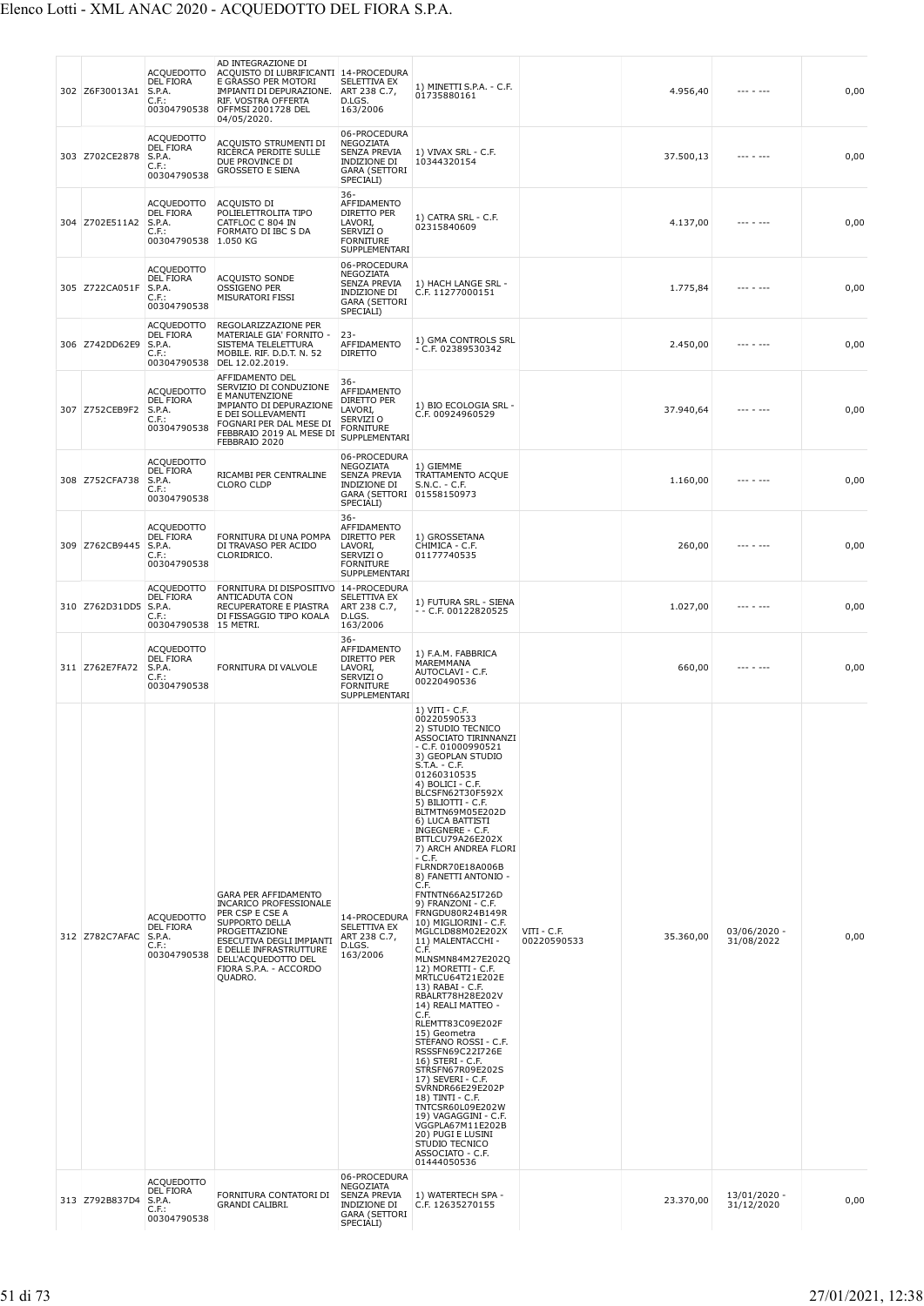| 302 Z6F30013A1 | <b>ACQUEDOTTO</b><br><b>DEL FIORA</b><br>S.P.A.<br>C.F.:<br>00304790538              | AD INTEGRAZIONE DI<br>ACQUISTO DI LUBRIFICANTI 14-PROCEDURA<br>E GRASSO PER MOTORI<br>IMPIANTI DI DEPURAZIONE.<br>RIF. VOSTRA OFFERTA<br>OFFMSI 2001728 DEL<br>04/05/2020.                                                                  | SELETTIVA EX<br>ART 238 C.7,<br>D.LGS.<br>163/2006                                                                | 1) MINETTI S.P.A. - C.F.<br>01735880161                                                                                                                                                                                                                                                                                                                                                                                                                                                                                                                                                                                                                                                                                                                                                                                                                                                                                                                                                                  |                              | 4.956,40  | $- - - - - - -$            | 0,00 |
|----------------|--------------------------------------------------------------------------------------|---------------------------------------------------------------------------------------------------------------------------------------------------------------------------------------------------------------------------------------------|-------------------------------------------------------------------------------------------------------------------|----------------------------------------------------------------------------------------------------------------------------------------------------------------------------------------------------------------------------------------------------------------------------------------------------------------------------------------------------------------------------------------------------------------------------------------------------------------------------------------------------------------------------------------------------------------------------------------------------------------------------------------------------------------------------------------------------------------------------------------------------------------------------------------------------------------------------------------------------------------------------------------------------------------------------------------------------------------------------------------------------------|------------------------------|-----------|----------------------------|------|
| 303 Z702CE2878 | <b>ACOUEDOTTO</b><br><b>DEL FIORA</b><br>S.P.A.<br>$C.F.$ :<br>00304790538           | ACQUISTO STRUMENTI DI<br>RICERCA PERDITE SULLE<br>DUE PROVINCE DI<br><b>GROSSETO E SIENA</b>                                                                                                                                                | 06-PROCEDURA<br>NEGOZIATA<br><b>SENZA PREVIA</b><br>INDIZIONE DI<br><b>GARA (SETTORI</b><br>SPECIALI)             | 1) VIVAX SRL - C.F.<br>10344320154                                                                                                                                                                                                                                                                                                                                                                                                                                                                                                                                                                                                                                                                                                                                                                                                                                                                                                                                                                       |                              | 37.500,13 | --- - ---                  | 0,00 |
| 304 Z702E511A2 | <b>ACQUEDOTTO</b><br>DEL FIORA<br>S.P.A.<br>$C.F.$ :<br>00304790538                  | ACQUISTO DI<br>POLIELETTROLITA TIPO<br>CATFLOC C 804 IN<br>FORMATO DI IBC S DA<br>1.050 KG                                                                                                                                                  | $36 -$<br>AFFIDAMENTO<br>DIRETTO PER<br>LAVORI,<br>SERVIZI O<br><b>FORNITURE</b><br>SUPPLEMENTARI                 | 1) CATRA SRL - C.F.<br>02315840609                                                                                                                                                                                                                                                                                                                                                                                                                                                                                                                                                                                                                                                                                                                                                                                                                                                                                                                                                                       |                              | 4.137,00  | --- - ---                  | 0,00 |
| 305 Z722CA051F | <b>ACQUEDOTTO</b><br><b>DEL FIORA</b><br>S.P.A.<br>C.F.:<br>00304790538              | ACQUISTO SONDE<br>OSSIGENO PER<br><b>MISURATORI FISSI</b>                                                                                                                                                                                   | 06-PROCEDURA<br>NEGOZIATA<br><b>SENZA PREVIA</b><br>INDIZIONE DI<br><b>GARA (SETTORI</b><br>SPECIALI)             | 1) HACH LANGE SRL -<br>C.F. 11277000151                                                                                                                                                                                                                                                                                                                                                                                                                                                                                                                                                                                                                                                                                                                                                                                                                                                                                                                                                                  |                              | 1.775,84  |                            | 0,00 |
| 306 Z742DD62E9 | <b>ACQUEDOTTO</b><br><b>DEL FIORA</b><br>S.P.A.<br>$C.F.$ :                          | REGOLARIZZAZIONE PER<br>MATERIALE GIA' FORNITO -<br>SISTEMA TELELETTURA<br>MOBILE. RIF. D.D.T. N. 52<br>00304790538 DEL 12.02.2019.                                                                                                         | $23 -$<br>AFFIDAMENTO<br><b>DIRETTO</b>                                                                           | 1) GMA CONTROLS SRL<br>$-$ C.F. 02389530342                                                                                                                                                                                                                                                                                                                                                                                                                                                                                                                                                                                                                                                                                                                                                                                                                                                                                                                                                              |                              | 2.450,00  | $- - - - - - - -$          | 0,00 |
| 307 Z752CEB9F2 | <b>ACQUEDOTTO</b><br><b>DEL FIORA</b><br>S.P.A.<br>$C.F.$ :<br>00304790538           | AFFIDAMENTO DEL<br>SERVIZIO DI CONDUZIONE<br>E MANUTENZIONE<br>IMPIANTO DI DEPURAZIONE<br>E DEI SOLLEVAMENTI<br>FOGNARI PER DAL MESE DI<br>FEBBRAIO 2019 AL MESE DI<br>FEBBRAIO 2020                                                        | 36-<br>AFFIDAMENTO<br>DIRETTO PER<br>LAVORI,<br>SERVIZI O<br><b>FORNITURE</b><br>SUPPLEMENTARI                    | 1) BIO ECOLOGIA SRL -<br>C.F. 00924960529                                                                                                                                                                                                                                                                                                                                                                                                                                                                                                                                                                                                                                                                                                                                                                                                                                                                                                                                                                |                              | 37.940,64 |                            | 0,00 |
| 308 Z752CFA738 | <b>ACQUEDOTTO</b><br>DEL FIORA<br>S.P.A.<br>$C.F.$ :<br>00304790538                  | RICAMBI PER CENTRALINE<br><b>CLORO CLDP</b>                                                                                                                                                                                                 | 06-PROCEDURA<br>NEGOZIATA<br><b>SENZA PREVIA</b><br><b>INDIZIONE DI</b><br>GARA (SETTORI 01558150973<br>SPECIALI) | 1) GIEMME<br>TRATTAMENTO ACQUE<br>$S.N.C. - C.F.$                                                                                                                                                                                                                                                                                                                                                                                                                                                                                                                                                                                                                                                                                                                                                                                                                                                                                                                                                        |                              | 1.160,00  |                            | 0,00 |
| 309 Z762CB9445 | <b>ACQUEDOTTO</b><br><b>DEL FIORA</b><br>S.P.A.<br>C.F.:<br>00304790538              | FORNITURA DI UNA POMPA<br>DI TRAVASO PER ACIDO<br>CLORIDRICO.                                                                                                                                                                               | $36 -$<br>AFFIDAMENTO<br>DIRETTO PER<br>LAVORI,<br>SERVIZI O<br><b>FORNITURE</b><br>SUPPLEMENTARI                 | 1) GROSSETANA<br>CHIMICA - C.F.<br>01177740535                                                                                                                                                                                                                                                                                                                                                                                                                                                                                                                                                                                                                                                                                                                                                                                                                                                                                                                                                           |                              | 260,00    |                            | 0,00 |
| 310 Z762D31DD5 | <b>ACQUEDOTTO</b><br><b>DEL FIORA</b><br>S.P.A.<br>$C.F.$ :<br>00304790538 15 METRI. | FORNITURA DI DISPOSITIVO 14-PROCEDURA<br>ANTICADUTA CON<br>RECUPERATORE E PIASTRA<br>DI FISSAGGIO TIPO KOALA                                                                                                                                | SELETTIVA EX<br>ART 238 C.7,<br>D.LGS.<br>163/2006                                                                | 1) FUTURA SRL - SIENA<br>$-$ - C.F. 00122820525                                                                                                                                                                                                                                                                                                                                                                                                                                                                                                                                                                                                                                                                                                                                                                                                                                                                                                                                                          |                              | 1.027,00  | --- - ---                  | 0,00 |
| 311 Z762E7FA72 | <b>ACQUEDOTTO</b><br><b>DEL FIORA</b><br>S.P.A.<br>$C.F.$ :<br>00304790538           | FORNITURA DI VALVOLE                                                                                                                                                                                                                        | $36 -$<br>AFFIDAMENTO<br>DIRETTO PER<br>LAVORI,<br>SERVIZI O<br><b>FORNITURE</b><br>SUPPLEMENTARI                 | 1) F.A.M. FABBRICA<br>MAREMMANA<br>AUTOCLAVI - C.F.<br>00220490536                                                                                                                                                                                                                                                                                                                                                                                                                                                                                                                                                                                                                                                                                                                                                                                                                                                                                                                                       |                              | 660,00    | $- - - - - - - -$          | 0,00 |
| 312 Z782C7AFAC | <b>ACOUEDOTTO</b><br><b>DEL FIORA</b><br>S.P.A.<br>$C.F.$ :<br>00304790538           | <b>GARA PER AFFIDAMENTO</b><br><b>INCARICO PROFESSIONALE</b><br>PER CSP E CSE A<br><b>SUPPORTO DELLA</b><br>PROGETTAZIONE<br>ESECUTIVA DEGLI IMPIANTI<br>E DELLE INFRASTRUTTURE<br>DELL'ACQUEDOTTO DEL<br>FIORA S.P.A. - ACCORDO<br>QUADRO. | 14-PROCEDURA<br>SELETTIVA EX<br>ART 238 C.7.<br>D.LGS.<br>163/2006                                                | $1)$ VITI - C.F.<br>00220590533<br>2) STUDIO TECNICO<br>ASSOCIATO TIRINNANZI<br>$-$ C.F. 01000990521<br>3) GEOPLAN STUDIO<br>S.T.A. - C.F.<br>01260310535<br>4) BOLICI - C.F.<br>BLCSFN62T30F592X<br>5) BILIOTTI - C.F.<br>BLTMTN69M05E202D<br>6) LUCA BATTISTI<br>INGEGNERE - C.F.<br>BTTLCU79A26E202X<br>7) ARCH ANDREA FLORI<br>- C.F.<br>FLRNDR70E18A006B<br>8) FANETTI ANTONIO -<br>C.F.<br>FNTNTN66A25I726D<br>9) FRANZONI - C.F.<br>FRNGDU80R24B149R<br>10) MIGLIORINI - C.F.<br>MGLCLD88M02E202X<br>11) MALENTACCHI -<br>C.F.<br>MLNSMN84M27E202Q<br>12) MORETTI - C.F.<br>MRTLCU64T21E202E<br>13) RABAI - C.F.<br>RBALRT78H28E202V<br>14) REALI MATTEO -<br>C.F.<br>RLEMTT83C09E202F<br>15) Geometra<br>STEFANO ROSSI - C.F.<br>RSSSFN69C22I726E<br>16) STERI - C.F.<br>STRSFN67R09E202S<br>17) SEVERI - C.F.<br>SVRNDR66E29E202P<br>18) TINTI - C.F.<br>TNTCSR60L09E202W<br>19) VAGAGGINI - C.F.<br>VGGPLA67M11E202B<br>20) PUGI E LUSINI<br>STUDIO TECNICO<br>ASSOCIATO - C.F.<br>01444050536 | $VIII - C.F.$<br>00220590533 | 35.360,00 | 03/06/2020 -<br>31/08/2022 | 0,00 |
| 313 Z792B837D4 | <b>ACQUEDOTTO</b><br><b>DEL FIORA</b><br>S.P.A.<br>$C.F.$ :<br>00304790538           | FORNITURA CONTATORI DI<br>GRANDI CALIBRI.                                                                                                                                                                                                   | 06-PROCEDURA<br>NEGOZIATA<br>SENZA PREVIA<br>INDIZIONE DI<br><b>GARA (SETTORI</b><br>SPECIALI)                    | 1) WATERTECH SPA -<br>C.F. 12635270155                                                                                                                                                                                                                                                                                                                                                                                                                                                                                                                                                                                                                                                                                                                                                                                                                                                                                                                                                                   |                              | 23.370,00 | 13/01/2020 -<br>31/12/2020 | 0,00 |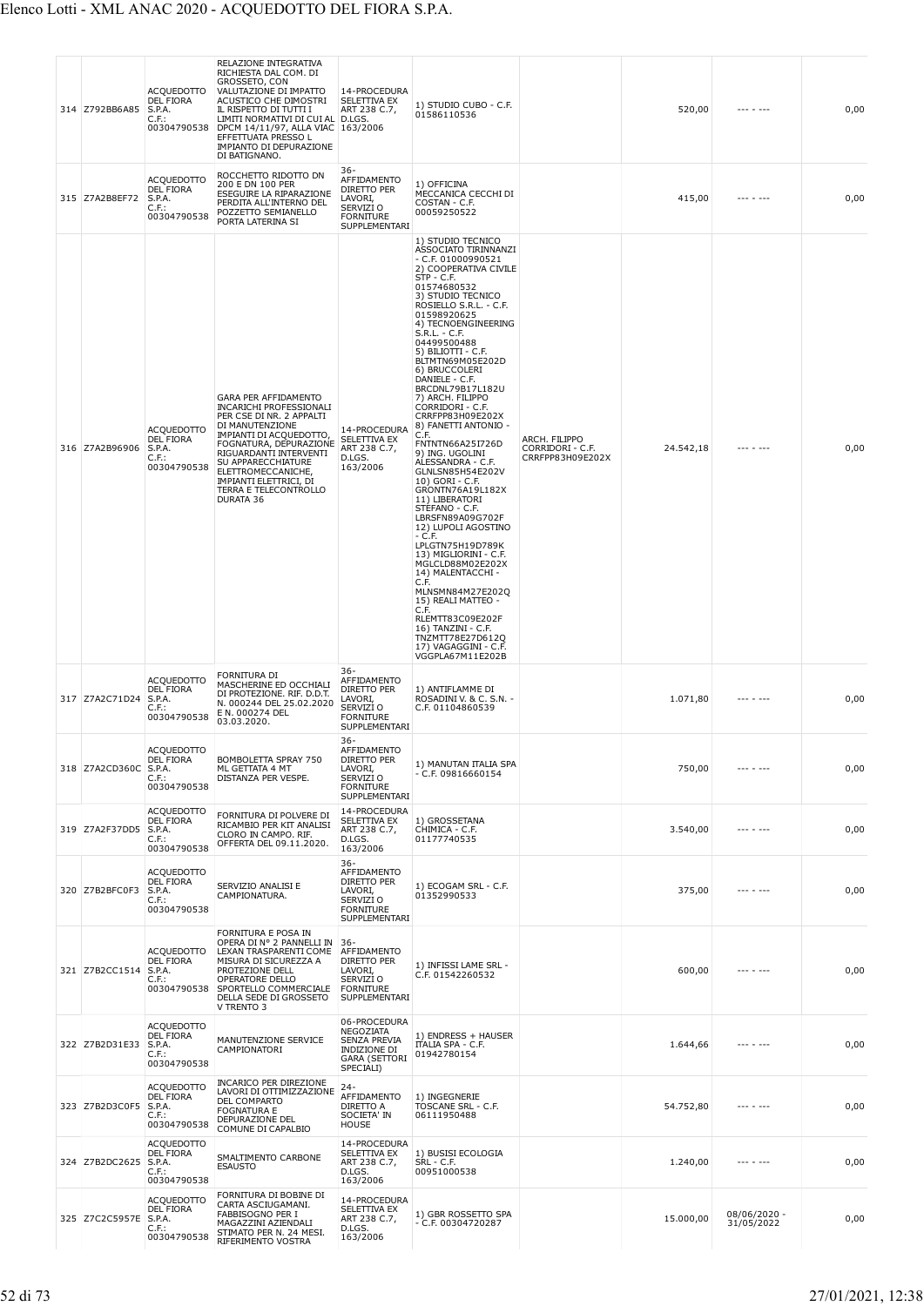| 314 Z792BB6A85 | <b>ACQUEDOTTO</b><br><b>DEL FIORA</b><br>S.P.A.<br>$C.F.$ :<br>00304790538 | RELAZIONE INTEGRATIVA<br>RICHIESTA DAL COM. DI<br>GROSSETO, CON<br>VALUTAZIONE DI IMPATTO<br>ACUSTICO CHE DIMOSTRI<br>IL RISPETTO DI TUTTI I<br>LIMITI NORMATIVI DI CUI AL D.LGS.<br>DPCM 14/11/97, ALLA VIAC 163/2006<br>EFFETTUATA PRESSO L<br>IMPIANTO DI DEPURAZIONE<br>DI BATIGNANO.               | 14-PROCEDURA<br>SELETTIVA EX<br>ART 238 C.7,                                                          | 1) STUDIO CUBO - C.F.<br>01586110536                                                                                                                                                                                                                                                                                                                                                                                                                                                                                                                                                                                                                                                                                                                                                                                                                                                                                  |                                                       | 520,00    | --- - ---                  | 0,00 |
|----------------|----------------------------------------------------------------------------|---------------------------------------------------------------------------------------------------------------------------------------------------------------------------------------------------------------------------------------------------------------------------------------------------------|-------------------------------------------------------------------------------------------------------|-----------------------------------------------------------------------------------------------------------------------------------------------------------------------------------------------------------------------------------------------------------------------------------------------------------------------------------------------------------------------------------------------------------------------------------------------------------------------------------------------------------------------------------------------------------------------------------------------------------------------------------------------------------------------------------------------------------------------------------------------------------------------------------------------------------------------------------------------------------------------------------------------------------------------|-------------------------------------------------------|-----------|----------------------------|------|
| 315 Z7A2B8EF72 | <b>ACQUEDOTTO</b><br><b>DEL FIORA</b><br>S.P.A.<br>$C.F.$ :<br>00304790538 | ROCCHETTO RIDOTTO DN<br>200 E DN 100 PER<br>ESEGUIRE LA RIPARAZIONE<br>PERDITA ALL'INTERNO DEL<br>POZZETTO SEMIANELLO<br>PORTA LATERINA SI                                                                                                                                                              | 36-<br>AFFIDAMENTO<br>DIRETTO PER<br>LAVORI,<br>SERVIZI O<br><b>FORNITURE</b><br>SUPPLEMENTARI        | 1) OFFICINA<br>MECCANICA CECCHI DI<br>COSTAN - C.F.<br>00059250522                                                                                                                                                                                                                                                                                                                                                                                                                                                                                                                                                                                                                                                                                                                                                                                                                                                    |                                                       | 415,00    | $- - - - - - - -$          | 0,00 |
| 316 Z7A2B96906 | <b>ACQUEDOTTO</b><br>DEL FIORA<br>S.P.A.<br>$C.F.$ :<br>00304790538        | GARA PER AFFIDAMENTO<br><b>INCARICHI PROFESSIONALI</b><br>PER CSE DI NR. 2 APPALTI<br>DI MANUTENZIONE<br>IMPIANTI DI ACQUEDOTTO,<br>FOGNATURA, DEPURAZIONE<br>RIGUARDANTI INTERVENTI<br>SU APPARECCHIATURE<br>ELETTROMECCANICHE,<br><b>IMPIANTI ELETTRICI, DI</b><br>TERRA E TELECONTROLLO<br>DURATA 36 | 14-PROCEDURA<br><b>SELETTIVA EX</b><br>ART 238 C.7,<br>D.LGS.<br>163/2006                             | 1) STUDIO TECNICO<br>ASSOCIATO TIRINNANZI<br>$-$ C.F. 01000990521<br>2) COOPERATIVA CIVILE<br>$STP - C.F.$<br>01574680532<br>3) STUDIO TECNICO<br>ROSIELLO S.R.L. - C.F.<br>01598920625<br>4) TECNOENGINEERING<br>S.R.L. - C.F.<br>04499500488<br>5) BILIOTTI - C.F.<br>BLTMTN69M05E202D<br>6) BRUCCOLERI<br>DANIELE - C.F.<br>BRCDNL79B17L182U<br>7) ARCH. FILIPPO<br>CORRIDORI - C.F.<br>CRRFPP83H09E202X<br>8) FANETTI ANTONIO -<br>C.F.<br>FNTNTN66A25I726D<br>9) ING. UGOLINI<br>ALESSANDRA - C.F.<br>GLNLSN85H54E202V<br>10) GORI - C.F.<br>GRONTN76A19L182X<br>11) LIBERATORI<br>STEFANO - C.F.<br>LBRSFN89A09G702F<br>12) LUPOLI AGOSTINO<br>- C.F.<br>LPLGTN75H19D789K<br>13) MIGLIORINI - C.F.<br>MGLCLD88M02E202X<br>14) MALENTACCHI -<br>C.F.<br>MLNSMN84M27E202Q<br>15) REALI MATTEO -<br>C.F.<br>RLEMTT83C09E202F<br>16) TANZINI - C.F.<br>TNZMTT78E27D612Q<br>17) VAGAGGINI - C.F.<br>VGGPLA67M11E202B | ARCH. FILIPPO<br>CORRIDORI - C.F.<br>CRRFPP83H09E202X | 24.542,18 |                            | 0,00 |
| 317 Z7A2C71D24 | <b>ACQUEDOTTO</b><br>DEL FIORA<br>S.P.A.<br>C.F.<br>00304790538            | FORNITURA DI<br>MASCHERINE ED OCCHIALI<br>DI PROTEZIONE. RIF. D.D.T.<br>N. 000244 DEL 25.02.2020<br>E N. 000274 DEL<br>03.03.2020.                                                                                                                                                                      | 36-<br>AFFIDAMENTO<br><b>DIRETTO PER</b><br>LAVORI,<br>SERVIZI O<br><b>FORNITURE</b><br>SUPPLEMENTARI | 1) ANTIFLAMME DI<br>ROSADINI V. & C. S.N. -<br>C.F. 01104860539                                                                                                                                                                                                                                                                                                                                                                                                                                                                                                                                                                                                                                                                                                                                                                                                                                                       |                                                       | 1.071,80  | $- - - - - - -$            | 0,00 |
| 318 Z7A2CD360C | <b>ACQUEDOTTO</b><br>DEL FIORA<br>S.P.A.<br>$C.F.$ :<br>00304790538        | BOMBOLETTA SPRAY 750<br>ML GETTATA 4 MT<br>DISTANZA PER VESPE.                                                                                                                                                                                                                                          | $36 -$<br>AFFIDAMENTO<br>DIRETTO PER<br>LAVORI,<br>SERVIZI O<br><b>FORNITURE</b><br>SUPPLEMENTARI     | 1) MANUTAN ITALIA SPA<br>$-$ C.F. 09816660154                                                                                                                                                                                                                                                                                                                                                                                                                                                                                                                                                                                                                                                                                                                                                                                                                                                                         |                                                       | 750,00    | --- - ---                  | 0,00 |
| 319 Z7A2F37DD5 | <b>ACQUEDOTTO</b><br><b>DEL FIORA</b><br>S.P.A.<br>$C.F.$ :<br>00304790538 | FORNITURA DI POLVERE DI<br>RICAMBIO PER KIT ANALISI<br>CLORO IN CAMPO. RIF.<br>OFFERTA DEL 09.11.2020.                                                                                                                                                                                                  | 14-PROCEDURA<br><b>SELETTIVA EX</b><br>ART 238 C.7,<br>D.LGS.<br>163/2006<br>$36 -$                   | 1) GROSSETANA<br>CHIMICA - C.F.<br>01177740535                                                                                                                                                                                                                                                                                                                                                                                                                                                                                                                                                                                                                                                                                                                                                                                                                                                                        |                                                       | 3.540,00  |                            | 0,00 |
| 320 Z7B2BFC0F3 | <b>ACQUEDOTTO</b><br><b>DEL FIORA</b><br>S.P.A.<br>$C.F.$ :<br>00304790538 | SERVIZIO ANALISI E<br>CAMPIONATURA.                                                                                                                                                                                                                                                                     | AFFIDAMENTO<br>DIRETTO PER<br>LAVORI,<br>SERVIZI <sub>O</sub><br><b>FORNITURE</b><br>SUPPLEMENTARI    | 1) ECOGAM SRL - C.F.<br>01352990533                                                                                                                                                                                                                                                                                                                                                                                                                                                                                                                                                                                                                                                                                                                                                                                                                                                                                   |                                                       | 375,00    |                            | 0,00 |
| 321 Z7B2CC1514 | <b>ACQUEDOTTO</b><br><b>DEL FIORA</b><br>S.P.A.<br>$C.F.$ :<br>00304790538 | FORNITURA E POSA IN<br>OPERA DI Nº 2 PANNELLI IN<br>LEXAN TRASPARENTI COME<br>MISURA DI SICUREZZA A<br>PROTEZIONE DELL<br>OPERATORE DELLO<br>SPORTELLO COMMERCIALE<br>DELLA SEDE DI GROSSETO<br>V TRENTO 3                                                                                              | $36 -$<br>AFFIDAMENTO<br>DIRETTO PER<br>LAVORI,<br>SERVIZI O<br><b>FORNITURE</b><br>SUPPLEMENTARI     | 1) INFISSI LAME SRL -<br>C.F. 01542260532                                                                                                                                                                                                                                                                                                                                                                                                                                                                                                                                                                                                                                                                                                                                                                                                                                                                             |                                                       | 600,00    | --- - ---                  | 0,00 |
| 322 Z7B2D31E33 | <b>ACQUEDOTTO</b><br>DEL FIORA<br>S.P.A.<br>$C.F.$ :<br>00304790538        | MANUTENZIONE SERVICE<br>CAMPIONATORI                                                                                                                                                                                                                                                                    | 06-PROCEDURA<br>NEGOZIATA<br>SENZA PREVIA<br>INDIZIONE DI<br><b>GARA (SETTORI</b><br>SPECIALI)        | 1) ENDRESS + HAUSER<br>ITALIA SPA - C.F.<br>01942780154                                                                                                                                                                                                                                                                                                                                                                                                                                                                                                                                                                                                                                                                                                                                                                                                                                                               |                                                       | 1.644,66  | $- - - - - - -$            | 0,00 |
| 323 Z7B2D3C0F5 | <b>ACQUEDOTTO</b><br><b>DEL FIORA</b><br>S.P.A.<br>C.F.:<br>00304790538    | <b>INCARICO PER DIREZIONE</b><br>LAVORI DI OTTIMIZZAZIONE<br>DEL COMPARTO<br><b>FOGNATURA E</b><br>DEPURAZIONE DEL<br>COMUNE DI CAPALBIO                                                                                                                                                                | 24-<br>AFFIDAMENTO<br>DIRETTO A<br>SOCIETA' IN<br>HOUSE                                               | 1) INGEGNERIE<br>TOSCANE SRL - C.F.<br>06111950488                                                                                                                                                                                                                                                                                                                                                                                                                                                                                                                                                                                                                                                                                                                                                                                                                                                                    |                                                       | 54.752,80 | $- - - - - - -$            | 0,00 |
| 324 Z7B2DC2625 | <b>ACQUEDOTTO</b><br><b>DEL FIORA</b><br>S.P.A.<br>$C.F.$ :<br>00304790538 | SMALTIMENTO CARBONE<br><b>ESAUSTO</b>                                                                                                                                                                                                                                                                   | 14-PROCEDURA<br>SELETTIVA EX<br>ART 238 C.7,<br>D.LGS.<br>163/2006                                    | 1) BUSISI ECOLOGIA<br>SRL - C.F.<br>00951000538                                                                                                                                                                                                                                                                                                                                                                                                                                                                                                                                                                                                                                                                                                                                                                                                                                                                       |                                                       | 1.240,00  | --- - ---                  | 0,00 |
| 325 Z7C2C5957E | <b>ACQUEDOTTO</b><br><b>DEL FIORA</b><br>S.P.A.<br>$C.F.$ :<br>00304790538 | FORNITURA DI BOBINE DI<br>CARTA ASCIUGAMANI.<br>FABBISOGNO PER I<br>MAGAZZINI AZIENDALI<br>STIMATO PER N. 24 MESI.<br>RIFERIMENTO VOSTRA                                                                                                                                                                | 14-PROCEDURA<br>SELETTIVA EX<br>ART 238 C.7,<br>D.LGS.<br>163/2006                                    | 1) GBR ROSSETTO SPA<br>- C.F. 00304720287                                                                                                                                                                                                                                                                                                                                                                                                                                                                                                                                                                                                                                                                                                                                                                                                                                                                             |                                                       | 15.000,00 | 08/06/2020 -<br>31/05/2022 | 0,00 |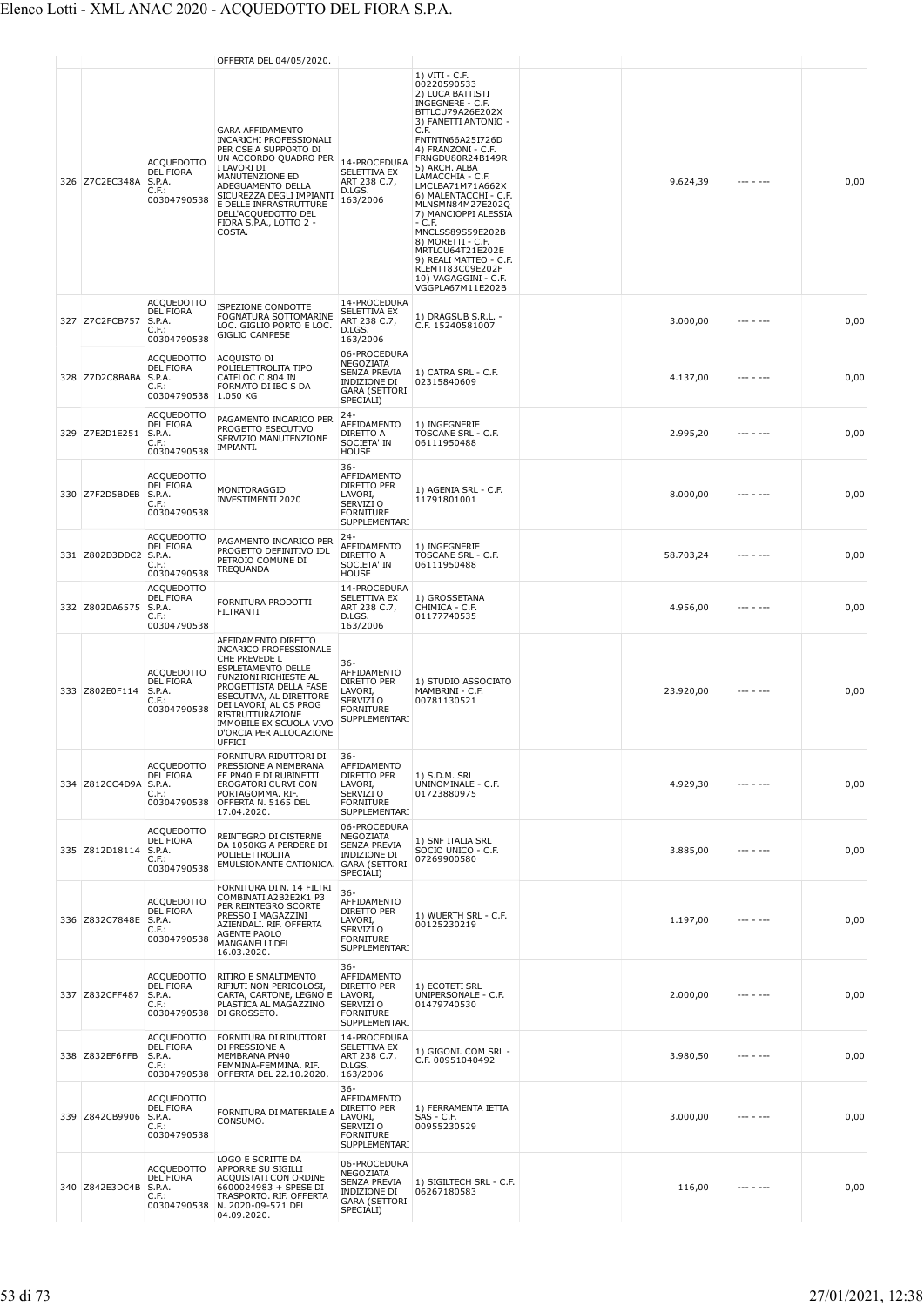|                |                                                                            | OFFERTA DEL 04/05/2020.                                                                                                                                                                                                                                                                        |                                                                                                       |                                                                                                                                                                                                                                                                                                                                                                                                                                                                                        |           |                   |      |
|----------------|----------------------------------------------------------------------------|------------------------------------------------------------------------------------------------------------------------------------------------------------------------------------------------------------------------------------------------------------------------------------------------|-------------------------------------------------------------------------------------------------------|----------------------------------------------------------------------------------------------------------------------------------------------------------------------------------------------------------------------------------------------------------------------------------------------------------------------------------------------------------------------------------------------------------------------------------------------------------------------------------------|-----------|-------------------|------|
| 326 Z7C2EC348A | <b>ACQUEDOTTO</b><br>DEL FIORA<br>S.P.A.<br>$C.F.$ :<br>00304790538        | <b>GARA AFFIDAMENTO</b><br><b>INCARICHI PROFESSIONALI</b><br>PER CSE A SUPPORTO DI<br>UN ACCORDO QUADRO PER<br>I LAVORI DI<br>MANUTENZIONE ED<br>ADEGUAMENTO DELLA<br>SICUREZZA DEGLI IMPIANTI<br>E DELLE INFRASTRUTTURE<br>DELL'ACQUEDOTTO DEL<br>FIORA S.P.A., LOTTO 2 -<br>COSTA.           | 14-PROCEDURA<br>SELETTIVA EX<br>ART 238 C.7,<br>D.LGS.<br>163/2006                                    | 1) VITI - C.F.<br>00220590533<br>2) LUCA BATTISTI<br>INGEGNERE - C.F.<br>BTTLCU79A26E202X<br>3) FANETTI ANTONIO -<br>C.F.<br>FNTNTN66A25I726D<br>4) FRANZONI - C.F.<br>FRNGDU80R24B149R<br>5) ARCH. ALBA<br>LAMACCHIA - C.F.<br>LMCLBA71M71A662X<br>6) MALENTACCHI - C.F.<br>MLNSMN84M27E202Q<br>7) MANCIOPPI ALESSIA<br>- C.F.<br>MNCLSS89S59E202B<br>8) MORETTI - C.F.<br>MRTLCU64T21E202E<br>9) REALI MATTEO - C.F.<br>RLEMTT83C09E202F<br>10) VAGAGGINI - C.F.<br>VGGPLA67M11E202B | 9.624,39  | $- - - - - - - -$ | 0,00 |
| 327 Z7C2FCB757 | <b>ACQUEDOTTO</b><br>DEL FIORA<br>S.P.A.<br>C.F.:<br>00304790538           | ISPEZIONE CONDOTTE<br>FOGNATURA SOTTOMARINE<br>LOC. GIGLIO PORTO E LOC.<br><b>GIGLIO CAMPESE</b>                                                                                                                                                                                               | 14-PROCEDURA<br>SELETTIVA EX<br>ART 238 C.7,<br>D.LGS.<br>163/2006                                    | 1) DRAGSUB S.R.L. -<br>C.F. 15240581007                                                                                                                                                                                                                                                                                                                                                                                                                                                | 3.000,00  |                   | 0,00 |
| 328 Z7D2C8BABA | <b>ACQUEDOTTO</b><br><b>DEL FIORA</b><br>S.P.A.<br>$C.F.$ :<br>00304790538 | ACQUISTO DI<br>POLIELETTROLITA TIPO<br>CATFLOC C 804 IN<br>FORMATO DI IBC S DA<br>1.050 KG                                                                                                                                                                                                     | 06-PROCEDURA<br>NEGOZIATA<br>SENZA PREVIA<br><b>INDIZIONE DI</b><br><b>GARA (SETTORI</b><br>SPECIALI) | 1) CATRA SRL - C.F.<br>02315840609                                                                                                                                                                                                                                                                                                                                                                                                                                                     | 4.137,00  | . <b>.</b>        | 0,00 |
| 329 Z7E2D1E251 | <b>ACQUEDOTTO</b><br>DEL FIORA<br>S.P.A.<br>$C.F.$ :<br>00304790538        | PAGAMENTO INCARICO PER<br>PROGETTO ESECUTIVO<br>SERVIZIO MANUTENZIONE<br><b>IMPIANTI.</b>                                                                                                                                                                                                      | 24-<br>AFFIDAMENTO<br>DIRETTO A<br>SOCIETA' IN<br><b>HOUSE</b>                                        | 1) INGEGNERIE<br>TOSCANE SRL - C.F.<br>06111950488                                                                                                                                                                                                                                                                                                                                                                                                                                     | 2.995,20  |                   | 0,00 |
| 330 Z7F2D5BDEB | <b>ACQUEDOTTO</b><br><b>DEL FIORA</b><br>S.P.A.<br>C.F.:<br>00304790538    | MONITORAGGIO<br><b>INVESTIMENTI 2020</b>                                                                                                                                                                                                                                                       | 36-<br>AFFIDAMENTO<br>DIRETTO PER<br>LAVORI,<br>SERVIZI O<br><b>FORNITURE</b><br>SUPPLEMENTARI        | 1) AGENIA SRL - C.F.<br>11791801001                                                                                                                                                                                                                                                                                                                                                                                                                                                    | 8.000.00  |                   | 0,00 |
| 331 Z802D3DDC2 | <b>ACQUEDOTTO</b><br><b>DEL FIORA</b><br>S.P.A.<br>$C.F.$ :<br>00304790538 | PAGAMENTO INCARICO PER<br>PROGETTO DEFINITIVO IDL<br>PETROIO COMUNE DI<br>TREQUANDA                                                                                                                                                                                                            | $24 -$<br>AFFIDAMENTO<br>DIRETTO A<br>SOCIETA' IN<br>HOUSE                                            | 1) INGEGNERIE<br>TOSCANE SRL - C.F.<br>06111950488                                                                                                                                                                                                                                                                                                                                                                                                                                     | 58.703,24 |                   | 0,00 |
| 332 Z802DA6575 | <b>ACQUEDOTTO</b><br>DEL FIORA<br>S.P.A.<br>$C.F.$ :<br>00304790538        | FORNITURA PRODOTTI<br><b>FILTRANTI</b>                                                                                                                                                                                                                                                         | 14-PROCEDURA<br>SELETTIVA EX<br>ART 238 C.7,<br>D.LGS.<br>163/2006                                    | 1) GROSSETANA<br>CHIMICA - C.F.<br>01177740535                                                                                                                                                                                                                                                                                                                                                                                                                                         | 4.956,00  | --- - ---         | 0,00 |
| 333 Z802E0F114 | <b>ACQUEDOTTO</b><br>DEL FIORA<br>S.P.A.<br>C.F.<br>00304790538            | AFFIDAMENTO DIRETTO<br><b>INCARICO PROFESSIONALE</b><br>CHE PREVEDE L<br><b>ESPLETAMENTO DELLE</b><br>FUNZIONI RICHIESTE AL<br>PROGETTISTA DELLA FASE<br>ESECUTIVA, AL DIRETTORE<br>DEI LAVORI, AL CS PROG<br>RISTRUTTURAZIONE<br>IMMOBILE EX SCUOLA VIVO<br>D'ORCIA PER ALLOCAZIONE<br>UFFICI | 36-<br>AFFIDAMENTO<br>DIRETTO PER<br>LAVORI,<br>SERVIZI O<br><b>FORNITURE</b><br>SUPPLEMENTARI        | 1) STUDIO ASSOCIATO<br>MAMBRINI - C.F.<br>00781130521                                                                                                                                                                                                                                                                                                                                                                                                                                  | 23.920,00 | $- - - - - - -$   | 0,00 |
| 334 Z812CC4D9A | <b>ACQUEDOTTO</b><br>DEL FIORA<br>S.P.A.<br>C.F.:<br>00304790538           | FORNITURA RIDUTTORI DI<br>PRESSIONE A MEMBRANA<br>FF PN40 E DI RUBINETTI<br>EROGATORI CURVI CON<br>PORTAGOMMA. RIF.<br>OFFERTA N. 5165 DEL<br>17.04.2020.                                                                                                                                      | 36-<br>AFFIDAMENTO<br><b>DIRETTO PER</b><br>LAVORI,<br>SERVIZI O<br><b>FORNITURE</b><br>SUPPLEMENTARI | 1) S.D.M. SRL<br>UNINOMINALE - C.F.<br>01723880975                                                                                                                                                                                                                                                                                                                                                                                                                                     | 4.929,30  | --- - ---         | 0,00 |
| 335 Z812D18114 | <b>ACOUEDOTTO</b><br><b>DEL FIORA</b><br>S.P.A.<br>$C.F.$ :<br>00304790538 | REINTEGRO DI CISTERNE<br>DA 1050KG A PERDERE DI<br>POLIELETTROLITA<br>EMULSIONANTE CATIONICA. GARA (SETTORI                                                                                                                                                                                    | 06-PROCEDURA<br><b>NEGOZIATA</b><br>SENZA PREVIA<br>INDIZIONE DI<br>SPECIALI)                         | 1) SNF ITALIA SRL<br>SÓCIO UNICO - C.F.<br>07269900580                                                                                                                                                                                                                                                                                                                                                                                                                                 | 3.885,00  | .                 | 0,00 |
| 336 Z832C7848E | <b>ACQUEDOTTO</b><br><b>DEL FIORA</b><br>S.P.A.<br>$C.F.$ :<br>00304790538 | FORNITURA DI N. 14 FILTRI<br>COMBINATI A2B2E2K1 P3<br>PER REINTEGRO SCORTE<br>PRESSO I MAGAZZINI<br>AZIENDALI. RIF. OFFERTA<br><b>AGENTE PAOLO</b><br>MANGANELLI DEL<br>16.03.2020.                                                                                                            | $36 -$<br>AFFIDAMENTO<br>DIRETTO PER<br>LAVORI,<br>SERVIZI O<br><b>FORNITURE</b><br>SUPPLEMENTARI     | 1) WUERTH SRL - C.F.<br>00125230219                                                                                                                                                                                                                                                                                                                                                                                                                                                    | 1.197,00  |                   | 0,00 |
| 337 Z832CFF487 | <b>ACQUEDOTTO</b><br><b>DEL FIORA</b><br>S.P.A.<br>$C.F.$ :<br>00304790538 | RITIRO E SMALTIMENTO<br>RIFIUTI NON PERICOLOSI,<br>CARTA, CARTONE, LEGNO E<br>PLASTICA AL MAGAZZINO<br>DI GROSSETO.                                                                                                                                                                            | 36-<br>AFFIDAMENTO<br><b>DIRETTO PER</b><br>LAVORI,<br>SERVIZI O<br><b>FORNITURE</b><br>SUPPLEMENTARI | 1) ECOTETI SRL<br>UNIPERSONALE - C.F.<br>01479740530                                                                                                                                                                                                                                                                                                                                                                                                                                   | 2.000,00  |                   | 0,00 |
| 338 Z832EF6FFB | <b>ACQUEDOTTO</b><br><b>DEL FIORA</b><br>S.P.A.<br>$C.F.$ :                | FORNITURA DI RIDUTTORI<br>DI PRESSIONE A<br>MEMBRANA PN40<br>FEMMINA-FEMMINA. RIF.<br>00304790538 OFFERTA DEL 22.10.2020.                                                                                                                                                                      | 14-PROCEDURA<br>SELETTIVA EX<br>ART 238 C.7,<br>D.LGS.<br>163/2006                                    | 1) GIGONI. COM SRL -<br>C.F. 00951040492                                                                                                                                                                                                                                                                                                                                                                                                                                               | 3.980,50  | --- - ---         | 0,00 |
| 339 Z842CB9906 | <b>ACQUEDOTTO</b><br><b>DEL FIORA</b><br>S.P.A.<br>$C.F.$ :<br>00304790538 | FORNITURA DI MATERIALE A<br>CONSUMO.                                                                                                                                                                                                                                                           | 36-<br>AFFIDAMENTO<br>DIRETTO PER<br>LAVORI,<br>SERVIZI O<br><b>FORNITURE</b><br>SUPPLEMENTARI        | 1) FERRAMENTA IETTA<br>SAS - C.F.<br>00955230529                                                                                                                                                                                                                                                                                                                                                                                                                                       | 3.000,00  |                   | 0,00 |
| 340 Z842E3DC4B | <b>ACQUEDOTTO</b><br><b>DEL FIORA</b><br>S.P.A.<br>$C.F.$ :                | LOGO E SCRITTE DA<br>APPORRE SU SIGILLI<br>ACQUISTATI CON ORDINE<br>6600024983 + SPESE DI<br>TRASPORTO. RIF. OFFERTA<br>00304790538 N. 2020-09-571 DEL<br>04.09.2020.                                                                                                                          | 06-PROCEDURA<br>NEGOZIATA<br>SENZA PREVIA<br>INDIZIONE DI<br><b>GARA (SETTORI</b><br>SPECIALI)        | 1) SIGILTECH SRL - C.F.<br>06267180583                                                                                                                                                                                                                                                                                                                                                                                                                                                 | 116,00    | --- - ---         | 0,00 |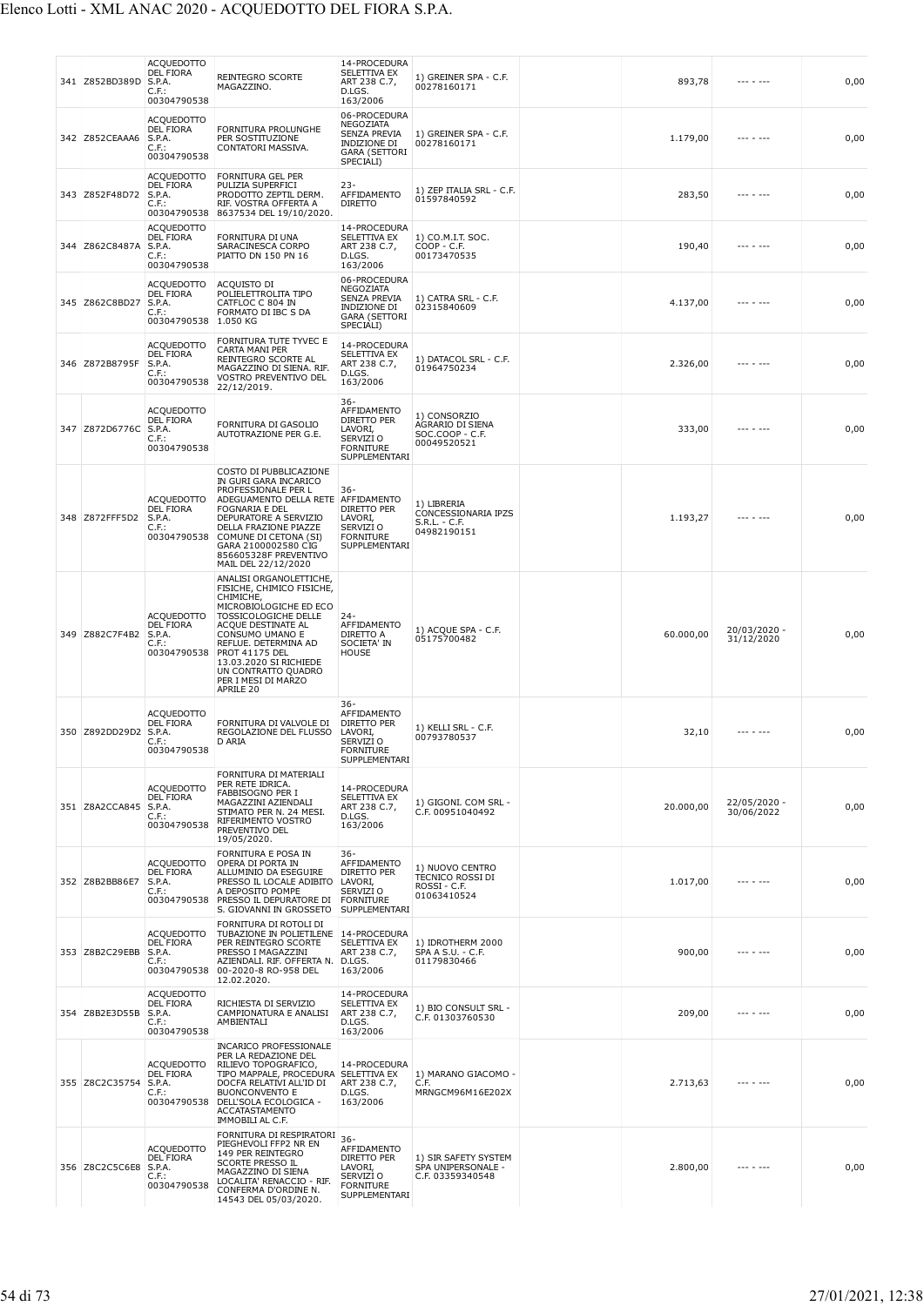|     | 341 Z852BD389D        | <b>ACQUEDOTTO</b><br><b>DEL FIORA</b><br>S.P.A.<br>$C.F.$ :<br>00304790538 | <b>REINTEGRO SCORTE</b><br>MAGAZZINO.                                                                                                                                                                                                                                                                          | 14-PROCEDURA<br>SELETTIVA EX<br>ART 238 C.7,<br>D.LGS.<br>163/2006                                    | 1) GREINER SPA - C.F.<br>00278160171                               | 893,78    | --- - ---                  | 0,00 |
|-----|-----------------------|----------------------------------------------------------------------------|----------------------------------------------------------------------------------------------------------------------------------------------------------------------------------------------------------------------------------------------------------------------------------------------------------------|-------------------------------------------------------------------------------------------------------|--------------------------------------------------------------------|-----------|----------------------------|------|
|     | 342 Z852CEAAA6        | <b>ACQUEDOTTO</b><br><b>DEL FIORA</b><br>S.P.A.<br>C.F.:<br>00304790538    | FORNITURA PROLUNGHE<br>PER SOSTITUZIONE<br>CONTATORI MASSIVA.                                                                                                                                                                                                                                                  | 06-PROCEDURA<br>NEGOZIATA<br>SENZA PREVIA<br>INDIZIONE DI<br><b>GARA (SETTORI</b><br>SPECIALI)        | 1) GREINER SPA - C.F.<br>00278160171                               | 1.179,00  | --- - ---                  | 0,00 |
|     | 343 Z852F48D72        | ACQUEDOTTO<br><b>DEL FIORA</b><br>S.P.A.<br>C.F.:                          | <b>FORNITURA GEL PER</b><br>PULIZIA SUPERFICI<br>PRODOTTO ZEPTIL DERM.<br>RIF. VOSTRA OFFERTA A<br>00304790538 8637534 DEL 19/10/2020.                                                                                                                                                                         | 23-<br>AFFIDAMENTO<br><b>DIRETTO</b>                                                                  | 1) ZEP ITALIA SRL - C.F.<br>01597840592                            | 283,50    | --- - ---                  | 0,00 |
| 344 | Z862C8487A            | <b>ACQUEDOTTO</b><br>DEL FIORA<br>S.P.A.<br>$C.F.$ :<br>00304790538        | FORNITURA DI UNA<br>SARACINESCA CORPO<br>PIATTO DN 150 PN 16                                                                                                                                                                                                                                                   | 14-PROCEDURA<br>SELETTIVA EX<br>ART 238 C.7,<br>D.LGS.<br>163/2006                                    | 1) CO.M.I.T. SOC.<br>COOP - C.F.<br>00173470535                    | 190,40    |                            | 0,00 |
|     | 345 Z862C8BD27        | <b>ACQUEDOTTO</b><br><b>DEL FIORA</b><br>S.P.A.<br>C.F.:<br>00304790538    | ACQUISTO DI<br>POLIELETTROLITA TIPO<br>CATFLOC C 804 IN<br>FORMATO DI IBC S DA<br>1.050 KG                                                                                                                                                                                                                     | 06-PROCEDURA<br>NEGOZIATA<br><b>SENZA PREVIA</b><br>INDIZIONE DI<br><b>GARA (SETTORI</b><br>SPECIALI) | 1) CATRA SRL - C.F.<br>02315840609                                 | 4.137,00  |                            | 0,00 |
|     | 346 Z872B8795F        | <b>ACQUEDOTTO</b><br><b>DEL FIORA</b><br>S.P.A.<br>$C.F.$ :<br>00304790538 | FORNITURA TUTE TYVEC E<br>CARTA MANI PER<br>REINTEGRO SCORTE AL<br>MAGAZZINO DI SIENA. RIF.<br>VOSTRO PREVENTIVO DEL<br>22/12/2019.                                                                                                                                                                            | 14-PROCEDURA<br>SELETTIVA EX<br>ART 238 C.7,<br>D.LGS.<br>163/2006                                    | 1) DATACOL SRL - C.F.<br>01964750234                               | 2.326,00  |                            | 0,00 |
|     | 347 Z872D6776C S.P.A. | <b>ACQUEDOTTO</b><br><b>DEL FIORA</b><br>C.F.<br>00304790538               | FORNITURA DI GASOLIO<br>AUTOTRAZIONE PER G.E.                                                                                                                                                                                                                                                                  | $36 -$<br>AFFIDAMENTO<br>DIRETTO PER<br>LAVORI,<br>SERVIZI O<br><b>FORNITURE</b><br>SUPPLEMENTARI     | 1) CONSORZIO<br>AGRARIO DI SIENA<br>SOC.COOP - C.F.<br>00049520521 | 333,00    |                            | 0,00 |
|     | 348 Z872FFF5D2        | <b>ACQUEDOTTO</b><br>DEL FIORA<br>S.P.A.<br>C.F.<br>00304790538            | COSTO DI PUBBLICAZIONE<br>IN GURI GARA INCARICO<br>PROFESSIONALE PER L<br>ADEGUAMENTO DELLA RETE<br><b>FOGNARIA E DEL</b><br>DEPURATORE A SERVIZIO<br>DELLA FRAZIONE PIAZZE<br>COMUNE DI CETONA (SI)<br>GARA 2100002580 CIG<br>856605328F PREVENTIVO<br>MAIL DEL 22/12/2020                                    | 36-<br>AFFIDAMENTO<br>DIRETTO PER<br>LAVORI,<br>SERVIZI O<br><b>FORNITURE</b><br>SUPPLEMENTARI        | 1) LIBRERIA<br>CONCESSIONARIA IPZS<br>S.R.L. - C.F.<br>04982190151 | 1.193,27  | --- - ---                  | 0,00 |
|     | 349 Z882C7F4B2        | <b>ACQUEDOTTO</b><br><b>DEL FIORA</b><br>S.P.A.<br>C.F.                    | ANALISI ORGANOLETTICHE,<br>FISICHE, CHIMICO FISICHE,<br>CHIMICHE,<br>MICROBIOLOGICHE ED ECO<br><b>TOSSICOLOGICHE DELLE</b><br>ACQUE DESTINATE AL<br>CONSUMO UMANO E<br>REFLUE. DETERMINA AD<br>00304790538 PROT 41175 DEL<br>13.03.2020 SI RICHIEDE<br>UN CONTRATTO QUADRO<br>PER I MESI DI MARZO<br>APRILE 20 | $24-$<br>AFFIDAMENTO<br>DIRETTO A<br>SOCIETA' IN<br><b>HOUSE</b>                                      | 1) ACQUE SPA - C.F.<br>05175700482                                 | 60.000,00 | 20/03/2020 -<br>31/12/2020 | 0,00 |
|     | 350 Z892DD29D2 S.P.A. | <b>ACQUEDOTTO</b><br><b>DEL FIORA</b><br>C.F.:<br>00304790538              | FORNITURA DI VALVOLE DI<br>REGOLAZIONE DEL FLUSSO<br>D ARIA                                                                                                                                                                                                                                                    | 36-<br>AFFIDAMENTO<br>DIRETTO PER<br>LAVORI,<br>SERVIZI O<br>FORNITURE<br>SUPPLEMENTARI               | 1) KELLI SRL - C.F.<br>00793780537                                 | 32,10     | $- - - - - - - -$          | 0,00 |
|     | 351 Z8A2CCA845        | <b>ACQUEDOTTO</b><br>DEL FIORA<br>S.P.A.<br>C.F.:<br>00304790538           | FORNITURA DI MATERIALI<br>PER RETE IDRICA.<br><b>FABBISOGNO PER I</b><br>MAGAZZINI AZIENDALI<br>STIMATO PER N. 24 MESI.<br>RIFERIMENTO VOSTRO<br>PREVENTIVO DEL<br>19/05/2020.                                                                                                                                 | 14-PROCEDURA<br>SELETTIVA EX<br>ART 238 C.7,<br>D.LGS.<br>163/2006                                    | 1) GIGONI. COM SRL -<br>C.F. 00951040492                           | 20.000.00 | 22/05/2020 -<br>30/06/2022 | 0,00 |
|     | 352 Z8B2BB86E7        | <b>ACQUEDOTTO</b><br>DEL FIORA<br>S.P.A.<br>$C.F.$ :<br>00304790538        | FORNITURA E POSA IN<br>OPERA DI PORTA IN<br>ALLUMINIO DA ESEGUIRE<br>PRESSO IL LOCALE ADIBITO<br>A DEPOSITO POMPE<br>PRESSO IL DEPURATORE DI<br>S. GIOVANNI IN GROSSETO                                                                                                                                        | $36-$<br>AFFIDAMENTO<br>DIRETTO PER<br>LAVORI,<br>SERVIZI O<br><b>FORNITURE</b><br>SUPPLEMENTARI      | 1) NUOVO CENTRO<br>TECNICO ROSSI DI<br>ROSSI - C.F.<br>01063410524 | 1.017,00  | --- - ---                  | 0,00 |
|     | 353 Z8B2C29EBB        | <b>ACQUEDOTTO</b><br><b>DEL FIORA</b><br>S.P.A.<br>C.F.:<br>00304790538    | FORNITURA DI ROTOLI DI<br>TUBAZIONE IN POLIETILENE   14-PROCEDURA<br>PER REINTEGRO SCORTE<br>PRESSO I MAGAZZINI<br>AZIENDALI. RIF. OFFERTA N.<br>00-2020-8 RO-958 DEL<br>12.02.2020.                                                                                                                           | <b>SELETTIVA EX</b><br>ART 238 C.7,<br>D.LGS.<br>163/2006                                             | 1) IDROTHERM 2000<br>SPA A S.U. - C.F.<br>01179830466              | 900,00    | --- - ---                  | 0,00 |
|     | 354 Z8B2E3D55B        | <b>ACQUEDOTTO</b><br>DEL FIORA<br>S.P.A.<br>$C.F.$ :<br>00304790538        | RICHIESTA DI SERVIZIO<br>CAMPIONATURA E ANALISI<br>AMBIENTALI                                                                                                                                                                                                                                                  | 14-PROCEDURA<br>SELETTIVA EX<br>ART 238 C.7,<br>D.LGS.<br>163/2006                                    | 1) BIO CONSULT SRL -<br>C.F. 01303760530                           | 209,00    | --- - ---                  | 0,00 |
|     | 355 Z8C2C35754        | <b>ACQUEDOTTO</b><br><b>DEL FIORA</b><br>S.P.A.<br>C.F.:<br>00304790538    | <b>INCARICO PROFESSIONALE</b><br>PER LA REDAZIONE DEL<br>RILIEVO TOPOGRAFICO<br>TIPO MAPPALE, PROCEDURA<br>DOCFA RELATIVI ALL'ID DI<br><b>BUONCONVENTO E</b><br>DELL'SOLA ECOLOGICA -<br><b>ACCATASTAMENTO</b><br>IMMOBILI AL C.F.                                                                             | 14-PROCEDURA<br><b>SELETTIVA EX</b><br>ART 238 C.7,<br>D.LGS.<br>163/2006                             | 1) MARANO GIACOMO -<br>C.F.<br>MRNGCM96M16E202X                    | 2.713,63  | --- - ---                  | 0,00 |
|     | 356 Z8C2C5C6E8        | <b>ACQUEDOTTO</b><br><b>DEL FIORA</b><br>S.P.A.<br>C.F.:<br>00304790538    | FORNITURA DI RESPIRATORI<br>PIEGHEVOLI FFP2 NR EN<br>149 PER REINTEGRO<br><b>SCORTE PRESSO IL</b><br>MAGAZZINO DI SIENA<br>LOCALITA' RENACCIO - RIF.<br>CONFERMA D'ORDINE N.<br>14543 DEL 05/03/2020.                                                                                                          | $36 -$<br>AFFIDAMENTO<br>DIRETTO PER<br>LAVORI,<br>SERVIZI O<br><b>FORNITURE</b><br>SUPPLEMENTARI     | 1) SIR SAFETY SYSTEM<br>SPA UNIPERSONALE -<br>C.F. 03359340548     | 2.800,00  |                            | 0,00 |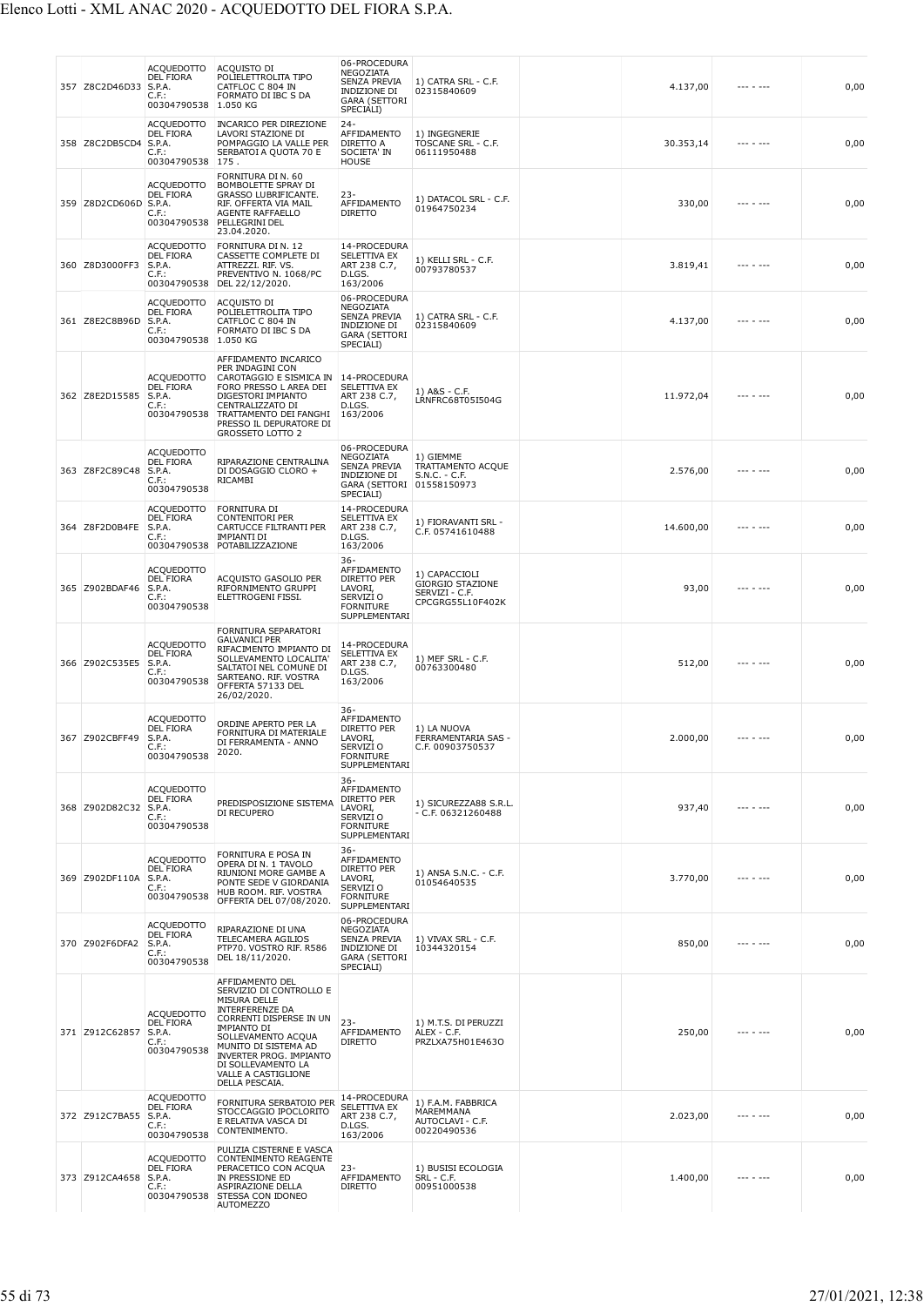## Elenco Lotti - XML ANAC 2020 - ACQUEDOTTO DEL FIORA S.P.A.

| 357 Z8C2D46D33 | <b>ACQUEDOTTO</b><br><b>DEL FIORA</b><br>S.P.A.<br>C.F.:<br>00304790538    | ACQUISTO DI<br>POLIELETTROLITA TIPO<br>CATFLOC C 804 IN<br>FORMATO DI IBC S DA<br>1.050 KG                                                                                                                                                                                           | 06-PROCEDURA<br>NEGOZIATA<br>SENZA PREVIA<br>INDIZIONE DI<br><b>GARA (SETTORI</b><br>SPECIALI)           | 1) CATRA SRL - C.F.<br>02315840609                                             | 4.137,00  |           | 0,00 |
|----------------|----------------------------------------------------------------------------|--------------------------------------------------------------------------------------------------------------------------------------------------------------------------------------------------------------------------------------------------------------------------------------|----------------------------------------------------------------------------------------------------------|--------------------------------------------------------------------------------|-----------|-----------|------|
| 358 Z8C2DB5CD4 | ACQUEDOTTO<br><b>DEL FIORA</b><br>S.P.A.<br>$C.F.$ :<br>00304790538        | <b>INCARICO PER DIREZIONE</b><br>LAVORI STAZIONE DI<br>POMPAGGIO LA VALLE PER<br>SERBATOI A QUOTA 70 E<br>175.                                                                                                                                                                       | $24 -$<br>AFFIDAMENTO<br>DIRETTO A<br>SOCIETA' IN<br><b>HOUSE</b>                                        | 1) INGEGNERIE<br>TOSCANE SRL - C.F.<br>06111950488                             | 30.353,14 | --- - --- | 0,00 |
| 359 Z8D2CD606D | ACQUEDOTTO<br><b>DEL FIORA</b><br>S.P.A.<br>$C.F.$ :<br>00304790538        | FORNITURA DI N. 60<br>BOMBOLETTE SPRAY DI<br>GRASSO LUBRIFICANTE.<br>RIF. OFFERTA VIA MAIL<br>AGENTE RAFFAELLO<br>PELLEGRINI DEL<br>23.04.2020.                                                                                                                                      | $23 -$<br>AFFIDAMENTO<br><b>DIRETTO</b>                                                                  | 1) DATACOL SRL - C.F.<br>01964750234                                           | 330,00    |           | 0,00 |
| 360 Z8D3000FF3 | ACQUEDOTTO<br><b>DEL FIORA</b><br>S.P.A.<br>C.F.<br>00304790538            | FORNITURA DI N. 12<br>CASSETTE COMPLETE DI<br>ATTREZZI. RIF. VS.<br>PREVENTIVO N. 1068/PC<br>DEL 22/12/2020.                                                                                                                                                                         | 14-PROCEDURA<br>SELETTIVA EX<br>ART 238 C.7,<br>D.LGS.<br>163/2006                                       | 1) KELLI SRL - C.F.<br>00793780537                                             | 3.819,41  | --- - --- | 0,00 |
| 361 Z8E2C8B96D | ACQUEDOTTO<br>DEL FIORA<br>S.P.A.<br>$C.F.$ :<br>00304790538 1.050 KG      | ACQUISTO DI<br>POLIELETTROLITA TIPO<br>CATFLOC C 804 IN<br>FORMATO DI IBC S DA                                                                                                                                                                                                       | 06-PROCEDURA<br>NEGOZIATA<br><b>SENZA PREVIA</b><br>INDIZIONE DI<br><b>GARA (SETTORI</b><br>SPECIALI)    | 1) CATRA SRL - C.F.<br>02315840609                                             | 4.137,00  |           | 0,00 |
| 362 Z8E2D15585 | <b>ACQUEDOTTO</b><br><b>DEL FIORA</b><br>S.P.A.<br>$C.F.$ :<br>00304790538 | AFFIDAMENTO INCARICO<br>PER INDAGINI CON<br>CAROTAGGIO E SISMICA IN<br>FORO PRESSO L AREA DEI<br>DIGESTORI IMPIANTO<br>CENTRALIZZATO DI<br>TRATTAMENTO DEI FANGHI<br>PRESSO IL DEPURATORE DI<br><b>GROSSETO LOTTO 2</b>                                                              | 14-PROCEDURA<br><b>SELETTIVA EX</b><br>ART 238 C.7,<br>D.LGS.<br>163/2006                                | 1) A&S - C.F.<br>LRNFRC68T05I504G                                              | 11.972,04 | --- - --- | 0,00 |
| 363 Z8F2C89C48 | <b>ACQUEDOTTO</b><br><b>DEL FIORA</b><br>S.P.A.<br>$C.F.$ :<br>00304790538 | RIPARAZIONE CENTRALINA<br>DI DOSAGGIO CLORO +<br>RICAMBI                                                                                                                                                                                                                             | 06-PROCEDURA<br>NEGOZIATA<br><b>SENZA PREVIA</b><br>INDIZIONE DI<br><b>GARA (SETTORI</b><br>SPECIALI)    | 1) GIEMME<br>TRATTAMENTO ACQUE<br>$S.N.C. - C.F.$<br>01558150973               | 2.576,00  |           | 0,00 |
| 364 Z8F2D0B4FE | <b>ACQUEDOTTO</b><br><b>DEL FIORA</b><br>S.P.A.<br>$C.F.$ :                | FORNITURA DI<br><b>CONTENITORI PER</b><br>CARTUCCE FILTRANTI PER<br><b>IMPIANTI DI</b><br>00304790538 POTABILIZZAZIONE                                                                                                                                                               | 14-PROCEDURA<br>SELETTIVA EX<br>ART 238 C.7,<br>D.LGS.<br>163/2006                                       | 1) FIORAVANTI SRL -<br>C.F. 05741610488                                        | 14.600,00 |           | 0,00 |
| 365 Z902BDAF46 | <b>ACQUEDOTTO</b><br><b>DEL FIORA</b><br>S.P.A.<br>$C.F.$ :<br>00304790538 | ACQUISTO GASOLIO PER<br>RIFORNIMENTO GRUPPI<br>ELETTROGENI FISSI.                                                                                                                                                                                                                    | $36 -$<br>AFFIDAMENTO<br>DIRETTO PER<br>LAVORI,<br>SERVIZI O<br><b>FORNITURE</b><br>SUPPLEMENTARI        | 1) CAPACCIOLI<br><b>GIORGIO STAZIONE</b><br>SERVIZI - C.F.<br>CPCGRG55L10F402K | 93,00     | --- - --- | 0,00 |
| 366 Z902C535E5 | <b>ACQUEDOTTO</b><br><b>DEL FIORA</b><br>S.P.A.<br>C.F.:<br>00304790538    | FORNITURA SEPARATORI<br><b>GALVANICI PER</b><br>RIFACIMENTO IMPIANTO DI<br>SOLLEVAMENTO LOCALITA'<br>SALTATOI NEL COMUNE DI<br>SARTEANO. RIF. VOSTRA<br>OFFERTA 57133 DEL<br>26/02/2020.                                                                                             | 14-PROCEDURA<br><b>SELETTIVA EX</b><br>ART 238 C.7,<br>D.LGS.<br>163/2006                                | 1) MEF SRL - C.F.<br>00763300480                                               | 512,00    |           | 0,00 |
| 367 Z902CBFF49 | <b>ACQUEDOTTO</b><br><b>DEL FIORA</b><br>S.P.A.<br>C.F.:<br>00304790538    | ORDINE APERTO PER LA<br>FORNITURA DI MATERIALE<br>DI FERRAMENTA - ANNO<br>2020.                                                                                                                                                                                                      | 36-<br>AFFIDAMENTO<br>DIRETTO PER<br>LAVORI.<br>SERVIZI O<br><b>FORNITURE</b><br>SUPPLEMENTARI           | 1) LA NUOVA<br>FERRAMENTARIA SAS -<br>C.F. 00903750537                         | 2.000,00  |           | 0,00 |
| 368 Z902D82C32 | <b>ACQUEDOTTO</b><br><b>DEL FIORA</b><br>S.P.A.<br>$C.F.$ :<br>00304790538 | PREDISPOSIZIONE SISTEMA<br>DI RECUPERO                                                                                                                                                                                                                                               | $36 -$<br>AFFIDAMENTO<br>DIRETTO PER<br>LAVORI,<br>SERVIZI O<br><b>FORNITURE</b><br>SUPPLEMENTARI        | 1) SICUREZZA88 S.R.L.<br>- C.F. 06321260488                                    | 937,40    | --- - --- | 0,00 |
| 369 Z902DF110A | <b>ACQUEDOTTO</b><br><b>DEL FIORA</b><br>S.P.A.<br>C.F.:<br>00304790538    | FORNITURA E POSA IN<br>OPERA DI N. 1 TAVOLO<br>RIUNIONI MORE GAMBE A<br>PONTE SEDE V GIORDANIA<br>HUB ROOM. RIF. VOSTRA<br>OFFERTA DEL 07/08/2020.                                                                                                                                   | $36 -$<br>AFFIDAMENTO<br><b>DIRETTO PER</b><br>LAVORI.<br>SERVIZI O<br><b>FORNITURE</b><br>SUPPLEMENTARI | 1) ANSA S.N.C. - C.F.<br>01054640535                                           | 3.770,00  |           | 0,00 |
| 370 Z902F6DFA2 | <b>ACQUEDOTTO</b><br><b>DEL FIORA</b><br>S.P.A.<br>$C.F.$ :<br>00304790538 | RIPARAZIONE DI UNA<br>TELECAMERA AGILIOS<br>PTP70. VOSTRO RIF. R586<br>DEL 18/11/2020.                                                                                                                                                                                               | 06-PROCEDURA<br>NEGOZIATA<br>SENZA PREVIA<br>INDIZIONE DI<br><b>GARA (SETTORI</b><br>SPECIALI)           | 1) VIVAX SRL - C.F.<br>10344320154                                             | 850,00    | --- - --- | 0,00 |
| 371 Z912C62857 | <b>ACQUEDOTTO</b><br><b>DEL FIORA</b><br>S.P.A.<br>$C.F.$ :<br>00304790538 | AFFIDAMENTO DEL<br>SERVIZIO DI CONTROLLO E<br>MISURA DELLE<br><b>INTERFERENZE DA</b><br>CORRENTI DISPERSE IN UN<br><b>IMPIANTO DI</b><br>SOLLEVAMENTO ACQUA<br>MUNITO DI SISTEMA AD<br><b>INVERTER PROG. IMPIANTO</b><br>DI SOLLEVAMENTO LA<br>VALLE A CASTIGLIONE<br>DELLA PESCAIA. | $23 -$<br>AFFIDAMENTO<br><b>DIRETTO</b>                                                                  | 1) M.T.S. DI PERUZZI<br>ALEX - C.F.<br>PRZLXA75H01E463O                        | 250,00    | --- - --- | 0,00 |
| 372 Z912C7BA55 | <b>ACQUEDOTTO</b><br><b>DEL FIORA</b><br>S.P.A.<br>$C.F.$ :<br>00304790538 | FORNITURA SERBATOIO PER<br>STOCCAGGIO IPOCLORITO<br>E RELATIVA VASCA DI<br>CONTENIMENTO.                                                                                                                                                                                             | 14-PROCEDURA<br>SELETTIVA EX<br>ART 238 C.7,<br>D.LGS.<br>163/2006                                       | 1) F.A.M. FABBRICA<br>MAREMMANA<br>AUTOCLAVI - C.F.<br>00220490536             | 2.023,00  | --- - --- | 0,00 |
| 373 Z912CA4658 | <b>ACQUEDOTTO</b><br>DEL FIORA<br>S.P.A.<br>C.F.:                          | PULIZIA CISTERNE E VASCA<br>CONTENIMENTO REAGENTE<br>PERACETICO CON ACQUA<br>IN PRESSIONE ED<br>ASPIRAZIONE DELLA<br>00304790538 STESSA CON IDONEO<br><b>AUTOMEZZO</b>                                                                                                               | $23-$<br>AFFIDAMENTO<br><b>DIRETTO</b>                                                                   | 1) BUSISI ECOLOGIA<br>SRL - C.F.<br>00951000538                                | 1.400,00  | --- - --- | 0,00 |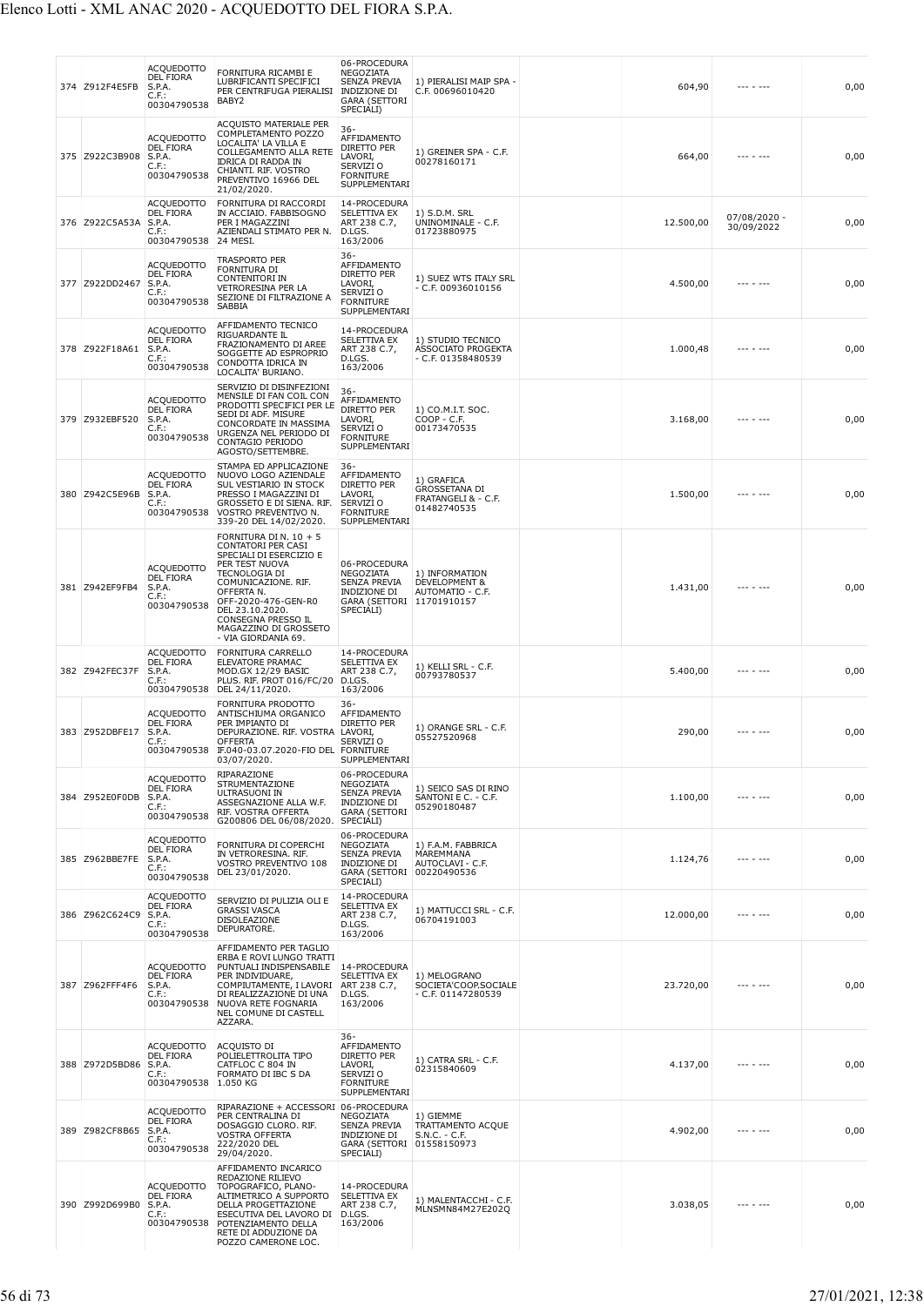| 374 Z912F4E5FB | <b>ACQUEDOTTO</b><br><b>DEL FIORA</b><br>S.P.A.<br>$C.F.$ :<br>00304790538          | FORNITURA RICAMBI E<br>LUBRIFICANTI SPECIFICI<br>PER CENTRIFUGA PIERALISI<br>BABY2                                                                                                                                                                              | 06-PROCEDURA<br>NEGOZIATA<br>SENZA PREVIA<br><b>INDIZIONE DI</b><br><b>GARA (SETTORI</b><br>SPECIALI)      | 1) PIERALISI MAIP SPA -<br>C.F. 00696010420                              | 604,90    | --- - ---                  | 0,00 |
|----------------|-------------------------------------------------------------------------------------|-----------------------------------------------------------------------------------------------------------------------------------------------------------------------------------------------------------------------------------------------------------------|------------------------------------------------------------------------------------------------------------|--------------------------------------------------------------------------|-----------|----------------------------|------|
| 375 Z922C3B908 | <b>ACQUEDOTTO</b><br><b>DEL FIORA</b><br>S.P.A.<br>C.F.:<br>00304790538             | ACQUISTO MATERIALE PER<br>COMPLETAMENTO POZZO<br>LOCALITA' LA VILLA E<br>COLLEGAMENTO ALLA RETE<br><b>IDRICA DI RADDA IN</b><br>CHIANTI. RIF. VOSTRO<br>PREVENTIVO 16966 DEL<br>21/02/2020.                                                                     | $36 -$<br>AFFIDAMENTO<br>DIRETTO PER<br>LAVORI,<br>SERVIZI O<br><b>FORNITURE</b><br>SUPPLEMENTARI          | 1) GREINER SPA - C.F.<br>00278160171                                     | 664,00    |                            | 0,00 |
| 376 Z922C5A53A | <b>ACQUEDOTTO</b><br><b>DEL FIORA</b><br>S.P.A.<br>$C.F.$ :<br>00304790538 24 MESI. | FORNITURA DI RACCORDI<br>IN ACCIAIO. FABBISOGNO<br>PER I MAGAZZINI<br>AZIENDALI STIMATO PER N.                                                                                                                                                                  | 14-PROCEDURA<br>SELETTIVA EX<br>ART 238 C.7,<br>D.LGS.<br>163/2006                                         | 1) S.D.M. SRL<br>UNINOMINALE - C.F.<br>01723880975                       | 12.500,00 | 07/08/2020 -<br>30/09/2022 | 0,00 |
| 377 Z922DD2467 | <b>ACQUEDOTTO</b><br><b>DEL FIORA</b><br>S.P.A.<br>C.F.:<br>00304790538             | <b>TRASPORTO PER</b><br>FORNITURA DI<br><b>CONTENITORI IN</b><br><b>VETRORESINA PER LA</b><br>SEZIONE DI FILTRAZIONE A<br><b>SABBIA</b>                                                                                                                         | 36-<br>AFFIDAMENTO<br>DIRETTO PER<br>LAVORI,<br>SERVIZI O<br><b>FORNITURE</b><br>SUPPLEMENTARI             | 1) SUEZ WTS ITALY SRL<br>- C.F. 00936010156                              | 4.500,00  |                            | 0,00 |
| 378 Z922F18A61 | <b>ACQUEDOTTO</b><br><b>DEL FIORA</b><br>S.P.A.<br>C.F.:<br>00304790538             | AFFIDAMENTO TECNICO<br>RIGUARDANTE IL<br>FRAZIONAMENTO DI AREE<br>SOGGETTE AD ESPROPRIO<br>CONDOTTA IDRICA IN<br>LOCALITA' BURIANO.                                                                                                                             | 14-PROCEDURA<br>SELETTIVA EX<br>ART 238 C.7,<br>D.LGS.<br>163/2006                                         | 1) STUDIO TECNICO<br>ASSOCIATO PROGEKTA<br>- C.F. 01358480539            | 1.000,48  |                            | 0,00 |
| 379 Z932EBF520 | <b>ACQUEDOTTO</b><br><b>DEL FIORA</b><br>S.P.A.<br>C.F.:<br>00304790538             | SERVIZIO DI DISINFEZIONI<br>MENSILE DI FAN COIL CON<br>PRODOTTI SPECIFICI PER LE<br>SEDI DI ADF. MISURE<br>CONCORDATE IN MASSIMA<br>URGENZA NEL PERIODO DI<br>CONTAGIO PERIODO<br>AGOSTO/SETTEMBRE.                                                             | 36-<br>AFFIDAMENTO<br>DIRETTO PER<br>LAVORI,<br>SERVIZI O<br><b>FORNITURE</b><br>SUPPLEMENTARI             | 1) CO.M.I.T. SOC.<br>$COP - C.F.$<br>00173470535                         | 3.168,00  |                            | 0,00 |
| 380 Z942C5E96B | <b>ACQUEDOTTO</b><br>DEL FIORA<br>S.P.A.<br>$C.F.$ :<br>00304790538                 | STAMPA ED APPLICAZIONE<br>NUOVO LOGO AZIENDALE<br>SUL VESTIARIO IN STOCK<br>PRESSO I MAGAZZINI DI<br>GROSSETO E DI SIENA. RIF.<br>VOSTRO PREVENTIVO N.<br>339-20 DEL 14/02/2020.                                                                                | $36 -$<br>AFFIDAMENTO<br>DIRETTO PER<br>LAVORI,<br>SERVIZI O<br><b>FORNITURE</b><br>SUPPLEMENTARI          | 1) GRAFICA<br><b>GROSSETANA DI</b><br>FRATANGELI & - C.F.<br>01482740535 | 1.500,00  |                            | 0,00 |
| 381 Z942EF9FB4 | <b>ACQUEDOTTO</b><br><b>DEL FIORA</b><br>S.P.A.<br>$C.F.$ :<br>00304790538          | FORNITURA DI N. 10 + 5<br>CONTATORI PER CASI<br>SPECIALI DI ESERCIZIO E<br>PER TEST NUOVA<br>TECNOLOGIA DI<br>COMUNICAZIONE. RIF.<br>OFFERTA N.<br>OFF-2020-476-GEN-R0<br>DEL 23.10.2020.<br>CONSEGNA PRESSO IL<br>MAGAZZINO DI GROSSETO<br>- VIA GIORDANIA 69. | 06-PROCEDURA<br>NEGOZIATA<br>SENZA PREVIA<br>INDIZIONE DI<br>GARA (SETTORI 11701910157<br>SPECIALI)        | 1) INFORMATION<br>DEVELOPMENT &<br>AUTOMATIO - C.F.                      | 1.431,00  |                            | 0,00 |
| 382 Z942FEC37F | <b>ACQUEDOTTO</b><br><b>DEL FIORA</b><br>S.P.A.<br>C.F.:                            | FORNITURA CARRELLO<br>ELEVATORE PRAMAC<br>MOD.GX 12/29 BASIC<br>PLUS. RIF. PROT 016/FC/20<br>00304790538 DEL 24/11/2020.                                                                                                                                        | 14-PROCEDURA<br>SELETTIVA EX<br>ART 238 C.7,<br>D.LGS.<br>163/2006                                         | 1) KELLI SRL - C.F.<br>00793780537                                       | 5.400,00  |                            | 0,00 |
| 383 Z952DBFE17 | <b>ACQUEDOTTO</b><br><b>DEL FIORA</b><br>S.P.A.<br>C.F.:<br>00304790538             | FORNITURA PRODOTTO<br>ANTISCHIUMA ORGANICO<br>PER IMPIANTO DI<br>DEPURAZIONE. RIF. VOSTRA<br><b>OFFERTA</b><br>IF.040-03.07.2020-FIO DEL FORNITURE<br>03/07/2020.                                                                                               | 36-<br>AFFIDAMENTO<br>DIRETTO PER<br>LAVORI,<br>SERVIZI O<br>SUPPLEMENTARI                                 | 1) ORANGE SRL - C.F.<br>05527520968                                      | 290,00    | --- - ---                  | 0,00 |
| 384 Z952E0F0DB | ACQUEDOTTO<br><b>DEL FIORA</b><br>S.P.A.<br>$C.F.$ :<br>00304790538                 | RIPARAZIONE<br>STRUMENTAZIONE<br>ULTRASUONI IN<br>ASSEGNAZIONE ALLA W.F.<br>RIF. VOSTRA OFFERTA<br>G200806 DEL 06/08/2020.                                                                                                                                      | 06-PROCEDURA<br>NEGOZIATA<br><b>SENZA PREVIA</b><br>INDIZIONE DI<br><b>GARA (SETTORI</b><br>SPECIALI)      | 1) SEICO SAS DI RINO<br>SANTONI E C. - C.F.<br>05290180487               | 1.100,00  |                            | 0,00 |
| 385 Z962BBE7FE | <b>ACQUEDOTTO</b><br><b>DEL FIORA</b><br>S.P.A.<br>$C.F.$ :<br>00304790538          | FORNITURA DI COPERCHI<br>IN VETRORESINA. RIF.<br>VOSTRO PREVENTIVO 108<br>DEL 23/01/2020.                                                                                                                                                                       | 06-PROCEDURA<br>NEGOZIATA<br>SENZA PREVIA<br><b>INDIZIONE DI</b><br>GARA (SETTORI 00220490536<br>SPECIALI) | 1) F.A.M. FABBRICA<br>MAREMMANA<br>AUTOCLAVI - C.F.                      | 1.124,76  |                            | 0,00 |
| 386 Z962C624C9 | <b>ACQUEDOTTO</b><br>DEL FIORA<br>S.P.A.<br>$C.F.$ :<br>00304790538                 | SERVIZIO DI PULIZIA OLI E<br><b>GRASSI VASCA</b><br>DISOLEAZIONE<br>DEPURATORE.                                                                                                                                                                                 | 14-PROCEDURA<br>SELETTIVA EX<br>ART 238 C.7,<br>D.LGS.<br>163/2006                                         | 1) MATTUCCI SRL - C.F.<br>06704191003                                    | 12.000,00 | .                          | 0,00 |
| 387 Z962FFF4F6 | ACQUEDOTTO<br><b>DEL FIORA</b><br>S.P.A.<br>$C.F.$ :                                | AFFIDAMENTO PER TAGLIO<br>ERBA E ROVI LUNGO TRATTI<br>PUNTUALI INDISPENSABILE<br>PER INDIVIDUARE,<br>COMPIUTAMENTE, I LAVORI<br>DI REALIZZAZIONE DI UNA<br>00304790538 NUOVA RETE FOGNARIA<br>NEL COMUNE DI CASTELL<br>AZZARA.                                  | 14-PROCEDURA<br>SELETTIVA EX<br>ART 238 C.7,<br>D.LGS.<br>163/2006                                         | 1) MELOGRANO<br>SOCIETA'COOP.SOCIALE<br>- C.F. 01147280539               | 23.720,00 | --- - ---                  | 0,00 |
| 388 Z972D5BD86 | <b>ACQUEDOTTO</b><br><b>DEL FIORA</b><br>S.P.A.<br>$C.F.$ :<br>00304790538          | ACQUISTO DI<br>POLIELETTROLITA TIPO<br>CATFLOC C 804 IN<br>FORMATO DI IBC S DA<br>1.050 KG                                                                                                                                                                      | $36 -$<br>AFFIDAMENTO<br>DIRETTO PER<br>LAVORI,<br>SERVIZI O<br><b>FORNITURE</b><br>SUPPLEMENTARI          | 1) CATRA SRL - C.F.<br>02315840609                                       | 4.137,00  | --- - ---                  | 0,00 |
| 389 Z982CF8B65 | <b>ACQUEDOTTO</b><br><b>DEL FIORA</b><br>S.P.A.<br>$C.F.$ :<br>00304790538          | RIPARAZIONE + ACCESSORI<br>PER CENTRALINA DI<br>DOSAGGIO CLORO. RIF.<br><b>VOSTRA OFFERTA</b><br>222/2020 DEL<br>29/04/2020.                                                                                                                                    | 06-PROCEDURA<br>NEGOZIATA<br>SENZA PREVIA<br>INDIZIONE DI<br>GARA (SETTORI 01558150973<br>SPECIALI)        | 1) GIEMME<br>TRATTAMENTO ACQUE<br>S.N.C. - C.F.                          | 4.902,00  |                            | 0,00 |
| 390 Z992D699B0 | <b>ACQUEDOTTO</b><br><b>DEL FIORA</b><br>S.P.A.<br>C.F.:<br>00304790538             | AFFIDAMENTO INCARICO<br>REDAZIONE RILIEVO<br>TOPOGRAFICO, PLANO-<br>ALTIMETRICO A SUPPORTO<br>DELLA PROGETTAZIONE<br>ESECUTIVA DEL LAVORO DI<br>POTENZIAMENTO DELLA<br>RETE DI ADDUZIONE DA<br>POZZO CAMERONE LOC.                                              | 14-PROCEDURA<br>SELETTIVA EX<br>ART 238 C.7,<br>D.LGS.<br>163/2006                                         | 1) MALENTACCHI - C.F.<br>MLNSMN84M27E202Q                                | 3.038,05  |                            | 0,00 |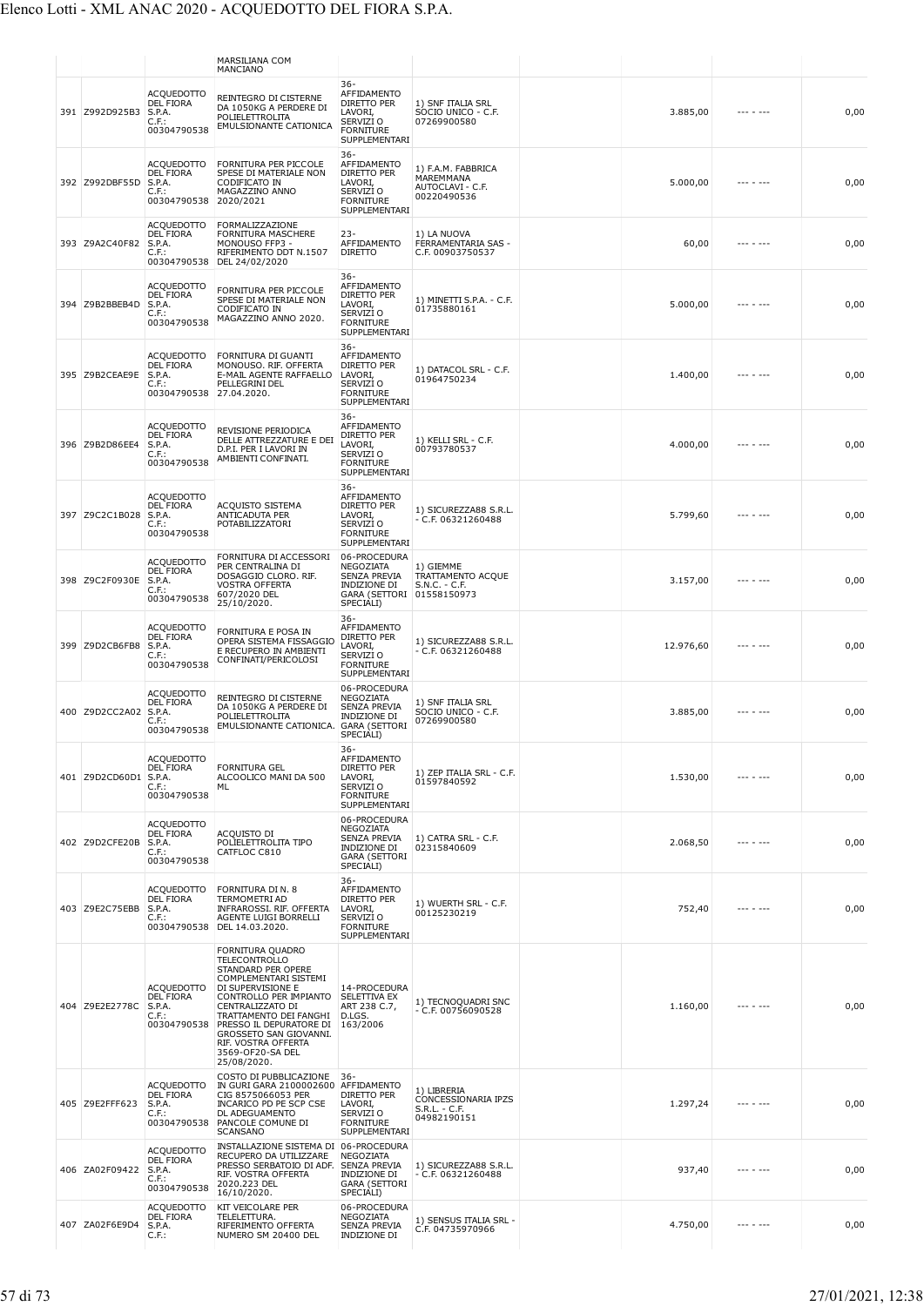|  |                       |                                                                            | MARSILIANA COM<br>MANCIANO                                                                                                                                                                                                                                                                          |                                                                                                              |                                                                    |           |                   |      |
|--|-----------------------|----------------------------------------------------------------------------|-----------------------------------------------------------------------------------------------------------------------------------------------------------------------------------------------------------------------------------------------------------------------------------------------------|--------------------------------------------------------------------------------------------------------------|--------------------------------------------------------------------|-----------|-------------------|------|
|  | 391 Z992D925B3        | <b>ACQUEDOTTO</b><br><b>DEL FIORA</b><br>S.P.A.<br>$C.F.$ :<br>00304790538 | REINTEGRO DI CISTERNE<br>DA 1050KG A PERDERE DI<br>POLIELETTROLITA<br>EMULSIONANTE CATIONICA                                                                                                                                                                                                        | $36 -$<br>AFFIDAMENTO<br>DIRETTO PER<br>LAVORI,<br>SERVIZI <sub>O</sub><br><b>FORNITURE</b><br>SUPPLEMENTARI | 1) SNF ITALIA SRL<br>SOCIO UNICO - C.F.<br>07269900580             | 3.885,00  |                   | 0,00 |
|  | 392 Z992DBF55D        | <b>ACQUEDOTTO</b><br><b>DEL FIORA</b><br>S.P.A.<br>$C.F.$ :<br>00304790538 | FORNITURA PER PICCOLE<br>SPESE DI MATERIALE NON<br>CODIFICATO IN<br>MAGAZZINO ANNO<br>2020/2021                                                                                                                                                                                                     | 36-<br><b>AFFIDAMENTO</b><br>DIRETTO PER<br>LAVORI,<br>SERVIZI O<br><b>FORNITURE</b><br>SUPPLEMENTARI        | 1) F.A.M. FABBRICA<br>MAREMMANA<br>AUTOCLAVI - C.F.<br>00220490536 | 5.000,00  | $- - - - - - - -$ | 0,00 |
|  | 393 Z9A2C40F82        | ACQUEDOTTO<br><b>DEL FIORA</b><br>S.P.A.<br>C.F.:<br>00304790538           | FORMALIZZAZIONE<br><b>FORNITURA MASCHERE</b><br>MONOUSO FFP3 -<br>RIFERIMENTO DDT N.1507<br>DEL 24/02/2020                                                                                                                                                                                          | $23 -$<br>AFFIDAMENTO<br><b>DIRETTO</b>                                                                      | 1) LA NUOVA<br>FERRAMENTARIA SAS -<br>C.F. 00903750537             | 60,00     |                   | 0,00 |
|  | 394 Z9B2BBEB4D        | <b>ACQUEDOTTO</b><br>DEL FIORA<br>S.P.A.<br>$C.F.$ :<br>00304790538        | FORNITURA PER PICCOLE<br>SPESE DI MATERIALE NON<br>CODIFICATO IN<br>MAGAZZINO ANNO 2020.                                                                                                                                                                                                            | $36 -$<br>AFFIDAMENTO<br>DIRETTO PER<br>LAVORI,<br>SERVIZI O<br><b>FORNITURE</b><br>SUPPLEMENTARI            | 1) MINETTI S.P.A. - C.F.<br>01735880161                            | 5.000,00  |                   | 0,00 |
|  | 395 Z9B2CEAE9E        | <b>ACQUEDOTTO</b><br><b>DEL FIORA</b><br>S.P.A.<br>C.F.<br>00304790538     | FORNITURA DI GUANTI<br>MONOUSO. RIF. OFFERTA<br>E-MAIL AGENTE RAFFAELLO<br>PELLEGRINI DEL<br>27.04.2020.                                                                                                                                                                                            | $36-$<br>AFFIDAMENTO<br>DIRETTO PER<br>LAVORI.<br>SERVIZI O<br><b>FORNITURE</b><br>SUPPLEMENTARI             | 1) DATACOL SRL - C.F.<br>01964750234                               | 1.400,00  |                   | 0,00 |
|  | 396 Z9B2D86EE4        | <b>ACQUEDOTTO</b><br><b>DEL FIORA</b><br>S.P.A.<br>$C.F.$ :<br>00304790538 | REVISIONE PERIODICA<br>DELLE ATTREZZATURE E DEI<br>D.P.I. PER I LAVORI IN<br>AMBIENTI CONFINATI.                                                                                                                                                                                                    | $36-$<br>AFFIDAMENTO<br>DIRETTO PER<br>LAVORI,<br>SERVIZI O<br><b>FORNITURE</b><br>SUPPLEMENTARI             | 1) KELLI SRL - C.F.<br>00793780537                                 | 4.000,00  |                   | 0,00 |
|  | 397 Z9C2C1B028        | <b>ACQUEDOTTO</b><br>DEL FIORA<br>S.P.A.<br>$C.F.$ :<br>00304790538        | ACQUISTO SISTEMA<br>ANTICADUTA PER<br>POTABILIZZATORI                                                                                                                                                                                                                                               | 36-<br>AFFIDAMENTO<br>DIRETTO PER<br>LAVORI,<br>SERVIZI O<br><b>FORNITURE</b><br>SUPPLEMENTARI               | 1) SICUREZZA88 S.R.L.<br>$- C.F. 06321260488$                      | 5.799,60  | $- - - - - - -$   | 0,00 |
|  | 398 Z9C2F0930E        | <b>ACQUEDOTTO</b><br><b>DEL FIORA</b><br>S.P.A.<br>C.F.<br>00304790538     | FORNITURA DI ACCESSORI<br>PER CENTRALINA DI<br>DOSAGGIO CLORO. RIF.<br><b>VOSTRA OFFERTA</b><br>607/2020 DEL<br>25/10/2020.                                                                                                                                                                         | 06-PROCEDURA<br>NEGOZIATA<br>SENZA PREVIA<br>INDIZIONE DI<br>GARA (SETTORI 01558150973<br>SPECIALI)          | 1) GIEMME<br>TRATTAMENTO ACQUE<br>$S.N.C. - C.F.$                  | 3.157,00  |                   | 0,00 |
|  | 399 Z9D2CB6FB8        | <b>ACQUEDOTTO</b><br>DEL FIORA<br>S.P.A.<br>C.F.:<br>00304790538           | FORNITURA E POSA IN<br>OPERA SISTEMA FISSAGGIO<br>E RECUPERO IN AMBIENTI<br>CONFINATI/PERICOLOSI                                                                                                                                                                                                    | $36 -$<br>AFFIDAMENTO<br>DIRETTO PER<br>LAVORI,<br>SERVIZI O<br><b>FORNITURE</b><br><b>SUPPLEMENTARI</b>     | 1) SICUREZZA88 S.R.L.<br>$-$ C.F. 06321260488                      | 12.976,60 |                   | 0,00 |
|  | 400 Z9D2CC2A02 S.P.A. | <b>ACQUEDOTTO</b><br><b>DEL FIORA</b><br>C.F.:<br>00304790538              | REINTEGRO DI CISTERNE<br>DA 1050KG A PERDERE DI<br>POLIELETTROLITA<br>EMULSIONANTE CATIONICA.                                                                                                                                                                                                       | 06-PROCEDURA<br>NEGOZIATA<br><b>SENZA PREVIA</b><br>INDIZIONE DI<br><b>GARA (SETTORI</b><br>SPECIALI)        | 1) SNF ITALIA SRL<br>SOCIO UNICO - C.F.<br>07269900580             | 3.885,00  |                   | 0,00 |
|  | 401 Z9D2CD60D1 S.P.A. | <b>ACQUEDOTTO</b><br><b>DEL FIORA</b><br>$C.F.$ :<br>00304790538           | <b>FORNITURA GEL</b><br>ALCOOLICO MANI DA 500<br>ML                                                                                                                                                                                                                                                 | $36 -$<br>AFFIDAMENTO<br>DIRETTO PER<br>LAVORI,<br>SERVIZI O<br><b>FORNITURE</b><br>SUPPLEMENTARI            | 1) ZEP ITALIA SRL - C.F.<br>01597840592                            | 1.530,00  | $- - - - - - -$   | 0,00 |
|  | 402 Z9D2CFE20B        | <b>ACQUEDOTTO</b><br><b>DEL FIORA</b><br>S.P.A.<br>C.F.<br>00304790538     | ACQUISTO DI<br>POLIELETTROLITA TIPO<br>CATFLOC C810                                                                                                                                                                                                                                                 | 06-PROCEDURA<br>NEGOZIATA<br>SENZA PREVIA<br>INDIZIONE DI<br><b>GARA (SETTORI</b><br>SPECIALI)               | 1) CATRA SRL - C.F.<br>02315840609                                 | 2.068,50  | $- - - - - - - -$ | 0,00 |
|  | 403 Z9E2C75EBB        | ACQUEDOTTO<br><b>DEL FIORA</b><br>S.P.A.<br>$C.F.$ :                       | FORNITURA DI N. 8<br><b>TERMOMETRI AD</b><br>INFRAROSSI. RIF. OFFERTA<br>AGENTE LUIGI BORRELLI<br>00304790538 DEL 14.03.2020.                                                                                                                                                                       | $36 -$<br>AFFIDAMENTO<br>DIRETTO PER<br>LAVORI,<br>SERVIZI O<br><b>FORNITURE</b><br>SUPPLEMENTARI            | 1) WUERTH SRL - C.F.<br>00125230219                                | 752,40    | --- - ---         | 0,00 |
|  | 404 Z9E2E2778C        | <b>ACQUEDOTTO</b><br><b>DEL FIORA</b><br>S.P.A.<br>$C.F.$ :<br>00304790538 | FORNITURA QUADRO<br><b>TELECONTROLLO</b><br>STANDARD PER OPERE<br>COMPLEMENTARI SISTEMI<br>DI SUPERVISIONE E<br>CONTROLLO PER IMPIANTO<br>CENTRALIZZATO DI<br>TRATTAMENTO DEI FANGHI<br>PRESSO IL DEPURATORE DI<br>GROSSETO SAN GIOVANNI.<br>RIF. VOSTRA OFFERTA<br>3569-OF20-SA DEL<br>25/08/2020. | 14-PROCEDURA<br>SELETTIVA EX<br>ART 238 C.7,<br>D.LGS.<br>163/2006                                           | 1) TECNOQUADRI SNC<br>$- C.F. 00756090528$                         | 1.160,00  |                   | 0,00 |
|  | 405 Z9E2FFF623        | <b>ACQUEDOTTO</b><br>DEL FIORA<br>S.P.A.<br>$C.F.$ :<br>00304790538        | COSTO DI PUBBLICAZIONE<br>IN GURI GARA 2100002600<br>CIG 8575066053 PER<br>INCARICO PD PE SCP CSE<br>DL ADEGUAMENTO<br>PANCOLE COMUNE DI<br>SCANSANO                                                                                                                                                | $36-$<br>AFFIDAMENTO<br>DIRETTO PER<br>LAVORI,<br>SERVIZI O<br><b>FORNITURE</b><br>SUPPLEMENTARI             | 1) LIBRERIA<br>CONCESSIONARIA IPZS<br>S.R.L. - C.F.<br>04982190151 | 1.297,24  |                   | 0,00 |
|  | 406 ZA02F09422        | <b>ACQUEDOTTO</b><br><b>DEL FIORA</b><br>S.P.A.<br>$C.F.$ :<br>00304790538 | INSTALLAZIONE SISTEMA DI 06-PROCEDURA<br>RECUPERO DA UTILIZZARE<br>PRESSO SERBATOIO DI ADF.<br>RIF. VOSTRA OFFERTA<br>2020.223 DEL<br>16/10/2020.                                                                                                                                                   | NEGOZIATA<br>SENZA PREVIA<br>INDIZIONE DI<br><b>GARA (SETTORI</b><br>SPECIALI)                               | 1) SICUREZZA88 S.R.L.<br>- C.F. 06321260488                        | 937,40    |                   | 0,00 |
|  | 407 ZA02F6E9D4        | <b>ACQUEDOTTO</b><br>DEL FIORA<br>S.P.A.<br>$C.F.$ :                       | <b>KIT VEICOLARE PER</b><br>TELELETTURA.<br>RIFERIMENTO OFFERTA<br>NUMERO SM 20400 DEL                                                                                                                                                                                                              | 06-PROCEDURA<br>NEGOZIATA<br><b>SENZA PREVIA</b><br><b>INDIZIONE DI</b>                                      | 1) SENSUS ITALIA SRL -<br>C.F. 04735970966                         | 4.750,00  | $- - - - - - -$   | 0,00 |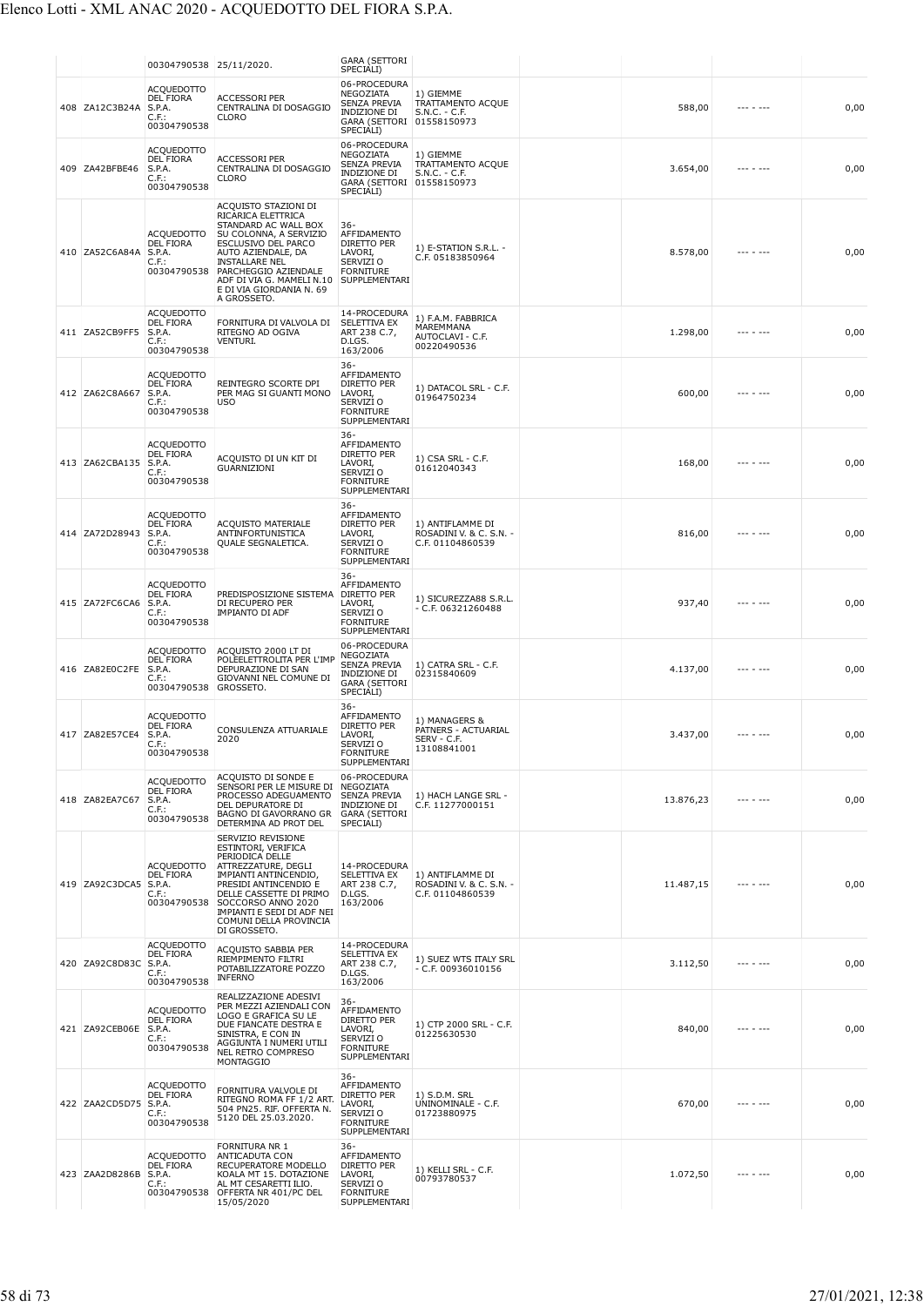|                | 00304790538 25/11/2020.                                                    |                                                                                                                                                                                                                                                                                | <b>GARA (SETTORI</b><br>SPECIALI)                                                                                 |                                                                    |           |           |      |
|----------------|----------------------------------------------------------------------------|--------------------------------------------------------------------------------------------------------------------------------------------------------------------------------------------------------------------------------------------------------------------------------|-------------------------------------------------------------------------------------------------------------------|--------------------------------------------------------------------|-----------|-----------|------|
| 408 ZA12C3B24A | <b>ACQUEDOTTO</b><br><b>DEL FIORA</b><br>S.P.A.<br>C.F.:<br>00304790538    | <b>ACCESSORI PER</b><br>CENTRALINA DI DOSAGGIO<br><b>CLORO</b>                                                                                                                                                                                                                 | 06-PROCEDURA<br>NEGOZIATA<br><b>SENZA PREVIA</b><br><b>INDIZIONE DI</b><br>GARA (SETTORI 01558150973<br>SPECIALI) | 1) GIEMME<br>TRATTAMENTO ACQUE<br>S.N.C. - C.F.                    | 588,00    |           | 0,00 |
| 409 ZA42BFBE46 | <b>ACQUEDOTTO</b><br><b>DEL FIORA</b><br>S.P.A.<br>C.F.:<br>00304790538    | <b>ACCESSORI PER</b><br>CENTRALINA DI DOSAGGIO<br><b>CLORO</b>                                                                                                                                                                                                                 | 06-PROCEDURA<br>NEGOZIATA<br>SENZA PREVIA<br>INDIZIONE DI<br>GARA (SETTORI 01558150973<br>SPECIALI)               | 1) GIEMME<br>TRATTAMENTO ACQUE<br>$S.N.C. - C.F.$                  | 3.654,00  | --- - --- | 0,00 |
| 410 ZA52C6A84A | <b>ACQUEDOTTO</b><br>DEL FIORA<br>S.P.A.<br>C.F.                           | ACQUISTO STAZIONI DI<br>RICARICA ELETTRICA<br>STANDARD AC WALL BOX<br>SU COLONNA, A SERVIZIO<br>ESCLUSIVO DEL PARCO<br>AUTO AZIENDALE, DA<br><b>INSTALLARE NEL</b><br>00304790538 PARCHEGGIO AZIENDALE<br>ADF DI VIA G. MAMELI N.10<br>E DI VIA GIORDANIA N. 69<br>A GROSSETO. | 36-<br>AFFIDAMENTO<br>DIRETTO PER<br>LAVORI,<br>SERVIZI O<br><b>FORNITURE</b><br>SUPPLEMENTARI                    | 1) E-STATION S.R.L. -<br>C.F. 05183850964                          | 8.578,00  |           | 0,00 |
| 411 ZA52CB9FF5 | <b>ACQUEDOTTO</b><br>DEL FIORA<br>S.P.A.<br>C.F.:<br>00304790538           | FORNITURA DI VALVOLA DI<br>RITEGNO AD OGIVA<br>VENTURI.                                                                                                                                                                                                                        | 14-PROCEDURA<br>SELETTIVA EX<br>ART 238 C.7,<br>D.LGS.<br>163/2006                                                | 1) F.A.M. FABBRICA<br>MAREMMANA<br>AUTOCLAVI - C.F.<br>00220490536 | 1.298,00  | --- - --- | 0,00 |
| 412 ZA62C8A667 | <b>ACQUEDOTTO</b><br>DEL FIORA<br>S.P.A.<br>$C.F.$ :<br>00304790538        | REINTEGRO SCORTE DPI<br>PER MAG SI GUANTI MONO<br><b>USO</b>                                                                                                                                                                                                                   | $36 -$<br>AFFIDAMENTO<br>DIRETTO PER<br>LAVORI,<br>SERVIZI O<br><b>FORNITURE</b><br>SUPPLEMENTARI                 | 1) DATACOL SRL - C.F.<br>01964750234                               | 600,00    |           | 0,00 |
| 413 ZA62CBA135 | <b>ACQUEDOTTO</b><br>DEL FIORA<br>S.P.A.<br>$C.F.$ :<br>00304790538        | ACQUISTO DI UN KIT DI<br>GUARNIZIONI                                                                                                                                                                                                                                           | $36 -$<br>AFFIDAMENTO<br>DIRETTO PER<br>LAVORI.<br>SERVIZI O<br><b>FORNITURE</b><br>SUPPLEMENTARI                 | 1) CSA SRL - C.F.<br>01612040343                                   | 168,00    | --- - --- | 0,00 |
| 414 ZA72D28943 | <b>ACQUEDOTTO</b><br>DEL FIORA<br>S.P.A.<br>C.F.:<br>00304790538           | <b>ACQUISTO MATERIALE</b><br>ANTINFORTUNISTICA<br>QUALE SEGNALETICA.                                                                                                                                                                                                           | $36 -$<br>AFFIDAMENTO<br><b>DIRETTO PER</b><br>LAVORI,<br>SERVIZI O<br><b>FORNITURE</b><br>SUPPLEMENTARI          | 1) ANTIFLAMME DI<br>ROSADINI V. & C. S.N. -<br>C.F. 01104860539    | 816,00    |           | 0,00 |
| 415 ZA72FC6CA6 | ACQUEDOTTO<br><b>DEL FIORA</b><br>S.P.A.<br>C.F.:<br>00304790538           | PREDISPOSIZIONE SISTEMA<br>DI RECUPERO PER<br><b>IMPIANTO DI ADF</b>                                                                                                                                                                                                           | $36 -$<br>AFFIDAMENTO<br>DIRETTO PER<br>LAVORI,<br>SERVIZI O<br><b>FORNITURE</b><br>SUPPLEMENTARI                 | 1) SICUREZZA88 S.R.L.<br>$- C.F. 06321260488$                      | 937,40    |           | 0,00 |
| 416 ZA82E0C2FE | <b>ACQUEDOTTO</b><br><b>DEL FIORA</b><br>S.P.A.<br>C.F.<br>00304790538     | ACQUISTO 2000 LT DI<br>POLEELETTROLITA PER L'IMP<br>DEPURAZIONE DI SAN<br>GIOVANNI NEL COMUNE DI<br>GROSSETO.                                                                                                                                                                  | 06-PROCEDURA<br>NEGOZIATA<br>SENZA PREVIA<br>INDIZIONE DI<br><b>GARA (SETTORI</b><br>SPECIALI)                    | 1) CATRA SRL - C.F.<br>02315840609                                 | 4.137,00  |           | 0,00 |
| 417 ZA82E57CE4 | <b>ACQUEDOTTO</b><br><b>DEL FIORA</b><br>S.P.A.<br>C.F.:<br>00304790538    | CONSULENZA ATTUARIALE<br>2020                                                                                                                                                                                                                                                  | $36 -$<br>AFFIDAMENTO<br>DIRETTO PER<br>LAVORI,<br>SERVIZI O<br><b>FORNITURE</b><br>SUPPLEMENTARI                 | 1) MANAGERS &<br>PATNERS - ACTUARIAL<br>SERV - C.F.<br>13108841001 | 3.437,00  | --- - --- | 0,00 |
| 418 ZA82EA7C67 | <b>ACQUEDOTTO</b><br><b>DEL FIORA</b><br>S.P.A.<br>$C.F.$ :<br>00304790538 | ACQUISTO DI SONDE E<br>SENSORI PER LE MISURE DI<br>PROCESSO ADEGUAMENTO<br>DEL DEPURATORE DI<br>BAGNO DI GAVORRANO GR<br>DETERMINA AD PROT DEL                                                                                                                                 | 06-PROCEDURA<br>NEGOZIATA<br><b>SENZA PREVIA</b><br>INDIZIONE DI<br><b>GARA (SETTORI</b><br>SPECIALI)             | 1) HACH LANGE SRL -<br>C.F. 11277000151                            | 13.876,23 |           | 0,00 |
| 419 ZA92C3DCA5 | <b>ACQUEDOTTO</b><br>DEL FIORA<br>S.P.A.<br>C.F.:<br>00304790538           | SERVIZIO REVISIONE<br>ESTINTORI, VERIFICA<br>PERIODICA DELLE<br>ATTREZZATURE, DEGLI<br>IMPIANTI ANTINCENDIO,<br>PRESIDI ANTINCENDIO È<br>DELLE CASSETTE DI PRIMO<br>SOCCORSO ANNO 2020<br>IMPIANTI E SEDI DI ADF NEI<br>COMUNI DELLA PROVINCIA<br>DI GROSSETO.                 | 14-PROCEDURA<br>SELETTIVA EX<br>ART 238 C.7,<br>D.LGS.<br>163/2006                                                | 1) ANTIFLAMME DI<br>ROSADINI V. & C. S.N. -<br>C.F. 01104860539    | 11.487,15 |           | 0,00 |
| 420 ZA92C8D83C | <b>ACQUEDOTTO</b><br><b>DEL FIORA</b><br>S.P.A.<br>C.F.:<br>00304790538    | ACQUISTO SABBIA PER<br>RIEMPIMENTO FILTRI<br>POTABILIZZATORE POZZO<br><b>INFERNO</b>                                                                                                                                                                                           | 14-PROCEDURA<br>SELETTIVA EX<br>ART 238 C.7,<br>D.LGS.<br>163/2006                                                | 1) SUEZ WTS ITALY SRL<br>$-$ C.F. 00936010156                      | 3.112,50  |           | 0,00 |
| 421 ZA92CEB06E | <b>ACQUEDOTTO</b><br>DEL FIORA<br>S.P.A.<br>C.F.:<br>00304790538           | REALIZZAZIONE ADESIVI<br>PER MEZZI AZIENDALI CON<br>LOGO E GRAFICA SU LE<br>DUE FIANCATE DESTRA E<br>SINISTRA, E CON IN<br>AGGIUNTA I NUMERI UTILI<br>NEL RETRO COMPRESO<br>MONTAGGIO                                                                                          | 36-<br>AFFIDAMENTO<br>DIRETTO PER<br>LAVORI,<br>SERVIZI O<br><b>FORNITURE</b><br>SUPPLEMENTARI                    | 1) CTP 2000 SRL - C.F.<br>01225630530                              | 840,00    | --- - --- | 0,00 |
| 422 ZAA2CD5D75 | ACQUEDOTTO<br><b>DEL FIORA</b><br>S.P.A.<br>C.F.:<br>00304790538           | FORNITURA VALVOLE DI<br>RITEGNO ROMA FF 1/2 ART.<br>504 PN25. RIF. OFFERTA N.<br>5120 DEL 25.03.2020.                                                                                                                                                                          | 36-<br>AFFIDAMENTO<br>DIRETTO PER<br>LAVORI,<br>SERVIZI O<br><b>FORNITURE</b><br>SUPPLEMENTARI                    | 1) S.D.M. SRL<br>UNINOMINALE - C.F.<br>01723880975                 | 670,00    | --- - --- | 0,00 |
| 423 ZAA2D8286B | <b>ACQUEDOTTO</b><br>DEL FIORA<br>S.P.A.<br>$C.F.$ :<br>00304790538        | FORNITURA NR 1<br>ANTICADUTA CON<br>RECUPERATORE MODELLO<br>KOALA MT 15. DOTAZIONE<br>AL MT CESARETTI ILIO.<br>OFFERTA NR 401/PC DEL<br>15/05/2020                                                                                                                             | $36 -$<br>AFFIDAMENTO<br>DIRETTO PER<br>LAVORI,<br>SERVIZI O<br><b>FORNITURE</b><br>SUPPLEMENTARI                 | 1) KELLI SRL - C.F.<br>00793780537                                 | 1.072,50  |           | 0,00 |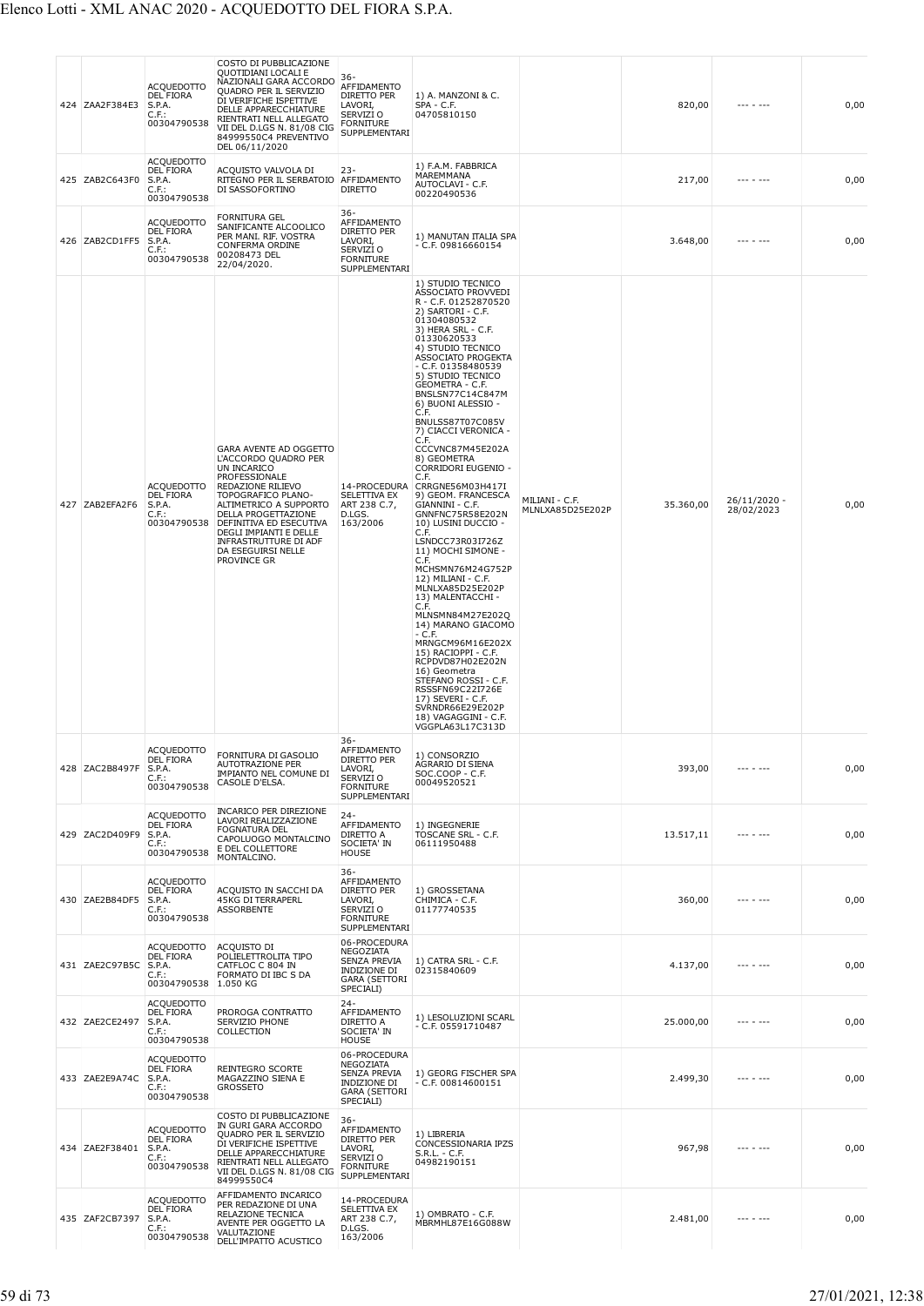| 424 ZAA2F384E3 | <b>ACQUEDOTTO</b><br><b>DEL FIORA</b><br>S.P.A.<br>C.F.:<br>00304790538    | COSTO DI PUBBLICAZIONE<br>QUOTIDIANI LOCALI E<br>NAZIONALI GARA ACCORDO<br>QUADRO PER IL SERVIZIO<br>DI VERIFICHE ISPETTIVE<br>DELLE APPARECCHIATURE<br>RIENTRATI NELL ALLEGATO<br>VII DEL D.LGS N. 81/08 CIG<br>84999550C4 PREVENTIVO<br>DEL 06/11/2020                                      | $36 -$<br>AFFIDAMENTO<br>DIRETTO PER<br>LAVORI,<br>SERVIZI O<br><b>FORNITURE</b><br>SUPPLEMENTARI     | 1) A. MANZONI & C.<br>SPA - C.F.<br>04705810150                                                                                                                                                                                                                                                                                                                                                                                                                                                                                                                                                                                                                                                                                                                                                                                                                                                                                                                           |                                    | 820,00    | --- - ---                  | 0,00 |
|----------------|----------------------------------------------------------------------------|-----------------------------------------------------------------------------------------------------------------------------------------------------------------------------------------------------------------------------------------------------------------------------------------------|-------------------------------------------------------------------------------------------------------|---------------------------------------------------------------------------------------------------------------------------------------------------------------------------------------------------------------------------------------------------------------------------------------------------------------------------------------------------------------------------------------------------------------------------------------------------------------------------------------------------------------------------------------------------------------------------------------------------------------------------------------------------------------------------------------------------------------------------------------------------------------------------------------------------------------------------------------------------------------------------------------------------------------------------------------------------------------------------|------------------------------------|-----------|----------------------------|------|
| 425 ZAB2C643F0 | <b>ACQUEDOTTO</b><br><b>DEL FIORA</b><br>S.P.A.<br>$C.F.$ :<br>00304790538 | ACQUISTO VALVOLA DI<br>RITEGNO PER IL SERBATOIO<br>DI SASSOFORTINO                                                                                                                                                                                                                            | $23 -$<br>AFFIDAMENTO<br><b>DIRETTO</b>                                                               | 1) F.A.M. FABBRICA<br>MAREMMANA<br>AUTOCLAVI - C.F.<br>00220490536                                                                                                                                                                                                                                                                                                                                                                                                                                                                                                                                                                                                                                                                                                                                                                                                                                                                                                        |                                    | 217,00    | --- - ---                  | 0,00 |
| 426 ZAB2CD1FF5 | <b>ACOUEDOTTO</b><br>DEL FIORA<br>S.P.A.<br>C.F.:<br>00304790538           | <b>FORNITURA GEL</b><br>SANIFICANTE ALCOOLICO<br>PER MANI. RIF. VOSTRA<br><b>CONFERMA ORDINE</b><br>00208473 DEL<br>22/04/2020.                                                                                                                                                               | $36 -$<br>AFFIDAMENTO<br>DIRETTO PER<br>LAVORI,<br>SERVIZI O<br><b>FORNITURE</b><br>SUPPLEMENTARI     | 1) MANUTAN ITALIA SPA<br>$-$ C.F. 09816660154                                                                                                                                                                                                                                                                                                                                                                                                                                                                                                                                                                                                                                                                                                                                                                                                                                                                                                                             |                                    | 3.648,00  |                            | 0,00 |
| 427 ZAB2EFA2F6 | <b>ACQUEDOTTO</b><br><b>DEL FIORA</b><br>S.P.A.<br>$C.F.$ :<br>00304790538 | GARA AVENTE AD OGGETTO<br>L'ACCORDO QUADRO PER<br>UN INCARICO<br>PROFESSIONALE<br>REDAZIONE RILIEVO<br>TOPOGRAFICO PLANO-<br>ALTIMETRICO A SUPPORTO<br>DELLA PROGETTAZIONE<br>DEFINITIVA ED ESECUTIVA<br>DEGLI IMPIANTI E DELLE<br>INFRASTRUTTURE DI ADF<br>DA ESEGUIRSI NELLE<br>PROVINCE GR | SELETTIVA EX<br>ART 238 C.7,<br>D.LGS.<br>163/2006                                                    | 1) STUDIO TECNICO<br>ASSOCIATO PROVVEDI<br>R - C.F. 01252870520<br>2) SARTORI - C.F.<br>01304080532<br>3) HERA SRL - C.F.<br>01330620533<br>4) STUDIO TECNICO<br>ASSOCIATO PROGEKTA<br>- C.F. 01358480539<br>5) STUDIO TECNICO<br>GEOMETRA - C.F.<br>BNSLSN77C14C847M<br>6) BUONI ALESSIO -<br>C.F.<br>BNULSS87T07C085V<br>7) CIACCI VERONICA -<br>C.F.<br>CCCVNC87M45E202A<br>8) GEOMETRA<br>CORRIDORI EUGENIO -<br>C.F.<br>14-PROCEDURA CRRGNE56M03H417I<br>9) GEOM. FRANCESCA<br>GIANNINI - C.F.<br>GNNFNC75R58E202N<br>10) LUSINI DUCCIO -<br>C.F.<br>LSNDCC73R03I726Z<br>11) MOCHI SIMONE -<br>C.F.<br>MCHSMN76M24G752P<br>12) MILIANI - C.F.<br>MLNLXA85D25E202P<br>13) MALENTACCHI -<br>C.F.<br>MLNSMN84M27E202Q<br>14) MARANO GIACOMO<br>$- C.F.$<br>MRNGCM96M16E202X<br>15) RACIOPPI - C.F.<br>RCPDVD87H02E202N<br>16) Geometra<br>STEFANO ROSSI - C.F.<br>RSSSFN69C22I726E<br>17) SEVERI - C.F.<br>SVRNDR66E29E202P<br>18) VAGAGGINI - C.F.<br>VGGPLA63L17C313D | MILIANI - C.F.<br>MLNLXA85D25E202P | 35.360,00 | 26/11/2020 -<br>28/02/2023 | 0,00 |
| 428 ZAC2B8497F | <b>ACOUEDOTTO</b><br>DEL FIORA<br>S.P.A.<br>$C.F.$ :<br>00304790538        | FORNITURA DI GASOLIO<br><b>AUTOTRAZIONE PER</b><br>IMPIANTO NEL COMUNE DI<br>CASOLE D'ELSA.                                                                                                                                                                                                   | 36-<br>AFFIDAMENTO<br>DIRETTO PER<br>LAVORI,<br>SERVIZI O<br><b>FORNITURE</b><br>SUPPLEMENTARI        | 1) CONSORZIO<br>AGRARIO DI SIENA<br>SOC.COOP - C.F.<br>00049520521                                                                                                                                                                                                                                                                                                                                                                                                                                                                                                                                                                                                                                                                                                                                                                                                                                                                                                        |                                    | 393,00    | --- - ---                  | 0,00 |
| 429 ZAC2D409F9 | <b>ACOUEDOTTO</b><br><b>DEL FIORA</b><br>S.P.A.<br>C.F.:<br>00304790538    | <b>INCARICO PER DIREZIONE</b><br>LAVORI REALIZZAZIONE<br><b>FOGNATURA DEL</b><br>CAPOLUOGO MONTALCINO<br>E DEL COLLETTORE<br>MONTALCINO.                                                                                                                                                      | $24 -$<br>AFFIDAMENTO<br>DIRETTO A<br>SOCIETA' IN<br><b>HOUSE</b>                                     | 1) INGEGNERIE<br>TOSCANE SRL - C.F.<br>06111950488                                                                                                                                                                                                                                                                                                                                                                                                                                                                                                                                                                                                                                                                                                                                                                                                                                                                                                                        |                                    | 13.517,11 | --- - ---                  | 0,00 |
| 430 ZAE2B84DF5 | <b>ACQUEDOTTO</b><br><b>DEL FIORA</b><br>S.P.A.<br>C.F.:<br>00304790538    | ACQUISTO IN SACCHI DA<br><b>45KG DI TERRAPERL</b><br><b>ASSORBENTE</b>                                                                                                                                                                                                                        | 36-<br>AFFIDAMENTO<br><b>DIRETTO PER</b><br>LAVORI,<br>SERVIZI O<br><b>FORNITURE</b><br>SUPPLEMENTARI | 1) GROSSETANA<br>CHIMICA - C.F.<br>01177740535                                                                                                                                                                                                                                                                                                                                                                                                                                                                                                                                                                                                                                                                                                                                                                                                                                                                                                                            |                                    | 360,00    |                            | 0,00 |
| 431 ZAE2C97B5C | <b>ACQUEDOTTO</b><br><b>DEL FIORA</b><br>S.P.A.<br>$C.F.$ :<br>00304790538 | ACQUISTO DI<br>POLIELETTROLITA TIPO<br>CATFLOC C 804 IN<br>FORMATO DI IBC S DA<br>1.050 KG                                                                                                                                                                                                    | 06-PROCEDURA<br>NEGOZIATA<br>SENZA PREVIA<br>INDIZIONE DI<br><b>GARA (SETTORI</b><br>SPECIALI)        | 1) CATRA SRL - C.F.<br>02315840609                                                                                                                                                                                                                                                                                                                                                                                                                                                                                                                                                                                                                                                                                                                                                                                                                                                                                                                                        |                                    | 4.137,00  |                            | 0,00 |
| 432 ZAE2CE2497 | <b>ACQUEDOTTO</b><br><b>DEL FIORA</b><br>S.P.A.<br>C.F.:<br>00304790538    | PROROGA CONTRATTO<br>SERVIZIO PHONE<br>COLLECTION                                                                                                                                                                                                                                             | $24 -$<br>AFFIDAMENTO<br>DIRETTO A<br>SOCIETA' IN<br><b>HOUSE</b>                                     | 1) LESOLUZIONI SCARL<br>- C.F. 05591710487                                                                                                                                                                                                                                                                                                                                                                                                                                                                                                                                                                                                                                                                                                                                                                                                                                                                                                                                |                                    | 25.000,00 |                            | 0,00 |
| 433 ZAE2E9A74C | <b>ACQUEDOTTO</b><br><b>DEL FIORA</b><br>S.P.A.<br>$C.F.$ :<br>00304790538 | <b>REINTEGRO SCORTE</b><br>MAGAZZINO SIENA E<br><b>GROSSETO</b>                                                                                                                                                                                                                               | 06-PROCEDURA<br>NEGOZIATA<br><b>SENZA PREVIA</b><br>INDIZIONE DI<br><b>GARA (SETTORI</b><br>SPECIALI) | 1) GEORG FISCHER SPA<br>- C.F. 00814600151                                                                                                                                                                                                                                                                                                                                                                                                                                                                                                                                                                                                                                                                                                                                                                                                                                                                                                                                |                                    | 2.499,30  |                            | 0,00 |
| 434 ZAE2F38401 | <b>ACQUEDOTTO</b><br><b>DEL FIORA</b><br>S.P.A.<br>$C.F.$ :<br>00304790538 | COSTO DI PUBBLICAZIONE<br>IN GURI GARA ACCORDO<br>QUADRO PER IL SERVIZIO<br>DI VERIFICHE ISPETTIVE<br>DELLE APPARECCHIATURE<br>RIENTRATI NELL ALLEGATO<br>VII DEL D.LGS N. 81/08 CIG<br>84999550C4                                                                                            | $36 -$<br>AFFIDAMENTO<br>DIRETTO PER<br>LAVORI,<br>SERVIZI O<br><b>FORNITURE</b><br>SUPPLEMENTARI     | 1) LIBRERIA<br>CONCESSIONARIA IPZS<br>$S.R.L. - C.F.$<br>04982190151                                                                                                                                                                                                                                                                                                                                                                                                                                                                                                                                                                                                                                                                                                                                                                                                                                                                                                      |                                    | 967,98    |                            | 0,00 |
| 435 ZAF2CB7397 | <b>ACQUEDOTTO</b><br><b>DEL FIORA</b><br>S.P.A.<br>$C.F.$ :<br>00304790538 | AFFIDAMENTO INCARICO<br>PER REDAZIONE DI UNA<br>RELAZIONE TECNICA<br>AVENTE PER OGGETTO LA<br>VALUTAZIONE<br>DELL'IMPATTO ACUSTICO                                                                                                                                                            | 14-PROCEDURA<br>SELETTIVA EX<br>ART 238 C.7,<br>D.LGS.<br>163/2006                                    | 1) OMBRATO - C.F.<br>MBRMHL87E16G088W                                                                                                                                                                                                                                                                                                                                                                                                                                                                                                                                                                                                                                                                                                                                                                                                                                                                                                                                     |                                    | 2.481,00  | --- - ---                  | 0,00 |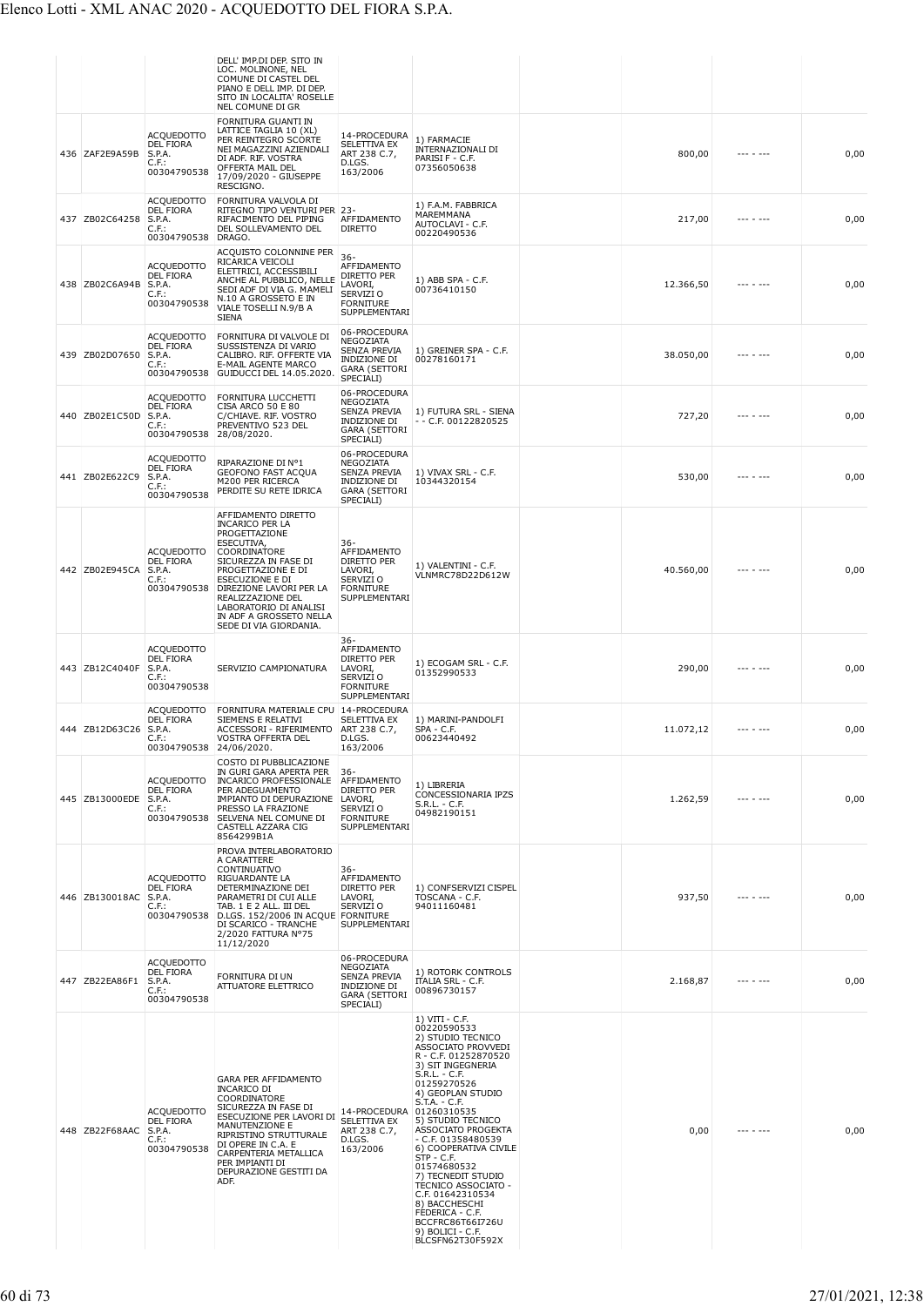|                       |                                                                            | DELL' IMP.DI DEP. SITO IN<br>LOC. MOLINONE, NEL<br>COMUNE DI CASTEL DEL<br>PIANO E DELL IMP. DI DEP.<br>SITO IN LOCALITA' ROSELLE<br>NEL COMUNE DI GR                                                                                                                                        |                                                                                                              |                                                                                                                                                                                                                                                                                                                                                                                                                                                                                              |           |           |      |
|-----------------------|----------------------------------------------------------------------------|----------------------------------------------------------------------------------------------------------------------------------------------------------------------------------------------------------------------------------------------------------------------------------------------|--------------------------------------------------------------------------------------------------------------|----------------------------------------------------------------------------------------------------------------------------------------------------------------------------------------------------------------------------------------------------------------------------------------------------------------------------------------------------------------------------------------------------------------------------------------------------------------------------------------------|-----------|-----------|------|
| 436 ZAF2E9A59B        | <b>ACQUEDOTTO</b><br>DEL FIORA<br>S.P.A.<br>$C.F.$ :<br>00304790538        | FORNITURA GUANTI IN<br>LATTICE TAGLIA 10 (XL)<br>PER REINTEGRO SCORTE<br>NEI MAGAZZINI AZIENDALI<br>DI ADF. RIF. VOSTRA<br>OFFERTA MAIL DEL<br>17/09/2020 - GIUSEPPE<br>RESCIGNO.                                                                                                            | 14-PROCEDURA<br>SELETTIVA EX<br>ART 238 C.7,<br>D.LGS.<br>163/2006                                           | 1) FARMACIE<br>INTERNAZIONALI DI<br>PARISI F - C.F.<br>07356050638                                                                                                                                                                                                                                                                                                                                                                                                                           | 800,00    |           | 0,00 |
| 437 ZB02C64258        | ACQUEDOTTO<br>DEL FIORA<br>S.P.A.<br>C.F.<br>00304790538 DRAGO.            | FORNITURA VALVOLA DI<br>RITEGNO TIPO VENTURI PER 23-<br>RIFACIMENTO DEL PIPING<br>DEL SOLLEVAMENTO DEL                                                                                                                                                                                       | AFFIDAMENTO<br><b>DIRETTO</b>                                                                                | 1) F.A.M. FABBRICA<br>MAREMMANA<br>AUTOCLAVI - C.F.<br>00220490536                                                                                                                                                                                                                                                                                                                                                                                                                           | 217,00    | --- - --- | 0,00 |
| 438 ZB02C6A94B        | ACQUEDOTTO<br>DEL FIORA<br>S.P.A.<br>C.F.:<br>00304790538                  | ACQUISTO COLONNINE PER<br>RICARICA VEICOLI<br>ELETTRICI, ACCESSIBILI<br>ANCHE AL PUBBLICO, NELLE<br>SEDI ADF DI VIA G. MAMELI<br>N.10 A GROSSETO E IN<br>VIALE TOSELLI N.9/B A<br><b>SIENA</b>                                                                                               | $36 -$<br>AFFIDAMENTO<br>DIRETTO PER<br>LAVORI,<br>SERVIZI O<br><b>FORNITURE</b><br>SUPPLEMENTARI            | 1) ABB SPA - C.F.<br>00736410150                                                                                                                                                                                                                                                                                                                                                                                                                                                             | 12.366,50 |           | 0,00 |
| 439 ZB02D07650        | <b>ACQUEDOTTO</b><br>DEL FIORA<br>S.P.A.<br>C.F.:<br>00304790538           | FORNITURA DI VALVOLE DI<br>SUSSISTENZA DI VARIO<br>CALIBRO. RIF. OFFERTE VIA<br>E-MAIL AGENTE MARCO<br>GUIDUCCI DEL 14.05.2020.                                                                                                                                                              | 06-PROCEDURA<br>NEGOZIATA<br><b>SENZA PREVIA</b><br>INDIZIONE DI<br><b>GARA (SETTORI</b><br>SPECIALI)        | 1) GREINER SPA - C.F.<br>00278160171                                                                                                                                                                                                                                                                                                                                                                                                                                                         | 38.050,00 | .         | 0,00 |
| 440 ZB02E1C50D        | <b>ACQUEDOTTO</b><br><b>DEL FIORA</b><br>S.P.A.<br>C.F.:<br>00304790538    | FORNITURA LUCCHETTI<br>CISA ARCO 50 E 80<br>C/CHIAVE. RIF. VOSTRO<br>PREVENTIVO 523 DEL<br>28/08/2020.                                                                                                                                                                                       | 06-PROCEDURA<br>NEGOZIATA<br>SENZA PREVIA<br>INDIZIONE DI<br><b>GARA (SETTORI</b><br>SPECIALI)               | 1) FUTURA SRL - SIENA<br>- - C.F. 00122820525                                                                                                                                                                                                                                                                                                                                                                                                                                                | 727,20    |           | 0,00 |
| 441 ZB02E622C9        | <b>ACQUEDOTTO</b><br><b>DEL FIORA</b><br>S.P.A.<br>$C.F.$ :<br>00304790538 | RIPARAZIONE DI Nº1<br>GEOFONO FAST ACQUA<br>M200 PER RICERCA<br>PERDITE SU RETE IDRICA                                                                                                                                                                                                       | 06-PROCEDURA<br><b>NEGOZIATA</b><br><b>SENZA PREVIA</b><br>INDIZIONE DI<br><b>GARA (SETTORI</b><br>SPECIALI) | 1) VIVAX SRL - C.F.<br>10344320154                                                                                                                                                                                                                                                                                                                                                                                                                                                           | 530,00    |           | 0,00 |
| 442 ZB02E945CA        | <b>ACQUEDOTTO</b><br>DEL FIORA<br>S.P.A.<br>C.F.:<br>00304790538           | AFFIDAMENTO DIRETTO<br><b>INCARICO PER LA</b><br>PROGETTAZIONE<br>ESECUTIVA,<br>COORDINATORE<br>SICUREZZA IN FASE DI<br>PROGETTAZIONE E DI<br>ESECUZIONE E DI<br>DIREZIONE LAVORI PER LA<br>REALIZZAZIONE DEL<br>LABORATORIO DI ANALISI<br>IN ADF A GROSSETO NELLA<br>SEDE DI VIA GIORDANIA. | 36-<br>AFFIDAMENTO<br>DIRETTO PER<br>LAVORI,<br>SERVIZI O<br><b>FORNITURE</b><br>SUPPLEMENTARI               | 1) VALENTINI - C.F.<br>VLNMRC78D22D612W                                                                                                                                                                                                                                                                                                                                                                                                                                                      | 40.560,00 |           | 0,00 |
| 443 ZB12C4040F        | <b>ACQUEDOTTO</b><br>DEL FIORA<br>S.P.A.<br>C.F.:<br>00304790538           | SERVIZIO CAMPIONATURA                                                                                                                                                                                                                                                                        | 36-<br>AFFIDAMENTO<br>DIRETTO PER<br>LAVORI,<br>SERVIZI O<br><b>FORNITURE</b><br>SUPPLEMENTARI               | 1) ECOGAM SRL - C.F.<br>01352990533                                                                                                                                                                                                                                                                                                                                                                                                                                                          | 290,00    |           | 0,00 |
| 444 ZB12D63C26 S.P.A. | <b>ACQUEDOTTO</b><br><b>DEL FIORA</b><br>C.F.:<br>00304790538 24/06/2020.  | FORNITURA MATERIALE CPU 14-PROCEDURA<br>SIEMENS E RELATIVI<br>ACCESSORI - RIFERIMENTO<br>VOSTRA OFFERTA DEL                                                                                                                                                                                  | SELETTIVA EX<br>ART 238 C.7,<br>D.LGS.<br>163/2006                                                           | 1) MARINI-PANDOLFI<br>SPA - C.F.<br>00623440492                                                                                                                                                                                                                                                                                                                                                                                                                                              | 11.072,12 | --- - --- | 0,00 |
| 445 ZB13000EDE        | <b>ACQUEDOTTO</b><br><b>DEL FIORA</b><br>S.P.A.<br>C.F.:<br>00304790538    | COSTO DI PUBBLICAZIONE<br>IN GURI GARA APERTA PER<br>INCARICO PROFESSIONALE<br>PER ADEGUAMENTO<br>IMPIANTO DI DEPURAZIONE<br>PRESSO LA FRAZIONE<br>SELVENA NEL COMUNE DI<br>CASTELL AZZARA CIG<br>8564299B1A                                                                                 | $36 -$<br>AFFIDAMENTO<br>DIRETTO PER<br>LAVORI,<br>SERVIZI O<br><b>FORNITURE</b><br>SUPPLEMENTARI            | 1) LIBRERIA<br>CONCESSIONARIA IPZS<br>S.R.L. - C.F.<br>04982190151                                                                                                                                                                                                                                                                                                                                                                                                                           | 1.262,59  |           | 0,00 |
| 446 ZB130018AC        | <b>ACQUEDOTTO</b><br>DEL FIORA<br>S.P.A.<br>$C.F.$ :                       | PROVA INTERLABORATORIO<br>A CARATTERE<br>CONTINUATIVO<br>RIGUARDANTE LA<br>DETERMINAZIONE DEI<br>PARAMETRI DI CUI ALLE<br>TAB. 1 E 2 ALL. III DEL<br>00304790538 D.LGS. 152/2006 IN ACQUE<br>DI SCARICO - TRANCHE<br>2/2020 FATTURA Nº75<br>11/12/2020                                       | $36 -$<br>AFFIDAMENTO<br>DIRETTO PER<br>LAVORI,<br>SERVIZI O<br><b>FORNITURE</b><br>SUPPLEMENTARI            | 1) CONFSERVIZI CISPEL<br>TOSCANA - C.F.<br>94011160481                                                                                                                                                                                                                                                                                                                                                                                                                                       | 937,50    |           | 0,00 |
| 447 ZB22EA86F1        | <b>ACQUEDOTTO</b><br><b>DEL FIORA</b><br>S.P.A.<br>$C.F.$ :<br>00304790538 | FORNITURA DI UN<br>ATTUATORE ELETTRICO                                                                                                                                                                                                                                                       | 06-PROCEDURA<br>NEGOZIATA<br><b>SENZA PREVIA</b><br>INDIZIONE DI<br><b>GARA (SETTORI</b><br>SPECIALI)        | 1) ROTORK CONTROLS<br><b>ITALIA SRL - C.F.</b><br>00896730157                                                                                                                                                                                                                                                                                                                                                                                                                                | 2.168,87  |           | 0,00 |
| 448 ZB22F68AAC        | <b>ACQUEDOTTO</b><br><b>DEL FIORA</b><br>S.P.A.<br>$C.F.$ :<br>00304790538 | <b>GARA PER AFFIDAMENTO</b><br><b>INCARICO DI</b><br>COORDINATORE<br>SICUREZZA IN FASE DI<br>ESECUZIONE PER LAVORI DI<br>MANUTENZIONE E<br>RIPRISTINO STRUTTURALE<br>DI OPERE IN C.A. E<br>CARPENTERIA METALLICA<br>PER IMPIANTI DI<br>DEPURAZIONE GESTITI DA<br>ADF.                        | 14-PROCEDURA 01260310535<br><b>SELETTIVA EX</b><br>ART 238 C.7,<br>D.LGS.<br>163/2006                        | 1) VITI - C.F.<br>00220590533<br>2) STUDIO TECNICO<br>ASSOCIATO PROVVEDI<br>R - C.F. 01252870520<br>3) SIT INGEGNERIA<br>S.R.L. - C.F.<br>01259270526<br>4) GEOPLAN STUDIO<br>$S.T.A. - C.F.$<br>5) STUDIO TECNICO<br>ASSOCIATO PROGEKTA<br>- C.F. 01358480539<br>6) COOPERATIVA CIVILE<br>STP - C.F.<br>01574680532<br>7) TECNEDIT STUDIO<br><b>TECNICO ASSOCIATO -</b><br>C.F. 01642310534<br>8) BACCHESCHI<br>FEDERICA - C.F.<br>BCCFRC86T66I726U<br>9) BOLICI - C.F.<br>BLCSFN62T30F592X | 0,00      |           | 0,00 |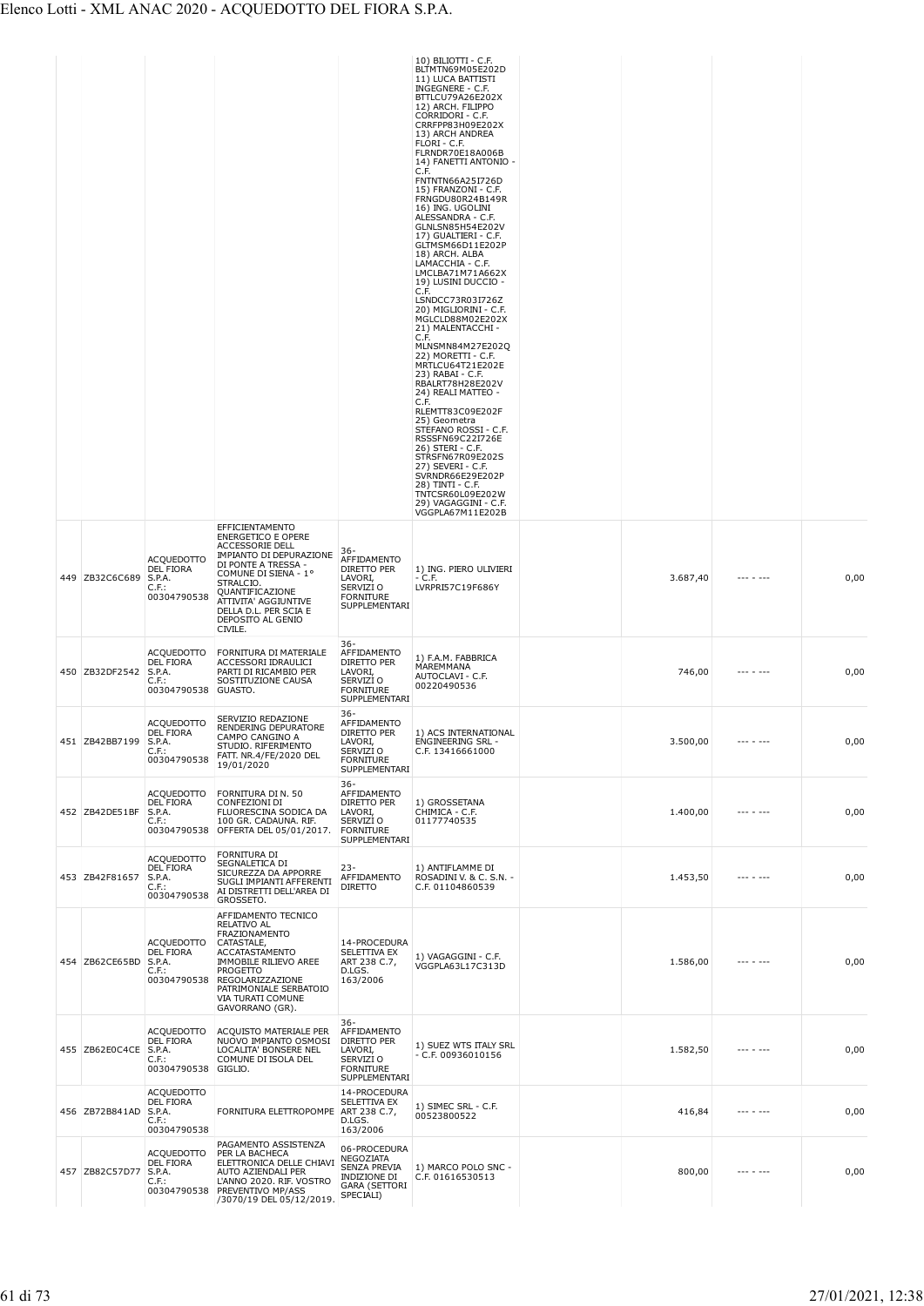|                |                                                                            |                                                                                                                                                                                                                                                                   |                                                                                                   | 10) BILIOTTI - C.F.<br>BLTMTN69M05E202D<br>11) LUCA BATTISTI<br>INGEGNERE - C.F.<br>BTTLCU79A26E202X<br>12) ARCH. FILIPPO<br>CORRIDORI - C.F.<br>CRRFPP83H09E202X<br>13) ARCH ANDREA<br>FLORI - C.F.<br>FLRNDR70E18A006B<br>14) FANETTI ANTONIO -<br>C.F.<br>FNTNTN66A25I726D<br>15) FRANZONI - C.F.<br>FRNGDU80R24B149R<br>16) ING. UGOLINI<br>ALESSANDRA - C.F.<br>GLNLSN85H54E202V<br>17) GUALTIERI - C.F.<br>GLTMSM66D11E202P<br>18) ARCH. ALBA<br>LAMACCHIA - C.F.<br>LMCLBA71M71A662X<br>19) LUSINI DUCCIO -<br>C.F.<br>LSNDCC73R03I726Z<br>20) MIGLIORINI - C.F.<br>MGLCLD88M02E202X<br>21) MALENTACCHI -<br>C.F.<br>MLNSMN84M27E202Q<br>22) MORETTI - C.F.<br>MRTLCU64T21E202E<br>23) RABAI - C.F.<br>RBALRT78H28E202V<br>24) REALI MATTEO -<br>C.F.<br>RLEMTT83C09E202F<br>25) Geometra<br>STEFANO ROSSI - C.F.<br>RSSSFN69C22I726E<br>26) STERI - C.F.<br>STRSFN67R09E202S<br>27) SEVERI - C.F.<br>SVRNDR66E29E202P<br>28) TINTI - C.F.<br>TNTCSR60L09E202W<br>29) VAGAGGINI - C.F. |          |                   |      |
|----------------|----------------------------------------------------------------------------|-------------------------------------------------------------------------------------------------------------------------------------------------------------------------------------------------------------------------------------------------------------------|---------------------------------------------------------------------------------------------------|-----------------------------------------------------------------------------------------------------------------------------------------------------------------------------------------------------------------------------------------------------------------------------------------------------------------------------------------------------------------------------------------------------------------------------------------------------------------------------------------------------------------------------------------------------------------------------------------------------------------------------------------------------------------------------------------------------------------------------------------------------------------------------------------------------------------------------------------------------------------------------------------------------------------------------------------------------------------------------------------------|----------|-------------------|------|
| 449 ZB32C6C689 | <b>ACQUEDOTTO</b><br>DEL FIORA<br>S.P.A.<br>C.F.<br>00304790538            | EFFICIENTAMENTO<br><b>ENERGETICO E OPERE</b><br><b>ACCESSORIE DELL</b><br>IMPIANTO DI DEPURAZIONE<br>DI PONTE A TRESSA -<br>COMUNE DI SIENA - 1°<br>STRALCIO.<br>QUANTIFICAZIONE<br>ATTIVITA' AGGIUNTIVE<br>DELLA D.L. PER SCIA E<br>DEPOSITO AL GENIO<br>CIVILE. | 36-<br>AFFIDAMENTO<br>DIRETTO PER<br>LAVORI,<br>SERVIZI O<br><b>FORNITURE</b><br>SUPPLEMENTARI    | VGGPLA67M11E202B<br>1) ING. PIERO ULIVIERI<br>- C.F.<br>LVRPRI57C19F686Y                                                                                                                                                                                                                                                                                                                                                                                                                                                                                                                                                                                                                                                                                                                                                                                                                                                                                                                      | 3.687,40 | $- - - - - - - -$ | 0,00 |
| 450 ZB32DF2542 | <b>ACQUEDOTTO</b><br><b>DEL FIORA</b><br>S.P.A.<br>$C.F.$ :<br>00304790538 | FORNITURA DI MATERIALE<br>ACCESSORI IDRAULICI<br>PARTI DI RICAMBIO PER<br>SOSTITUZIONE CAUSA<br>GUASTO.                                                                                                                                                           | $36 -$<br>AFFIDAMENTO<br>DIRETTO PER<br>LAVORI,<br>SERVIZI O<br><b>FORNITURE</b><br>SUPPLEMENTARI | 1) F.A.M. FABBRICA<br>MAREMMANA<br>AUTOCLAVI - C.F.<br>00220490536                                                                                                                                                                                                                                                                                                                                                                                                                                                                                                                                                                                                                                                                                                                                                                                                                                                                                                                            | 746,00   | $- - - - - - - -$ | 0,00 |
| 451 ZB42BB7199 | <b>ACQUEDOTTO</b><br>DEL FIORA<br>S.P.A.<br>C.F.:<br>00304790538           | SERVIZIO REDAZIONE<br>RENDERING DEPURATORE<br>CAMPO CANGINO A<br>STUDIO. RIFERIMENTO<br>FATT. NR.4/FE/2020 DEL<br>19/01/2020                                                                                                                                      | 36-<br>AFFIDAMENTO<br>DIRETTO PER<br>LAVORI,<br>SERVIZI O<br><b>FORNITURE</b><br>SUPPLEMENTARI    | 1) ACS INTERNATIONAL<br><b>ENGINEERING SRL -</b><br>C.F. 13416661000                                                                                                                                                                                                                                                                                                                                                                                                                                                                                                                                                                                                                                                                                                                                                                                                                                                                                                                          | 3.500,00 | $\cdots$          | 0,00 |
| 452 ZB42DE51BF | ACQUEDOTTO<br><b>DEL FIORA</b><br>S.P.A.<br>$C.F.$ :<br>00304790538        | FORNITURA DI N. 50<br>CONFEZIONI DI<br>FLUORESCINA SODICA DA<br>100 GR. CADAUNA. RIF.<br>OFFERTA DEL 05/01/2017.                                                                                                                                                  | $36 -$<br>AFFIDAMENTO<br>DIRETTO PER<br>LAVORI,<br>SERVIZI O<br><b>FORNITURE</b><br>SUPPLEMENTARI | 1) GROSSETANA<br>CHIMICA - C.F.<br>01177740535                                                                                                                                                                                                                                                                                                                                                                                                                                                                                                                                                                                                                                                                                                                                                                                                                                                                                                                                                | 1.400,00 |                   | 0,00 |
| 453 ZB42F81657 | <b>ACQUEDOTTO</b><br><b>DEL FIORA</b><br>S.P.A.<br>$C.F.$ :<br>00304790538 | FORNITURA DI<br>SEGNALETICA DI<br>SICUREZZA DA APPORRE<br>SUGLI IMPIANTI AFFERENTI<br>AI DISTRETTI DELL'AREA DI<br>GROSSETO.                                                                                                                                      | $23 -$<br>AFFIDAMENTO<br><b>DIRETTO</b>                                                           | 1) ANTIFLAMME DI<br>ROSADINI V. & C. S.N. -<br>C.F. 01104860539                                                                                                                                                                                                                                                                                                                                                                                                                                                                                                                                                                                                                                                                                                                                                                                                                                                                                                                               | 1.453,50 |                   | 0,00 |
| 454 ZB62CE65BD | ACQUEDOTTO<br>DEL FIORA<br>S.P.A.<br>$C.F.$ :<br>00304790538               | AFFIDAMENTO TECNICO<br>RELATIVO AL<br>FRAZIONAMENTO<br>CATASTALE,<br><b>ACCATASTAMENTO</b><br><b>IMMOBILE RILIEVO AREE</b><br><b>PROGETTO</b><br>REGOLARIZZAZIONE<br>PATRIMONIALE SERBATOIO<br>VIA TURATI COMUNE<br>GAVORRANO (GR).                               | 14-PROCEDURA<br>SELETTIVA EX<br>ART 238 C.7,<br>D.LGS.<br>163/2006                                | 1) VAGAGGINI - C.F.<br>VGGPLA63L17C313D                                                                                                                                                                                                                                                                                                                                                                                                                                                                                                                                                                                                                                                                                                                                                                                                                                                                                                                                                       | 1.586,00 |                   | 0,00 |
| 455 ZB62E0C4CE | ACQUEDOTTO<br><b>DEL FIORA</b><br>S.P.A.<br>$C.F.$ :<br>00304790538        | ACQUISTO MATERIALE PER<br>NUOVO IMPIANTO OSMOSI<br>LOCALITA' BONSERE NEL<br>COMUNE DI ISOLA DEL<br>GIGLIO.                                                                                                                                                        | $36 -$<br>AFFIDAMENTO<br>DIRETTO PER<br>LAVORI,<br>SERVIZI O<br><b>FORNITURE</b><br>SUPPLEMENTARI | 1) SUEZ WTS ITALY SRL<br>$- C.F. 00936010156$                                                                                                                                                                                                                                                                                                                                                                                                                                                                                                                                                                                                                                                                                                                                                                                                                                                                                                                                                 | 1.582,50 | $- - - - - - - -$ | 0,00 |
| 456 ZB72B841AD | ACQUEDOTTO<br><b>DEL FIORA</b><br>S.P.A.<br>$C.F.$ :<br>00304790538        | FORNITURA ELETTROPOMPE                                                                                                                                                                                                                                            | 14-PROCEDURA<br>SELETTIVA EX<br>ART 238 C.7,<br>D.LGS.<br>163/2006                                | 1) SIMEC SRL - C.F.<br>00523800522                                                                                                                                                                                                                                                                                                                                                                                                                                                                                                                                                                                                                                                                                                                                                                                                                                                                                                                                                            | 416,84   |                   | 0,00 |
| 457 ZB82C57D77 | ACQUEDOTTO<br><b>DEL FIORA</b><br>S.P.A.<br>C.F.                           | PAGAMENTO ASSISTENZA<br>PER LA BACHECA<br>ELETTRONICA DELLE CHIAVI<br>AUTO AZIENDALI PER<br>L'ANNO 2020. RIF. VOSTRO<br>00304790538 PREVENTIVO MP/ASS<br>/3070/19 DEL 05/12/2019.                                                                                 | 06-PROCEDURA<br>NEGOZIATA<br>SENZA PREVIA<br>INDIZIONE DI<br><b>GARA (SETTORI</b><br>SPECIALI)    | 1) MARCO POLO SNC -<br>C.F. 01616530513                                                                                                                                                                                                                                                                                                                                                                                                                                                                                                                                                                                                                                                                                                                                                                                                                                                                                                                                                       | 800,00   | --- - ---         | 0,00 |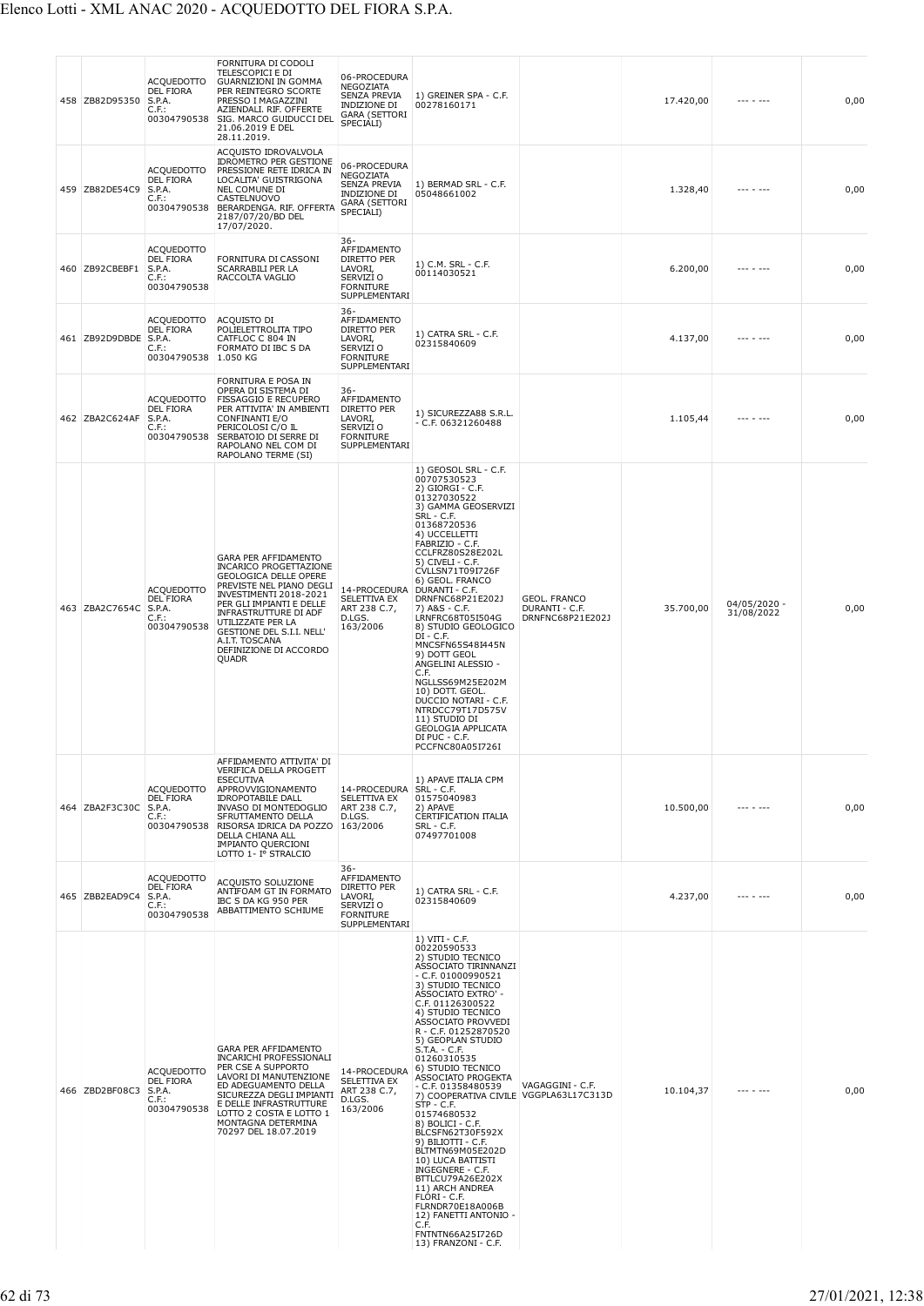|  | 458 ZB82D95350 | ACQUEDOTTO<br>DEL FIORA<br>S.P.A.<br>C.F.:<br>00304790538                  | FORNITURA DI CODOLI<br>TELESCOPICI E DI<br><b>GUARNIZIONI IN GOMMA</b><br>PER REINTEGRO SCORTE<br>PRESSO I MAGAZZINI<br>AZIENDALI. RIF. OFFERTE<br>SIG. MARCO GUIDUCCI DEL<br>21.06.2019 E DEL<br>28.11.2019.                                                                                                  | 06-PROCEDURA<br>NEGOZIATA<br>SENZA PREVIA<br>INDIZIONE DI<br><b>GARA (SETTORI</b><br>SPECIALI)        | 1) GREINER SPA - C.F.<br>00278160171                                                                                                                                                                                                                                                                                                                                                                                                                                                                                                                                                                                                                                                                                           |                                                           | 17.420,00 | --- - ---                    | 0,00 |
|--|----------------|----------------------------------------------------------------------------|----------------------------------------------------------------------------------------------------------------------------------------------------------------------------------------------------------------------------------------------------------------------------------------------------------------|-------------------------------------------------------------------------------------------------------|--------------------------------------------------------------------------------------------------------------------------------------------------------------------------------------------------------------------------------------------------------------------------------------------------------------------------------------------------------------------------------------------------------------------------------------------------------------------------------------------------------------------------------------------------------------------------------------------------------------------------------------------------------------------------------------------------------------------------------|-----------------------------------------------------------|-----------|------------------------------|------|
|  | 459 ZB82DE54C9 | ACQUEDOTTO<br>DEL FIORA<br>S.P.A.<br>$C.F.$ :                              | ACQUISTO IDROVALVOLA<br><b>IDROMETRO PER GESTIONE</b><br>PRESSIONE RETE IDRICA IN<br>LOCALITA' GUISTRIGONA<br>NEL COMUNE DI<br>CASTELNUOVO<br>00304790538 BERARDENGA. RIF. OFFERTA<br>2187/07/20/BD DEL<br>17/07/2020.                                                                                         | 06-PROCEDURA<br>NEGOZIATA<br>SENZA PREVIA<br>INDIZIONE DI<br><b>GARA (SETTORI</b><br>SPECIALI)        | 1) BERMAD SRL - C.F.<br>05048661002                                                                                                                                                                                                                                                                                                                                                                                                                                                                                                                                                                                                                                                                                            |                                                           | 1.328,40  |                              | 0,00 |
|  | 460 ZB92CBEBF1 | <b>ACQUEDOTTO</b><br>DEL FIORA<br>S.P.A.<br>$C.F.$ :<br>00304790538        | FORNITURA DI CASSONI<br>SCARRABILI PER LA<br>RACCOLTA VAGLIO                                                                                                                                                                                                                                                   | 36-<br>AFFIDAMENTO<br><b>DIRETTO PER</b><br>LAVORI,<br>SERVIZI O<br><b>FORNITURE</b><br>SUPPLEMENTARI | 1) C.M. SRL - C.F.<br>00114030521                                                                                                                                                                                                                                                                                                                                                                                                                                                                                                                                                                                                                                                                                              |                                                           | 6.200,00  |                              | 0,00 |
|  | 461 ZB92D9DBDE | ACQUEDOTTO<br>DEL FIORA<br>S.P.A.<br>C.F.:<br>00304790538 1.050 KG         | ACQUISTO DI<br>POLIELETTROLITA TIPO<br>CATFLOC C 804 IN<br>FORMATO DI IBC S DA                                                                                                                                                                                                                                 | $36 -$<br>AFFIDAMENTO<br>DIRETTO PER<br>LAVORI,<br>SERVIZI O<br><b>FORNITURE</b><br>SUPPLEMENTARI     | 1) CATRA SRL - C.F.<br>02315840609                                                                                                                                                                                                                                                                                                                                                                                                                                                                                                                                                                                                                                                                                             |                                                           | 4.137,00  |                              | 0,00 |
|  | 462 ZBA2C624AF | <b>ACQUEDOTTO</b><br><b>DEL FIORA</b><br>S.P.A.<br>C.F.:<br>00304790538    | FORNITURA E POSA IN<br>OPERA DI SISTEMA DI<br><b>FISSAGGIO E RECUPERO</b><br>PER ATTIVITA' IN AMBIENTI<br>CONFINANTI E/O<br>PERICOLOSI C/O IL<br>SERBATOIO DI SERRE DI<br>RAPOLANO NEL COM DI<br>RAPOLANO TERME (SI)                                                                                           | $36 -$<br>AFFIDAMENTO<br>DIRETTO PER<br>LAVORI,<br>SERVIZI O<br><b>FORNITURE</b><br>SUPPLEMENTARI     | 1) SICUREZZA88 S.R.L.<br>$- C.F. 06321260488$                                                                                                                                                                                                                                                                                                                                                                                                                                                                                                                                                                                                                                                                                  |                                                           | 1.105,44  |                              | 0,00 |
|  | 463 ZBA2C7654C | ACQUEDOTTO<br>DEL FIORA<br>S.P.A.<br>C.F.:<br>00304790538                  | <b>GARA PER AFFIDAMENTO</b><br><b>INCARICO PROGETTAZIONE</b><br><b>GEOLOGICA DELLE OPERE</b><br>PREVISTE NEL PIANO DEGLI<br>INVESTIMENTI 2018-2021<br>PER GLI IMPIANTI E DELLE<br>INFRASTRUTTURE DI ADF<br>UTILIZZATE PER LA<br>GESTIONE DEL S.I.I. NELL'<br>A.I.T. TOSCANA<br>DEFINIZIONE DI ACCORDO<br>QUADR | 14-PROCEDURA DURANTI - C.F.<br>SELETTIVA EX<br>ART 238 C.7,<br>D.LGS.<br>163/2006                     | 1) GEOSOL SRL - C.F.<br>00707530523<br>2) GIORGI - C.F.<br>01327030522<br>3) GAMMA GEOSERVIZI<br>SRL - C.F.<br>01368720536<br>4) UCCELLETTI<br>FABRIZIO - C.F.<br>CCLFRZ80S28E202L<br>5) CIVELI - C.F.<br>CVLLSN71T09I726F<br>6) GEOL. FRANCO<br>DRNFNC68P21E202J<br>7) A&S - C.F.<br>LRNFRC68T05I504G<br>8) STUDIO GEOLOGICO<br>$DI - C.F.$<br>MNCSFN65S48I445N<br>9) DOTT GEOL<br>ANGELINI ALESSIO -<br>C.F.<br>NGLLSS69M25E202M<br>10) DOTT. GEOL.<br>DUCCIO NOTARI - C.F.<br>NTRDCC79T17D575V<br>11) STUDIO DI<br><b>GEOLOGIA APPLICATA</b><br>DI PUC - C.F.<br>PCCFNC80A05I726I                                                                                                                                           | <b>GEOL. FRANCO</b><br>DURANTI - C.F.<br>DRNFNC68P21E202J | 35.700,00 | $04/05/2020 -$<br>31/08/2022 | 0,00 |
|  | 464 ZBA2F3C30C | <b>ACQUEDOTTO</b><br>DEL FIORA<br>S.P.A.<br>$C.F.$ :<br>00304790538        | AFFIDAMENTO ATTIVITA' DI<br>VERIFICA DELLA PROGETT<br><b>ESECUTIVA</b><br>APPROVVIGIONAMENTO<br><b>IDROPOTABILE DALL</b><br>INVASO DI MONTEDOGLIO<br>SFRUTTAMENTO DELLA<br>RISORSA IDRICA DA POZZO<br>DELLA CHIANA ALL<br><b>IMPIANTO QUERCIONI</b><br>LOTTO 1- Iº STRALCIO                                    | 14-PROCEDURA SRL - C.F.<br>SELETTIVA EX<br>ART 238 C.7,<br>D.LGS.<br>163/2006                         | 1) APAVE ITALIA CPM<br>01575040983<br>2) APAVE<br>CERTIFICATION ITALIA<br>SRL - C.F.<br>07497701008                                                                                                                                                                                                                                                                                                                                                                                                                                                                                                                                                                                                                            |                                                           | 10.500,00 | --- - ---                    | 0,00 |
|  | 465 ZBB2EAD9C4 | <b>ACQUEDOTTO</b><br><b>DEL FIORA</b><br>S.P.A.<br>$C.F.$ :<br>00304790538 | ACQUISTO SOLUZIONE<br>ANTIFOAM GT IN FORMATO<br>IBC S DA KG 950 PER<br>ABBATTIMENTO SCHIUME                                                                                                                                                                                                                    | $36 -$<br>AFFIDAMENTO<br>DIRETTO PER<br>LAVORI,<br>SERVIZI O<br><b>FORNITURE</b><br>SUPPLEMENTARI     | 1) CATRA SRL - C.F.<br>02315840609                                                                                                                                                                                                                                                                                                                                                                                                                                                                                                                                                                                                                                                                                             |                                                           | 4.237,00  | --- - ---                    | 0,00 |
|  | 466 ZBD2BF08C3 | <b>ACQUEDOTTO</b><br>DEL FIORA<br>S.P.A.<br>C.F.:<br>00304790538           | GARA PER AFFIDAMENTO<br><b>INCARICHI PROFESSIONALI</b><br>PER CSE A SUPPORTO<br>LAVORI DI MANUTENZIONE<br>ED ADEGUAMENTO DELLA<br>SICUREZZA DEGLI IMPIANTI<br>E DELLE INFRASTRUTTURE<br>LOTTO 2 COSTA E LOTTO 1<br>MONTAGNA DETERMINA<br>70297 DEL 18.07.2019                                                  | 14-PROCEDURA<br>SELETTIVA EX<br>ART 238 C.7,<br>D.LGS.<br>163/2006                                    | $1) VIII - C.F.$<br>00220590533<br>2) STUDIO TECNICO<br>ASSOCIATO TIRINNANZI<br>$-$ C.F. 01000990521<br>3) STUDIO TECNICO<br><b>ASSOCIATO EXTRO' -</b><br>C.F. 01126300522<br>4) STUDIO TECNICO<br>ASSOCIATO PROVVEDI<br>R - C.F. 01252870520<br>5) GEOPLAN STUDIO<br>S.T.A. - C.F.<br>01260310535<br>6) STUDIO TECNICO<br>ASSOCIATO PROGEKTA<br>$-$ C.F. 01358480539<br>7) COOPERATIVA CIVILE VGGPLA63L17C313D<br>STP - C.F.<br>01574680532<br>8) BOLICI - C.F.<br>BLCSFN62T30F592X<br>9) BILIOTTI - C.F.<br>BLTMTN69M05E202D<br>10) LUCA BATTISTI<br>INGEGNERE - C.F.<br>BTTLCU79A26E202X<br>11) ARCH ANDREA<br>FLORI - C.F.<br>FLRNDR70E18A006B<br>12) FANETTI ANTONIO -<br>C.F.<br>FNTNTN66A25I726D<br>13) FRANZONI - C.F. | VAGAGGINI - C.F.                                          | 10.104,37 | --- - ---                    | 0,00 |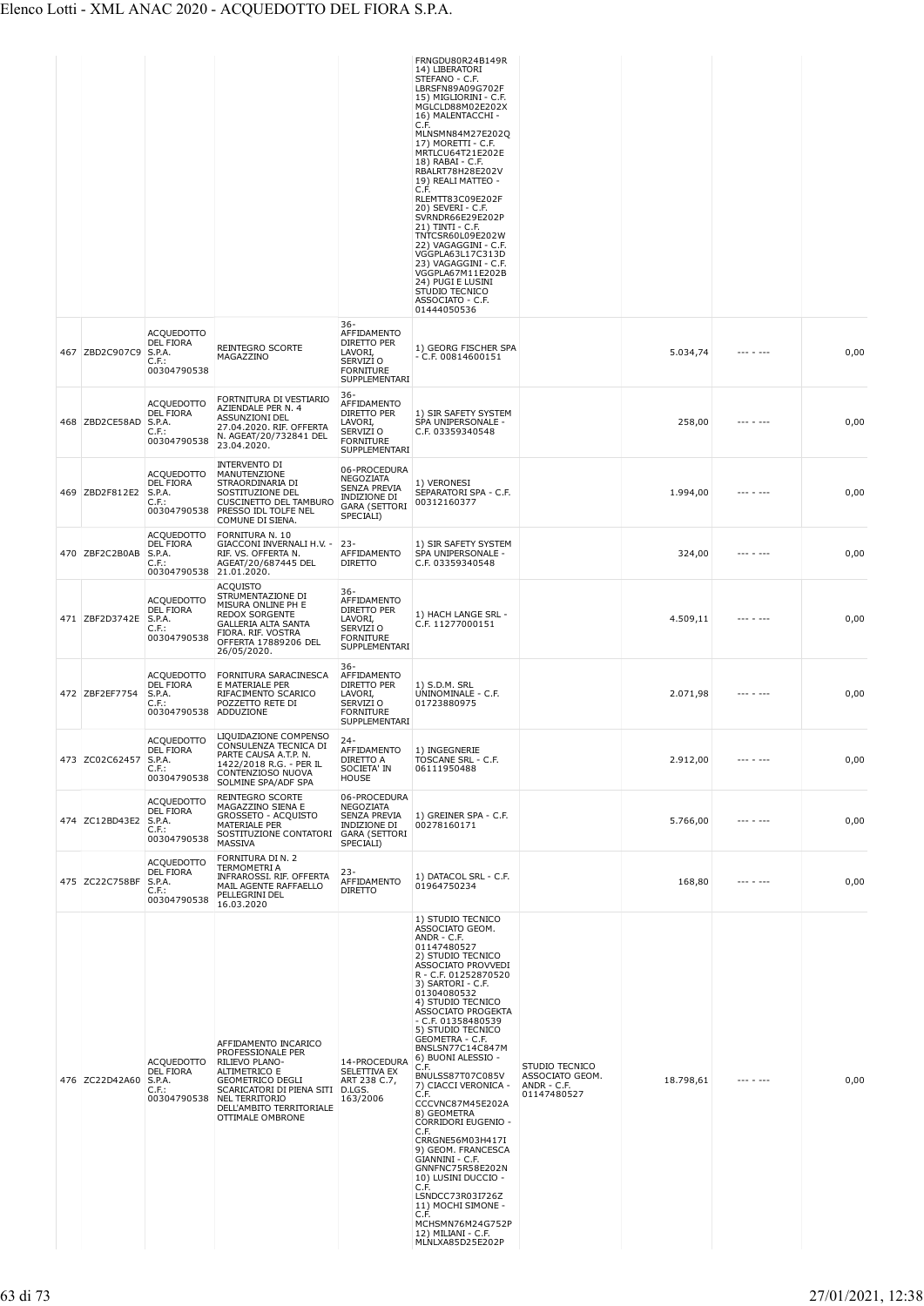|                       |                                                                            |                                                                                                                                                                                                                      |                                                                                                          | FRNGDU80R24B149R<br>14) LIBERATORI<br>STEFANO - C.F.<br>LBRSFN89A09G702F<br>15) MIGLIORINI - C.F.<br>MGLCLD88M02E202X<br>16) MALENTACCHI -<br>C.F.<br>MLNSMN84M27E202Q<br>17) MORETTI - C.F.<br>MRTLCU64T21E202E<br>18) RABAI - C.F.<br>RBALRT78H28E202V<br>19) REALI MATTEO -<br>C.F.<br>RLEMTT83C09E202F<br>20) SEVERI - C.F.<br>SVRNDR66E29E202P<br>21) TINTI - C.F.<br>TNTCSR60L09E202W<br>22) VAGAGGINI - C.F.<br>VGGPLA63L17C313D<br>23) VAGAGGINI - C.F.<br>VGGPLA67M11E202B<br>24) PUGI E LUSINI<br>STUDIO TECNICO<br>ASSOCIATO - C.F.<br>01444050536                                                                                                                      |                                                                 |           |                 |      |
|-----------------------|----------------------------------------------------------------------------|----------------------------------------------------------------------------------------------------------------------------------------------------------------------------------------------------------------------|----------------------------------------------------------------------------------------------------------|------------------------------------------------------------------------------------------------------------------------------------------------------------------------------------------------------------------------------------------------------------------------------------------------------------------------------------------------------------------------------------------------------------------------------------------------------------------------------------------------------------------------------------------------------------------------------------------------------------------------------------------------------------------------------------|-----------------------------------------------------------------|-----------|-----------------|------|
| 467 ZBD2C907C9        | <b>ACQUEDOTTO</b><br>DEL FIORA<br>S.P.A.<br>C.F.<br>00304790538            | REINTEGRO SCORTE<br>MAGAZZINO                                                                                                                                                                                        | $36 -$<br>AFFIDAMENTO<br>DIRETTO PER<br>LAVORI,<br>SERVIZI O<br><b>FORNITURE</b><br>SUPPLEMENTARI        | 1) GEORG FISCHER SPA<br>$- C.F. 00814600151$                                                                                                                                                                                                                                                                                                                                                                                                                                                                                                                                                                                                                                       |                                                                 | 5.034,74  |                 | 0,00 |
| 468 ZBD2CE58AD        | <b>ACQUEDOTTO</b><br><b>DEL FIORA</b><br>S.P.A.<br>C.F.:<br>00304790538    | FORTNITURA DI VESTIARIO<br>AZIENDALE PER N. 4<br><b>ASSUNZIONI DEL</b><br>27.04.2020. RIF. OFFERTA<br>N. AGEAT/20/732841 DEL<br>23.04.2020.                                                                          | $36 -$<br>AFFIDAMENTO<br>DIRETTO PER<br>LAVORI,<br>SERVIZI O<br><b>FORNITURE</b><br><b>SUPPLEMENTARI</b> | 1) SIR SAFETY SYSTEM<br>SPA UNIPERSONALE -<br>C.F. 03359340548                                                                                                                                                                                                                                                                                                                                                                                                                                                                                                                                                                                                                     |                                                                 | 258,00    |                 | 0,00 |
| 469 ZBD2F812E2        | ACQUEDOTTO<br><b>DEL FIORA</b><br>S.P.A.<br>$C.F.$ :<br>00304790538        | INTERVENTO DI<br>MANUTENZIONE<br>STRAORDINARIA DI<br>SOSTITUZIONE DEL<br>CUSCINETTO DEL TAMBURO<br>PRESSO IDL TOLFE NEL<br>COMUNE DI SIENA.                                                                          | 06-PROCEDURA<br>NEGOZIATA<br>SENZA PREVIA<br><b>INDIZIONE DI</b><br>GARA (SETTORI<br>SPECIALI)           | 1) VERONESI<br>SEPARATORI SPA - C.F.<br>00312160377                                                                                                                                                                                                                                                                                                                                                                                                                                                                                                                                                                                                                                |                                                                 | 1.994,00  | --- - ---       | 0,00 |
| 470 ZBF2C2B0AB        | <b>ACQUEDOTTO</b><br><b>DEL FIORA</b><br>S.P.A.<br>$C.F.$ :<br>00304790538 | FORNITURA N. 10<br>GIACCONI INVERNALI H.V. -<br>RIF. VS. OFFERTA N.<br>AGEAT/20/687445 DEL<br>21.01.2020.                                                                                                            | $23 -$<br>AFFIDAMENTO<br><b>DIRETTO</b>                                                                  | 1) SIR SAFETY SYSTEM<br>SPA UNIPERSONALE -<br>C.F. 03359340548                                                                                                                                                                                                                                                                                                                                                                                                                                                                                                                                                                                                                     |                                                                 | 324,00    | --- - ---       | 0,00 |
| 471 ZBF2D3742E        | <b>ACQUEDOTTO</b><br><b>DEL FIORA</b><br>S.P.A.<br>$C.F.$ :<br>00304790538 | <b>ACQUISTO</b><br>STRUMENTAZIONE DI<br>MISURA ONLINE PH E<br><b>REDOX SORGENTE</b><br><b>GALLERIA ALTA SANTA</b><br>FIORA. RIF. VOSTRA<br>OFFERTA 17889206 DEL<br>26/05/2020.                                       | 36-<br>AFFIDAMENTO<br>DIRETTO PER<br>LAVORI,<br>SERVIZI O<br><b>FORNITURE</b><br>SUPPLEMENTARI           | 1) HACH LANGE SRL -<br>C.F. 11277000151                                                                                                                                                                                                                                                                                                                                                                                                                                                                                                                                                                                                                                            |                                                                 | 4.509,11  |                 | 0,00 |
| 472 ZBF2EF7754        | ACQUEDOTTO<br>DEL FIORA<br>S.P.A.<br>$C.F.$ :<br>00304790538               | FORNITURA SARACINESCA<br>E MATERIALE PER<br>RIFACIMENTO SCARICO<br>POZZETTO RETE DI<br>ADDUZIONE                                                                                                                     | 36-<br>AFFIDAMENTO<br>DIRETTO PER<br>LAVORI,<br>SERVIZI O<br><b>FORNITURE</b><br>SUPPLEMENTARI           | 1) S.D.M. SRL<br>UNINOMINALE - C.F.<br>01723880975                                                                                                                                                                                                                                                                                                                                                                                                                                                                                                                                                                                                                                 |                                                                 | 2.071,98  | --- - ---       | 0,00 |
| 473 ZC02C62457 S.P.A. | <b>ACQUEDOTTO</b><br>DEL FIORA<br>$C.F.$ :<br>00304790538                  | LIQUIDAZIONE COMPENSO<br>CONSULENZA TECNICA DI<br>PARTE CAUSA A.T.P. N.<br>1422/2018 R.G. - PER IL<br>CONTENZIOSO NUOVA<br>SOLMINE SPA/ADF SPA                                                                       | $24 -$<br>AFFIDAMENTO<br>DIRETTO A<br>SOCIETA' IN<br><b>HOUSE</b>                                        | 1) INGEGNERIE<br>TOSCANE SRL - C.F.<br>06111950488                                                                                                                                                                                                                                                                                                                                                                                                                                                                                                                                                                                                                                 |                                                                 | 2.912,00  | --- - ---       | 0,00 |
| 474 ZC12BD43E2        | <b>ACQUEDOTTO</b><br><b>DEL FIORA</b><br>S.P.A.<br>C.F.:<br>00304790538    | <b>REINTEGRO SCORTE</b><br>MAGAZZINO SIENA E<br><b>GROSSETO - ACQUISTO</b><br>MATERIALE PER<br>SOSTITUZIONE CONTATORI<br>MASSIVA                                                                                     | 06-PROCEDURA<br>NEGOZIATA<br>SENZA PREVIA<br>INDIZIONE DI<br><b>GARA (SETTORI</b><br>SPECIALI)           | 1) GREINER SPA - C.F.<br>00278160171                                                                                                                                                                                                                                                                                                                                                                                                                                                                                                                                                                                                                                               |                                                                 | 5.766,00  | --- - ---       | 0,00 |
| 475 ZC22C758BF        | <b>ACQUEDOTTO</b><br>DEL FIORA<br>S.P.A.<br>$C.F.$ :<br>00304790538        | FORNITURA DI N. 2<br><b>TERMOMETRI A</b><br>INFRAROSSI. RIF. OFFERTA<br>MAIL AGENTE RAFFAELLO<br>PELLEGRINI DEL<br>16.03.2020                                                                                        | 23-<br>AFFIDAMENTO<br><b>DIRETTO</b>                                                                     | 1) DATACOL SRL - C.F.<br>01964750234                                                                                                                                                                                                                                                                                                                                                                                                                                                                                                                                                                                                                                               |                                                                 | 168,80    | --- - ---       | 0,00 |
| 476 ZC22D42A60 S.P.A. | <b>ACQUEDOTTO</b><br><b>DEL FIORA</b><br>$C.F.$ :<br>00304790538           | AFFIDAMENTO INCARICO<br>PROFESSIONALE PER<br>RILIEVO PLANO-<br>ALTIMETRICO E<br><b>GEOMETRICO DEGLI</b><br>SCARICATORI DI PIENA SITI D.LGS.<br><b>NEL TERRITORIO</b><br>DELL'AMBITO TERRITORIALE<br>OTTIMALE OMBRONE | 14-PROCEDURA<br>SELETTIVA EX<br>ART 238 C.7,<br>163/2006                                                 | 1) STUDIO TECNICO<br>ASSOCIATO GEOM.<br>ANDR - C.F.<br>01147480527<br>2) STUDIO TECNICO<br>ASSOCIATO PROVVEDI<br>R - C.F. 01252870520<br>3) SARTORI - C.F.<br>01304080532<br>4) STUDIO TECNICO<br>ASSOCIATO PROGEKTA<br>- C.F. 01358480539<br>5) STUDIO TECNICO<br>GEOMETRA - C.F.<br>BNSLSN77C14C847M<br>6) BUONI ALESSIO -<br>BNULSS87T07C085V<br>7) CIACCI VERONICA -<br>C.F.<br>CCCVNC87M45E202A<br>8) GEOMETRA<br>CORRIDORI EUGENIO -<br>C.F.<br>CRRGNE56M03H417I<br>9) GEOM. FRANCESCA<br>GIANNINI - C.F.<br>GNNFNC75R58E202N<br>10) LUSINI DUCCIO -<br>C.F.<br>LSNDCC73R03I726Z<br>11) MOCHI SIMONE -<br>C.F.<br>MCHSMN76M24G752P<br>12) MILIANI - C.F.<br>MLNLXA85D25E202P | STUDIO TECNICO<br>ASSOCIATO GEOM.<br>ANDR - C.F.<br>01147480527 | 18.798,61 | $- - - - - - -$ | 0,00 |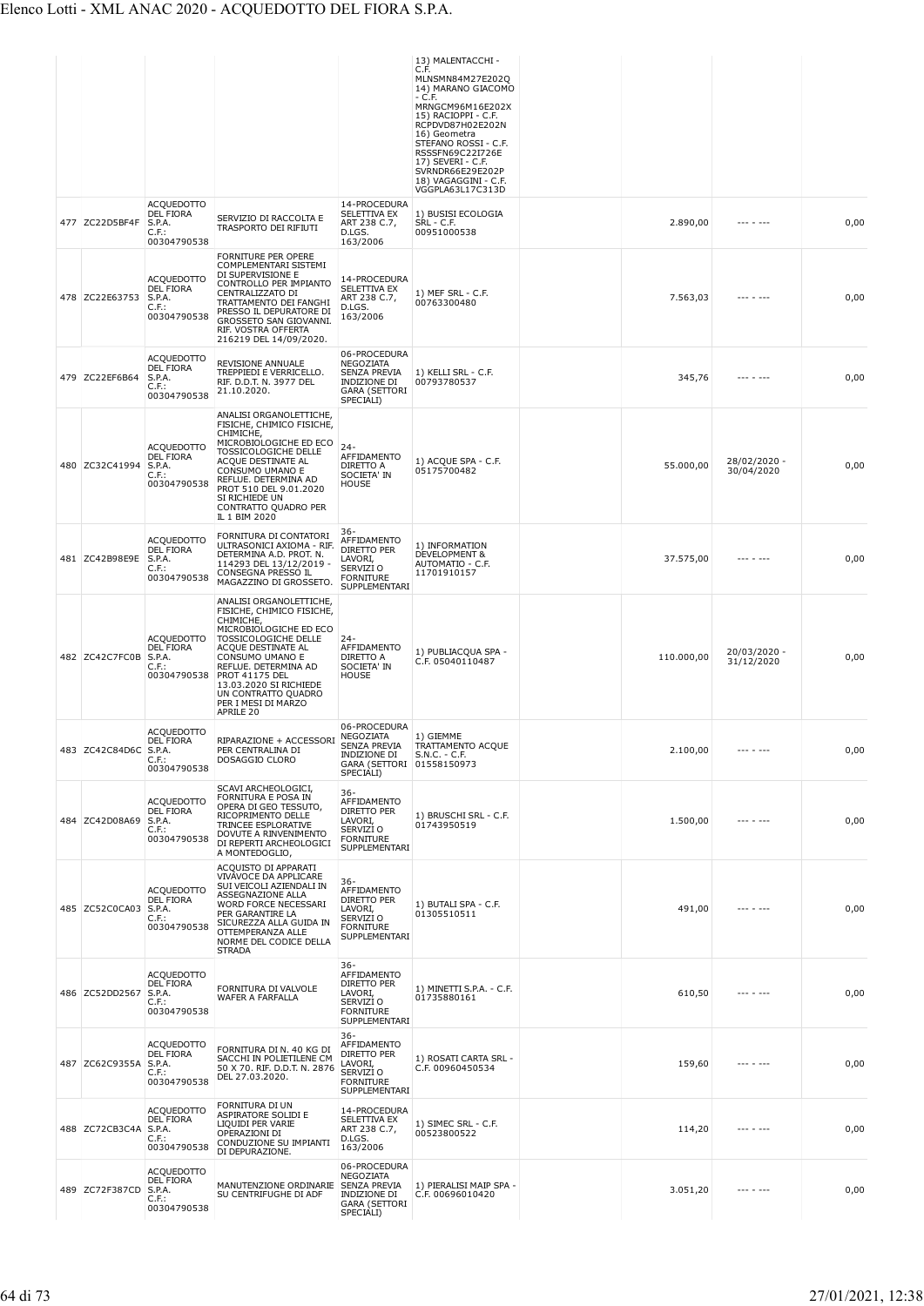|                       |                                                                            |                                                                                                                                                                                                                                                                                                    |                                                                                                            | 13) MALENTACCHI -<br>C.F.<br>MLNSMN84M27E202Q<br>14) MARANO GIACOMO<br>- C.F.                                                                                                                                |            |                            |      |
|-----------------------|----------------------------------------------------------------------------|----------------------------------------------------------------------------------------------------------------------------------------------------------------------------------------------------------------------------------------------------------------------------------------------------|------------------------------------------------------------------------------------------------------------|--------------------------------------------------------------------------------------------------------------------------------------------------------------------------------------------------------------|------------|----------------------------|------|
|                       |                                                                            |                                                                                                                                                                                                                                                                                                    |                                                                                                            | MRNGCM96M16E202X<br>15) RACIOPPI - C.F.<br>RCPDVD87H02E202N<br>16) Geometra<br>STEFANO ROSSI - C.F.<br>RSSSFN69C22I726E<br>17) SEVERI - C.F.<br>SVRNDR66E29E202P<br>18) VAGAGGINI - C.F.<br>VGGPLA63L17C313D |            |                            |      |
| 477 ZC22D5BF4F        | <b>ACQUEDOTTO</b><br><b>DEL FIORA</b><br>S.P.A.<br>C.F.<br>00304790538     | SERVIZIO DI RACCOLTA E<br>TRASPORTO DEI RIFIUTI                                                                                                                                                                                                                                                    | 14-PROCEDURA<br>SELETTIVA EX<br>ART 238 C.7,<br>D.LGS.<br>163/2006                                         | 1) BUSISI ECOLOGIA<br>SRL - C.F.<br>00951000538                                                                                                                                                              | 2.890,00   | --- - ---                  | 0,00 |
| 478 ZC22E63753        | <b>ACQUEDOTTO</b><br>DEL FIORA<br>S.P.A.<br>$C.F.$ :<br>00304790538        | <b>FORNITURE PER OPERE</b><br>COMPLEMENTARI SISTEMI<br>DI SUPERVISIONE E<br>CONTROLLO PER IMPIANTO<br>CENTRALIZZATO DI<br>TRATTAMENTO DEI FANGHI<br>PRESSO IL DEPURATORE DI<br>GROSSETO SAN GIOVANNI.<br>RIF. VOSTRA OFFERTA<br>216219 DEL 14/09/2020.                                             | 14-PROCEDURA<br>SELETTIVA EX<br>ART 238 C.7,<br>D.LGS.<br>163/2006                                         | 1) MEF SRL - C.F.<br>00763300480                                                                                                                                                                             | 7.563,03   |                            | 0,00 |
| 479 ZC22EF6B64        | <b>ACQUEDOTTO</b><br>DEL FIORA<br>S.P.A.<br>$C.F.$ :<br>00304790538        | REVISIONE ANNUALE<br>TREPPIEDI E VERRICELLO.<br>RIF. D.D.T. N. 3977 DEL<br>21.10.2020.                                                                                                                                                                                                             | 06-PROCEDURA<br><b>NEGOZIATA</b><br>SENZA PREVIA<br>INDIZIONE DI<br><b>GARA (SETTORI</b><br>SPECIALI)      | 1) KELLI SRL - C.F.<br>00793780537                                                                                                                                                                           | 345,76     |                            | 0,00 |
| 480 ZC32C41994        | <b>ACQUEDOTTO</b><br><b>DEL FIORA</b><br>S.P.A.<br>C.F.<br>00304790538     | ANALISI ORGANOLETTICHE<br>FISICHE, CHIMICO FISICHE,<br>CHIMICHE,<br>MICROBIOLOGICHE ED ECO<br>TOSSICOLOGICHE DELLE<br>ACOUE DESTINATE AL<br>CONSUMO UMANO E<br>REFLUE. DETERMINA AD<br>PROT 510 DEL 9.01.2020<br>SI RICHIEDE UN<br>CONTRATTO QUADRO PER<br>IL 1 BIM 2020                           | $24 -$<br>AFFIDAMENTO<br>DIRETTO A<br>SOCIETA' IN<br>HOUSE                                                 | 1) ACQUE SPA - C.F.<br>05175700482                                                                                                                                                                           | 55.000,00  | 28/02/2020 -<br>30/04/2020 | 0,00 |
| 481 ZC42B98E9E        | <b>ACQUEDOTTO</b><br><b>DEL FIORA</b><br>S.P.A.<br>$C.F.$ :<br>00304790538 | FORNITURA DI CONTATORI<br>ULTRASONICI AXIOMA - RIF.<br>DETERMINA A.D. PROT. N.<br>114293 DEL 13/12/2019<br>CONSEGNA PRESSO IL<br>MAGAZZINO DI GROSSETO.                                                                                                                                            | 36-<br>AFFIDAMENTO<br>DIRETTO PER<br>LAVORI,<br>SERVIZI O<br><b>FORNITURE</b><br>SUPPLEMENTARI             | 1) INFORMATION<br>DEVELOPMENT &<br>AUTOMATIO - C.F.<br>11701910157                                                                                                                                           | 37.575,00  |                            | 0,00 |
| 482 ZC42C7FC0B        | <b>ACQUEDOTTO</b><br>DEL FIORA<br>S.P.A.<br>C.F.:<br>00304790538           | ANALISI ORGANOLETTICHE,<br>FISICHE, CHIMICO FISICHE,<br>CHIMICHE,<br>MICROBIOLOGICHE ED ECO<br>TOSSICOLOGICHE DELLE<br>ACQUE DESTINATE AL<br>CONSUMO UMANO E<br>REFLUE. DETERMINA AD<br><b>PROT 41175 DEL</b><br>13.03.2020 SI RICHIEDE<br>UN CONTRATTO QUADRO<br>PER I MESI DI MARZO<br>APRILE 20 | $24 -$<br>AFFIDAMENTO<br>DIRETTO A<br>SOCIETA' IN<br>HOUSE                                                 | 1) PUBLIACOUA SPA -<br>C.F. 05040110487                                                                                                                                                                      | 110.000,00 | 20/03/2020 -<br>31/12/2020 | 0,00 |
| 483 ZC42C84D6C S.P.A. | <b>ACQUEDOTTO</b><br><b>DEL FIORA</b><br>$C.F.$ :<br>00304790538           | RIPARAZIONE + ACCESSORI<br>PER CENTRALINA DI<br>DOSAGGIO CLORO                                                                                                                                                                                                                                     | 06-PROCEDURA<br>NEGOZIATA<br><b>SENZA PREVIA</b><br>INDIZIONE DI<br>GARA (SETTORI 01558150973<br>SPECIALI) | 1) GIEMME<br>TRATTAMENTO ACQUE<br>$S.N.C. - C.F.$                                                                                                                                                            | 2.100,00   |                            | 0,00 |
| 484 ZC42D08A69        | <b>ACQUEDOTTO</b><br><b>DEL FIORA</b><br>S.P.A.<br>$C.F.$ :<br>00304790538 | SCAVI ARCHEOLOGICI,<br>FORNITURA E POSA IN<br>OPERA DI GEO TESSUTO,<br>RICOPRIMENTO DELLE<br>TRINCEE ESPLORATIVE<br>DOVUTE A RINVENIMENTO<br>DI REPERTI ARCHEOLOGICI<br>A MONTEDOGLIO,                                                                                                             | $36 -$<br>AFFIDAMENTO<br>DIRETTO PER<br>LAVORI,<br>SERVIZI O<br><b>FORNITURE</b><br>SUPPLEMENTARI          | 1) BRUSCHI SRL - C.F.<br>01743950519                                                                                                                                                                         | 1.500,00   |                            | 0,00 |
| 485 ZC52C0CA03 S.P.A. | <b>ACQUEDOTTO</b><br><b>DEL FIORA</b><br>C.F.<br>00304790538               | ACQUISTO DI APPARATI<br>VIVAVOCE DA APPLICARE<br>SUI VEICOLI AZIENDALI IN<br>ASSEGNAZIONE ALLA<br>WORD FORCE NECESSARI<br>PER GARANTIRE LA<br>SICUREZZA ALLA GUIDA IN<br>OTTEMPERANZA ALLE<br>NORME DEL CODICE DELLA<br><b>STRADA</b>                                                              | 36-<br>AFFIDAMENTO<br><b>DIRETTO PER</b><br>LAVORI,<br>SERVIZI O<br><b>FORNITURE</b><br>SUPPLEMENTARI      | 1) BUTALI SPA - C.F.<br>01305510511                                                                                                                                                                          | 491,00     | --- - ---                  | 0,00 |
| 486 ZC52DD2567        | <b>ACQUEDOTTO</b><br>DEL FIORA<br>S.P.A.<br>C.F.<br>00304790538            | FORNITURA DI VALVOLE<br>WAFER A FARFALLA                                                                                                                                                                                                                                                           | 36-<br>AFFIDAMENTO<br>DIRETTO PER<br>LAVORI,<br>SERVIZI O<br><b>FORNITURE</b><br>SUPPLEMENTARI             | 1) MINETTI S.P.A. - C.F.<br>01735880161                                                                                                                                                                      | 610,50     |                            | 0,00 |
| 487 ZC62C9355A        | <b>ACQUEDOTTO</b><br>DEL FIORA<br>S.P.A.<br>$C.F.$ :<br>00304790538        | FORNITURA DI N. 40 KG DI<br>SACCHI IN POLIETILENE CM<br>50 X 70. RIF. D.D.T. N. 2876<br>DEL 27.03.2020.                                                                                                                                                                                            | $36 -$<br>AFFIDAMENTO<br>DIRETTO PER<br>LAVORI,<br>SERVIZI O<br><b>FORNITURE</b><br>SUPPLEMENTARI          | 1) ROSATI CARTA SRL -<br>C.F. 00960450534                                                                                                                                                                    | 159,60     |                            | 0,00 |
| 488 ZC72CB3C4A        | <b>ACQUEDOTTO</b><br><b>DEL FIORA</b><br>S.P.A.<br>$C.F.$ :<br>00304790538 | FORNITURA DI UN<br>ASPIRATORE SOLIDI E<br>LIQUIDI PER VARIE<br>OPERAZIONI DI<br>CONDUZIONE SU IMPIANTI<br>DI DEPURAZIONE.                                                                                                                                                                          | 14-PROCEDURA<br>SELETTIVA EX<br>ART 238 C.7,<br>D.LGS.<br>163/2006                                         | 1) SIMEC SRL - C.F.<br>00523800522                                                                                                                                                                           | 114,20     |                            | 0,00 |
| 489 ZC72F387CD S.P.A. | <b>ACQUEDOTTO</b><br><b>DEL FIORA</b><br>$C.F.$ :<br>00304790538           | MANUTENZIONE ORDINARIE<br>SU CENTRIFUGHE DI ADF                                                                                                                                                                                                                                                    | 06-PROCEDURA<br>NEGOZIATA<br><b>SENZA PREVIA</b><br>INDIZIONE DI<br><b>GARA (SETTORI</b><br>SPECIALI)      | 1) PIERALISI MAIP SPA -<br>C.F. 00696010420                                                                                                                                                                  | 3.051,20   | --- - ---                  | 0,00 |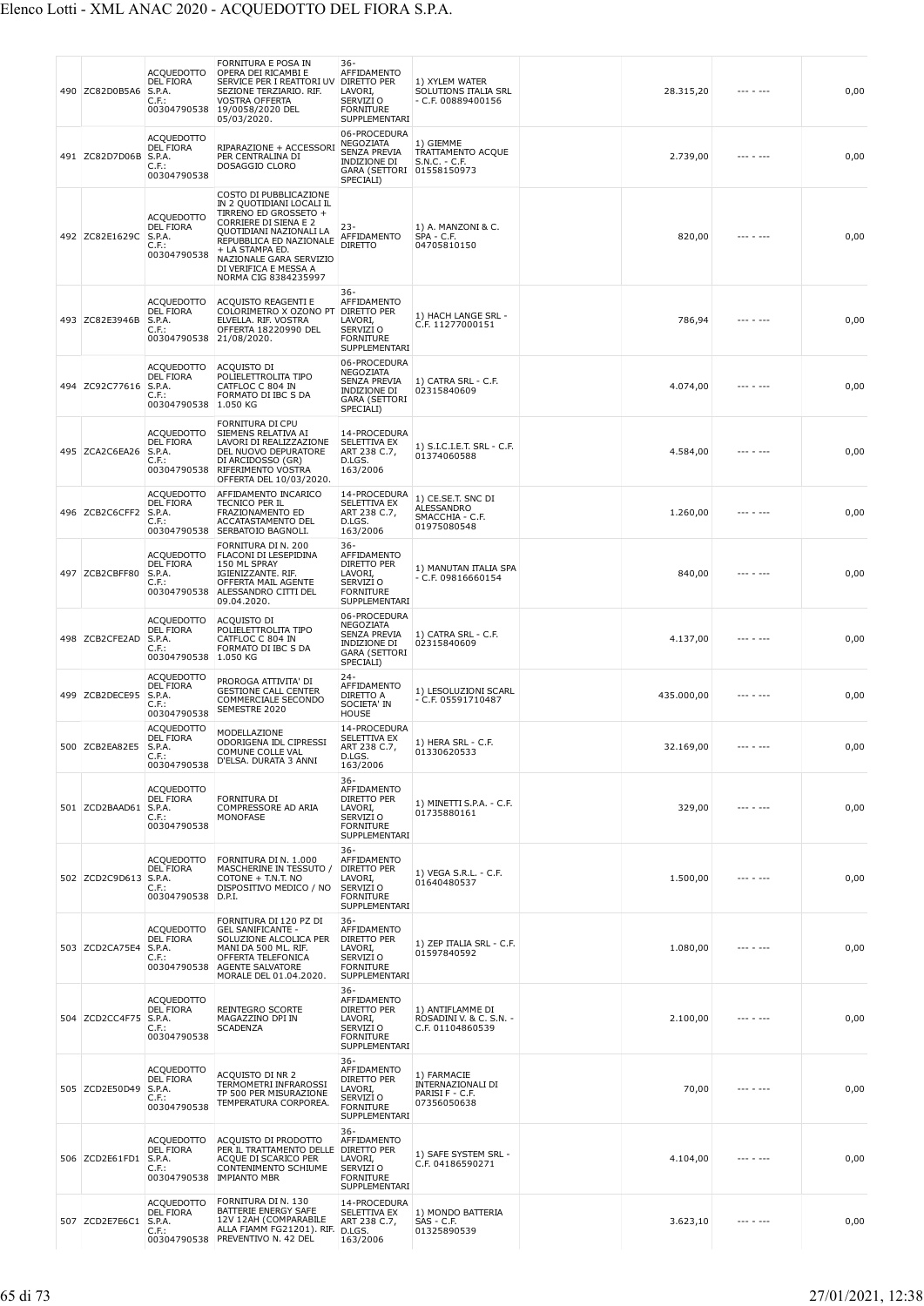|     | 490 ZC82D0B5A6        | ACQUEDOTTO<br>DEL FIORA<br>S.P.A.<br>C.F.:<br>00304790538           | FORNITURA E POSA IN<br>OPERA DEI RICAMBI E<br>SERVICE PER I REATTORI UV<br>SEZIONE TERZIARIO. RIF.<br><b>VOSTRA OFFERTA</b><br>19/0058/2020 DEL<br>05/03/2020.                                                                                                    | 36-<br>AFFIDAMENTO<br>DIRETTO PER<br>LAVORI,<br>SERVIZI <sub>O</sub><br><b>FORNITURE</b><br>SUPPLEMENTARI | 1) XYLEM WATER<br>SOLUTIONS ITALIA SRL<br>- C.F. 00889400156       | 28.315,20  |           | 0,00 |
|-----|-----------------------|---------------------------------------------------------------------|-------------------------------------------------------------------------------------------------------------------------------------------------------------------------------------------------------------------------------------------------------------------|-----------------------------------------------------------------------------------------------------------|--------------------------------------------------------------------|------------|-----------|------|
|     | 491 ZC82D7D06B        | ACQUEDOTTO<br>DEL FIORA<br>S.P.A.<br>C.F.:<br>00304790538           | RIPARAZIONE + ACCESSORI<br>PER CENTRALINA DI<br>DOSAGGIO CLORO                                                                                                                                                                                                    | 06-PROCEDURA<br>NEGOZIATA<br><b>SENZA PREVIA</b><br>INDIZIONE DI<br><b>GARA (SETTORI</b><br>SPECIALI)     | 1) GIEMME<br>TRATTAMENTO ACQUE<br>$S.N.C. - C.F.$<br>01558150973   | 2.739,00   |           | 0,00 |
|     | 492 ZC82E1629C        | <b>ACQUEDOTTO</b><br>DEL FIORA<br>S.P.A.<br>C.F.:<br>00304790538    | COSTO DI PUBBLICAZIONE<br>IN 2 QUOTIDIANI LOCALI IL<br>TIRRENO ED GROSSETO +<br><b>CORRIERE DI SIENA E 2</b><br>QUOTIDIANI NAZIONALI LA<br>REPUBBLICA ED NAZIONALE<br>+ LA STAMPA ED.<br>NAZIONALE GARA SERVIZIO<br>DI VERIFICA E MESSA A<br>NORMA CIG 8384235997 | -23<br>AFFIDAMENTO<br><b>DIRETTO</b>                                                                      | 1) A. MANZONI & C.<br>$SPA - C.F.$<br>04705810150                  | 820,00     |           | 0,00 |
|     | 493 ZC82E3946B        | ACQUEDOTTO<br>DEL FIORA<br>S.P.A.<br>C.F.:<br>00304790538           | ACQUISTO REAGENTI E<br>COLORIMETRO X OZONO PT<br>ELVELLA. RIF. VOSTRA<br>OFFERTA 18220990 DEL<br>21/08/2020.                                                                                                                                                      | 36-<br>AFFIDAMENTO<br>DIRETTO PER<br>LAVORI,<br>SERVIZI O<br><b>FORNITURE</b><br>SUPPLEMENTARI            | 1) HACH LANGE SRL -<br>C.F. 11277000151                            | 786,94     |           | 0,00 |
| 494 | ZC92C77616            | ACQUEDOTTO<br>DEL FIORA<br>S.P.A.<br>C.F.:<br>00304790538           | ACQUISTO DI<br>POLIELETTROLITA TIPO<br>CATFLOC C 804 IN<br>FORMATO DI IBC S DA<br>1.050 KG                                                                                                                                                                        | 06-PROCEDURA<br>NEGOZIATA<br>SENZA PREVIA<br><b>INDIZIONE DI</b><br><b>GARA (SETTORI</b><br>SPECIALI)     | 1) CATRA SRL - C.F.<br>02315840609                                 | 4.074,00   |           | 0,00 |
|     | 495 ZCA2C6EA26        | ACQUEDOTTO<br>DEL FIORA<br>S.P.A.<br>C.F.:<br>00304790538           | FORNITURA DI CPU<br>SIEMENS RELATIVA AI<br>LAVORI DI REALIZZAZIONE<br>DEL NUOVO DEPURATORE<br>DI ARCIDOSSO (GR)<br>RIFERIMENTO VOSTRA<br>OFFERTA DEL 10/03/2020.                                                                                                  | 14-PROCEDURA<br>SELETTIVA EX<br>ART 238 C.7,<br>D.LGS.<br>163/2006                                        | 1) S.I.C.I.E.T. SRL - C.F.<br>01374060588                          | 4.584,00   |           | 0,00 |
|     | 496 ZCB2C6CFF2        | ACQUEDOTTO<br><b>DEL FIORA</b><br>S.P.A.<br>C.F.:                   | AFFIDAMENTO INCARICO<br>TECNICO PER IL<br>FRAZIONAMENTO ED<br>ACCATASTAMENTO DEL<br>00304790538 SERBATOIO BAGNOLI.                                                                                                                                                | 14-PROCEDURA<br>SELETTIVA EX<br>ART 238 C.7,<br>D.LGS.<br>163/2006                                        | 1) CE.SE.T. SNC DI<br>ALESSANDRO<br>SMACCHIA - C.F.<br>01975080548 | 1.260,00   |           | 0,00 |
|     | 497 ZCB2CBFF80        | <b>ACQUEDOTTO</b><br>DEL FIORA<br>S.P.A.<br>C.F.:<br>00304790538    | FORNITURA DI N. 200<br>FLACONI DI LESEPIDINA<br>150 ML SPRAY<br>IGIENIZZANTE. RIF.<br>OFFERTA MAIL AGENTE<br>ALESSANDRO CITTI DEL<br>09.04.2020.                                                                                                                  | $36-$<br>AFFIDAMENTO<br>DIRETTO PER<br>LAVORI,<br>SERVIZI O<br><b>FORNITURE</b><br>SUPPLEMENTARI          | 1) MANUTAN ITALIA SPA<br>$- C.F. 09816660154$                      | 840,00     |           | 0,00 |
|     | 498 ZCB2CFE2AD        | <b>ACQUEDOTTO</b><br>DEL FIORA<br>S.P.A.<br>C.F.:<br>00304790538    | ACQUISTO DI<br>POLIELETTROLITA TIPO<br>CATFLOC C 804 IN<br>FORMATO DI IBC S DA<br>1.050 KG                                                                                                                                                                        | 06-PROCEDURA<br>NEGOZIATA<br>SENZA PREVIA<br>INDIZIONE DI<br><b>GARA (SETTORI</b><br>SPECIALI)            | 1) CATRA SRL - C.F.<br>02315840609                                 | 4.137,00   |           | 0,00 |
|     | 499 ZCB2DECE95        | ACQUEDOTTO<br><b>DEL FIORA</b><br>S.P.A.<br>C.F.<br>00304790538     | PROROGA ATTIVITA' DI<br><b>GESTIONE CALL CENTER</b><br>COMMERCIALE SECONDO<br>SEMESTRE 2020                                                                                                                                                                       | 24-<br>AFFIDAMENTO<br>DIRETTO A<br>SOCIETA' IN<br><b>HOUSE</b>                                            | 1) LESOLUZIONI SCARL<br>- C.F. 05591710487                         | 435.000,00 | --- - --- | 0,00 |
|     | 500 ZCB2EA82E5        | ACQUEDOTTO<br>DEL FIORA<br>S.P.A.<br>$C.F.$ :<br>00304790538        | MODELLAZIONE<br>ODORIGENA IDL CIPRESSI<br>COMUNE COLLE VAL<br>D'ELSA. DURATA 3 ANNI                                                                                                                                                                               | 14-PROCEDURA<br>SELETTIVA EX<br>ART 238 C.7<br>D.LGS.<br>163/2006                                         | 1) HERA SRL - C.F.<br>01330620533                                  | 32.169,00  |           | 0,00 |
|     | 501 ZCD2BAAD61        | <b>ACQUEDOTTO</b><br>DEL FIORA<br>S.P.A.<br>C.F.:<br>00304790538    | FORNITURA DI<br>COMPRESSORE AD ARIA<br>MONOFASE                                                                                                                                                                                                                   | 36-<br>AFFIDAMENTO<br><b>DIRETTO PER</b><br>LAVORI,<br>SERVIZI O<br><b>FORNITURE</b><br>SUPPLEMENTARI     | 1) MINETTI S.P.A. - C.F.<br>01735880161                            | 329,00     | --- - --- | 0,00 |
|     | 502 ZCD2C9D613 S.P.A. | <b>ACQUEDOTTO</b><br><b>DEL FIORA</b><br>C.F.:<br>00304790538       | FORNITURA DI N. 1.000<br>MASCHERINE IN TESSUTO /<br>COTONE + T.N.T. NO<br>DISPOSITIVO MEDICO / NO<br>D.P.I.                                                                                                                                                       | $36 -$<br>AFFIDAMENTO<br>DIRETTO PER<br>LAVORI,<br>SERVIZI O<br><b>FORNITURE</b><br>SUPPLEMENTARI         | 1) VEGA S.R.L. - C.F.<br>01640480537                               | 1.500,00   |           | 0,00 |
|     | 503 ZCD2CA75E4        | <b>ACQUEDOTTO</b><br>DEL FIORA<br>S.P.A.<br>C.F.:                   | FORNITURA DI 120 PZ DI<br><b>GEL SANIFICANTE -</b><br>SOLUZIONE ALCOLICA PER<br>MANI DA 500 ML. RIF.<br>OFFERTA TELEFONICA<br>00304790538 AGENTE SALVATORE<br>MORALE DEL 01.04.2020.                                                                              | 36-<br>AFFIDAMENTO<br>DIRETTO PER<br>LAVORI,<br>SERVIZI O<br><b>FORNITURE</b><br>SUPPLEMENTARI            | 1) ZEP ITALIA SRL - C.F.<br>01597840592                            | 1.080,00   | --- - --- | 0,00 |
|     | 504 ZCD2CC4F75        | <b>ACQUEDOTTO</b><br>DEL FIORA<br>S.P.A.<br>$C.F.$ :<br>00304790538 | REINTEGRO SCORTE<br>MAGAZZINO DPI IN<br><b>SCADENZA</b>                                                                                                                                                                                                           | 36-<br>AFFIDAMENTO<br>DIRETTO PER<br>LAVORI,<br>SERVIZI O<br><b>FORNITURE</b><br>SUPPLEMENTARI            | 1) ANTIFLAMME DI<br>ROSADINI V. & C. S.N. -<br>C.F. 01104860539    | 2.100,00   |           | 0,00 |
|     | 505 ZCD2E50D49        | ACQUEDOTTO<br>DEL FIORA<br>S.P.A.<br>$C.F.$ :<br>00304790538        | ACQUISTO DI NR 2<br>TERMOMETRI INFRAROSSI<br>TP 500 PER MISURAZIONE<br>TEMPERATURA CORPOREA.                                                                                                                                                                      | 36-<br>AFFIDAMENTO<br>DIRETTO PER<br>LAVORI,<br>SERVIZI O<br><b>FORNITURE</b><br>SUPPLEMENTARI            | 1) FARMACIE<br>INTERNAZIONALI DI<br>PARISI F - C.F.<br>07356050638 | 70,00      |           | 0,00 |
|     | 506 ZCD2E61FD1        | ACQUEDOTTO<br>DEL FIORA<br>S.P.A.<br>C.F.:<br>00304790538           | ACQUISTO DI PRODOTTO<br>PER IL TRATTAMENTO DELLE<br>ACQUE DI SCARICO PER<br>CONTENIMENTO SCHIUME<br><b>IMPIANTO MBR</b>                                                                                                                                           | $36 -$<br>AFFIDAMENTO<br>DIRETTO PER<br>LAVORI,<br>SERVIZI O<br><b>FORNITURE</b><br>SUPPLEMENTARI         | 1) SAFE SYSTEM SRL -<br>C.F. 04186590271                           | 4.104,00   |           | 0,00 |
|     | 507 ZCD2E7E6C1        | ACQUEDOTTO<br>DEL FIORA<br>S.P.A.<br>$C.F.$ :                       | FORNITURA DI N. 130<br>BATTERIE ENERGY SAFE<br>12V 12AH (COMPARABILE<br>ALLA FIAMM FG21201). RIF. D.LGS.<br>00304790538 PREVENTIVO N. 42 DEL                                                                                                                      | 14-PROCEDURA<br>SELETTIVA EX<br>ART 238 C.7,<br>163/2006                                                  | 1) MONDO BATTERIA<br>SAS - C.F.<br>01325890539                     | 3.623,10   |           | 0,00 |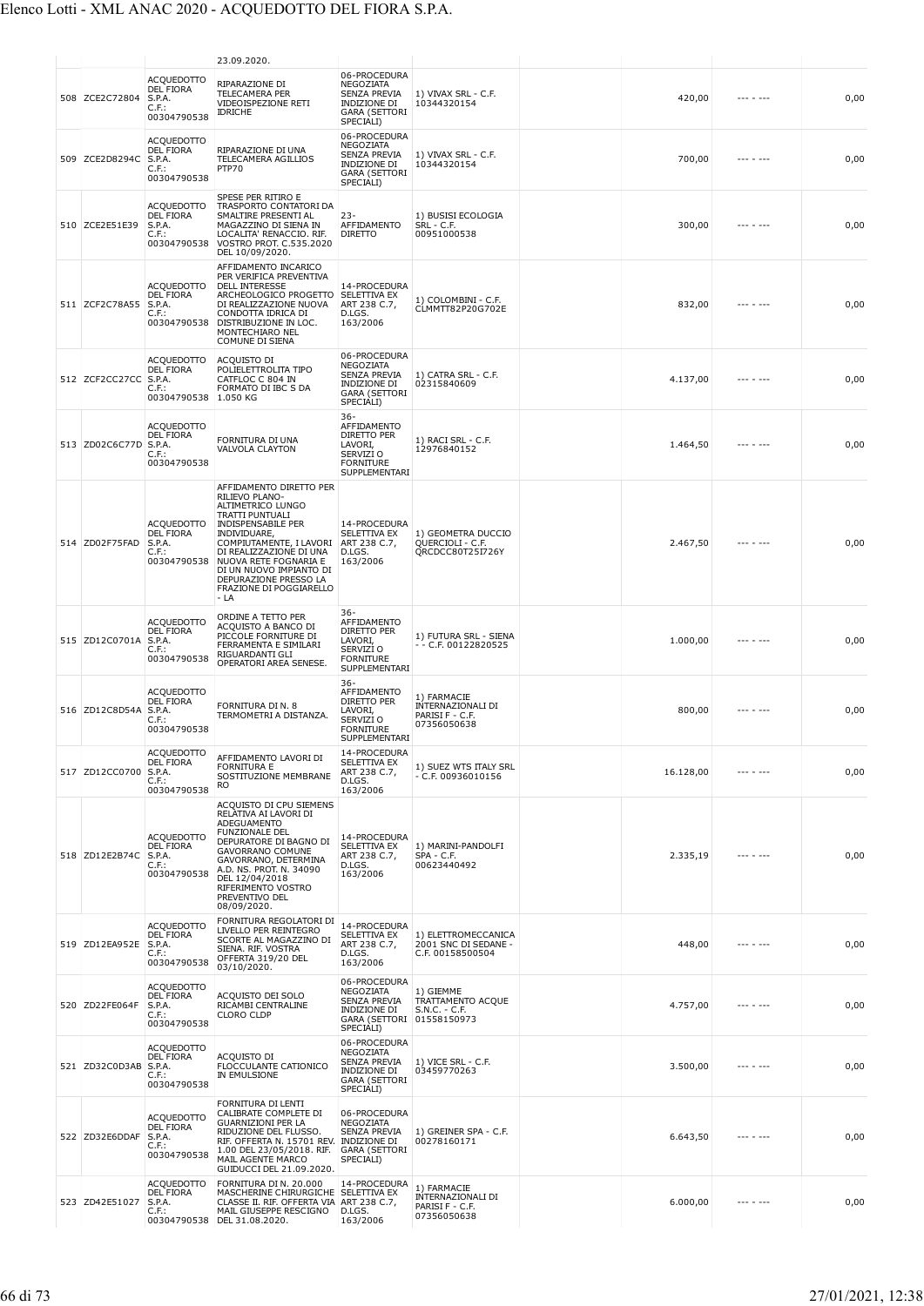|                       |                                                                            | 23.09.2020.                                                                                                                                                                                                                                                                                          |                                                                                                              |                                                                    |           |           |      |
|-----------------------|----------------------------------------------------------------------------|------------------------------------------------------------------------------------------------------------------------------------------------------------------------------------------------------------------------------------------------------------------------------------------------------|--------------------------------------------------------------------------------------------------------------|--------------------------------------------------------------------|-----------|-----------|------|
| 508 ZCE2C72804        | <b>ACOUEDOTTO</b><br>DEL FIORA<br>S.P.A.<br>$C.F.$ :<br>00304790538        | RIPARAZIONE DI<br><b>TELECAMERA PER</b><br>VIDEOISPEZIONE RETI<br><b>IDRICHE</b>                                                                                                                                                                                                                     | 06-PROCEDURA<br>NEGOZIATA<br>SENZA PREVIA<br>INDIZIONE DI<br><b>GARA (SETTORI</b><br>SPECIALI)               | 1) VIVAX SRL - C.F.<br>10344320154                                 | 420,00    |           | 0,00 |
| 509 ZCE2D8294C        | <b>ACQUEDOTTO</b><br><b>DEL FIORA</b><br>S.P.A.<br>$C.F.$ :<br>00304790538 | RIPARAZIONE DI UNA<br>TELECAMERA AGILLIOS<br>PTP70                                                                                                                                                                                                                                                   | 06-PROCEDURA<br>NEGOZIATA<br><b>SENZA PREVIA</b><br><b>INDIZIONE DI</b><br><b>GARA (SETTORI</b><br>SPECIALI) | 1) VIVAX SRL - C.F.<br>10344320154                                 | 700,00    |           | 0,00 |
| 510 ZCE2E51E39        | ACQUEDOTTO<br><b>DEL FIORA</b><br>S.P.A.<br>$C.F.$ :<br>00304790538        | SPESE PER RITIRO E<br>TRASPORTO CONTATORI DA<br>SMALTIRE PRESENTI AL<br>MAGAZZINO DI SIENA IN<br>LOCALITA' RENACCIO. RIF.<br>VOSTRO PROT. C.535.2020<br>DEL 10/09/2020.                                                                                                                              | $23 -$<br>AFFIDAMENTO<br><b>DIRETTO</b>                                                                      | 1) BUSISI ECOLOGIA<br>SRL - C.F.<br>00951000538                    | 300,00    |           | 0,00 |
| 511 ZCF2C78A55        | <b>ACQUEDOTTO</b><br><b>DEL FIORA</b><br>S.P.A.<br>C.F.:<br>00304790538    | AFFIDAMENTO INCARICO<br>PER VERIFICA PREVENTIVA<br><b>DELL INTERESSE</b><br>ARCHEOLOGICO PROGETTO<br>DI REALIZZAZIONE NUOVA<br>CONDOTTA IDRICA DI<br>DISTRIBUZIONE IN LOC.<br>MONTECHIARO NEL<br>COMUNE DI SIENA                                                                                     | 14-PROCEDURA<br>SELETTIVA EX<br>ART 238 C.7,<br>D.LGS.<br>163/2006                                           | 1) COLOMBINI - C.F.<br>CLMMTT82P20G702E                            | 832,00    |           | 0,00 |
| 512 ZCF2CC27CC        | ACQUEDOTTO<br><b>DEL FIORA</b><br>S.P.A.<br>C.F.:<br>00304790538           | ACQUISTO DI<br>POLIELETTROLITA TIPO<br>CATFLOC C 804 IN<br>FORMATO DI IBC S DA<br>1.050 KG                                                                                                                                                                                                           | 06-PROCEDURA<br>NEGOZIATA<br>SENZA PREVIA<br>INDIZIONE DI<br><b>GARA (SETTORI</b><br>SPECIALI)               | 1) CATRA SRL - C.F.<br>02315840609                                 | 4.137,00  |           | 0,00 |
| 513 ZD02C6C77D        | <b>ACQUEDOTTO</b><br>DEL FIORA<br>S.P.A.<br>C.F.:<br>00304790538           | FORNITURA DI UNA<br>VALVOLA CLAYTON                                                                                                                                                                                                                                                                  | $36 -$<br>AFFIDAMENTO<br>DIRETTO PER<br>LAVORI,<br>SERVIZI O<br><b>FORNITURE</b><br>SUPPLEMENTARI            | 1) RACI SRL - C.F.<br>12976840152                                  | 1.464,50  |           | 0,00 |
| 514 ZD02F75FAD        | <b>ACQUEDOTTO</b><br>DEL FIORA<br>S.P.A.<br>$C.F.$ :<br>00304790538        | AFFIDAMENTO DIRETTO PER<br>RILIEVO PLANO-<br>ALTIMETRICO LUNGO<br>TRATTI PUNTUALI<br><b>INDISPENSABILE PER</b><br>INDIVIDUARE,<br>COMPIUTAMENTE, I LAVORI<br>DI REALIZZAZIONE DI UNA<br>NUOVA RETE FOGNARIA E<br>DI UN NUOVO IMPIANTO DI<br>DEPURAZIONE PRESSO LA<br>FRAZIONE DI POGGIARELLO<br>- LA | 14-PROCEDURA<br>SELETTIVA EX<br>ART 238 C.7,<br>D.LGS.<br>163/2006                                           | 1) GEOMETRA DUCCIO<br>QUERCIOLI - C.F.<br>QRCDCC80T25I726Y         | 2.467,50  |           | 0,00 |
| 515 ZD12C0701A        | <b>ACQUEDOTTO</b><br><b>DEL FIORA</b><br>S.P.A.<br>C.F.:<br>00304790538    | ORDINE A TETTO PER<br>ACQUISTO A BANCO DI<br>PICCOLE FORNITURE DI<br>FERRAMENTA E SIMILARI<br>RIGUARDANTI GLI<br>OPERATORI AREA SENESE.                                                                                                                                                              | 36-<br>AFFIDAMENTO<br>DIRETTO PER<br>LAVORI,<br>SERVIZI O<br><b>FORNITURE</b><br>SUPPLEMENTARI               | 1) FUTURA SRL - SIENA<br>- - C.F. 00122820525                      | 1.000,00  |           | 0,00 |
| 516 ZD12C8D54A S.P.A. | <b>ACQUEDOTTO</b><br><b>DEL FIORA</b><br>C.F.:<br>00304790538              | FORNITURA DI N. 8<br>TERMOMETRI A DISTANZA.                                                                                                                                                                                                                                                          | $36-$<br>AFFIDAMENTO<br><b>DIRETTO PER</b><br>LAVORI,<br>SERVIZI O<br><b>FORNITURE</b><br>SUPPLEMENTARI      | 1) FARMACIE<br>INTERNAZIONALI DI<br>PARISI F - C.F.<br>07356050638 | 800,00    |           | 0,00 |
| 517 ZD12CC0700        | <b>ACQUEDOTTO</b><br><b>DEL FIORA</b><br>S.P.A.<br>C.F.:<br>00304790538    | AFFIDAMENTO LAVORI DI<br><b>FORNITURA E</b><br>SOSTITUZIONE MEMBRANE<br>RO                                                                                                                                                                                                                           | 14-PROCEDURA<br>SELETTIVA EX<br>ART 238 C.7,<br>D.LGS.<br>163/2006                                           | 1) SUEZ WTS ITALY SRL<br>$-$ C.F. 00936010156                      | 16.128,00 |           | 0,00 |
| 518 ZD12E2B74C        | <b>ACQUEDOTTO</b><br><b>DEL FIORA</b><br>S.P.A.<br>C.F.<br>00304790538     | ACQUISTO DI CPU SIEMENS<br>RELATIVA AI LAVORI DI<br>ADEGUAMENTO<br>FUNZIONALE DEL<br>DEPURATORE DI BAGNO DI<br>GAVORRANO COMUNE<br>GAVORRANO, DETERMINA<br>A.D. NS. PROT. N. 34090<br>DEL 12/04/2018<br>RIFERIMENTO VOSTRO<br>PREVENTIVO DEL<br>08/09/2020.                                          | 14-PROCEDURA<br>SELETTIVA EX<br>ART 238 C.7,<br>D.LGS.<br>163/2006                                           | 1) MARINI-PANDOLFI<br>SPA - C.F.<br>00623440492                    | 2.335,19  | --- - --- | 0,00 |
| 519 ZD12EA952E        | <b>ACQUEDOTTO</b><br><b>DEL FIORA</b><br>S.P.A.<br>$C.F.$ :<br>00304790538 | FORNITURA REGOLATORI DI<br>LIVELLO PER REINTEGRO<br>SCORTE AL MAGAZZINO DI<br>SIENA. RIF. VOSTRA<br>OFFERTA 319/20 DEL<br>03/10/2020.                                                                                                                                                                | 14-PROCEDURA<br>SELETTIVA EX<br>ART 238 C.7,<br>D.LGS.<br>163/2006                                           | 1) ELETTROMECCANICA<br>2001 SNC DI SEDANE -<br>C.F. 00158500504    | 448,00    |           | 0,00 |
| 520 ZD22FE064F        | <b>ACQUEDOTTO</b><br>DEL FIORA<br>S.P.A.<br>$C.F.$ :<br>00304790538        | ACQUISTO DEI SOLO<br>RICAMBI CENTRALINE<br><b>CLORO CLDP</b>                                                                                                                                                                                                                                         | 06-PROCEDURA<br>NEGOZIATA<br>SENZA PREVIA<br>INDIZIONE DI<br>GARA (SETTORI 01558150973<br>SPECIALI)          | 1) GIEMME<br>TRATTAMENTO ACQUE<br>$S.N.C. - C.F.$                  | 4.757,00  | --- - --- | 0,00 |
| 521 ZD32C0D3AB        | <b>ACQUEDOTTO</b><br><b>DEL FIORA</b><br>S.P.A.<br>$C.F.$ :<br>00304790538 | ACQUISTO DI<br>FLOCCULANTE CATIONICO<br>IN EMULSIONE                                                                                                                                                                                                                                                 | 06-PROCEDURA<br>NEGOZIATA<br>SENZA PREVIA<br>INDIZIONE DI<br><b>GARA (SETTORI</b><br>SPECIALI)               | 1) VICE SRL - C.F.<br>03459770263                                  | 3.500,00  |           | 0,00 |
| 522 ZD32E6DDAF        | <b>ACQUEDOTTO</b><br><b>DEL FIORA</b><br>S.P.A.<br>$C.F.$ :<br>00304790538 | FORNITURA DI LENTI<br>CALIBRATE COMPLETE DI<br><b>GUARNIZIONI PER LA</b><br>RIDUZIONE DEL FLUSSO.<br>RIF. OFFERTA N. 15701 REV.<br>1.00 DEL 23/05/2018. RIF.<br>MAIL AGENTE MARCO<br>GUIDUCCI DEL 21.09.2020.                                                                                        | 06-PROCEDURA<br>NEGOZIATA<br><b>SENZA PREVIA</b><br>INDIZIONE DI<br><b>GARA (SETTORI</b><br>SPECIALI)        | 1) GREINER SPA - C.F.<br>00278160171                               | 6.643,50  |           | 0,00 |
| 523 ZD42E51027        | <b>ACQUEDOTTO</b><br>DEL FIORA<br>S.P.A.<br>$C.F.$ :                       | FORNITURA DI N. 20.000<br>MASCHERINE CHIRURGICHE SELETTIVA EX<br>CLASSE II. RIF. OFFERTA VIA<br>MAIL GIUSEPPE RESCIGNO<br>00304790538 DEL 31.08.2020.                                                                                                                                                | 14-PROCEDURA<br>ART 238 C.7,<br>D.LGS.<br>163/2006                                                           | 1) FARMACIE<br>INTERNAZIONALI DI<br>PARISI F - C.F.<br>07356050638 | 6.000,00  | --- - --- | 0,00 |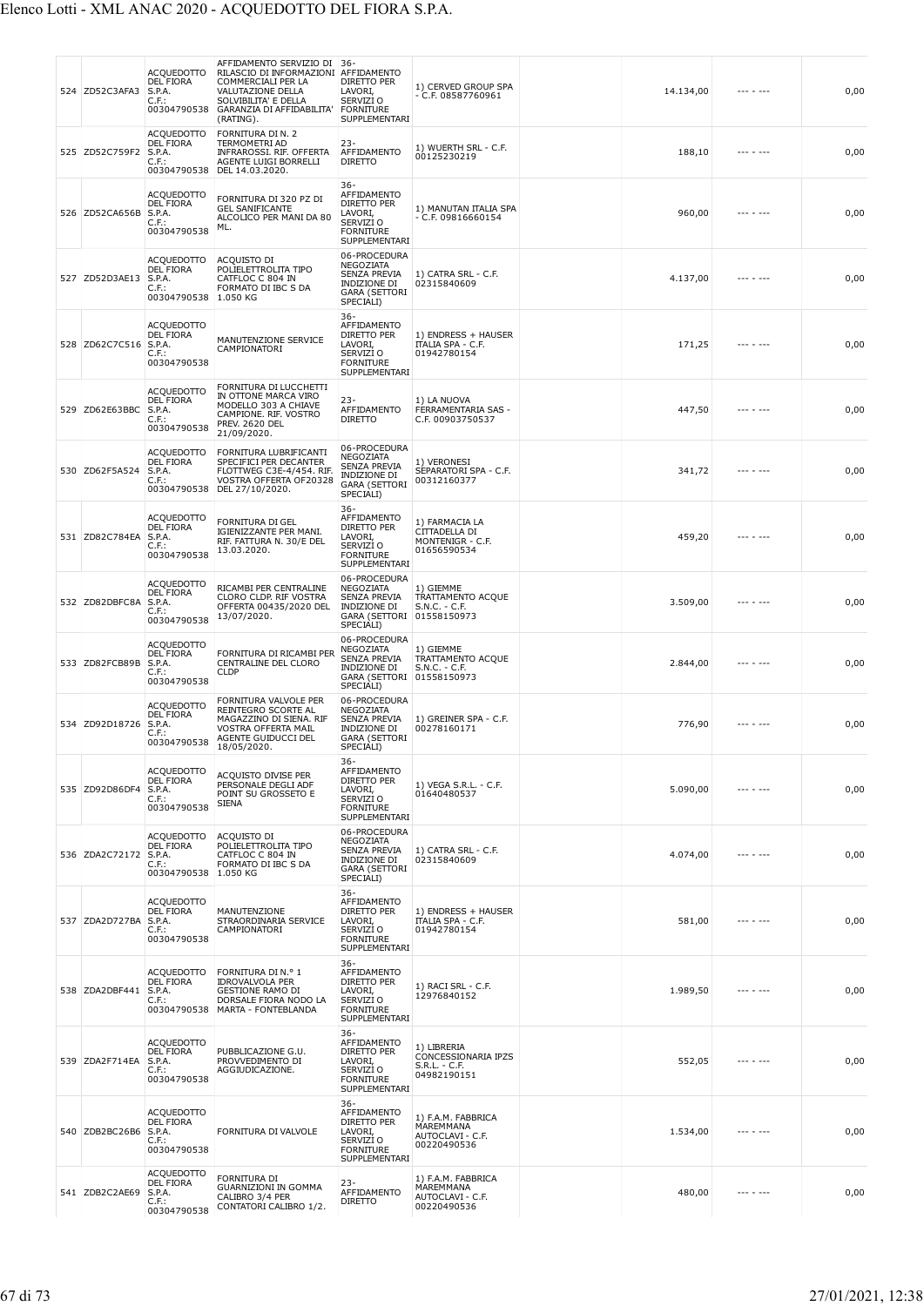| 524 ZD52C3AFA3 | <b>ACQUEDOTTO</b><br><b>DEL FIORA</b><br>S.P.A.<br>C.F.:<br>00304790538          | AFFIDAMENTO SERVIZIO DI 36-<br>RILASCIO DI INFORMAZIONI AFFIDAMENTO<br>COMMERCIALI PER LA<br>VALUTAZIONE DELLA<br>SOLVIBILITA' E DELLA<br>GARANZIA DI AFFIDABILITA'<br>(RATING). | DIRETTO PER<br>LAVORI,<br>SERVIZI O<br><b>FORNITURE</b><br>SUPPLEMENTARI                              | 1) CERVED GROUP SPA<br>$-$ C.F. 08587760961                          | 14.134,00 | $- - - - - - -$ | 0,00 |
|----------------|----------------------------------------------------------------------------------|----------------------------------------------------------------------------------------------------------------------------------------------------------------------------------|-------------------------------------------------------------------------------------------------------|----------------------------------------------------------------------|-----------|-----------------|------|
| 525 ZD52C759F2 | ACQUEDOTTO<br>DEL FIORA<br>S.P.A.<br>C.F.:                                       | FORNITURA DI N. 2<br>TERMOMETRI AD<br>INFRAROSSI. RIF. OFFERTA<br>AGENTE LUIGI BORRELLI<br>00304790538 DEL 14.03.2020.                                                           | $23 -$<br>AFFIDAMENTO<br><b>DIRETTO</b>                                                               | 1) WUERTH SRL - C.F.<br>00125230219                                  | 188,10    | --- - ---       | 0,00 |
| 526 ZD52CA656B | ACQUEDOTTO<br>DEL FIORA<br>S.P.A.<br>C.F.:<br>00304790538                        | FORNITURA DI 320 PZ DI<br><b>GEL SANIFICANTE</b><br>ALCOLICO PER MANI DA 80<br>ML.                                                                                               | $36 -$<br>AFFIDAMENTO<br>DIRETTO PER<br>LAVORI,<br>SERVIZI O<br><b>FORNITURE</b><br>SUPPLEMENTARI     | 1) MANUTAN ITALIA SPA<br>$-$ C.F. 09816660154                        | 960,00    |                 | 0,00 |
| 527 ZD52D3AE13 | ACQUEDOTTO<br>DEL FIORA<br>S.P.A.<br>$C.F.$ :<br>00304790538                     | ACQUISTO DI<br>POLIELETTROLITA TIPO<br>CATFLOC C 804 IN<br>FORMATO DI IBC S DA<br>1.050 KG                                                                                       | 06-PROCEDURA<br>NEGOZIATA<br>SENZA PREVIA<br>INDIZIONE DI<br><b>GARA (SETTORI</b><br>SPECIALI)        | 1) CATRA SRL - C.F.<br>02315840609                                   | 4.137,00  | --- - ---       | 0,00 |
| 528 ZD62C7C516 | ACQUEDOTTO<br><b>DEL FIORA</b><br>S.P.A.<br>C.F.:<br>00304790538                 | MANUTENZIONE SERVICE<br>CAMPIONATORI                                                                                                                                             | $36 -$<br>AFFIDAMENTO<br>DIRETTO PER<br>LAVORI,<br>SERVIZI O<br><b>FORNITURE</b><br>SUPPLEMENTARI     | 1) ENDRESS + HAUSER<br><b>ITALIA SPA - C.F.</b><br>01942780154       | 171,25    |                 | 0,00 |
| 529 ZD62E63BBC | <b>ACQUEDOTTO</b><br><b>DEL FIORA</b><br>S.P.A.<br>C.F.:<br>00304790538          | FORNITURA DI LUCCHETTI<br>IN OTTONE MARCA VIRO<br>MODELLO 303 A CHIAVE<br>CAMPIONE. RIF. VOSTRO<br><b>PREV. 2620 DEL</b><br>21/09/2020.                                          | $23 -$<br>AFFIDAMENTO<br><b>DIRETTO</b>                                                               | 1) LA NUOVA<br>FERRAMENTARIA SAS -<br>C.F. 00903750537               | 447,50    |                 | 0,00 |
| 530 ZD62F5A524 | <b>ACQUEDOTTO</b><br>DEL FIORA<br>S.P.A.<br>C.F.:<br>00304790538                 | FORNITURA LUBRIFICANTI<br>SPECIFICI PER DECANTER<br>FLOTTWEG C3E-4/454. RIF.<br>VOSTRA OFFERTA OF20328<br>DEL 27/10/2020.                                                        | 06-PROCEDURA<br>NEGOZIATA<br>SENZA PREVIA<br>INDIZIONE DI<br><b>GARA (SETTORI</b><br>SPECIALI)        | 1) VERONESI<br>SEPARATORI SPA - C.F.<br>00312160377                  | 341,72    |                 | 0,00 |
| 531 ZD82C784EA | <b>ACQUEDOTTO</b><br>DEL FIORA<br>S.P.A.<br>C.F.:<br>00304790538                 | <b>FORNITURA DI GEL</b><br>IGIENIZZANTE PER MANI.<br>RIF. FATTURA N. 30/E DEL<br>13.03.2020.                                                                                     | $36 -$<br>AFFIDAMENTO<br>DIRETTO PER<br>LAVORI,<br>SERVIZI O<br><b>FORNITURE</b><br>SUPPLEMENTARI     | 1) FARMACIA LA<br>CITTADELLA DI<br>MONTENIGR - C.F.<br>01656590534   | 459,20    |                 | 0,00 |
| 532 ZD82DBFC8A | ACQUEDOTTO<br><b>DEL FIORA</b><br>S.P.A.<br>C.F.:<br>00304790538                 | RICAMBI PER CENTRALINE<br>CLORO CLDP. RIF VOSTRA<br>OFFERTA 00435/2020 DEL<br>13/07/2020.                                                                                        | 06-PROCEDURA<br>NEGOZIATA<br>SENZA PREVIA<br>INDIZIONE DI<br>GARA (SETTORI 01558150973<br>SPECIALI)   | 1) GIEMME<br>TRATTAMENTO ACQUE<br>S.N.C. - C.F.                      | 3.509,00  |                 | 0,00 |
| 533 ZD82FCB89B | <b>ACQUEDOTTO</b><br>DEL FIORA<br>S.P.A.<br>C.F.:<br>00304790538                 | FORNITURA DI RICAMBI PER<br>CENTRALINE DEL CLORO<br><b>CLDP</b>                                                                                                                  | 06-PROCEDURA<br>NEGOZIATA<br>SENZA PREVIA<br>INDIZIONE DI<br><b>GARA (SETTORI</b><br>SPECIALI)        | 1) GIEMME<br>TRATTAMENTO ACQUE<br>$S.N.C. - C.F.$<br>01558150973     | 2.844,00  |                 | 0,00 |
| 534 ZD92D18726 | <b>ACQUEDOTTO</b><br>DEL FIORA<br>S.P.A.<br>C.F.:<br>00304790538                 | FORNITURA VALVOLE PER<br>REINTEGRO SCORTE AL<br>MAGAZZINO DI SIENA. RIF<br>VOSTRA OFFERTA MAIL<br>AGENTE GUIDUCCI DEL<br>18/05/2020.                                             | 06-PROCEDURA<br>NEGOZIATA<br><b>SENZA PREVIA</b><br>INDIZIONE DI<br><b>GARA (SETTORI</b><br>SPECIALI) | 1) GREINER SPA - C.F.<br>00278160171                                 | 776,90    |                 | 0,00 |
| 535 ZD92D86DF4 | <b>ACQUEDOTTO</b><br><b>DEL FIORA</b><br>S.P.A.<br>C.F.:<br>00304790538          | ACQUISTO DIVISE PER<br>PERSONALE DEGLI ADF<br>POINT SU GROSSETO E<br><b>SIENA</b>                                                                                                | $36 -$<br>AFFIDAMENTO<br>DIRETTO PER<br>LAVORI,<br>SERVIZI O<br><b>FORNITURE</b><br>SUPPLEMENTARI     | 1) VEGA S.R.L. - C.F.<br>01640480537                                 | 5.090,00  | $- - - - - - -$ | 0,00 |
| 536 ZDA2C72172 | <b>ACQUEDOTTO</b><br><b>DEL FIORA</b><br>S.P.A.<br>C.F.:<br>00304790538 1.050 KG | ACQUISTO DI<br>POLIELETTROLITA TIPO<br>CATFLOC C 804 IN<br>FORMATO DI IBC S DA                                                                                                   | 06-PROCEDURA<br>NEGOZIATA<br>SENZA PREVIA<br>INDIZIONE DI<br><b>GARA (SETTORI</b><br>SPECIALI)        | 1) CATRA SRL - C.F.<br>02315840609                                   | 4.074,00  | --- - ---       | 0,00 |
| 537 ZDA2D727BA | ACQUEDOTTO<br>DEL FIORA<br>S.P.A.<br>$C.F.$ :<br>00304790538                     | MANUTENZIONE<br>STRAORDINARIA SERVICE<br>CAMPIONATORI                                                                                                                            | $36 -$<br>AFFIDAMENTO<br>DIRETTO PER<br>LAVORI,<br>SERVIZI O<br><b>FORNITURE</b><br>SUPPLEMENTARI     | 1) ENDRESS + HAUSER<br>ITALIA SPA - C.F.<br>01942780154              | 581,00    | $- - - - - - -$ | 0,00 |
| 538 ZDA2DBF441 | ACQUEDOTTO<br>DEL FIORA<br>S.P.A.<br>$C.F.$ :                                    | FORNITURA DI N.º 1<br><b>IDROVALVOLA PER</b><br><b>GESTIONE RAMO DI</b><br>DORSALE FIORA NODO LA<br>00304790538 MARTA - FONTEBLANDA                                              | $36 -$<br>AFFIDAMENTO<br>DIRETTO PER<br>LAVORI,<br>SERVIZI O<br><b>FORNITURE</b><br>SUPPLEMENTARI     | 1) RACI SRL - C.F.<br>12976840152                                    | 1.989,50  | --- - ---       | 0,00 |
| 539 ZDA2F714EA | <b>ACQUEDOTTO</b><br><b>DEL FIORA</b><br>S.P.A.<br>C.F.:<br>00304790538          | PUBBLICAZIONE G.U.<br>PROVVEDIMENTO DI<br>AGGIUDICAZIONE.                                                                                                                        | $36 -$<br>AFFIDAMENTO<br>DIRETTO PER<br>LAVORI,<br>SERVIZI O<br><b>FORNITURE</b><br>SUPPLEMENTARI     | 1) LIBRERIA<br>CONCESSIONARIA IPZS<br>$S.R.L. - C.F.$<br>04982190151 | 552,05    | --- - ---       | 0,00 |
| 540 ZDB2BC26B6 | <b>ACQUEDOTTO</b><br><b>DEL FIORA</b><br>S.P.A.<br>C.F.:<br>00304790538          | FORNITURA DI VALVOLE                                                                                                                                                             | $36-$<br>AFFIDAMENTO<br>DIRETTO PER<br>LAVORI,<br>SERVIZI O<br><b>FORNITURE</b><br>SUPPLEMENTARI      | 1) F.A.M. FABBRICA<br>MAREMMANA<br>AUTOCLAVI - C.F.<br>00220490536   | 1.534,00  |                 | 0,00 |
| 541 ZDB2C2AE69 | <b>ACQUEDOTTO</b><br><b>DEL FIORA</b><br>S.P.A.<br>$C.F.$ :<br>00304790538       | FORNITURA DI<br><b>GUARNIZIONI IN GOMMA</b><br>CALIBRO 3/4 PER<br>CONTATORI CALIBRO 1/2.                                                                                         | $23 -$<br>AFFIDAMENTO<br><b>DIRETTO</b>                                                               | 1) F.A.M. FABBRICA<br>MAREMMANA<br>AUTOCLAVI - C.F.<br>00220490536   | 480,00    | $- - - - - - -$ | 0,00 |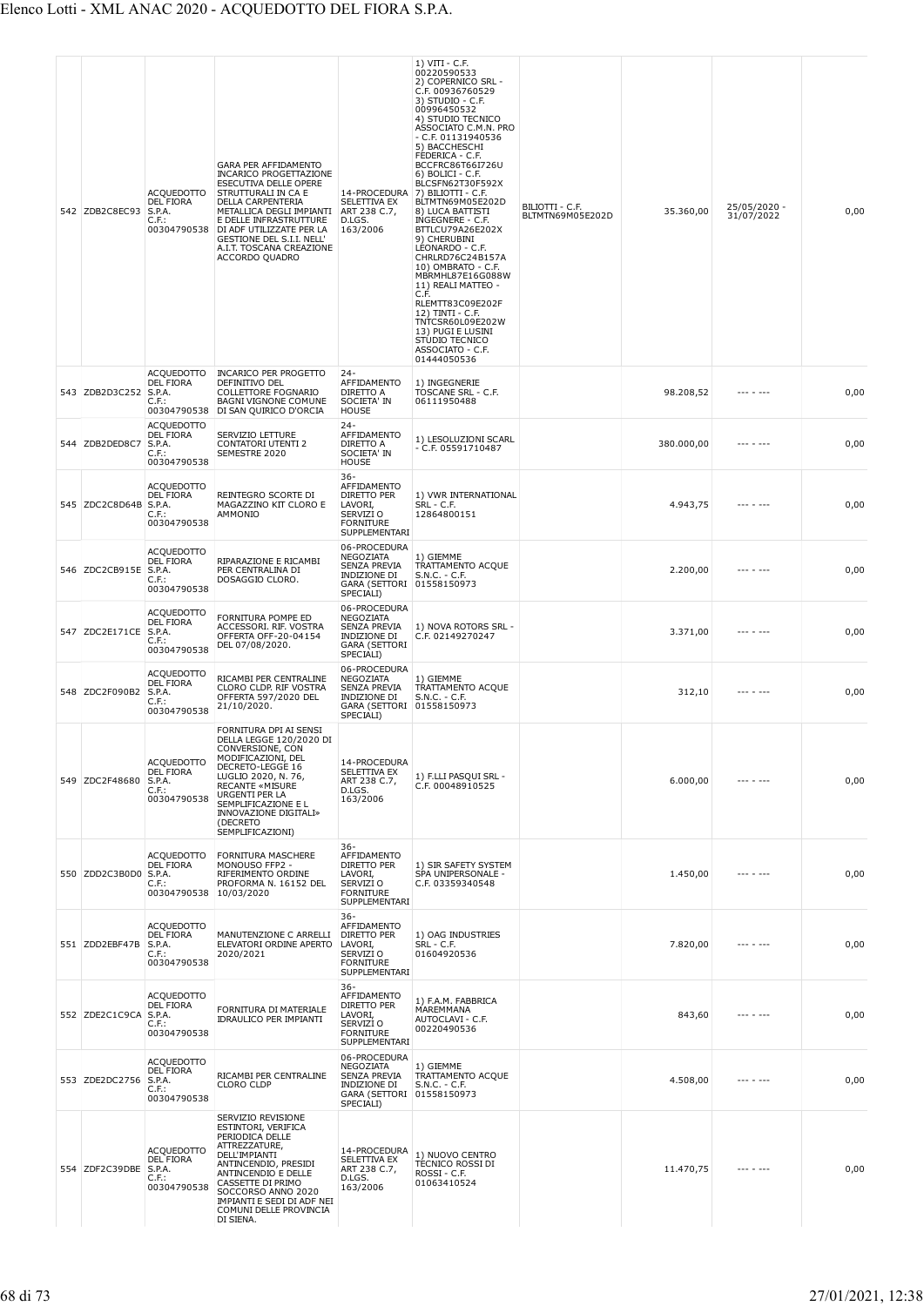| 542 ZDB2C8EC93        | <b>ACQUEDOTTO</b><br><b>DEL FIORA</b><br>S.P.A.<br>$C.F.$ :<br>00304790538 | GARA PER AFFIDAMENTO<br>INCARICO PROGETTAZIONE<br>ESECUTIVA DELLE OPERE<br>STRUTTURALI IN CA E<br>DELLA CARPENTERIA<br>METALLICA DEGLI IMPIANTI<br>E DELLE INFRASTRUTTURE<br>DI ADF UTILIZZATE PER LA<br>GESTIONE DEL S.I.I. NELL'<br>A.I.T. TOSCANA CREAZIONE<br>ACCORDO QUADRO | 14-PROCEDURA<br>SELETTIVA EX<br>ART 238 C.7,<br>D.LGS.<br>163/2006                                         | 1) VITI - C.F.<br>00220590533<br>2) COPERNICO SRL -<br>C.F. 00936760529<br>3) STUDIO - C.F.<br>00996450532<br>4) STUDIO TECNICO<br>ASSOCIATO C.M.N. PRO<br>$-$ C.F. 01131940536<br>5) BACCHESCHI<br>FEDERICA - C.F.<br>BCCFRC86T66I726U<br>6) BOLICI - C.F.<br>BLCSFN62T30F592X<br>7) BILIOTTI - C.F.<br>BLTMTN69M05E202D<br>8) LUCA BATTISTI<br>INGEGNERE - C.F.<br>BTTLCU79A26E202X<br>9) CHERUBINI<br>LEONARDO - C.F.<br>CHRLRD76C24B157A<br>10) OMBRATO - C.F.<br>MBRMHL87E16G088W<br>11) REALI MATTEO -<br>C.F.<br>RLEMTT83C09E202F<br>12) TINTI - C.F.<br>TNTCSR60L09E202W<br>13) PUGI E LUSINI<br>STUDIO TECNICO<br>ASSOCIATO - C.F.<br>01444050536 | BILIOTTI - C.F.<br>BLTMTN69M05E202D | 35.360,00  | 25/05/2020 -<br>31/07/2022 | 0,00 |
|-----------------------|----------------------------------------------------------------------------|----------------------------------------------------------------------------------------------------------------------------------------------------------------------------------------------------------------------------------------------------------------------------------|------------------------------------------------------------------------------------------------------------|------------------------------------------------------------------------------------------------------------------------------------------------------------------------------------------------------------------------------------------------------------------------------------------------------------------------------------------------------------------------------------------------------------------------------------------------------------------------------------------------------------------------------------------------------------------------------------------------------------------------------------------------------------|-------------------------------------|------------|----------------------------|------|
| 543 ZDB2D3C252 S.P.A. | <b>ACQUEDOTTO</b><br><b>DEL FIORA</b><br>C.F.:<br>00304790538              | <b>INCARICO PER PROGETTO</b><br>DEFINITIVO DEL<br>COLLETTORE FOGNARIO<br>BAGNI VIGNONE COMUNE<br>DI SAN QUIRICO D'ORCIA                                                                                                                                                          | $24 -$<br>AFFIDAMENTO<br>DIRETTO A<br>SOCIETA' IN<br>HOUSE                                                 | 1) INGEGNERIE<br>TOSCANE SRL - C.F.<br>06111950488                                                                                                                                                                                                                                                                                                                                                                                                                                                                                                                                                                                                         |                                     | 98.208,52  |                            | 0,00 |
| 544 ZDB2DED8C7        | <b>ACQUEDOTTO</b><br>DEL FIORA<br>S.P.A.<br>$C.F.$ :<br>00304790538        | SERVIZIO LETTURE<br><b>CONTATORI UTENTI 2</b><br>SEMESTRE 2020                                                                                                                                                                                                                   | $24 -$<br>AFFIDAMENTO<br>DIRETTO A<br>SOCIETA' IN<br>HOUSE                                                 | 1) LESOLUZIONI SCARL<br>- C.F. 05591710487                                                                                                                                                                                                                                                                                                                                                                                                                                                                                                                                                                                                                 |                                     | 380.000,00 |                            | 0,00 |
| 545 ZDC2C8D64B        | <b>ACQUEDOTTO</b><br>DEL FIORA<br>S.P.A.<br>C.F.:<br>00304790538           | REINTEGRO SCORTE DI<br>MAGAZZINO KIT CLORO E<br>AMMONIO                                                                                                                                                                                                                          | $36 -$<br>AFFIDAMENTO<br>DIRETTO PER<br>LAVORI,<br>SERVIZI O<br><b>FORNITURE</b><br>SUPPLEMENTARI          | 1) VWR INTERNATIONAL<br>SRL - C.F.<br>12864800151                                                                                                                                                                                                                                                                                                                                                                                                                                                                                                                                                                                                          |                                     | 4.943,75   |                            | 0,00 |
| 546 ZDC2CB915E        | ACQUEDOTTO<br><b>DEL FIORA</b><br>S.P.A.<br>$C.F.$ :<br>00304790538        | RIPARAZIONE E RICAMBI<br>PER CENTRALINA DI<br>DOSAGGIO CLORO.                                                                                                                                                                                                                    | 06-PROCEDURA<br>NEGOZIATA<br>SENZA PREVIA<br><b>INDIZIONE DI</b><br>GARA (SETTORI 01558150973<br>SPECIALI) | 1) GIEMME<br>TRATTAMENTO ACQUE<br>S.N.C. - C.F.                                                                                                                                                                                                                                                                                                                                                                                                                                                                                                                                                                                                            |                                     | 2.200,00   | --- - ---                  | 0,00 |
| 547 ZDC2E171CE        | <b>ACQUEDOTTO</b><br>DEL FIORA<br>S.P.A.<br>$C.F.$ :<br>00304790538        | FORNITURA POMPE ED<br>ACCESSORI. RIF. VOSTRA<br>OFFERTA OFF-20-04154<br>DEL 07/08/2020.                                                                                                                                                                                          | 06-PROCEDURA<br>NEGOZIATA<br>SENZA PREVIA<br>INDIZIONE DI<br><b>GARA (SETTORI</b><br>SPECIALI)             | 1) NOVA ROTORS SRL -<br>C.F. 02149270247                                                                                                                                                                                                                                                                                                                                                                                                                                                                                                                                                                                                                   |                                     | 3.371,00   |                            | 0,00 |
| 548 ZDC2F090B2        | <b>ACQUEDOTTO</b><br><b>DEL FIORA</b><br>S.P.A.<br>C.F.:<br>00304790538    | RICAMBI PER CENTRALINE<br>CLORO CLDP. RIF VOSTRA<br>OFFERTA 597/2020 DEL<br>21/10/2020.                                                                                                                                                                                          | 06-PROCEDURA<br>NEGOZIATA<br>SENZA PREVIA<br>INDIZIONE DI<br>GARA (SETTORI 01558150973<br>SPECIALI)        | 1) GIEMME<br>TRATTAMENTO ACQUE<br>S.N.C. - C.F.                                                                                                                                                                                                                                                                                                                                                                                                                                                                                                                                                                                                            |                                     | 312,10     |                            | 0,00 |
| 549 ZDC2F48680        | ACQUEDOTTO<br>DEL FIORA<br>S.P.A.<br>$C.F.$ :<br>00304790538               | FORNITURA DPI AI SENSI<br>DELLA LEGGE 120/2020 DI<br>CONVERSIONE, CON<br>MODIFICAZIONI, DEL<br>DECRETO-LEGGE 16<br>LUGLIO 2020, N. 76,<br><b>RECANTE «MISURE</b><br>URGENTI PER LA<br>SEMPLIFICAZIONE E L<br>INNOVAZIONE DIGITALI»<br>(DECRETO<br>SEMPLIFICAZIONI)               | 14-PROCEDURA<br>SELETTIVA EX<br>ART 238 C.7,<br>D.LGS.<br>163/2006                                         | 1) F.LLI PASQUI SRL -<br>C.F. 00048910525                                                                                                                                                                                                                                                                                                                                                                                                                                                                                                                                                                                                                  |                                     | 6.000,00   | --- - ---                  | 0,00 |
| 550 ZDD2C3B0D0        | ACQUEDOTTO<br>DEL FIORA<br>S.P.A.<br>$C.F.$ :<br>00304790538               | <b>FORNITURA MASCHERE</b><br>MONOUSO FFP2 -<br>RIFERIMENTO ORDINE<br>PROFORMA N. 16152 DEL<br>10/03/2020                                                                                                                                                                         | $36 -$<br>AFFIDAMENTO<br>DIRETTO PER<br>LAVORI,<br>SERVIZI O<br><b>FORNITURE</b><br>SUPPLEMENTARI          | 1) SIR SAFETY SYSTEM<br>SPA UNIPERSONALE -<br>C.F. 03359340548                                                                                                                                                                                                                                                                                                                                                                                                                                                                                                                                                                                             |                                     | 1.450,00   |                            | 0,00 |
| 551 ZDD2EBF47B        | ACQUEDOTTO<br>DEL FIORA<br>S.P.A.<br>C.F.:<br>00304790538                  | MANUTENZIONE C ARRELLI<br>ELEVATORI ORDINE APERTO<br>2020/2021                                                                                                                                                                                                                   | $36 -$<br>AFFIDAMENTO<br>DIRETTO PER<br>LAVORI,<br>SERVIZI O<br><b>FORNITURE</b><br>SUPPLEMENTARI          | 1) OAG INDUSTRIES<br>SRL - C.F.<br>01604920536                                                                                                                                                                                                                                                                                                                                                                                                                                                                                                                                                                                                             |                                     | 7.820,00   |                            | 0,00 |
| 552 ZDE2C1C9CA S.P.A. | ACQUEDOTTO<br>DEL FIORA<br>$C.F.$ :<br>00304790538                         | FORNITURA DI MATERIALE<br>IDRAULICO PER IMPIANTI                                                                                                                                                                                                                                 | $36 -$<br>AFFIDAMENTO<br>DIRETTO PER<br>LAVORI,<br>SERVIZI O<br><b>FORNITURE</b><br>SUPPLEMENTARI          | 1) F.A.M. FABBRICA<br>MAREMMANA<br>AUTOCLAVI - C.F.<br>00220490536                                                                                                                                                                                                                                                                                                                                                                                                                                                                                                                                                                                         |                                     | 843,60     |                            | 0,00 |
| 553 ZDE2DC2756 S.P.A. | <b>ACQUEDOTTO</b><br><b>DEL FIORA</b><br>$C.F.$ :<br>00304790538           | RICAMBI PER CENTRALINE<br><b>CLORO CLDP</b>                                                                                                                                                                                                                                      | 06-PROCEDURA<br>NEGOZIATA<br>SENZA PREVIA<br><b>INDIZIONE DI</b><br>GARA (SETTORI 01558150973<br>SPECIALI) | 1) GIEMME<br>TRATTAMENTO ACQUE<br>S.N.C. - C.F.                                                                                                                                                                                                                                                                                                                                                                                                                                                                                                                                                                                                            |                                     | 4.508,00   | $- - - - - - -$            | 0,00 |
| 554 ZDF2C39DBE S.P.A. | <b>ACQUEDOTTO</b><br><b>DEL FIORA</b><br>$C.F.$ :<br>00304790538           | SERVIZIO REVISIONE<br>ESTINTORI, VERIFICA<br>PERIODICA DELLE<br>ATTREZZATURE,<br><b>DELL'IMPIANTI</b><br>ANTINCENDIO, PRESIDI<br>ANTINCENDIO E DELLE<br>CASSETTE DI PRIMO<br>SOCCORSO ANNO 2020<br>IMPIANTI E SEDI DI ADF NEI<br>COMUNI DELLE PROVINCIA<br>DI SIENA.             | 14-PROCEDURA<br>SELETTIVA EX<br>ART 238 C.7,<br>D.LGS.<br>163/2006                                         | 1) NUOVO CENTRO<br>TECNICO ROSSI DI<br>ROSSI - C.F.<br>01063410524                                                                                                                                                                                                                                                                                                                                                                                                                                                                                                                                                                                         |                                     | 11.470,75  | $- - - - - - -$            | 0,00 |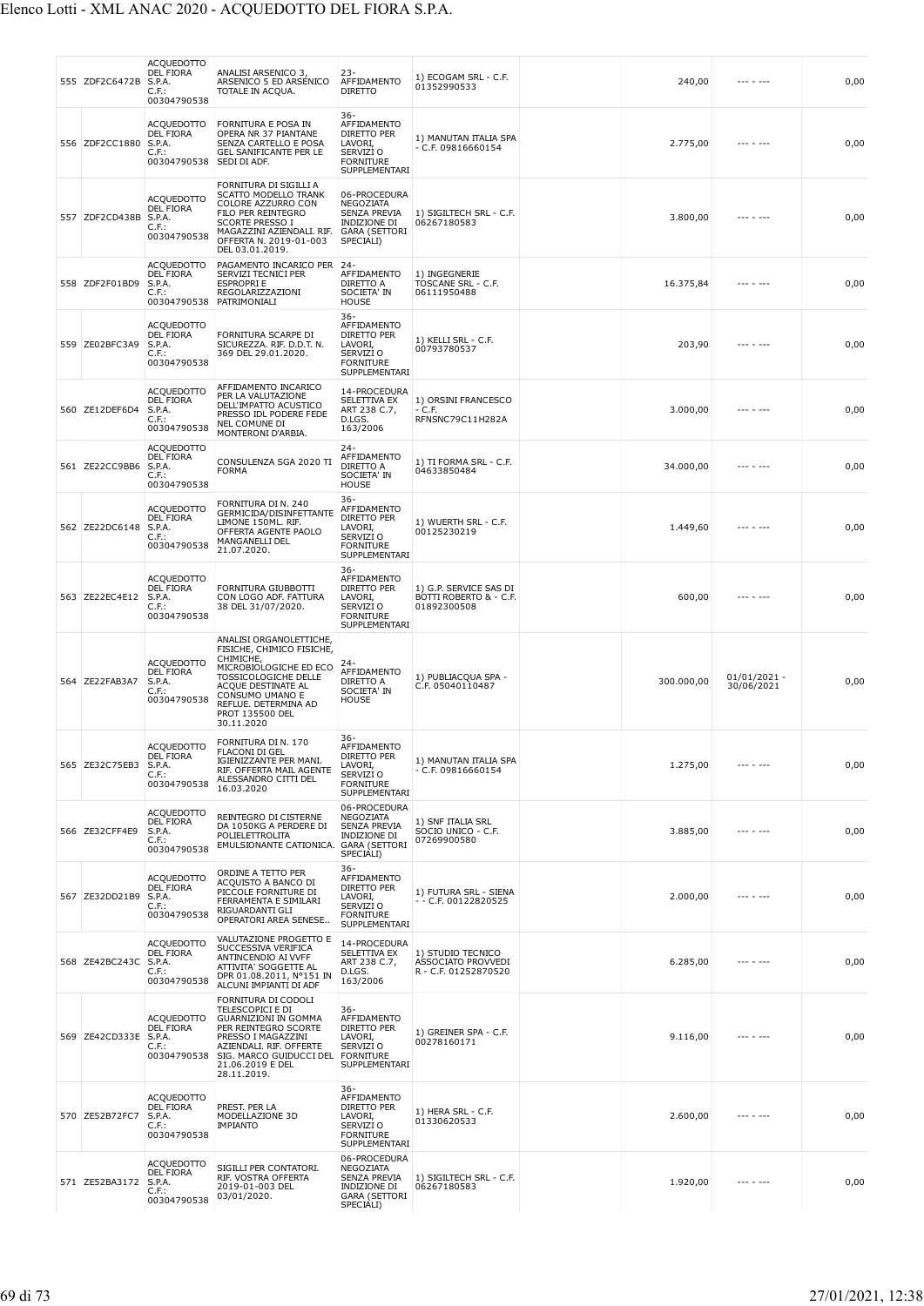| 555 ZDF2C6472B | ACQUEDOTTO<br>DEL FIORA<br>S.P.A.<br>C.F.:<br>00304790538                  | ANALISI ARSENICO 3<br>ARSENICO 5 ED ARSENICO<br>TOTALE IN ACQUA.                                                                                                                                                      | $23-$<br>AFFIDAMENTO<br><b>DIRETTO</b>                                                                | 1) ECOGAM SRL - C.F.<br>01352990533                             | 240,00     | $- - - - - - -$              | 0,00 |
|----------------|----------------------------------------------------------------------------|-----------------------------------------------------------------------------------------------------------------------------------------------------------------------------------------------------------------------|-------------------------------------------------------------------------------------------------------|-----------------------------------------------------------------|------------|------------------------------|------|
| 556 ZDF2CC1880 | ACQUEDOTTO<br><b>DEL FIORA</b><br>S.P.A.<br>C.F.:<br>00304790538           | FORNITURA E POSA IN<br>OPERA NR 37 PIANTANE<br>SENZA CARTELLO E POSA<br>GEL SANIFICANTE PER LE<br>SEDI DI ADF.                                                                                                        | $36 -$<br>AFFIDAMENTO<br>DIRETTO PER<br>LAVORI,<br>SERVIZI O<br><b>FORNITURE</b><br>SUPPLEMENTARI     | 1) MANUTAN ITALIA SPA<br>$-$ C.F. 09816660154                   | 2.775,00   |                              | 0,00 |
| 557 ZDF2CD438B | <b>ACQUEDOTTO</b><br>DEL FIORA<br>S.P.A.<br>C.F.:<br>00304790538           | FORNITURA DI SIGILLI A<br>SCATTO MODELLO TRANK<br>COLORE AZZURRO CON<br>FILO PER REINTEGRO<br><b>SCORTE PRESSO I</b><br>MAGAZZINI AZIENDALI. RIF.<br>OFFERTA N. 2019-01-003<br>DEL 03.01.2019.                        | 06-PROCEDURA<br>NEGOZIATA<br>SENZA PREVIA<br>INDIZIONE DI<br><b>GARA (SETTORI</b><br>SPECIALI)        | 1) SIGILTECH SRL - C.F.<br>06267180583                          | 3.800,00   |                              | 0,00 |
| 558 ZDF2F01BD9 | <b>ACQUEDOTTO</b><br><b>DEL FIORA</b><br>S.P.A.<br>C.F.:<br>00304790538    | PAGAMENTO INCARICO PER<br>SERVIZI TECNICI PER<br><b>ESPROPRI E</b><br>REGOLARIZZAZIONI<br>PATRIMONIALI                                                                                                                | $24 -$<br>AFFIDAMENTO<br>DIRETTO A<br>SOCIETA' IN<br><b>HOUSE</b>                                     | 1) INGEGNERIE<br>TOSCANE SRL - C.F.<br>06111950488              | 16.375,84  |                              | 0,00 |
| 559 ZE02BFC3A9 | ACQUEDOTTO<br><b>DEL FIORA</b><br>S.P.A.<br>C.F.:<br>00304790538           | FORNITURA SCARPE DI<br>SICUREZZA. RIF. D.D.T. N.<br>369 DEL 29.01.2020.                                                                                                                                               | $36 -$<br>AFFIDAMENTO<br>DIRETTO PER<br>LAVORI,<br>SERVIZI O<br><b>FORNITURE</b><br>SUPPLEMENTARI     | 1) KELLI SRL - C.F.<br>00793780537                              | 203,90     | --- - ---                    | 0,00 |
| 560 ZE12DEF6D4 | <b>ACQUEDOTTO</b><br><b>DEL FIORA</b><br>S.P.A.<br>C.F.<br>00304790538     | AFFIDAMENTO INCARICO<br>PER LA VALUTAZIONE<br>DELL'IMPATTO ACUSTICO<br>PRESSO IDL PODERE FEDE<br>NEL COMUNE DI<br>MONTERONI D'ARBIA.                                                                                  | 14-PROCEDURA<br>SELETTIVA EX<br>ART 238 C.7,<br>D.LGS.<br>163/2006                                    | 1) ORSINI FRANCESCO<br>- C.F.<br>RFNSNC79C11H282A               | 3.000,00   |                              | 0,00 |
| 561 ZE22CC9BB6 | ACQUEDOTTO<br>DEL FIORA<br>S.P.A.<br>C.F.:<br>00304790538                  | CONSULENZA SGA 2020 TI<br><b>FORMA</b>                                                                                                                                                                                | $24 -$<br>AFFIDAMENTO<br>DIRETTO A<br>SOCIETA' IN<br><b>HOUSE</b>                                     | 1) TI FORMA SRL - C.F.<br>04633850484                           | 34.000,00  |                              | 0,00 |
| 562 ZE22DC6148 | <b>ACQUEDOTTO</b><br>DEL FIORA<br>S.P.A.<br>C.F.:<br>00304790538           | FORNITURA DI N. 240<br>GERMICIDA/DISINFETTANTE<br>LIMONE 150ML. RIF.<br>OFFERTA AGENTE PAOLO<br>MANGANELLI DEL<br>21.07.2020.                                                                                         | $36 -$<br>AFFIDAMENTO<br>DIRETTO PER<br>LAVORI,<br>SERVIZI O<br><b>FORNITURE</b><br>SUPPLEMENTARI     | 1) WUERTH SRL - C.F.<br>00125230219                             | 1.449,60   |                              | 0,00 |
| 563 ZE22EC4E12 | ACQUEDOTTO<br><b>DEL FIORA</b><br>S.P.A.<br>C.F.:<br>00304790538           | FORNITURA GIUBBOTTI<br>CON LOGO ADF. FATTURA<br>38 DEL 31/07/2020.                                                                                                                                                    | $36-$<br>AFFIDAMENTO<br>DIRETTO PER<br>LAVORI,<br>SERVIZI O<br><b>FORNITURE</b><br>SUPPLEMENTARI      | 1) G.P. SERVICE SAS DI<br>BOTTI ROBERTO & - C.F.<br>01892300508 | 600,00     |                              | 0,00 |
| 564 ZE22FAB3A7 | <b>ACQUEDOTTO</b><br>DEL FIORA<br>S.P.A.<br>C.F.:<br>00304790538           | ANALISI ORGANOLETTICHE,<br>FISICHE, CHIMICO FISICHE,<br>CHIMICHE,<br>MICROBIOLOGICHE ED ECO<br>TOSSICOLOGICHE DELLE<br>ACQUE DESTINATE AL<br>CONSUMO UMANO E<br>REFLUE. DETERMINA AD<br>PROT 135500 DEL<br>30.11.2020 | 24-<br>AFFIDAMENTO<br>DIRETTO A<br>SOCIETA' IN<br><b>HOUSE</b>                                        | 1) PUBLIACQUA SPA -<br>C.F. 05040110487                         | 300.000,00 | $01/01/2021 -$<br>30/06/2021 | 0,00 |
| 565 ZE32C75EB3 | <b>ACQUEDOTTO</b><br><b>DEL FIORA</b><br>S.P.A.<br>$C.F.$ :<br>00304790538 | FORNITURA DI N. 170<br>FLACONI DI GEL<br>IGIENIZZANTE PER MANI.<br>RIF. OFFERTA MAIL AGENTE<br>ALESSANDRO CITTI DEL<br>16.03.2020                                                                                     | 36-<br>AFFIDAMENTO<br>DIRETTO PER<br>LAVORI,<br>SERVIZI O<br><b>FORNITURE</b><br>SUPPLEMENTARI        | 1) MANUTAN ITALIA SPA<br>$-$ C.F. 09816660154                   | 1.275,00   | --- - ---                    | 0,00 |
| 566 ZE32CFF4E9 | <b>ACQUEDOTTO</b><br>DEL FIORA<br>S.P.A.<br>C.F.:<br>00304790538           | REINTEGRO DI CISTERNE<br>DA 1050KG A PERDERE DI<br>POLIELETTROLITA<br>EMULSIONANTE CATIONICA.                                                                                                                         | 06-PROCEDURA<br>NEGOZIATA<br><b>SENZA PREVIA</b><br>INDIZIONE DI<br><b>GARA (SETTORI</b><br>SPECIALI) | 1) SNF ITALIA SRL<br>SOCIO UNICO - C.F.<br>07269900580          | 3.885,00   | --- - ---                    | 0,00 |
| 567 ZE32DD21B9 | <b>ACOUEDOTTO</b><br>DEL FIORA<br>S.P.A.<br>$C.F.$ :<br>00304790538        | ORDINE A TETTO PER<br>ACQUISTO A BANCO DI<br>PICCOLE FORNITURE DI<br>FERRAMENTA E SIMILARI<br>RIGUARDANTI GLI<br>OPERATORI AREA SENESE.                                                                               | $36 -$<br>AFFIDAMENTO<br>DIRETTO PER<br>LAVORI,<br>SERVIZI O<br><b>FORNITURE</b><br>SUPPLEMENTARI     | 1) FUTURA SRL - SIENA<br>$-$ - C.F. 00122820525                 | 2.000,00   | .                            | 0,00 |
| 568 ZE42BC243C | <b>ACOUEDOTTO</b><br>DEL FIORA<br>S.P.A.<br>C.F.:<br>00304790538           | VALUTAZIONE PROGETTO E<br>SUCCESSIVA VERIFICA<br>ANTINCENDIO AI VVFF<br>ATTIVITA' SOGGETTE AL<br>DPR 01.08.2011, N°151 IN<br>ALCUNI IMPIANTI DI ADF                                                                   | 14-PROCEDURA<br>SELETTIVA EX<br>ART 238 C.7,<br>D.LGS.<br>163/2006                                    | 1) STUDIO TECNICO<br>ASSOCIATO PROVVEDI<br>R - C.F. 01252870520 | 6.285,00   | -- - ---                     | 0,00 |
| 569 ZE42CD333E | <b>ACQUEDOTTO</b><br>DEL FIORA<br>S.P.A.<br>C.F.:<br>00304790538           | FORNITURA DI CODOLI<br>TELESCOPICI E DI<br><b>GUARNIZIONI IN GOMMA</b><br>PER REINTEGRO SCORTE<br>PRESSO I MAGAZZINI<br>AZIENDALI. RIF. OFFERTE<br>SIG. MARCO GUIDUCCI DEL<br>21.06.2019 E DEL<br>28.11.2019.         | $36 -$<br>AFFIDAMENTO<br>DIRETTO PER<br>LAVORI,<br>SERVIZI O<br><b>FORNITURE</b><br>SUPPLEMENTARI     | 1) GREINER SPA - C.F.<br>00278160171                            | 9.116,00   |                              | 0,00 |
| 570 ZE52B72FC7 | ACQUEDOTTO<br><b>DEL FIORA</b><br>S.P.A.<br>$C.F.$ :<br>00304790538        | PREST. PER LA<br>MODELLAZIONE 3D<br><b>IMPIANTO</b>                                                                                                                                                                   | $36 -$<br>AFFIDAMENTO<br>DIRETTO PER<br>LAVORI,<br>SERVIZI O<br><b>FORNITURE</b><br>SUPPLEMENTARI     | 1) HERA SRL - C.F.<br>01330620533                               | 2.600,00   | --- - ---                    | 0,00 |
| 571 ZE52BA3172 | <b>ACQUEDOTTO</b><br>DEL FIORA<br>S.P.A.<br>$C.F.$ :<br>00304790538        | SIGILLI PER CONTATORI.<br>RIF. VOSTRA OFFERTA<br>2019-01-003 DEL<br>03/01/2020.                                                                                                                                       | 06-PROCEDURA<br>NEGOZIATA<br>SENZA PREVIA<br>INDIZIONE DI<br><b>GARA (SETTORI</b><br>SPECIALI)        | 1) SIGILTECH SRL - C.F.<br>06267180583                          | 1.920,00   |                              | 0,00 |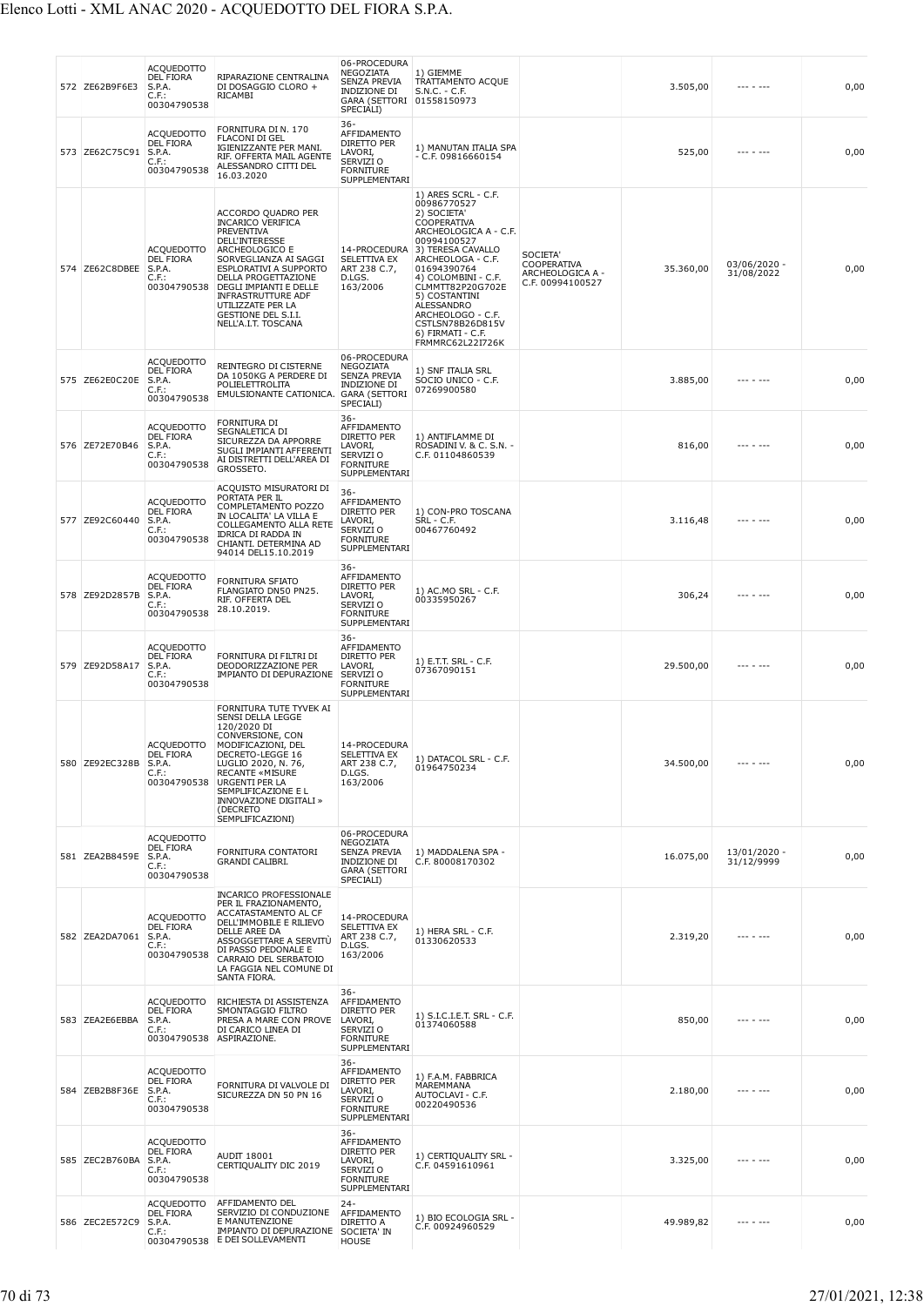| 572 ZE62B9F6E3 | <b>ACQUEDOTTO</b><br><b>DEL FIORA</b><br>S.P.A.<br>$C.F.$ :<br>00304790538 | RIPARAZIONE CENTRALINA<br>DI DOSAGGIO CLORO +<br>RICAMBI                                                                                                                                                                                                                                                    | 06-PROCEDURA<br>NEGOZIATA<br><b>SENZA PREVIA</b><br><b>INDIZIONE DI</b><br>GARA (SETTORI 01558150973<br>SPECIALI) | 1) GIEMME<br>TRATTAMENTO ACQUE<br>S.N.C. - C.F.                                                                                                                                                                                                                                                                                            |                                                                 | 3.505,00  |                            | 0,00 |
|----------------|----------------------------------------------------------------------------|-------------------------------------------------------------------------------------------------------------------------------------------------------------------------------------------------------------------------------------------------------------------------------------------------------------|-------------------------------------------------------------------------------------------------------------------|--------------------------------------------------------------------------------------------------------------------------------------------------------------------------------------------------------------------------------------------------------------------------------------------------------------------------------------------|-----------------------------------------------------------------|-----------|----------------------------|------|
| 573 ZE62C75C91 | <b>ACQUEDOTTO</b><br>DEL FIORA<br>S.P.A.<br>C.F.<br>00304790538            | FORNITURA DI N. 170<br><b>FLACONI DI GEL</b><br>IGIENIZZANTE PER MANI.<br>RIF. OFFERTA MAIL AGENTE<br>ALESSANDRO CITTI DEL<br>16.03.2020                                                                                                                                                                    | 36-<br>AFFIDAMENTO<br>DIRETTO PER<br>LAVORI,<br>SERVIZI O<br><b>FORNITURE</b><br>SUPPLEMENTARI                    | 1) MANUTAN ITALIA SPA<br>$-$ C.F. 09816660154                                                                                                                                                                                                                                                                                              |                                                                 | 525,00    | --- - ---                  | 0,00 |
| 574 ZE62C8DBEE | <b>ACQUEDOTTO</b><br><b>DEL FIORA</b><br>S.P.A.<br>$C.F.$ :<br>00304790538 | ACCORDO QUADRO PER<br><b>INCARICO VERIFICA</b><br>PREVENTIVA<br><b>DELL'INTERESSE</b><br>ARCHEOLOGICO E<br>SORVEGLIANZA AI SAGGI<br>ESPLORATIVI A SUPPORTO<br>DELLA PROGETTAZIONE<br>DEGLI IMPIANTI E DELLE<br><b>INFRASTRUTTURE ADF</b><br>UTILIZZATE PER LA<br>GESTIONE DEL S.I.I.<br>NELL'A.I.T. TOSCANA | SELETTIVA EX<br>ART 238 C.7,<br>D.LGS.<br>163/2006                                                                | 1) ARES SCRL - C.F.<br>00986770527<br>2) SOCIETA'<br>COOPERATIVA<br>ARCHEOLOGICA A - C.F.<br>00994100527<br>14-PROCEDURA 3) TERESA CAVALLO<br>ARCHEOLOGA - C.F.<br>01694390764<br>4) COLOMBINI - C.F.<br>CLMMTT82P20G702E<br>5) COSTANTINI<br>ALESSANDRO<br>ARCHEOLOGO - C.F.<br>CSTLSN78B26D815V<br>6) FIRMATI - C.F.<br>FRMMRC62L22I726K | SOCIETA'<br>COOPERATIVA<br>ARCHEOLOGICA A -<br>C.F. 00994100527 | 35.360,00 | 03/06/2020 -<br>31/08/2022 | 0,00 |
| 575 ZE62E0C20E | <b>ACQUEDOTTO</b><br><b>DEL FIORA</b><br>S.P.A.<br>$C.F.$ :<br>00304790538 | REINTEGRO DI CISTERNE<br>DA 1050KG A PERDERE DI<br>POLIELETTROLITA<br>EMULSIONANTE CATIONICA.                                                                                                                                                                                                               | 06-PROCEDURA<br>NEGOZIATA<br>SENZA PREVIA<br><b>INDIZIONE DI</b><br><b>GARA (SETTORI</b><br>SPECIALI)             | 1) SNF ITALIA SRL<br>SOCIO UNICO - C.F.<br>07269900580                                                                                                                                                                                                                                                                                     |                                                                 | 3.885,00  | --- - ---                  | 0,00 |
| 576 ZE72E70B46 | <b>ACQUEDOTTO</b><br>DEL FIORA<br>S.P.A.<br>C.F.<br>00304790538            | FORNITURA DI<br>SEGNALETICA DI<br>SICUREZZA DA APPORRE<br>SUGLI IMPIANTI AFFERENTI<br>AI DISTRETTI DELL'AREA DI<br>GROSSETO.                                                                                                                                                                                | 36-<br>AFFIDAMENTO<br>DIRETTO PER<br>LAVORI,<br>SERVIZI O<br><b>FORNITURE</b><br>SUPPLEMENTARI                    | 1) ANTIFLAMME DI<br>ROSADINI V. & C. S.N. -<br>C.F. 01104860539                                                                                                                                                                                                                                                                            |                                                                 | 816,00    | $- - - - - - -$            | 0,00 |
| 577 ZE92C60440 | <b>ACQUEDOTTO</b><br>DEL FIORA<br>S.P.A.<br>C.F.:<br>00304790538           | ACQUISTO MISURATORI DI<br>PORTATA PER IL<br>COMPLETAMENTO POZZO<br>IN LOCALITA' LA VILLA E<br>COLLEGAMENTO ALLA RETE<br>IDRICA DI RADDA IN<br>CHIANTI. DETERMINA AD<br>94014 DEL15.10.2019                                                                                                                  | $36 -$<br>AFFIDAMENTO<br>DIRETTO PER<br>LAVORI,<br>SERVIZI O<br><b>FORNITURE</b><br>SUPPLEMENTARI                 | 1) CON-PRO TOSCANA<br>SRL - C.F.<br>00467760492                                                                                                                                                                                                                                                                                            |                                                                 | 3.116,48  | $- - - - - - -$            | 0,00 |
| 578 ZE92D2857B | <b>ACQUEDOTTO</b><br>DEL FIORA<br>S.P.A.<br>$C.F.$ :<br>00304790538        | FORNITURA SFIATO<br>FLANGIATO DN50 PN25.<br>RIF. OFFERTA DEL<br>28.10.2019.                                                                                                                                                                                                                                 | $36 -$<br>AFFIDAMENTO<br>DIRETTO PER<br>LAVORI,<br>SERVIZI O<br><b>FORNITURE</b><br>SUPPLEMENTARI                 | 1) AC MO SRL - C F.<br>00335950267                                                                                                                                                                                                                                                                                                         |                                                                 | 306,24    | --- - ---                  | 0,00 |
| 579 ZE92D58A17 | <b>ACQUEDOTTO</b><br><b>DEL FIORA</b><br>S.P.A.<br>$C.F.$ :<br>00304790538 | FORNITURA DI FILTRI DI<br>DEODORIZZAZIONE PER<br>IMPIANTO DI DEPURAZIONE                                                                                                                                                                                                                                    | $36 -$<br>AFFIDAMENTO<br>DIRETTO PER<br>LAVORI,<br>SERVIZI O<br><b>FORNITURE</b><br>SUPPLEMENTARI                 | 1) E.T.T. SRL - C.F.<br>07367090151                                                                                                                                                                                                                                                                                                        |                                                                 | 29.500,00 |                            | 0,00 |
| 580 ZE92EC328B | <b>ACQUEDOTTO</b><br><b>DEL FIORA</b><br>S.P.A.<br>$C.F.$ :<br>00304790538 | FORNITURA TUTE TYVEK AI<br>SENSI DELLA LEGGE<br>120/2020 DI<br>CONVERSIONE, CON<br>MODIFICAZIONI, DEL<br>DECRETO-LEGGE 16<br>LUGLIO 2020, N. 76,<br><b>RECANTE «MISURE</b><br><b>URGENTI PER LA</b><br>SEMPLIFICAZIONE E L<br>INNOVAZIONE DIGITALI »<br>(DECRETO<br>SEMPLIFICAZIONI)                        | 14-PROCEDURA<br>SELETTIVA EX<br>ART 238 C.7,<br>D.LGS.<br>163/2006                                                | 1) DATACOL SRL - C.F.<br>01964750234                                                                                                                                                                                                                                                                                                       |                                                                 | 34.500,00 |                            | 0,00 |
| 581 ZEA2B8459E | <b>ACQUEDOTTO</b><br><b>DEL FIORA</b><br>S.P.A.<br>$C.F.$ :<br>00304790538 | FORNITURA CONTATORI<br>GRANDI CALIBRI.                                                                                                                                                                                                                                                                      | 06-PROCEDURA<br>NEGOZIATA<br><b>SENZA PREVIA</b><br>INDIZIONE DI<br><b>GARA (SETTORI</b><br>SPECIALI)             | 1) MADDALENA SPA -<br>C.F. 80008170302                                                                                                                                                                                                                                                                                                     |                                                                 | 16.075,00 | 13/01/2020 -<br>31/12/9999 | 0,00 |
| 582 ZEA2DA7061 | <b>ACQUEDOTTO</b><br><b>DEL FIORA</b><br>S.P.A.<br>$C.F.$ :<br>00304790538 | <b>INCARICO PROFESSIONALE</b><br>PER IL FRAZIONAMENTO,<br>ACCATASTAMENTO AL CF<br>DELL'IMMOBILE E RILIEVO<br>DELLE AREE DA<br>ASSOGGETTARE A SERVITU<br>DI PASSO PEDONALE E<br>CARRAIO DEL SERBATOIO<br>LA FAGGIA NEL COMUNE DI<br>SANTA FIORA.                                                             | 14-PROCEDURA<br>SELETTIVA EX<br>ART 238 C.7,<br>D.LGS.<br>163/2006                                                | 1) HERA SRL - C.F.<br>01330620533                                                                                                                                                                                                                                                                                                          |                                                                 | 2.319,20  |                            | 0,00 |
| 583 ZEA2E6EBBA | <b>ACQUEDOTTO</b><br><b>DEL FIORA</b><br>S.P.A.<br>$C.F.$ :<br>00304790538 | RICHIESTA DI ASSISTENZA<br>SMONTAGGIO FILTRO<br>PRESA A MARE CON PROVE<br>DI CARICO LINEA DI<br>ASPIRAZIONE.                                                                                                                                                                                                | 36-<br>AFFIDAMENTO<br>DIRETTO PER<br>LAVORI,<br>SERVIZI O<br><b>FORNITURE</b><br>SUPPLEMENTARI                    | 1) S.I.C.I.E.T. SRL - C.F.<br>01374060588                                                                                                                                                                                                                                                                                                  |                                                                 | 850,00    |                            | 0,00 |
| 584 ZEB2B8F36E | <b>ACQUEDOTTO</b><br><b>DEL FIORA</b><br>S.P.A.<br>$C.F.$ :<br>00304790538 | FORNITURA DI VALVOLE DI<br>SICUREZZA DN 50 PN 16                                                                                                                                                                                                                                                            | 36-<br>AFFIDAMENTO<br>DIRETTO PER<br>LAVORI,<br>SERVIZI O<br><b>FORNITURE</b><br>SUPPLEMENTARI                    | 1) F.A.M. FABBRICA<br>MAREMMANA<br>AUTOCLAVI - C.F.<br>00220490536                                                                                                                                                                                                                                                                         |                                                                 | 2.180,00  |                            | 0,00 |
| 585 ZEC2B760BA | <b>ACQUEDOTTO</b><br><b>DEL FIORA</b><br>S.P.A.<br>$C.F.$ :<br>00304790538 | AUDIT 18001<br>CERTIQUALITY DIC 2019                                                                                                                                                                                                                                                                        | $36 -$<br>AFFIDAMENTO<br>DIRETTO PER<br>LAVORI,<br>SERVIZI O<br><b>FORNITURE</b><br>SUPPLEMENTARI                 | 1) CERTIQUALITY SRL -<br>C.F. 04591610961                                                                                                                                                                                                                                                                                                  |                                                                 | 3.325,00  |                            | 0,00 |
| 586 ZEC2E572C9 | <b>ACQUEDOTTO</b><br>DEL FIORA<br>S.P.A.<br>$C.F.$ :                       | AFFIDAMENTO DEL<br>SERVIZIO DI CONDUZIONE<br>E MANUTENZIONE<br>IMPIANTO DI DEPURAZIONE<br>00304790538 E DEI SOLLEVAMENTI                                                                                                                                                                                    | $24 -$<br>AFFIDAMENTO<br>DIRETTO A<br>SOCIETA' IN<br><b>HOUSE</b>                                                 | 1) BIO ECOLOGIA SRL -<br>C.F. 00924960529                                                                                                                                                                                                                                                                                                  |                                                                 | 49.989,82 | --- - ---                  | 0,00 |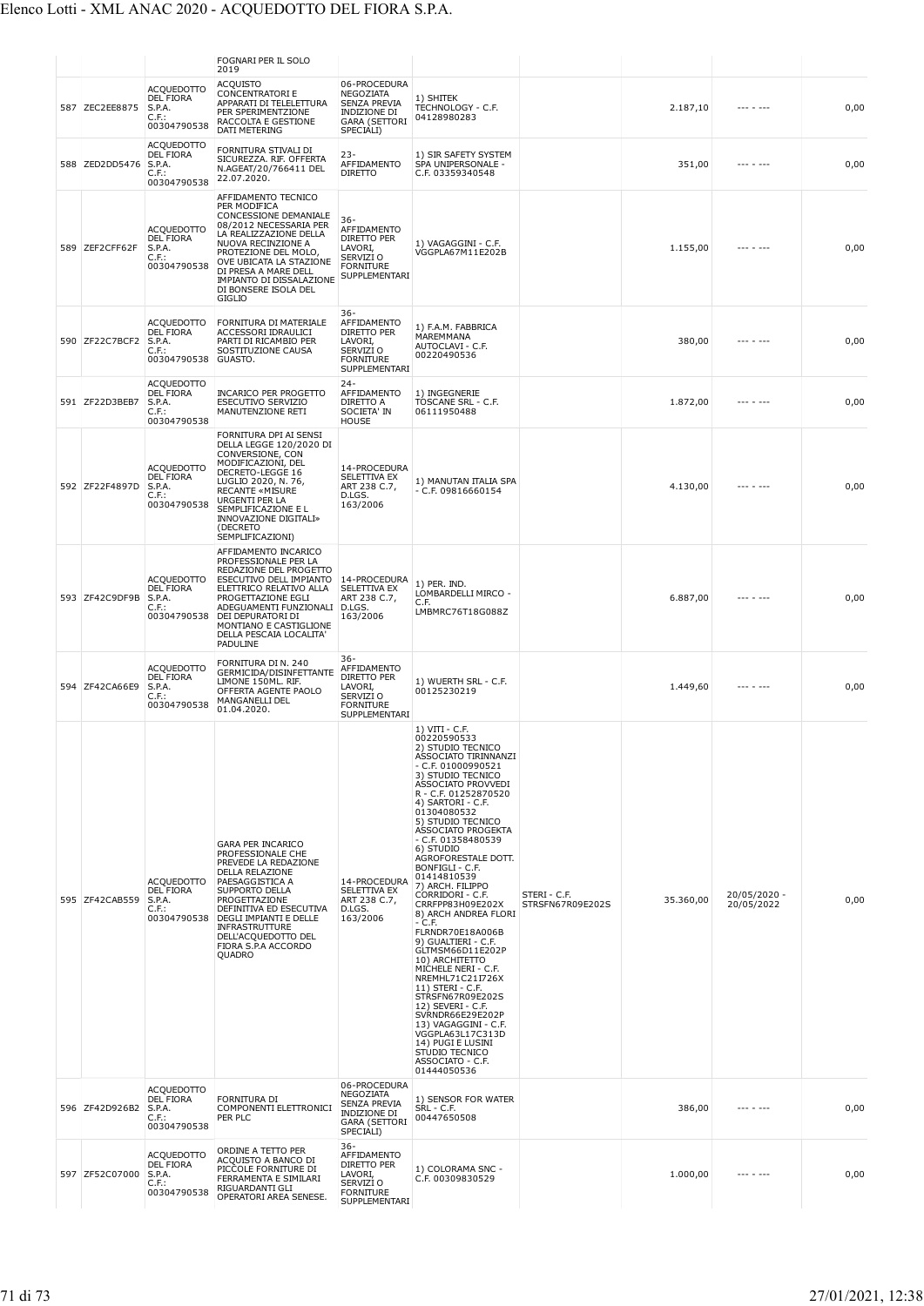|                |                                                                            | <b>FOGNARI PER IL SOLO</b><br>2019                                                                                                                                                                                                                                                    |                                                                                                              |                                                                                                                                                                                                                                                                                                                                                                                                                                                                                                                                                                                                                                                                                                                                                                                     |                                  |           |                            |      |
|----------------|----------------------------------------------------------------------------|---------------------------------------------------------------------------------------------------------------------------------------------------------------------------------------------------------------------------------------------------------------------------------------|--------------------------------------------------------------------------------------------------------------|-------------------------------------------------------------------------------------------------------------------------------------------------------------------------------------------------------------------------------------------------------------------------------------------------------------------------------------------------------------------------------------------------------------------------------------------------------------------------------------------------------------------------------------------------------------------------------------------------------------------------------------------------------------------------------------------------------------------------------------------------------------------------------------|----------------------------------|-----------|----------------------------|------|
| 587 ZEC2EE8875 | <b>ACQUEDOTTO</b><br><b>DEL FIORA</b><br>S.P.A.<br>C.F.:<br>00304790538    | <b>ACQUISTO</b><br><b>CONCENTRATORIE</b><br>APPARATI DI TELELETTURA<br>PER SPERIMENTZIONE<br>RACCOLTA E GESTIONE<br>DATI METERING                                                                                                                                                     | 06-PROCEDURA<br>NEGOZIATA<br><b>SENZA PREVIA</b><br><b>INDIZIONE DI</b><br><b>GARA (SETTORI</b><br>SPECIALI) | 1) SHITEK<br>TECHNOLOGY - C.F.<br>04128980283                                                                                                                                                                                                                                                                                                                                                                                                                                                                                                                                                                                                                                                                                                                                       |                                  | 2.187,10  | --- - ---                  | 0,00 |
| 588 ZED2DD5476 | <b>ACQUEDOTTO</b><br>DEL FIORA<br>S.P.A.<br>$C.F.$ :<br>00304790538        | FORNITURA STIVALI DI<br>SICUREZZA. RIF. OFFERTA<br>N.AGEAT/20/766411 DEL<br>22.07.2020.                                                                                                                                                                                               | $23 -$<br>AFFIDAMENTO<br><b>DIRETTO</b>                                                                      | 1) SIR SAFETY SYSTEM<br>SPA UNIPERSONALE -<br>C.F. 03359340548                                                                                                                                                                                                                                                                                                                                                                                                                                                                                                                                                                                                                                                                                                                      |                                  | 351,00    | --- - ---                  | 0,00 |
| 589 ZEF2CFF62F | <b>ACQUEDOTTO</b><br><b>DEL FIORA</b><br>S.P.A.<br>C.F.<br>00304790538     | AFFIDAMENTO TECNICO<br>PER MODIFICA<br>CONCESSIONE DEMANIALE<br>08/2012 NECESSARIA PER<br>LA REALIZZAZIONE DELLA<br>NUOVA RECINZIONE A<br>PROTEZIONE DEL MOLO<br>OVE UBICATA LA STAZIONE<br>DI PRESA A MARE DELL<br>IMPIANTO DI DISSALAZIONE<br>DI BONSERE ISOLA DEL<br><b>GIGLIO</b> | 36-<br>AFFIDAMENTO<br>DIRETTO PER<br>LAVORI,<br>SERVIZI O<br><b>FORNITURE</b><br>SUPPLEMENTARI               | 1) VAGAGGINI - C.F.<br>VGGPLA67M11E202B                                                                                                                                                                                                                                                                                                                                                                                                                                                                                                                                                                                                                                                                                                                                             |                                  | 1.155,00  | $- - - - - - - -$          | 0,00 |
| 590 ZF22C7BCF2 | <b>ACQUEDOTTO</b><br>DEL FIORA<br>S.P.A.<br>C.F.:<br>00304790538           | FORNITURA DI MATERIALE<br>ACCESSORI IDRAULICI<br>PARTI DI RICAMBIO PER<br>SOSTITUZIONE CAUSA<br>GUASTO.                                                                                                                                                                               | 36-<br>AFFIDAMENTO<br>DIRETTO PER<br>LAVORI,<br>SERVIZI O<br><b>FORNITURE</b><br>SUPPLEMENTARI               | 1) F.A.M. FABBRICA<br>MAREMMANA<br>AUTOCLAVI - C.F.<br>00220490536                                                                                                                                                                                                                                                                                                                                                                                                                                                                                                                                                                                                                                                                                                                  |                                  | 380,00    |                            | 0,00 |
| 591 ZF22D3BEB7 | <b>ACQUEDOTTO</b><br><b>DEL FIORA</b><br>S.P.A.<br>$C.F.$ :<br>00304790538 | <b>INCARICO PER PROGETTO</b><br><b>ESECUTIVO SERVIZIO</b><br>MANUTENZIONE RETI                                                                                                                                                                                                        | $24 -$<br>AFFIDAMENTO<br>DIRETTO A<br>SOCIETA' IN<br><b>HOUSE</b>                                            | 1) INGEGNERIE<br>TOSCANE SRL - C.F.<br>06111950488                                                                                                                                                                                                                                                                                                                                                                                                                                                                                                                                                                                                                                                                                                                                  |                                  | 1.872,00  |                            | 0,00 |
| 592 ZF22F4897D | <b>ACQUEDOTTO</b><br>DEL FIORA<br>S.P.A.<br>$C.F.$ :<br>00304790538        | FORNITURA DPI AI SENSI<br>DELLA LEGGE 120/2020 DI<br>CONVERSIONE, CON<br>MODIFICAZIONI, DEL<br>DECRETO-LEGGE 16<br>LUGLIO 2020, N. 76,<br><b>RECANTE «MISURE</b><br>URGENTI PER LA<br>SEMPLIFICAZIONE E L<br>INNOVAZIONE DIGITALI»<br>(DECRETO<br>SEMPLIFICAZIONI)                    | 14-PROCEDURA<br>SELETTIVA EX<br>ART 238 C.7,<br>D.LGS.<br>163/2006                                           | 1) MANUTAN ITALIA SPA<br>$-$ C.F. 09816660154                                                                                                                                                                                                                                                                                                                                                                                                                                                                                                                                                                                                                                                                                                                                       |                                  | 4.130,00  |                            | 0,00 |
| 593 ZF42C9DF9B | <b>ACQUEDOTTO</b><br>DEL FIORA<br>S.P.A.<br>$C.F.$ :<br>00304790538        | AFFIDAMENTO INCARICO<br>PROFESSIONALE PER LA<br>REDAZIONE DEL PROGETTO<br>ESECUTIVO DELL IMPIANTO<br>ELETTRICO RELATIVO ALLA<br>PROGETTAZIONE EGLI<br>ADEGUAMENTI FUNZIONALI D.LGS.<br>DEI DEPURATORI DI<br>MONTIANO E CASTIGLIONE<br>DELLA PESCAIA LOCALITA'<br>PADULINE             | 14-PROCEDURA<br>SELETTIVA EX<br>ART 238 C.7,<br>163/2006                                                     | 1) PER. IND.<br>LOMBARDELLI MIRCO -<br>C.F.<br>LMBMRC76T18G088Z                                                                                                                                                                                                                                                                                                                                                                                                                                                                                                                                                                                                                                                                                                                     |                                  | 6.887,00  |                            | 0,00 |
| 594 ZF42CA66E9 | <b>ACQUEDOTTO</b><br><b>DEL FIORA</b><br>S.P.A.<br>$C.F.$ :<br>00304790538 | FORNITURA DI N. 240<br>GERMICIDA/DISINFETTANTE<br>LIMONE 150ML. RIF.<br>OFFERTA AGENTE PAOLO<br><b>MANGANELLI DEL</b><br>01.04.2020.                                                                                                                                                  | $36-$<br>AFFIDAMENTO<br>DIRETTO PER<br>LAVORI,<br>SERVIZI O<br><b>FORNITURE</b><br>SUPPLEMENTARI             | 1) WUERTH SRL - C.F.<br>00125230219                                                                                                                                                                                                                                                                                                                                                                                                                                                                                                                                                                                                                                                                                                                                                 |                                  | 1.449.60  | $- - - - - - -$            | 0,00 |
| 595 ZF42CAB559 | <b>ACQUEDOTTO</b><br><b>DEL FIORA</b><br>S.P.A.<br>$C.F.$ :<br>00304790538 | <b>GARA PER INCARICO</b><br>PROFESSIONALE CHE<br>PREVEDE LA REDAZIONE<br>DELLA RELAZIONE<br>PAESAGGISTICA A<br>SUPPORTO DELLA<br>PROGETTAZIONE<br>DEFINITIVA ED ESECUTIVA<br>DEGLI IMPIANTI E DELLE<br>INFRASTRUTTURE<br>DELL'ACQUEDOTTO DEL<br>FIORA S.P.A ACCORDO<br>QUADRO         | 14-PROCEDURA<br>SELETTIVA EX<br>ART 238 C.7,<br>D.LGS.<br>163/2006                                           | $1)$ VITI - C.F.<br>00220590533<br>2) STUDIO TECNICO<br>ASSOCIATO TIRINNANZI<br>- C.F. 01000990521<br>3) STUDIO TECNICO<br>ASSOCIATO PROVVEDI<br>R - C.F. 01252870520<br>4) SARTORI - C.F.<br>01304080532<br>5) STUDIO TECNICO<br>ASSOCIATO PROGEKTA<br>- C.F. 01358480539<br>6) STUDIO<br>AGROFORESTALE DOTT.<br>BONFIGLI - C.F.<br>01414810539<br>7) ARCH. FILIPPO<br>CORRIDORI - C.F.<br>CRRFPP83H09E202X<br>8) ARCH ANDREA FLORI<br>$-$ C.F.<br>FLRNDR70E18A006B<br>9) GUALTIERI - C.F.<br>GLTMSM66D11E202P<br>10) ARCHITETTO<br>MICHELE NERI - C.F.<br>NREMHL71C21I726X<br>11) STERI - C.F.<br>STRSFN67R09E202S<br>12) SEVERI - C.F.<br>SVRNDR66E29E202P<br>13) VAGAGGINI - C.F.<br>VGGPLA63L17C313D<br>14) PUGI E LUSINI<br>STUDIO TECNICO<br>ASSOCIATO - C.F.<br>01444050536 | STERI - C.F.<br>STRSFN67R09E202S | 35.360,00 | 20/05/2020 -<br>20/05/2022 | 0,00 |
| 596 ZF42D926B2 | <b>ACQUEDOTTO</b><br>DEL FIORA<br>S.P.A.<br>C.F.<br>00304790538            | FORNITURA DI<br>COMPONENTI ELETTRONICI<br>PER PLC                                                                                                                                                                                                                                     | 06-PROCEDURA<br>NEGOZIATA<br>SENZA PREVIA<br><b>INDIZIONE DI</b><br><b>GARA (SETTORI</b><br>SPECIALI)        | 1) SENSOR FOR WATER<br>SRL - C.F.<br>00447650508                                                                                                                                                                                                                                                                                                                                                                                                                                                                                                                                                                                                                                                                                                                                    |                                  | 386,00    | --- - ---                  | 0,00 |
| 597 ZF52C07000 | <b>ACQUEDOTTO</b><br><b>DEL FIORA</b><br>S.P.A.<br>C.F.<br>00304790538     | ORDINE A TETTO PER<br>ACQUISTO A BANCO DI<br>PICCOLE FORNITURE DI<br>FERRAMENTA E SIMILARI<br>RIGUARDANTI GLI<br>OPERATORI AREA SENESE.                                                                                                                                               | $36 -$<br>AFFIDAMENTO<br>DIRETTO PER<br>LAVORI,<br>SERVIZI O<br><b>FORNITURE</b><br>SUPPLEMENTARI            | 1) COLORAMA SNC -<br>C.F. 00309830529                                                                                                                                                                                                                                                                                                                                                                                                                                                                                                                                                                                                                                                                                                                                               |                                  | 1.000,00  | --- - ---                  | 0,00 |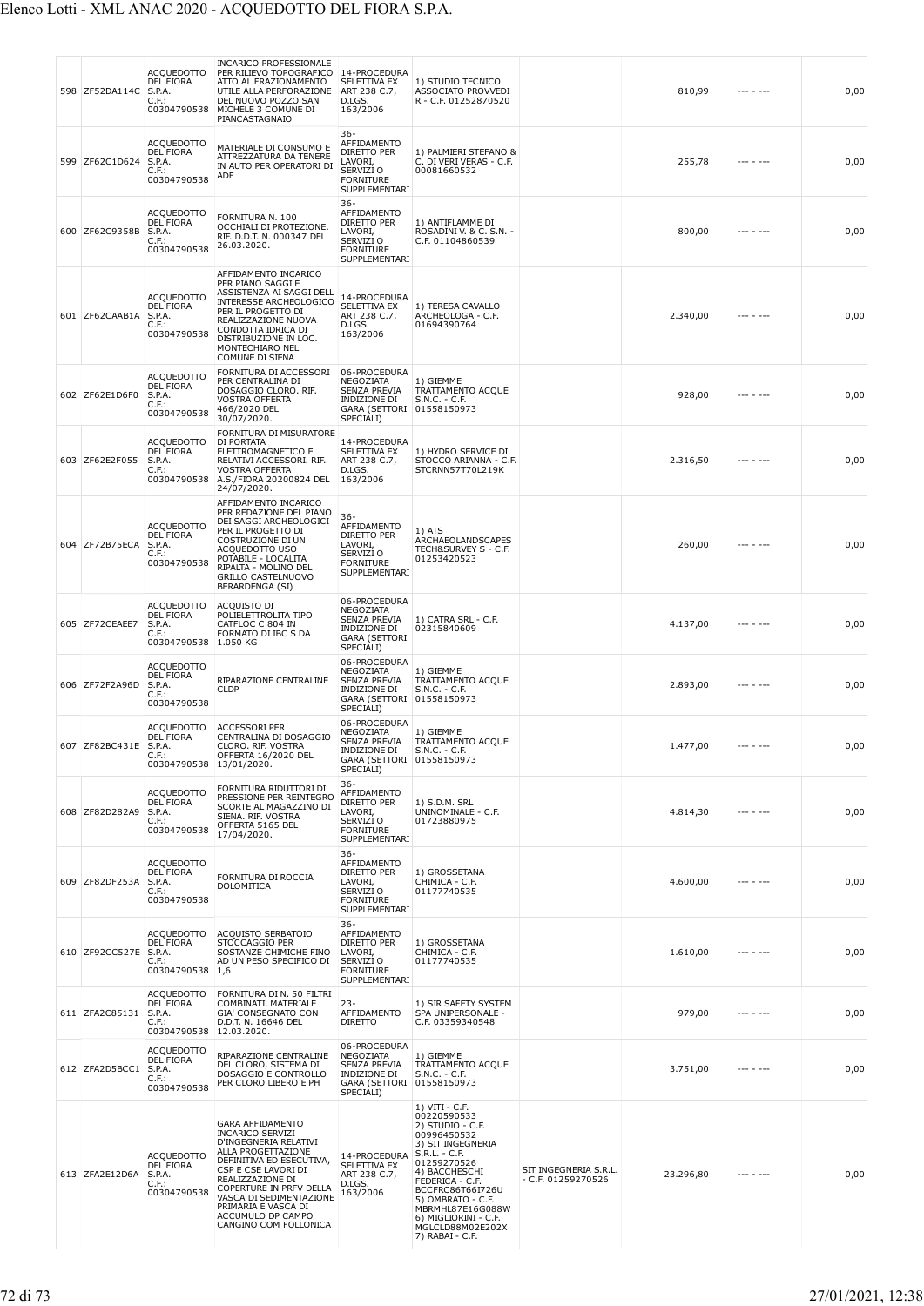| 598 ZF52DA114C | ACQUEDOTTO<br><b>DEL FIORA</b><br>S.P.A.<br>C.F.:<br>00304790538                | <b>INCARICO PROFESSIONALE</b><br>PER RILIEVO TOPOGRAFICO<br>ATTO AL FRAZIONAMENTO<br>UTILE ALLA PERFORAZIONE<br>DEL NUOVO POZZO SAN<br>MICHELE 3 COMUNE DI<br>PIANCASTAGNAIO                                                                                                                        | 14-PROCEDURA<br>SELETTIVA EX<br>ART 238 C.7,<br>D.LGS.<br>163/2006                                                       | 1) STUDIO TECNICO<br>ASSOCIATO PROVVEDI<br>R - C.F. 01252870520                                                                                                                                                                                                                         |                                             | 810,99    | $- - - - - - -$ | 0,00 |
|----------------|---------------------------------------------------------------------------------|-----------------------------------------------------------------------------------------------------------------------------------------------------------------------------------------------------------------------------------------------------------------------------------------------------|--------------------------------------------------------------------------------------------------------------------------|-----------------------------------------------------------------------------------------------------------------------------------------------------------------------------------------------------------------------------------------------------------------------------------------|---------------------------------------------|-----------|-----------------|------|
| 599 ZF62C1D624 | ACQUEDOTTO<br><b>DEL FIORA</b><br>S.P.A.<br>C.F.:<br>00304790538                | MATERIALE DI CONSUMO E<br>ATTREZZATURA DA TENERE<br>IN AUTO PER OPERATORI DI<br>ADF                                                                                                                                                                                                                 | 36-<br>AFFIDAMENTO<br>DIRETTO PER<br>LAVORI,<br>SERVIZI O<br><b>FORNITURE</b><br>SUPPLEMENTARI                           | 1) PALMIERI STEFANO &<br>C. DI VERI VERAS - C.F.<br>00081660532                                                                                                                                                                                                                         |                                             | 255,78    | --- - ---       | 0,00 |
| 600 ZF62C9358B | ACQUEDOTTO<br><b>DEL FIORA</b><br>S.P.A.<br>C.F.:<br>00304790538                | FORNITURA N. 100<br>OCCHIALI DI PROTEZIONE.<br>RIF. D.D.T. N. 000347 DEL<br>26.03.2020.                                                                                                                                                                                                             | 36-<br>AFFIDAMENTO<br>DIRETTO PER<br>LAVORI,<br>SERVIZI O<br><b>FORNITURE</b><br>SUPPLEMENTARI                           | 1) ANTIFLAMME DI<br>ROSADINI V. & C. S.N. -<br>C.F. 01104860539                                                                                                                                                                                                                         |                                             | 800,00    |                 | 0,00 |
| 601 ZF62CAAB1A | ACQUEDOTTO<br>DEL FIORA<br>S.P.A.<br>C.F.:<br>00304790538                       | AFFIDAMENTO INCARICO<br>PER PIANO SAGGI E<br>ASSISTENZA AI SAGGI DELL<br>INTERESSE ARCHEOLOGICO<br>PER IL PROGETTO DI<br>REALIZZAZIONE NUOVA<br>CONDOTTA IDRICA DI<br>DISTRIBUZIONE IN LOC.<br>MONTECHIARO NEL<br>COMUNE DI SIENA                                                                   | 14-PROCEDURA<br>SELETTIVA EX<br>ART 238 C.7,<br>D.LGS.<br>163/2006                                                       | 1) TERESA CAVALLO<br>ARCHEOLOGA - C.F.<br>01694390764                                                                                                                                                                                                                                   |                                             | 2.340,00  |                 | 0,00 |
| 602 ZF62E1D6F0 | ACQUEDOTTO<br>DEL FIORA<br>S.P.A.<br>C.F.:<br>00304790538                       | FORNITURA DI ACCESSORI<br>PER CENTRALINA DI<br>DOSAGGIO CLORO. RIF.<br><b>VOSTRA OFFERTA</b><br>466/2020 DEL<br>30/07/2020.                                                                                                                                                                         | 06-PROCEDURA<br>NEGOZIATA<br>SENZA PREVIA<br>INDIZIONE DI<br>GARA (SETTORI 01558150973<br>SPECIALI)                      | 1) GIEMME<br>TRATTAMENTO ACQUE<br>$S.N.C. - C.F.$                                                                                                                                                                                                                                       |                                             | 928,00    |                 | 0,00 |
| 603 ZF62E2F055 | <b>ACOUEDOTTO</b><br><b>DEL FIORA</b><br>S.P.A.<br>C.F.:<br>00304790538         | FORNITURA DI MISURATORE<br>DI PORTATA<br>ELETTROMAGNETICO E<br>RELATIVI ACCESSORI. RIF.<br>VOSTRA OFFERTA<br>A.S./FIORA 20200824 DEL<br>24/07/2020.                                                                                                                                                 | 14-PROCEDURA<br>SELETTIVA EX<br>ART 238 C.7,<br>D.LGS.<br>163/2006                                                       | 1) HYDRO SERVICE DI<br>STOCCO ARIANNA - C.F.<br>STCRNN57T70L219K                                                                                                                                                                                                                        |                                             | 2.316,50  |                 | 0,00 |
| 604 ZF72B75ECA | <b>ACQUEDOTTO</b><br><b>DEL FIORA</b><br>S.P.A.<br>C.F.:<br>00304790538         | AFFIDAMENTO INCARICO<br>PER REDAZIONE DEL PIANO<br>DEI SAGGI ARCHEOLOGICI<br>PER IL PROGETTO DI<br>COSTRUZIONE DI UN<br>ACQUEDOTTO USO<br>POTABILE - LOCALITA<br>RIPALTA - MOLINO DEL<br><b>GRILLO CASTELNUOVO</b><br><b>BERARDENGA (SI)</b>                                                        | 36-<br>AFFIDAMENTO<br><b>DIRETTO PER</b><br>LAVORI,<br>SERVIZI O<br><b>FORNITURE</b><br>SUPPLEMENTARI                    | 1) ATS<br>ARCHAEOLANDSCAPES<br>TECH&SURVEY S - C.F.<br>01253420523                                                                                                                                                                                                                      |                                             | 260,00    |                 | 0,00 |
| 605 ZF72CEAEE7 | ACQUEDOTTO<br><b>DEL FIORA</b><br>S.P.A.<br>C.F.<br>00304790538 1.050 KG        | ACQUISTO DI<br>POLIELETTROLITA TIPO<br>CATFLOC C 804 IN<br>FORMATO DI IBC S DA                                                                                                                                                                                                                      | 06-PROCEDURA<br>NEGOZIATA<br><b>SENZA PREVIA</b><br>INDIZIONE DI<br><b>GARA (SETTORI</b><br>SPECIALI)                    | 1) CATRA SRL - C.F.<br>02315840609                                                                                                                                                                                                                                                      |                                             | 4.137,00  |                 | 0,00 |
| 606 ZF72F2A96D | <b>ACQUEDOTTO</b><br><b>DEL FIORA</b><br>S.P.A.<br>C.F.:<br>00304790538         | RIPARAZIONE CENTRALINE<br><b>CLDP</b>                                                                                                                                                                                                                                                               | 06-PROCEDURA<br><b>NEGOZIATA</b><br>SENZA PREVIA<br>INDIZIONE DI<br>GARA (SETTORI 01558150973<br>SPECIALI)               | 1) GIEMME<br>TRATTAMENTO ACQUE<br>$S.N.C. - C.F.$                                                                                                                                                                                                                                       |                                             | 2.893,00  |                 | 0,00 |
| 607 ZF82BC431E | ACQUEDOTTO<br>DEL FIORA<br>S.P.A.<br>C.F.:<br>00304790538 13/01/2020.           | <b>ACCESSORI PER</b><br>CENTRALINA DI DOSAGGIO<br>CLORO. RIF. VOSTRA<br>OFFERTA 16/2020 DEL                                                                                                                                                                                                         | 06-PROCEDURA<br><b>NEGOZIATA</b><br><b>SENZA PREVIA</b><br><b>INDIZIONE DI</b><br>GARA (SETTORI 01558150973<br>SPECIALI) | 1) GIEMME<br>TRATTAMENTO ACQUE<br>S.N.C. - C.F.                                                                                                                                                                                                                                         |                                             | 1.477,00  |                 | 0,00 |
| 608 ZF82D282A9 | <b>ACQUEDOTTO</b><br>DEL FIORA<br>S.P.A.<br>C.F.:<br>00304790538                | FORNITURA RIDUTTORI DI<br>PRESSIONE PER REINTEGRO<br>SCORTE AL MAGAZZINO DI<br>SIENA. RIF. VOSTRA<br>OFFERTA 5165 DEL<br>17/04/2020.                                                                                                                                                                | $36 -$<br>AFFIDAMENTO<br><b>DIRETTO PER</b><br>LAVORI,<br>SERVIZI O<br><b>FORNITURE</b><br>SUPPLEMENTARI                 | 1) S.D.M. SRL<br>UNINOMINALE - C.F.<br>01723880975                                                                                                                                                                                                                                      |                                             | 4.814,30  |                 | 0,00 |
| 609 ZF82DF253A | ACQUEDOTTO<br>DEL FIORA<br>S.P.A.<br>C.F.:<br>00304790538                       | FORNITURA DI ROCCIA<br><b>DOLOMITICA</b>                                                                                                                                                                                                                                                            | $36 -$<br>AFFIDAMENTO<br>DIRETTO PER<br>LAVORI,<br>SERVIZI O<br><b>FORNITURE</b><br>SUPPLEMENTARI                        | 1) GROSSETANA<br>CHIMICA - C.F.<br>01177740535                                                                                                                                                                                                                                          |                                             | 4.600,00  | --- - ---       | 0,00 |
| 610 ZF92CC527E | <b>ACQUEDOTTO</b><br>DEL FIORA<br>S.P.A.<br>$C.F.$ :<br>00304790538 1,6         | ACQUISTO SERBATOIO<br>STOCCAGGIO PER<br>SOSTANZE CHIMICHE FINO<br>AD UN PESO SPECIFICO DI                                                                                                                                                                                                           | $36 -$<br>AFFIDAMENTO<br>DIRETTO PER<br>LAVORI,<br>SERVIZI O<br><b>FORNITURE</b><br>SUPPLEMENTARI                        | 1) GROSSETANA<br>CHIMICA - C.F.<br>01177740535                                                                                                                                                                                                                                          |                                             | 1.610,00  | --- - ---       | 0,00 |
| 611 ZFA2C85131 | <b>ACQUEDOTTO</b><br>DEL FIORA<br>S.P.A.<br>$C.F.$ :<br>00304790538 12.03.2020. | FORNITURA DI N. 50 FILTRI<br>COMBINATI. MATERIALE<br><b>GIA' CONSEGNATO CON</b><br>D.D.T. N. 16646 DEL                                                                                                                                                                                              | $23 -$<br>AFFIDAMENTO<br><b>DIRETTO</b>                                                                                  | 1) SIR SAFETY SYSTEM<br>SPA UNIPERSONALE -<br>C.F. 03359340548                                                                                                                                                                                                                          |                                             | 979,00    | $- - - - - - -$ | 0,00 |
| 612 ZFA2D5BCC1 | ACQUEDOTTO<br>DEL FIORA<br>S.P.A.<br>C.F.:<br>00304790538                       | RIPARAZIONE CENTRALINE<br>DEL CLORO, SISTEMA DI<br>DOSAGGIO E CONTROLLO<br>PER CLORO LIBERO E PH                                                                                                                                                                                                    | 06-PROCEDURA<br>NEGOZIATA<br><b>SENZA PREVIA</b><br>INDIZIONE DI<br>GARA (SETTORI 01558150973<br>SPECIALI)               | 1) GIEMME<br>TRATTAMENTO ACQUE<br>$S.N.C. - C.F.$                                                                                                                                                                                                                                       |                                             | 3.751,00  | --- - ---       | 0,00 |
| 613 ZFA2E12D6A | ACQUEDOTTO<br>DEL FIORA<br>S.P.A.<br>C.F.:<br>00304790538                       | <b>GARA AFFIDAMENTO</b><br><b>INCARICO SERVIZI</b><br>D'INGEGNERIA RELATIVI<br>ALLA PROGETTAZIONE<br>DEFINITIVA ED ESECUTIVA,<br>CSP E CSE LAVORI DI<br>REALIZZAZIONE DI<br>COPERTURE IN PRFV DELLA<br>VASCA DI SEDIMENTAZIONE<br>PRIMARIA E VASCA DI<br>ACCUMULO DP CAMPO<br>CANGINO COM FOLLONICA | 14-PROCEDURA<br>SELETTIVA EX<br>ART 238 C.7,<br>D.LGS.<br>163/2006                                                       | 1) VITI - C.F.<br>00220590533<br>2) STUDIO - C.F.<br>00996450532<br>3) SIT INGEGNERIA<br>$S.R.L. - C.F.$<br>01259270526<br>4) BACCHESCHI<br>FEDERICA - C.F.<br>BCCFRC86T66I726U<br>5) OMBRATO - C.F.<br>MBRMHL87E16G088W<br>6) MIGLIORINI - C.F.<br>MGLCLD88M02E202X<br>7) RABAI - C.F. | SIT INGEGNERIA S.R.L.<br>- C.F. 01259270526 | 23.296,80 |                 | 0,00 |